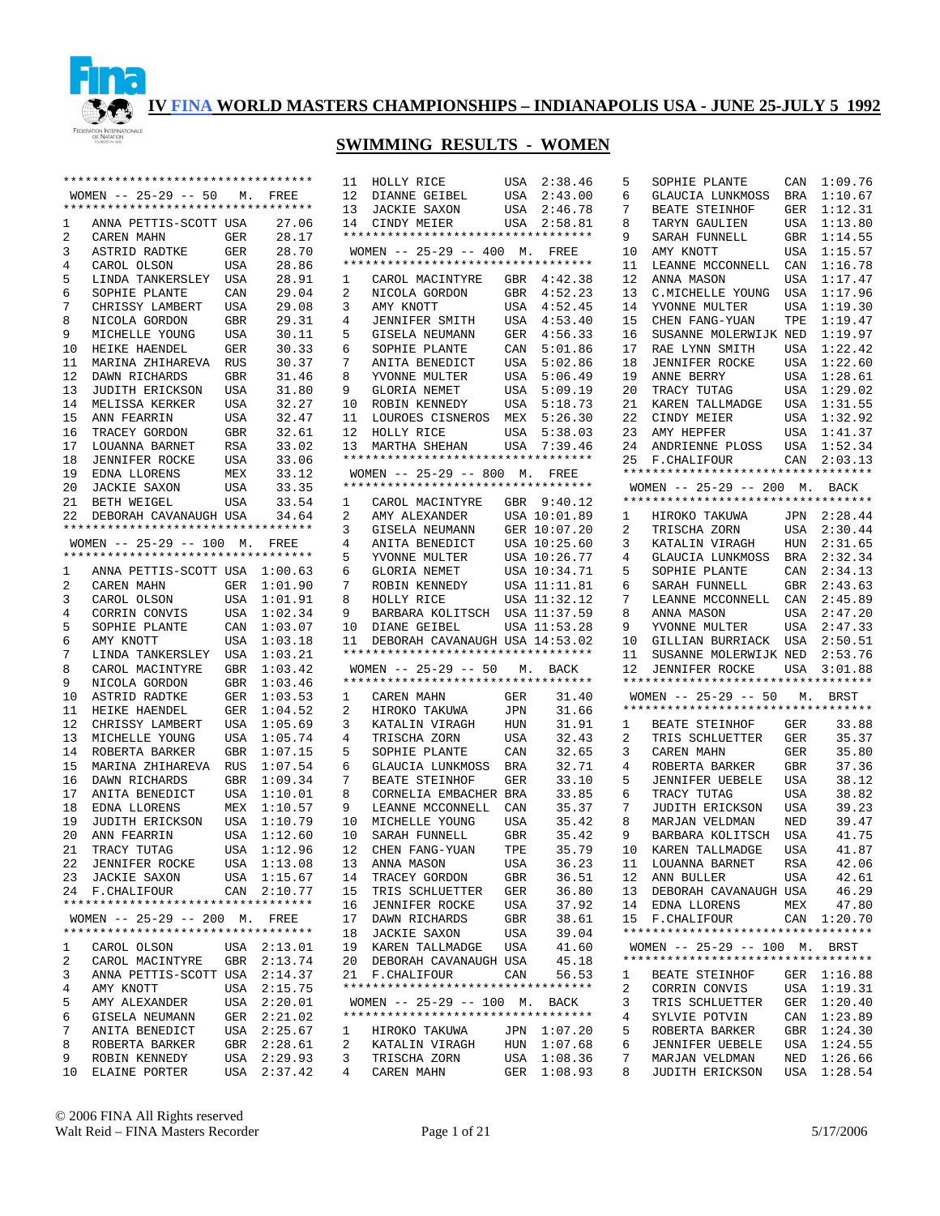

|                | ********************************** |            |                                           | 11        |
|----------------|------------------------------------|------------|-------------------------------------------|-----------|
|                | WOMEN -- 25-29 -- 50 M. FREE       |            |                                           | 12        |
|                | ********************************** |            |                                           | 13        |
| $\mathbf{1}$   | ANNA PETTIS-SCOTT USA              |            | 27.06                                     | 14        |
| 2              | CAREN MAHN                         | GER        | 28.17                                     | ***       |
| 3              | ASTRID RADTKE                      | GER        | 28.70                                     | WС<br>*** |
| 4<br>5         | CAROL OLSON                        | USA        | 28.86<br>28.91                            |           |
| б              | LINDA TANKERSLEY<br>SOPHIE PLANTE  | USA        |                                           | 1<br>2    |
| 7              | CHRISSY LAMBERT                    | CAN<br>USA | 29.04<br>29.08                            | 3         |
| 8              | NICOLA GORDON                      | GBR        | 29.31                                     | 4         |
| 9              | MICHELLE YOUNG                     | USA        | 30.11                                     | 5         |
| 10             | HEIKE HAENDEL                      | GER        | 30.33                                     | 6         |
| 11             | MARINA ZHIHAREVA                   | <b>RUS</b> | 30.37                                     | 7         |
| 12             | DAWN RICHARDS                      | GBR        | 31.46                                     | 8         |
| 13             | JUDITH ERICKSON                    | USA        | 31.80                                     | 9         |
| 14             | MELISSA KERKER                     | USA        | 32.27                                     | 10        |
| 15             | ANN FEARRIN                        | USA        | 32.47                                     | 11        |
| 16             | TRACEY GORDON                      | GBR        | 32.61                                     | 12        |
|                | 17 LOUANNA BARNET                  | RSA        | 33.02                                     | 13        |
| 18             | JENNIFER ROCKE                     | USA        | 33.06                                     | ***       |
|                | 19 EDNA LLORENS                    | MEX        | 33.12                                     | <b>WC</b> |
| 20             | JACKIE SAXON                       | USA        | 33.35                                     | $***$     |
|                | 21 BETH WEIGEL                     | USA        | 33.54                                     | 1         |
| 22             | DEBORAH CAVANAUGH USA              |            | 34.64                                     | 2         |
|                | ********************************** |            |                                           | 3         |
|                | WOMEN $--$ 25-29 -- 100 M.         |            | FREE                                      | 4         |
|                | ********************************** |            |                                           | 5         |
| 1              | ANNA PETTIS-SCOTT USA 1:00.63      |            |                                           | 6         |
| $\overline{a}$ | CAREN MAHN                         | GER        | 1:01.90                                   | 7         |
| 3              | CAROL OLSON                        | USA        | 1:01.91                                   | 8         |
| 4              | CORRIN CONVIS                      | USA        | 1:02.34                                   | 9         |
| 5              | SOPHIE PLANTE                      | CAN        | 1:03.07                                   | 10        |
| 6              | AMY KNOTT                          | USA        | 1:03.18                                   | 11        |
| 7              | LINDA TANKERSLEY                   | USA        | 1:03.21                                   | $***$     |
| 8              | CAROL MACINTYRE                    | GBR        | 1:03.42                                   | WC        |
| 9              | NICOLA GORDON                      | GBR        | 1:03.46                                   | $***$     |
| 10             | ASTRID RADTKE                      | GER        | 1:03.53                                   | 1         |
| 11             | HEIKE HAENDEL                      | GER        | 1:04.52                                   | 2         |
| 12             | CHRISSY LAMBERT                    | USA        | 1:05.69                                   | 3         |
| 13             | MICHELLE YOUNG                     | USA        | 1:05.74                                   | 4         |
| 14             | ROBERTA BARKER                     | GBR        | 1:07.15                                   | 5         |
| 15             | MARINA ZHIHAREVA                   | RUS        | 1:07.54                                   | б         |
| 16             | DAWN RICHARDS                      | GBR        | 1:09.34                                   | 7         |
| 17             | ANITA BENEDICT                     | USA        | 1:10.01                                   | 8         |
| 18             | EDNA LLORENS                       | MEX        | 1:10.57                                   | 9         |
| 19             | JUDITH ERICKSON                    | USA        | 1:10.79                                   | 10        |
| 20             | ANN FEARRIN                        | USA        | 1:12.60                                   | 10        |
| 21             | TRACY TUTAG                        | <b>USA</b> | 1:12.96                                   | 12        |
| 22             | <b>JENNIFER ROCKE</b>              | USA        | 1:13.08                                   | 13        |
| 23             | JACKIE SAXON<br>F.CHALIFOUR        |            | USA $1:15.67$<br>CAN $2:10.77$<br>2:10.77 | 14        |
| 24             | ********************************** |            |                                           | 15        |
|                | WOMEN $-- 25-29 -- 200$ M.         |            | FREE                                      | 16<br>17  |
|                | ********************************** |            |                                           | 18        |
| 1              | CAROL OLSON                        |            | USA 2:13.01                               | 19        |
| 2              | CAROL MACINTYRE                    | GBR        | 2:13.74                                   | 20        |
| 3              | ANNA PETTIS-SCOTT USA              |            | 2:14.37                                   | 21        |
| 4              | AMY KNOTT                          | USA        | 2:15.75                                   | $***$     |
| 5              | AMY ALEXANDER                      | USA        | 2:20.01                                   | WС        |
| 6              | GISELA NEUMANN                     |            | GER  2:21.02                              | $***$     |
| 7              | ANITA BENEDICT                     | USA        | 2:25.67                                   | 1         |
| 8              | ROBERTA BARKER                     |            | GBR 2:28.61                               | 2         |
| 9              | ROBIN KENNEDY                      | USA        | 2:29.93                                   | 3         |
| 10             | ELAINE PORTER                      |            | USA 2:37.42                               | 4         |
|                |                                    |            |                                           |           |

| 11                  | HOLLY RICE                         | USA        | 2:38.46            |
|---------------------|------------------------------------|------------|--------------------|
| 12                  | DIANNE GEIBEL                      | USA        | 2:43.00            |
| 13                  | JACKIE SAXON                       | USA        | 2:46.78            |
| 14                  | CINDY MEIER                        | USA        | 2:58.81            |
|                     | *********************************  |            |                    |
|                     | WOMEN $--$ 25-29 -- 400 M.         |            | FREE               |
|                     | ********************************** |            |                    |
| 1                   | CAROL MACINTYRE GBR                |            | 4:42.38            |
| 2                   | NICOLA GORDON                      | GBR        | 4:52.23            |
| 3                   | AMY KNOTT                          | USA        | 4:52.45            |
| 4                   | JENNIFER SMITH                     | USA        | 4:53.40            |
| 5                   | GISELA NEUMANN                     | GER        | 4:56.33            |
| б.                  | SOPHIE PLANTE                      | CAN        | 5:01.86            |
| 7                   | ANITA BENEDICT                     | USA        | 5:02.86            |
| 8                   | YVONNE MULTER                      | USA        | 5:06.49            |
| 9                   | GLORIA NEMET                       | USA        | 5:09.19            |
| 10                  | ROBIN KENNEDY                      | USA        | 5:18.73            |
| 11                  | LOUROES CISNEROS MEX               |            | 5:26.30            |
| 12                  | HOLLY RICE                         | USA        | 5:38.03            |
| 13                  | MARTHA SHEHAN                      | USA        | 7:39.46            |
|                     | ********************************** |            |                    |
|                     | WOMEN -- 25-29 -- 800 M. FREE      |            |                    |
|                     | ********************************** |            |                    |
| 1                   | CAROL MACINTYRE GBR 9:40.12        |            |                    |
| $\overline{2}$      | AMY ALEXANDER                      |            | USA 10:01.89       |
| 3                   | GISELA NEUMANN                     |            | GER 10:07.20       |
| 4                   | ANITA BENEDICT                     |            | USA 10:25.60       |
| 5                   | YVONNE MULTER                      |            | USA 10:26.77       |
| б                   | GLORIA NEMET                       |            | USA 10:34.71       |
| 7                   | ROBIN KENNEDY<br>HOLLY RICE        |            | USA 11:11.81       |
| 8                   | HOLLY RICE                         |            | USA 11:32.12       |
| 9                   | BARBARA KOLITSCH                   |            | USA 11:37.59       |
|                     | DIANE GEIBEL                       |            | USA 11:53.28       |
| 10                  |                                    |            |                    |
| 11                  | DEBORAH CAVANAUGH USA 14:53.02     |            |                    |
|                     | ********************************** |            |                    |
|                     | WOMEN -- 25-29 -- 50 M. BACK       |            |                    |
|                     | ********************************** |            |                    |
| 1                   | CAREN MAHN                         | GER        | 31.40              |
| $\overline{2}$      | HIROKO TAKUWA                      | JPN        | 31.66              |
| 3                   | KATALIN VIRAGH                     | HUN        | 31.91              |
| 4                   | TRISCHA ZORN                       | USA        | 32.43              |
| 5                   | SOPHIE PLANTE                      | CAN        | 32.65              |
| 6                   | GLAUCIA LUNKMOSS                   | BRA        | 32.71              |
| 7                   | BEATE STEINHOF                     | GER        | 33.10              |
| 8                   | CORNELIA EMBACHER BRA              |            | 33.85              |
| 9                   | LEANNE MCCONNELL                   | CAN        | 35.37              |
| 10                  | MICHELLE YOUNG                     | USA        | 35.42              |
| 10                  | SARAH FUNNELL                      | GBR        | 35.42              |
| 12                  | CHEN FANG-YUAN                     | TPE        | 35.79              |
| 13                  | ANNA MASON                         | USA<br>GBR | 36.23              |
| 14                  | TRACEY GORDON                      |            | 36.51              |
| 15<br>16            | TRIS SCHLUETTER                    | GER        | 36.80              |
| 17                  | JENNIFER ROCKE<br>DAWN RICHARDS    | USA<br>GBR | 37.92<br>38.61     |
| 18                  | <b>JACKIE SAXON</b>                | USA        | 39.04              |
| 19                  | KAREN TALLMADGE                    | USA        | 41.60              |
| 20                  | DEBORAH CAVANAUGH USA              |            | 45.18              |
| 21                  | F.CHALIFOUR                        | CAN        | 56.53              |
|                     | ********************************** |            |                    |
|                     | WOMEN -- 25-29 -- 100 M. BACK      |            |                    |
|                     | ********************************** |            |                    |
| $\mathbf{1}$        | HIROKO TAKUWA                      |            | JPN 1:07.20        |
| 2                   | KATALIN VIRAGH                     |            | HUN 1:07.68        |
| 3<br>$\overline{4}$ | TRISCHA ZORN<br>CAREN MAHN         | USA<br>GER | 1:08.36<br>1:08.93 |

| 5              | SOPHIE PLANTE                      | CAN        | 1:09.76            |
|----------------|------------------------------------|------------|--------------------|
| 6              | GLAUCIA LUNKMOSS                   | BRA        | 1:10.67            |
| 7              | BEATE STEINHOF                     | GER        | 1:12.31            |
| 8              | TARYN GAULIEN                      | USA        | 1:13.80            |
| 9              | SARAH FUNNELL                      | GBR        | 1:14.55            |
| 10             | AMY KNOTT                          | USA        | 1:15.57            |
|                |                                    |            | 1:16.78            |
| 11             | LEANNE MCCONNELL                   | CAN        |                    |
| 12             | ANNA MASON                         | USA        | 1:17.47            |
| 13             | C.MICHELLE YOUNG                   | USA        | 1:17.96            |
| 14             | YVONNE MULTER                      | USA        | 1:19.30            |
| 15             | CHEN FANG-YUAN                     | TPE        | 1:19.47            |
| 16             | SUSANNE MOLERWIJK                  | NED        | 1:19.97            |
| 17             | RAE LYNN SMITH                     | USA        | 1:22.42            |
| 18             | JENNIFER ROCKE                     | USA        | 1:22.60            |
| 19             | ANNE BERRY                         | USA        | 1:28.61            |
| 20             | TRACY TUTAG                        | USA        | 1:29.02            |
| 21             |                                    |            |                    |
|                | KAREN TALLMADGE                    | USA        | 1:31.55            |
| 22             | CINDY MEIER                        | USA        | 1:32.92            |
| 23             | AMY HEPFER                         | USA        | 1:41.37            |
| 24             | ANDRIENNE PLOSS                    | USA        | 1:52.34            |
| 25             | F.CHALIFOUR                        | CAN        | 2:03.13            |
|                | ********************************** |            |                    |
|                | WOMEN -- 25-29 -- 200 M. BACK      |            |                    |
|                | ********************************** |            |                    |
| 1              | HIROKO TAKUWA                      |            | JPN 2:28.44        |
| $\overline{2}$ | TRISCHA ZORN                       | USA        | 2:30.44            |
| 3              | KATALIN VIRAGH                     | HUN        | 2:31.65            |
| 4              | GLAUCIA LUNKMOSS                   |            |                    |
|                |                                    | BRA        | 2:32.34            |
| 5              | SOPHIE PLANTE                      | CAN        | 2:34.13            |
| 6              | SARAH FUNNELL                      | GBR        | 2:43.63            |
| 7              | LEANNE MCCONNELL                   | CAN        | 2:45.89            |
| 8              | ANNA MASON                         | USA        | 2:47.20            |
| 9              | YVONNE MULTER                      | USA        | 2:47.33            |
|                |                                    |            |                    |
|                |                                    |            |                    |
| 10             | GILLIAN BURRIACK                   | USA        | 2:50.51            |
| 11             | SUSANNE MOLERWIJK NED              |            | 2:53.76            |
| 12             | JENNIFER ROCKE                     | USA        | 3:01.88            |
|                | ********************************** |            |                    |
|                | WOMEN $--$ 25-29 -- 50 M.          |            | BRST               |
|                | ********************************** |            |                    |
| 1              | BEATE STEINHOF                     | GER        | 33.88              |
| $\overline{2}$ | TRIS SCHLUETTER                    | GER        | 35.37              |
| 3              | CAREN MAHN                         | GER        | 35.80              |
| 4              | ROBERTA BARKER                     | GBR        | 37.36              |
| 5              | JENNIFER UEBELE                    | USA        | 38.12              |
| 6              | TRACY TUTAG                        | USA        | 38.82              |
| 7              | JUDITH ERICKSON                    | USA        | 39.23              |
|                |                                    |            |                    |
| 8              | MARJAN VELDMAN                     | NED        | 39.47              |
| 9              | BARBARA KOLITSCH                   | USA        | 41.75              |
| 10             | KAREN TALLMADGE                    | USA        | 41.87              |
| 11             | LOUANNA BARNET                     | RSA        | 42.06              |
| 12             | ANN BULLER                         | USA        | 42.61              |
| 13             | DEBORAH CAVANAUGH USA              |            | 46.29              |
| 14             | EDNA LLORENS                       | MEX        | 47.80              |
| 15             | F. CHALIFOUR                       |            | CAN 1:20.70        |
|                | *********************************  |            |                    |
|                | WOMEN $-- 25-29 -- 100$ M.         |            | BRST               |
|                | *********************************  |            |                    |
| 1              | BEATE STEINHOF                     | GER        | 1:16.88            |
| 2              |                                    |            | 1:19.31            |
|                | CORRIN CONVIS                      | USA        |                    |
| 3              | TRIS SCHLUETTER                    | GER        | 1:20.40            |
| 4              | SYLVIE POTVIN                      | CAN        | 1:23.89            |
| 5              | ROBERTA BARKER                     | GBR        | 1:24.30            |
| 6              | <b>JENNIFER UEBELE</b>             | USA        | 1:24.55            |
| 7<br>8         | MARJAN VELDMAN<br>JUDITH ERICKSON  | NED<br>USA | 1:26.66<br>1:28.54 |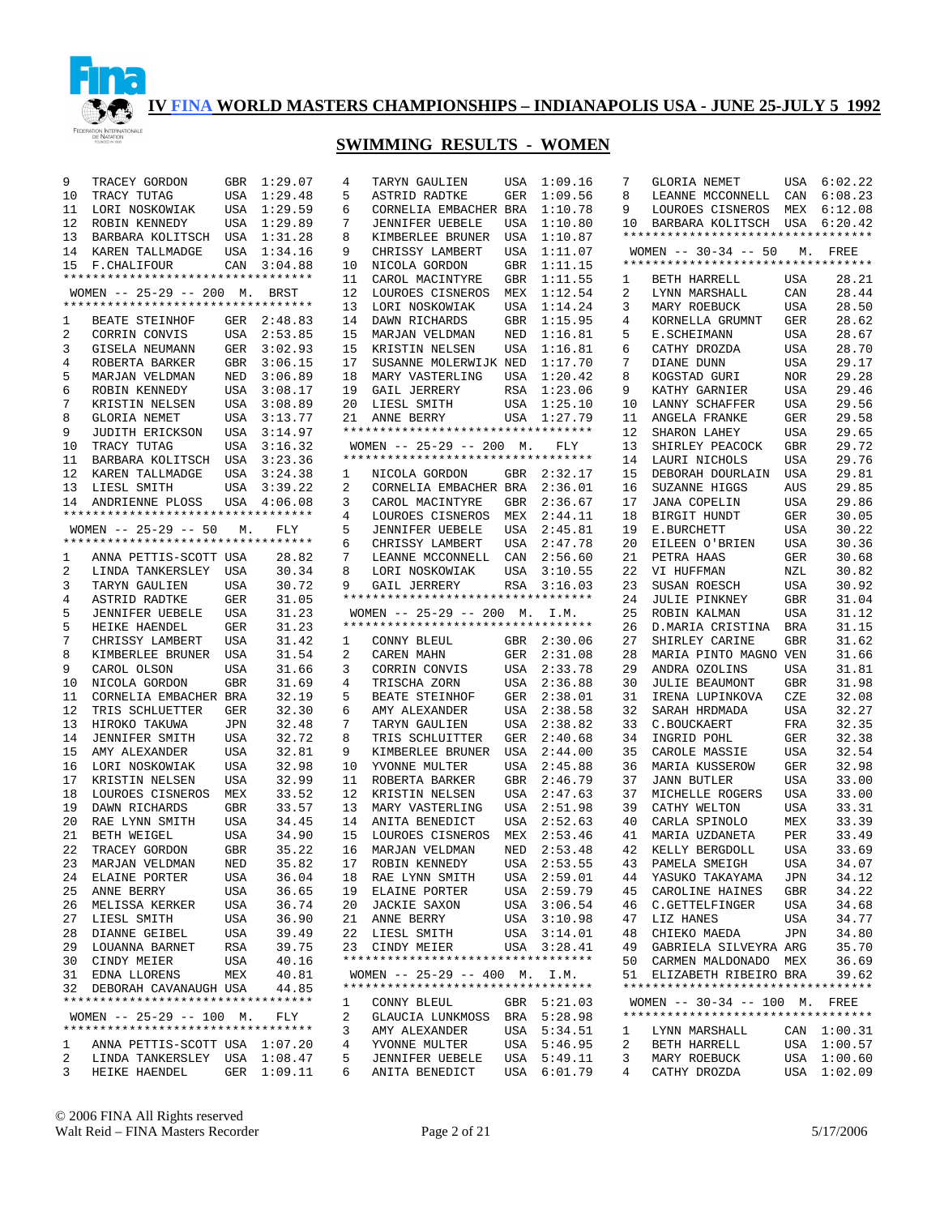

| 9  | TRACEY GORDON                      | GBR        | 1:29.07     | 4  | TARYN GAULIEN                      |     | USA 1:09.16 | 7  | GLORIA NEMET                       | USA        | 6:02.22     |
|----|------------------------------------|------------|-------------|----|------------------------------------|-----|-------------|----|------------------------------------|------------|-------------|
| 10 | TRACY TUTAG                        | USA        | 1:29.48     | 5  | ASTRID RADTKE                      | GER | 1:09.56     | 8  | LEANNE MCCONNELL                   | CAN        | 6:08.23     |
| 11 | LORI NOSKOWIAK                     |            | USA 1:29.59 | 6  | CORNELIA EMBACHER BRA              |     | 1:10.78     | 9  | LOUROES CISNEROS                   | MEX        | 6:12.08     |
| 12 | ROBIN KENNEDY                      | USA        | 1:29.89     | 7  | <b>JENNIFER UEBELE</b>             | USA | 1:10.80     | 10 | BARBARA KOLITSCH USA 6:20.42       |            |             |
| 13 | BARBARA KOLITSCH USA 1:31.28       |            |             | 8  | KIMBERLEE BRUNER                   | USA | 1:10.87     |    | ********************************** |            |             |
| 14 | KAREN TALLMADGE                    | USA        | 1:34.16     | 9  | CHRISSY LAMBERT                    | USA | 1:11.07     |    | WOMEN $-- 30-34 -- 50$             | М.         | FREE        |
| 15 | <b>F. CHALIFOUR</b>                | CAN        | 3:04.88     | 10 | NICOLA GORDON                      | GBR | 1:11.15     |    | ********************************** |            |             |
|    | ********************************** |            |             | 11 | CAROL MACINTYRE                    | GBR | 1:11.55     | 1  | BETH HARRELL                       | USA        | 28.21       |
|    | WOMEN -- 25-29 -- 200 M. BRST      |            |             | 12 | LOUROES CISNEROS                   | MEX | 1:12.54     | 2  | LYNN MARSHALL                      | CAN        | 28.44       |
|    | ********************************** |            |             | 13 | LORI NOSKOWIAK                     | USA | 1:14.24     | 3  | MARY ROEBUCK                       | <b>USA</b> | 28.50       |
| 1  | BEATE STEINHOF                     |            | GER 2:48.83 | 14 | DAWN RICHARDS                      | GBR | 1:15.95     | 4  | KORNELLA GRUMNT                    | GER        | 28.62       |
| 2  | CORRIN CONVIS                      |            | USA 2:53.85 | 15 | MARJAN VELDMAN                     | NED | 1:16.81     | 5  | E.SCHEIMANN                        | <b>USA</b> | 28.67       |
| 3  | GISELA NEUMANN                     | GER        | 3:02.93     | 15 | KRISTIN NELSEN                     | USA | 1:16.81     | 6  | CATHY DROZDA                       | USA        | 28.70       |
| 4  | ROBERTA BARKER                     | GBR        | 3:06.15     | 17 | SUSANNE MOLERWIJK NED              |     | 1:17.70     | 7  | DIANE DUNN                         | USA        | 29.17       |
| 5  | MARJAN VELDMAN                     | NED        | 3:06.89     | 18 | MARY VASTERLING                    | USA | 1:20.42     | 8  | KOGSTAD GURI                       | <b>NOR</b> | 29.28       |
| 6  | ROBIN KENNEDY                      | USA        | 3:08.17     | 19 | GAIL JERRERY                       | RSA | 1:23.06     | 9  | KATHY GARNIER                      | USA        | 29.46       |
| 7  | KRISTIN NELSEN                     | USA        | 3:08.89     | 20 | LIESL SMITH                        |     | USA 1:25.10 | 10 | LANNY SCHAFFER                     | <b>USA</b> | 29.56       |
| 8  | <b>GLORIA NEMET</b>                | USA        | 3:13.77     | 21 | ANNE BERRY                         | USA | 1:27.79     | 11 | ANGELA FRANKE                      | <b>GER</b> | 29.58       |
| 9  | JUDITH ERICKSON                    | USA        | 3:14.97     |    | ********************************** |     |             | 12 | SHARON LAHEY                       | <b>USA</b> | 29.65       |
| 10 | TRACY TUTAG                        | USA        | 3:16.32     |    | WOMEN $-- 25-29 -- 200$ M.         |     | FLY         | 13 | SHIRLEY PEACOCK                    | <b>GBR</b> | 29.72       |
| 11 | BARBARA KOLITSCH                   | USA        | 3:23.36     |    | ********************************** |     |             | 14 | LAURI NICHOLS                      | <b>USA</b> | 29.76       |
| 12 | KAREN TALLMADGE                    | USA        | 3:24.38     | 1  | NICOLA GORDON                      | GBR | 2:32.17     | 15 | DEBORAH DOURLAIN                   | USA        | 29.81       |
| 13 | LIESL SMITH                        | USA        | 3:39.22     | 2  | CORNELIA EMBACHER BRA              |     | 2:36.01     | 16 | SUZANNE HIGGS                      | AUS        | 29.85       |
| 14 | ANDRIENNE PLOSS                    |            | USA 4:06.08 | 3  | CAROL MACINTYRE                    | GBR | 2:36.67     | 17 | <b>JANA COPELIN</b>                | <b>USA</b> | 29.86       |
|    | ********************************** |            |             | 4  | LOUROES CISNEROS                   | MEX | 2:44.11     | 18 | BIRGIT HUNDT                       | GER        | 30.05       |
|    | WOMEN $-- 25-29 -- 50$             | М.         | FLY         | 5  | <b>JENNIFER UEBELE</b>             | USA | 2:45.81     | 19 | E.BURCHETT                         | USA        | 30.22       |
|    | ********************************** |            |             | 6  | CHRISSY LAMBERT                    | USA | 2:47.78     | 20 | EILEEN O'BRIEN                     | USA        | 30.36       |
| 1  | ANNA PETTIS-SCOTT USA              |            | 28.82       | 7  | LEANNE MCCONNELL                   | CAN | 2:56.60     | 21 | PETRA HAAS                         | GER        | 30.68       |
| 2  | LINDA TANKERSLEY USA               |            | 30.34       | 8  | LORI NOSKOWIAK                     | USA | 3:10.55     | 22 | VI HUFFMAN                         | NZL        | 30.82       |
| 3  | TARYN GAULIEN                      | USA        | 30.72       | 9  | GAIL JERRERY                       | RSA | 3:16.03     | 23 | SUSAN ROESCH                       | USA        | 30.92       |
| 4  | ASTRID RADTKE                      | GER        | 31.05       |    | ********************************** |     |             | 24 | <b>JULIE PINKNEY</b>               | <b>GBR</b> | 31.04       |
| 5  | <b>JENNIFER UEBELE</b>             | USA        | 31.23       |    | WOMEN $-$ 25-29 $-$ 200 M.         |     | I.M.        | 25 | ROBIN KALMAN                       | <b>USA</b> | 31.12       |
| 5  | HEIKE HAENDEL                      | GER        | 31.23       |    | ********************************** |     |             | 26 | D. MARIA CRISTINA                  | <b>BRA</b> | 31.15       |
| 7  | CHRISSY LAMBERT                    | USA        | 31.42       | 1  | CONNY BLEUL                        |     | GBR 2:30.06 | 27 | SHIRLEY CARINE                     | <b>GBR</b> | 31.62       |
| 8  | KIMBERLEE BRUNER                   | USA        | 31.54       | 2  | CAREN MAHN                         | GER | 2:31.08     | 28 | MARIA PINTO MAGNO VEN              |            | 31.66       |
| 9  | CAROL OLSON                        | <b>USA</b> | 31.66       | 3  | CORRIN CONVIS                      | USA | 2:33.78     | 29 | ANDRA OZOLINS                      | <b>USA</b> | 31.81       |
| 10 | NICOLA GORDON                      | GBR        | 31.69       | 4  | TRISCHA ZORN                       | USA | 2:36.88     | 30 | <b>JULIE BEAUMONT</b>              | <b>GBR</b> | 31.98       |
| 11 | CORNELIA EMBACHER BRA              |            | 32.19       | 5  | BEATE STEINHOF                     | GER | 2:38.01     | 31 | IRENA LUPINKOVA                    | CZE        | 32.08       |
| 12 | TRIS SCHLUETTER                    | GER        | 32.30       | 6  | AMY ALEXANDER                      | USA | 2:38.58     | 32 | SARAH HRDMADA                      | USA        | 32.27       |
| 13 | HIROKO TAKUWA                      | JPN        | 32.48       | 7  | TARYN GAULIEN                      | USA | 2:38.82     | 33 | C.BOUCKAERT                        | FRA        | 32.35       |
| 14 | <b>JENNIFER SMITH</b>              | USA        | 32.72       | 8  | TRIS SCHLUITTER                    | GER | 2:40.68     | 34 | INGRID POHL                        | GER        | 32.38       |
| 15 | AMY ALEXANDER                      | USA        | 32.81       | 9  | KIMBERLEE BRUNER                   | USA | 2:44.00     | 35 | CAROLE MASSIE                      | USA        | 32.54       |
| 16 | LORI NOSKOWIAK                     | USA        | 32.98       | 10 | YVONNE MULTER                      | USA | 2:45.88     | 36 | MARIA KUSSEROW                     | <b>GER</b> | 32.98       |
| 17 | KRISTIN NELSEN                     | USA        | 32.99       | 11 | ROBERTA BARKER                     | GBR | 2:46.79     | 37 | <b>JANN BUTLER</b>                 | USA        | 33.00       |
| 18 | LOUROES CISNEROS                   | MEX        | 33.52       | 12 | KRISTIN NELSEN                     | USA | 2:47.63     | 37 | MICHELLE ROGERS                    | USA        | 33.00       |
| 19 | DAWN RICHARDS                      | GBR        | 33.57       | 13 | MARY VASTERLING                    | USA | 2:51.98     | 39 | CATHY WELTON                       | USA        | 33.31       |
| 20 | RAE LYNN SMITH                     | USA        | 34.45       | 14 | ANITA BENEDICT                     | USA | 2:52.63     | 40 | CARLA SPINOLO                      | MEX        | 33.39       |
| 21 | BETH WEIGEL                        | USA        | 34.90       | 15 | LOUROES CISNEROS                   |     | MEX 2:53.46 | 41 | MARIA UZDANETA                     | PER        | 33.49       |
| 22 | TRACEY GORDON                      | GBR        | 35.22       | 16 | MARJAN VELDMAN                     | NED | 2:53.48     | 42 | KELLY BERGDOLL                     | <b>USA</b> | 33.69       |
|    | 23 MARJAN VELDMAN                  | NED        | 35.82       |    | 17 ROBIN KENNEDY                   |     | USA 2:53.55 |    | 43 PAMELA SMEIGH                   | USA        | 34.07       |
| 24 | ELAINE PORTER                      | USA        | 36.04       |    | 18 RAE LYNN SMITH                  |     | USA 2:59.01 | 44 | YASUKO TAKAYAMA                    | JPN        | 34.12       |
| 25 | ANNE BERRY                         | USA        | 36.65       | 19 | ELAINE PORTER                      |     | USA 2:59.79 | 45 | CAROLINE HAINES                    | GBR        | 34.22       |
| 26 | MELISSA KERKER                     | USA        | 36.74       | 20 | <b>JACKIE SAXON</b>                |     | USA 3:06.54 | 46 | C. GETTELFINGER                    | USA        | 34.68       |
| 27 | LIESL SMITH                        | USA        | 36.90       | 21 | ANNE BERRY                         |     | USA 3:10.98 | 47 | LIZ HANES                          | <b>USA</b> | 34.77       |
| 28 | DIANNE GEIBEL                      | USA        | 39.49       | 22 | LIESL SMITH                        |     | USA 3:14.01 | 48 | CHIEKO MAEDA                       | JPN        | 34.80       |
| 29 | LOUANNA BARNET                     | RSA        | 39.75       | 23 | CINDY MEIER                        |     | USA 3:28.41 | 49 | GABRIELA SILVEYRA ARG              |            | 35.70       |
| 30 | CINDY MEIER                        | USA        | 40.16       |    | ********************************** |     |             | 50 | CARMEN MALDONADO MEX               |            | 36.69       |
|    | 31 EDNA LLORENS                    | MEX        | 40.81       |    | WOMEN $-- 25-29 -- 400$ M. I.M.    |     |             | 51 | ELIZABETH RIBEIRO BRA              |            | 39.62       |
|    | 32 DEBORAH CAVANAUGH USA           |            | 44.85       |    | ********************************** |     |             |    | ********************************** |            |             |
|    | ********************************** |            |             | 1  | CONNY BLEUL                        |     | GBR 5:21.03 |    | WOMEN $-- 30-34 -- 100$ M. FREE    |            |             |
|    | WOMEN $-- 25-29 -- 100$ M.         |            | FLY         | 2  | GLAUCIA LUNKMOSS BRA 5:28.98       |     |             |    | ********************************** |            |             |
|    | ********************************** |            |             | 3  | AMY ALEXANDER                      |     | USA 5:34.51 | 1  | LYNN MARSHALL                      |            | CAN 1:00.31 |
| ı. | ANNA PETTIS-SCOTT USA 1:07.20      |            |             | 4  | YVONNE MULTER                      |     | USA 5:46.95 | 2  | BETH HARRELL                       |            | USA 1:00.57 |
| 2  | LINDA TANKERSLEY USA 1:08.47       |            |             | 5  | <b>JENNIFER UEBELE</b>             |     | USA 5:49.11 | 3  | MARY ROEBUCK                       |            | USA 1:00.60 |
| 3  | HEIKE HAENDEL                      |            | GER 1:09.11 | 6  | ANITA BENEDICT                     |     | USA 6:01.79 | 4  | CATHY DROZDA                       |            | USA 1:02.09 |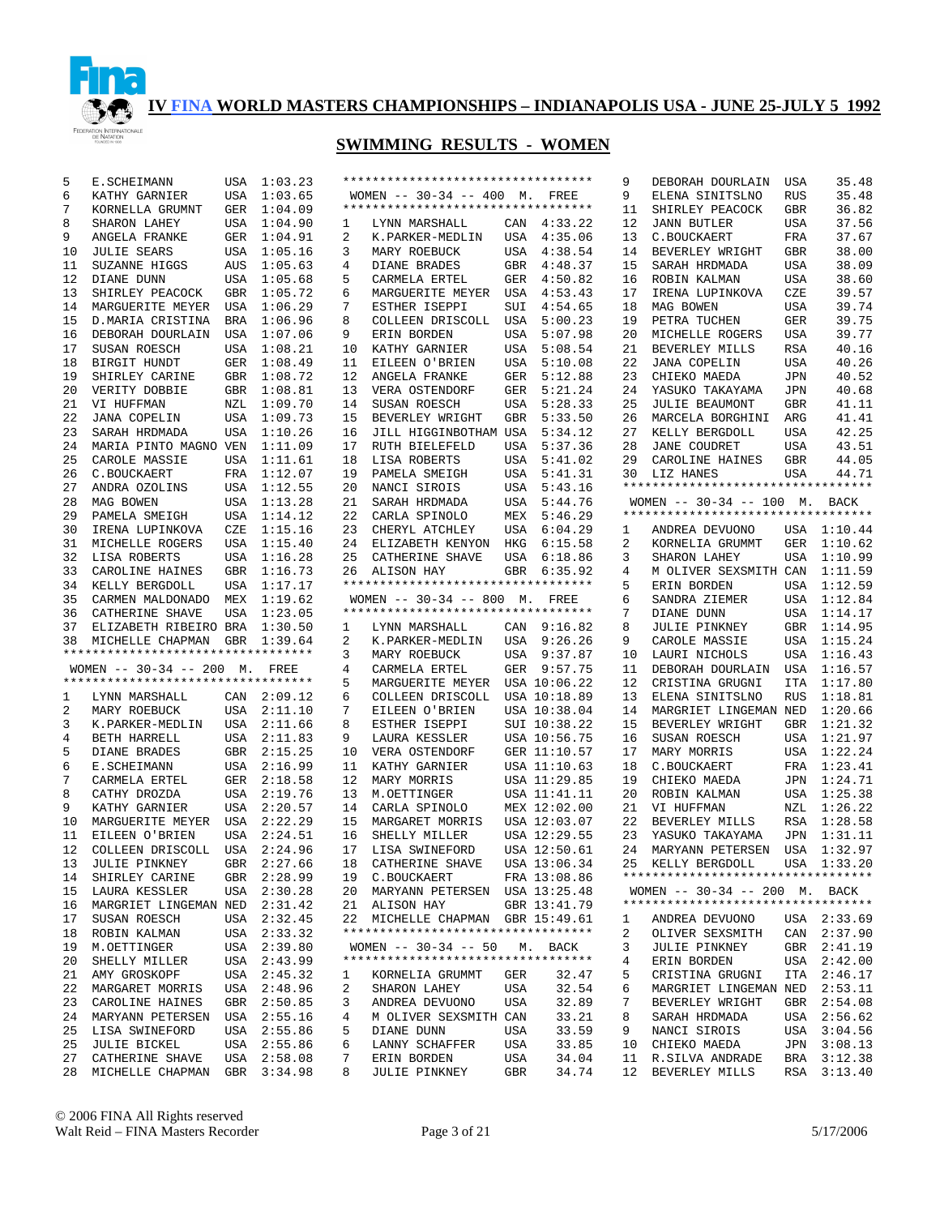

| 5  | E.SCHEIMANN                                                        | USA        | 1:03.23     |    | ********************************** |     |              | 9  | DEBORAH DOURLAIN                   | USA        | 35.48       |
|----|--------------------------------------------------------------------|------------|-------------|----|------------------------------------|-----|--------------|----|------------------------------------|------------|-------------|
|    |                                                                    |            |             |    |                                    |     |              |    |                                    |            |             |
| 6  | KATHY GARNIER                                                      | <b>USA</b> | 1:03.65     |    | WOMEN $-- 30-34 -- 400$ M. FREE    |     |              | 9  | ELENA SINITSLNO                    | RUS        | 35.48       |
| 7  | KORNELLA GRUMNT                                                    | GER        | 1:04.09     |    | ********************************** |     |              | 11 | SHIRLEY PEACOCK                    | GBR        | 36.82       |
| 8  | SHARON LAHEY                                                       | USA        | 1:04.90     | 1  | LYNN MARSHALL                      | CAN | 4:33.22      | 12 | <b>JANN BUTLER</b>                 | USA        | 37.56       |
| 9  | ANGELA FRANKE                                                      | GER        | 1:04.91     | 2  | K.PARKER-MEDLIN                    | USA | 4:35.06      | 13 | C.BOUCKAERT                        | FRA        | 37.67       |
| 10 | <b>JULIE SEARS</b>                                                 | USA        | 1:05.16     | 3  | MARY ROEBUCK                       | USA | 4:38.54      | 14 | BEVERLEY WRIGHT                    | GBR        | 38.00       |
| 11 | SUZANNE HIGGS                                                      | AUS        | 1:05.63     | 4  | DIANE BRADES                       | GBR | 4:48.37      | 15 | SARAH HRDMADA                      | USA        | 38.09       |
| 12 | DIANE DUNN                                                         | USA        | 1:05.68     | 5  | CARMELA ERTEL                      | GER | 4:50.82      | 16 | ROBIN KALMAN                       | <b>USA</b> | 38.60       |
| 13 | SHIRLEY PEACOCK                                                    | GBR        | 1:05.72     | 6  | MARGUERITE MEYER                   | USA | 4:53.43      | 17 | IRENA LUPINKOVA                    | CZE        | 39.57       |
| 14 | MARGUERITE MEYER                                                   | USA        | 1:06.29     | 7  | ESTHER ISEPPI                      | SUI | 4:54.65      | 18 | MAG BOWEN                          | <b>USA</b> | 39.74       |
| 15 | D. MARIA CRISTINA                                                  | <b>BRA</b> | 1:06.96     | 8  | COLLEEN DRISCOLL                   | USA | 5:00.23      | 19 | PETRA TUCHEN                       | <b>GER</b> | 39.75       |
| 16 | DEBORAH DOURLAIN                                                   | <b>USA</b> | 1:07.06     | 9  |                                    | USA | 5:07.98      | 20 | MICHELLE ROGERS                    | <b>USA</b> | 39.77       |
|    |                                                                    |            |             |    | ERIN BORDEN                        |     |              |    |                                    |            |             |
| 17 | SUSAN ROESCH                                                       | <b>USA</b> | 1:08.21     | 10 | KATHY GARNIER                      | USA | 5:08.54      | 21 | BEVERLEY MILLS                     | <b>RSA</b> | 40.16       |
| 18 | BIRGIT HUNDT                                                       | GER        | 1:08.49     | 11 | EILEEN O'BRIEN                     | USA | 5:10.08      | 22 | <b>JANA COPELIN</b>                | <b>USA</b> | 40.26       |
| 19 | SHIRLEY CARINE                                                     | <b>GBR</b> | 1:08.72     | 12 | ANGELA FRANKE                      | GER | 5:12.88      | 23 | CHIEKO MAEDA                       | <b>JPN</b> | 40.52       |
| 20 | VERITY DOBBIE                                                      | GBR        | 1:08.81     | 13 | VERA OSTENDORF                     | GER | 5:21.24      | 24 | YASUKO TAKAYAMA                    | <b>JPN</b> | 40.68       |
| 21 | VI HUFFMAN                                                         | NZL        | 1:09.70     | 14 | SUSAN ROESCH                       | USA | 5:28.33      | 25 | <b>JULIE BEAUMONT</b>              | <b>GBR</b> | 41.11       |
| 22 | <b>JANA COPELIN</b>                                                | <b>USA</b> | 1:09.73     | 15 | BEVERLEY WRIGHT                    | GBR | 5:33.50      | 26 | MARCELA BORGHINI                   | ARG        | 41.41       |
| 23 | SARAH HRDMADA                                                      | <b>USA</b> | 1:10.26     | 16 | JILL HIGGINBOTHAM USA              |     | 5:34.12      | 27 | KELLY BERGDOLL                     | <b>USA</b> | 42.25       |
| 24 | MARIA PINTO MAGNO VEN                                              |            | 1:11.09     | 17 | RUTH BIELEFELD                     | USA | 5:37.36      | 28 | <b>JANE COUDRET</b>                | <b>USA</b> | 43.51       |
| 25 | CAROLE MASSIE                                                      | <b>USA</b> | 1:11.61     | 18 | LISA ROBERTS                       | USA | 5:41.02      | 29 | CAROLINE HAINES                    | <b>GBR</b> | 44.05       |
| 26 | C.BOUCKAERT                                                        | FRA        | 1:12.07     | 19 | PAMELA SMEIGH                      | USA | 5:41.31      | 30 | LIZ HANES                          | <b>USA</b> | 44.71       |
| 27 | ANDRA OZOLINS                                                      | USA        | 1:12.55     | 20 | NANCI SIROIS                       | USA | 5:43.16      |    | ********************************** |            |             |
|    |                                                                    |            |             |    |                                    |     |              |    |                                    |            |             |
| 28 | MAG BOWEN                                                          | USA        | 1:13.28     | 21 | SARAH HRDMADA                      | USA | 5:44.76      |    | WOMEN $-- 30-34 -- 100$ M.         |            | BACK        |
| 29 | PAMELA SMEIGH                                                      | USA        | 1:14.12     | 22 | CARLA SPINOLO                      | MEX | 5:46.29      |    | *********************************  |            |             |
| 30 | IRENA LUPINKOVA                                                    | CZE        | 1:15.16     | 23 | CHERYL ATCHLEY                     | USA | 6:04.29      | 1  | ANDREA DEVUONO                     |            | USA 1:10.44 |
| 31 | MICHELLE ROGERS                                                    | <b>USA</b> | 1:15.40     | 24 | ELIZABETH KENYON                   | HKG | 6:15.58      | 2  | KORNELIA GRUMMT                    | GER        | 1:10.62     |
| 32 | LISA ROBERTS                                                       | USA        | 1:16.28     | 25 | CATHERINE SHAVE                    | USA | 6:18.86      | 3  | SHARON LAHEY                       | USA        | 1:10.99     |
| 33 | CAROLINE HAINES                                                    | <b>GBR</b> | 1:16.73     | 26 | ALISON HAY                         | GBR | 6:35.92      | 4  | M OLIVER SEXSMITH CAN              |            | 1:11.59     |
| 34 | KELLY BERGDOLL                                                     | <b>USA</b> | 1:17.17     |    | ********************************** |     |              | 5  | ERIN BORDEN                        | USA        | 1:12.59     |
| 35 | CARMEN MALDONADO                                                   | MEX        | 1:19.62     |    | WOMEN -- 30-34 -- 800 M. FREE      |     |              | 6  | SANDRA ZIEMER                      | USA        | 1:12.84     |
| 36 | CATHERINE SHAVE                                                    | <b>USA</b> | 1:23.05     |    | ********************************** |     |              | 7  | DIANE DUNN                         | USA        | 1:14.17     |
| 37 | ELIZABETH RIBEIRO BRA                                              |            | 1:30.50     | 1  | LYNN MARSHALL                      |     | CAN 9:16.82  | 8  | <b>JULIE PINKNEY</b>               | GBR        | 1:14.95     |
| 38 | MICHELLE CHAPMAN                                                   | <b>GBR</b> | 1:39.64     | 2  | K.PARKER-MEDLIN                    | USA | 9:26.26      | 9  | CAROLE MASSIE                      | USA        | 1:15.24     |
|    | *********************************                                  |            |             | 3  | MARY ROEBUCK                       | USA | 9:37.87      | 10 | LAURI NICHOLS                      | USA        | 1:16.43     |
|    |                                                                    |            |             |    |                                    |     |              |    |                                    |            |             |
|    | WOMEN $--$ 30-34 $--$ 200 M.<br>********************************** |            | FREE        | 4  | CARMELA ERTEL                      | GER | 9:57.75      | 11 | DEBORAH DOURLAIN                   | USA        | 1:16.57     |
|    |                                                                    |            |             | 5  | MARGUERITE MEYER                   |     | USA 10:06.22 | 12 | CRISTINA GRUGNI                    | <b>ITA</b> | 1:17.80     |
| 1  | LYNN MARSHALL                                                      | CAN        | 2:09.12     | 6  | COLLEEN DRISCOLL                   |     | USA 10:18.89 | 13 | ELENA SINITSLNO                    | <b>RUS</b> | 1:18.81     |
| 2  | MARY ROEBUCK                                                       | USA        | 2:11.10     | 7  | EILEEN O'BRIEN                     |     | USA 10:38.04 | 14 | MARGRIET LINGEMAN NED              |            | 1:20.66     |
| 3  | K.PARKER-MEDLIN                                                    | USA        | 2:11.66     | 8  | ESTHER ISEPPI                      |     | SUI 10:38.22 | 15 | BEVERLEY WRIGHT                    | GBR        | 1:21.32     |
| 4  | BETH HARRELL                                                       | USA        | 2:11.83     | 9  | LAURA KESSLER                      |     | USA 10:56.75 | 16 | SUSAN ROESCH                       | USA        | 1:21.97     |
| 5  | DIANE BRADES                                                       | GBR        | 2:15.25     | 10 | VERA OSTENDORF                     |     | GER 11:10.57 | 17 | MARY MORRIS                        | USA        | 1:22.24     |
| 6  | E.SCHEIMANN                                                        |            | USA 2:16.99 | 11 | KATHY GARNIER                      |     | USA 11:10.63 | 18 | C.BOUCKAERT                        | FRA        | 1:23.41     |
| 7  | CARMELA ERTEL                                                      | GER        | 2:18.58     | 12 | MARY MORRIS                        |     | USA 11:29.85 | 19 | CHIEKO MAEDA                       | JPN        | 1:24.71     |
| 8  | CATHY DROZDA                                                       |            | USA 2:19.76 | 13 | M.OETTINGER                        |     | USA 11:41.11 | 20 | ROBIN KALMAN                       | USA        | 1:25.38     |
| 9  | KATHY GARNIER                                                      | USA        | 2:20.57     | 14 | CARLA SPINOLO                      |     | MEX 12:02.00 | 21 | VI HUFFMAN                         | NZL        | 1:26.22     |
| 10 | MARGUERITE MEYER                                                   | USA        | 2:22.29     | 15 | MARGARET MORRIS                    |     | USA 12:03.07 | 22 | BEVERLEY MILLS                     | RSA        | 1:28.58     |
| 11 |                                                                    | USA        | 2:24.51     | 16 | SHELLY MILLER                      |     | USA 12:29.55 | 23 |                                    | JPN        | 1:31.11     |
|    | EILEEN O'BRIEN                                                     |            |             |    |                                    |     |              |    | YASUKO TAKAYAMA                    |            |             |
| 12 | COLLEEN DRISCOLL                                                   |            | USA 2:24.96 | 17 | LISA SWINEFORD                     |     | USA 12:50.61 | 24 | MARYANN PETERSEN                   | USA        | 1:32.97     |
| 13 | JULIE PINKNEY                                                      |            | GBR 2:27.66 | 18 | CATHERINE SHAVE                    |     | USA 13:06.34 |    | KELLY BERGDOLL                     |            | USA 1:33.20 |
| 14 | SHIRLEY CARINE                                                     |            | GBR 2:28.99 |    | 19 C.BOUCKAERT                     |     | FRA 13:08.86 |    | ********************************** |            |             |
| 15 | LAURA KESSLER                                                      |            | USA 2:30.28 |    | 20 MARYANN PETERSEN USA 13:25.48   |     |              |    | WOMEN -- 30-34 -- 200 M. BACK      |            |             |
| 16 | MARGRIET LINGEMAN NED 2:31.42                                      |            |             |    | 21 ALISON HAY                      |     | GBR 13:41.79 |    | ********************************** |            |             |
| 17 | SUSAN ROESCH                                                       |            | USA 2:32.45 |    | 22 MICHELLE CHAPMAN GBR 15:49.61   |     |              | 1  | ANDREA DEVUONO                     |            | USA 2:33.69 |
| 18 | ROBIN KALMAN                                                       |            | USA 2:33.32 |    | ********************************** |     |              | 2  | OLIVER SEXSMITH                    |            | CAN 2:37.90 |
| 19 | M.OETTINGER                                                        |            | USA 2:39.80 |    | WOMEN $-- 30-34 -- 50$             |     | M. BACK      | 3  | <b>JULIE PINKNEY</b>               |            | GBR 2:41.19 |
| 20 | SHELLY MILLER                                                      |            | USA 2:43.99 |    | ********************************** |     |              | 4  | ERIN BORDEN                        |            | USA 2:42.00 |
| 21 | AMY GROSKOPF                                                       |            | USA 2:45.32 | 1  | KORNELIA GRUMMT                    | GER | 32.47        | 5  | CRISTINA GRUGNI                    |            | ITA 2:46.17 |
| 22 | MARGARET MORRIS                                                    |            | USA 2:48.96 | 2  | SHARON LAHEY                       | USA | 32.54        | 6  | MARGRIET LINGEMAN NED 2:53.11      |            |             |
| 23 | CAROLINE HAINES                                                    |            |             |    |                                    |     | 32.89        | 7  |                                    |            |             |
|    |                                                                    |            | GBR 2:50.85 | 3  | ANDREA DEVUONO                     | USA |              |    | BEVERLEY WRIGHT                    |            | GBR 2:54.08 |
| 24 | MARYANN PETERSEN                                                   |            | USA 2:55.16 | 4  | M OLIVER SEXSMITH CAN              |     | 33.21        | 8  | SARAH HRDMADA                      |            | USA 2:56.62 |
| 25 | LISA SWINEFORD                                                     |            | USA 2:55.86 | 5  | DIANE DUNN                         | USA | 33.59        | 9  | NANCI SIROIS                       |            | USA 3:04.56 |
| 25 | <b>JULIE BICKEL</b>                                                |            | USA 2:55.86 | 6  | LANNY SCHAFFER                     | USA | 33.85        | 10 | CHIEKO MAEDA                       |            | JPN 3:08.13 |
| 27 | CATHERINE SHAVE                                                    |            | USA 2:58.08 | 7  | ERIN BORDEN                        | USA | 34.04        | 11 | R.SILVA ANDRADE                    |            | BRA 3:12.38 |
| 28 | MICHELLE CHAPMAN                                                   |            | GBR 3:34.98 | 8  | JULIE PINKNEY                      | GBR | 34.74        | 12 | BEVERLEY MILLS                     |            | RSA 3:13.40 |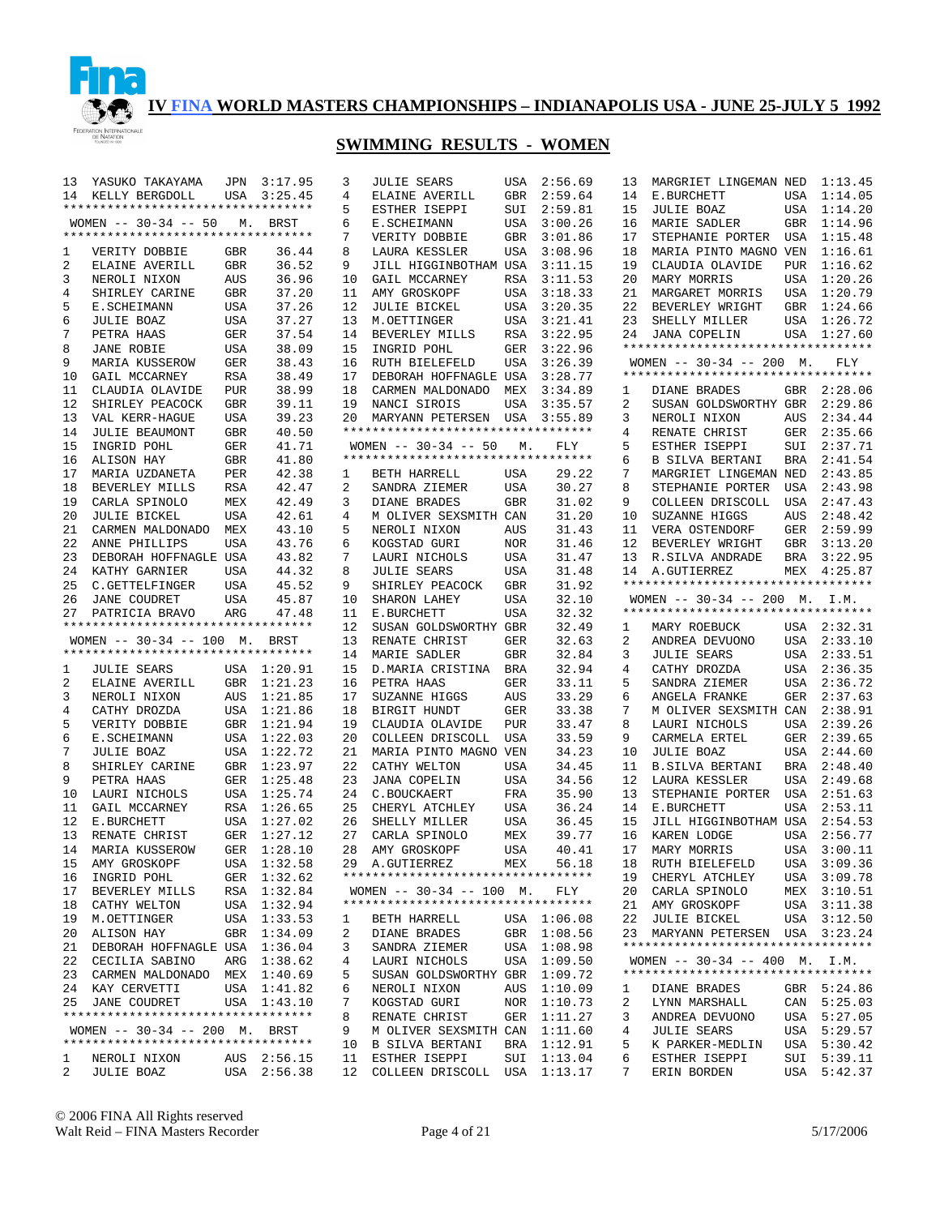

| 13 | YASUKO TAKAYAMA                    | JPN        | 3:17.95     | 3  | <b>JULIE SEARS</b>                 | USA        | 2:56.69     | 13 | MARGRIET LINGEMAN NED                              |     | 1:13.45     |
|----|------------------------------------|------------|-------------|----|------------------------------------|------------|-------------|----|----------------------------------------------------|-----|-------------|
| 14 | KELLY BERGDOLL                     | USA        | 3:25.45     | 4  | ELAINE AVERILL                     | GBR        | 2:59.64     | 14 | E.BURCHETT                                         |     | USA 1:14.05 |
|    | ********************************** |            |             | 5  | ESTHER ISEPPI                      | SUI        | 2:59.81     | 15 | <b>JULIE BOAZ</b>                                  |     | USA 1:14.20 |
|    | WOMEN $-- 30-34 -- 50$             | М.         | BRST        | 6  | E. SCHEIMANN                       | USA        | 3:00.26     | 16 | MARIE SADLER                                       |     | GBR 1:14.96 |
|    | ********************************** |            |             | 7  | VERITY DOBBIE                      | GBR        | 3:01.86     | 17 | STEPHANIE PORTER                                   |     | USA 1:15.48 |
| 1  | VERITY DOBBIE                      | GBR        | 36.44       | 8  | LAURA KESSLER                      | USA        | 3:08.96     | 18 | MARIA PINTO MAGNO VEN                              |     | 1:16.61     |
| 2  | ELAINE AVERILL                     | <b>GBR</b> | 36.52       | 9  | JILL HIGGINBOTHAM USA              |            | 3:11.15     | 19 | CLAUDIA OLAVIDE                                    |     | PUR 1:16.62 |
| 3  | NEROLI NIXON                       | AUS        | 36.96       | 10 | GAIL MCCARNEY                      | RSA        | 3:11.53     | 20 | MARY MORRIS                                        |     | USA 1:20.26 |
| 4  | SHIRLEY CARINE                     | GBR        | 37.20       | 11 | AMY GROSKOPF                       | USA        | 3:18.33     | 21 | MARGARET MORRIS                                    |     | USA 1:20.79 |
| 5  |                                    |            | 37.26       | 12 |                                    | USA        | 3:20.35     | 22 | BEVERLEY WRIGHT                                    |     | GBR 1:24.66 |
|    | E.SCHEIMANN                        | USA        |             |    | <b>JULIE BICKEL</b>                |            |             |    |                                                    |     |             |
| 6  | <b>JULIE BOAZ</b>                  | USA        | 37.27       | 13 | M.OETTINGER                        | USA        | 3:21.41     | 23 | SHELLY MILLER                                      |     | USA 1:26.72 |
| 7  | PETRA HAAS                         | GER        | 37.54       | 14 | BEVERLEY MILLS                     | <b>RSA</b> | 3:22.95     | 24 | JANA COPELIN<br>********************************** |     | USA 1:27.60 |
| 8  | <b>JANE ROBIE</b>                  | USA        | 38.09       | 15 | INGRID POHL                        | <b>GER</b> | 3:22.96     |    |                                                    |     |             |
| 9  | MARIA KUSSEROW                     | GER        | 38.43       | 16 | RUTH BIELEFELD                     | USA        | 3:26.39     |    | WOMEN $-- 30-34 -- 200$ M.                         |     | FLY         |
| 10 | GAIL MCCARNEY                      | RSA        | 38.49       | 17 | DEBORAH HOFFNAGLE USA              |            | 3:28.77     |    | **********************************                 |     |             |
| 11 | CLAUDIA OLAVIDE                    | <b>PUR</b> | 38.99       | 18 | CARMEN MALDONADO                   | MEX        | 3:34.89     | 1  | DIANE BRADES                                       |     | GBR 2:28.06 |
| 12 | SHIRLEY PEACOCK                    | GBR        | 39.11       | 19 | NANCI SIROIS                       | USA        | 3:35.57     | 2  | SUSAN GOLDSWORTHY GBR                              |     | 2:29.86     |
| 13 | VAL KERR-HAGUE                     | USA        | 39.23       | 20 | MARYANN PETERSEN USA               |            | 3:55.89     | 3  | NEROLI NIXON                                       | AUS | 2:34.44     |
| 14 | <b>JULIE BEAUMONT</b>              | GBR        | 40.50       |    | ********************************** |            |             | 4  | RENATE CHRIST                                      | GER | 2:35.66     |
| 15 | INGRID POHL                        | GER        | 41.71       |    | WOMEN $-- 30-34 -- 50$             | М.         | FLY         | 5  | ESTHER ISEPPI                                      |     | SUI 2:37.71 |
| 16 | ALISON HAY                         | GBR        | 41.80       |    | ********************************** |            |             | 6  | B SILVA BERTANI                                    | BRA | 2:41.54     |
| 17 | MARIA UZDANETA                     | PER        | 42.38       | 1  | BETH HARRELL                       | USA        | 29.22       | 7  | MARGRIET LINGEMAN NED                              |     | 2:43.85     |
| 18 | BEVERLEY MILLS                     | RSA        | 42.47       | 2  | SANDRA ZIEMER                      | USA        | 30.27       | 8  | STEPHANIE PORTER                                   | USA | 2:43.98     |
| 19 | CARLA SPINOLO                      | MEX        | 42.49       | 3  | DIANE BRADES                       | <b>GBR</b> | 31.02       | 9  | COLLEEN DRISCOLL                                   | USA | 2:47.43     |
| 20 | <b>JULIE BICKEL</b>                | USA        | 42.61       | 4  | M OLIVER SEXSMITH CAN              |            | 31.20       | 10 | SUZANNE HIGGS                                      | AUS | 2:48.42     |
| 21 | CARMEN MALDONADO                   | MEX        | 43.10       | 5  | NEROLI NIXON                       | AUS        | 31.43       | 11 | VERA OSTENDORF                                     | GER | 2:59.99     |
| 22 | ANNE PHILLIPS                      |            |             |    |                                    |            |             | 12 |                                                    |     | GBR 3:13.20 |
|    |                                    | USA        | 43.76       | 6  | KOGSTAD GURI                       | <b>NOR</b> | 31.46       |    | BEVERLEY WRIGHT                                    |     |             |
| 23 | DEBORAH HOFFNAGLE USA              |            | 43.82       | 7  | LAURI NICHOLS                      | USA        | 31.47       | 13 | R.SILVA ANDRADE                                    | BRA | 3:22.95     |
| 24 | KATHY GARNIER                      | USA        | 44.32       | 8  | <b>JULIE SEARS</b>                 | USA        | 31.48       |    | 14 A. GUTIERREZ                                    |     | MEX 4:25.87 |
| 25 | C.GETTELFINGER                     | USA        | 45.52       | 9  | SHIRLEY PEACOCK                    | <b>GBR</b> | 31.92       |    | **********************************                 |     |             |
| 26 | JANE COUDRET                       | USA        | 45.87       | 10 | SHARON LAHEY                       | USA        | 32.10       |    | WOMEN $-- 30-34 -- 200$ M. I.M.                    |     |             |
| 27 | PATRICIA BRAVO                     | ARG        | 47.48       | 11 | E.BURCHETT                         | USA        | 32.32       |    | **********************************                 |     |             |
|    |                                    |            |             |    |                                    |            |             |    |                                                    |     |             |
|    | *********************************  |            |             | 12 | SUSAN GOLDSWORTHY GBR              |            | 32.49       | 1  | MARY ROEBUCK                                       |     | USA 2:32.31 |
|    | WOMEN -- 30-34 -- 100 M. BRST      |            |             | 13 | RENATE CHRIST                      | GER        | 32.63       | 2  | ANDREA DEVUONO                                     |     | USA 2:33.10 |
|    | ********************************** |            |             | 14 | MARIE SADLER                       | <b>GBR</b> | 32.84       | 3  | JULIE SEARS                                        |     | USA 2:33.51 |
| 1  | <b>JULIE SEARS</b>                 |            | USA 1:20.91 | 15 | D.MARIA CRISTINA                   | BRA        | 32.94       | 4  | CATHY DROZDA                                       |     | USA 2:36.35 |
| 2  | ELAINE AVERILL                     |            | GBR 1:21.23 | 16 | PETRA HAAS                         | GER        | 33.11       | 5  | SANDRA ZIEMER                                      | USA | 2:36.72     |
| 3  | NEROLI NIXON                       |            | AUS 1:21.85 | 17 | SUZANNE HIGGS                      | AUS        | 33.29       | 6  | ANGELA FRANKE                                      | GER | 2:37.63     |
| 4  | CATHY DROZDA                       |            | USA 1:21.86 | 18 | BIRGIT HUNDT                       | GER        | 33.38       | 7  | M OLIVER SEXSMITH CAN                              |     | 2:38.91     |
| 5  | VERITY DOBBIE                      |            | GBR 1:21.94 | 19 | CLAUDIA OLAVIDE                    | <b>PUR</b> | 33.47       | 8  | LAURI NICHOLS                                      | USA | 2:39.26     |
| 6  | E.SCHEIMANN                        |            | USA 1:22.03 | 20 | COLLEEN DRISCOLL                   | USA        | 33.59       | 9  | CARMELA ERTEL                                      | GER | 2:39.65     |
| 7  | <b>JULIE BOAZ</b>                  |            | USA 1:22.72 | 21 | MARIA PINTO MAGNO VEN              |            | 34.23       | 10 | <b>JULIE BOAZ</b>                                  | USA | 2:44.60     |
| 8  |                                    |            |             |    |                                    |            |             | 11 |                                                    |     |             |
|    | SHIRLEY CARINE                     |            | GBR 1:23.97 | 22 | CATHY WELTON                       | USA        | 34.45       |    | <b>B.SILVA BERTANI</b>                             | BRA | 2:48.40     |
| 9  | PETRA HAAS                         |            | GER 1:25.48 | 23 | <b>JANA COPELIN</b>                | USA        | 34.56       | 12 | LAURA KESSLER                                      | USA | 2:49.68     |
| 10 | LAURI NICHOLS                      |            | USA 1:25.74 | 24 | C.BOUCKAERT                        | FRA        | 35.90       | 13 | STEPHANIE PORTER                                   | USA | 2:51.63     |
| 11 | GAIL MCCARNEY                      |            | RSA 1:26.65 | 25 | CHERYL ATCHLEY                     | USA        | 36.24       | 14 | E.BURCHETT                                         | USA | 2:53.11     |
| 12 | E.BURCHETT                         |            | USA 1:27.02 | 26 | SHELLY MILLER                      | USA        | 36.45       | 15 | JILL HIGGINBOTHAM USA                              |     | 2:54.53     |
| 13 | RENATE CHRIST                      |            | GER 1:27.12 | 27 | CARLA SPINOLO                      | MEX        | 39.77       | 16 | KAREN LODGE                                        | USA | 2:56.77     |
| 14 | MARIA KUSSEROW                     |            | GER 1:28.10 | 28 | AMY GROSKOPF                       | USA        | 40.41       | 17 | MARY MORRIS                                        | USA | 3:00.11     |
| 15 | AMY GROSKOPF                       |            | USA 1:32.58 | 29 | A.GUTIERREZ                        | MEX        | 56.18       |    | 18 RUTH BIELEFELD USA 3:09.36                      |     |             |
| 16 | INGRID POHL                        |            | GER 1:32.62 |    | ********************************** |            |             |    | 19 CHERYL ATCHLEY                                  |     | USA 3:09.78 |
|    | 17 BEVERLEY MILLS                  |            | RSA 1:32.84 |    | WOMEN $-- 30-34 -- 100$ M.         |            | FLY         | 20 | CARLA SPINOLO                                      |     | MEX 3:10.51 |
| 18 | CATHY WELTON                       |            | USA 1:32.94 |    | ********************************** |            |             | 21 | AMY GROSKOPF                                       |     | USA 3:11.38 |
|    | 19 M.OETTINGER                     |            | USA 1:33.53 | 1  | BETH HARRELL                       |            | USA 1:06.08 | 22 | JULIE BICKEL                                       |     | USA 3:12.50 |
| 20 | ALISON HAY                         |            | GBR 1:34.09 | 2  | DIANE BRADES                       |            | GBR 1:08.56 | 23 | MARYANN PETERSEN USA 3:23.24                       |     |             |
|    | 21 DEBORAH HOFFNAGLE USA 1:36.04   |            |             | 3  | SANDRA ZIEMER                      |            | USA 1:08.98 |    |                                                    |     |             |
|    | 22 CECILIA SABINO                  |            | ARG 1:38.62 | 4  | LAURI NICHOLS                      |            | USA 1:09.50 |    | WOMEN $-- 30-34 -- 400$ M. I.M.                    |     |             |
|    | 23 CARMEN MALDONADO MEX 1:40.69    |            |             | 5  | SUSAN GOLDSWORTHY GBR 1:09.72      |            |             |    | **********************************                 |     |             |
|    | 24 KAY CERVETTI                    |            | USA 1:41.82 | 6  | NEROLI NIXON                       |            | AUS 1:10.09 | ı  | DIANE BRADES                                       |     | GBR 5:24.86 |
|    | 25 JANE COUDRET                    |            | USA 1:43.10 | 7  | KOGSTAD GURI                       |            | NOR 1:10.73 | 2  | LYNN MARSHALL                                      |     | CAN 5:25.03 |
|    | ********************************** |            |             | 8  | RENATE CHRIST                      | GER        | 1:11.27     | 3  | ANDREA DEVUONO                                     |     | USA 5:27.05 |
|    | WOMEN -- 30-34 -- 200 M. BRST      |            |             | 9  | M OLIVER SEXSMITH CAN              |            | 1:11.60     | 4  | <b>JULIE SEARS</b>                                 |     | USA 5:29.57 |
|    | ********************************** |            |             | 10 | B SILVA BERTANI                    | BRA        | 1:12.91     | 5  | K PARKER-MEDLIN                                    |     | USA 5:30.42 |
| 1  | NEROLI NIXON                       |            | AUS 2:56.15 | 11 | ESTHER ISEPPI                      |            | SUI 1:13.04 | 6  | ESTHER ISEPPI                                      |     | SUI 5:39.11 |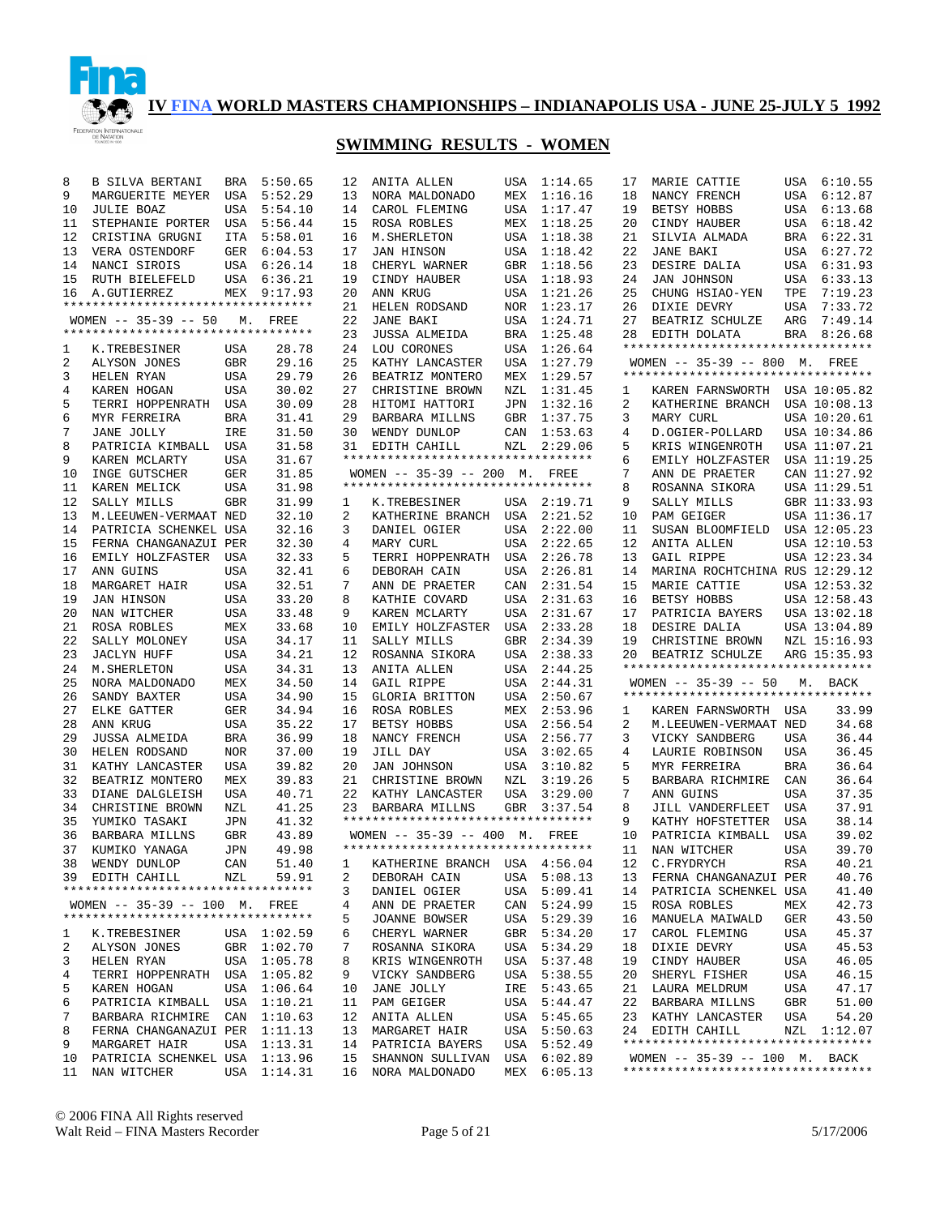

| 8        | <b>B SILVA BERTANI</b>                                          | BRA        | 5:50.65     | 12       | ANITA ALLEN                                                         |            | USA 1:14.65                | 17 | MARIE CATTIE                                                          |            | USA 6:10.55  |
|----------|-----------------------------------------------------------------|------------|-------------|----------|---------------------------------------------------------------------|------------|----------------------------|----|-----------------------------------------------------------------------|------------|--------------|
| 9        | MARGUERITE MEYER                                                | USA        | 5:52.29     | 13       | NORA MALDONADO                                                      | MEX        | 1:16.16                    | 18 | NANCY FRENCH                                                          |            | USA 6:12.87  |
| 10       | <b>JULIE BOAZ</b>                                               |            | USA 5:54.10 | 14       | CAROL FLEMING                                                       | USA        | 1:17.47                    | 19 | BETSY HOBBS                                                           |            | USA 6:13.68  |
| 11       | STEPHANIE PORTER                                                |            | USA 5:56.44 | 15       | ROSA ROBLES                                                         | MEX        | 1:18.25                    | 20 | CINDY HAUBER                                                          |            | USA 6:18.42  |
| 12       | CRISTINA GRUGNI                                                 |            | ITA 5:58.01 | 16       | M. SHERLETON                                                        | USA        | 1:18.38                    | 21 | SILVIA ALMADA                                                         |            | BRA 6:22.31  |
| 13       | VERA OSTENDORF                                                  |            | GER 6:04.53 | 17       | <b>JAN HINSON</b>                                                   | USA        | 1:18.42                    | 22 | JANE BAKI                                                             |            | USA 6:27.72  |
| 14       | NANCI SIROIS                                                    |            | USA 6:26.14 | 18       | CHERYL WARNER                                                       | GBR        | 1:18.56                    | 23 | DESIRE DALIA                                                          |            | USA 6:31.93  |
| 15       | RUTH BIELEFELD                                                  |            | USA 6:36.21 | 19       | CINDY HAUBER                                                        | USA        | 1:18.93                    | 24 | JAN JOHNSON                                                           |            | USA 6:33.13  |
| 16       | A.GUTIERREZ                                                     |            | MEX 9:17.93 | 20       | ANN KRUG                                                            | USA        | 1:21.26                    | 25 | CHUNG HSIAO-YEN                                                       | TPE        | 7:19.23      |
|          | **********************************                              |            |             | 21       | HELEN RODSAND                                                       | <b>NOR</b> | 1:23.17                    | 26 | DIXIE DEVRY                                                           | USA        | 7:33.72      |
|          |                                                                 |            |             |          |                                                                     |            |                            |    |                                                                       |            |              |
|          | $WOMEN$ -- 35-39 -- 50 M.<br>********************************** |            | FREE        | 22       | <b>JANE BAKI</b>                                                    | USA        | 1:24.71                    | 27 | BEATRIZ SCHULZE                                                       | ARG        | 7:49.14      |
|          |                                                                 |            |             | 23       | <b>JUSSA ALMEIDA</b>                                                | <b>BRA</b> | 1:25.48                    | 28 | EDITH DOLATA                                                          |            | BRA 8:26.68  |
| 1        | K.TREBESINER                                                    | USA        | 28.78       | 24       | LOU CORONES                                                         | USA        | 1:26.64                    |    | **********************************                                    |            |              |
| 2        | ALYSON JONES                                                    | GBR        | 29.16       | 25       | KATHY LANCASTER                                                     | USA        | 1:27.79                    |    | WOMEN -- 35-39 -- 800 M. FREE                                         |            |              |
| 3        | HELEN RYAN                                                      | USA        | 29.79       | 26       | BEATRIZ MONTERO                                                     | MEX        | 1:29.57                    |    | **********************************                                    |            |              |
| 4        | KAREN HOGAN                                                     | USA        | 30.02       | 27       | CHRISTINE BROWN                                                     | NZL        | 1:31.45                    | 1  | KAREN FARNSWORTH USA 10:05.82                                         |            |              |
| 5        | TERRI HOPPENRATH                                                | USA        | 30.09       | 28       | HITOMI HATTORI                                                      | JPN        | 1:32.16                    | 2  | KATHERINE BRANCH                                                      |            | USA 10:08.13 |
| 6        | MYR FERREIRA                                                    | BRA        | 31.41       | 29       | BARBARA MILLNS                                                      | GBR        | 1:37.75                    | 3  | MARY CURL                                                             |            | USA 10:20.61 |
| 7        | JANE JOLLY                                                      | IRE        | 31.50       | 30       | WENDY DUNLOP                                                        | CAN        | 1:53.63                    | 4  | D.OGIER-POLLARD                                                       |            | USA 10:34.86 |
| 8        | PATRICIA KIMBALL                                                | USA        | 31.58       | 31       | EDITH CAHILL                                                        | NZL        | 2:29.06                    | 5  | KRIS WINGENROTH                                                       |            | USA 11:07.21 |
| 9        | KAREN MCLARTY                                                   | USA        | 31.67       |          | **********************************                                  |            |                            | 6  | EMILY HOLZFASTER                                                      |            | USA 11:19.25 |
| 10       | INGE GUTSCHER                                                   | GER        | 31.85       |          | WOMEN -- 35-39 -- 200 M. FREE                                       |            |                            | 7  | ANN DE PRAETER                                                        |            | CAN 11:27.92 |
| 11       | KAREN MELICK                                                    | USA        | 31.98       |          | **********************************                                  |            |                            | 8  | ROSANNA SIKORA                                                        |            | USA 11:29.51 |
| 12       | SALLY MILLS                                                     | <b>GBR</b> | 31.99       |          | K.TREBESINER                                                        |            | USA 2:19.71                | 9  | SALLY MILLS                                                           |            | GBR 11:33.93 |
|          |                                                                 |            |             | 1        |                                                                     |            |                            |    |                                                                       |            |              |
| 13       | M.LEEUWEN-VERMAAT NED                                           |            | 32.10       | 2        | KATHERINE BRANCH USA                                                |            | 2:21.52                    | 10 | PAM GEIGER                                                            |            | USA 11:36.17 |
| 14       | PATRICIA SCHENKEL USA                                           |            | 32.16       | 3        | DANIEL OGIER                                                        | USA        | 2:22.00                    | 11 | SUSAN BLOOMFIELD                                                      |            | USA 12:05.23 |
| 15       | FERNA CHANGANAZUI PER                                           |            | 32.30       | 4        | MARY CURL                                                           | USA        | 2:22.65                    | 12 | ANITA ALLEN                                                           |            | USA 12:10.53 |
| 16       | EMILY HOLZFASTER USA                                            |            | 32.33       | 5        | TERRI HOPPENRATH USA                                                |            | 2:26.78                    | 13 | GAIL RIPPE                                                            |            | USA 12:23.34 |
| 17       | ANN GUINS                                                       | <b>USA</b> | 32.41       | 6        | DEBORAH CAIN                                                        | USA        | 2:26.81                    | 14 | MARINA ROCHTCHINA RUS 12:29.12                                        |            |              |
| 18       | MARGARET HAIR                                                   | <b>USA</b> | 32.51       | 7        | ANN DE PRAETER                                                      | CAN        | 2:31.54                    | 15 | MARIE CATTIE                                                          |            | USA 12:53.32 |
| 19       | <b>JAN HINSON</b>                                               | USA        | 33.20       | 8        | KATHIE COVARD                                                       | USA        | 2:31.63                    | 16 | BETSY HOBBS                                                           |            | USA 12:58.43 |
| 20       | NAN WITCHER                                                     | USA        | 33.48       | 9        | KAREN MCLARTY                                                       | USA        | 2:31.67                    | 17 | PATRICIA BAYERS                                                       |            | USA 13:02.18 |
|          |                                                                 |            |             |          |                                                                     |            |                            |    |                                                                       |            |              |
|          |                                                                 |            |             |          |                                                                     |            |                            |    |                                                                       |            |              |
| 21       | ROSA ROBLES                                                     | MEX        | 33.68       | 10       | EMILY HOLZFASTER                                                    | USA        | 2:33.28                    | 18 | DESIRE DALIA                                                          |            | USA 13:04.89 |
| 22       | SALLY MOLONEY                                                   | USA        | 34.17       | 11       | SALLY MILLS                                                         | <b>GBR</b> | 2:34.39                    | 19 | CHRISTINE BROWN                                                       |            | NZL 15:16.93 |
| 23       | <b>JACLYN HUFF</b>                                              | <b>USA</b> | 34.21       | 12       | ROSANNA SIKORA                                                      | USA        | 2:38.33                    | 20 | BEATRIZ SCHULZE                                                       |            | ARG 15:35.93 |
| 24       | M. SHERLETON                                                    | USA        | 34.31       | 13       | ANITA ALLEN                                                         | USA        | 2:44.25                    |    | **********************************                                    |            |              |
| 25       | NORA MALDONADO                                                  | MEX        | 34.50       | 14       | GAIL RIPPE                                                          | USA        | 2:44.31                    |    | $WOMEN$ -- 35-39 -- 50                                                |            | M. BACK      |
| 26       | SANDY BAXTER                                                    | USA        | 34.90       | 15       | GLORIA BRITTON                                                      | USA        | 2:50.67                    |    | **********************************                                    |            |              |
| 27       | ELKE GATTER                                                     | GER        | 34.94       | 16       | ROSA ROBLES                                                         | MEX        | 2:53.96                    | 1  | KAREN FARNSWORTH USA                                                  |            | 33.99        |
| 28       | ANN KRUG                                                        | USA        | 35.22       | 17       | BETSY HOBBS                                                         | USA        | 2:56.54                    | 2  | M.LEEUWEN-VERMAAT NED                                                 |            | 34.68        |
| 29       | <b>JUSSA ALMEIDA</b>                                            | BRA        | 36.99       | 18       | NANCY FRENCH                                                        | USA        | 2:56.77                    | 3  | VICKY SANDBERG                                                        | USA        | 36.44        |
| 30       | HELEN RODSAND                                                   | NOR        | 37.00       | 19       | JILL DAY                                                            | USA        | 3:02.65                    | 4  | LAURIE ROBINSON                                                       | USA        | 36.45        |
| 31       | KATHY LANCASTER                                                 | USA        | 39.82       | 20       | JAN JOHNSON                                                         | USA        | 3:10.82                    | 5  | MYR FERREIRA                                                          | <b>BRA</b> | 36.64        |
| 32       | BEATRIZ MONTERO                                                 | MEX        | 39.83       | 21       | CHRISTINE BROWN                                                     | NZL        | 3:19.26                    | 5  | BARBARA RICHMIRE                                                      | CAN        | 36.64        |
| 33       | DIANE DALGLEISH                                                 | USA        | 40.71       |          | 22 KATHY LANCASTER                                                  | USA        | 3:29.00                    | 7  | ANN GUINS                                                             | USA        | 37.35        |
| 34       | CHRISTINE BROWN                                                 | NZL        | 41.25       |          | 23 BARBARA MILLNS                                                   |            | GBR 3:37.54                | 8  | JILL VANDERFLEET                                                      | USA        | 37.91        |
| 35       | YUMIKO TASAKI                                                   | JPN        | 41.32       |          | *********************************                                   |            |                            | 9  | KATHY HOFSTETTER                                                      | USA        | 38.14        |
| 36       |                                                                 |            |             |          |                                                                     |            |                            | 10 |                                                                       |            |              |
|          | <b>BARBARA MILLNS</b>                                           | <b>GBR</b> | 43.89       |          | WOMEN -- 35-39 -- 400 M. FREE<br>********************************** |            |                            |    | PATRICIA KIMBALL                                                      | USA        | 39.02        |
| 37       | KUMIKO YANAGA                                                   | JPN        | 49.98       |          |                                                                     |            |                            | 11 | NAN WITCHER                                                           | <b>USA</b> | 39.70        |
|          | 38 WENDY DUNLOP                                                 | CAN        | 51.40       |          | 1 KATHERINE BRANCH USA 4:56.04                                      |            |                            |    | 12 C.FRYDRYCH                                                         | RSA        | 40.21        |
|          | 39 EDITH CAHILL                                                 | NZL        | 59.91       | 2        | DEBORAH CAIN                                                        |            | USA 5:08.13                |    | 13 FERNA CHANGANAZUI PER                                              |            | 40.76        |
|          | **********************************                              |            |             | 3        | DANIEL OGIER                                                        |            | USA 5:09.41                | 14 | PATRICIA SCHENKEL USA                                                 |            | 41.40        |
|          | WOMEN -- 35-39 -- 100 M. FREE                                   |            |             | 4        | ANN DE PRAETER                                                      |            | CAN 5:24.99                | 15 | ROSA ROBLES                                                           | MEX        | 42.73        |
|          | **********************************                              |            |             | 5        | JOANNE BOWSER                                                       |            | USA 5:29.39                | 16 | MANUELA MAIWALD                                                       | GER        | 43.50        |
| 1        | K.TREBESINER                                                    |            | USA 1:02.59 | 6        | CHERYL WARNER                                                       |            | GBR 5:34.20                | 17 | CAROL FLEMING                                                         | USA        | 45.37        |
| 2        | ALYSON JONES                                                    |            | GBR 1:02.70 | 7        | ROSANNA SIKORA                                                      |            | USA 5:34.29                | 18 | DIXIE DEVRY                                                           | USA        | 45.53        |
| 3        | HELEN RYAN                                                      |            | USA 1:05.78 | 8        | KRIS WINGENROTH                                                     |            | USA 5:37.48                | 19 | CINDY HAUBER                                                          | USA        | 46.05        |
| 4        | TERRI HOPPENRATH USA 1:05.82                                    |            |             | 9        | VICKY SANDBERG                                                      |            | USA 5:38.55                | 20 | SHERYL FISHER                                                         | USA        | 46.15        |
| 5        | KAREN HOGAN                                                     |            | USA 1:06.64 | 10       | JANE JOLLY                                                          |            | IRE 5:43.65                | 21 | LAURA MELDRUM                                                         | USA        | 47.17        |
| 6        | PATRICIA KIMBALL USA 1:10.21                                    |            |             | 11       | PAM GEIGER                                                          |            | USA 5:44.47                | 22 | BARBARA MILLNS                                                        | GBR        | 51.00        |
| 7        | BARBARA RICHMIRE                                                |            | CAN 1:10.63 | 12       | ANITA ALLEN                                                         |            | USA 5:45.65                | 23 |                                                                       | USA        | 54.20        |
|          |                                                                 |            |             | 13       |                                                                     |            |                            |    | KATHY LANCASTER<br>24 EDITH CAHILL                                    |            | NZL 1:12.07  |
| 8<br>9   | FERNA CHANGANAZUI PER 1:11.13                                   |            |             |          | MARGARET HAIR                                                       |            | USA 5:50.63                |    | **********************************                                    |            |              |
|          | MARGARET HAIR                                                   |            | USA 1:13.31 |          | 14 PATRICIA BAYERS                                                  |            | USA 5:52.49                |    |                                                                       |            |              |
| 10<br>11 | PATRICIA SCHENKEL USA 1:13.96<br>NAN WITCHER                    |            | USA 1:14.31 | 15<br>16 | SHANNON SULLIVAN<br>NORA MALDONADO                                  |            | USA 6:02.89<br>MEX 6:05.13 |    | WOMEN $-- 35-39 -- 100$ M. BACK<br>********************************** |            |              |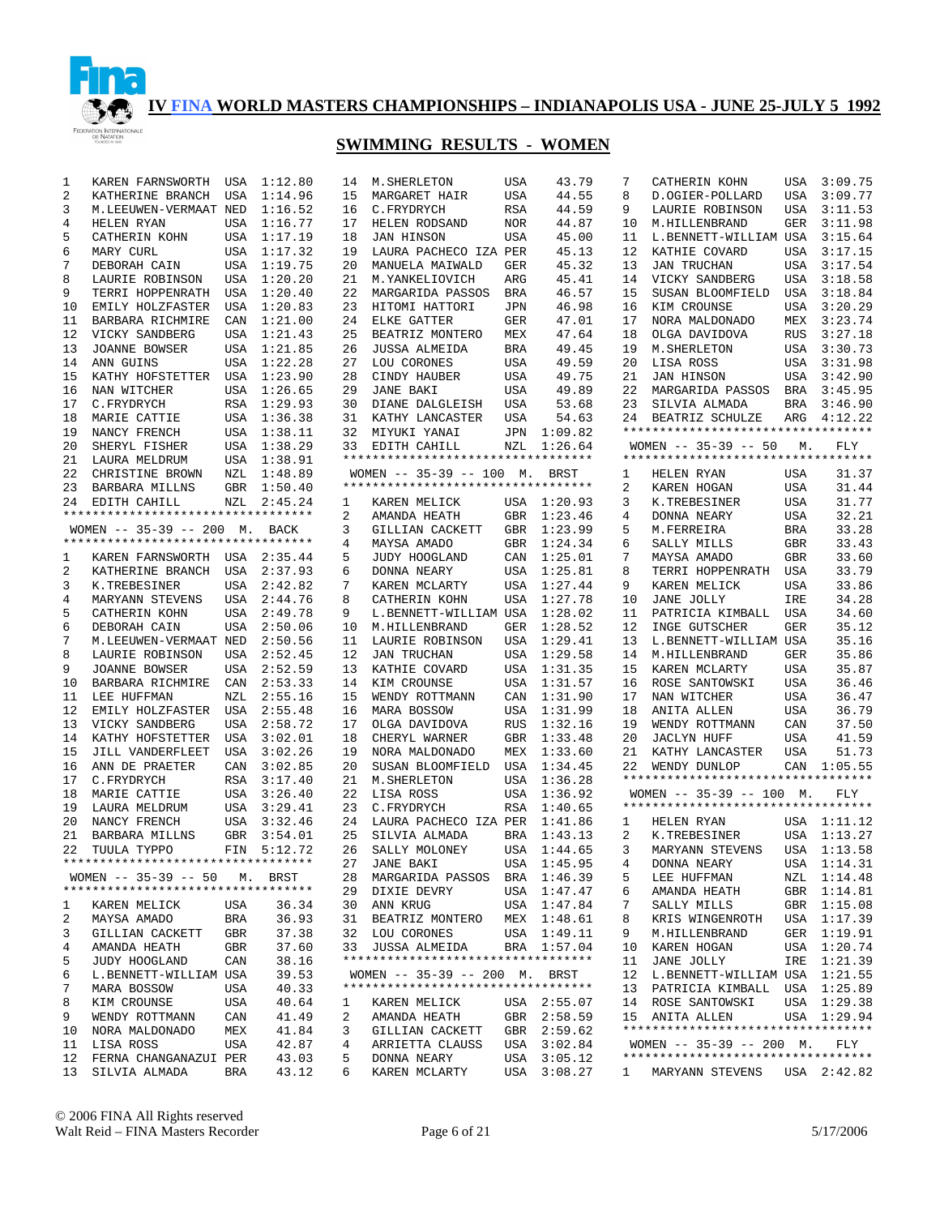

| 1      | KAREN FARNSWORTH                                     | USA | 1:12.80     | 14 | M. SHERLETON                          | USA        | 43.79       | 7            | CATHERIN KOHN                      |            | USA 3:09.75 |
|--------|------------------------------------------------------|-----|-------------|----|---------------------------------------|------------|-------------|--------------|------------------------------------|------------|-------------|
| 2      | KATHERINE BRANCH                                     | USA | 1:14.96     | 15 | MARGARET HAIR                         | USA        | 44.55       | 8            | D.OGIER-POLLARD                    | USA        | 3:09.77     |
| 3      | M.LEEUWEN-VERMAAT NED                                |     | 1:16.52     | 16 | C.FRYDRYCH                            | RSA        | 44.59       | 9            | LAURIE ROBINSON                    | USA        | 3:11.53     |
| 4      | HELEN RYAN                                           | USA | 1:16.77     | 17 | HELEN RODSAND                         | <b>NOR</b> | 44.87       | 10           | M.HILLENBRAND                      | GER        | 3:11.98     |
| 5      | CATHERIN KOHN                                        |     | USA 1:17.19 | 18 | <b>JAN HINSON</b>                     | <b>USA</b> | 45.00       | 11           | L.BENNETT-WILLIAM USA              |            | 3:15.64     |
| 6      | MARY CURL                                            |     | USA 1:17.32 | 19 | LAURA PACHECO IZA PER                 |            | 45.13       | 12           | KATHIE COVARD                      | USA        | 3:17.15     |
| 7      | DEBORAH CAIN                                         | USA | 1:19.75     | 20 | MANUELA MAIWALD                       | <b>GER</b> | 45.32       | 13           | <b>JAN TRUCHAN</b>                 | USA        | 3:17.54     |
| 8      | LAURIE ROBINSON                                      | USA | 1:20.20     | 21 | M.YANKELIOVICH                        | ARG        | 45.41       | 14           | VICKY SANDBERG                     | USA        | 3:18.58     |
| 9      | TERRI HOPPENRATH                                     | USA | 1:20.40     | 22 | MARGARIDA PASSOS                      | <b>BRA</b> | 46.57       | 15           | SUSAN BLOOMFIELD                   | USA        | 3:18.84     |
| 10     | EMILY HOLZFASTER                                     | USA | 1:20.83     | 23 | HITOMI HATTORI                        | <b>JPN</b> | 46.98       | 16           | KIM CROUNSE                        | USA        | 3:20.29     |
| 11     | BARBARA RICHMIRE                                     | CAN | 1:21.00     | 24 | ELKE GATTER                           | <b>GER</b> | 47.01       | 17           | NORA MALDONADO                     | MEX        | 3:23.74     |
| 12     | VICKY SANDBERG                                       | USA | 1:21.43     | 25 | BEATRIZ MONTERO                       | MEX        | 47.64       | 18           | OLGA DAVIDOVA                      | <b>RUS</b> | 3:27.18     |
| 13     | <b>JOANNE BOWSER</b>                                 |     | USA 1:21.85 | 26 | <b>JUSSA ALMEIDA</b>                  | <b>BRA</b> | 49.45       | 19           | M. SHERLETON                       |            | USA 3:30.73 |
| 14     | ANN GUINS                                            | USA | 1:22.28     | 27 | LOU CORONES                           | USA        | 49.59       | 20           | LISA ROSS                          | USA        | 3:31.98     |
| 15     | KATHY HOFSTETTER                                     |     | USA 1:23.90 | 28 | CINDY HAUBER                          | USA        | 49.75       | 21           | <b>JAN HINSON</b>                  | USA        | 3:42.90     |
| 16     | NAN WITCHER                                          |     | USA 1:26.65 | 29 | <b>JANE BAKI</b>                      | USA        | 49.89       | 22           | MARGARIDA PASSOS                   | BRA        | 3:45.95     |
| 17     | C.FRYDRYCH                                           |     | RSA 1:29.93 | 30 | DIANE DALGLEISH                       | USA        | 53.68       | 23           | SILVIA ALMADA                      | BRA        | 3:46.90     |
| 18     | MARIE CATTIE                                         |     | USA 1:36.38 | 31 | KATHY LANCASTER                       | USA        | 54.63       | 24           | BEATRIZ SCHULZE                    | ARG        | 4:12.22     |
| 19     | NANCY FRENCH                                         |     | USA 1:38.11 | 32 | MIYUKI YANAI                          | JPN        | 1:09.82     |              | ********************************** |            |             |
| 20     | SHERYL FISHER                                        |     | USA 1:38.29 | 33 | EDITH CAHILL                          | NZL        | 1:26.64     |              | WOMEN $-- 35-39 -- 50$             | М.         | FLY         |
| 21     | LAURA MELDRUM                                        |     | USA 1:38.91 |    | **********************************    |            |             |              | ********************************** |            |             |
| 22     | CHRISTINE BROWN                                      | NZL | 1:48.89     |    | WOMEN -- 35-39 -- 100 M. BRST         |            |             | 1            | HELEN RYAN                         | USA        | 31.37       |
| 23     | BARBARA MILLNS                                       |     | GBR 1:50.40 |    | **********************************    |            |             | 2            | KAREN HOGAN                        | USA        | 31.44       |
| 24     | EDITH CAHILL                                         | NZL | 2:45.24     | 1  | KAREN MELICK                          |            | USA 1:20.93 | 3            | K.TREBESINER                       | USA        | 31.77       |
|        | **********************************                   |     |             | 2  | AMANDA HEATH                          | GBR        | 1:23.46     | 4            | DONNA NEARY                        | USA        | 32.21       |
|        | WOMEN -- 35-39 -- 200 M. BACK                        |     |             | 3  | GILLIAN CACKETT                       | GBR        | 1:23.99     | 5            | M.FERREIRA                         | <b>BRA</b> | 33.28       |
|        | **********************************                   |     |             | 4  | MAYSA AMADO                           | GBR        | 1:24.34     | 6            | SALLY MILLS                        | <b>GBR</b> | 33.43       |
|        |                                                      |     |             | 5  | JUDY HOOGLAND                         | CAN        | 1:25.01     | 7            | MAYSA AMADO                        | GBR        | 33.60       |
| 1<br>2 | KAREN FARNSWORTH USA 2:35.44<br>KATHERINE BRANCH USA |     | 2:37.93     | 6  |                                       | USA        | 1:25.81     | 8            |                                    | USA        | 33.79       |
|        |                                                      |     |             | 7  | DONNA NEARY                           |            |             | 9            | TERRI HOPPENRATH<br>KAREN MELICK   |            | 33.86       |
| 3      | K.TREBESINER                                         | USA | 2:42.82     |    | KAREN MCLARTY<br><b>CATHERIN KOHN</b> | USA        | 1:27.44     |              |                                    | USA        |             |
| 4      | MARYANN STEVENS                                      | USA | 2:44.76     | 8  |                                       | <b>USA</b> | 1:27.78     | 10           | JANE JOLLY                         | IRE        | 34.28       |
| 5      | CATHERIN KOHN                                        | USA | 2:49.78     | 9  | L.BENNETT-WILLIAM USA                 |            | 1:28.02     | 11           | PATRICIA KIMBALL                   | USA        | 34.60       |
| 6      | DEBORAH CAIN                                         | USA | 2:50.06     | 10 | M.HILLENBRAND                         | GER        | 1:28.52     | 12           | INGE GUTSCHER                      | <b>GER</b> | 35.12       |
| 7      | M.LEEUWEN-VERMAAT NED                                |     | 2:50.56     | 11 | LAURIE ROBINSON                       | USA        | 1:29.41     | 13           | L.BENNETT-WILLIAM USA              |            | 35.16       |
| 8      | LAURIE ROBINSON                                      | USA | 2:52.45     | 12 | <b>JAN TRUCHAN</b>                    | USA        | 1:29.58     | 14           | M.HILLENBRAND                      | <b>GER</b> | 35.86       |
| 9      | <b>JOANNE BOWSER</b>                                 | USA | 2:52.59     | 13 | KATHIE COVARD                         | USA        | 1:31.35     | 15           | KAREN MCLARTY                      | USA        | 35.87       |
| 10     | BARBARA RICHMIRE                                     | CAN | 2:53.33     | 14 | KIM CROUNSE                           | USA        | 1:31.57     | 16           | ROSE SANTOWSKI                     | USA        | 36.46       |
| 11     | LEE HUFFMAN                                          | NZL | 2:55.16     | 15 | WENDY ROTTMANN                        | CAN        | 1:31.90     | 17           | NAN WITCHER                        | USA        | 36.47       |
| 12     | EMILY HOLZFASTER USA                                 |     | 2:55.48     | 16 | MARA BOSSOW                           | USA        | 1:31.99     | 18           | ANITA ALLEN                        | USA        | 36.79       |
| 13     | VICKY SANDBERG                                       | USA | 2:58.72     | 17 | OLGA DAVIDOVA                         | <b>RUS</b> | 1:32.16     | 19           | WENDY ROTTMANN                     | CAN        | 37.50       |
| 14     | KATHY HOFSTETTER                                     | USA | 3:02.01     | 18 | CHERYL WARNER                         | GBR        | 1:33.48     | 20           | <b>JACLYN HUFF</b>                 | USA        | 41.59       |
| 15     | JILL VANDERFLEET                                     | USA | 3:02.26     | 19 | NORA MALDONADO                        | MEX        | 1:33.60     | 21           | KATHY LANCASTER                    | USA        | 51.73       |
| 16     | ANN DE PRAETER                                       | CAN | 3:02.85     | 20 | SUSAN BLOOMFIELD                      | USA        | 1:34.45     | 22           | WENDY DUNLOP                       |            | CAN 1:05.55 |
| 17     | C.FRYDRYCH                                           | RSA | 3:17.40     | 21 | M. SHERLETON                          | USA        | 1:36.28     |              | ********************************** |            |             |
| 18     | MARIE CATTIE                                         |     | USA 3:26.40 | 22 | LISA ROSS                             | USA        | 1:36.92     |              | WOMEN $-- 35-39 -- 100$ M.         |            | FLY         |
| 19     | LAURA MELDRUM                                        |     | USA 3:29.41 | 23 | C.FRYDRYCH                            | RSA        | 1:40.65     |              | *********************************  |            |             |
| 20     | NANCY FRENCH                                         |     | USA 3:32.46 |    | 24 LAURA PACHECO IZA PER              |            | 1:41.86     | 1            | HELEN RYAN                         |            | USA 1:11.12 |
| 21     | BARBARA MILLNS                                       |     | GBR 3:54.01 | 25 | SILVIA ALMADA                         | BRA        | 1:43.13     | 2            | K.TREBESINER                       |            | USA 1:13.27 |
| 22     | TUULA TYPPO                                          |     | FIN 5:12.72 | 26 | SALLY MOLONEY                         |            | USA 1:44.65 | 3            | MARYANN STEVENS                    |            | USA 1:13.58 |
|        | **********************************                   |     |             |    | 27 JANE BAKI                          |            | USA 1:45.95 | $4\degree$   | DONNA NEARY                        |            | USA 1:14.31 |
|        | WOMEN -- 35-39 -- 50 M. BRST                         |     |             | 28 | MARGARIDA PASSOS                      |            | BRA 1:46.39 | 5            | LEE HUFFMAN                        |            | NZL 1:14.48 |
|        | **********************************                   |     |             | 29 | DIXIE DEVRY                           |            | USA 1:47.47 | 6            | AMANDA HEATH                       |            | GBR 1:14.81 |
| 1      | KAREN MELICK                                         | USA | 36.34       | 30 | ANN KRUG                              |            | USA 1:47.84 | 7            | SALLY MILLS                        |            | GBR 1:15.08 |
| 2      | MAYSA AMADO                                          | BRA | 36.93       | 31 | BEATRIZ MONTERO                       |            | MEX 1:48.61 | 8            | KRIS WINGENROTH                    |            | USA 1:17.39 |
| 3      | GILLIAN CACKETT                                      | GBR | 37.38       | 32 | LOU CORONES                           | USA        | 1:49.11     | 9            | M.HILLENBRAND                      |            | GER 1:19.91 |
| 4      | AMANDA HEATH                                         | GBR | 37.60       | 33 | JUSSA ALMEIDA                         |            | BRA 1:57.04 | 10           | KAREN HOGAN                        |            | USA 1:20.74 |
| 5      | JUDY HOOGLAND                                        | CAN | 38.16       |    |                                       |            |             | 11           | JANE JOLLY                         |            | IRE 1:21.39 |
| 6      | L.BENNETT-WILLIAM USA                                |     | 39.53       |    | WOMEN -- 35-39 -- 200 M. BRST         |            |             | 12           | L.BENNETT-WILLIAM USA 1:21.55      |            |             |
| 7      | MARA BOSSOW                                          | USA | 40.33       |    | **********************************    |            |             | 13           | PATRICIA KIMBALL USA 1:25.89       |            |             |
| 8      | KIM CROUNSE                                          | USA | 40.64       | ı. | KAREN MELICK                          |            | USA 2:55.07 | 14           | ROSE SANTOWSKI                     |            | USA 1:29.38 |
| 9      | WENDY ROTTMANN                                       | CAN | 41.49       | 2  | AMANDA HEATH                          |            | GBR 2:58.59 |              | 15 ANITA ALLEN                     |            | USA 1:29.94 |
| 10     | NORA MALDONADO                                       | MEX | 41.84       | 3  | GILLIAN CACKETT                       |            | GBR 2:59.62 |              | ********************************** |            |             |
| 11     | LISA ROSS                                            | USA | 42.87       | 4  | ARRIETTA CLAUSS                       | USA        | 3:02.84     |              | WOMEN $-- 35-39 -- 200$ M.         |            | FLY         |
| 12     | FERNA CHANGANAZUI PER                                |     | 43.03       | 5  | DONNA NEARY                           | USA        | 3:05.12     |              | ********************************** |            |             |
| 13     | SILVIA ALMADA                                        | BRA | 43.12       | 6  | KAREN MCLARTY                         |            | USA 3:08.27 | $\mathbf{1}$ | MARYANN STEVENS                    |            | USA 2:42.82 |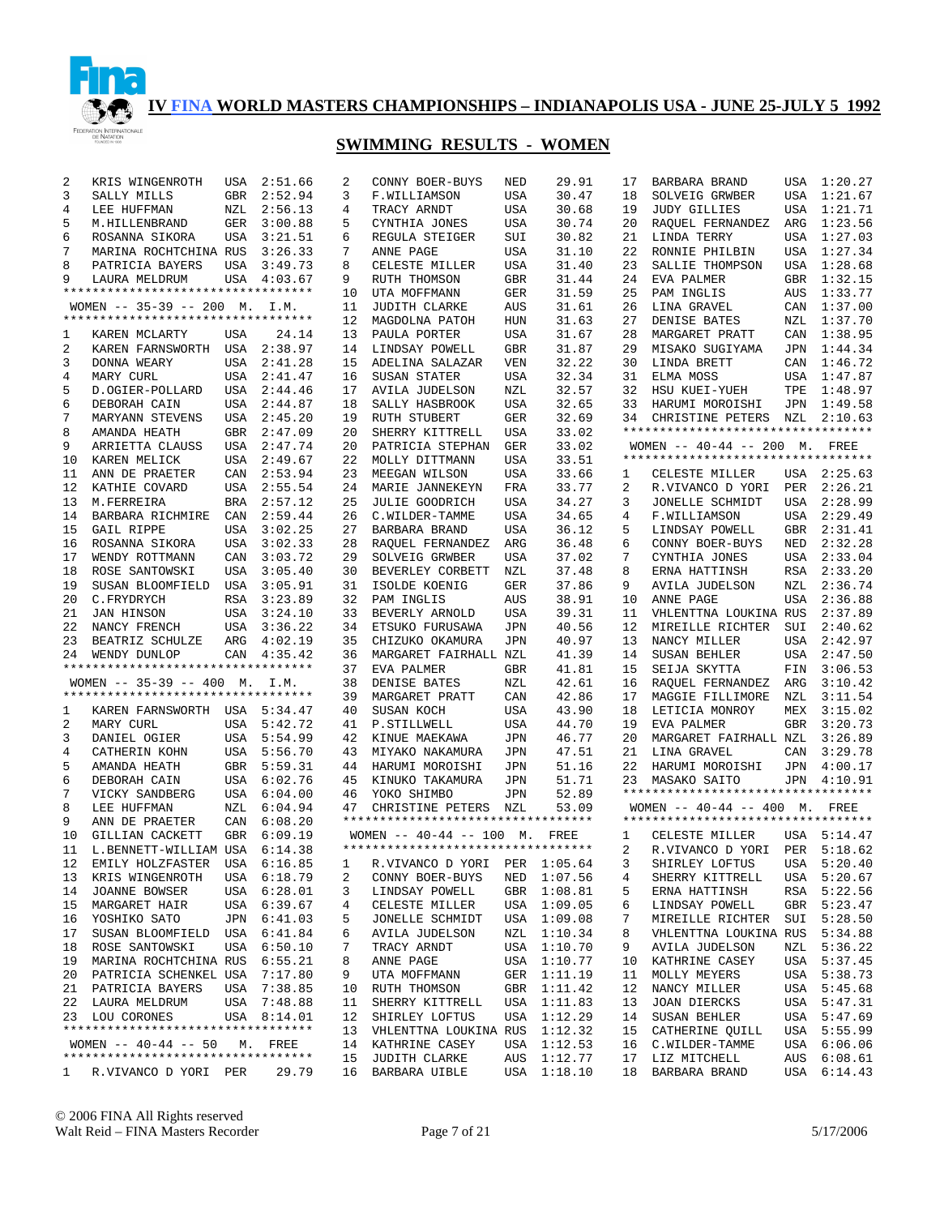

## **SWIMMING RESULTS - WOMEN**

| 2  | KRIS WINGENROTH                    | USA        | 2:51.66     | 2              | CONNY BOER-BUYS                    | NED        | 29.91       | 17             | BARBARA BRAND                         |     | USA 1:20.27 |
|----|------------------------------------|------------|-------------|----------------|------------------------------------|------------|-------------|----------------|---------------------------------------|-----|-------------|
| 3  | SALLY MILLS                        | GBR        | 2:52.94     | 3              | F.WILLIAMSON                       | USA        | 30.47       | 18             | SOLVEIG GRWBER                        | USA | 1:21.67     |
| 4  | LEE HUFFMAN                        | NZL        | 2:56.13     | 4              | TRACY ARNDT                        | USA        | 30.68       | 19             | <b>JUDY GILLIES</b>                   | USA | 1:21.71     |
| 5  | M.HILLENBRAND                      | GER        | 3:00.88     | 5              | CYNTHIA JONES                      | USA        | 30.74       | 20             | RAQUEL FERNANDEZ                      | ARG | 1:23.56     |
| 6  | ROSANNA SIKORA                     | USA        | 3:21.51     | 6              | REGULA STEIGER                     | SUI        | 30.82       | 21             | LINDA TERRY                           |     | USA 1:27.03 |
| 7  | MARINA ROCHTCHINA RUS              |            | 3:26.33     | 7              | ANNE PAGE                          | USA        | 31.10       | 22             | RONNIE PHILBIN                        |     | USA 1:27.34 |
| 8  | PATRICIA BAYERS                    | USA        | 3:49.73     | 8              | CELESTE MILLER                     | USA        | 31.40       | 23             | SALLIE THOMPSON                       |     | USA 1:28.68 |
| 9  | LAURA MELDRUM                      |            | USA 4:03.67 | 9              | RUTH THOMSON                       | <b>GBR</b> | 31.44       | 24             | EVA PALMER                            | GBR | 1:32.15     |
|    | ********************************** |            |             | 10             | UTA MOFFMANN                       | GER        | 31.59       | 25             | PAM INGLIS                            | AUS | 1:33.77     |
|    | WOMEN $-- 35-39 -- 200$ M. I.M.    |            |             | 11             | <b>JUDITH CLARKE</b>               | AUS        | 31.61       | 26             | LINA GRAVEL                           |     | CAN 1:37.00 |
|    | ********************************** |            |             | 12             | MAGDOLNA PATOH                     | HUN        | 31.63       | 27             | DENISE BATES                          | NZL | 1:37.70     |
| 1  | KAREN MCLARTY                      | USA        | 24.14       | 13             | PAULA PORTER                       | USA        | 31.67       | 28             | MARGARET PRATT                        |     | CAN 1:38.95 |
| 2  | KAREN FARNSWORTH USA 2:38.97       |            |             | 14             | LINDSAY POWELL                     | <b>GBR</b> | 31.87       | 29             | MISAKO SUGIYAMA                       |     | JPN 1:44.34 |
| 3  | DONNA WEARY                        | USA        | 2:41.28     | 15             | ADELINA SALAZAR                    | VEN        | 32.22       | 30             | LINDA BRETT                           |     | CAN 1:46.72 |
| 4  | MARY CURL                          |            | USA 2:41.47 | 16             | SUSAN STATER                       | USA        | 32.34       | 31             | ELMA MOSS                             |     | USA 1:47.87 |
| 5  | D.OGIER-POLLARD                    |            | USA 2:44.46 | 17             | <b>AVILA JUDELSON</b>              | NZL        | 32.57       | 32             | HSU KUEI-YUEH                         | TPE | 1:48.97     |
| 6  | DEBORAH CAIN                       | USA        | 2:44.87     | 18             | SALLY HASBROOK                     | USA        | 32.65       | 33             | HARUMI MOROISHI                       |     | JPN 1:49.58 |
| 7  | MARYANN STEVENS                    | USA        | 2:45.20     | 19             | <b>RUTH STUBERT</b>                | GER        | 32.69       | 34             | CHRISTINE PETERS NZL                  |     | 2:10.63     |
| 8  | AMANDA HEATH                       | <b>GBR</b> | 2:47.09     | 20             | SHERRY KITTRELL                    | USA        | 33.02       |                | **********************************    |     |             |
| 9  | ARRIETTA CLAUSS                    |            | USA 2:47.74 | 20             | PATRICIA STEPHAN                   | <b>GER</b> | 33.02       |                | WOMEN -- 40-44 -- 200 M. FREE         |     |             |
| 10 | KAREN MELICK                       |            | USA 2:49.67 | 22             | MOLLY DITTMANN                     | USA        | 33.51       |                | **********************************    |     |             |
| 11 | ANN DE PRAETER                     | CAN        | 2:53.94     | 23             | MEEGAN WILSON                      | USA        | 33.66       | 1              | CELESTE MILLER                        |     | USA 2:25.63 |
| 12 | KATHIE COVARD                      |            | USA 2:55.54 | 24             | MARIE JANNEKEYN                    | FRA        | 33.77       | 2              | R.VIVANCO D YORI                      | PER | 2:26.21     |
| 13 | M.FERREIRA                         |            | BRA 2:57.12 | 25             | <b>JULIE GOODRICH</b>              | USA        | 34.27       | 3              | JONELLE SCHMIDT                       | USA | 2:28.99     |
| 14 | BARBARA RICHMIRE                   | CAN        | 2:59.44     | 26             | C. WILDER-TAMME                    | USA        | 34.65       | 4              | F.WILLIAMSON                          | USA | 2:29.49     |
| 15 | GAIL RIPPE                         |            | USA 3:02.25 | 27             | BARBARA BRAND                      | USA        | 36.12       | 5              | LINDSAY POWELL                        | GBR | 2:31.41     |
| 16 | ROSANNA SIKORA                     | USA        | 3:02.33     | 28             | RAQUEL FERNANDEZ                   | ARG        | 36.48       | 6              | CONNY BOER-BUYS                       | NED | 2:32.28     |
| 17 | WENDY ROTTMANN                     | CAN        | 3:03.72     | 29             | SOLVEIG GRWBER                     | USA        | 37.02       | 7              | CYNTHIA JONES                         | USA | 2:33.04     |
| 18 | ROSE SANTOWSKI                     |            | USA 3:05.40 | 30             | BEVERLEY CORBETT                   | NZL        | 37.48       | 8              | ERNA HATTINSH                         | RSA | 2:33.20     |
| 19 | SUSAN BLOOMFIELD                   |            | USA 3:05.91 | 31             | ISOLDE KOENIG                      | GER        | 37.86       | 9              | <b>AVILA JUDELSON</b>                 | NZL | 2:36.74     |
| 20 | C.FRYDRYCH                         |            | RSA 3:23.89 | 32             | PAM INGLIS                         | AUS        | 38.91       | 10             | ANNE PAGE                             | USA | 2:36.88     |
| 21 | JAN HINSON                         |            | USA 3:24.10 | 33             | BEVERLY ARNOLD                     | USA        | 39.31       | 11             | VHLENTTNA LOUKINA RUS                 |     | 2:37.89     |
| 22 | NANCY FRENCH                       |            | USA 3:36.22 | 34             | ETSUKO FURUSAWA                    | JPN        | 40.56       | 12             | MIREILLE RICHTER                      | SUI | 2:40.62     |
| 23 | BEATRIZ SCHULZE                    |            | ARG 4:02.19 | 35             | CHIZUKO OKAMURA                    | JPN        | 40.97       | 13             | NANCY MILLER                          |     | USA 2:42.97 |
| 24 | WENDY DUNLOP                       |            | CAN 4:35.42 | 36             | MARGARET FAIRHALL NZL              |            | 41.39       | 14             | SUSAN BEHLER                          | USA | 2:47.50     |
|    | ********************************** |            |             | 37             | EVA PALMER                         | <b>GBR</b> | 41.81       | 15             | SEIJA SKYTTA                          |     | FIN 3:06.53 |
|    | WOMEN -- 35-39 -- 400 M. I.M.      |            |             | 38             | DENISE BATES                       | NZL        | 42.61       | 16             | RAQUEL FERNANDEZ                      | ARG | 3:10.42     |
|    | ********************************** |            |             | 39             | MARGARET PRATT                     | CAN        | 42.86       | 17             | MAGGIE FILLIMORE                      | NZL | 3:11.54     |
| 1  | KAREN FARNSWORTH USA 5:34.47       |            |             | 40             | SUSAN KOCH                         | USA        | 43.90       | 18             | LETICIA MONROY                        | MEX | 3:15.02     |
| 2  | MARY CURL                          |            | USA 5:42.72 | 41             | P.STILLWELL                        | USA        | 44.70       | 19             | EVA PALMER                            | GBR | 3:20.73     |
| 3  | DANIEL OGIER                       |            | USA 5:54.99 | 42             | KINUE MAEKAWA                      | JPN        | 46.77       | 20             | MARGARET FAIRHALL NZL                 |     | 3:26.89     |
| 4  | CATHERIN KOHN                      |            | USA 5:56.70 | 43             | MIYAKO NAKAMURA                    | JPN        | 47.51       | 21             | LINA GRAVEL                           | CAN | 3:29.78     |
| 5  | AMANDA HEATH                       |            | GBR 5:59.31 | 44             | HARUMI MOROISHI                    | JPN        | 51.16       | 22             | HARUMI MOROISHI                       | JPN | 4:00.17     |
| 6  | DEBORAH CAIN                       |            | USA 6:02.76 | 45             | KINUKO TAKAMURA                    | JPN        | 51.71       | 23             | MASAKO SAITO                          | JPN | 4:10.91     |
| 7  | VICKY SANDBERG                     |            | USA 6:04.00 | 46             | YOKO SHIMBO                        | JPN        | 52.89       |                | **********************************    |     |             |
| 8  | LEE HUFFMAN                        |            | NZL 6:04.94 | 47             | CHRISTINE PETERS NZL               |            | 53.09       |                | WOMEN $- - 40 - 44$ $- - 400$ M. FREE |     |             |
| 9  | ANN DE PRAETER                     | CAN        | 6:08.20     |                | ********************************** |            |             |                | **********************************    |     |             |
| 10 | GILLIAN CACKETT                    |            | GBR 6:09.19 |                | WOMEN $-- 40-44 -- 100$ M.         |            | FREE        | 1              | CELESTE MILLER                        |     | USA 5:14.47 |
| 11 | L.BENNETT-WILLIAM USA 6:14.38      |            |             |                | ********************************** |            |             | $\overline{a}$ | R.VIVANCO D YORI PER 5:18.62          |     |             |
| 12 | EMILY HOLZFASTER USA 6:16.85       |            |             | $\overline{1}$ | R.VIVANCO D YORI PER 1:05.64       |            |             | 3              | SHIRLEY LOFTUS USA 5:20.40            |     |             |
| 13 | KRIS WINGENROTH                    |            | USA 6:18.79 | 2              | CONNY BOER-BUYS                    |            | NED 1:07.56 | 4              | SHERRY KITTRELL                       |     | USA 5:20.67 |
| 14 | JOANNE BOWSER                      |            | USA 6:28.01 | 3              | LINDSAY POWELL                     |            | GBR 1:08.81 | 5              | ERNA HATTINSH                         |     | RSA 5:22.56 |
| 15 | MARGARET HAIR                      |            | USA 6:39.67 | 4              | CELESTE MILLER                     | USA        | 1:09.05     | 6              | LINDSAY POWELL                        | GBR | 5:23.47     |
| 16 | YOSHIKO SATO                       |            | JPN 6:41.03 | 5              | JONELLE SCHMIDT                    |            | USA 1:09.08 | 7              | MIREILLE RICHTER                      |     | SUI 5:28.50 |
| 17 | SUSAN BLOOMFIELD                   |            | USA 6:41.84 | 6              | AVILA JUDELSON                     | NZL        | 1:10.34     | 8              | VHLENTTNA LOUKINA RUS                 |     | 5:34.88     |
| 18 | ROSE SANTOWSKI                     |            | USA 6:50.10 | 7              | TRACY ARNDT                        |            | USA 1:10.70 | 9              | <b>AVILA JUDELSON</b>                 | NZL | 5:36.22     |
| 19 | MARINA ROCHTCHINA RUS              |            | 6:55.21     | 8              | ANNE PAGE                          |            | USA 1:10.77 | 10             | KATHRINE CASEY                        |     | USA 5:37.45 |
| 20 | PATRICIA SCHENKEL USA              |            | 7:17.80     | 9              | UTA MOFFMANN                       |            | GER 1:11.19 | 11             | MOLLY MEYERS                          |     | USA 5:38.73 |
| 21 | PATRICIA BAYERS                    | USA        | 7:38.85     | 10             | RUTH THOMSON                       |            | GBR 1:11.42 | 12             | NANCY MILLER                          |     | USA 5:45.68 |
| 22 | LAURA MELDRUM                      | USA        | 7:48.88     | 11             | SHERRY KITTRELL                    | USA        | 1:11.83     | 13             | JOAN DIERCKS                          |     | USA 5:47.31 |
|    | 23 LOU CORONES                     |            | USA 8:14.01 | 12             | SHIRLEY LOFTUS                     | USA        | 1:12.29     | 14             | SUSAN BEHLER                          |     | USA 5:47.69 |
|    | ********************************** |            |             | 13             | VHLENTTNA LOUKINA RUS              |            | 1:12.32     | 15             | CATHERINE QUILL                       | USA | 5:55.99     |
|    | WOMEN $--$ 40-44 $--$ 50           |            | M. FREE     | 14             | KATHRINE CASEY                     | USA        | 1:12.53     | 16             | C.WILDER-TAMME                        |     | USA 6:06.06 |
|    | *********************************  |            |             | 15             | JUDITH CLARKE                      | AUS        | 1:12.77     | 17             | LIZ MITCHELL                          | AUS | 6:08.61     |
| 1. | R.VIVANCO D YORI PER               |            | 29.79       | 16             | BARBARA UIBLE                      | USA        | 1:18.10     | 18             | BARBARA BRAND                         | USA | 6:14.43     |

© 2006 FINA All Rights reserved Walt Reid – FINA Masters Recorder Page 7 of 21 5/17/2006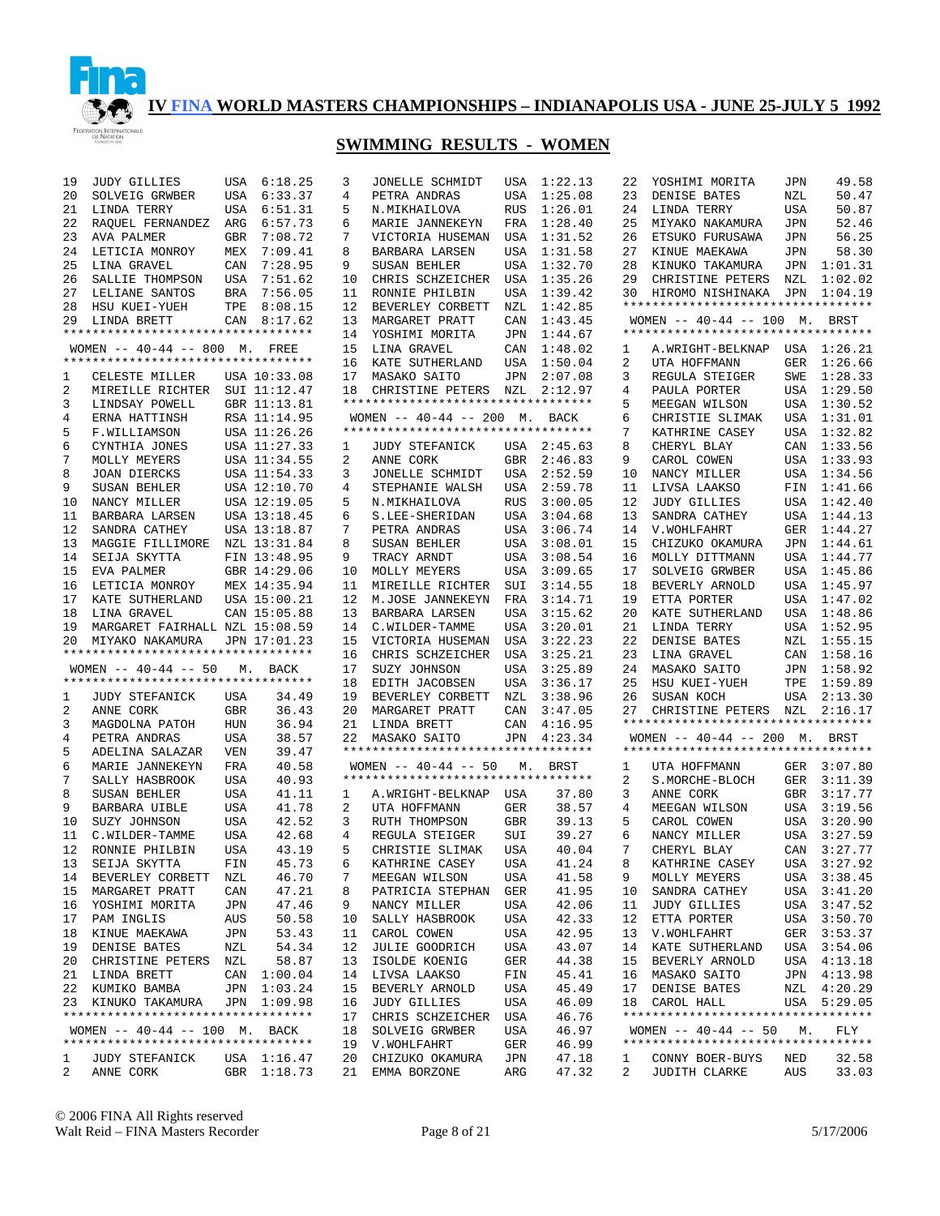

| 19           | <b>JUDY GILLIES</b>                | USA        | 6:18.25      | 3  | JONELLE SCHMIDT                    | USA        | 1:22.13 | 22 | YOSHIMI MORITA                     | JPN        | 49.58       |
|--------------|------------------------------------|------------|--------------|----|------------------------------------|------------|---------|----|------------------------------------|------------|-------------|
| 20           | SOLVEIG GRWBER                     | USA        | 6:33.37      | 4  | PETRA ANDRAS                       | USA        | 1:25.08 | 23 | DENISE BATES                       | NZL        | 50.47       |
| 21           | LINDA TERRY                        | USA        | 6:51.31      | 5  | N.MIKHAILOVA                       | <b>RUS</b> | 1:26.01 | 24 | LINDA TERRY                        | USA        | 50.87       |
| 22           | RAQUEL FERNANDEZ                   | ARG        | 6:57.73      | 6  | MARIE JANNEKEYN                    | FRA        | 1:28.40 | 25 | MIYAKO NAKAMURA                    | JPN        | 52.46       |
|              |                                    |            |              |    |                                    |            |         |    |                                    |            |             |
| 23           | AVA PALMER                         | GBR        | 7:08.72      | 7  | VICTORIA HUSEMAN                   | USA        | 1:31.52 | 26 | ETSUKO FURUSAWA                    | JPN        | 56.25       |
| 24           | LETICIA MONROY                     | MEX        | 7:09.41      | 8  | <b>BARBARA LARSEN</b>              | USA        | 1:31.58 | 27 | KINUE MAEKAWA                      | JPN        | 58.30       |
| 25           | LINA GRAVEL                        | CAN        | 7:28.95      | 9  | SUSAN BEHLER                       | USA        | 1:32.70 | 28 | KINUKO TAKAMURA                    | JPN        | 1:01.31     |
| 26           | SALLIE THOMPSON                    | USA        | 7:51.62      | 10 | CHRIS SCHZEICHER                   | USA        | 1:35.26 | 29 | CHRISTINE PETERS                   | NZL        | 1:02.02     |
| 27           | LELIANE SANTOS                     | BRA        | 7:56.05      | 11 | RONNIE PHILBIN                     | USA        | 1:39.42 | 30 | HIROMO NISHINAKA                   | JPN        | 1:04.19     |
|              |                                    |            |              |    |                                    |            |         |    |                                    |            |             |
| 28           | HSU KUEI-YUEH                      | TPE        | 8:08.15      | 12 | BEVERLEY CORBETT                   | NZL        | 1:42.85 |    | ********************************** |            |             |
| 29           | LINDA BRETT                        | CAN        | 8:17.62      | 13 | MARGARET PRATT                     | CAN        | 1:43.45 |    | WOMEN $-- 40-44 -- 100$ M.         |            | BRST        |
|              | ********************************** |            |              | 14 | YOSHIMI MORITA                     | JPN        | 1:44.67 |    | ********************************** |            |             |
|              | WOMEN $-- 40-44 -- 800$ M. FREE    |            |              | 15 | LINA GRAVEL                        | CAN        | 1:48.02 | 1  | A. WRIGHT-BELKNAP                  |            | USA 1:26.21 |
|              | ********************************** |            |              |    |                                    |            |         |    |                                    |            |             |
|              |                                    |            |              | 16 | KATE SUTHERLAND                    | USA        | 1:50.04 | 2  | UTA HOFFMANN                       | GER        | 1:26.66     |
| 1            | CELESTE MILLER                     |            | USA 10:33.08 | 17 | MASAKO SAITO                       | JPN        | 2:07.08 | 3  | REGULA STEIGER                     | SWE        | 1:28.33     |
| 2            | MIREILLE RICHTER                   |            | SUI 11:12.47 | 18 | CHRISTINE PETERS                   | NZL        | 2:12.97 | 4  | PAULA PORTER                       | USA        | 1:29.50     |
| 3            | LINDSAY POWELL                     |            | GBR 11:13.81 |    | ********************************** |            |         | 5  | MEEGAN WILSON                      | USA        | 1:30.52     |
| 4            | ERNA HATTINSH                      |            | RSA 11:14.95 |    | WOMEN -- 40-44 -- 200 M. BACK      |            |         | 6  | CHRISTIE SLIMAK                    | USA        | 1:31.01     |
|              |                                    |            |              |    |                                    |            |         |    |                                    |            |             |
| 5            | F.WILLIAMSON                       |            | USA 11:26.26 |    | *********************************  |            |         | 7  | KATHRINE CASEY                     | <b>USA</b> | 1:32.82     |
| 6            | CYNTHIA JONES                      |            | USA 11:27.33 | 1  | <b>JUDY STEFANICK</b>              | USA        | 2:45.63 | 8  | CHERYL BLAY                        | CAN        | 1:33.56     |
| 7            | MOLLY MEYERS                       |            | USA 11:34.55 | 2  | ANNE CORK                          | GBR        | 2:46.83 | 9  | CAROL COWEN                        | USA        | 1:33.93     |
| 8            | <b>JOAN DIERCKS</b>                |            | USA 11:54.33 | 3  | JONELLE SCHMIDT                    | USA        | 2:52.59 | 10 | NANCY MILLER                       | <b>USA</b> | 1:34.56     |
|              |                                    |            |              |    |                                    |            |         |    |                                    |            |             |
| 9            | SUSAN BEHLER                       |            | USA 12:10.70 | 4  | STEPHANIE WALSH                    | USA        | 2:59.78 | 11 | LIVSA LAAKSO                       | FIN        | 1:41.66     |
| 10           | NANCY MILLER                       |            | USA 12:19.05 | 5  | N. MIKHAILOVA                      | <b>RUS</b> | 3:00.05 | 12 | <b>JUDY GILLIES</b>                | <b>USA</b> | 1:42.40     |
| 11           | BARBARA LARSEN                     |            | USA 13:18.45 | 6  | S.LEE-SHERIDAN                     | USA        | 3:04.68 | 13 | SANDRA CATHEY                      | <b>USA</b> | 1:44.13     |
| 12           | SANDRA CATHEY                      |            | USA 13:18.87 | 7  | PETRA ANDRAS                       | USA        | 3:06.74 | 14 | V. WOHLFAHRT                       | <b>GER</b> | 1:44.27     |
| 13           |                                    |            |              | 8  |                                    |            |         | 15 | CHIZUKO OKAMURA                    |            |             |
|              | MAGGIE FILLIMORE                   |            | NZL 13:31.84 |    | SUSAN BEHLER                       | USA        | 3:08.01 |    |                                    | JPN        | 1:44.61     |
| 14           | SEIJA SKYTTA                       |            | FIN 13:48.95 | 9  | TRACY ARNDT                        | USA        | 3:08.54 | 16 | MOLLY DITTMANN                     | USA        | 1:44.77     |
| 15           | EVA PALMER                         |            | GBR 14:29.06 | 10 | MOLLY MEYERS                       | USA        | 3:09.65 | 17 | SOLVEIG GRWBER                     | USA        | 1:45.86     |
| 16           | LETICIA MONROY                     |            | MEX 14:35.94 | 11 | MIREILLE RICHTER                   | SUI        | 3:14.55 | 18 | BEVERLY ARNOLD                     | USA        | 1:45.97     |
| 17           | KATE SUTHERLAND                    |            | USA 15:00.21 | 12 | M.JOSE JANNEKEYN                   | FRA        | 3:14.71 | 19 | ETTA PORTER                        | USA        | 1:47.02     |
|              |                                    |            |              |    |                                    |            |         |    |                                    |            |             |
| 18           | LINA GRAVEL                        |            | CAN 15:05.88 | 13 | BARBARA LARSEN                     | USA        | 3:15.62 | 20 | KATE SUTHERLAND                    | USA        | 1:48.86     |
| 19           | MARGARET FAIRHALL NZL 15:08.59     |            |              | 14 | C.WILDER-TAMME                     | USA        | 3:20.01 | 21 | LINDA TERRY                        | USA        | 1:52.95     |
| 20           | MIYAKO NAKAMURA                    |            | JPN 17:01.23 | 15 | VICTORIA HUSEMAN                   | USA        | 3:22.23 | 22 | DENISE BATES                       | NZL        | 1:55.15     |
|              | ********************************** |            |              | 16 | CHRIS SCHZEICHER                   | USA        | 3:25.21 | 23 | LINA GRAVEL                        | CAN        | 1:58.16     |
|              | WOMEN $--$ 40-44 -- 50             |            | BACK         | 17 | SUZY JOHNSON                       | USA        | 3:25.89 | 24 | MASAKO SAITO                       | JPN        | 1:58.92     |
|              |                                    | М.         |              |    |                                    |            |         |    |                                    |            |             |
|              | *********************************  |            |              | 18 | EDITH JACOBSEN                     | USA        | 3:36.17 | 25 | HSU KUEI-YUEH                      | TPE        | 1:59.89     |
| 1            | <b>JUDY STEFANICK</b>              | USA        | 34.49        | 19 | BEVERLEY CORBETT                   | NZL        | 3:38.96 | 26 | SUSAN KOCH                         | USA        | 2:13.30     |
| 2            | ANNE CORK                          | <b>GBR</b> | 36.43        | 20 | MARGARET PRATT                     | CAN        | 3:47.05 | 27 | CHRISTINE PETERS NZL               |            | 2:16.17     |
| 3            | MAGDOLNA PATOH                     | HUN        | 36.94        | 21 | LINDA BRETT                        | CAN        | 4:16.95 |    | ********************************** |            |             |
| 4            | PETRA ANDRAS                       | USA        | 38.57        | 22 | MASAKO SAITO                       | JPN        | 4:23.34 |    | WOMEN $-- 40-44 -- 200$ M.         |            | BRST        |
|              |                                    |            |              |    |                                    |            |         |    |                                    |            |             |
| 5            | ADELINA SALAZAR                    | <b>VEN</b> | 39.47        |    | ********************************** |            |         |    | ********************************** |            |             |
| 6            | MARIE JANNEKEYN                    | FRA        | 40.58        |    | WOMEN $--$ 40-44 $--$ 50           | М.         | BRST    | 1  | UTA HOFFMANN                       | GER        | 3:07.80     |
| 7            | SALLY HASBROOK                     | USA        | 40.93        |    | *********************************  |            |         | 2  | S. MORCHE-BLOCH                    | GER        | 3:11.39     |
| 8            | SUSAN BEHLER                       | <b>USA</b> | 41.11        | 1  | A. WRIGHT-BELKNAP                  | USA        | 37.80   | 3  | ANNE CORK                          | <b>GBR</b> | 3:17.77     |
| 9            |                                    | <b>USA</b> | 41.78        |    | UTA HOFFMANN                       | GER        | 38.57   |    |                                    | USA        | 3:19.56     |
|              | BARBARA UIBLE                      |            |              | 2  |                                    |            |         | 4  | MEEGAN WILSON                      |            |             |
| 10           | SUZY JOHNSON                       | <b>USA</b> | 42.52        | 3  | RUTH THOMPSON                      | <b>GBR</b> | 39.13   | 5  | CAROL COWEN                        | USA        | 3:20.90     |
| 11           | C.WILDER-TAMME                     | <b>USA</b> | 42.68        | 4  | REGULA STEIGER                     | SUI        | 39.27   | 6  | NANCY MILLER                       | USA        | 3:27.59     |
| 12           | RONNIE PHILBIN                     | <b>USA</b> | 43.19        | 5  | CHRISTIE SLIMAK                    | <b>USA</b> | 40.04   | 7  | CHERYL BLAY                        | CAN        | 3:27.77     |
| 13           |                                    |            | 45.73        | 6  |                                    | USA        | 41.24   | 8  |                                    |            | USA 3:27.92 |
|              | SEIJA SKYTTA                       | FIN        |              |    | KATHRINE CASEY                     |            |         |    | KATHRINE CASEY                     |            |             |
| 14           | BEVERLEY CORBETT                   | NZL        | 46.70        | 7  | MEEGAN WILSON                      | USA        | 41.58   | 9  | MOLLY MEYERS                       |            | USA 3:38.45 |
| 15           | MARGARET PRATT                     | CAN        | 47.21        | 8  | PATRICIA STEPHAN                   | GER        | 41.95   | 10 | SANDRA CATHEY                      | USA        | 3:41.20     |
| 16           | YOSHIMI MORITA                     | JPN        | 47.46        | 9  | NANCY MILLER                       | USA        | 42.06   | 11 | <b>JUDY GILLIES</b>                | USA        | 3:47.52     |
| 17           | PAM INGLIS                         | AUS        | 50.58        | 10 | SALLY HASBROOK                     | USA        | 42.33   | 12 | ETTA PORTER                        | USA        | 3:50.70     |
| 18           | KINUE MAEKAWA                      | JPN        | 53.43        | 11 | CAROL COWEN                        | USA        | 42.95   | 13 | V. WOHLFAHRT                       | GER        | 3:53.37     |
|              |                                    |            |              |    |                                    |            |         |    |                                    |            |             |
| 19           | DENISE BATES                       | NZL        | 54.34        | 12 | JULIE GOODRICH                     | USA        | 43.07   | 14 | KATE SUTHERLAND                    | USA        | 3:54.06     |
| 20           | CHRISTINE PETERS                   | NZL        | 58.87        | 13 | ISOLDE KOENIG                      | GER        | 44.38   | 15 | BEVERLY ARNOLD                     |            | USA 4:13.18 |
| 21           | LINDA BRETT                        |            | CAN 1:00.04  | 14 | LIVSA LAAKSO                       | FIN        | 45.41   | 16 | MASAKO SAITO                       |            | JPN 4:13.98 |
|              | 22 KUMIKO BAMBA                    |            | JPN 1:03.24  | 15 | BEVERLY ARNOLD                     | USA        | 45.49   | 17 | DENISE BATES                       |            | NZL 4:20.29 |
|              |                                    |            | JPN 1:09.98  |    |                                    |            |         |    |                                    |            |             |
|              | 23 KINUKO TAKAMURA                 |            |              | 16 | JUDY GILLIES                       | USA        | 46.09   | 18 | CAROL HALL                         |            | USA 5:29.05 |
|              | ********************************** |            |              | 17 | CHRIS SCHZEICHER                   | USA        | 46.76   |    | ********************************** |            |             |
|              | WOMEN -- 40-44 -- 100 M. BACK      |            |              | 18 | SOLVEIG GRWBER                     | USA        | 46.97   |    | WOMEN $-- 40-44 -- 50$             | М.         | FLY         |
|              | ********************************** |            |              | 19 | V. WOHLFAHRT                       | GER        | 46.99   |    | ********************************** |            |             |
| 1            | <b>JUDY STEFANICK</b>              |            | USA 1:16.47  | 20 | CHIZUKO OKAMURA                    | JPN        | 47.18   | ı  | CONNY BOER-BUYS                    | NED        | 32.58       |
| $\mathbf{2}$ | ANNE CORK                          |            | GBR 1:18.73  | 21 | EMMA BORZONE                       | ARG        | 47.32   | 2  | JUDITH CLARKE                      | AUS        | 33.03       |
|              |                                    |            |              |    |                                    |            |         |    |                                    |            |             |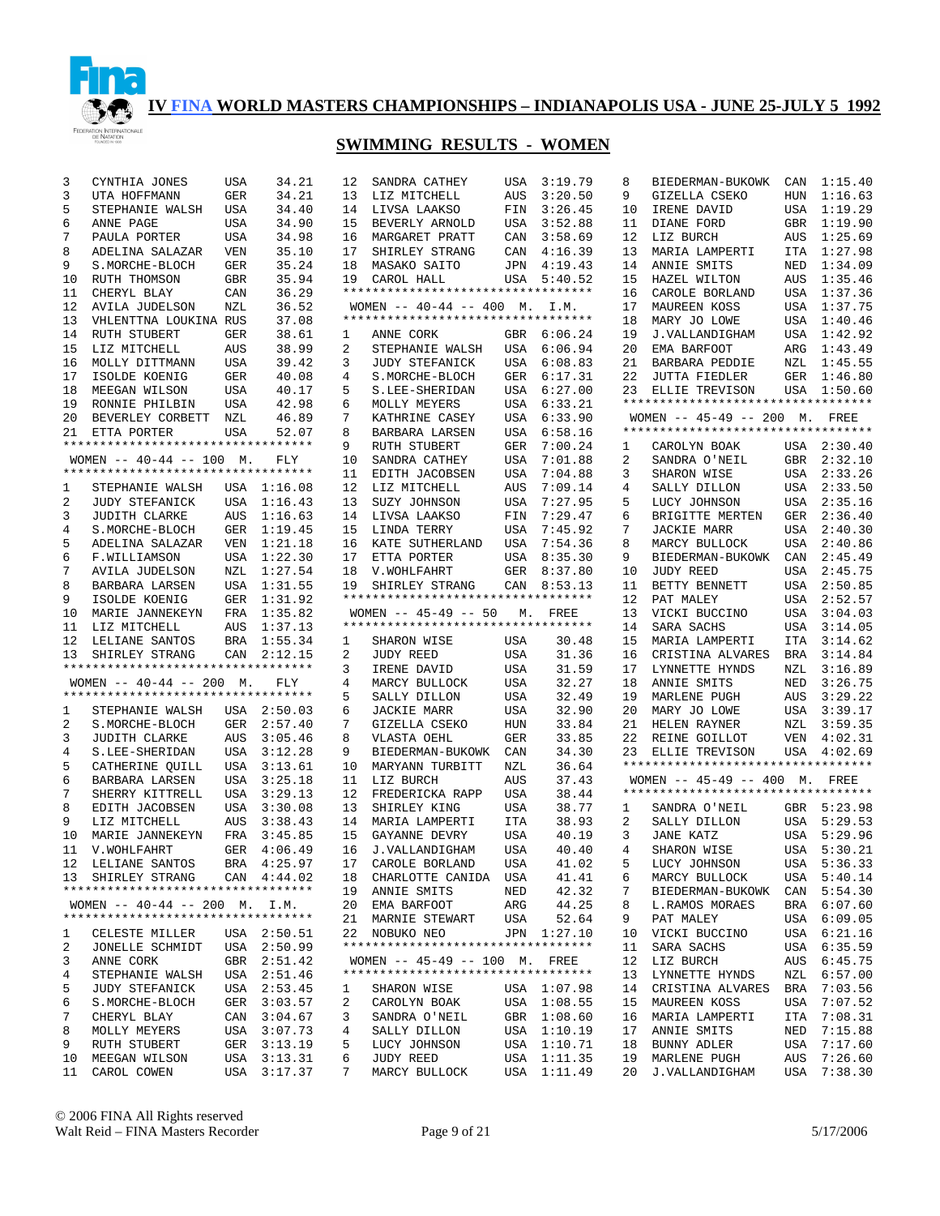

| 3            | CYNTHIA JONES                                                  | USA        | 34.21              | 12              | SANDRA CATHEY              |
|--------------|----------------------------------------------------------------|------------|--------------------|-----------------|----------------------------|
| 3            | UTA HOFFMANN                                                   | GER        | 34.21              | 13              | LIZ MITCHELL               |
| 5            | STEPHANIE WALSH                                                | USA        | 34.40              | 14              | LIVSA LAAKSO               |
| 6            | ANNE PAGE                                                      | USA        | 34.90              | 15              | BEVERLY ARNOLD             |
| 7            | PAULA PORTER                                                   | USA        | 34.98              | 16              | MARGARET PRATT             |
| 8            | ADELINA SALAZAR                                                | <b>VEN</b> | 35.10              | 17              | SHIRLEY STRANG             |
| 9            | S. MORCHE-BLOCH                                                | GER        | 35.24              | 18              | MASAKO SAITO               |
| 10           | RUTH THOMSON                                                   | GBR        | 35.94              | 19              | CAROL HALL                 |
| 11           | CHERYL BLAY                                                    | CAN        | 36.29              |                 | *********************      |
| 12           | AVILA JUDELSON                                                 | NZL        | 36.52              |                 | WOMEN -- 40-44 -- 40       |
| 13           | VHLENTTNA LOUKINA RUS                                          |            | 37.08              |                 | *********************      |
|              |                                                                | <b>GER</b> |                    |                 |                            |
| 14           | RUTH STUBERT                                                   |            | 38.61              | $\mathbf{1}$    | ANNE CORK                  |
| 15           | LIZ MITCHELL                                                   | AUS        | 38.99              | $\mathbf{2}$    | STEPHANIE WALSH            |
| 16           | MOLLY DITTMANN                                                 | USA        | 39.42              | $\mathbf{3}$    | <b>JUDY STEFANICK</b>      |
| 17           | ISOLDE KOENIG                                                  | GER        | 40.08              | $4\overline{ }$ | S. MORCHE-BLOCH            |
| 18           | MEEGAN WILSON                                                  | USA        | 40.17              | 5               | S.LEE-SHERIDAN             |
| 19           | RONNIE PHILBIN                                                 | USA        | 42.98              | 6               | MOLLY MEYERS               |
| 20           | BEVERLEY CORBETT                                               | NZL        | 46.89              | 7               | KATHRINE CASEY             |
| 21           | ETTA PORTER                                                    | USA        | 52.07              | 8               | BARBARA LARSEN             |
|              | **********************************                             |            |                    | 9               | RUTH STUBERT               |
|              | WOMEN $--$ 40-44 $--$ 100 M.                                   |            | FLY                | 10              | SANDRA CATHEY              |
|              | **********************************                             |            |                    | 11              | EDITH JACOBSEN             |
| $\mathbf{1}$ | STEPHANIE WALSH                                                | USA        | 1:16.08            | 12              | LIZ MITCHELL               |
| 2            | <b>JUDY STEFANICK</b>                                          | USA        | 1:16.43            | 13              | SUZY JOHNSON               |
| 3            | <b>JUDITH CLARKE</b>                                           | AUS        | 1:16.63            | 14              | LIVSA LAAKSO               |
| 4            | S.MORCHE-BLOCH                                                 | GER        | 1:19.45            | 15              | LINDA TERRY                |
| 5            | ADELINA SALAZAR                                                | VEN        | 1:21.18            | 16              | KATE SUTHERLAND            |
| 6            | F.WILLIAMSON                                                   | USA        | 1:22.30            | 17              | ETTA PORTER                |
| 7            | AVILA JUDELSON                                                 | NZL        | 1:27.54            | 18              | V. WOHLFAHRT               |
| 8            | BARBARA LARSEN                                                 | USA        | 1:31.55            | 19              | SHIRLEY STRANG             |
| 9            | ISOLDE KOENIG                                                  | GER        | 1:31.92            |                 | *********************      |
| 10           | MARIE JANNEKEYN                                                | FRA        | 1:35.82            |                 | WOMEN $-- 45-49 -- 50$     |
| 11           | LIZ MITCHELL                                                   | AUS        | 1:37.13            |                 | *********************      |
| 12           | LELIANE SANTOS                                                 | BRA        | 1:55.34            | $\mathbf{1}$    | SHARON WISE                |
| 13           | SHIRLEY STRANG                                                 | CAN        | 2:12.15            | $\mathbf{2}$    | JUDY REED                  |
|              | *********************************                              |            |                    | 3               | IRENE DAVID                |
|              | WOMEN $-- 40-44 -- 200$ M.                                     |            | FLY                | 4               | MARCY BULLOCK              |
|              | **********************************                             |            |                    | 5               | SALLY DILLON               |
| $\mathbf{1}$ | STEPHANIE WALSH                                                | USA        | 2:50.03            | 6               | JACKIE MARR                |
| 2            | S.MORCHE-BLOCH                                                 | GER        | 2:57.40            | 7               | GIZELLA CSEKO              |
| 3            | JUDITH CLARKE                                                  | AUS        | 3:05.46            | 8               | VLASTA OEHL                |
| 4            | S.LEE-SHERIDAN                                                 | USA        | 3:12.28            | 9               | BIEDERMAN-BUKOWK           |
| 5            | CATHERINE QUILL                                                | USA        | 3:13.61            | 10              | MARYANN TURBITT            |
| 6            | BARBARA LARSEN                                                 | USA        | 3:25.18            | 11              | LIZ BURCH                  |
| 7            | SHERRY KITTRELL                                                | USA        | 3:29.13            | 12              | FREDERICKA RAPP            |
| 8            | EDITH JACOBSEN                                                 | USA        | 3:30.08            | 13              | SHIRLEY KING               |
| 9            | LIZ MITCHELL                                                   | AUS        | 3:38.43            | 14              | MARIA LAMPERTI             |
| 10           | MARIE JANNEKEYN                                                | FRA        | 3:45.85            | 15              | GAYANNE DEVRY              |
| 11           | V. WOHLFAHRT                                                   | GER        | 4:06.49            | 16              | J.VALLANDIGHAM             |
|              |                                                                |            |                    |                 |                            |
|              | 12 LELIANE SANTOS<br>SHIRLEY STRANG CAN 4:44.02                |            | BRA 4:25.97        |                 | 17 CAROLE BORLAND          |
| 13           | **********************************                             |            |                    | 18              | CHARLOTTE CANIDA           |
|              |                                                                |            |                    | 19              | ANNIE SMITS                |
|              | WOMEN -- 40-44 -- 200 M.<br>********************************** |            | I.M.               | 20              | EMA BARFOOT                |
|              |                                                                |            |                    | 21              | MARNIE STEWART             |
| 1            | CELESTE MILLER                                                 | USA        | 2:50.51            | 22              | NOBUKO NEO                 |
| 2            | JONELLE SCHMIDT                                                |            | USA 2:50.99        |                 |                            |
| 3            |                                                                |            | GBR 2:51.42        |                 | WOMEN $-- 45-49 -- 10$     |
|              | ANNE CORK                                                      |            |                    |                 |                            |
| 4            | STEPHANIE WALSH                                                |            | USA 2:51.46        |                 | *********************      |
| 5            | <b>JUDY STEFANICK</b>                                          |            | USA 2:53.45        | 1               | SHARON WISE                |
| 6            | S. MORCHE-BLOCH                                                | GER        | 3:03.57            | 2               | CAROLYN BOAK               |
| 7            | CHERYL BLAY                                                    |            | CAN 3:04.67        | 3               | SANDRA O'NEIL              |
| 8            | MOLLY MEYERS                                                   |            | USA 3:07.73        | 4               | SALLY DILLON               |
| 9            | RUTH STUBERT                                                   | GER        | 3:13.19            | 5               | LUCY JOHNSON               |
| 10<br>11     | MEEGAN WILSON<br>CAROL COWEN                                   | USA<br>USA | 3:13.31<br>3:17.37 | 6<br>7          | JUDY REED<br>MARCY BULLOCK |

| 12             | SANDRA CATHEY                      | USA        | 3:19.79            |
|----------------|------------------------------------|------------|--------------------|
| 13             | LIZ MITCHELL                       | AUS        | 3:20.50            |
| 14             | LIVSA LAAKSO                       | FIN        | 3:26.45            |
| 15             | BEVERLY ARNOLD                     | USA        | 3:52.88            |
|                |                                    |            |                    |
| 16             | MARGARET PRATT                     | CAN        | 3:58.69            |
| 17             | SHIRLEY STRANG                     | CAN        | 4:16.39            |
| 18             | MASAKO SAITO                       | JPN        | 4:19.43            |
| 19             | CAROL HALL                         | USA        | 5:40.52            |
|                | ********************************** |            |                    |
|                | WOMEN -- $40-44$ -- $400$ M. I.M.  |            |                    |
|                | ********************************** |            |                    |
| $\mathbf{1}$   | ANNE CORK                          | GBR        | 6:06.24            |
| $\overline{2}$ | STEPHANIE WALSH                    | USA        | 6:06.94            |
| 3              | JUDY STEFANICK                     | USA        | 6:08.83            |
| 4              | S. MORCHE-BLOCH                    | GER        | 6:17.31            |
| 5              | S.LEE-SHERIDAN                     | USA        | 6:27.00            |
| 6              | MOLLY MEYERS                       | USA        | 6:33.21            |
| 7              | KATHRINE CASEY                     | USA        | 6:33.90            |
| 8              | BARBARA LARSEN                     | USA        | 6:58.16            |
| 9              | <b>RUTH STUBERT</b>                | GER        | 7:00.24            |
| 10             | SANDRA CATHEY                      | USA        | 7:01.88            |
| 11             | EDITH JACOBSEN                     | USA        | 7:04.88            |
| 12             | LIZ MITCHELL                       | AUS        | 7:09.14            |
| 13             | SUZY JOHNSON                       | USA        | 7:27.95            |
| 14             | LIVSA<br>LAAKSO                    | FIN        | 7:29.47            |
| 15             | LINDA TERRY                        | USA        | 7:45.92            |
| 16             | KATE SUTHERLAND                    | USA        | 7:54.36            |
| 17             | ETTA PORTER                        | USA        | 8:35.30            |
| 18             | V.WOHLFAHRT                        | GER        | 8:37.80            |
| 19             | SHIRLEY STRANG                     | CAN        | 8:53.13            |
|                | ********************************** |            |                    |
|                | $WOMEN$ -- 45-49 -- 50 M.          |            |                    |
|                | ********************************** |            | FREE               |
|                |                                    |            |                    |
|                |                                    |            |                    |
| 1              | SHARON WISE                        | USA        | 30.48              |
| $\overline{2}$ | JUDY REED                          | USA        | 31.36              |
| 3              | IRENE DAVID                        | USA        | 31.59              |
| 4              | MARCY BULLOCK                      | USA        | 32.27              |
| 5              | SALLY DILLON                       | USA        | 32.49              |
| б              | <b>JACKIE MARR</b>                 | USA        | 32.90              |
| 7              | GIZELLA CSEKO                      | HUN        | 33.84              |
| 8              | VLASTA OEHL                        | GER        | 33.85              |
| 9              | BIEDERMAN-BUKOWK                   | CAN        | 34.30              |
| 10             | <b>MARYANN TURBITT</b>             | NZL        | 36.64              |
| 11             | LIZ BURCH                          | AUS        | 37.43              |
| 12             | FREDERICKA RAPP                    | USA        | 38.44              |
| 13             | SHIRLEY KING                       | USA        | 38.77              |
| 14             | MARIA LAMPERTI                     | ITA        | 38.93              |
| 15             | GAYANNE DEVRY                      | USA        | 40.19              |
| 16             | J.VALLANDIGHAM                     | USA        | 40.40              |
| 17             | CAROLE BORLAND                     | USA        | 41.02              |
|                | 18 CHARLOTTE CANIDA                | USA        | 41.41              |
| 19             | ANNIE SMITS                        | NED        | 42.32              |
| 20             | EMA BARFOOT                        | ARG        | 44.25              |
| 21             | MARNIE STEWART                     | USA        | 52.64              |
| $22^{\circ}$   | NOBUKO NEO                         |            | JPN 1:27.10        |
|                | ********************************** |            |                    |
|                | WOMEN -- 45-49 -- 100 M. FREE      |            |                    |
|                | ********************************** |            |                    |
| 1              | SHARON WISE                        |            | USA 1:07.98        |
| $\overline{2}$ | CAROLYN BOAK                       |            | 1:08.55            |
| 3              | SANDRA O'NEIL                      | USA<br>GBR | 1:08.60            |
| 4              | SALLY DILLON                       | USA        | 1:10.19            |
| 5              | LUCY JOHNSON                       | USA        | 1:10.71            |
| б              | JUDY REED                          | USA        | 1:11.35<br>1:11.49 |

| 8              | BIEDERMAN-BUKOWK CAN                |             | 1:15.40     |
|----------------|-------------------------------------|-------------|-------------|
| 9              | GIZELLA CSEKO                       | HUN         | 1:16.63     |
| 10             | IRENE DAVID                         | USA         | 1:19.29     |
| 11             | DIANE FORD                          | GBR         | 1:19.90     |
| 12             | LIZ BURCH                           | AUS         | 1:25.69     |
| 13             | MARIA LAMPERTI                      | ITA         | 1:27.98     |
|                |                                     |             |             |
| 14             | ANNIE SMITS                         | NED         | 1:34.09     |
| 15             | HAZEL WILTON                        | AUS         | 1:35.46     |
| 16             | CAROLE BORLAND                      | USA         | 1:37.36     |
| 17             | MAUREEN KOSS                        | USA         | 1:37.75     |
| 18             | MARY JO LOWE                        | USA         | 1:40.46     |
| 19             | J.VALLANDIGHAM                      | USA         | 1:42.92     |
| 20             | EMA BARFOOT                         | ARG         | 1:43.49     |
| 21             | BARBARA PEDDIE                      | ${\tt NZL}$ | 1:45.55     |
| 22             |                                     | GER         | 1:46.80     |
|                | JUTTA FIEDLER<br>ELLIE TREVISON USA |             |             |
| 23             | *********************************   |             | 1:50.60     |
|                |                                     |             |             |
|                | WOMEN -- 45-49 -- 200 M. FREE       |             |             |
|                | *********************************   |             |             |
| $\mathbf{1}$   | CAROLYN BOAK                        | USA         | 2:30.40     |
| $\overline{2}$ |                                     | GBR         | 2:32.10     |
| 3              | SANDRA O'NEIL<br>SHARON WISE        | USA         | 2:33.26     |
| 4              | SALLY DILLON                        | USA         | 2:33.50     |
|                | LUCY JOHNSON                        |             |             |
| 5              |                                     | USA         | 2:35.16     |
| б              | BRIGITTE MERTEN                     | GER         | 2:36.40     |
| 7              | JACKIE MARR                         | USA         | 2:40.30     |
| 8              | MARCY BULLOCK                       | USA         | 2:40.86     |
| 9              | BIEDERMAN-BUKOWK                    | CAN         | 2:45.49     |
| 10             | JUDY REED                           | USA         | 2:45.75     |
| 11             | BETTY BENNETT                       | USA         | 2:50.85     |
| 12             | PAT MALEY                           | USA         | 2:52.57     |
| 13             | VICKI BUCCINO                       | USA         | 3:04.03     |
|                |                                     |             |             |
| 14             | SARA SACHS                          | USA         | 3:14.05     |
| 15             | MARIA LAMPERTI                      | ITA         | 3:14.62     |
| 16             | CRISTINA ALVARES                    | BRA         | 3:14.84     |
| 17             | LYNNETTE HYNDS                      | NZL         | 3:16.89     |
| 18             | ANNIE SMITS                         | NED         | 3:26.75     |
| 19             | MARLENE PUGH                        | AUS         | 3:29.22     |
| 20             | MARY JO LOWE                        | USA         | 3:39.17     |
| 21             | HELEN RAYNER                        | NZL         | 3:59.35     |
|                |                                     |             |             |
| 22             | REINE GOILLOT                       | VEN         | 4:02.31     |
|                | 23 ELLIE TREVISON USA 4:02.69       |             |             |
|                | *********************************   |             |             |
|                | WOMEN -- 45-49 -- 400 M. FREE       |             |             |
|                | *********************************   |             |             |
|                | 1 SANDRA O'NEIL                     |             | GBR 5:23.98 |
| $\overline{a}$ | SALLY DILLON                        |             | 5:29.53     |
| 3              | JANE KATZ                           | USA<br>USA  | 5:29.96     |
| 4              | SHARON WISE                         | USA         | 5:30.21     |
|                |                                     |             |             |
| 5              | LUCY JOHNSON                        | USA         | 5:36.33     |
| 6              | MARCY BULLOCK                       | USA         | 5:40.14     |
| 7              | BIEDERMAN-BUKOWK                    | CAN         | 5:54.30     |
| 8              | L.RAMOS MORAES                      | BRA         | 6:07.60     |
| 9              | PAT MALEY                           | USA         | 6:09.05     |
| 10             | VICKI BUCCINO                       | USA         | 6:21.16     |
| 11             | SARA SACHS                          | USA         | 6:35.59     |
| 12             | LIZ BURCH                           | AUS         | 6:45.75     |
|                |                                     |             |             |
| 13             | LYNNETTE HYNDS                      | NZL         | 6:57.00     |
| 14             | CRISTINA ALVARES                    | BRA         | 7:03.56     |
| 15             | MAUREEN KOSS                        | USA         | 7:07.52     |
| 16             | MARIA LAMPERTI                      | ITA         | 7:08.31     |
| 17             | ANNIE SMITS                         | NED         | 7:15.88     |
| 18             | BUNNY ADLER                         | USA         | 7:17.60     |
| 19             | MARLENE<br>PUGH                     | AUS         | 7:26.60     |
| 20             | J.VALLANDIGHAM                      | USA         | 7:38.30     |
|                |                                     |             |             |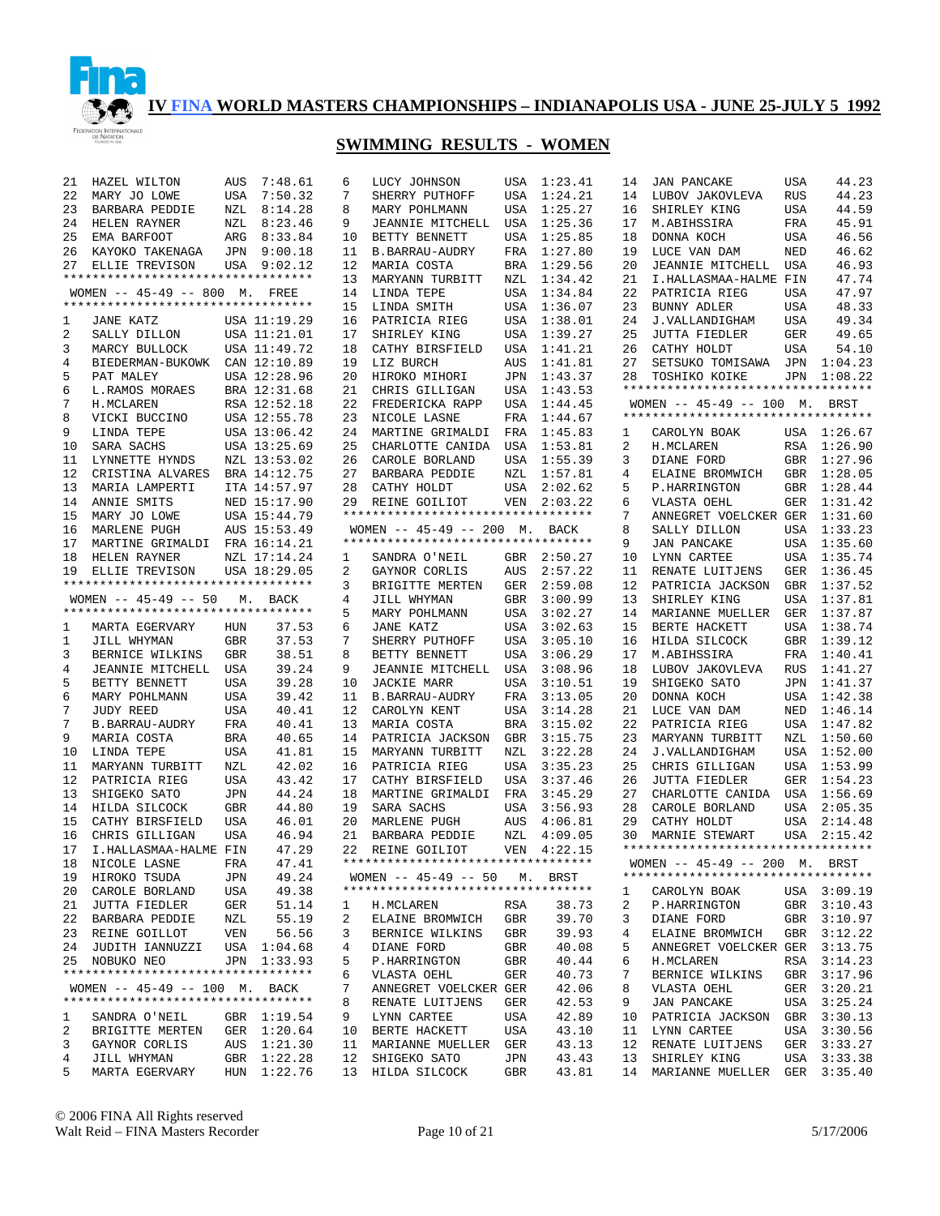

| 21 | HAZEL WILTON                       | AUS        | 7:48.61      | 6  | LUCY JOHNSON                       |            | USA 1:23.41 | 14 | <b>JAN PANCAKE</b>                 | <b>USA</b> | 44.23       |
|----|------------------------------------|------------|--------------|----|------------------------------------|------------|-------------|----|------------------------------------|------------|-------------|
| 22 | MARY JO LOWE                       | <b>USA</b> | 7:50.32      | 7  | SHERRY PUTHOFF                     | USA        | 1:24.21     | 14 | LUBOV JAKOVLEVA                    | <b>RUS</b> | 44.23       |
| 23 | BARBARA PEDDIE                     | NZL        | 8:14.28      | 8  | MARY POHLMANN                      | USA        | 1:25.27     | 16 | SHIRLEY KING                       | <b>USA</b> | 44.59       |
| 24 | HELEN RAYNER                       | NZL        | 8:23.46      | 9  | JEANNIE MITCHELL                   | USA        | 1:25.36     | 17 | M.ABIHSSIRA                        | FRA        | 45.91       |
| 25 | EMA BARFOOT                        | ARG        | 8:33.84      | 10 | BETTY BENNETT                      | USA        | 1:25.85     | 18 | DONNA KOCH                         | <b>USA</b> | 46.56       |
| 26 | KAYOKO TAKENAGA                    |            | JPN 9:00.18  | 11 | <b>B. BARRAU-AUDRY</b>             | FRA        | 1:27.80     | 19 | LUCE VAN DAM                       | <b>NED</b> | 46.62       |
| 27 | ELLIE TREVISON                     |            | USA 9:02.12  | 12 | MARIA COSTA                        | <b>BRA</b> | 1:29.56     | 20 | JEANNIE MITCHELL                   | USA        | 46.93       |
|    | ********************************** |            |              | 13 | MARYANN TURBITT                    | NZL        | 1:34.42     | 21 | I.HALLASMAA-HALME FIN              |            | 47.74       |
|    | WOMEN -- 45-49 -- 800 M. FREE      |            |              | 14 | LINDA TEPE                         | USA        | 1:34.84     | 22 | PATRICIA RIEG                      | <b>USA</b> | 47.97       |
|    | ********************************** |            |              | 15 | LINDA SMITH                        | USA        | 1:36.07     | 23 | BUNNY ADLER                        | USA        | 48.33       |
|    |                                    |            |              |    |                                    |            |             |    |                                    |            |             |
| 1  | JANE KATZ                          |            | USA 11:19.29 | 16 | PATRICIA RIEG                      | USA        | 1:38.01     | 24 | J.VALLANDIGHAM                     | USA        | 49.34       |
| 2  | SALLY DILLON                       |            | USA 11:21.01 | 17 | SHIRLEY KING                       | USA        | 1:39.27     | 25 | <b>JUTTA FIEDLER</b>               | <b>GER</b> | 49.65       |
| 3  | MARCY BULLOCK                      |            | USA 11:49.72 | 18 | CATHY BIRSFIELD                    | USA        | 1:41.21     | 26 | CATHY HOLDT                        | USA        | 54.10       |
| 4  | BIEDERMAN-BUKOWK                   |            | CAN 12:10.89 | 19 | LIZ BURCH                          | AUS        | 1:41.81     | 27 | SETSUKO TOMISAWA                   | JPN        | 1:04.23     |
| 5  | PAT MALEY                          |            | USA 12:28.96 | 20 | HIROKO MIHORI                      | JPN        | 1:43.37     | 28 | TOSHIKO KOIKE                      | JPN        | 1:08.22     |
| 6  | L.RAMOS MORAES                     |            | BRA 12:31.68 | 21 | CHRIS GILLIGAN                     | USA        | 1:43.53     |    | ********************************** |            |             |
| 7  | H. MCLAREN                         |            | RSA 12:52.18 | 22 | FREDERICKA RAPP                    | USA        | 1:44.45     |    | WOMEN $-- 45-49 -- 100$ M. BRST    |            |             |
| 8  | VICKI BUCCINO                      |            | USA 12:55.78 | 23 | NICOLE LASNE                       | FRA        | 1:44.67     |    | ********************************** |            |             |
| 9  | LINDA TEPE                         |            | USA 13:06.42 | 24 | MARTINE GRIMALDI                   | FRA        | 1:45.83     | 1  | CAROLYN BOAK                       |            | USA 1:26.67 |
| 10 | SARA SACHS                         |            | USA 13:25.69 | 25 | CHARLOTTE CANIDA                   | USA        | 1:53.81     | 2  | H. MCLAREN                         |            | RSA 1:26.90 |
| 11 | LYNNETTE HYNDS                     |            | NZL 13:53.02 | 26 | CAROLE BORLAND                     | USA        | 1:55.39     | 3  | DIANE FORD                         | GBR        | 1:27.96     |
| 12 | CRISTINA ALVARES                   |            | BRA 14:12.75 | 27 | BARBARA PEDDIE                     | NZL        | 1:57.81     | 4  | ELAINE BROMWICH                    |            | GBR 1:28.05 |
| 13 | MARIA LAMPERTI                     |            | ITA 14:57.97 | 28 | CATHY HOLDT                        | USA        | 2:02.62     | 5  | P.HARRINGTON                       |            | GBR 1:28.44 |
| 14 | ANNIE SMITS                        |            | NED 15:17.90 | 29 | REINE GOILIOT                      |            | VEN 2:03.22 | 6  | VLASTA OEHL                        |            | GER 1:31.42 |
|    |                                    |            |              |    | *********************************  |            |             |    |                                    |            |             |
| 15 | MARY JO LOWE                       |            | USA 15:44.79 |    |                                    |            |             | 7  | ANNEGRET VOELCKER GER 1:31.60      |            |             |
| 16 | MARLENE PUGH                       |            | AUS 15:53.49 |    | WOMEN -- 45-49 -- 200 M. BACK      |            |             | 8  | SALLY DILLON                       |            | USA 1:33.23 |
| 17 | MARTINE GRIMALDI FRA 16:14.21      |            |              |    | ********************************** |            |             | 9  | <b>JAN PANCAKE</b>                 |            | USA 1:35.60 |
| 18 | HELEN RAYNER                       |            | NZL 17:14.24 | 1  | SANDRA O'NEIL                      |            | GBR 2:50.27 | 10 | LYNN CARTEE                        |            | USA 1:35.74 |
| 19 | ELLIE TREVISON                     |            | USA 18:29.05 | 2  | GAYNOR CORLIS                      | AUS        | 2:57.22     | 11 | RENATE LUITJENS                    | GER        | 1:36.45     |
|    | ********************************** |            |              | 3  | BRIGITTE MERTEN                    | <b>GER</b> | 2:59.08     | 12 | PATRICIA JACKSON                   |            | GBR 1:37.52 |
|    | WOMEN $-- 45-49 -- 50$             | М.         | BACK         | 4  | JILL WHYMAN                        | <b>GBR</b> | 3:00.99     | 13 | SHIRLEY KING                       | USA        | 1:37.81     |
|    | ********************************** |            |              | 5  | MARY POHLMANN                      | USA        | 3:02.27     | 14 | MARIANNE MUELLER                   |            | GER 1:37.87 |
| 1  | MARTA EGERVARY                     | HUN        | 37.53        | 6  | JANE KATZ                          | USA        | 3:02.63     | 15 | BERTE HACKETT                      | USA        | 1:38.74     |
| 1  | JILL WHYMAN                        | <b>GBR</b> | 37.53        | 7  | SHERRY PUTHOFF                     | USA        | 3:05.10     | 16 | HILDA SILCOCK                      |            | GBR 1:39.12 |
| 3  | BERNICE WILKINS                    | GBR        | 38.51        | 8  | BETTY BENNETT                      | USA        | 3:06.29     | 17 | M.ABIHSSIRA                        | FRA        | 1:40.41     |
| 4  | JEANNIE MITCHELL                   | USA        | 39.24        | 9  | JEANNIE MITCHELL                   | USA        | 3:08.96     | 18 | LUBOV JAKOVLEVA                    | <b>RUS</b> | 1:41.27     |
| 5  | BETTY BENNETT                      | USA        | 39.28        | 10 | <b>JACKIE MARR</b>                 | USA        | 3:10.51     | 19 | SHIGEKO SATO                       |            | JPN 1:41.37 |
|    |                                    |            |              | 11 |                                    | FRA        | 3:13.05     | 20 |                                    |            | USA 1:42.38 |
| 6  | MARY POHLMANN                      | USA        | 39.42        |    | B. BARRAU-AUDRY                    |            |             |    | DONNA KOCH                         |            |             |
| 7  | <b>JUDY REED</b>                   | USA        | 40.41        | 12 | CAROLYN KENT                       | USA        | 3:14.28     | 21 | LUCE VAN DAM                       | NED        | 1:46.14     |
| 7  | B.BARRAU-AUDRY                     | FRA        | 40.41        | 13 | MARIA COSTA                        | <b>BRA</b> | 3:15.02     | 22 | PATRICIA RIEG                      |            | USA 1:47.82 |
| 9  | MARIA COSTA                        | BRA        | 40.65        | 14 | PATRICIA JACKSON                   | GBR        | 3:15.75     | 23 | MARYANN TURBITT                    | NZL        | 1:50.60     |
| 10 | LINDA TEPE                         | USA        | 41.81        | 15 | MARYANN TURBITT                    | NZL        | 3:22.28     | 24 | J.VALLANDIGHAM                     |            | USA 1:52.00 |
| 11 | MARYANN TURBITT                    | NZL        | 42.02        | 16 | PATRICIA RIEG                      | USA        | 3:35.23     | 25 | CHRIS GILLIGAN                     |            | USA 1:53.99 |
| 12 | PATRICIA RIEG                      | USA        | 43.42        | 17 | CATHY BIRSFIELD                    | USA        | 3:37.46     | 26 | JUTTA FIEDLER                      | GER        | 1:54.23     |
| 13 | SHIGEKO SATO                       | JPN        | 44.24        | 18 | MARTINE GRIMALDI                   | FRA        | 3:45.29     | 27 | CHARLOTTE CANIDA                   | USA        | 1:56.69     |
| 14 | HILDA SILCOCK                      | GBR        | 44.80        | 19 | SARA SACHS                         | USA        | 3:56.93     | 28 | CAROLE BORLAND                     |            | USA 2:05.35 |
| 15 | CATHY BIRSFIELD                    | <b>USA</b> | 46.01        | 20 | MARLENE PUGH                       | AUS        | 4:06.81     | 29 | CATHY HOLDT                        | USA        | 2:14.48     |
| 16 | CHRIS GILLIGAN                     | <b>USA</b> | 46.94        | 21 | BARBARA PEDDIE                     | NZL        | 4:09.05     | 30 | MARNIE STEWART                     | USA        | 2:15.42     |
| 17 | I.HALLASMAA-HALME FIN              |            | 47.29        |    | 22 REINE GOILIOT                   |            | VEN 4:22.15 |    | ********************************** |            |             |
|    | 18 NICOLE LASNE                    | FRA        | 47.41        |    | ********************************** |            |             |    | WOMEN -- 45-49 -- 200 M. BRST      |            |             |
|    | 19 HIROKO TSUDA                    | JPN        | 49.24        |    | WOMEN -- 45-49 -- 50 M. BRST       |            |             |    | ********************************** |            |             |
|    |                                    |            |              |    | ********************************** |            |             |    |                                    |            | USA 3:09.19 |
|    | 20 CAROLE BORLAND                  | USA        | 49.38        |    |                                    |            |             | 1  | CAROLYN BOAK                       |            |             |
|    | 21 JUTTA FIEDLER                   | GER        | 51.14        | 1  | H.MCLAREN                          | RSA        | 38.73       | 2  | P.HARRINGTON                       |            | GBR 3:10.43 |
|    | 22 BARBARA PEDDIE                  | NZL        | 55.19        | 2  | ELAINE BROMWICH                    | GBR        | 39.70       | 3  | DIANE FORD                         |            | GBR 3:10.97 |
|    | 23 REINE GOILLOT                   | VEN        | 56.56        | 3  | BERNICE WILKINS                    | GBR        | 39.93       | 4  | ELAINE BROMWICH                    |            | GBR 3:12.22 |
|    | 24 JUDITH IANNUZZI                 |            | USA 1:04.68  | 4  | DIANE FORD                         | GBR        | 40.08       | 5  | ANNEGRET VOELCKER GER 3:13.75      |            |             |
|    | 25 NOBUKO NEO                      |            | JPN 1:33.93  | 5  | P.HARRINGTON                       | GBR        | 40.44       | 6  | H.MCLAREN                          |            | RSA 3:14.23 |
|    | ********************************** |            |              | 6  | VLASTA OEHL                        | GER        | 40.73       | 7  | BERNICE WILKINS                    |            | GBR 3:17.96 |
|    | WOMEN $-- 45-49 -- 100$ M. BACK    |            |              | 7  | ANNEGRET VOELCKER GER              |            | 42.06       | 8  | VLASTA OEHL                        |            | GER 3:20.21 |
|    | ********************************** |            |              | 8  | RENATE LUITJENS                    | GER        | 42.53       | 9  | JAN PANCAKE                        |            | USA 3:25.24 |
| 1  | SANDRA O'NEIL                      |            | GBR 1:19.54  | 9  | LYNN CARTEE                        | USA        | 42.89       | 10 | PATRICIA JACKSON                   |            | GBR 3:30.13 |
| 2  | BRIGITTE MERTEN                    |            | GER 1:20.64  |    | 10 BERTE HACKETT                   | USA        | 43.10       | 11 | LYNN CARTEE                        |            | USA 3:30.56 |
| 3  | GAYNOR CORLIS                      |            | AUS 1:21.30  |    | 11 MARIANNE MUELLER                | GER        | 43.13       | 12 | RENATE LUITJENS                    |            | GER 3:33.27 |
| 4  | JILL WHYMAN                        |            | GBR 1:22.28  |    | 12 SHIGEKO SATO                    | JPN        | 43.43       | 13 | SHIRLEY KING                       |            | USA 3:33.38 |
| 5  | MARTA EGERVARY                     |            | HUN 1:22.76  |    | 13 HILDA SILCOCK                   | GBR        | 43.81       | 14 | MARIANNE MUELLER GER 3:35.40       |            |             |
|    |                                    |            |              |    |                                    |            |             |    |                                    |            |             |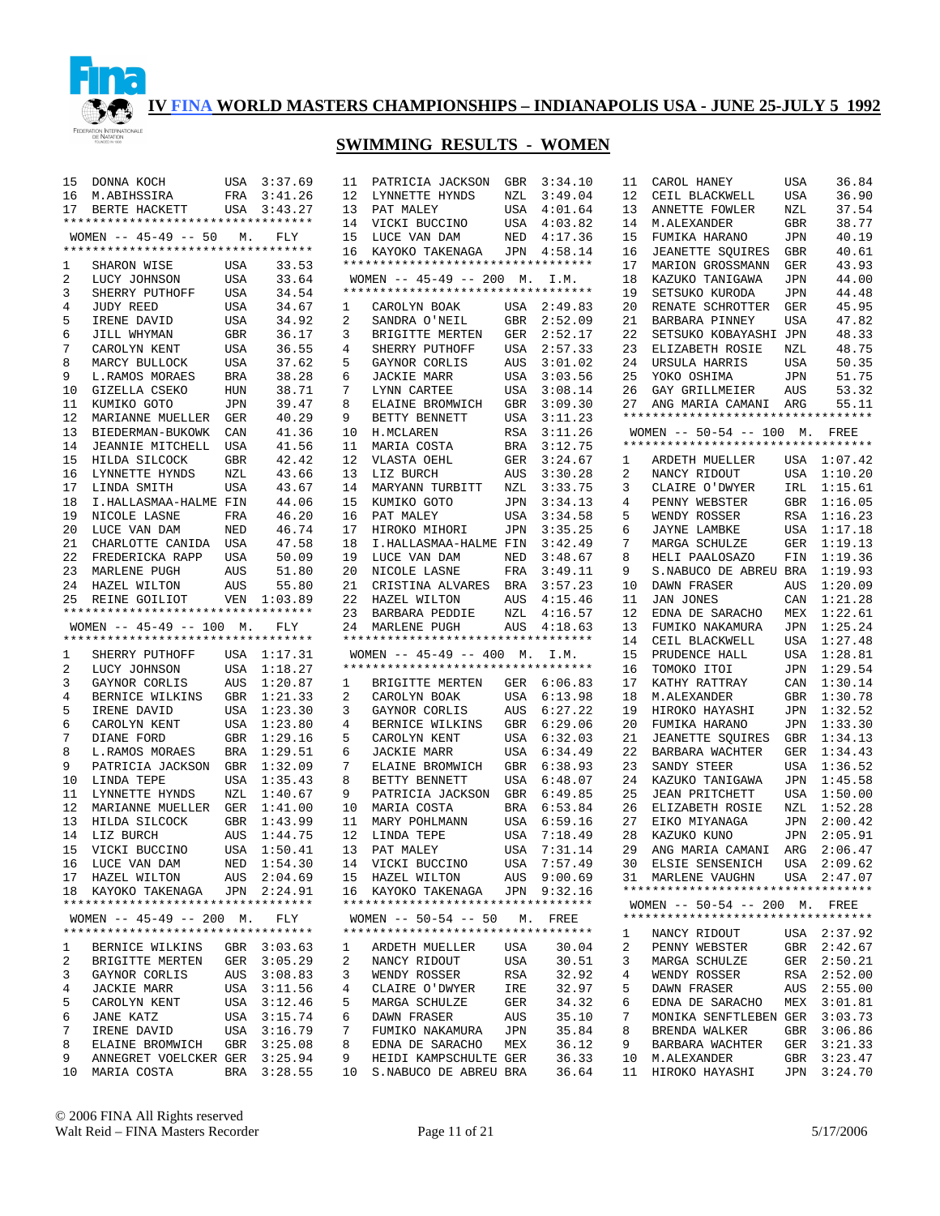

| 15      | DONNA KOCH                                                       |            | USA 3:37.69                | 11      | PATRICIA JACKSON                                         | GBR        | 3:34.10                    | 11       | CAROL HANEY                                                         | USA        | 36.84                      |
|---------|------------------------------------------------------------------|------------|----------------------------|---------|----------------------------------------------------------|------------|----------------------------|----------|---------------------------------------------------------------------|------------|----------------------------|
| 16      | M.ABIHSSIRA                                                      | FRA        | 3:41.26                    | 12      | LYNNETTE HYNDS                                           | NZL        | 3:49.04                    | 12       | CEIL BLACKWELL                                                      | USA        | 36.90                      |
| 17      | BERTE HACKETT                                                    |            | USA 3:43.27                | 13      | PAT MALEY                                                | USA        | 4:01.64                    | 13       | ANNETTE FOWLER                                                      | NZL        | 37.54                      |
|         | **********************************                               |            |                            | 14      | VICKI BUCCINO                                            | USA        | 4:03.82                    | 14       | M.ALEXANDER                                                         | GBR        | 38.77                      |
|         | WOMEN $-- 45-49 -- 50$ M.                                        |            | FLY                        | 15      | LUCE VAN DAM                                             |            | NED 4:17.36                | 15       | FUMIKA HARANO                                                       | <b>JPN</b> | 40.19                      |
|         | **********************************                               |            |                            | 16      | KAYOKO TAKENAGA                                          | JPN        | 4:58.14                    | 16       | <b>JEANETTE SQUIRES</b>                                             | <b>GBR</b> | 40.61                      |
| 1       | SHARON WISE                                                      | USA        | 33.53                      |         | *********************************                        |            |                            | 17       | MARION GROSSMANN                                                    | <b>GER</b> | 43.93                      |
| 2       | LUCY JOHNSON                                                     | USA        | 33.64                      |         | WOMEN $-- 45-49 -- 200$ M. I.M.                          |            |                            | 18       | KAZUKO TANIGAWA                                                     | JPN        | 44.00                      |
| 3       | SHERRY PUTHOFF                                                   | USA        | 34.54                      |         | **********************************                       |            |                            | 19       | SETSUKO KURODA                                                      | <b>JPN</b> | 44.48                      |
| 4       | <b>JUDY REED</b>                                                 | USA        | 34.67                      | 1       | CAROLYN BOAK                                             |            | USA 2:49.83                | 20       | RENATE SCHROTTER                                                    | <b>GER</b> | 45.95                      |
| 5       | IRENE DAVID                                                      | USA        | 34.92                      | 2       | SANDRA O'NEIL                                            | GBR        | 2:52.09                    | 21       | BARBARA PINNEY                                                      | <b>USA</b> | 47.82                      |
|         | JILL WHYMAN                                                      |            | 36.17                      | 3       |                                                          | GER        |                            | 22       | SETSUKO KOBAYASHI JPN                                               |            | 48.33                      |
| 6       |                                                                  | GBR        |                            |         | BRIGITTE MERTEN                                          |            | 2:52.17                    |          |                                                                     |            |                            |
| 7       | CAROLYN KENT                                                     | <b>USA</b> | 36.55                      | 4       | SHERRY PUTHOFF                                           | USA        | 2:57.33                    | 23       | ELIZABETH ROSIE                                                     | NZL        | 48.75                      |
| 8       | MARCY BULLOCK                                                    | <b>USA</b> | 37.62                      | 5       | GAYNOR CORLIS                                            | AUS        | 3:01.02                    | 24       | URSULA HARRIS                                                       | <b>USA</b> | 50.35                      |
| 9       | L.RAMOS MORAES                                                   | <b>BRA</b> | 38.28                      | 6       | <b>JACKIE MARR</b>                                       | USA        | 3:03.56                    | 25       | YOKO OSHIMA                                                         | <b>JPN</b> | 51.75                      |
| 10      | GIZELLA CSEKO                                                    | <b>HUN</b> | 38.71                      | 7       | LYNN CARTEE                                              | USA        | 3:08.14                    | 26       | GAY GRILLMEIER                                                      | AUS        | 53.32                      |
| 11      | KUMIKO GOTO                                                      | <b>JPN</b> | 39.47                      | 8       | ELAINE BROMWICH                                          | GBR        | 3:09.30                    | 27       | ANG MARIA CAMANI ARG                                                |            | 55.11                      |
| 12      | MARIANNE MUELLER                                                 | GER        | 40.29                      | 9       | BETTY BENNETT                                            | USA        | 3:11.23                    |          | **********************************                                  |            |                            |
| 13      | BIEDERMAN-BUKOWK                                                 | CAN        | 41.36                      | 10      | H. MCLAREN                                               | RSA        | 3:11.26                    |          | WOMEN -- 50-54 -- 100 M. FREE                                       |            |                            |
| 14      | JEANNIE MITCHELL                                                 | USA        | 41.56                      | 11      | MARIA COSTA                                              | <b>BRA</b> | 3:12.75                    |          | **********************************                                  |            |                            |
| 15      | HILDA SILCOCK                                                    | <b>GBR</b> | 42.42                      | 12      | VLASTA OEHL                                              | GER        | 3:24.67                    | 1        | ARDETH MUELLER                                                      |            | USA 1:07.42                |
| 16      | LYNNETTE HYNDS                                                   | NZL        | 43.66                      | 13      | LIZ BURCH                                                | AUS        | 3:30.28                    | 2        | NANCY RIDOUT                                                        |            | USA 1:10.20                |
| 17      | LINDA SMITH                                                      | <b>USA</b> | 43.67                      | 14      | MARYANN TURBITT                                          | NZL        | 3:33.75                    | 3        | CLAIRE O'DWYER                                                      |            | IRL 1:15.61                |
| 18      | I.HALLASMAA-HALME FIN                                            |            | 44.06                      | 15      | KUMIKO GOTO                                              | <b>JPN</b> | 3:34.13                    | 4        | PENNY WEBSTER                                                       |            | GBR 1:16.05                |
| 19      | NICOLE LASNE                                                     | FRA        | 46.20                      | 16      | PAT MALEY                                                | USA        | 3:34.58                    | 5        | WENDY ROSSER                                                        |            | RSA 1:16.23                |
| 20      | LUCE VAN DAM                                                     | NED        | 46.74                      | 17      | HIROKO MIHORI                                            | JPN        | 3:35.25                    | 6        | JAYNE LAMBKE                                                        |            | USA 1:17.18                |
| 21      | CHARLOTTE CANIDA                                                 | USA        | 47.58                      | 18      | I.HALLASMAA-HALME FIN                                    |            | 3:42.49                    | 7        | MARGA SCHULZE                                                       | GER        | 1:19.13                    |
| 22      | FREDERICKA RAPP                                                  | <b>USA</b> | 50.09                      | 19      | LUCE VAN DAM                                             | NED        | 3:48.67                    | 8        | HELI PAALOSAZO                                                      | FIN        | 1:19.36                    |
| 23      | MARLENE PUGH                                                     | AUS        | 51.80                      | 20      | NICOLE LASNE                                             | FRA        | 3:49.11                    | 9        | S.NABUCO DE ABREU BRA                                               |            | 1:19.93                    |
|         |                                                                  |            |                            |         |                                                          |            |                            |          |                                                                     |            |                            |
| 24      | HAZEL WILTON                                                     | AUS        | 55.80                      | 21      | CRISTINA ALVARES                                         | BRA        | 3:57.23                    | 10       | DAWN FRASER                                                         | AUS        | 1:20.09                    |
| 25      | REINE GOILIOT                                                    | VEN        | 1:03.89                    | 22      | HAZEL WILTON                                             | AUS        | 4:15.46                    | 11       | <b>JAN JONES</b>                                                    | CAN        | 1:21.28                    |
|         | **********************************                               |            |                            | 23      | BARBARA PEDDIE                                           | NZL        | 4:16.57                    | 12       | EDNA DE SARACHO                                                     | MEX        | 1:22.61                    |
|         | WOMEN $-- 45-49 -- 100$ M.                                       |            | FLY                        | 24      | MARLENE PUGH                                             | AUS        | 4:18.63                    | 13       | FUMIKO NAKAMURA                                                     | JPN        | 1:25.24                    |
|         | **********************************                               |            |                            |         | **********************************                       |            |                            | 14       | CEIL BLACKWELL                                                      |            | USA 1:27.48                |
| 1       | SHERRY PUTHOFF                                                   |            |                            |         | WOMEN $-- 45-49 -- 400$ M.                               |            |                            |          | PRUDENCE HALL                                                       |            | USA 1:28.81                |
|         |                                                                  |            | USA 1:17.31                |         |                                                          |            | I.M.                       | 15       |                                                                     |            |                            |
| 2       | LUCY JOHNSON                                                     | USA        | 1:18.27                    |         | **********************************                       |            |                            | 16       | TOMOKO ITOI                                                         |            | JPN 1:29.54                |
| 3       | GAYNOR CORLIS                                                    | AUS        | 1:20.87                    | 1       | BRIGITTE MERTEN                                          |            | GER 6:06.83                | 17       | KATHY RATTRAY                                                       |            | CAN 1:30.14                |
| 4       | BERNICE WILKINS                                                  | GBR        | 1:21.33                    | 2       | CAROLYN BOAK                                             | USA        | 6:13.98                    | 18       | M.ALEXANDER                                                         |            | GBR 1:30.78                |
| 5       | IRENE DAVID                                                      | USA        | 1:23.30                    | 3       | GAYNOR CORLIS                                            | AUS        | 6:27.22                    | 19       | HIROKO HAYASHI                                                      |            | JPN 1:32.52                |
| 6       | CAROLYN KENT                                                     |            | USA 1:23.80                | 4       | BERNICE WILKINS                                          | GBR        | 6:29.06                    | 20       | FUMIKA HARANO                                                       |            | JPN 1:33.30                |
| 7       | DIANE FORD                                                       | GBR        | 1:29.16                    | 5       | CAROLYN KENT                                             | USA        | 6:32.03                    | 21       | <b>JEANETTE SQUIRES</b>                                             |            | GBR 1:34.13                |
| 8       | L.RAMOS MORAES                                                   | BRA        | 1:29.51                    | 6       | <b>JACKIE MARR</b>                                       | USA        | 6:34.49                    | 22       | BARBARA WACHTER                                                     | GER        | 1:34.43                    |
| 9       | PATRICIA JACKSON                                                 | <b>GBR</b> | 1:32.09                    | 7       | ELAINE BROMWICH                                          | <b>GBR</b> | 6:38.93                    | 23       | SANDY STEER                                                         | USA        | 1:36.52                    |
| 10      | LINDA TEPE                                                       | <b>USA</b> | 1:35.43                    | 8       | BETTY BENNETT                                            | USA        | 6:48.07                    | 24       | KAZUKO TANIGAWA                                                     | JPN        | 1:45.58                    |
| 11      | LYNNETTE HYNDS                                                   | NZL        | 1:40.67                    | 9       | PATRICIA JACKSON                                         | GBR        | 6:49.85                    | 25       | <b>JEAN PRITCHETT</b>                                               | USA        | 1:50.00                    |
| 12      | MARIANNE MUELLER                                                 | GER        | 1:41.00                    | 10      | MARIA COSTA                                              | BRA        | 6:53.84                    | 26       | ELIZABETH ROSIE                                                     | NZL        | 1:52.28                    |
| 13      | HILDA SILCOCK                                                    | GBR        | 1:43.99                    | 11      | MARY POHLMANN                                            | USA        | 6:59.16                    | 27       | EIKO MIYANAGA                                                       | JPN        | 2:00.42                    |
| 14      | LIZ BURCH                                                        | AUS        | 1:44.75                    | 12      | LINDA TEPE                                               | USA        | 7:18.49                    | 28       | KAZUKO KUNO                                                         | JPN        | 2:05.91                    |
| 15      | VICKI BUCCINO                                                    |            | USA 1:50.41                | 13      | PAT MALEY                                                | USA        | 7:31.14                    | 29       | ANG MARIA CAMANI                                                    | ARG        | 2:06.47                    |
|         | 16 LUCE VAN DAM                                                  |            | NED 1:54.30                |         |                                                          |            | USA 7:57.49                |          | 30 ELSIE SENSENICH                                                  |            | USA 2:09.62                |
|         |                                                                  |            |                            |         | 14 VICKI BUCCINO                                         |            |                            |          |                                                                     |            |                            |
|         | 17 HAZEL WILTON                                                  |            | AUS 2:04.69<br>JPN 2:24.91 |         | 15 HAZEL WILTON                                          |            | AUS 9:00.69<br>JPN 9:32.16 |          | 31 MARLENE VAUGHN<br>**********************************             |            | USA 2:47.07                |
|         | 18 KAYOKO TAKENAGA<br>**********************************         |            |                            |         | 16 KAYOKO TAKENAGA<br>********************************** |            |                            |          |                                                                     |            |                            |
|         |                                                                  |            |                            |         | WOMEN -- 50-54 -- 50 M. FREE                             |            |                            |          | WOMEN -- 50-54 -- 200 M. FREE<br>********************************** |            |                            |
|         | WOMEN $--$ 45-49 -- 200 M.<br>********************************** |            | FLY                        |         | **********************************                       |            |                            |          |                                                                     |            |                            |
|         |                                                                  |            |                            |         |                                                          |            |                            | ı        | NANCY RIDOUT                                                        |            | USA 2:37.92                |
| 1<br>2  | BERNICE WILKINS                                                  |            | GBR 3:03.63                | ı<br>2  | ARDETH MUELLER<br>NANCY RIDOUT                           | USA        | 30.04<br>30.51             | 2<br>3   | PENNY WEBSTER                                                       |            | GBR 2:42.67                |
| 3       | BRIGITTE MERTEN<br>GAYNOR CORLIS                                 |            | GER 3:05.29<br>AUS 3:08.83 | 3       | WENDY ROSSER                                             | USA<br>RSA | 32.92                      | 4        | MARGA SCHULZE<br>WENDY ROSSER                                       |            | GER 2:50.21<br>RSA 2:52.00 |
| 4       |                                                                  |            |                            | 4       | CLAIRE O'DWYER                                           |            |                            | 5        |                                                                     |            |                            |
| 5       | <b>JACKIE MARR</b>                                               |            | USA 3:11.56                | 5       |                                                          | IRE        | 32.97<br>34.32             | 6        | DAWN FRASER                                                         |            | AUS 2:55.00                |
|         | CAROLYN KENT                                                     |            | USA 3:12.46                |         | MARGA SCHULZE                                            | GER        |                            | 7        | EDNA DE SARACHO                                                     |            | MEX 3:01.81                |
| 6       | JANE KATZ                                                        |            | USA 3:15.74                | 6       | DAWN FRASER                                              | AUS        | 35.10                      |          | MONIKA SENFTLEBEN GER 3:03.73                                       |            |                            |
| 7       | IRENE DAVID                                                      |            | USA 3:16.79                | 7       | FUMIKO NAKAMURA                                          | JPN        | 35.84                      | 8        | BRENDA WALKER                                                       |            | GBR 3:06.86                |
| 8       | ELAINE BROMWICH                                                  |            | GBR 3:25.08                | 8       | EDNA DE SARACHO                                          | MEX        | 36.12                      | 9        | BARBARA WACHTER                                                     |            | GER 3:21.33                |
| 9<br>10 | ANNEGRET VOELCKER GER 3:25.94<br>MARIA COSTA                     |            | BRA 3:28.55                | 9<br>10 | HEIDI KAMPSCHULTE GER<br>S.NABUCO DE ABREU BRA           |            | 36.33<br>36.64             | 10<br>11 | M.ALEXANDER<br>HIROKO HAYASHI                                       |            | GBR 3:23.47<br>JPN 3:24.70 |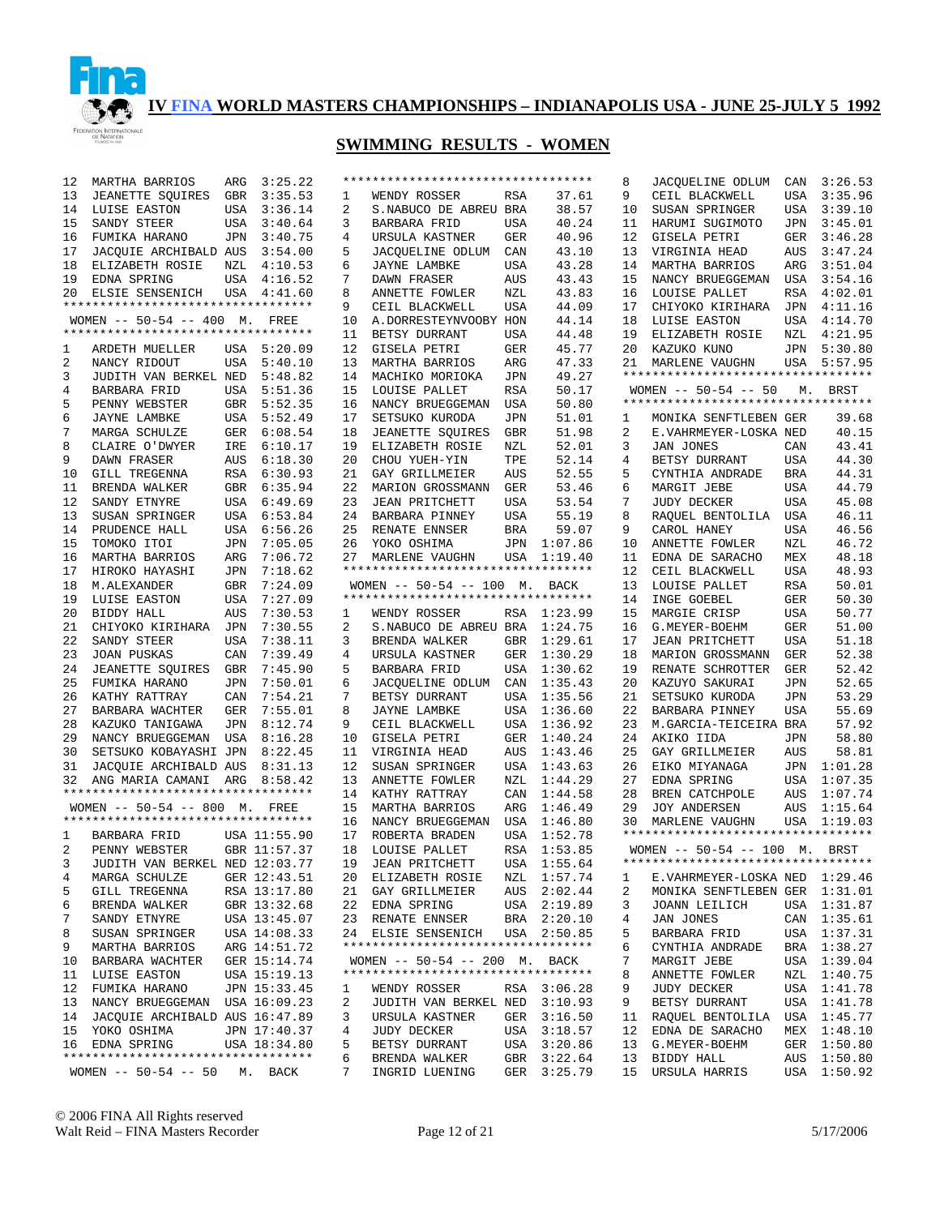

## **SWIMMING RESULTS - WOMEN**

| 12 | MARTHA BARRIOS                     | ARG        | 3:25.22      |    | ********************************** |            |             | 8  | JACQUELINE ODLUM                                     | CAN        | 3:26.53     |
|----|------------------------------------|------------|--------------|----|------------------------------------|------------|-------------|----|------------------------------------------------------|------------|-------------|
| 13 | JEANETTE SQUIRES                   | GBR        | 3:35.53      | 1  | WENDY ROSSER                       | RSA        | 37.61       | 9  | CEIL BLACKWELL                                       | USA        | 3:35.96     |
| 14 | LUISE EASTON                       |            | USA 3:36.14  | 2  | S.NABUCO DE ABREU BRA              |            | 38.57       | 10 | SUSAN SPRINGER                                       |            | USA 3:39.10 |
| 15 | SANDY STEER                        | USA        | 3:40.64      | 3  | BARBARA FRID                       | USA        | 40.24       | 11 | HARUMI SUGIMOTO                                      | JPN        | 3:45.01     |
| 16 | FUMIKA HARANO                      | JPN        | 3:40.75      | 4  | URSULA KASTNER                     | GER        | 40.96       | 12 | GISELA PETRI                                         | GER        | 3:46.28     |
| 17 | JACQUIE ARCHIBALD AUS              |            | 3:54.00      | 5  | JACQUELINE ODLUM                   | CAN        | 43.10       | 13 | VIRGINIA HEAD                                        | AUS        | 3:47.24     |
| 18 | ELIZABETH ROSIE                    |            | NZL 4:10.53  | 6  | <b>JAYNE LAMBKE</b>                | USA        | 43.28       | 14 | MARTHA BARRIOS                                       | ARG        | 3:51.04     |
| 19 | EDNA SPRING                        |            | USA 4:16.52  | 7  | DAWN FRASER                        | AUS        | 43.43       | 15 | NANCY BRUEGGEMAN                                     | USA        | 3:54.16     |
| 20 | ELSIE SENSENICH USA 4:41.60        |            |              | 8  | ANNETTE FOWLER                     | NZL        | 43.83       | 16 | LOUISE PALLET                                        | RSA        | 4:02.01     |
|    | ********************************** |            |              | 9  | CEIL BLACKWELL                     | USA        | 44.09       | 17 | CHIYOKO KIRIHARA                                     | JPN        | 4:11.16     |
|    | WOMEN -- 50-54 -- 400 M. FREE      |            |              | 10 | A.DORRESTEYNVOOBY HON              |            | 44.14       | 18 | LUISE EASTON                                         | USA        | 4:14.70     |
|    | ********************************** |            |              | 11 | BETSY DURRANT                      | USA        | 44.48       | 19 | ELIZABETH ROSIE                                      | NZL        | 4:21.95     |
|    | ARDETH MUELLER                     |            |              |    |                                    |            |             | 20 |                                                      |            | JPN 5:30.80 |
| 1  |                                    |            | USA 5:20.09  | 12 | GISELA PETRI                       | GER        | 45.77       |    | KAZUKO KUNO                                          |            |             |
| 2  | NANCY RIDOUT                       |            | USA 5:40.10  | 13 | MARTHA BARRIOS                     | ARG        | 47.33       | 21 | MARLENE VAUGHN<br>********************************** |            | USA 5:57.95 |
| 3  | JUDITH VAN BERKEL NED              |            | 5:48.82      | 14 | MACHIKO MORIOKA                    | JPN        | 49.27       |    |                                                      |            |             |
| 4  | BARBARA FRID                       |            | USA 5:51.36  | 15 | LOUISE PALLET                      | RSA        | 50.17       |    | WOMEN -- 50-54 -- 50                                 |            | M. BRST     |
| 5  | PENNY WEBSTER                      |            | GBR 5:52.35  | 16 | NANCY BRUEGGEMAN                   | USA        | 50.80       |    | **********************************                   |            |             |
| 6  | JAYNE LAMBKE                       |            | USA 5:52.49  | 17 | SETSUKO KURODA                     | JPN        | 51.01       | 1  | MONIKA SENFTLEBEN GER                                |            | 39.68       |
| 7  | MARGA SCHULZE                      |            | GER 6:08.54  | 18 | JEANETTE SQUIRES                   | GBR        | 51.98       | 2  | E.VAHRMEYER-LOSKA NED                                |            | 40.15       |
| 8  | CLAIRE O'DWYER                     |            | IRE 6:10.17  | 19 | ELIZABETH ROSIE                    | NZL        | 52.01       | 3  | <b>JAN JONES</b>                                     | CAN        | 43.41       |
| 9  | DAWN FRASER                        |            | AUS 6:18.30  | 20 | CHOU YUEH-YIN                      | TPE        | 52.14       | 4  | BETSY DURRANT                                        | USA        | 44.30       |
| 10 | <b>GILL TREGENNA</b>               |            | RSA 6:30.93  | 21 | GAY GRILLMEIER                     | AUS        | 52.55       | 5  | CYNTHIA ANDRADE                                      | <b>BRA</b> | 44.31       |
| 11 | BRENDA WALKER                      |            | GBR 6:35.94  | 22 | MARION GROSSMANN                   | GER        | 53.46       | 6  | MARGIT JEBE                                          | USA        | 44.79       |
| 12 | SANDY ETNYRE                       |            | USA 6:49.69  | 23 | <b>JEAN PRITCHETT</b>              | USA        | 53.54       | 7  | <b>JUDY DECKER</b>                                   | <b>USA</b> | 45.08       |
| 13 | SUSAN SPRINGER                     |            | USA 6:53.84  | 24 | BARBARA PINNEY                     | USA        | 55.19       | 8  | RAQUEL BENTOLILA                                     | USA        | 46.11       |
|    | PRUDENCE HALL                      |            | USA 6:56.26  | 25 |                                    |            |             | 9  |                                                      |            |             |
| 14 |                                    |            |              |    | RENATE ENNSER                      | <b>BRA</b> | 59.07       |    | CAROL HANEY                                          | USA        | 46.56       |
| 15 | TOMOKO ITOI                        | JPN        | 7:05.05      | 26 | YOKO OSHIMA                        |            | JPN 1:07.86 | 10 | ANNETTE FOWLER                                       | NZL        | 46.72       |
| 16 | MARTHA BARRIOS                     | ARG        | 7:06.72      | 27 | MARLENE VAUGHN                     |            | USA 1:19.40 | 11 | EDNA DE SARACHO                                      | MEX        | 48.18       |
| 17 | HIROKO HAYASHI                     | JPN        | 7:18.62      |    | ********************************** |            |             | 12 | CEIL BLACKWELL                                       | <b>USA</b> | 48.93       |
| 18 | M.ALEXANDER                        | GBR        | 7:24.09      |    | WOMEN -- 50-54 -- 100 M. BACK      |            |             | 13 | LOUISE PALLET                                        | <b>RSA</b> | 50.01       |
| 19 | LUISE EASTON                       | USA        | 7:27.09      |    | ********************************** |            |             | 14 | INGE GOEBEL                                          | <b>GER</b> | 50.30       |
| 20 | BIDDY HALL                         | AUS        | 7:30.53      | 1  | WENDY ROSSER                       |            | RSA 1:23.99 | 15 | MARGIE CRISP                                         | <b>USA</b> | 50.77       |
| 21 | CHIYOKO KIRIHARA JPN               |            | 7:30.55      | 2  | S. NABUCO DE ABREU BRA 1:24.75     |            |             | 16 | G.MEYER-BOEHM                                        | <b>GER</b> | 51.00       |
| 22 | SANDY STEER                        | <b>USA</b> | 7:38.11      | 3  | BRENDA WALKER                      | GBR        | 1:29.61     | 17 | <b>JEAN PRITCHETT</b>                                | <b>USA</b> | 51.18       |
| 23 | <b>JOAN PUSKAS</b>                 | CAN        | 7:39.49      | 4  | URSULA KASTNER                     | GER        | 1:30.29     | 18 | MARION GROSSMANN                                     | GER        | 52.38       |
| 24 | JEANETTE SQUIRES GBR               |            | 7:45.90      | 5  | BARBARA FRID                       | USA        | 1:30.62     | 19 | RENATE SCHROTTER                                     | GER        | 52.42       |
| 25 | FUMIKA HARANO                      | JPN        | 7:50.01      | 6  | JACQUELINE ODLUM                   | CAN        | 1:35.43     | 20 | KAZUYO SAKURAI                                       | JPN        | 52.65       |
| 26 |                                    |            |              | 7  |                                    |            | 1:35.56     | 21 |                                                      |            | 53.29       |
|    | KATHY RATTRAY                      | CAN        | 7:54.21      |    | BETSY DURRANT                      | USA        |             |    | SETSUKO KURODA                                       | JPN        |             |
| 27 | BARBARA WACHTER                    | GER        | 7:55.01      | 8  | <b>JAYNE LAMBKE</b>                | USA        | 1:36.60     | 22 | BARBARA PINNEY                                       | USA        | 55.69       |
| 28 | KAZUKO TANIGAWA                    |            | JPN 8:12.74  | 9  | CEIL BLACKWELL                     | USA        | 1:36.92     | 23 | M.GARCIA-TEICEIRA BRA                                |            | 57.92       |
| 29 | NANCY BRUEGGEMAN USA 8:16.28       |            |              | 10 | GISELA PETRI                       | GER        | 1:40.24     | 24 | AKIKO IIDA                                           | JPN        | 58.80       |
| 30 | SETSUKO KOBAYASHI JPN              |            | 8:22.45      | 11 | VIRGINIA HEAD                      | AUS        | 1:43.46     | 25 | GAY GRILLMEIER                                       | AUS        | 58.81       |
| 31 | JACQUIE ARCHIBALD AUS              |            | 8:31.13      | 12 | SUSAN SPRINGER                     | USA        | 1:43.63     | 26 | EIKO MIYANAGA                                        |            | JPN 1:01.28 |
| 32 | ANG MARIA CAMANI ARG               |            | 8:58.42      | 13 | ANNETTE FOWLER                     | NZL        | 1:44.29     | 27 | EDNA SPRING                                          | USA        | 1:07.35     |
|    | ********************************** |            |              | 14 | KATHY RATTRAY                      | CAN        | 1:44.58     | 28 | BREN CATCHPOLE                                       | AUS        | 1:07.74     |
|    | WOMEN -- 50-54 -- 800 M. FREE      |            |              | 15 | MARTHA BARRIOS                     | ARG        | 1:46.49     | 29 | JOY ANDERSEN                                         |            | AUS 1:15.64 |
|    | ********************************** |            |              | 16 | NANCY BRUEGGEMAN                   | USA        | 1:46.80     | 30 | MARLENE VAUGHN                                       |            | USA 1:19.03 |
| 1  | BARBARA FRID                       |            | USA 11:55.90 | 17 | ROBERTA BRADEN                     |            | USA 1:52.78 |    | **********************************                   |            |             |
| 2  | PENNY WEBSTER                      |            | GBR 11:57.37 | 18 | LOUISE PALLET                      |            | RSA 1:53.85 |    | WOMEN -- 50-54 -- 100 M. BRST                        |            |             |
|    | 3 JUDITH VAN BERKEL NED 12:03.77   |            |              |    | 19 JEAN PRITCHETT                  |            | USA 1:55.64 |    | **********************************                   |            |             |
| 4  | MARGA SCHULZE                      |            | GER 12:43.51 |    | 20 ELIZABETH ROSIE                 |            | NZL 1:57.74 |    | E.VAHRMEYER-LOSKA NED 1:29.46                        |            |             |
|    |                                    |            |              |    |                                    |            |             | 1  |                                                      |            |             |
| 5  | GILL TREGENNA                      |            | RSA 13:17.80 |    | 21 GAY GRILLMEIER                  |            | AUS 2:02.44 | 2  | MONIKA SENFTLEBEN GER 1:31.01                        |            |             |
| 6  | BRENDA WALKER                      |            | GBR 13:32.68 | 22 | EDNA SPRING                        |            | USA 2:19.89 | 3  | JOANN LEILICH                                        |            | USA 1:31.87 |
| 7  | SANDY ETNYRE                       |            | USA 13:45.07 |    | 23 RENATE ENNSER                   |            | BRA 2:20.10 | 4  | JAN JONES                                            |            | CAN 1:35.61 |
| 8  | SUSAN SPRINGER                     |            | USA 14:08.33 |    | 24 ELSIE SENSENICH                 |            | USA 2:50.85 | 5  | <b>BARBARA FRID</b>                                  |            | USA 1:37.31 |
| 9  | MARTHA BARRIOS                     |            | ARG 14:51.72 |    | ********************************** |            |             | 6  | CYNTHIA ANDRADE                                      |            | BRA 1:38.27 |
| 10 | BARBARA WACHTER                    |            | GER 15:14.74 |    | WOMEN -- 50-54 -- 200 M. BACK      |            |             | 7  | MARGIT JEBE                                          |            | USA 1:39.04 |
| 11 | LUISE EASTON                       |            | USA 15:19.13 |    | ********************************** |            |             | 8  | ANNETTE FOWLER                                       |            | NZL 1:40.75 |
| 12 | FUMIKA HARANO                      |            | JPN 15:33.45 | 1  | WENDY ROSSER                       |            | RSA 3:06.28 | 9  | JUDY DECKER                                          |            | USA 1:41.78 |
| 13 | NANCY BRUEGGEMAN USA 16:09.23      |            |              | 2  | JUDITH VAN BERKEL NED 3:10.93      |            |             | 9  | BETSY DURRANT                                        |            | USA 1:41.78 |
| 14 | JACOUIE ARCHIBALD AUS 16:47.89     |            |              | 3  | URSULA KASTNER                     | GER        | 3:16.50     | 11 | RAQUEL BENTOLILA                                     |            | USA 1:45.77 |
| 15 | YOKO OSHIMA                        |            | JPN 17:40.37 | 4  | <b>JUDY DECKER</b>                 | USA        | 3:18.57     | 12 | EDNA DE SARACHO                                      |            | MEX 1:48.10 |
| 16 | EDNA SPRING                        |            | USA 18:34.80 | 5  | BETSY DURRANT                      | USA        | 3:20.86     | 13 | G.MEYER-BOEHM                                        |            | GER 1:50.80 |
|    | ********************************** |            |              | 6  | BRENDA WALKER                      |            | GBR 3:22.64 | 13 | BIDDY HALL                                           |            | AUS 1:50.80 |
|    | $WOMEN$ -- 50-54 -- 50             |            |              | 7  |                                    |            |             | 15 |                                                      |            | USA 1:50.92 |
|    |                                    |            | M. BACK      |    | INGRID LUENING                     |            | GER 3:25.79 |    | URSULA HARRIS                                        |            |             |

© 2006 FINA All Rights reserved Walt Reid – FINA Masters Recorder Page 12 of 21 5/17/2006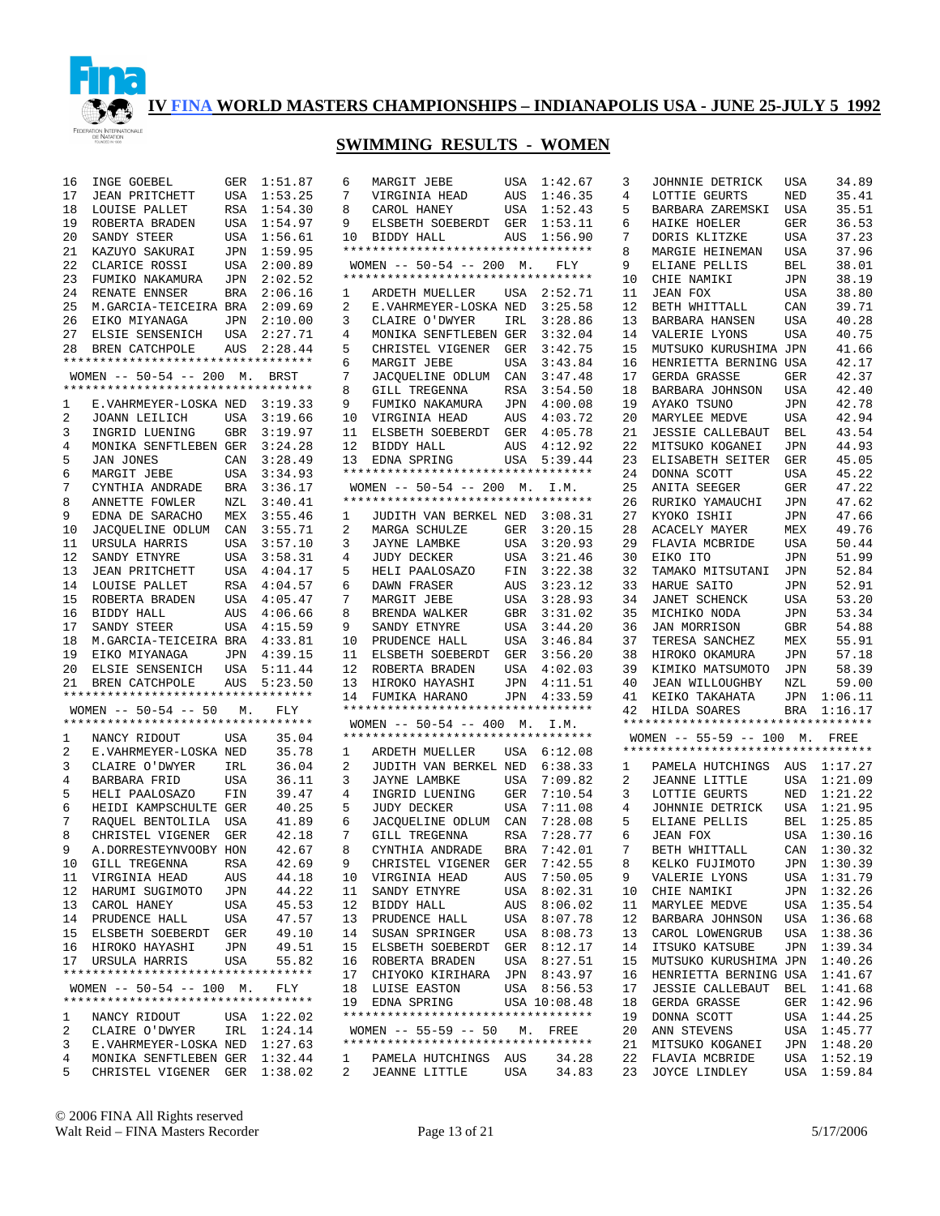

## **SWIMMING RESULTS - WOMEN**

| 16             | INGE GOEBEL                                                   | GER        | 1:51.87     | 6               |
|----------------|---------------------------------------------------------------|------------|-------------|-----------------|
| 17             | <b>JEAN PRITCHETT</b>                                         | USA        | 1:53.25     | 7               |
| 18             | LOUISE PALLET                                                 | RSA        | 1:54.30     | 8               |
| 19             | ROBERTA BRADEN                                                | USA        | 1:54.97     | 9               |
| 20             | SANDY STEER                                                   | USA        | 1:56.61     | 10              |
| 21             | KAZUYO SAKURAI                                                | JPN        | 1:59.95     | $\star\star$    |
| 22             | CLARICE ROSSI                                                 | USA        | 2:00.89     | W١              |
| 23             | FUMIKO NAKAMURA                                               | JPN        | 2:02.52     | $\star\,\star$  |
|                |                                                               |            |             |                 |
| 24             | RENATE ENNSER                                                 | BRA        | 2:06.16     | 1               |
| 25             | M.GARCIA-TEICEIRA BRA                                         |            | 2:09.69     | 2               |
| 26             | EIKO MIYANAGA                                                 | JPN        | 2:10.00     | 3               |
| 27             | ELSIE SENSENICH                                               | USA        | 2:27.71     | 4               |
| 28             | BREN CATCHPOLE                                                | AUS        | 2:28.44     | 5               |
|                | **********************************                            |            |             | 6               |
|                | WOMEN -- 50-54 -- 200 M.                                      |            | BRST        | 7               |
|                | **********************************                            |            |             | 8               |
| 1              | E.VAHRMEYER-LOSKA NED                                         |            | 3:19.33     | 9               |
| 2              | JOANN LEILICH                                                 | USA        | 3:19.66     | 10              |
| 3              | INGRID LUENING                                                | GBR        | 3:19.97     | 11              |
| 4              | MONIKA SENFTLEBEN GER                                         |            | 3:24.28     | 12              |
| 5              | JAN JONES                                                     | CAN        | 3:28.49     | 13              |
| 6              | MARGIT JEBE                                                   | USA        | 3:34.93     | $\star\star$    |
| 7              | CYNTHIA ANDRADE                                               | BRA        | 3:36.17     | W١              |
| 8              | ANNETTE FOWLER                                                | NZL        | 3:40.41     | $\star\,\star$  |
| 9              | EDNA DE SARACHO                                               | MEX        | 3:55.46     | 1               |
| 10             | JACOUELINE ODLUM                                              | CAN        | 3:55.71     | 2               |
| 11             |                                                               |            |             | 3               |
| 12             | URSULA HARRIS                                                 | USA<br>USA | 3:57.10     | 4               |
|                | SANDY ETNYRE                                                  |            | 3:58.31     |                 |
| 13             | <b>JEAN PRITCHETT</b>                                         | USA        | 4:04.17     | 5               |
| 14             | LOUISE PALLET                                                 | RSA        | 4:04.57     | 6               |
| 15             | ROBERTA BRADEN                                                | USA        | 4:05.47     | 7               |
| 16             | BIDDY HALL                                                    | AUS        | 4:06.66     | 8               |
| 17             | SANDY STEER                                                   | USA        | 4:15.59     | 9               |
| 18             | M.GARCIA-TEICEIRA BRA                                         |            | 4:33.81     | 10              |
| 19             | EIKO MIYANAGA                                                 |            | JPN 4:39.15 | 11              |
| 20             | ELSIE SENSENICH                                               | USA        | 5:11.44     | 12              |
| 21             | BREN CATCHPOLE                                                | AUS        | 5:23.50     | 13              |
|                | **********************************                            |            |             | 14              |
|                | $WOMEN$ -- 50-54 -- 50                                        | М.         | FLY         | $\star\,\star$  |
|                | **********************************                            |            |             | W               |
| $\mathbf{1}$   | NANCY RIDOUT                                                  | USA        | 35.04       | $\star\,\star$  |
| 2              | E.VAHRMEYER-LOSKA NED                                         |            | 35.78       | 1               |
| 3              | CLAIRE O'DWYER                                                | IRL        | 36.04       | 2               |
| 4              | BARBARA FRID                                                  | USA        | 36.11       | 3               |
| 5              | HELI PAALOSAZO                                                | FIN        | 39.47       | 4               |
| 6              | HEIDI KAMPSCHULTE                                             | GER        | 40.25       | 5               |
| 7              | RAQUEL BENTOLILA                                              | USA        | 41.89       | 6               |
| 8              | CHRISTEL VIGENER                                              | GER        | 42.18       | 7               |
| 9              | A.DORRESTEYNVOOBY                                             | HON        | 42.67       | 8               |
| 10             | GILL TREGENNA                                                 | RSA        | 42.69       | 9.              |
|                | 11 VIRGINIA HEAD                                              | AUS        | 44.18       | 10              |
| $\frac{1}{12}$ | HARUMI SUGIMOTO                                               | JPN        | 44.22       | 11              |
| 13             | CAROL HANEY                                                   | USA        | 45.53       | 12              |
| 14             | PRUDENCE HALL                                                 | USA        | 47.57       | 13              |
| 15             | ELSBETH SOEBERDT                                              | GER        | 49.10       | 14              |
|                |                                                               | JPN        | 49.51       | 15              |
|                | 16 HIROKO HAYASHI<br>17 URSULA HARRIS                         | USA        | 55.82       | 16              |
|                | *********************************                             |            |             |                 |
|                | WOMEN -- 50-54 -- 100 M. FLY                                  |            |             | 17              |
|                | **********************************                            |            |             | 18<br>19        |
|                |                                                               |            |             | $\star$ $\star$ |
| 1              | NANCY RIDOUT                                                  |            | USA 1:22.02 |                 |
| $\overline{a}$ | CLAIRE O'DWYER IRL $1:24.14$                                  |            |             | W               |
| 3              | E.VAHRMEYER-LOSKA NED                                         |            | 1:27.63     | $\star$ $\star$ |
| $\overline{4}$ | MONIKA SENFTLEBEN GER 1:32.44<br>CHRISTEL VIGENER GER 1:38.02 |            |             | $\mathbf 1$     |
| 5              |                                                               |            |             | $\overline{a}$  |

| 6              | MARGIT JEBE                                                                      | USA         | 1:42.67                    |
|----------------|----------------------------------------------------------------------------------|-------------|----------------------------|
| 7              | VIRGINIA HEAD                                                                    | AUS         | 1:46.35                    |
| 8              | CAROL HANEY                                                                      | USA         | 1:52.43                    |
| 9              | ELSBETH SOEBERDT GER                                                             |             | 1:53.11                    |
| 10             | BIDDY HALL                                                                       | AUS         | 1:56.90                    |
|                | **********************************                                               |             |                            |
|                | $WOMEN$ -- 50-54 -- 200 M.                                                       |             | FLY                        |
|                | **********************************                                               |             |                            |
| $\mathbf{1}$   | ARDETH MUELLER                                                                   | USA         | 2:52.71                    |
| 2              | E.VAHRMEYER-LOSKA NED                                                            |             | 3:25.58                    |
| 3              | CLAIRE O'DWYER                                                                   | IRL         | 3:28.86                    |
| 4              | MONIKA SENFTLEBEN GER                                                            |             | 3:32.04                    |
| 5              | CHRISTEL VIGENER GER                                                             |             | 3:42.75                    |
| б              | MARGIT JEBE                                                                      | USA         | 3:43.84                    |
| 7              | JACQUELINE ODLUM CAN                                                             |             | 3:47.48                    |
| 8              | GILL TREGENNA                                                                    | RSA         | 3:54.50                    |
| 9              | FUMIKO NAKAMURA                                                                  | JPN         | 4:00.08                    |
| 10             | VIRGINIA HEAD                                                                    | AUS         | 4:03.72                    |
| 11             | ELSBETH SOEBERDT                                                                 | ${\tt GER}$ | 4:05.78                    |
| 12             | BIDDY HALL                                                                       | AUS         | 4:12.92                    |
| 13             | EDNA SPRING                                                                      | USA         | 5:39.44                    |
|                | **********************************                                               |             |                            |
|                | WOMEN -- 50-54 -- 200 M. I.M.                                                    |             |                            |
|                |                                                                                  |             |                            |
| 1              | JUDITH VAN BERKEL NED                                                            |             | 3:08.31                    |
| $\overline{2}$ | MARGA SCHULZE                                                                    | GER         | 3:20.15<br>3:20.93         |
| 3<br>4         | JAYNE LAMBKE<br>------ ------<br><b>JUDY DECKER</b>                              | USA         |                            |
| 5              | HELI PAALOSAZO                                                                   | USA         | 3:21.46<br>3:22.38         |
|                | DAWN FRASER                                                                      | FIN         | 3:23.12                    |
| 6              | MARGIT JEBE                                                                      | AUS         | 3:28.93                    |
| 7<br>8         |                                                                                  | USA<br>GBR  |                            |
| 9              | BRENDA WALKER<br>SANDY ETNYRE                                                    |             | 3:31.02<br>3:44.20         |
| 10             | PRUDENCE HALL                                                                    | USA<br>USA  | 3:46.84                    |
| 11             | ELSBETH SOEBERDT GER                                                             |             | 3:56.20                    |
| 12             | ROBERTA BRADEN                                                                   | USA         | 4:02.03                    |
| 13             | HIROKO HAYASHI                                                                   | JPN         | 4:11.51                    |
| 14             | FUMIKA HARANO                                                                    | JPN         | 4:33.59                    |
|                | **********************************                                               |             |                            |
|                | WOMEN $-- 50-54 -- 400$ M.                                                       |             | I.M.                       |
|                | *********************************                                                |             |                            |
| $\mathbf{1}$   | ARDETH MUELLER USA 6:12.08                                                       |             |                            |
| $\overline{a}$ | JUDITH VAN BERKEL NED                                                            |             | 6:38.33                    |
| 3              | JAYNE LAMBKE                                                                     | USA         | 7:09.82                    |
| 4              | INGRID LUENING                                                                   | GER         | 7:10.54                    |
| 5              | JUDY DECKER                                                                      | USA         | 7:11.08                    |
| б              | JACQUELINE ODLUM CAN                                                             |             | 7:28.08                    |
| 7              | GILL TREGENNA                                                                    | RSA         | 7:28.77                    |
| 8              | CYNTHIA ANDRADE                                                                  | <b>BRA</b>  | 7:42.01                    |
| 9              | CHRISTEL VIGENER                                                                 | GER         |                            |
| 10             |                                                                                  |             | 7:42.55                    |
|                | VIRGINIA HEAD                                                                    |             | AUS 7:50.05                |
| 11             | SANDY ETNYRE                                                                     | USA         | 8:02.31                    |
| 12             | BIDDY HALL                                                                       |             | AUS 8:06.02                |
| 13             | PRUDENCE HALL                                                                    | USA         | 8:07.78                    |
| 14             | SUSAN SPRINGER                                                                   |             | USA 8:08.73                |
| 15             | ELSBETH SOEBERDT                                                                 |             |                            |
| 16             | ROBERTA BRADEN                                                                   |             | GER 8:12.17<br>USA 8:27.51 |
| 17             | CHIYOKO KIRIHARA JPN                                                             |             | 8:43.97                    |
|                | 18 LUISE EASTON                                                                  |             | USA 8:56.53                |
|                | 19 EDNA SPRING                                                                   |             | USA 10:08.48               |
|                | **********************************                                               |             |                            |
|                | WOMEN -- 55-59 -- 50 M. FREE                                                     |             |                            |
|                | **********************************                                               |             |                            |
|                | *******************<br>1 PAMELA HUTCHINGS AUS 34.28<br>54.83 – Frantis USA 34.83 |             | 34.28                      |

| 3            | JOHNNIE DETRICK                    | USA        | 34.89   |
|--------------|------------------------------------|------------|---------|
| 4            | LOTTIE GEURTS                      | NED        | 35.41   |
| 5            | BARBARA ZAREMSKI                   | USA        | 35.51   |
| 6            | HAIKE HOELER                       | GER        | 36.53   |
| 7            | DORIS KLITZKE                      | USA        | 37.23   |
| 8            | MARGIE HEINEMAN                    | USA        | 37.96   |
| 9            | ELIANE PELLIS                      | BEL        | 38.01   |
| 10           | CHIE NAMIKI                        | JPN        | 38.19   |
| 11           |                                    |            |         |
|              | JEAN FOX                           | USA        | 38.80   |
| 12           | BETH WHITTALL                      | CAN        | 39.71   |
| 13           | BARBARA HANSEN                     | USA        | 40.28   |
| 14           | VALERIE LYONS                      | USA        | 40.75   |
| 15           | MUTSUKO KURUSHIMA                  | JPN        | 41.66   |
| 16           | HENRIETTA BERNING                  | USA        | 42.17   |
| 17           | GERDA GRASSE                       | GER        | 42.37   |
| 18           | BARBARA JOHNSON                    | USA        | 42.40   |
| 19           | AYAKO TSUNO                        | JPN        | 42.78   |
| 20           | MARYLEE MEDVE                      | USA        | 42.94   |
| 21           | <b>JESSIE CALLEBAUT</b>            | BEL        | 43.54   |
| 22           | MITSUKO KOGANEI                    | JPN        | 44.93   |
| 23           | ELISABETH SEITER                   | GER        | 45.05   |
| 24           |                                    |            | 45.22   |
|              | DONNA SCOTT                        | USA        |         |
| 25           | ANITA SEEGER                       | GER        | 47.22   |
| 26           | RURIKO YAMAUCHI                    | JPN        | 47.62   |
| 27           | KYOKO ISHII                        | JPN        | 47.66   |
| 28           | ACACELY MAYER                      | MEX        | 49.76   |
| 29           | FLAVIA MCBRIDE                     | USA        | 50.44   |
| 30           | EIKO ITO                           | JPN        | 51.99   |
| 32           | TAMAKO MITSUTANI                   | JPN        | 52.84   |
| 33           | HARUE SAITO                        | JPN        | 52.91   |
| 34           | JANET SCHENCK                      | USA        | 53.20   |
| 35           | MICHIKO NODA                       | JPN        | 53.34   |
| 36           | JAN MORRISON                       | GBR        | 54.88   |
| 37           | TERESA SANCHEZ                     | MEX        | 55.91   |
| 38           | HIROKO OKAMURA                     | JPN        | 57.18   |
|              |                                    |            |         |
| 39           | KIMIKO MATSUMOTO                   | JPN        | 58.39   |
| $40$         | <b>JEAN WILLOUGHBY</b>             | NZL        | 59.00   |
| 41           | KEIKO TAKAHATA                     | JPN        | 1:06.11 |
| 42           | HILDA SOARES                       | <b>BRA</b> | 1:16.17 |
|              | ********************************** |            |         |
|              | $WOMEN$ -- 55-59 -- 100 M.         |            | FREE    |
|              | *********************************  |            |         |
| $\mathbf{1}$ | PAMELA HUTCHINGS                   | AUS        | 1:17.27 |
| 2            | JEANNE LITTLE                      | USA        | 1:21.09 |
| 3            | LOTTIE GEURTS                      | NED        | 1:21.22 |
| 4            | JOHNNIE<br>DETRICK                 | USA        | 1:21.95 |
| 5            | ELIANE PELLIS                      | BEL        | 1:25.85 |
| 6            | <b>JEAN FOX</b>                    | USA        | 1:30.16 |
| 7            | BETH WHITTALL                      | CAN        | 1:30.32 |
| 8            | KELKO FUJIMOTO                     | JPN        | 1:30.39 |
| 9            | VALERIE LYONS                      | USA        | 1:31.79 |
| 10           |                                    | JPN        |         |
|              | CHIE NAMIKI                        |            | 1:32.26 |
| 11           | MARYLEE MEDVE                      | USA        | 1:35.54 |
| 12           | BARBARA JOHNSON                    | USA        | 1:36.68 |
| 13           | CAROL LOWENGRUB                    | USA        | 1:38.36 |
| 14           | ITSUKO KATSUBE                     | JPN        | 1:39.34 |
| 15           | MUTSUKO KURUSHIMA                  | JPN        | 1:40.26 |
| 16           | HENRIETTA BERNING                  | USA        | 1:41.67 |
| 17           | <b>JESSIE CALLEBAUT</b>            | BEL        | 1:41.68 |
| 18           | GERDA GRASSE                       | GER        | 1:42.96 |
| 19           | DONNA SCOTT                        | USA        | 1:44.25 |
| 20           | ANN STEVENS                        | USA        | 1:45.77 |
| 21           | MITSUKO KOGANEI                    | JPN        | 1:48.20 |
| 22           | FLAVIA MCBRIDE                     | USA        | 1:52.19 |
| 23           | JOYCE LINDLEY                      | USA        | 1:59.84 |
|              |                                    |            |         |

© 2006 FINA All Rights reserved Walt Reid – FINA Masters Recorder Page 13 of 21 5/17/2006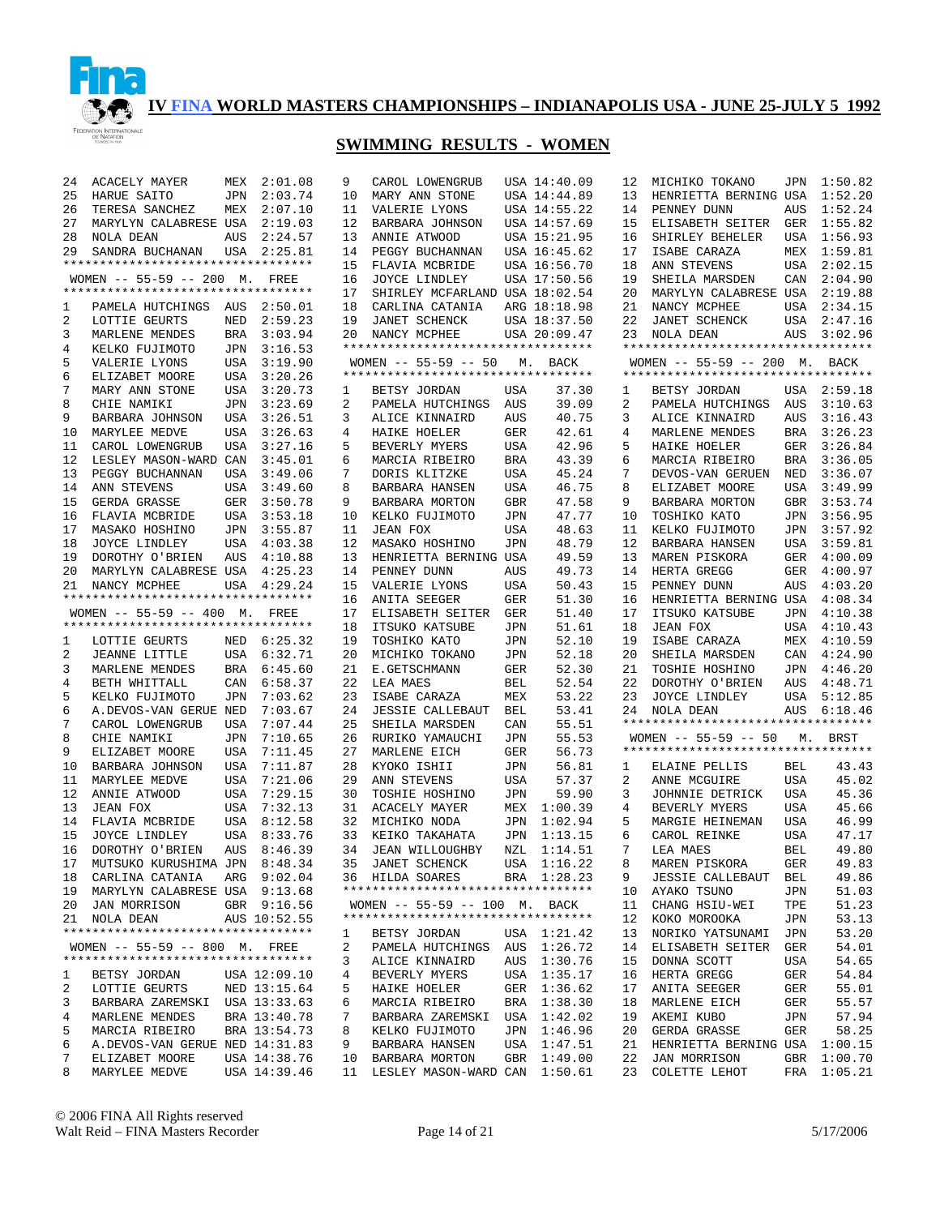

| 24 | ACACELY MAYER                                                       |            | MEX 2:01.08  | 9        | CAROL LOWENGRUB                    |            | USA 14:40.09   | 12       | MICHIKO TOKANO                          |            | JPN 1:50.82        |
|----|---------------------------------------------------------------------|------------|--------------|----------|------------------------------------|------------|----------------|----------|-----------------------------------------|------------|--------------------|
| 25 | HARUE SAITO                                                         |            | JPN 2:03.74  | 10       | MARY ANN STONE                     |            | USA 14:44.89   | 13       | HENRIETTA BERNING USA 1:52.20           |            |                    |
| 26 | TERESA SANCHEZ                                                      |            | MEX 2:07.10  | 11       | VALERIE LYONS                      |            | USA 14:55.22   | 14       | PENNEY DUNN                             |            | AUS 1:52.24        |
| 27 | MARYLYN CALABRESE USA 2:19.03                                       |            |              | 12       | BARBARA JOHNSON                    |            | USA 14:57.69   | 15       | ELISABETH SEITER                        |            | GER 1:55.82        |
| 28 | NOLA DEAN                                                           | AUS        | 2:24.57      | 13       | ANNIE ATWOOD                       |            | USA 15:21.95   | 16       | SHIRLEY BEHELER                         |            | USA 1:56.93        |
| 29 | SANDRA BUCHANAN                                                     |            | USA 2:25.81  | 14       | PEGGY BUCHANNAN                    |            | USA 16:45.62   | 17       | ISABE CARAZA                            |            | MEX 1:59.81        |
|    | **********************************                                  |            |              | 15       | FLAVIA MCBRIDE                     |            | USA 16:56.70   | 18       | ANN STEVENS                             |            | USA 2:02.15        |
|    | WOMEN -- 55-59 -- 200 M. FREE                                       |            |              | 16       | JOYCE LINDLEY                      |            | USA 17:50.56   | 19       | SHEILA MARSDEN                          | CAN        | 2:04.90            |
|    | **********************************                                  |            |              | 17       | SHIRLEY MCFARLAND USA 18:02.54     |            |                | 20       | MARYLYN CALABRESE USA                   |            | 2:19.88            |
| 1  | PAMELA HUTCHINGS AUS                                                |            | 2:50.01      | 18       | CARLINA CATANIA                    |            | ARG 18:18.98   | 21       | NANCY MCPHEE                            | USA        | 2:34.15            |
| 2  | LOTTIE GEURTS                                                       | NED        | 2:59.23      | 19       | JANET SCHENCK                      |            | USA 18:37.50   | 22       | JANET SCHENCK                           | USA        | 2:47.16            |
| 3  | MARLENE MENDES                                                      | BRA        | 3:03.94      | 20       | NANCY MCPHEE                       |            | USA 20:09.47   |          | 23 NOLA DEAN                            | AUS        | 3:02.96            |
| 4  | KELKO FUJIMOTO                                                      | JPN        | 3:16.53      |          | ********************************** |            |                |          | **********************************      |            |                    |
| 5  | VALERIE LYONS                                                       | USA        | 3:19.90      |          | WOMEN $-- 55-59 -- 50$             |            | M. BACK        |          | WOMEN -- 55-59 -- 200 M. BACK           |            |                    |
| 6  | ELIZABET MOORE                                                      | USA        | 3:20.26      |          | ********************************** |            |                |          | **********************************      |            |                    |
| 7  | MARY ANN STONE                                                      | USA        | 3:20.73      | 1        | BETSY JORDAN                       | USA        | 37.30          | 1        | BETSY JORDAN                            |            | USA 2:59.18        |
| 8  | CHIE NAMIKI                                                         | JPN        | 3:23.69      | 2        | PAMELA HUTCHINGS AUS               |            | 39.09          | 2        | PAMELA HUTCHINGS                        | AUS        | 3:10.63            |
| 9  | BARBARA JOHNSON                                                     | USA        | 3:26.51      | 3        | ALICE KINNAIRD                     | AUS        | 40.75          | 3        | ALICE KINNAIRD                          | AUS        | 3:16.43            |
| 10 | MARYLEE MEDVE                                                       | USA        | 3:26.63      | 4        | HAIKE HOELER                       | GER        | 42.61          | 4        | MARLENE MENDES                          | BRA        | 3:26.23            |
| 11 | CAROL LOWENGRUB                                                     | <b>USA</b> | 3:27.16      | 5        | BEVERLY MYERS                      | USA        | 42.96          | 5        | HAIKE HOELER                            | GER        | 3:26.84            |
| 12 | LESLEY MASON-WARD CAN                                               |            | 3:45.01      | 6        | MARCIA RIBEIRO                     | BRA        | 43.39          | 6        | MARCIA RIBEIRO                          | BRA        | 3:36.05            |
| 13 | PEGGY BUCHANNAN                                                     | USA        | 3:49.06      | 7        | DORIS KLITZKE                      | USA        | 45.24          | 7        | DEVOS-VAN GERUEN                        | NED        | 3:36.07            |
| 14 | ANN STEVENS                                                         | USA        | 3:49.60      | 8        | BARBARA HANSEN                     | USA        | 46.75          | 8        | ELIZABET MOORE                          | USA        | 3:49.99            |
| 15 | GERDA GRASSE                                                        | GER        | 3:50.78      | 9        | BARBARA MORTON                     | <b>GBR</b> | 47.58          | 9        | BARBARA MORTON                          | GBR        | 3:53.74            |
| 16 | FLAVIA MCBRIDE                                                      | USA        | 3:53.18      | 10       | KELKO FUJIMOTO                     | JPN        | 47.77          | 10       | TOSHIKO KATO                            | JPN        | 3:56.95            |
| 17 | MASAKO HOSHINO                                                      | JPN        | 3:55.87      | 11       | JEAN FOX                           | USA        | 48.63          | 11       | KELKO FUJIMOTO                          | JPN        | 3:57.92            |
| 18 | JOYCE LINDLEY                                                       |            | USA 4:03.38  | 12       | MASAKO HOSHINO                     | JPN        | 48.79          | 12       | BARBARA HANSEN                          | USA        | 3:59.81            |
| 19 | DOROTHY O'BRIEN                                                     | AUS        | 4:10.88      | 13       | HENRIETTA BERNING USA              |            | 49.59          | 13       | MAREN PISKORA                           | GER        | 4:00.09            |
| 20 | MARYLYN CALABRESE USA 4:25.23                                       |            |              | 14       | PENNEY DUNN                        | AUS        | 49.73          | 14       | HERTA GREGG                             | GER        | 4:00.97            |
| 21 | NANCY MCPHEE<br>**********************************                  |            | USA 4:29.24  | 15       | VALERIE LYONS                      | USA        | 50.43          | 15       | PENNEY DUNN                             | AUS        | 4:03.20            |
|    |                                                                     |            |              | 16       | ANITA SEEGER                       | GER        | 51.30          | 16       | HENRIETTA BERNING USA<br>ITSUKO KATSUBE |            | 4:08.34            |
|    | WOMEN -- 55-59 -- 400 M. FREE<br>********************************** |            |              | 17<br>18 | ELISABETH SEITER<br>ITSUKO KATSUBE | GER<br>JPN | 51.40<br>51.61 | 17<br>18 | <b>JEAN FOX</b>                         | JPN<br>USA | 4:10.38<br>4:10.43 |
| 1  | LOTTIE GEURTS                                                       |            | NED 6:25.32  | 19       | TOSHIKO KATO                       | JPN        | 52.10          | 19       | ISABE CARAZA                            | MEX        | 4:10.59            |
| 2  | JEANNE LITTLE                                                       |            | USA 6:32.71  | 20       | MICHIKO TOKANO                     | JPN        | 52.18          | 20       | SHEILA MARSDEN                          | CAN        | 4:24.90            |
| 3  | MARLENE MENDES                                                      |            | BRA 6:45.60  | 21       | E.GETSCHMANN                       | GER        | 52.30          | 21       | TOSHIE HOSHINO                          | JPN        | 4:46.20            |
| 4  | BETH WHITTALL                                                       |            | CAN 6:58.37  | 22       | LEA MAES                           | BEL        | 52.54          | 22       | DOROTHY O'BRIEN                         | AUS        | 4:48.71            |
| 5  | KELKO FUJIMOTO                                                      | JPN        | 7:03.62      | 23       | ISABE CARAZA                       | MEX        | 53.22          | 23       | JOYCE LINDLEY                           | USA        | 5:12.85            |
| 6  | A.DEVOS-VAN GERUE NED                                               |            | 7:03.67      | 24       | <b>JESSIE CALLEBAUT</b>            | BEL        | 53.41          | 24       | NOLA DEAN                               | AUS        | 6:18.46            |
| 7  | CAROL LOWENGRUB                                                     | <b>USA</b> | 7:07.44      | 25       | SHEILA MARSDEN                     | CAN        | 55.51          |          | **********************************      |            |                    |
| 8  | CHIE NAMIKI                                                         | JPN        | 7:10.65      | 26       | RURIKO YAMAUCHI                    | JPN        | 55.53          |          | WOMEN $-- 55-59 -- 50$                  | М.         | BRST               |
| 9  | ELIZABET MOORE                                                      | <b>USA</b> | 7:11.45      | 27       | MARLENE EICH                       | GER        | 56.73          |          | **********************************      |            |                    |
| 10 | BARBARA JOHNSON                                                     | USA        | 7:11.87      | 28       | KYOKO ISHII                        | JPN        | 56.81          | 1        | ELAINE PELLIS                           | BEL        | 43.43              |
| 11 | MARYLEE MEDVE                                                       | <b>USA</b> | 7:21.06      | 29       | ANN STEVENS                        | USA        | 57.37          | 2        | ANNE MCGUIRE                            | USA        | 45.02              |
| 12 | ANNIE ATWOOD                                                        | USA        | 7:29.15      | 30       | TOSHIE HOSHINO                     | JPN        | 59.90          | 3        | JOHNNIE DETRICK                         | <b>USA</b> | 45.36              |
| 13 | JEAN FOX                                                            | USA        | 7:32.13      |          | 31 ACACELY MAYER                   | MEX        | 1:00.39        | 4        | BEVERLY MYERS                           | <b>USA</b> | 45.66              |
| 14 | FLAVIA MCBRIDE                                                      |            | USA 8:12.58  |          | 32 MICHIKO NODA                    | JPN        | 1:02.94        | 5        | MARGIE HEINEMAN                         | USA        | 46.99              |
| 15 | JOYCE LINDLEY                                                       |            | USA 8:33.76  |          | 33 KEIKO TAKAHATA                  | JPN        | 1:13.15        | 6        | CAROL REINKE                            | USA        | 47.17              |
| 16 | DOROTHY O'BRIEN                                                     |            | AUS 8:46.39  | 34       | JEAN WILLOUGHBY                    | NZL        | 1:14.51        | 7        | LEA MAES                                | BEL        | 49.80              |
| 17 | MUTSUKO KURUSHIMA JPN 8:48.34                                       |            |              |          | 35 JANET SCHENCK                   |            | USA 1:16.22    | 8        | MAREN PISKORA                           | GER        | 49.83              |
|    | 18 CARLINA CATANIA                                                  |            | ARG 9:02.04  |          | 36 HILDA SOARES                    |            | BRA 1:28.23    | 9        | <b>JESSIE CALLEBAUT</b>                 | BEL        | 49.86              |
|    | 19 MARYLYN CALABRESE USA 9:13.68                                    |            |              |          | ********************************** |            |                | 10       | AYAKO TSUNO                             | JPN        | 51.03              |
| 20 | JAN MORRISON                                                        |            | GBR 9:16.56  |          | WOMEN -- 55-59 -- 100 M. BACK      |            |                | 11       | CHANG HSIU-WEI                          | TPE        | 51.23              |
|    | 21 NOLA DEAN                                                        |            | AUS 10:52.55 |          | ********************************** |            |                | 12       | KOKO MOROOKA                            | JPN        | 53.13              |
|    | **********************************                                  |            |              | ı        | BETSY JORDAN                       |            | USA 1:21.42    | 13       | NORIKO YATSUNAMI                        | JPN        | 53.20              |
|    | WOMEN -- 55-59 -- 800 M. FREE                                       |            |              | 2        | PAMELA HUTCHINGS                   |            | AUS 1:26.72    | 14       | ELISABETH SEITER                        | GER        | 54.01              |
|    | **********************************                                  |            |              | 3        | ALICE KINNAIRD                     |            | AUS 1:30.76    | 15       | DONNA SCOTT                             | USA        | 54.65              |
| 1  | BETSY JORDAN                                                        |            | USA 12:09.10 | 4        | BEVERLY MYERS                      |            | USA 1:35.17    | 16       | HERTA GREGG                             | GER        | 54.84              |
| 2  | LOTTIE GEURTS                                                       |            | NED 13:15.64 | 5        | HAIKE HOELER                       | GER        | 1:36.62        | 17       | ANITA SEEGER                            | GER        | 55.01              |
| 3  | BARBARA ZAREMSKI USA 13:33.63                                       |            |              | 6        | MARCIA RIBEIRO                     |            | BRA 1:38.30    | 18       | MARLENE EICH                            | GER        | 55.57              |
| 4  | MARLENE MENDES                                                      |            | BRA 13:40.78 | 7        | BARBARA ZAREMSKI                   |            | USA 1:42.02    | 19       | AKEMI KUBO                              | JPN        | 57.94              |
| 5  | MARCIA RIBEIRO                                                      |            | BRA 13:54.73 | 8        | KELKO FUJIMOTO                     |            | JPN 1:46.96    | 20       | GERDA GRASSE                            | GER        | 58.25              |
| 6  | A.DEVOS-VAN GERUE NED 14:31.83                                      |            |              | 9        | BARBARA HANSEN                     | USA        | 1:47.51        | 21       | HENRIETTA BERNING USA 1:00.15           |            |                    |
| 7  | ELIZABET MOORE                                                      |            | USA 14:38.76 | 10       | BARBARA MORTON                     | GBR        | 1:49.00        | 22       | JAN MORRISON                            |            | GBR 1:00.70        |
| 8  | MARYLEE MEDVE                                                       |            | USA 14:39.46 | 11       | LESLEY MASON-WARD CAN 1:50.61      |            |                | 23       | COLETTE LEHOT                           |            | FRA 1:05.21        |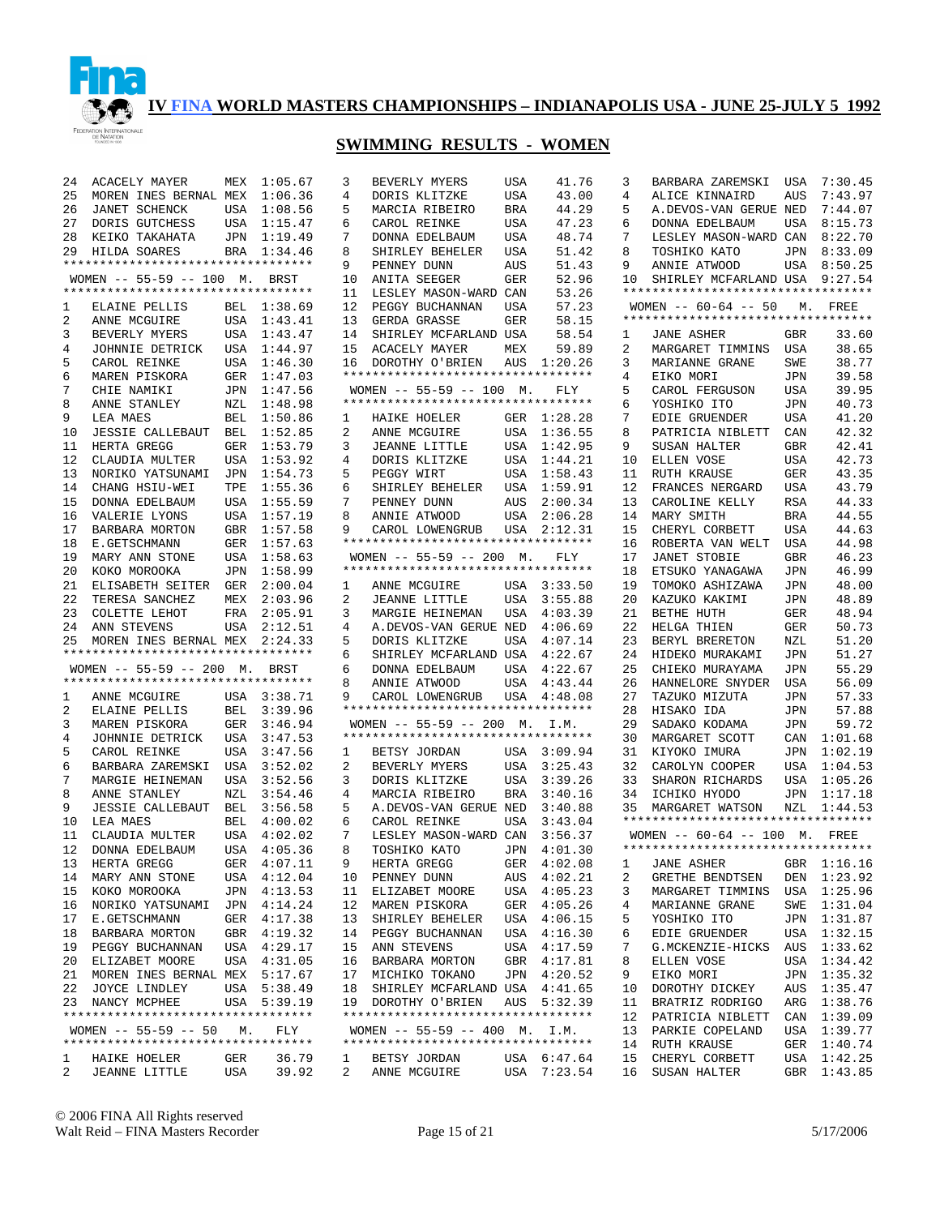

## **SWIMMING RESULTS - WOMEN**

| 24             | ACACELY MAYER                      | MEX          | 1:05.67     | 3            | BEVERLY MYERS                                         | USA | 41.76         |
|----------------|------------------------------------|--------------|-------------|--------------|-------------------------------------------------------|-----|---------------|
| 25             | MOREN INES BERNAL MEX              |              | 1:06.36     | 4            | DORIS KLITZKE                                         | USA | 43.00         |
| 26             | JANET SCHENCK                      | USA          | 1:08.56     | 5            | MARCIA RIBEIRO                                        | BRA | 44.29         |
| 27             | DORIS GUTCHESS                     | USA          | 1:15.47     | 6            | CAROL REINKE                                          | USA | 47.23         |
|                |                                    |              |             |              |                                                       |     |               |
| 28             | KEIKO TAKAHATA                     | JPN          | 1:19.49     | 7            | DONNA EDELBAUM                                        | USA | 48.74         |
| 29             | <b>HILDA SOARES</b>                | BRA          | 1:34.46     | 8            | SHIRLEY BEHELER                                       | USA | 51.42         |
|                | ********************************** |              |             | 9            | PENNEY DUNN                                           | AUS | 51.43         |
|                | WOMEN $-- 55-59 -- 100$ M.         |              | BRST        | 10           | ANITA SEEGER                                          | GER | 52.96         |
|                | ********************************** |              |             | 11           | LESLEY MASON-WARD CAN                                 |     | 53.26         |
| 1              | ELAINE PELLIS                      | BEL          | 1:38.69     | 12           | PEGGY BUCHANNAN                                       | USA | 57.23         |
| 2              | ANNE MCGUIRE                       | USA          | 1:43.41     | 13           | GERDA GRASSE                                          | GER | 58.15         |
| 3              | BEVERLY MYERS                      | USA          | 1:43.47     | 14           | SHIRLEY MCFARLAND USA                                 |     | 58.54         |
| 4              |                                    |              | 1:44.97     | 15           | ACACELY MAYER                                         | MEX | 59.89         |
|                | JOHNNIE DETRICK                    | USA          |             |              |                                                       |     |               |
| 5              | CAROL REINKE                       | USA          | 1:46.30     | 16           | DOROTHY O'BRIEN                                       | AUS | 1:20.26       |
| 6              | MAREN PISKORA                      | GER          | 1:47.03     |              | **********************************                    |     |               |
| 7              | CHIE NAMIKI                        | JPN          | 1:47.56     |              | WOMEN $-- 55-59 -- 100$ M.                            |     | FLY           |
| 8              | ANNE STANLEY                       | NZL          | 1:48.98     |              | **********************************                    |     |               |
| 9              | LEA MAES                           | BEL          | 1:50.86     | 1            | HAIKE HOELER                                          | GER | 1:28.28       |
| 10             | <b>JESSIE CALLEBAUT</b>            | BEL          | 1:52.85     | 2            | ANNE MCGUIRE                                          | USA | 1:36.55       |
| 11             | HERTA GREGG                        | GER          | 1:53.79     | 3            | <b>JEANNE LITTLE</b>                                  | USA | 1:42.95       |
| 12             | CLAUDIA MULTER                     | USA          | 1:53.92     | 4            | DORIS KLITZKE                                         | USA | 1:44.21       |
| 13             |                                    |              |             | 5            | PEGGY WIRT                                            | USA | 1:58.43       |
|                | NORIKO YATSUNAMI                   | JPN          | 1:54.73     |              |                                                       |     |               |
| 14             | CHANG HSIU-WEI                     | TPE          | 1:55.36     | 6            | SHIRLEY BEHELER                                       | USA | 1:59.91       |
| 15             | DONNA EDELBAUM                     | USA          | 1:55.59     | 7            | PENNEY DUNN                                           | AUS | 2:00.34       |
| 16             | VALERIE LYONS                      | USA          | 1:57.19     | 8            | ANNIE ATWOOD                                          | USA | 2:06.28       |
| 17             | BARBARA MORTON                     | $\mbox{GBR}$ | 1:57.58     | 9            | CAROL LOWENGRUB                                       | USA | 2:12.31       |
| 18             | E.GETSCHMANN                       | GER          | 1:57.63     |              | *********************************                     |     |               |
| 19             | MARY ANN STONE                     | USA          | 1:58.63     |              | WOMEN $-- 55-59 -- 200$ M.                            |     | FLY           |
| 20             | KOKO MOROOKA                       | JPN          | 1:58.99     |              | *********************************                     |     |               |
| 21             | ELISABETH SEITER                   | GER          | 2:00.04     | 1            | ANNE MCGUIRE                                          | USA | 3:33.50       |
| 22             |                                    |              | 2:03.96     | 2            |                                                       | USA |               |
|                | TERESA SANCHEZ                     | MEX          |             |              | JEANNE LITTLE                                         |     | 3:55.88       |
| 23             | COLETTE LEHOT                      | FRA          | 2:05.91     | 3            | MARGIE HEINEMAN                                       | USA | 4:03.39       |
| 24             | ANN STEVENS                        | USA          | 2:12.51     | 4            | A.DEVOS-VAN GERUE NED                                 |     | 4:06.69       |
|                |                                    |              |             |              |                                                       |     |               |
| 25             | MOREN INES BERNAL MEX              |              | 2:24.33     | 5            | DORIS KLITZKE                                         | USA | 4:07.14       |
|                | ********************************** |              |             | 6            | SHIRLEY MCFARLAND USA                                 |     | 4:22.67       |
|                | WOMEN $-- 55-59 -- 200$ M.         |              | BRST        | 6            | DONNA EDELBAUM                                        | USA | 4:22.67       |
|                | ********************************** |              |             | 8            |                                                       |     |               |
|                |                                    |              |             | 9            | ANNIE ATWOOD                                          | USA | 4:43.44       |
| 1              | ANNE MCGUIRE                       | USA          | 3:38.71     |              | CAROL LOWENGRUB<br>********************************** | USA | 4:48.08       |
| 2              | ELAINE PELLIS                      | BEL          | 3:39.96     |              |                                                       |     |               |
| 3              | MAREN PISKORA                      | GER          | 3:46.94     |              | WOMEN $-- 55-59 -- 200$ M.                            |     | I.M.          |
| 4              | JOHNNIE DETRICK                    | USA          | 3:47.53     |              | *********************************                     |     |               |
| 5              | CAROL REINKE                       | USA          | 3:47.56     | 1            | BETSY JORDAN                                          | USA | 3:09.94       |
| 6              | BARBARA ZAREMSKI                   | USA          | 3:52.02     | 2            | BEVERLY MYERS                                         | USA | 3:25.43       |
| 7              | MARGIE HEINEMAN                    | USA          | 3:52.56     | 3            | DORIS KLITZKE                                         | USA | 3:39.26       |
| 8              | ANNE STANLEY                       | NZL          | 3:54.46     | 4            | MARCIA RIBEIRO                                        | BRA | 3:40.16       |
| 9              | <b>JESSIE CALLEBAUT</b>            | BEL          | 3:56.58     | 5            | A.DEVOS-VAN GERUE NED                                 |     | 3:40.88       |
|                |                                    |              |             |              |                                                       |     |               |
| 10             | LEA MAES                           | BEL          | 4:00.02     | 6            | CAROL REINKE                                          | USA | 3:43.04       |
| 11             | CLAUDIA MULTER                     | USA          | 4:02.02     | 7            | LESLEY MASON-WARD CAN                                 |     | 3:56.37       |
| 12             | DONNA EDELBAUM                     | USA          | 4:05.36     | 8            | TOSHIKO KATO                                          | JPN | 4:01.30       |
| 13             | HERTA GREGG                        |              | GER 4:07.11 | 9            | HERTA GREGG                                           |     | GER $4:02.08$ |
| 14             | MARY ANN STONE USA                 |              | 4:12.04     | 10           | PENNEY DUNN                                           | AUS | 4:02.21       |
| 15             | KOKO MOROOKA                       | JPN          | 4:13.53     | 11           | ELIZABET MOORE                                        | USA | 4:05.23       |
| 16             | NORIKO YATSUNAMI JPN               |              | 4:14.24     | 12           | MAREN PISKORA                                         | GER | 4:05.26       |
| 17             | E.GETSCHMANN                       | GER          | 4:17.38     | 13           | SHIRLEY BEHELER                                       | USA | 4:06.15       |
|                |                                    |              |             |              |                                                       |     |               |
| 18             | BARBARA MORTON                     | GBR          | 4:19.32     | 14           | PEGGY BUCHANNAN                                       | USA | 4:16.30       |
| 19             | PEGGY BUCHANNAN                    | USA          | 4:29.17     | 15           | ANN STEVENS                                           | USA | 4:17.59       |
| 20             | ELIZABET MOORE                     |              | USA 4:31.05 | 16           | BARBARA MORTON                                        | GBR | 4:17.81       |
| 21             | MOREN INES BERNAL MEX 5:17.67      |              |             | 17           | MICHIKO TOKANO                                        | JPN | 4:20.52       |
| 22             | JOYCE LINDLEY                      |              | USA 5:38.49 | 18           | SHIRLEY MCFARLAND USA                                 |     | 4:41.65       |
| 23             | NANCY MCPHEE                       |              | USA 5:39.19 | 19           | DOROTHY O'BRIEN                                       | AUS | 5:32.39       |
|                | ********************************** |              |             |              | **********************************                    |     |               |
|                | WOMEN -- 55-59 -- 50 M.            |              | FLY         |              | WOMEN -- 55-59 -- 400 M.                              |     | I.M.          |
|                | ********************************** |              |             |              | **********************************                    |     |               |
| 1              | HAIKE HOELER                       | GER          | 36.79       | $\mathbf{1}$ | BETSY JORDAN                                          | USA | 6:47.64       |
| $\overline{a}$ | JEANNE LITTLE USA                  |              | 39.92       | $\mathbf{2}$ | ANNE MCGUIRE USA 7:23.54                              |     |               |

| 4                              | DORIS KLITZKE                                                 | USA | 43.00                  |
|--------------------------------|---------------------------------------------------------------|-----|------------------------|
| 5                              | MARCIA RIBEIRO                                                | BRA | 44.29                  |
| 6                              | CAROL REINKE                                                  | USA | 47.23                  |
| 7                              | DONNA EDELBAUM                                                | USA | 48.74                  |
| 8                              | SHIRLEY BEHELER                                               | USA | 51.42                  |
| 9                              | PENNEY DUNN                                                   | AUS | 51.43                  |
| 10                             | ANITA SEEGER                                                  | GER | 52.96                  |
| 11                             | LESLEY MASON-WARD CAN                                         |     | 53.26                  |
| 12                             | PEGGY BUCHANNAN                                               | USA | 57.23                  |
| 13                             | GERDA GRASSE                                                  | GER | 58.15                  |
| 14                             | SHIRLEY MCFARLAND USA                                         |     | 58.54                  |
| 15                             | ACACELY MAYER                                                 | MEX | 59.89                  |
| 16                             | DOROTHY O'BRIEN AUS 1:20.26                                   |     |                        |
|                                | **********************************                            |     |                        |
|                                | WOMEN -- 55-59 -- 100 M.<br>********************************* |     | <b>FLY</b>             |
|                                |                                                               |     |                        |
| $\mathbf{1}$                   | HAIKE HOELER                                                  |     | GER 1:28.28            |
| $\overline{2}$                 | ANNE MCGUIRE                                                  | USA | 1:36.55                |
| 3                              | JEANNE LITTLE                                                 | USA | 1:42.95                |
| 4                              | DORIS KLITZKE                                                 | USA | 1:44.21                |
| 5                              | PEGGY WIRT                                                    | USA | 1:58.43<br>1:59.91     |
| 6                              | SHIRLEY BEHELER                                               | USA |                        |
| 7                              | PENNEY DUNN<br>CAPOT                                          | AUS | 2:00.34                |
| 8                              |                                                               | USA | 2:06.28<br>2:12.31     |
| 9                              | CAROL LOWENGRUB USA<br>**********************************     |     |                        |
|                                | WOMEN $-- 55-59 -- 200$ M.                                    |     | FLY                    |
|                                | **********************************                            |     |                        |
| $\mathbf{1}$                   | ANNE MCGUIRE                                                  |     | USA 3:33.50            |
| 2                              | JEANNE LITTLE                                                 | USA | 3:55.88                |
| 3                              | MARGIE HEINEMAN USA                                           |     | 4:03.39                |
| 4                              | A.DEVOS-VAN GERUE NED                                         |     | 4:06.69                |
| 5                              | DORIS KLITZKE                                                 | USA | 4:07.14                |
| 6                              | SHIRLEY MCFARLAND USA                                         |     | 4:22.67                |
| б.                             | DONNA EDELBAUM                                                | USA | 4:22.67                |
| 8                              | ANNIE ATWOOD                                                  | USA | 4:43.44                |
| 9                              | CAROL LOWENGRUB USA 4:48.08                                   |     |                        |
|                                | **********************************                            |     |                        |
|                                | WOMEN -- 55-59 -- 200 M. I.M.                                 |     |                        |
|                                | **********************************                            |     |                        |
| 1                              | BETSY JORDAN                                                  | USA | 3:09.94                |
| 2                              | BEVERLY MYERS                                                 | USA | 3:25.43                |
| 3                              | DORIS KLITZKE                                                 | USA | 3:39.26                |
| 4                              |                                                               |     |                        |
|                                | MARCIA RIBEIRO                                                | BRA | 3:40.16                |
| 5                              | A.DEVOS-VAN GERUE NED                                         |     | 3:40.88                |
| 6                              | CAROL REINKE                                                  | USA | 3:43.04                |
| 7                              | LESLEY MASON-WARD CAN                                         |     | 3:56.37                |
| 8                              | TOSHIKO KATO                                                  | JPN | 4:01.30                |
| 9                              | HERTA GREGG                                                   | GER | 4:02.08                |
| 10                             | PENNEY DUNN                                                   | AUS | 4:02.21                |
| 11                             | ELIZABET MOORE                                                |     |                        |
| 12                             | MAREN PISKORA                                                 | GER | USA 4:05.23<br>4:05.26 |
| 13                             | SHIRLEY BEHELER                                               | USA | 4:06.15                |
| 14                             | PEGGY BUCHANNAN                                               | USA | 4:16.30                |
| 15                             | ANN STEVENS                                                   | USA | 4:17.59                |
| 16                             | BARBARA MORTON                                                | GBR | 4:17.81                |
| 17                             | MICHIKO TOKANO                                                |     | JPN 4:20.52            |
| 18                             | SHIRLEY MCFARLAND USA                                         |     | 4:41.65                |
| 19                             | DOROTHY O'BRIEN AUS 5:32.39                                   |     |                        |
|                                | **********************************                            |     |                        |
|                                | WOMEN -- 55-59 -- 400 M. I.M.                                 |     |                        |
|                                | **********************************                            |     |                        |
| $\mathbf{1}$<br>$\overline{2}$ | BETSY JORDAN<br>ANNE MCGUIRE                                  | USA | USA 6:47.64<br>7:23.54 |

| 3  | BARBARA ZAREMSKI USA               |     | 7:30.45 |
|----|------------------------------------|-----|---------|
| 4  | ALICE KINNAIRD                     | AUS | 7:43.97 |
| 5  | A.DEVOS-VAN GERUE NED              |     | 7:44.07 |
| 6  |                                    |     | 8:15.73 |
|    | DONNA EDELBAUM                     | USA |         |
| 7  | LESLEY MASON-WARD CAN              |     | 8:22.70 |
| 8  | TOSHIKO KATO                       | JPN | 8:33.09 |
| 9  | ANNIE ATWOOD                       | USA | 8:50.25 |
| 10 | SHIRLEY MCFARLAND USA              |     | 9:27.54 |
|    | ********************************** |     |         |
|    | WOMEN $--$ 60-64 $--$ 50 M.        |     | FREE    |
|    | ********************************** |     |         |
|    |                                    |     |         |
| 1  | <b>JANE ASHER</b>                  | GBR | 33.60   |
| 2  | MARGARET TIMMINS                   | USA | 38.65   |
| 3  | MARIANNE GRANE                     | SWE | 38.77   |
| 4  | EIKO MORI                          | JPN | 39.58   |
| 5  | CAROL FERGUSON                     | USA | 39.95   |
| б  | YOSHIKO ITO                        | JPN | 40.73   |
| 7  | EDIE GRUENDER                      | USA | 41.20   |
|    |                                    |     | 42.32   |
| 8  | PATRICIA NIBLETT                   | CAN |         |
| 9  | SUSAN HALTER                       | GBR | 42.41   |
| 10 | ELLEN VOSE                         | USA | 42.73   |
| 11 | RUTH KRAUSE                        | GER | 43.35   |
| 12 | FRANCES NERGARD                    | USA | 43.79   |
| 13 | CAROLINE KELLY                     | RSA | 44.33   |
| 14 | MARY SMITH                         | BRA | 44.55   |
|    |                                    |     |         |
| 15 | CHERYL CORBETT                     | USA | 44.63   |
| 16 | ROBERTA VAN WELT                   | USA | 44.98   |
| 17 | <b>JANET STOBIE</b>                | GBR | 46.23   |
| 18 | ETSUKO YANAGAWA                    | JPN | 46.99   |
| 19 | TOMOKO ASHIZAWA                    | JPN | 48.00   |
| 20 | KAZUKO KAKIMI                      | JPN | 48.89   |
| 21 | BETHE HUTH                         | GER | 48.94   |
|    |                                    |     |         |
| 22 | HELGA THIEN                        | GER | 50.73   |
| 23 | BERYL BRERETON                     | NZL | 51.20   |
| 24 | HIDEKO MURAKAMI                    | JPN | 51.27   |
| 25 | CHIEKO MURAYAMA                    | JPN | 55.29   |
| 26 | HANNELORE SNYDER                   | USA | 56.09   |
| 27 | TAZUKO MIZUTA                      | JPN | 57.33   |
| 28 | HISAKO IDA                         | JPN | 57.88   |
| 29 | SADAKO KODAMA                      | JPN | 59.72   |
| 30 | MARGARET SCOTT                     |     | 1:01.68 |
|    |                                    | CAN |         |
| 31 | KIYOKO IMURA                       | JPN | 1:02.19 |
| 32 | CAROLYN COOPER                     | USA | 1:04.53 |
| 33 | SHARON RICHARDS                    | USA | 1:05.26 |
| 34 | ICHIKO HYODO                       | JPN | 1:17.18 |
| 35 | MARGARET WATSON                    | NZL | 1:44.53 |
|    | *********************************  |     |         |
|    | WOMEN -- 60-64 -- 100 M. FREE      |     |         |
|    | *********************************  |     |         |
|    |                                    |     |         |
| 1  | <b>JANE ASHER</b>                  | GBR | 1:16.16 |
| 2  | GRETHE<br><b>BENDTSEN</b>          | DEN | 1:23.92 |
| 3  | MARGARET TIMMINS                   | USA | 1:25.96 |
| 4  | MARIANNE<br><b>GRANE</b>           | SWE | 1:31.04 |
| 5  | YOSHIKO ITO                        | JPN | 1:31.87 |
| 6  | EDIE GRUENDER                      | USA | 1:32.15 |
| 7  | G.MCKENZIE-HICKS                   | AUS | 1:33.62 |
|    |                                    |     |         |
| 8  | ELLEN VOSE                         | USA | 1:34.42 |
| 9  | EIKO MORI                          | JPN | 1:35.32 |
| 10 | DOROTHY DICKEY                     | AUS | 1:35.47 |
| 11 | BRATRIZ RODRIGO                    | ARG | 1:38.76 |
| 12 | PATRICIA NIBLETT                   | CAN | 1:39.09 |
| 13 | PARKIE COPELAND                    | USA | 1:39.77 |
| 14 | RUTH KRAUSE                        | GER | 1:40.74 |
| 15 | CHERYL CORBETT                     | USA | 1:42.25 |
|    |                                    |     |         |
| 16 | SUSAN HALTER                       | GBR | 1:43.85 |

© 2006 FINA All Rights reserved Walt Reid – FINA Masters Recorder Page 15 of 21 5/17/2006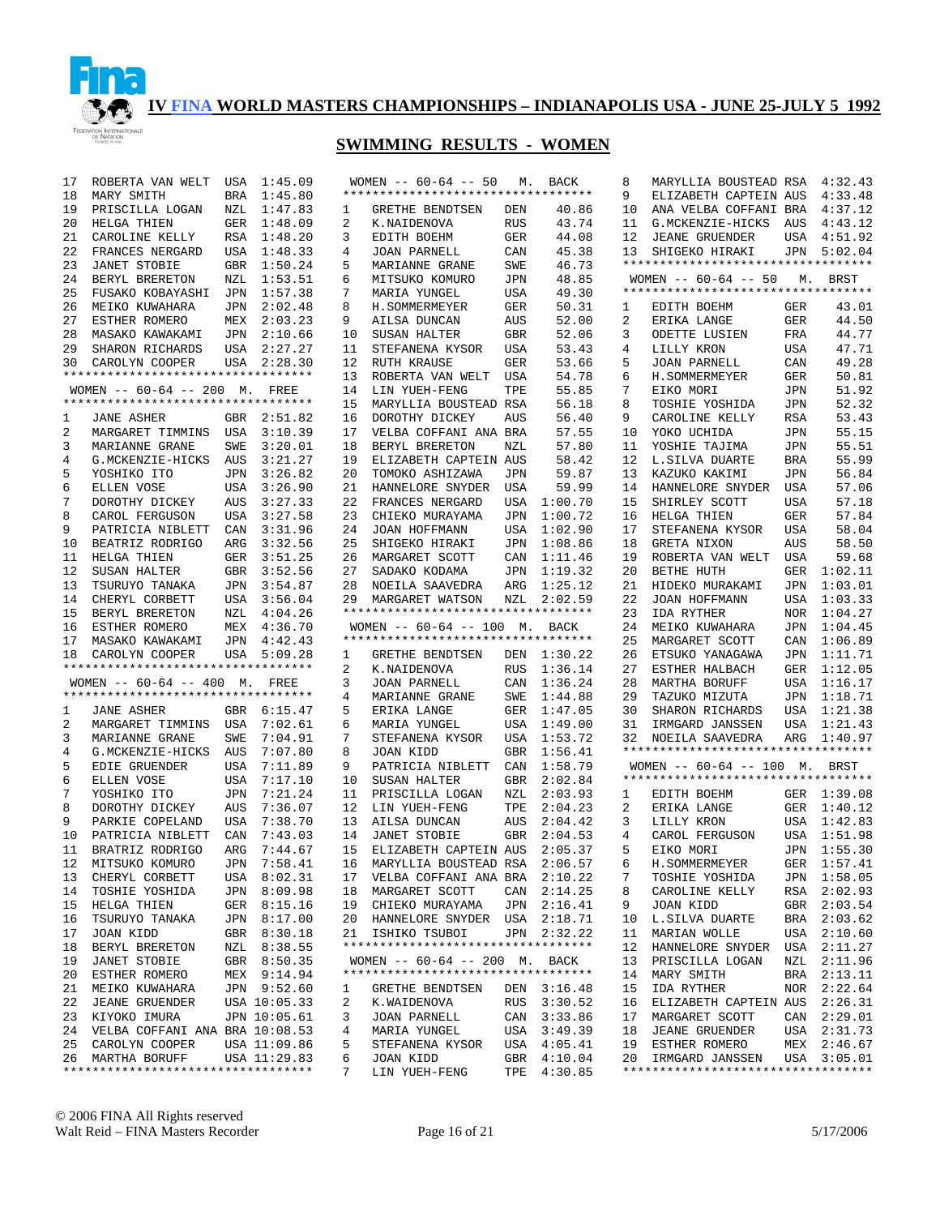

| 17 | ROBERTA VAN WELT                                                      | USA | 1:45.09      |    | WOMEN $-- 60-64 -- 50$ M.                             |            | <b>BACK</b> | 8  | MARYLLIA BOUSTEAD RSA 4:32.43                         |            |             |
|----|-----------------------------------------------------------------------|-----|--------------|----|-------------------------------------------------------|------------|-------------|----|-------------------------------------------------------|------------|-------------|
| 18 | MARY SMITH                                                            | BRA | 1:45.80      |    | **********************************                    |            |             | 9  | ELIZABETH CAPTEIN AUS                                 |            | 4:33.48     |
| 19 | PRISCILLA LOGAN                                                       | NZL | 1:47.83      | 1  | GRETHE BENDTSEN                                       | DEN        | 40.86       | 10 | ANA VELBA COFFANI BRA                                 |            | 4:37.12     |
| 20 | HELGA THIEN                                                           | GER | 1:48.09      | 2  | K.NAIDENOVA                                           | RUS        | 43.74       | 11 | G.MCKENZIE-HICKS                                      | AUS        | 4:43.12     |
| 21 | CAROLINE KELLY                                                        |     | RSA 1:48.20  | 3  | EDITH BOEHM                                           | GER        | 44.08       | 12 | <b>JEANE GRUENDER</b>                                 | USA        | 4:51.92     |
| 22 | FRANCES NERGARD                                                       |     | USA 1:48.33  | 4  | JOAN PARNELL                                          | CAN        | 45.38       | 13 | SHIGEKO HIRAKI                                        | JPN        | 5:02.04     |
| 23 | <b>JANET STOBIE</b>                                                   | GBR | 1:50.24      | 5  | MARIANNE GRANE                                        | SWE        | 46.73       |    | **********************************                    |            |             |
| 24 | BERYL BRERETON                                                        | NZL | 1:53.51      | 6  | MITSUKO KOMURO                                        | JPN        | 48.85       |    | WOMEN $-- 60-64 -- 50$                                |            | M. BRST     |
| 25 | FUSAKO KOBAYASHI JPN                                                  |     | 1:57.38      | 7  |                                                       | USA        | 49.30       |    | **********************************                    |            |             |
|    |                                                                       |     |              |    | MARIA YUNGEL                                          |            |             |    |                                                       |            |             |
| 26 | MEIKO KUWAHARA                                                        | JPN | 2:02.48      | 8  | H. SOMMERMEYER                                        | GER        | 50.31       | 1  | EDITH BOEHM                                           | GER        | 43.01       |
| 27 | ESTHER ROMERO                                                         |     | MEX 2:03.23  | 9  | AILSA DUNCAN                                          | AUS        | 52.00       | 2  | ERIKA LANGE                                           | GER        | 44.50       |
| 28 | MASAKO KAWAKAMI                                                       | JPN | 2:10.66      | 10 | SUSAN HALTER                                          | <b>GBR</b> | 52.06       | 3  | ODETTE LUSIEN                                         | FRA        | 44.77       |
| 29 | SHARON RICHARDS                                                       |     | USA 2:27.27  | 11 | STEFANENA KYSOR                                       | USA        | 53.43       | 4  | LILLY KRON                                            | USA        | 47.71       |
| 30 | CAROLYN COOPER                                                        |     | USA 2:28.30  | 12 | RUTH KRAUSE                                           | GER        | 53.66       | 5  | JOAN PARNELL                                          | CAN        | 49.28       |
|    | **********************************                                    |     |              | 13 | ROBERTA VAN WELT                                      | USA        | 54.78       | 6  | H. SOMMERMEYER                                        | GER        | 50.81       |
|    | WOMEN -- 60-64 -- 200 M. FREE                                         |     |              | 14 | LIN YUEH-FENG                                         | TPE        | 55.85       | 7  | EIKO MORI                                             | JPN        | 51.92       |
|    | **********************************                                    |     |              | 15 | MARYLLIA BOUSTEAD RSA                                 |            | 56.18       | 8  | TOSHIE YOSHIDA                                        | JPN        | 52.32       |
| 1  | <b>JANE ASHER</b>                                                     | GBR | 2:51.82      | 16 | DOROTHY DICKEY                                        | <b>AUS</b> | 56.40       | 9  | CAROLINE KELLY                                        | <b>RSA</b> | 53.43       |
| 2  | MARGARET TIMMINS USA                                                  |     | 3:10.39      | 17 | VELBA COFFANI ANA BRA                                 |            | 57.55       | 10 | YOKO UCHIDA                                           | <b>JPN</b> | 55.15       |
| 3  | MARIANNE GRANE                                                        | SWE | 3:20.01      | 18 | BERYL BRERETON                                        | NZL        | 57.80       | 11 | YOSHIE TAJIMA                                         | <b>JPN</b> | 55.51       |
| 4  | G.MCKENZIE-HICKS                                                      | AUS | 3:21.27      | 19 | ELIZABETH CAPTEIN AUS                                 |            | 58.42       | 12 | L.SILVA DUARTE                                        | <b>BRA</b> | 55.99       |
| 5  | YOSHIKO ITO                                                           | JPN | 3:26.82      | 20 | TOMOKO ASHIZAWA                                       | JPN        | 59.87       | 13 | KAZUKO KAKIMI                                         | JPN        | 56.84       |
| 6  | ELLEN VOSE                                                            | USA | 3:26.90      | 21 | HANNELORE SNYDER                                      | USA        | 59.99       | 14 | HANNELORE SNYDER                                      | USA        | 57.06       |
| 7  | DOROTHY DICKEY                                                        | AUS | 3:27.33      | 22 | FRANCES NERGARD                                       | USA        | 1:00.70     | 15 | SHIRLEY SCOTT                                         | <b>USA</b> | 57.18       |
| 8  | CAROL FERGUSON                                                        | USA | 3:27.58      | 23 | CHIEKO MURAYAMA                                       | JPN        | 1:00.72     | 16 | HELGA THIEN                                           | GER        | 57.84       |
| 9  | PATRICIA NIBLETT                                                      | CAN | 3:31.96      | 24 | JOAN HOFFMANN                                         | USA        | 1:02.90     | 17 | STEFANENA KYSOR                                       | USA        | 58.04       |
| 10 | BEATRIZ RODRIGO                                                       | ARG | 3:32.56      | 25 | SHIGEKO HIRAKI                                        | JPN        | 1:08.86     | 18 | GRETA NIXON                                           | AUS        | 58.50       |
| 11 | HELGA THIEN                                                           | GER | 3:51.25      | 26 | MARGARET SCOTT                                        | CAN        | 1:11.46     | 19 | ROBERTA VAN WELT                                      | USA        | 59.68       |
| 12 | SUSAN HALTER                                                          | GBR | 3:52.56      | 27 | SADAKO KODAMA                                         | JPN        | 1:19.32     | 20 | BETHE HUTH                                            |            | GER 1:02.11 |
| 13 | TSURUYO TANAKA                                                        | JPN | 3:54.87      | 28 | NOEILA SAAVEDRA                                       | ARG        | 1:25.12     | 21 | HIDEKO MURAKAMI                                       | JPN        | 1:03.01     |
| 14 | CHERYL CORBETT                                                        | USA | 3:56.04      |    |                                                       |            | 2:02.59     | 22 | JOAN HOFFMANN                                         | USA        | 1:03.33     |
| 15 |                                                                       |     | 4:04.26      | 29 | MARGARET WATSON<br>********************************** | NZL        |             | 23 | IDA RYTHER                                            |            | NOR 1:04.27 |
| 16 | BERYL BRERETON<br>ESTHER ROMERO                                       | NZL | MEX 4:36.70  |    | WOMEN -- 60-64 -- 100 M. BACK                         |            |             | 24 | MEIKO KUWAHARA                                        | JPN        | 1:04.45     |
|    |                                                                       |     | JPN 4:42.43  |    | **********************************                    |            |             | 25 | MARGARET SCOTT                                        | CAN        | 1:06.89     |
| 17 | MASAKO KAWAKAMI                                                       |     | USA 5:09.28  | 1  |                                                       |            |             | 26 | ETSUKO YANAGAWA                                       | JPN        | 1:11.71     |
| 18 | CAROLYN COOPER<br>**********************************                  |     |              | 2  | GRETHE BENDTSEN                                       |            | DEN 1:30.22 | 27 |                                                       |            |             |
|    |                                                                       |     |              |    | K.NAIDENOVA                                           | <b>RUS</b> | 1:36.14     | 28 | ESTHER HALBACH                                        |            | GER 1:12.05 |
|    | WOMEN $-- 60-64 -- 400$ M. FREE<br>********************************** |     |              | 3  | <b>JOAN PARNELL</b>                                   | CAN        | 1:36.24     |    | MARTHA BORUFF                                         | USA        | 1:16.17     |
|    |                                                                       |     |              | 4  | MARIANNE GRANE                                        | SWE        | 1:44.88     | 29 | TAZUKO MIZUTA                                         |            | JPN 1:18.71 |
| 1  | JANE ASHER                                                            |     | GBR 6:15.47  | 5  | ERIKA LANGE                                           | GER        | 1:47.05     | 30 | SHARON RICHARDS                                       | USA        | 1:21.38     |
| 2  | MARGARET TIMMINS USA                                                  |     | 7:02.61      | 6  | MARIA YUNGEL                                          | USA        | 1:49.00     | 31 | IRMGARD JANSSEN                                       | USA        | 1:21.43     |
| 3  | MARIANNE GRANE                                                        | SWE | 7:04.91      | 7  | STEFANENA KYSOR                                       | USA        | 1:53.72     | 32 | NOEILA SAAVEDRA<br>********************************** | ARG        | 1:40.97     |
| 4  | G.MCKENZIE-HICKS                                                      | AUS | 7:07.80      | 8  | JOAN KIDD                                             | <b>GBR</b> | 1:56.41     |    |                                                       |            |             |
| 5  | EDIE GRUENDER                                                         | USA | 7:11.89      | 9  | PATRICIA NIBLETT                                      | CAN        | 1:58.79     |    | WOMEN $--$ 60-64 $--$ 100 M.                          |            | BRST        |
| 6  | ELLEN VOSE                                                            | USA | 7:17.10      | 10 | SUSAN HALTER                                          | <b>GBR</b> | 2:02.84     |    | **********************************                    |            |             |
| 7  | YOSHIKO ITO                                                           | JPN | 7:21.24      | 11 | PRISCILLA LOGAN                                       | NZL        | 2:03.93     | 1  | EDITH BOEHM                                           |            | GER 1:39.08 |
| 8  | DOROTHY DICKEY                                                        | AUS | 7:36.07      | 12 | LIN YUEH-FENG                                         | TPE        | 2:04.23     | 2  | ERIKA LANGE                                           |            | GER 1:40.12 |
| 9  | PARKIE COPELAND                                                       | USA | 7:38.70      | 13 | AILSA DUNCAN                                          | AUS        | 2:04.42     | 3  | LILLY KRON                                            | USA        | 1:42.83     |
| 10 | PATRICIA NIBLETT                                                      | CAN | 7:43.03      | 14 | <b>JANET STOBIE</b>                                   | GBR        | 2:04.53     | 4  | CAROL FERGUSON                                        |            | USA 1:51.98 |
| 11 | BRATRIZ RODRIGO                                                       | ARG | 7:44.67      | 15 | ELIZABETH CAPTEIN AUS                                 |            | 2:05.37     | 5  | EIKO MORI                                             |            | JPN 1:55.30 |
| 12 | MITSUKO KOMURO                                                        |     | JPN 7:58.41  |    | 16 MARYLLIA BOUSTEAD RSA 2:06.57                      |            |             |    | 6 H.SOMMERMEYER                                       |            | GER 1:57.41 |
| 13 | CHERYL CORBETT                                                        |     | USA 8:02.31  | 17 | VELBA COFFANI ANA BRA 2:10.22                         |            |             | 7  | TOSHIE YOSHIDA                                        |            | JPN 1:58.05 |
| 14 | TOSHIE YOSHIDA                                                        |     | JPN 8:09.98  | 18 | MARGARET SCOTT                                        |            | CAN 2:14.25 | 8  | CAROLINE KELLY                                        | RSA        | 2:02.93     |
| 15 | HELGA THIEN                                                           |     | GER 8:15.16  | 19 | CHIEKO MURAYAMA                                       | JPN        | 2:16.41     | 9  | JOAN KIDD                                             | GBR        | 2:03.54     |
| 16 | TSURUYO TANAKA                                                        |     | JPN 8:17.00  | 20 | HANNELORE SNYDER USA                                  |            | 2:18.71     | 10 | L.SILVA DUARTE                                        | BRA        | 2:03.62     |
| 17 | JOAN KIDD                                                             |     | GBR 8:30.18  | 21 | ISHIKO TSUBOI                                         |            | JPN 2:32.22 | 11 | MARIAN WOLLE                                          | USA        | 2:10.60     |
| 18 | BERYL BRERETON                                                        |     | NZL 8:38.55  |    |                                                       |            |             | 12 | HANNELORE SNYDER                                      | USA        | 2:11.27     |
| 19 | <b>JANET STOBIE</b>                                                   |     | GBR 8:50.35  |    | WOMEN -- 60-64 -- 200 M. BACK                         |            |             | 13 | PRISCILLA LOGAN                                       | NZL        | 2:11.96     |
| 20 | ESTHER ROMERO                                                         |     | MEX 9:14.94  |    | **********************************                    |            |             | 14 | MARY SMITH                                            | BRA        | 2:13.11     |
| 21 | MEIKO KUWAHARA                                                        |     | JPN 9:52.60  | 1  | GRETHE BENDTSEN                                       | DEN        | 3:16.48     | 15 | IDA RYTHER                                            | NOR        | 2:22.64     |
| 22 | <b>JEANE GRUENDER</b>                                                 |     | USA 10:05.33 | 2  | K.WAIDENOVA                                           | RUS        | 3:30.52     | 16 | ELIZABETH CAPTEIN AUS                                 |            | 2:26.31     |
| 23 | KIYOKO IMURA                                                          |     | JPN 10:05.61 | 3  | JOAN PARNELL                                          | CAN        | 3:33.86     | 17 | MARGARET SCOTT                                        | CAN        | 2:29.01     |
| 24 | VELBA COFFANI ANA BRA 10:08.53                                        |     |              | 4  | MARIA YUNGEL                                          | USA        | 3:49.39     | 18 | <b>JEANE GRUENDER</b>                                 | USA        | 2:31.73     |
| 25 | CAROLYN COOPER                                                        |     | USA 11:09.86 | 5  | STEFANENA KYSOR                                       | USA        | 4:05.41     | 19 | ESTHER ROMERO                                         | MEX        | 2:46.67     |
|    |                                                                       |     |              |    |                                                       |            |             |    |                                                       |            |             |
|    | 26 MARTHA BORUFF                                                      |     | USA 11:29.83 | 6  | JOAN KIDD                                             | GBR        | 4:10.04     | 20 | IRMGARD JANSSEN                                       |            | USA 3:05.01 |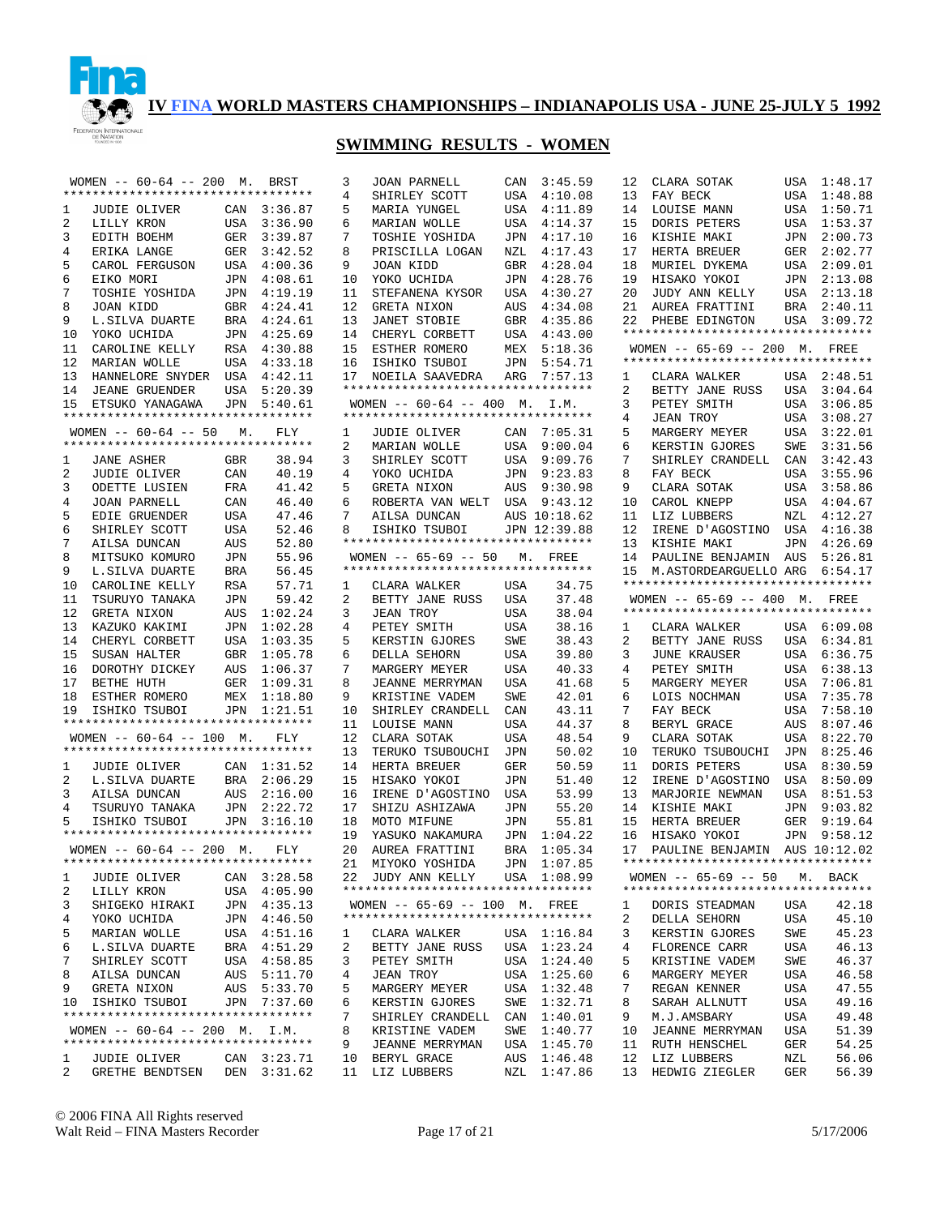

## **SWIMMING RESULTS - WOMEN**

|              | WOMEN -- 60-64 -- 200 M. BRST                              |                    |                            |
|--------------|------------------------------------------------------------|--------------------|----------------------------|
|              | **********************************                         |                    |                            |
| $\mathbf{1}$ | JUDIE OLIVER                                               | CAN                | 3:36.87                    |
| $\mathbf{2}$ | LILLY KRON                                                 | USA                | 3:36.90                    |
| 3            | EDITH BOEHM                                                | GER                | 3:39.87                    |
| 4            | ERIKA LANGE                                                |                    | GER 3:42.52                |
| 5            | CAROL FERGUSON                                             | USA                | 4:00.36                    |
| 6            | EIKO MORI                                                  |                    | JPN 4:08.61                |
| 7            | TOSHIE YOSHIDA                                             | JPN                | 4:19.19                    |
| 8            | JOAN KIDD                                                  |                    | GBR 4:24.41                |
| 9            | L.SILVA DUARTE                                             | BRA                | 4:24.61                    |
| 10           | YOKO UCHIDA                                                |                    | JPN 4:25.69                |
| 11           | CAROLINE KELLY                                             | RSA                | 4:30.88                    |
| 12           | MARIAN WOLLE                                               |                    | USA 4:33.18                |
| 13           | HANNELORE SNYDER USA                                       |                    | 4:42.11                    |
|              | 14 JEANE GRUENDER                                          |                    | USA 5:20.39                |
| 15           | ETSUKO YANAGAWA JPN 5:40.61                                |                    |                            |
|              | **********************************                         |                    |                            |
|              | WOMEN $--$ 60-64 -- 50 M.                                  |                    |                            |
|              | **********************************                         |                    | FLY                        |
|              |                                                            |                    |                            |
| $\mathbf{1}$ | JANE ASHER                                                 | GBR                | 38.94                      |
| 2            | JUDIE OLIVER                                               | $\mathtt{CAN}$     | 40.19                      |
| 3            | ODETTE LUSIEN                                              | FRA                | 41.42                      |
| 4            | JOAN PARNELL                                               | $\mathtt{CAN}$     | 46.40                      |
| 5            | EDIE GRUENDER                                              | USA                | 47.46                      |
| 6            | SHIRLEY SCOTT                                              | USA                | 52.46                      |
| 7            | AILSA DUNCAN                                               | AUS                | 52.80                      |
| 8            | MITSUKO KOMURO                                             | $\mathtt{JPN}$     | 55.96                      |
| 9            | L.SILVA DUARTE                                             | BRA                | 56.45                      |
| 10           | CAROLINE KELLY                                             | <b>RSA</b>         | 57.71                      |
| 11           | TSURUYO TANAKA                                             | $\mathtt{JPN}$     | 59.42                      |
| 12           | GRETA NIXON                                                | $\mathop{\rm AUS}$ | 1:02.24                    |
|              | 13 KAZUKO NARALITTI (14 CHERYL CORBETT                     | JPN                | 1:02.28                    |
|              |                                                            | USA                | 1:03.35                    |
| 15           | SUSAN HALTER                                               |                    | 1:05.78                    |
| 16           | DOROTHY DICKEY                                             | GBR<br>AUS         | 1:06.37                    |
| 17           | BETHE HUTH                                                 |                    | 1:09.31                    |
| 18           | BEINE NOIL<br>ESTHER ROMERO                                | GER<br>MEX         | 1:18.80                    |
|              | 19 ISHIKO TSUBOI JPN 1:21.51                               |                    |                            |
|              | **********************************                         |                    |                            |
|              | WOMEN -- 60-64 -- 100 M. FLY                               |                    |                            |
|              | **********************************                         |                    |                            |
|              |                                                            |                    |                            |
|              | 1 JUDIE OLIVER CAN 1:31.52<br>2 L.SILVA DUARTE BRA 2:06.29 |                    |                            |
|              |                                                            |                    |                            |
| 3            | AILSA DUNCAN                                               |                    | AUS 2:16.00<br>JPN 2:22.72 |
| 4            | TSURUYO TANAKA                                             |                    |                            |
| 5            | ISHIKO TSUBOI                                              |                    | JPN 3:16.10                |
|              | *********************************                          |                    |                            |
|              | WOMEN -- 60-64 -- 200 M. FLY                               |                    |                            |
|              | *********************************                          |                    |                            |
| 1            | JUDIE OLIVER                                               | CAN                | 3:28.58                    |
| 2            | LILLY KRON                                                 | USA                | 4:05.90                    |
| 3            | SHIGEKO HIRAKI                                             | JPN                | 4:35.13                    |
| 4            | YOKO UCHIDA                                                | JPN                | 4:46.50                    |
| 5            | MARIAN WOLLE                                               | USA                | 4:51.16                    |
| 6            | L.SILVA DUARTE                                             | BRA                | 4:51.29                    |
| 7            | SHIRLEY SCOTT                                              | USA                | 4:58.85                    |
| 8            | AILSA DUNCAN                                               | AUS                | 5:11.70                    |
| 9            | GRETA NIXON                                                | AUS                | 5:33.70                    |
| 10           | ISHIKO TSUBOI                                              | JPN                | 7:37.60                    |
|              | **********************************                         |                    |                            |
|              | WOMEN -- 60-64 -- 200 M. I.M.                              |                    |                            |
|              | **********************************                         |                    |                            |
|              |                                                            |                    |                            |
| 1            | JUDIE OLIVER                                               |                    | CAN 3:23.71                |
| 2            | GRETHE BENDTSEN                                            |                    | DEN 3:31.62                |

| 10<br>4:28.76<br>YOKO UCHIDA<br>JPN<br>11<br>4:30.27<br>STEFANENA KYSOR<br>USA<br>12<br>GRETA NIXON<br>4:34.08<br>AUS<br>13<br>JANET STOBIE<br>4:35.86<br>GBR<br>14<br>4:43.00<br>CHERYL CORBETT<br>USA<br>15<br>5:18.36<br>ESTHER ROMERO<br>MEX<br>16<br>5:54.71<br>ISHIKO TSUBOI<br>JPN<br>17<br>ARG<br>7:57.13<br>NOEILA SAAVEDRA<br>**********************************<br>WOMEN -- 60-64 -- 400 M. I.M.<br>**********************************<br>1<br>CAN<br>7:05.31<br>JUDIE OLIVER<br>2<br>USA<br>9:00.04<br>MARIAN WOLLE<br>SHIRLEY SCOTT<br>3<br>9:09.76<br>USA<br>4<br>9:23.83<br>YOKO UCHIDA<br>JPN<br>GRETA NIXON<br>5<br>9:30.98<br>AUS<br>6<br>9:43.12<br>ROBERTA VAN WELT USA<br>7<br>AUS<br>AILSA DUNCAN<br>10:18.62<br>8<br>ISHIKO TSUBOI<br>JPN 12:39.88<br>**********************************<br>WOMEN -- 65-69 -- 50 M. FREE<br>**********************************<br>$\mathbf{1}$<br>34.75<br>CLARA WALKER<br>USA<br>$\overline{a}$<br>37.48<br>BETTY JANE RUSS<br>USA<br>3<br>JEAN TROY<br>38.04<br>USA<br>$\overline{4}$<br>PETEY SMITH<br>38.16<br>USA<br>5<br>KERSTIN GJORES<br>SWE<br>38.43<br>6<br>DELLA SEHORN<br>39.80<br>USA<br>7<br>MARGERY MEYER<br>USA<br>40.33<br>8<br>JEANNE MERRYMAN<br>41.68<br>USA<br>9<br>KRISTINE VADEM<br>42.01<br>SWE<br>10<br>SHIRLEY CRANDELL<br>43.11<br>CAN<br>11<br>44.37<br>LOUISE MANN<br>USA<br>12<br>48.54<br>CLARA SOTAK<br>USA<br>13<br>TERUKO TSUBOUCHI<br>50.02<br>JPN<br>14<br>50.59<br>HERTA BREUER<br>GER<br>15<br>51.40<br>HISAKO YOKOI<br>JPN<br>16<br>IRENE D'AGOSTINO<br>53.99<br>USA<br>17<br>55.20<br>SHIZU ASHIZAWA<br>JPN<br>55.81<br>18<br>MOTO MIFUNE<br>JPN<br>19<br>YASUKO NAKAMURA<br>1:04.22<br>JPN<br>20<br>AUREA FRATTINI<br>1:05.34<br>BRA<br>21<br>MIYOKO YOSHIDA<br>JPN<br>1:07.85<br>JUDY ANN KELLY<br>1:08.99<br>22<br>USA<br>*********************************<br>WOMEN -- 65-69 -- 100 M. FREE<br>**********************************<br>1<br>CLARA WALKER<br>USA<br>1:16.84<br>2<br>1:23.24<br>BETTY JANE RUSS<br>USA<br>3<br>1:24.40<br>PETEY SMITH<br>USA<br>4<br><b>JEAN TROY</b><br>1:25.60<br>USA<br>5<br>1:32.48<br>MARGERY MEYER<br>USA<br>6<br>KERSTIN GJORES<br>1:32.71<br>SWE<br>7<br>1:40.01<br>SHIRLEY CRANDELL<br>CAN<br>1:40.77<br>8<br>KRISTINE VADEM<br>SWE<br>9<br>1:45.70<br><b>JEANNE MERRYMAN</b><br>USA<br>1:46.48<br>10<br>BERYL GRACE<br>AUS<br>11<br>1:47.86<br>LIZ LUBBERS<br>NZL | 3<br>4<br>5<br>6<br>7<br>8<br>9 | <b>JOAN PARNELL</b><br>SHIRLEY SCOTT<br>MARIA YUNGEL<br>MARIAN WOLLE<br>TOSHIE YOSHIDA<br>PRISCILLA LOGAN<br>JOAN KIDD | CAN<br>USA<br>USA<br>USA<br>JPN<br>NZL<br>GBR | 3:45.59<br>4:10.08<br>4:11.89<br>4:14.37<br>4:17.10<br>4:17.43<br>4:28.04 |
|------------------------------------------------------------------------------------------------------------------------------------------------------------------------------------------------------------------------------------------------------------------------------------------------------------------------------------------------------------------------------------------------------------------------------------------------------------------------------------------------------------------------------------------------------------------------------------------------------------------------------------------------------------------------------------------------------------------------------------------------------------------------------------------------------------------------------------------------------------------------------------------------------------------------------------------------------------------------------------------------------------------------------------------------------------------------------------------------------------------------------------------------------------------------------------------------------------------------------------------------------------------------------------------------------------------------------------------------------------------------------------------------------------------------------------------------------------------------------------------------------------------------------------------------------------------------------------------------------------------------------------------------------------------------------------------------------------------------------------------------------------------------------------------------------------------------------------------------------------------------------------------------------------------------------------------------------------------------------------------------------------------------------------------------------------------------------------------------------------------------------------------------------------------------------------------------------------------------------------------------------------------------------------------------------------------------------------------------------------------------------------------------------------|---------------------------------|------------------------------------------------------------------------------------------------------------------------|-----------------------------------------------|---------------------------------------------------------------------------|
|                                                                                                                                                                                                                                                                                                                                                                                                                                                                                                                                                                                                                                                                                                                                                                                                                                                                                                                                                                                                                                                                                                                                                                                                                                                                                                                                                                                                                                                                                                                                                                                                                                                                                                                                                                                                                                                                                                                                                                                                                                                                                                                                                                                                                                                                                                                                                                                                            |                                 |                                                                                                                        |                                               |                                                                           |
|                                                                                                                                                                                                                                                                                                                                                                                                                                                                                                                                                                                                                                                                                                                                                                                                                                                                                                                                                                                                                                                                                                                                                                                                                                                                                                                                                                                                                                                                                                                                                                                                                                                                                                                                                                                                                                                                                                                                                                                                                                                                                                                                                                                                                                                                                                                                                                                                            |                                 |                                                                                                                        |                                               |                                                                           |
|                                                                                                                                                                                                                                                                                                                                                                                                                                                                                                                                                                                                                                                                                                                                                                                                                                                                                                                                                                                                                                                                                                                                                                                                                                                                                                                                                                                                                                                                                                                                                                                                                                                                                                                                                                                                                                                                                                                                                                                                                                                                                                                                                                                                                                                                                                                                                                                                            |                                 |                                                                                                                        |                                               |                                                                           |
|                                                                                                                                                                                                                                                                                                                                                                                                                                                                                                                                                                                                                                                                                                                                                                                                                                                                                                                                                                                                                                                                                                                                                                                                                                                                                                                                                                                                                                                                                                                                                                                                                                                                                                                                                                                                                                                                                                                                                                                                                                                                                                                                                                                                                                                                                                                                                                                                            |                                 |                                                                                                                        |                                               |                                                                           |
|                                                                                                                                                                                                                                                                                                                                                                                                                                                                                                                                                                                                                                                                                                                                                                                                                                                                                                                                                                                                                                                                                                                                                                                                                                                                                                                                                                                                                                                                                                                                                                                                                                                                                                                                                                                                                                                                                                                                                                                                                                                                                                                                                                                                                                                                                                                                                                                                            |                                 |                                                                                                                        |                                               |                                                                           |
|                                                                                                                                                                                                                                                                                                                                                                                                                                                                                                                                                                                                                                                                                                                                                                                                                                                                                                                                                                                                                                                                                                                                                                                                                                                                                                                                                                                                                                                                                                                                                                                                                                                                                                                                                                                                                                                                                                                                                                                                                                                                                                                                                                                                                                                                                                                                                                                                            |                                 |                                                                                                                        |                                               |                                                                           |
|                                                                                                                                                                                                                                                                                                                                                                                                                                                                                                                                                                                                                                                                                                                                                                                                                                                                                                                                                                                                                                                                                                                                                                                                                                                                                                                                                                                                                                                                                                                                                                                                                                                                                                                                                                                                                                                                                                                                                                                                                                                                                                                                                                                                                                                                                                                                                                                                            |                                 |                                                                                                                        |                                               |                                                                           |
|                                                                                                                                                                                                                                                                                                                                                                                                                                                                                                                                                                                                                                                                                                                                                                                                                                                                                                                                                                                                                                                                                                                                                                                                                                                                                                                                                                                                                                                                                                                                                                                                                                                                                                                                                                                                                                                                                                                                                                                                                                                                                                                                                                                                                                                                                                                                                                                                            |                                 |                                                                                                                        |                                               |                                                                           |
|                                                                                                                                                                                                                                                                                                                                                                                                                                                                                                                                                                                                                                                                                                                                                                                                                                                                                                                                                                                                                                                                                                                                                                                                                                                                                                                                                                                                                                                                                                                                                                                                                                                                                                                                                                                                                                                                                                                                                                                                                                                                                                                                                                                                                                                                                                                                                                                                            |                                 |                                                                                                                        |                                               |                                                                           |
|                                                                                                                                                                                                                                                                                                                                                                                                                                                                                                                                                                                                                                                                                                                                                                                                                                                                                                                                                                                                                                                                                                                                                                                                                                                                                                                                                                                                                                                                                                                                                                                                                                                                                                                                                                                                                                                                                                                                                                                                                                                                                                                                                                                                                                                                                                                                                                                                            |                                 |                                                                                                                        |                                               |                                                                           |
|                                                                                                                                                                                                                                                                                                                                                                                                                                                                                                                                                                                                                                                                                                                                                                                                                                                                                                                                                                                                                                                                                                                                                                                                                                                                                                                                                                                                                                                                                                                                                                                                                                                                                                                                                                                                                                                                                                                                                                                                                                                                                                                                                                                                                                                                                                                                                                                                            |                                 |                                                                                                                        |                                               |                                                                           |
|                                                                                                                                                                                                                                                                                                                                                                                                                                                                                                                                                                                                                                                                                                                                                                                                                                                                                                                                                                                                                                                                                                                                                                                                                                                                                                                                                                                                                                                                                                                                                                                                                                                                                                                                                                                                                                                                                                                                                                                                                                                                                                                                                                                                                                                                                                                                                                                                            |                                 |                                                                                                                        |                                               |                                                                           |
|                                                                                                                                                                                                                                                                                                                                                                                                                                                                                                                                                                                                                                                                                                                                                                                                                                                                                                                                                                                                                                                                                                                                                                                                                                                                                                                                                                                                                                                                                                                                                                                                                                                                                                                                                                                                                                                                                                                                                                                                                                                                                                                                                                                                                                                                                                                                                                                                            |                                 |                                                                                                                        |                                               |                                                                           |
|                                                                                                                                                                                                                                                                                                                                                                                                                                                                                                                                                                                                                                                                                                                                                                                                                                                                                                                                                                                                                                                                                                                                                                                                                                                                                                                                                                                                                                                                                                                                                                                                                                                                                                                                                                                                                                                                                                                                                                                                                                                                                                                                                                                                                                                                                                                                                                                                            |                                 |                                                                                                                        |                                               |                                                                           |
|                                                                                                                                                                                                                                                                                                                                                                                                                                                                                                                                                                                                                                                                                                                                                                                                                                                                                                                                                                                                                                                                                                                                                                                                                                                                                                                                                                                                                                                                                                                                                                                                                                                                                                                                                                                                                                                                                                                                                                                                                                                                                                                                                                                                                                                                                                                                                                                                            |                                 |                                                                                                                        |                                               |                                                                           |
|                                                                                                                                                                                                                                                                                                                                                                                                                                                                                                                                                                                                                                                                                                                                                                                                                                                                                                                                                                                                                                                                                                                                                                                                                                                                                                                                                                                                                                                                                                                                                                                                                                                                                                                                                                                                                                                                                                                                                                                                                                                                                                                                                                                                                                                                                                                                                                                                            |                                 |                                                                                                                        |                                               |                                                                           |
|                                                                                                                                                                                                                                                                                                                                                                                                                                                                                                                                                                                                                                                                                                                                                                                                                                                                                                                                                                                                                                                                                                                                                                                                                                                                                                                                                                                                                                                                                                                                                                                                                                                                                                                                                                                                                                                                                                                                                                                                                                                                                                                                                                                                                                                                                                                                                                                                            |                                 |                                                                                                                        |                                               |                                                                           |
|                                                                                                                                                                                                                                                                                                                                                                                                                                                                                                                                                                                                                                                                                                                                                                                                                                                                                                                                                                                                                                                                                                                                                                                                                                                                                                                                                                                                                                                                                                                                                                                                                                                                                                                                                                                                                                                                                                                                                                                                                                                                                                                                                                                                                                                                                                                                                                                                            |                                 |                                                                                                                        |                                               |                                                                           |
|                                                                                                                                                                                                                                                                                                                                                                                                                                                                                                                                                                                                                                                                                                                                                                                                                                                                                                                                                                                                                                                                                                                                                                                                                                                                                                                                                                                                                                                                                                                                                                                                                                                                                                                                                                                                                                                                                                                                                                                                                                                                                                                                                                                                                                                                                                                                                                                                            |                                 |                                                                                                                        |                                               |                                                                           |
|                                                                                                                                                                                                                                                                                                                                                                                                                                                                                                                                                                                                                                                                                                                                                                                                                                                                                                                                                                                                                                                                                                                                                                                                                                                                                                                                                                                                                                                                                                                                                                                                                                                                                                                                                                                                                                                                                                                                                                                                                                                                                                                                                                                                                                                                                                                                                                                                            |                                 |                                                                                                                        |                                               |                                                                           |
|                                                                                                                                                                                                                                                                                                                                                                                                                                                                                                                                                                                                                                                                                                                                                                                                                                                                                                                                                                                                                                                                                                                                                                                                                                                                                                                                                                                                                                                                                                                                                                                                                                                                                                                                                                                                                                                                                                                                                                                                                                                                                                                                                                                                                                                                                                                                                                                                            |                                 |                                                                                                                        |                                               |                                                                           |
|                                                                                                                                                                                                                                                                                                                                                                                                                                                                                                                                                                                                                                                                                                                                                                                                                                                                                                                                                                                                                                                                                                                                                                                                                                                                                                                                                                                                                                                                                                                                                                                                                                                                                                                                                                                                                                                                                                                                                                                                                                                                                                                                                                                                                                                                                                                                                                                                            |                                 |                                                                                                                        |                                               |                                                                           |
|                                                                                                                                                                                                                                                                                                                                                                                                                                                                                                                                                                                                                                                                                                                                                                                                                                                                                                                                                                                                                                                                                                                                                                                                                                                                                                                                                                                                                                                                                                                                                                                                                                                                                                                                                                                                                                                                                                                                                                                                                                                                                                                                                                                                                                                                                                                                                                                                            |                                 |                                                                                                                        |                                               |                                                                           |
|                                                                                                                                                                                                                                                                                                                                                                                                                                                                                                                                                                                                                                                                                                                                                                                                                                                                                                                                                                                                                                                                                                                                                                                                                                                                                                                                                                                                                                                                                                                                                                                                                                                                                                                                                                                                                                                                                                                                                                                                                                                                                                                                                                                                                                                                                                                                                                                                            |                                 |                                                                                                                        |                                               |                                                                           |
|                                                                                                                                                                                                                                                                                                                                                                                                                                                                                                                                                                                                                                                                                                                                                                                                                                                                                                                                                                                                                                                                                                                                                                                                                                                                                                                                                                                                                                                                                                                                                                                                                                                                                                                                                                                                                                                                                                                                                                                                                                                                                                                                                                                                                                                                                                                                                                                                            |                                 |                                                                                                                        |                                               |                                                                           |
|                                                                                                                                                                                                                                                                                                                                                                                                                                                                                                                                                                                                                                                                                                                                                                                                                                                                                                                                                                                                                                                                                                                                                                                                                                                                                                                                                                                                                                                                                                                                                                                                                                                                                                                                                                                                                                                                                                                                                                                                                                                                                                                                                                                                                                                                                                                                                                                                            |                                 |                                                                                                                        |                                               |                                                                           |
|                                                                                                                                                                                                                                                                                                                                                                                                                                                                                                                                                                                                                                                                                                                                                                                                                                                                                                                                                                                                                                                                                                                                                                                                                                                                                                                                                                                                                                                                                                                                                                                                                                                                                                                                                                                                                                                                                                                                                                                                                                                                                                                                                                                                                                                                                                                                                                                                            |                                 |                                                                                                                        |                                               |                                                                           |
|                                                                                                                                                                                                                                                                                                                                                                                                                                                                                                                                                                                                                                                                                                                                                                                                                                                                                                                                                                                                                                                                                                                                                                                                                                                                                                                                                                                                                                                                                                                                                                                                                                                                                                                                                                                                                                                                                                                                                                                                                                                                                                                                                                                                                                                                                                                                                                                                            |                                 |                                                                                                                        |                                               |                                                                           |
|                                                                                                                                                                                                                                                                                                                                                                                                                                                                                                                                                                                                                                                                                                                                                                                                                                                                                                                                                                                                                                                                                                                                                                                                                                                                                                                                                                                                                                                                                                                                                                                                                                                                                                                                                                                                                                                                                                                                                                                                                                                                                                                                                                                                                                                                                                                                                                                                            |                                 |                                                                                                                        |                                               |                                                                           |
|                                                                                                                                                                                                                                                                                                                                                                                                                                                                                                                                                                                                                                                                                                                                                                                                                                                                                                                                                                                                                                                                                                                                                                                                                                                                                                                                                                                                                                                                                                                                                                                                                                                                                                                                                                                                                                                                                                                                                                                                                                                                                                                                                                                                                                                                                                                                                                                                            |                                 |                                                                                                                        |                                               |                                                                           |
|                                                                                                                                                                                                                                                                                                                                                                                                                                                                                                                                                                                                                                                                                                                                                                                                                                                                                                                                                                                                                                                                                                                                                                                                                                                                                                                                                                                                                                                                                                                                                                                                                                                                                                                                                                                                                                                                                                                                                                                                                                                                                                                                                                                                                                                                                                                                                                                                            |                                 |                                                                                                                        |                                               |                                                                           |
|                                                                                                                                                                                                                                                                                                                                                                                                                                                                                                                                                                                                                                                                                                                                                                                                                                                                                                                                                                                                                                                                                                                                                                                                                                                                                                                                                                                                                                                                                                                                                                                                                                                                                                                                                                                                                                                                                                                                                                                                                                                                                                                                                                                                                                                                                                                                                                                                            |                                 |                                                                                                                        |                                               |                                                                           |
|                                                                                                                                                                                                                                                                                                                                                                                                                                                                                                                                                                                                                                                                                                                                                                                                                                                                                                                                                                                                                                                                                                                                                                                                                                                                                                                                                                                                                                                                                                                                                                                                                                                                                                                                                                                                                                                                                                                                                                                                                                                                                                                                                                                                                                                                                                                                                                                                            |                                 |                                                                                                                        |                                               |                                                                           |
|                                                                                                                                                                                                                                                                                                                                                                                                                                                                                                                                                                                                                                                                                                                                                                                                                                                                                                                                                                                                                                                                                                                                                                                                                                                                                                                                                                                                                                                                                                                                                                                                                                                                                                                                                                                                                                                                                                                                                                                                                                                                                                                                                                                                                                                                                                                                                                                                            |                                 |                                                                                                                        |                                               |                                                                           |
|                                                                                                                                                                                                                                                                                                                                                                                                                                                                                                                                                                                                                                                                                                                                                                                                                                                                                                                                                                                                                                                                                                                                                                                                                                                                                                                                                                                                                                                                                                                                                                                                                                                                                                                                                                                                                                                                                                                                                                                                                                                                                                                                                                                                                                                                                                                                                                                                            |                                 |                                                                                                                        |                                               |                                                                           |
|                                                                                                                                                                                                                                                                                                                                                                                                                                                                                                                                                                                                                                                                                                                                                                                                                                                                                                                                                                                                                                                                                                                                                                                                                                                                                                                                                                                                                                                                                                                                                                                                                                                                                                                                                                                                                                                                                                                                                                                                                                                                                                                                                                                                                                                                                                                                                                                                            |                                 |                                                                                                                        |                                               |                                                                           |
|                                                                                                                                                                                                                                                                                                                                                                                                                                                                                                                                                                                                                                                                                                                                                                                                                                                                                                                                                                                                                                                                                                                                                                                                                                                                                                                                                                                                                                                                                                                                                                                                                                                                                                                                                                                                                                                                                                                                                                                                                                                                                                                                                                                                                                                                                                                                                                                                            |                                 |                                                                                                                        |                                               |                                                                           |
|                                                                                                                                                                                                                                                                                                                                                                                                                                                                                                                                                                                                                                                                                                                                                                                                                                                                                                                                                                                                                                                                                                                                                                                                                                                                                                                                                                                                                                                                                                                                                                                                                                                                                                                                                                                                                                                                                                                                                                                                                                                                                                                                                                                                                                                                                                                                                                                                            |                                 |                                                                                                                        |                                               |                                                                           |
|                                                                                                                                                                                                                                                                                                                                                                                                                                                                                                                                                                                                                                                                                                                                                                                                                                                                                                                                                                                                                                                                                                                                                                                                                                                                                                                                                                                                                                                                                                                                                                                                                                                                                                                                                                                                                                                                                                                                                                                                                                                                                                                                                                                                                                                                                                                                                                                                            |                                 |                                                                                                                        |                                               |                                                                           |
|                                                                                                                                                                                                                                                                                                                                                                                                                                                                                                                                                                                                                                                                                                                                                                                                                                                                                                                                                                                                                                                                                                                                                                                                                                                                                                                                                                                                                                                                                                                                                                                                                                                                                                                                                                                                                                                                                                                                                                                                                                                                                                                                                                                                                                                                                                                                                                                                            |                                 |                                                                                                                        |                                               |                                                                           |
|                                                                                                                                                                                                                                                                                                                                                                                                                                                                                                                                                                                                                                                                                                                                                                                                                                                                                                                                                                                                                                                                                                                                                                                                                                                                                                                                                                                                                                                                                                                                                                                                                                                                                                                                                                                                                                                                                                                                                                                                                                                                                                                                                                                                                                                                                                                                                                                                            |                                 |                                                                                                                        |                                               |                                                                           |
|                                                                                                                                                                                                                                                                                                                                                                                                                                                                                                                                                                                                                                                                                                                                                                                                                                                                                                                                                                                                                                                                                                                                                                                                                                                                                                                                                                                                                                                                                                                                                                                                                                                                                                                                                                                                                                                                                                                                                                                                                                                                                                                                                                                                                                                                                                                                                                                                            |                                 |                                                                                                                        |                                               |                                                                           |
|                                                                                                                                                                                                                                                                                                                                                                                                                                                                                                                                                                                                                                                                                                                                                                                                                                                                                                                                                                                                                                                                                                                                                                                                                                                                                                                                                                                                                                                                                                                                                                                                                                                                                                                                                                                                                                                                                                                                                                                                                                                                                                                                                                                                                                                                                                                                                                                                            |                                 |                                                                                                                        |                                               |                                                                           |
|                                                                                                                                                                                                                                                                                                                                                                                                                                                                                                                                                                                                                                                                                                                                                                                                                                                                                                                                                                                                                                                                                                                                                                                                                                                                                                                                                                                                                                                                                                                                                                                                                                                                                                                                                                                                                                                                                                                                                                                                                                                                                                                                                                                                                                                                                                                                                                                                            |                                 |                                                                                                                        |                                               |                                                                           |
|                                                                                                                                                                                                                                                                                                                                                                                                                                                                                                                                                                                                                                                                                                                                                                                                                                                                                                                                                                                                                                                                                                                                                                                                                                                                                                                                                                                                                                                                                                                                                                                                                                                                                                                                                                                                                                                                                                                                                                                                                                                                                                                                                                                                                                                                                                                                                                                                            |                                 |                                                                                                                        |                                               |                                                                           |

| 12           | CLARA SOTAK                                            | USA | 1:48.17     |
|--------------|--------------------------------------------------------|-----|-------------|
| 13           | FAY BECK                                               | USA | 1:48.88     |
| 14           | LOUISE MANN                                            | USA | 1:50.71     |
| 15           | DORIS PETERS                                           | USA | 1:53.37     |
| 16           | KISHIE MAKI                                            | JPN | 2:00.73     |
| 17           | HERTA BREUER                                           | GER | 2:02.77     |
| 18           | MURIEL DYKEMA                                          | USA | 2:09.01     |
| 19           | HISAKO YOKOI                                           |     | 2:13.08     |
|              |                                                        | JPN |             |
| 20           | JUDY ANN KELLY                                         | USA | 2:13.18     |
| 21           | AUREA FRATTINI                                         | BRA | 2:40.11     |
| 22           | PHEBE EDINGTON                                         | USA | 3:09.72     |
|              | **********************************                     |     |             |
|              | WOMEN -- 65-69 -- 200 M. FREE                          |     |             |
|              | **********************************                     |     |             |
| 1            | CLARA WALKER<br>BETTY JANE RUSS                        | USA | 2:48.51     |
| 2            |                                                        | USA | 3:04.64     |
| 3            | PETEY SMITH                                            | USA | 3:06.85     |
| 4            | JEAN TROY                                              | USA | 3:08.27     |
| 5            | MARGERY MEYER                                          | USA | 3:22.01     |
| 6            | KERSTIN GJORES                                         | SWE | 3:31.56     |
| 7            | SHIRLEY CRANDELL                                       | CAN | 3:42.43     |
| 8            | FAY BECK                                               | USA | 3:55.96     |
| 9            | CLARA SOTAK                                            | USA | 3:58.86     |
| 10           | CAROL KNEPP                                            |     | 4:04.67     |
|              |                                                        | USA |             |
| 11           | LIZ LUBBERS                                            | NZL | 4:12.27     |
| 12           | IRENE D'AGOSTINO                                       | USA | 4:16.38     |
| 13           | KISHIE MAKI                                            | JPN | 4:26.69     |
| 14           | PAULINE BENJAMIN                                       | AUS | 5:26.81     |
| 15           | M.ASTORDEARGUELLO ARG 6:54.17                          |     |             |
|              | *********************************                      |     |             |
|              | WOMEN -- 65-69 -- 400 M. FREE                          |     |             |
|              |                                                        |     |             |
|              | *********************************                      |     |             |
| $\mathbf{1}$ | CLARA WALKER                                           | USA | 6:09.08     |
| 2            | BETTY JANE RUSS                                        | USA | 6:34.81     |
| 3            |                                                        |     |             |
|              | JUNE KRAUSER                                           | USA | 6:36.75     |
| 4            | PETEY SMITH                                            | USA | 6:38.13     |
| 5            | MARGERY MEYER                                          | USA | 7:06.81     |
| 6            | LOIS NOCHMAN                                           | USA | 7:35.78     |
| 7            | FAY BECK                                               | USA | 7:58.10     |
| 8            | BERYL GRACE                                            | AUS | 8:07.46     |
| 9            | CLARA SOTAK                                            | USA | 8:22.70     |
| 10           | TERUKO TSUBOUCHI                                       | JPN | 8:25.46     |
| 11           | DORIS PETERS                                           | USA | 8:30.59     |
| 12           | IRENE D'AGOSTINO                                       | USA | 8:50.09     |
| 13           | MARJORIE NEWMAN                                        | USA | 8:51.53     |
| 14           | KISHIE MAKI                                            | JPN | 9:03.82     |
| 15           | HERTA BREUER                                           | GER | 9:19.64     |
| 16           | HISAKO YOKOI                                           | JPN | 9:58.12     |
| 17           |                                                        |     |             |
|              | PAULINE BENJAMIN<br>********************************** | AUS | 10:12.02    |
|              | $WOMEN$ -- 65-69 -- 50 M.                              |     | <b>BACK</b> |
|              | **********************************                     |     |             |
|              | DORIS STEADMAN                                         |     |             |
| $\mathbf{1}$ |                                                        | USA | 42.18       |
| 2            | DELLA SEHORN                                           | USA | 45.10       |
| 3            | KERSTIN GJORES                                         | SWE | 45.23       |
| 4            | FLORENCE CARR                                          | USA | 46.13       |
| 5            | KRISTINE VADEM                                         | SWE | 46.37       |
| 6            | MARGERY MEYER                                          | USA | 46.58       |
| 7            | REGAN KENNER                                           | USA | 47.55       |
| 8            | SARAH ALLNUTT                                          | USA | 49.16       |
| 9            | M.J.AMSBARY                                            | USA | 49.48       |
| 10           | <b>JEANNE MERRYMAN</b>                                 | USA | 51.39       |
| 11           | RUTH HENSCHEL                                          | GER | 54.25       |
| 12           | LIZ LUBBERS                                            | NZL | 56.06       |

© 2006 FINA All Rights reserved Walt Reid – FINA Masters Recorder Page 17 of 21 5/17/2006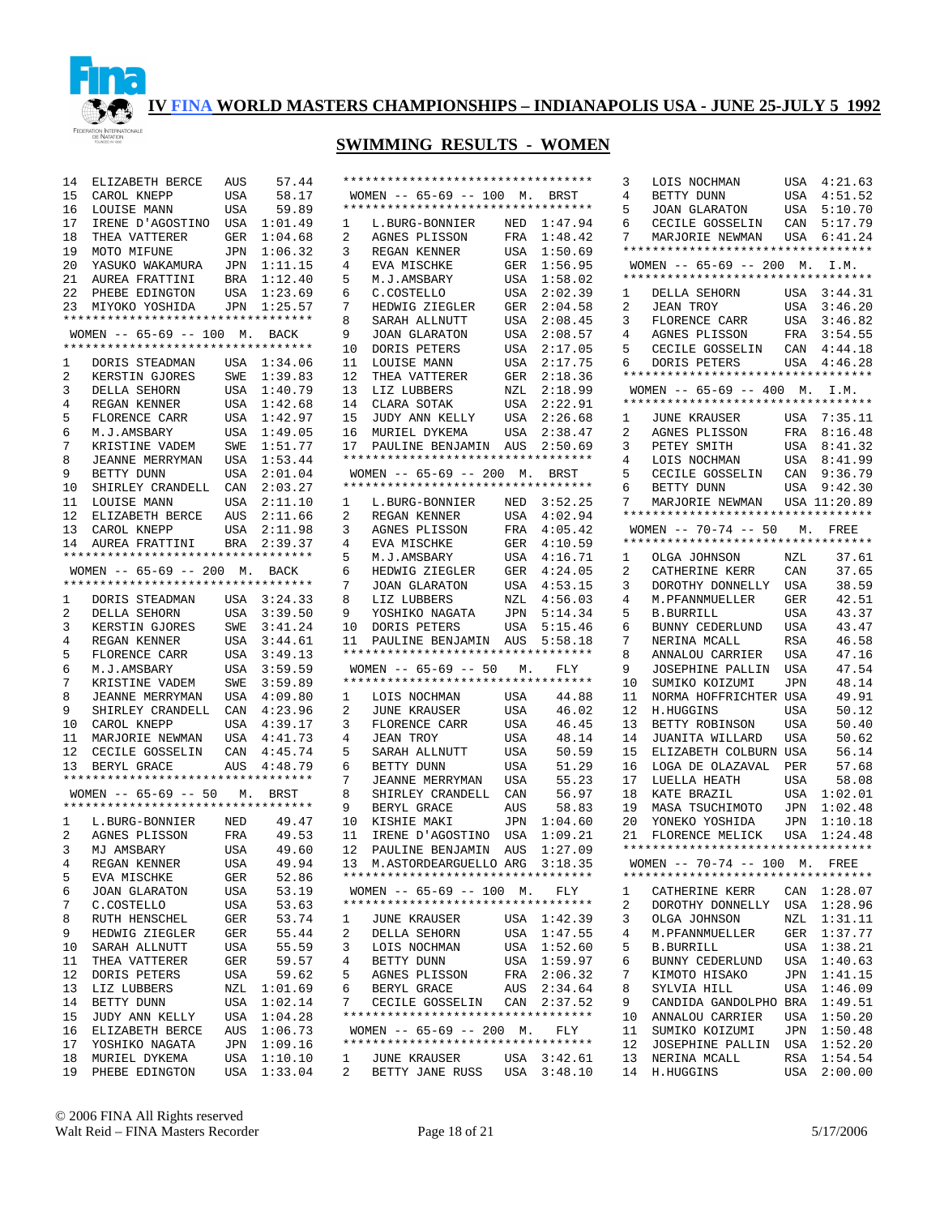

| 14              | ELIZABETH BERCE                    | AUS                     | 57.44       | $***$ * * * * :         |              |
|-----------------|------------------------------------|-------------------------|-------------|-------------------------|--------------|
| 15              | CAROL KNEPP                        | USA                     | 58.17       |                         | WOMEI        |
| 16              | LOUISE MANN                        | USA                     | 59.89       | $***$ * * * * :         |              |
| 17              | IRENE D'AGOSTINO                   | USA                     | 1:01.49     | $\mathbf 1$             | L            |
| 18              |                                    |                         | 1:04.68     | $\overline{a}$          | A            |
|                 | THEA VATTERER                      | $\mbox{GER}$            |             |                         |              |
| 19              | MOTO MIFUNE                        | JPN                     | 1:06.32     | 3                       | R)           |
| 20              | YASUKO WAKAMURA                    | JPN                     | 1:11.15     | 4                       | E,           |
| 21              | AUREA FRATTINI                     | BRA                     | 1:12.40     | 5                       | М            |
| 22              | PHEBE EDINGTON                     | $_{\mbox{\small{USA}}}$ | 1:23.69     | 6                       | C            |
| 23              | MIYOKO YOSHIDA                     | JPN                     | 1:25.57     | 7                       | H            |
|                 | ********************************** |                         |             | 8                       | Si           |
|                 | WOMEN -- 65-69 -- 100 M. BACK      |                         |             | 9                       | J(           |
|                 | ********************************** |                         |             | 10                      | D(           |
| $\mathbf{1}$    | DORIS STEADMAN                     | USA                     | 1:34.06     | 11                      | L(           |
| $\mathbf{2}$    | KERSTIN GJORES                     | SWE                     | 1:39.83     | 12                      | TI           |
| 3               | DELLA SEHORN                       | USA                     | 1:40.79     | 13                      | L.           |
| 4               | REGAN KENNER                       | USA                     | 1:42.68     | 14                      | C]           |
| 5               | FLORENCE CARR                      | USA                     | 1:42.97     | 15                      | J٦           |
|                 |                                    |                         |             |                         |              |
| 6               | M.J.AMSBARY                        | USA                     | 1:49.05     | 16                      | M            |
| 7               | KRISTINE VADEM                     | SWE                     | 1:51.77     | 17                      | Pi           |
| 8               | JEANNE MERRYMAN                    | USA                     | 1:53.44     | $***$ * * * * :         |              |
| 9               | BETTY DUNN                         | USA                     | 2:01.04     |                         | WOMEI        |
| 10              | SHIRLEY CRANDELL CAN 2:03.27       |                         |             | $***$ * * * * *         |              |
| 11              | LOUISE MANN                        | USA                     | 2:11.10     | 1                       | L            |
|                 | 12 ELIZABETH BERCE                 |                         | AUS 2:11.66 | $\overline{a}$          | R)           |
| 13              | CAROL KNEPP                        | USA                     | 2:11.98     | $\mathbf{3}$            | A(           |
| 14              | AUREA FRATTINI                     | BRA                     | 2:39.37     | 4                       | E,           |
|                 | ********************************** |                         |             | 5                       | М            |
|                 | WOMEN -- 65-69 -- 200 M. BACK      |                         |             | 6                       | H            |
|                 | ********************************** |                         |             | 7                       | J(           |
|                 |                                    |                         |             |                         |              |
| 1               | DORIS STEADMAN                     | USA                     | 3:24.33     | 8                       | L.           |
| $\overline{a}$  | DELLA SEHORN                       | USA                     | 3:39.50     | 9                       | Y(           |
| 3               | KERSTIN GJORES                     | SWE                     | 3:41.24     | 10                      | D(           |
| 4               | REGAN KENNER                       | USA                     | 3:44.61     | 11                      | Pi           |
| 5               | FLORENCE CARR                      | USA                     | 3:49.13     | $***$ * * * * *         |              |
| 6               | M.J.AMSBARY                        | USA                     | 3:59.59     |                         | WOMEI        |
| 7               | KRISTINE VADEM                     | SWE                     | 3:59.89     | $***$ * * * * :         |              |
| 8               | JEANNE MERRYMAN                    | USA                     | 4:09.80     | 1                       | L(           |
| 9               | SHIRLEY CRANDELL                   |                         | CAN 4:23.96 | 2                       | J٦           |
| 10              | CAROL KNEPP                        | USA                     | 4:39.17     | $\mathbf{3}$            | FI           |
| 11              | MARJORIE NEWMAN                    |                         | USA 4:41.73 | 4                       | J]           |
| 12              | CECILE GOSSELIN                    | CAN                     | 4:45.74     | 5                       | Si           |
| 13 <sup>7</sup> | BERYL GRACE                        | $\mathop{\rm AUS}$      | 4:48.79     | 6                       | B)           |
|                 | ********************************** |                         |             | 7                       |              |
|                 | $WOMEN$ -- 65-69 -- 50 M.          |                         |             |                         | J]           |
|                 | ********************************** |                         | BRST        | 8                       | SI           |
|                 |                                    |                         |             | 9                       | B)           |
| $\mathbf{1}$    | L.BURG-BONNIER                     | NED                     | 49.47       | 10                      | К.           |
| $\overline{a}$  | AGNES PLISSON                      | FRA                     | 49.53       | 11                      | IJ           |
| 3               | MJ AMSBARY                         | USA                     | 49.60       | 12                      | Pi           |
| 4               | REGAN KENNER                       | USA                     | 49.94       | 13 M                    |              |
| 5               | EVA MISCHKE                        | GER                     | 52.86       | ******                  |              |
| 6               | JOAN GLARATON                      | USA                     | 53.19       |                         | <b>WOMEI</b> |
| 7               | C.COSTELLO                         | USA                     | 53.63       | $***$ * * * * *         |              |
| 8               | RUTH HENSCHEL                      | GER                     | 53.74       | 1                       | J٦           |
| 9               | HEDWIG ZIEGLER                     | GER                     | 55.44       | 2                       | DI           |
| 10              | SARAH ALLNUTT                      | USA                     | 55.59       | 3                       | L(           |
|                 |                                    |                         | 59.57       | 4                       |              |
| 11              | THEA VATTERER                      | GER                     |             |                         | B)           |
| 12              | DORIS PETERS                       | USA                     | 59.62       | 5                       | A(           |
| 13              | LIZ LUBBERS                        | NZL                     | 1:01.69     | 6                       | B)           |
| 14              | BETTY DUNN                         | USA                     | 1:02.14     | 7                       | C)           |
| 15              | JUDY ANN KELLY                     | USA                     | 1:04.28     | $******$                |              |
| 16              | ELIZABETH BERCE                    | AUS                     | 1:06.73     |                         | WOMEI        |
| 17              | YOSHIKO NAGATA                     | JPN                     | 1:09.16     | $***$ * * * * :         |              |
| 18              | MURIEL DYKEMA                      | USA                     | 1:10.10     | 1                       | J٦           |
| 19              | PHEBE EDINGTON                     | USA                     | 1:33.04     | $\overline{\mathbf{c}}$ | B)           |
|                 |                                    |                         |             |                         |              |

| WOMEN $-- 65-69 -- 100$ M.<br>BRST<br>**********************************<br>1:47.94<br>1<br>L.BURG-BONNIER<br>NED<br>2<br>1:48.42<br>AGNES PLISSON<br>FRA<br>3<br>1:50.69<br>REGAN KENNER<br>USA<br>4<br>1:56.95<br>EVA MISCHKE<br>GER<br>5<br>M.J.AMSBARY<br>1:58.02<br>USA<br>6<br>2:02.39<br>C.COSTELLO<br>USA<br>7<br>HEDWIG ZIEGLER<br>2:04.58<br>GER<br>8<br>2:08.45<br>SARAH ALLNUTT<br>USA<br>9<br>2:08.57<br>JOAN GLARATON<br>USA<br>10<br>DORIS PETERS<br>USA<br>2:17.05<br>11<br>2:17.75<br>LOUISE MANN<br>USA<br>12<br>2:18.36<br>THEA VATTERER<br>GER<br>13<br>2:18.99<br>LIZ LUBBERS<br>NZL<br>14<br>2:22.91<br>CLARA SOTAK<br>USA<br>15<br>2:26.68<br>JUDY ANN KELLY<br>USA<br>16<br>USA<br>2:38.47<br>MURIEL DYKEMA<br>17<br>AUS<br>2:50.69<br>PAULINE BENJAMIN<br>**********************************<br>WOMEN $- - 65 - 69 - - 200$ M.<br>BRST<br>**********************************<br>1<br>L.BURG-BONNIER<br>NED<br>3:52.25<br>2<br>4:02.94<br>REGAN KENNER<br>USA<br>3<br>AGNES PLISSON<br>4:05.42<br>FRA<br>4<br>4:10.59<br>EVA MISCHKE<br>GER<br>5<br>M.J.AMSBARY<br>4:16.71<br>USA<br>4:24.05<br>6<br>HEDWIG ZIEGLER<br>GER<br>7<br>4:53.15<br><b>JOAN GLARATON</b><br>USA<br>4:56.03<br>8<br>NZL<br>LIZ LUBBERS<br>9<br>5:14.34<br>YOSHIKO NAGATA<br>JPN<br>5:15.46<br>10<br>DORIS PETERS<br>USA<br>11<br>5:58.18<br>PAULINE<br>BENJAMIN<br>AUS<br>**********************************<br>$65 - 69$ -- 50<br>WOMEN --<br>М.<br>FLY<br>**********************************<br>44.88<br>1<br>LOIS NOCHMAN<br>USA<br>2<br>46.02<br>JUNE KRAUSER<br>USA<br>3<br>46.45<br>FLORENCE CARR<br>USA<br>4<br>48.14<br>JEAN TROY<br>USA<br>5<br>50.59<br>USA<br>SARAH ALLNUTT<br>6<br>51.29<br>BETTY DUNN<br>USA<br>7<br><b>USA</b><br>55.23<br>JEANNE MERRYMAN<br>8<br>56.97<br>SHIRLEY CRANDELL<br>CAN<br>9<br>58.83<br>BERYL GRACE<br>AUS<br>1:04.60<br>10<br>KISHIE MAKI<br>JPN<br>11<br>IRENE D'AGOSTINO<br>1:09.21<br>USA<br>12<br>PAULINE BENJAMIN<br>1:27.09<br>AUS<br>13 M.ASTORDEARGUELLO ARG 3:18.35<br>**********************************<br>WOMEN -- $65-69$ -- 100 M. FLY<br>**********************************<br>$\mathbf{1}$<br>USA 1:42.39<br>JUNE KRAUSER<br>2<br>DELLA SEHORN<br>1:47.55<br>USA<br>3<br>LOIS NOCHMAN<br>USA 1:52.60<br>4<br>BETTY DUNN<br>1:59.97<br>USA<br>5<br>2:06.32<br>AGNES PLISSON<br>FRA<br>6<br>AUS<br>2:34.64<br>BERYL GRACE<br>CECILE GOSSELIN CAN 2:37.52<br>7<br>**********************************<br>WOMEN -- 65-69 -- 200 M. FLY<br>*********************************<br>3:42.61<br>1<br><b>JUNE KRAUSER</b><br>USA<br>$\overline{2}$<br>BETTY JANE RUSS<br>3:48.10<br>USA | ********************************** |  |
|------------------------------------------------------------------------------------------------------------------------------------------------------------------------------------------------------------------------------------------------------------------------------------------------------------------------------------------------------------------------------------------------------------------------------------------------------------------------------------------------------------------------------------------------------------------------------------------------------------------------------------------------------------------------------------------------------------------------------------------------------------------------------------------------------------------------------------------------------------------------------------------------------------------------------------------------------------------------------------------------------------------------------------------------------------------------------------------------------------------------------------------------------------------------------------------------------------------------------------------------------------------------------------------------------------------------------------------------------------------------------------------------------------------------------------------------------------------------------------------------------------------------------------------------------------------------------------------------------------------------------------------------------------------------------------------------------------------------------------------------------------------------------------------------------------------------------------------------------------------------------------------------------------------------------------------------------------------------------------------------------------------------------------------------------------------------------------------------------------------------------------------------------------------------------------------------------------------------------------------------------------------------------------------------------------------------------------------------------------------------------------------------------------------------------------------------------------------------------------------------------------------------------------------------------------------------------------------------------------------------------------------|------------------------------------|--|
|                                                                                                                                                                                                                                                                                                                                                                                                                                                                                                                                                                                                                                                                                                                                                                                                                                                                                                                                                                                                                                                                                                                                                                                                                                                                                                                                                                                                                                                                                                                                                                                                                                                                                                                                                                                                                                                                                                                                                                                                                                                                                                                                                                                                                                                                                                                                                                                                                                                                                                                                                                                                                                          |                                    |  |
|                                                                                                                                                                                                                                                                                                                                                                                                                                                                                                                                                                                                                                                                                                                                                                                                                                                                                                                                                                                                                                                                                                                                                                                                                                                                                                                                                                                                                                                                                                                                                                                                                                                                                                                                                                                                                                                                                                                                                                                                                                                                                                                                                                                                                                                                                                                                                                                                                                                                                                                                                                                                                                          |                                    |  |
|                                                                                                                                                                                                                                                                                                                                                                                                                                                                                                                                                                                                                                                                                                                                                                                                                                                                                                                                                                                                                                                                                                                                                                                                                                                                                                                                                                                                                                                                                                                                                                                                                                                                                                                                                                                                                                                                                                                                                                                                                                                                                                                                                                                                                                                                                                                                                                                                                                                                                                                                                                                                                                          |                                    |  |
|                                                                                                                                                                                                                                                                                                                                                                                                                                                                                                                                                                                                                                                                                                                                                                                                                                                                                                                                                                                                                                                                                                                                                                                                                                                                                                                                                                                                                                                                                                                                                                                                                                                                                                                                                                                                                                                                                                                                                                                                                                                                                                                                                                                                                                                                                                                                                                                                                                                                                                                                                                                                                                          |                                    |  |
|                                                                                                                                                                                                                                                                                                                                                                                                                                                                                                                                                                                                                                                                                                                                                                                                                                                                                                                                                                                                                                                                                                                                                                                                                                                                                                                                                                                                                                                                                                                                                                                                                                                                                                                                                                                                                                                                                                                                                                                                                                                                                                                                                                                                                                                                                                                                                                                                                                                                                                                                                                                                                                          |                                    |  |
|                                                                                                                                                                                                                                                                                                                                                                                                                                                                                                                                                                                                                                                                                                                                                                                                                                                                                                                                                                                                                                                                                                                                                                                                                                                                                                                                                                                                                                                                                                                                                                                                                                                                                                                                                                                                                                                                                                                                                                                                                                                                                                                                                                                                                                                                                                                                                                                                                                                                                                                                                                                                                                          |                                    |  |
|                                                                                                                                                                                                                                                                                                                                                                                                                                                                                                                                                                                                                                                                                                                                                                                                                                                                                                                                                                                                                                                                                                                                                                                                                                                                                                                                                                                                                                                                                                                                                                                                                                                                                                                                                                                                                                                                                                                                                                                                                                                                                                                                                                                                                                                                                                                                                                                                                                                                                                                                                                                                                                          |                                    |  |
|                                                                                                                                                                                                                                                                                                                                                                                                                                                                                                                                                                                                                                                                                                                                                                                                                                                                                                                                                                                                                                                                                                                                                                                                                                                                                                                                                                                                                                                                                                                                                                                                                                                                                                                                                                                                                                                                                                                                                                                                                                                                                                                                                                                                                                                                                                                                                                                                                                                                                                                                                                                                                                          |                                    |  |
|                                                                                                                                                                                                                                                                                                                                                                                                                                                                                                                                                                                                                                                                                                                                                                                                                                                                                                                                                                                                                                                                                                                                                                                                                                                                                                                                                                                                                                                                                                                                                                                                                                                                                                                                                                                                                                                                                                                                                                                                                                                                                                                                                                                                                                                                                                                                                                                                                                                                                                                                                                                                                                          |                                    |  |
|                                                                                                                                                                                                                                                                                                                                                                                                                                                                                                                                                                                                                                                                                                                                                                                                                                                                                                                                                                                                                                                                                                                                                                                                                                                                                                                                                                                                                                                                                                                                                                                                                                                                                                                                                                                                                                                                                                                                                                                                                                                                                                                                                                                                                                                                                                                                                                                                                                                                                                                                                                                                                                          |                                    |  |
|                                                                                                                                                                                                                                                                                                                                                                                                                                                                                                                                                                                                                                                                                                                                                                                                                                                                                                                                                                                                                                                                                                                                                                                                                                                                                                                                                                                                                                                                                                                                                                                                                                                                                                                                                                                                                                                                                                                                                                                                                                                                                                                                                                                                                                                                                                                                                                                                                                                                                                                                                                                                                                          |                                    |  |
|                                                                                                                                                                                                                                                                                                                                                                                                                                                                                                                                                                                                                                                                                                                                                                                                                                                                                                                                                                                                                                                                                                                                                                                                                                                                                                                                                                                                                                                                                                                                                                                                                                                                                                                                                                                                                                                                                                                                                                                                                                                                                                                                                                                                                                                                                                                                                                                                                                                                                                                                                                                                                                          |                                    |  |
|                                                                                                                                                                                                                                                                                                                                                                                                                                                                                                                                                                                                                                                                                                                                                                                                                                                                                                                                                                                                                                                                                                                                                                                                                                                                                                                                                                                                                                                                                                                                                                                                                                                                                                                                                                                                                                                                                                                                                                                                                                                                                                                                                                                                                                                                                                                                                                                                                                                                                                                                                                                                                                          |                                    |  |
|                                                                                                                                                                                                                                                                                                                                                                                                                                                                                                                                                                                                                                                                                                                                                                                                                                                                                                                                                                                                                                                                                                                                                                                                                                                                                                                                                                                                                                                                                                                                                                                                                                                                                                                                                                                                                                                                                                                                                                                                                                                                                                                                                                                                                                                                                                                                                                                                                                                                                                                                                                                                                                          |                                    |  |
|                                                                                                                                                                                                                                                                                                                                                                                                                                                                                                                                                                                                                                                                                                                                                                                                                                                                                                                                                                                                                                                                                                                                                                                                                                                                                                                                                                                                                                                                                                                                                                                                                                                                                                                                                                                                                                                                                                                                                                                                                                                                                                                                                                                                                                                                                                                                                                                                                                                                                                                                                                                                                                          |                                    |  |
|                                                                                                                                                                                                                                                                                                                                                                                                                                                                                                                                                                                                                                                                                                                                                                                                                                                                                                                                                                                                                                                                                                                                                                                                                                                                                                                                                                                                                                                                                                                                                                                                                                                                                                                                                                                                                                                                                                                                                                                                                                                                                                                                                                                                                                                                                                                                                                                                                                                                                                                                                                                                                                          |                                    |  |
|                                                                                                                                                                                                                                                                                                                                                                                                                                                                                                                                                                                                                                                                                                                                                                                                                                                                                                                                                                                                                                                                                                                                                                                                                                                                                                                                                                                                                                                                                                                                                                                                                                                                                                                                                                                                                                                                                                                                                                                                                                                                                                                                                                                                                                                                                                                                                                                                                                                                                                                                                                                                                                          |                                    |  |
|                                                                                                                                                                                                                                                                                                                                                                                                                                                                                                                                                                                                                                                                                                                                                                                                                                                                                                                                                                                                                                                                                                                                                                                                                                                                                                                                                                                                                                                                                                                                                                                                                                                                                                                                                                                                                                                                                                                                                                                                                                                                                                                                                                                                                                                                                                                                                                                                                                                                                                                                                                                                                                          |                                    |  |
|                                                                                                                                                                                                                                                                                                                                                                                                                                                                                                                                                                                                                                                                                                                                                                                                                                                                                                                                                                                                                                                                                                                                                                                                                                                                                                                                                                                                                                                                                                                                                                                                                                                                                                                                                                                                                                                                                                                                                                                                                                                                                                                                                                                                                                                                                                                                                                                                                                                                                                                                                                                                                                          |                                    |  |
|                                                                                                                                                                                                                                                                                                                                                                                                                                                                                                                                                                                                                                                                                                                                                                                                                                                                                                                                                                                                                                                                                                                                                                                                                                                                                                                                                                                                                                                                                                                                                                                                                                                                                                                                                                                                                                                                                                                                                                                                                                                                                                                                                                                                                                                                                                                                                                                                                                                                                                                                                                                                                                          |                                    |  |
|                                                                                                                                                                                                                                                                                                                                                                                                                                                                                                                                                                                                                                                                                                                                                                                                                                                                                                                                                                                                                                                                                                                                                                                                                                                                                                                                                                                                                                                                                                                                                                                                                                                                                                                                                                                                                                                                                                                                                                                                                                                                                                                                                                                                                                                                                                                                                                                                                                                                                                                                                                                                                                          |                                    |  |
|                                                                                                                                                                                                                                                                                                                                                                                                                                                                                                                                                                                                                                                                                                                                                                                                                                                                                                                                                                                                                                                                                                                                                                                                                                                                                                                                                                                                                                                                                                                                                                                                                                                                                                                                                                                                                                                                                                                                                                                                                                                                                                                                                                                                                                                                                                                                                                                                                                                                                                                                                                                                                                          |                                    |  |
|                                                                                                                                                                                                                                                                                                                                                                                                                                                                                                                                                                                                                                                                                                                                                                                                                                                                                                                                                                                                                                                                                                                                                                                                                                                                                                                                                                                                                                                                                                                                                                                                                                                                                                                                                                                                                                                                                                                                                                                                                                                                                                                                                                                                                                                                                                                                                                                                                                                                                                                                                                                                                                          |                                    |  |
|                                                                                                                                                                                                                                                                                                                                                                                                                                                                                                                                                                                                                                                                                                                                                                                                                                                                                                                                                                                                                                                                                                                                                                                                                                                                                                                                                                                                                                                                                                                                                                                                                                                                                                                                                                                                                                                                                                                                                                                                                                                                                                                                                                                                                                                                                                                                                                                                                                                                                                                                                                                                                                          |                                    |  |
|                                                                                                                                                                                                                                                                                                                                                                                                                                                                                                                                                                                                                                                                                                                                                                                                                                                                                                                                                                                                                                                                                                                                                                                                                                                                                                                                                                                                                                                                                                                                                                                                                                                                                                                                                                                                                                                                                                                                                                                                                                                                                                                                                                                                                                                                                                                                                                                                                                                                                                                                                                                                                                          |                                    |  |
|                                                                                                                                                                                                                                                                                                                                                                                                                                                                                                                                                                                                                                                                                                                                                                                                                                                                                                                                                                                                                                                                                                                                                                                                                                                                                                                                                                                                                                                                                                                                                                                                                                                                                                                                                                                                                                                                                                                                                                                                                                                                                                                                                                                                                                                                                                                                                                                                                                                                                                                                                                                                                                          |                                    |  |
|                                                                                                                                                                                                                                                                                                                                                                                                                                                                                                                                                                                                                                                                                                                                                                                                                                                                                                                                                                                                                                                                                                                                                                                                                                                                                                                                                                                                                                                                                                                                                                                                                                                                                                                                                                                                                                                                                                                                                                                                                                                                                                                                                                                                                                                                                                                                                                                                                                                                                                                                                                                                                                          |                                    |  |
|                                                                                                                                                                                                                                                                                                                                                                                                                                                                                                                                                                                                                                                                                                                                                                                                                                                                                                                                                                                                                                                                                                                                                                                                                                                                                                                                                                                                                                                                                                                                                                                                                                                                                                                                                                                                                                                                                                                                                                                                                                                                                                                                                                                                                                                                                                                                                                                                                                                                                                                                                                                                                                          |                                    |  |
|                                                                                                                                                                                                                                                                                                                                                                                                                                                                                                                                                                                                                                                                                                                                                                                                                                                                                                                                                                                                                                                                                                                                                                                                                                                                                                                                                                                                                                                                                                                                                                                                                                                                                                                                                                                                                                                                                                                                                                                                                                                                                                                                                                                                                                                                                                                                                                                                                                                                                                                                                                                                                                          |                                    |  |
|                                                                                                                                                                                                                                                                                                                                                                                                                                                                                                                                                                                                                                                                                                                                                                                                                                                                                                                                                                                                                                                                                                                                                                                                                                                                                                                                                                                                                                                                                                                                                                                                                                                                                                                                                                                                                                                                                                                                                                                                                                                                                                                                                                                                                                                                                                                                                                                                                                                                                                                                                                                                                                          |                                    |  |
|                                                                                                                                                                                                                                                                                                                                                                                                                                                                                                                                                                                                                                                                                                                                                                                                                                                                                                                                                                                                                                                                                                                                                                                                                                                                                                                                                                                                                                                                                                                                                                                                                                                                                                                                                                                                                                                                                                                                                                                                                                                                                                                                                                                                                                                                                                                                                                                                                                                                                                                                                                                                                                          |                                    |  |
|                                                                                                                                                                                                                                                                                                                                                                                                                                                                                                                                                                                                                                                                                                                                                                                                                                                                                                                                                                                                                                                                                                                                                                                                                                                                                                                                                                                                                                                                                                                                                                                                                                                                                                                                                                                                                                                                                                                                                                                                                                                                                                                                                                                                                                                                                                                                                                                                                                                                                                                                                                                                                                          |                                    |  |
|                                                                                                                                                                                                                                                                                                                                                                                                                                                                                                                                                                                                                                                                                                                                                                                                                                                                                                                                                                                                                                                                                                                                                                                                                                                                                                                                                                                                                                                                                                                                                                                                                                                                                                                                                                                                                                                                                                                                                                                                                                                                                                                                                                                                                                                                                                                                                                                                                                                                                                                                                                                                                                          |                                    |  |
|                                                                                                                                                                                                                                                                                                                                                                                                                                                                                                                                                                                                                                                                                                                                                                                                                                                                                                                                                                                                                                                                                                                                                                                                                                                                                                                                                                                                                                                                                                                                                                                                                                                                                                                                                                                                                                                                                                                                                                                                                                                                                                                                                                                                                                                                                                                                                                                                                                                                                                                                                                                                                                          |                                    |  |
|                                                                                                                                                                                                                                                                                                                                                                                                                                                                                                                                                                                                                                                                                                                                                                                                                                                                                                                                                                                                                                                                                                                                                                                                                                                                                                                                                                                                                                                                                                                                                                                                                                                                                                                                                                                                                                                                                                                                                                                                                                                                                                                                                                                                                                                                                                                                                                                                                                                                                                                                                                                                                                          |                                    |  |
|                                                                                                                                                                                                                                                                                                                                                                                                                                                                                                                                                                                                                                                                                                                                                                                                                                                                                                                                                                                                                                                                                                                                                                                                                                                                                                                                                                                                                                                                                                                                                                                                                                                                                                                                                                                                                                                                                                                                                                                                                                                                                                                                                                                                                                                                                                                                                                                                                                                                                                                                                                                                                                          |                                    |  |
|                                                                                                                                                                                                                                                                                                                                                                                                                                                                                                                                                                                                                                                                                                                                                                                                                                                                                                                                                                                                                                                                                                                                                                                                                                                                                                                                                                                                                                                                                                                                                                                                                                                                                                                                                                                                                                                                                                                                                                                                                                                                                                                                                                                                                                                                                                                                                                                                                                                                                                                                                                                                                                          |                                    |  |
|                                                                                                                                                                                                                                                                                                                                                                                                                                                                                                                                                                                                                                                                                                                                                                                                                                                                                                                                                                                                                                                                                                                                                                                                                                                                                                                                                                                                                                                                                                                                                                                                                                                                                                                                                                                                                                                                                                                                                                                                                                                                                                                                                                                                                                                                                                                                                                                                                                                                                                                                                                                                                                          |                                    |  |
|                                                                                                                                                                                                                                                                                                                                                                                                                                                                                                                                                                                                                                                                                                                                                                                                                                                                                                                                                                                                                                                                                                                                                                                                                                                                                                                                                                                                                                                                                                                                                                                                                                                                                                                                                                                                                                                                                                                                                                                                                                                                                                                                                                                                                                                                                                                                                                                                                                                                                                                                                                                                                                          |                                    |  |
|                                                                                                                                                                                                                                                                                                                                                                                                                                                                                                                                                                                                                                                                                                                                                                                                                                                                                                                                                                                                                                                                                                                                                                                                                                                                                                                                                                                                                                                                                                                                                                                                                                                                                                                                                                                                                                                                                                                                                                                                                                                                                                                                                                                                                                                                                                                                                                                                                                                                                                                                                                                                                                          |                                    |  |
|                                                                                                                                                                                                                                                                                                                                                                                                                                                                                                                                                                                                                                                                                                                                                                                                                                                                                                                                                                                                                                                                                                                                                                                                                                                                                                                                                                                                                                                                                                                                                                                                                                                                                                                                                                                                                                                                                                                                                                                                                                                                                                                                                                                                                                                                                                                                                                                                                                                                                                                                                                                                                                          |                                    |  |
|                                                                                                                                                                                                                                                                                                                                                                                                                                                                                                                                                                                                                                                                                                                                                                                                                                                                                                                                                                                                                                                                                                                                                                                                                                                                                                                                                                                                                                                                                                                                                                                                                                                                                                                                                                                                                                                                                                                                                                                                                                                                                                                                                                                                                                                                                                                                                                                                                                                                                                                                                                                                                                          |                                    |  |
|                                                                                                                                                                                                                                                                                                                                                                                                                                                                                                                                                                                                                                                                                                                                                                                                                                                                                                                                                                                                                                                                                                                                                                                                                                                                                                                                                                                                                                                                                                                                                                                                                                                                                                                                                                                                                                                                                                                                                                                                                                                                                                                                                                                                                                                                                                                                                                                                                                                                                                                                                                                                                                          |                                    |  |
|                                                                                                                                                                                                                                                                                                                                                                                                                                                                                                                                                                                                                                                                                                                                                                                                                                                                                                                                                                                                                                                                                                                                                                                                                                                                                                                                                                                                                                                                                                                                                                                                                                                                                                                                                                                                                                                                                                                                                                                                                                                                                                                                                                                                                                                                                                                                                                                                                                                                                                                                                                                                                                          |                                    |  |
|                                                                                                                                                                                                                                                                                                                                                                                                                                                                                                                                                                                                                                                                                                                                                                                                                                                                                                                                                                                                                                                                                                                                                                                                                                                                                                                                                                                                                                                                                                                                                                                                                                                                                                                                                                                                                                                                                                                                                                                                                                                                                                                                                                                                                                                                                                                                                                                                                                                                                                                                                                                                                                          |                                    |  |
|                                                                                                                                                                                                                                                                                                                                                                                                                                                                                                                                                                                                                                                                                                                                                                                                                                                                                                                                                                                                                                                                                                                                                                                                                                                                                                                                                                                                                                                                                                                                                                                                                                                                                                                                                                                                                                                                                                                                                                                                                                                                                                                                                                                                                                                                                                                                                                                                                                                                                                                                                                                                                                          |                                    |  |
|                                                                                                                                                                                                                                                                                                                                                                                                                                                                                                                                                                                                                                                                                                                                                                                                                                                                                                                                                                                                                                                                                                                                                                                                                                                                                                                                                                                                                                                                                                                                                                                                                                                                                                                                                                                                                                                                                                                                                                                                                                                                                                                                                                                                                                                                                                                                                                                                                                                                                                                                                                                                                                          |                                    |  |
|                                                                                                                                                                                                                                                                                                                                                                                                                                                                                                                                                                                                                                                                                                                                                                                                                                                                                                                                                                                                                                                                                                                                                                                                                                                                                                                                                                                                                                                                                                                                                                                                                                                                                                                                                                                                                                                                                                                                                                                                                                                                                                                                                                                                                                                                                                                                                                                                                                                                                                                                                                                                                                          |                                    |  |
|                                                                                                                                                                                                                                                                                                                                                                                                                                                                                                                                                                                                                                                                                                                                                                                                                                                                                                                                                                                                                                                                                                                                                                                                                                                                                                                                                                                                                                                                                                                                                                                                                                                                                                                                                                                                                                                                                                                                                                                                                                                                                                                                                                                                                                                                                                                                                                                                                                                                                                                                                                                                                                          |                                    |  |
|                                                                                                                                                                                                                                                                                                                                                                                                                                                                                                                                                                                                                                                                                                                                                                                                                                                                                                                                                                                                                                                                                                                                                                                                                                                                                                                                                                                                                                                                                                                                                                                                                                                                                                                                                                                                                                                                                                                                                                                                                                                                                                                                                                                                                                                                                                                                                                                                                                                                                                                                                                                                                                          |                                    |  |
|                                                                                                                                                                                                                                                                                                                                                                                                                                                                                                                                                                                                                                                                                                                                                                                                                                                                                                                                                                                                                                                                                                                                                                                                                                                                                                                                                                                                                                                                                                                                                                                                                                                                                                                                                                                                                                                                                                                                                                                                                                                                                                                                                                                                                                                                                                                                                                                                                                                                                                                                                                                                                                          |                                    |  |
|                                                                                                                                                                                                                                                                                                                                                                                                                                                                                                                                                                                                                                                                                                                                                                                                                                                                                                                                                                                                                                                                                                                                                                                                                                                                                                                                                                                                                                                                                                                                                                                                                                                                                                                                                                                                                                                                                                                                                                                                                                                                                                                                                                                                                                                                                                                                                                                                                                                                                                                                                                                                                                          |                                    |  |
|                                                                                                                                                                                                                                                                                                                                                                                                                                                                                                                                                                                                                                                                                                                                                                                                                                                                                                                                                                                                                                                                                                                                                                                                                                                                                                                                                                                                                                                                                                                                                                                                                                                                                                                                                                                                                                                                                                                                                                                                                                                                                                                                                                                                                                                                                                                                                                                                                                                                                                                                                                                                                                          |                                    |  |
|                                                                                                                                                                                                                                                                                                                                                                                                                                                                                                                                                                                                                                                                                                                                                                                                                                                                                                                                                                                                                                                                                                                                                                                                                                                                                                                                                                                                                                                                                                                                                                                                                                                                                                                                                                                                                                                                                                                                                                                                                                                                                                                                                                                                                                                                                                                                                                                                                                                                                                                                                                                                                                          |                                    |  |
|                                                                                                                                                                                                                                                                                                                                                                                                                                                                                                                                                                                                                                                                                                                                                                                                                                                                                                                                                                                                                                                                                                                                                                                                                                                                                                                                                                                                                                                                                                                                                                                                                                                                                                                                                                                                                                                                                                                                                                                                                                                                                                                                                                                                                                                                                                                                                                                                                                                                                                                                                                                                                                          |                                    |  |
|                                                                                                                                                                                                                                                                                                                                                                                                                                                                                                                                                                                                                                                                                                                                                                                                                                                                                                                                                                                                                                                                                                                                                                                                                                                                                                                                                                                                                                                                                                                                                                                                                                                                                                                                                                                                                                                                                                                                                                                                                                                                                                                                                                                                                                                                                                                                                                                                                                                                                                                                                                                                                                          |                                    |  |
|                                                                                                                                                                                                                                                                                                                                                                                                                                                                                                                                                                                                                                                                                                                                                                                                                                                                                                                                                                                                                                                                                                                                                                                                                                                                                                                                                                                                                                                                                                                                                                                                                                                                                                                                                                                                                                                                                                                                                                                                                                                                                                                                                                                                                                                                                                                                                                                                                                                                                                                                                                                                                                          |                                    |  |
|                                                                                                                                                                                                                                                                                                                                                                                                                                                                                                                                                                                                                                                                                                                                                                                                                                                                                                                                                                                                                                                                                                                                                                                                                                                                                                                                                                                                                                                                                                                                                                                                                                                                                                                                                                                                                                                                                                                                                                                                                                                                                                                                                                                                                                                                                                                                                                                                                                                                                                                                                                                                                                          |                                    |  |
|                                                                                                                                                                                                                                                                                                                                                                                                                                                                                                                                                                                                                                                                                                                                                                                                                                                                                                                                                                                                                                                                                                                                                                                                                                                                                                                                                                                                                                                                                                                                                                                                                                                                                                                                                                                                                                                                                                                                                                                                                                                                                                                                                                                                                                                                                                                                                                                                                                                                                                                                                                                                                                          |                                    |  |
|                                                                                                                                                                                                                                                                                                                                                                                                                                                                                                                                                                                                                                                                                                                                                                                                                                                                                                                                                                                                                                                                                                                                                                                                                                                                                                                                                                                                                                                                                                                                                                                                                                                                                                                                                                                                                                                                                                                                                                                                                                                                                                                                                                                                                                                                                                                                                                                                                                                                                                                                                                                                                                          |                                    |  |
|                                                                                                                                                                                                                                                                                                                                                                                                                                                                                                                                                                                                                                                                                                                                                                                                                                                                                                                                                                                                                                                                                                                                                                                                                                                                                                                                                                                                                                                                                                                                                                                                                                                                                                                                                                                                                                                                                                                                                                                                                                                                                                                                                                                                                                                                                                                                                                                                                                                                                                                                                                                                                                          |                                    |  |
|                                                                                                                                                                                                                                                                                                                                                                                                                                                                                                                                                                                                                                                                                                                                                                                                                                                                                                                                                                                                                                                                                                                                                                                                                                                                                                                                                                                                                                                                                                                                                                                                                                                                                                                                                                                                                                                                                                                                                                                                                                                                                                                                                                                                                                                                                                                                                                                                                                                                                                                                                                                                                                          |                                    |  |
|                                                                                                                                                                                                                                                                                                                                                                                                                                                                                                                                                                                                                                                                                                                                                                                                                                                                                                                                                                                                                                                                                                                                                                                                                                                                                                                                                                                                                                                                                                                                                                                                                                                                                                                                                                                                                                                                                                                                                                                                                                                                                                                                                                                                                                                                                                                                                                                                                                                                                                                                                                                                                                          |                                    |  |
|                                                                                                                                                                                                                                                                                                                                                                                                                                                                                                                                                                                                                                                                                                                                                                                                                                                                                                                                                                                                                                                                                                                                                                                                                                                                                                                                                                                                                                                                                                                                                                                                                                                                                                                                                                                                                                                                                                                                                                                                                                                                                                                                                                                                                                                                                                                                                                                                                                                                                                                                                                                                                                          |                                    |  |
|                                                                                                                                                                                                                                                                                                                                                                                                                                                                                                                                                                                                                                                                                                                                                                                                                                                                                                                                                                                                                                                                                                                                                                                                                                                                                                                                                                                                                                                                                                                                                                                                                                                                                                                                                                                                                                                                                                                                                                                                                                                                                                                                                                                                                                                                                                                                                                                                                                                                                                                                                                                                                                          |                                    |  |
|                                                                                                                                                                                                                                                                                                                                                                                                                                                                                                                                                                                                                                                                                                                                                                                                                                                                                                                                                                                                                                                                                                                                                                                                                                                                                                                                                                                                                                                                                                                                                                                                                                                                                                                                                                                                                                                                                                                                                                                                                                                                                                                                                                                                                                                                                                                                                                                                                                                                                                                                                                                                                                          |                                    |  |

| 3              | LOIS NOCHMAN                       | USA | 4:21.63     |
|----------------|------------------------------------|-----|-------------|
| 4              | BETTY DUNN                         | USA | 4:51.52     |
|                | JOAN GLARATON                      |     |             |
| 5              |                                    | USA | 5:10.70     |
| б              | CECILE GOSSELIN                    | CAN | 5:17.79     |
| 7              | MARJORIE NEWMAN                    | USA | 6:41.24     |
|                | ********************************** |     |             |
|                |                                    |     |             |
|                | WOMEN -- 65-69 -- 200 M. I.M.      |     |             |
|                | ********************************** |     |             |
| 1              | DELLA SEHORN                       | USA | 3:44.31     |
| $\overline{2}$ | JEAN TROY                          | USA | 3:46.20     |
|                |                                    |     |             |
| 3              | FLORENCE CARR                      | USA | 3:46.82     |
| 4              | AGNES PLISSON                      | FRA | 3:54.55     |
| 5              | CECILE GOSSELIN                    | CAN | 4:44.18     |
| б.             | DORIS PETERS                       |     | USA 4:46.28 |
|                |                                    |     |             |
|                | ********************************** |     |             |
|                | WOMEN -- 65-69 -- 400 M. I.M.      |     |             |
|                | ********************************** |     |             |
| 1              | <b>JUNE KRAUSER</b>                | USA | 7:35.11     |
|                |                                    |     |             |
| 2              | AGNES PLISSON                      | FRA | 8:16.48     |
| 3              | PETEY SMITH                        | USA | 8:41.32     |
| 4              | LOIS NOCHMAN                       | USA | 8:41.99     |
|                |                                    |     |             |
| 5              | CECILE GOSSELIN                    | CAN | 9:36.79     |
| 6              | BETTY DUNN                         | USA | 9:42.30     |
| 7              | MARJORIE NEWMAN USA 11:20.89       |     |             |
|                | ********************************** |     |             |
|                |                                    |     |             |
|                | WOMEN -- 70-74 -- 50 M. FREE       |     |             |
|                | *********************************  |     |             |
| $\mathbf{1}$   | OLGA JOHNSON                       | NZL | 37.61       |
| 2              |                                    |     |             |
|                | CATHERINE KERR                     | CAN | 37.65       |
| 3              | DOROTHY DONNELLY                   | USA | 38.59       |
| 4              | M.PFANNMUELLER                     | GER | 42.51       |
| 5              | <b>B. BURRILL</b>                  | USA | 43.37       |
|                |                                    |     |             |
| 6              | BUNNY CEDERLUND                    | USA | 43.47       |
| 7              | NERINA MCALL                       | RSA | 46.58       |
| 8              | ANNALOU CARRIER                    | USA | 47.16       |
| 9              | JOSEPHINE PALLIN                   | USA | 47.54       |
|                |                                    |     |             |
| 10             | SUMIKO KOIZUMI                     | JPN | 48.14       |
| 11             | NORMA HOFFRICHTER                  | USA | 49.91       |
| 12             | H.HUGGINS                          | USA | 50.12       |
| 13             | BETTY ROBINSON                     | USA | 50.40       |
|                |                                    |     |             |
| 14             | JUANITA WILLARD                    | USA | 50.62       |
| 15             | ELIZABETH COLBURN                  | USA | 56.14       |
| 16             | LOGA DE OLAZAVAL                   | PER | 57.68       |
| 17             | LUELLA HEATH                       | USA | 58.08       |
|                |                                    |     |             |
| 18             | KATE BRAZIL                        | USA | 1:02.01     |
| 19             | MASA TSUCHIMOTO                    | JPN | 1:02.48     |
| 20             | YONEKO YOSHIDA                     | JPN | 1:10.18     |
| 21             | FLORENCE MELICK                    | USA | 1:24.48     |
|                |                                    |     |             |
|                |                                    |     |             |
|                | WOMEN -- $70-74$ -- 100 M.         |     | FREE        |
|                | ********************************** |     |             |
|                |                                    |     | 1:28.07     |
| 1              | CATHERINE KERR                     | CAN |             |
| 2              | DOROTHY DONNELLY                   | USA | 1:28.96     |
| 3              | OLGA JOHNSON                       | NZL | 1:31.11     |
| 4              | M.PFANNMUELLER                     | GER | 1:37.77     |
|                |                                    |     |             |
| 5              | <b>B.BURRILL</b>                   | USA | 1:38.21     |
| 6              | BUNNY CEDERLUND                    | USA | 1:40.63     |
| 7              | KIMOTO HISAKO                      | JPN | 1:41.15     |
| 8              | SYLVIA HILL                        | USA | 1:46.09     |
|                |                                    |     |             |
| 9              | CANDIDA GANDOLPHO                  | BRA | 1:49.51     |
| 10             | ANNALOU CARRIER                    | USA | 1:50.20     |
| 11             | SUMIKO KOIZUMI                     | JPN | 1:50.48     |
| 12             | JOSEPHINE PALLIN                   | USA | 1:52.20     |
|                |                                    |     |             |
| 13             |                                    |     |             |
|                | NERINA MCALL                       | RSA | 1:54.54     |
| 14             | H.HUGGINS                          | USA | 2:00.00     |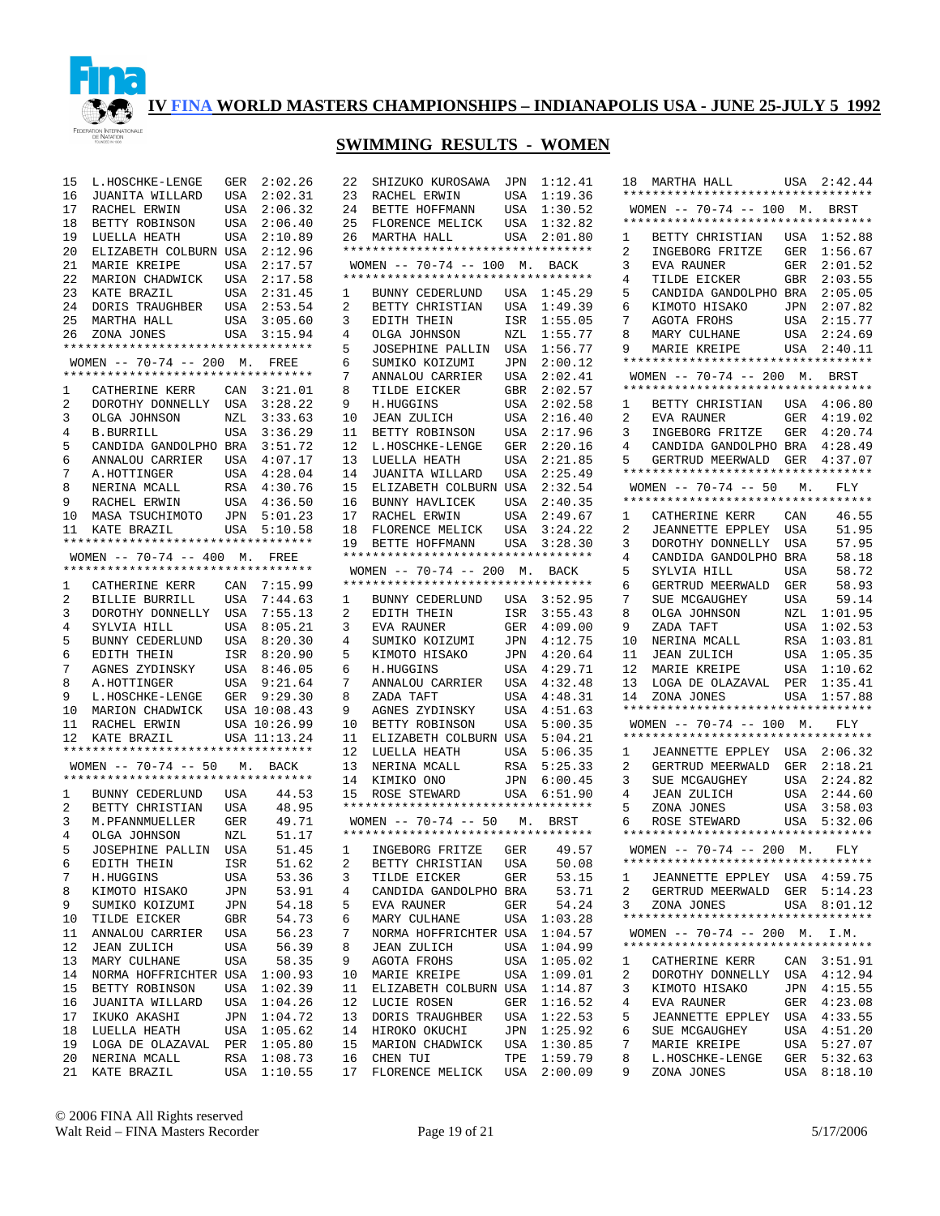

## **SWIMMING RESULTS - WOMEN**

22 SHIZUKO KUROSAWA JPN 1:12.41

| 15             | L.HOSCHKE-LENGE                   |           | GER 2:02.26  | 22             |
|----------------|-----------------------------------|-----------|--------------|----------------|
| 16             | JUANITA WILLARD                   | USA       | 2:02.31      | 23             |
| 17             | RACHEL ERWIN                      |           | 2:06.32      | 24             |
|                |                                   | USA       |              |                |
| 18             | BETTY ROBINSON                    |           | USA 2:06.40  | 25             |
| 19             | LUELLA HEATH                      | USA       | 2:10.89      | 26             |
| 20             | ELIZABETH COLBURN USA 2:12.96     |           |              | $***$          |
| 21             | MARIE KREIPE                      | USA       | 2:17.57      | <b>WO</b>      |
| 22             | MARION CHADWICK USA 2:17.58       |           |              | $***$          |
| 23             | KATE BRAZIL                       | USA       | 2:31.45      | $\mathbf{1}$   |
| 24             | DORIS TRAUGHBER USA 2:53.54       |           |              | 2              |
|                |                                   | USA       | 3:05.60      | 3              |
|                | 25 MARTHA HALL<br>26 ZONA JONES   | USA       | 3:15.94      | 4              |
|                |                                   |           |              |                |
|                | ********************************* |           |              | 5              |
|                | WOMEN $-- 70-74 -- 200$ M.        |           | FREE         | 6              |
|                | ********************************* |           |              | 7              |
| 1              | CATHERINE KERR CAN 3:21.01        |           |              | 8              |
| $\overline{a}$ | DOROTHY DONNELLY                  | USA       | 3:28.22      | 9              |
| 3              | OLGA JOHNSON                      | $\rm NZL$ | 3:33.63      | 10             |
| 4              | <b>B.BURRILL</b>                  | USA       | 3:36.29      | 11             |
| 5              | CANDIDA GANDOLPHO BRA             |           | 3:51.72      | 12             |
|                |                                   |           |              |                |
| 6              | ANNALOU CARRIER USA               |           | 4:07.17      | 13             |
| 7 <sup>7</sup> | A.HOTTINGER                       |           | USA 4:28.04  | 14             |
| 8              | NERINA MCALL                      | RSA       | 4:30.76      | 15             |
| 9              | RACHEL ERWIN                      |           | USA 4:36.50  | 16             |
| 10             | MASA TSUCHIMOTO                   | JPN       | 5:01.23      | 17             |
| 11             | KATE BRAZIL                       | USA       | 5:10.58      | 18             |
|                | ********************************* |           |              | 19             |
|                | WOMEN $-- 70-74 -- 400$ M.        |           | FREE         | $***$          |
|                | ********************************* |           |              |                |
|                |                                   |           |              | WΟ             |
| 1              | CATHERINE KERR CAN 7:15.99        |           |              | $***$          |
| $\overline{a}$ | BILLIE BURRILL                    |           | USA 7:44.63  | 1              |
| 3              | DOROTHY DONNELLY USA              |           | 7:55.13      | 2              |
| 4              | SYLVIA HILL                       |           | USA 8:05.21  | 3              |
| 5              | BUNNY CEDERLUND                   | USA       | 8:20.30      | 4              |
| 6              |                                   |           |              | 5              |
|                | EDITH THEIN                       |           | ISR 8:20.90  |                |
| 7              | AGNES ZYDINSKY                    | USA       | 8:46.05      | 6              |
| 8              | A.HOTTINGER                       |           | USA 9:21.64  | 7              |
| 9              | L.HOSCHKE-LENGE                   | GER       | 9:29.30      | 8              |
| 10             | MARION CHADWICK USA 10:08.43      |           |              | 9              |
| 11             | RACHEL ERWIN                      |           | USA 10:26.99 | 10             |
|                | 12 KATE BRAZIL                    |           | USA 11:13.24 | 11             |
|                | ********************************* |           |              | 12             |
|                | WOMEN -- 70-74 -- 50 M. BACK      |           |              | 13             |
|                | ********************************* |           |              |                |
|                |                                   |           |              | 14             |
| 1              | BUNNY CEDERLUND USA               |           | 44.53        | 15             |
| $\overline{a}$ | BETTY CHRISTIAN                   | USA       | 48.95        | $***$          |
| 3              | M.PFANNMUELLER                    | GER       | 49.71        | WО             |
| $\overline{4}$ | OLGA JOHNSON                      | NZL       | 51.17        | $***$          |
| 5              | JOSEPHINE PALLIN                  | USA       | 51.45        | 1              |
| 6              | EDITH THEIN                       | ISR       | 51.62        | $\overline{a}$ |
|                |                                   |           |              |                |
| 7              | H.HUGGINS                         | USA       | 53.36        | 3              |
| 8              | KIMOTO HISAKO                     | JPN       | 53.91        | 4              |
| 9              | SUMIKO KOIZUMI                    | JPN       | 54.18        | 5              |
| 10             | TILDE EICKER                      | GBR       | 54.73        | 6              |
| 11             | ANNALOU CARRIER                   | USA       | 56.23        | 7              |
| 12             | <b>JEAN ZULICH</b>                | USA       | 56.39        | 8              |
| 13             | MARY CULHANE                      | USA       | 58.35        | 9              |
|                |                                   |           |              |                |
| 14             | NORMA HOFFRICHTER USA             |           | 1:00.93      | 10             |
| 15             | BETTY ROBINSON                    | USA       | 1:02.39      | 11             |
| 16             | JUANITA WILLARD                   | USA       | 1:04.26      | 12             |
| 17             | IKUKO AKASHI                      | JPN       | 1:04.72      | 13             |
| 18             | LUELLA HEATH                      | USA       | 1:05.62      | 14             |
| 19             | LOGA DE OLAZAVAL                  | PER       | 1:05.80      | 15             |
| 20             | NERINA MCALL                      | RSA       | 1:08.73      | 16             |
| 21             | KATE BRAZIL                       | USA       | 1:10.55      | 17             |
|                |                                   |           |              |                |

| 23             | RACHEL ERWIN                       | USA        | 1:19.36 |
|----------------|------------------------------------|------------|---------|
| 24             | BETTE HOFFMANN                     | USA        | 1:30.52 |
| 25             | FLORENCE MELICK                    | USA        | 1:32.82 |
| 26             | MARTHA HALL                        | USA        | 2:01.80 |
|                | *********************************  |            |         |
|                |                                    |            |         |
|                | WOMEN -- 70-74 -- 100 M. BACK      |            |         |
|                | ********************************** |            |         |
| 1              | BUNNY CEDERLUND                    | USA        | 1:45.29 |
| 2              | BETTY CHRISTIAN                    | USA        | 1:49.39 |
| 3              | EDITH THEIN                        | ISR        | 1:55.05 |
| 4              | OLGA JOHNSON                       | NZL        | 1:55.77 |
|                | JOSEPHINE PALLIN                   |            |         |
| 5              |                                    | USA        | 1:56.77 |
| б              | SUMIKO KOIZUMI                     | JPN        | 2:00.12 |
| 7              | ANNALOU CARRIER                    | USA        | 2:02.41 |
| 8              | TILDE EICKER                       | GBR        | 2:02.57 |
| 9              | H.HUGGINS                          | USA        | 2:02.58 |
| 10             | <b>JEAN ZULICH</b>                 | USA        | 2:16.40 |
| 11             | BETTY ROBINSON                     | USA        | 2:17.96 |
| 12             |                                    |            | 2:20.16 |
|                | L.HOSCHKE-LENGE                    | GER        |         |
| 13             | LUELLA HEATH                       | USA        | 2:21.85 |
| 14             | JUANITA WILLARD                    | USA        | 2:25.49 |
| 15             | ELIZABETH COLBURN USA              |            | 2:32.54 |
| 16             | BUNNY HAVLICEK                     | USA        | 2:40.35 |
| 17             | RACHEL ERWIN                       | USA        | 2:49.67 |
| 18             | FLORENCE MELICK                    | USA        | 3:24.22 |
| 19             | BETTE HOFFMANN                     | USA        | 3:28.30 |
|                | ********************************** |            |         |
|                |                                    |            |         |
|                | WOMEN -- 70-74 -- 200 M. BACK      |            |         |
|                | ********************************** |            |         |
| $\mathbf{1}$   | BUNNY CEDERLUND USA                |            | 3:52.95 |
| $\overline{2}$ | EDITH THEIN                        | ISR        | 3:55.43 |
| 3              | EVA RAUNER                         | GER        | 4:09.00 |
|                | SUMIKO KOIZUMI                     | JPN        | 4:12.75 |
|                |                                    |            |         |
| 4              |                                    |            |         |
| 5              | KIMOTO HISAKO                      | JPN        | 4:20.64 |
| б              | H.HUGGINS                          | USA        | 4:29.71 |
| 7              | ANNALOU CARRIER                    | USA        | 4:32.48 |
| 8              | ZADA TAFT                          | USA        | 4:48.31 |
| 9              | AGNES ZYDINSKY                     | USA        | 4:51.63 |
| 10             |                                    | USA        | 5:00.35 |
|                | BETTY ROBINSON                     |            |         |
| 11             | ELIZABETH COLBURN USA              |            | 5:04.21 |
| 12             | LUELLA HEATH                       | USA        | 5:06.35 |
| 13             | NERINA MCALL                       | RSA        | 5:25.33 |
| 14             | KIMIKO ONO                         | JPN        | 6:00.45 |
| 15             | ROSE STEWARD                       | USA        | 6:51.90 |
|                | ********************************** |            |         |
|                | WOMEN -- 70-74 -- 50 M. BRST       |            |         |
|                | ********************************** |            |         |
| 1              | INGEBORG FRITZE GER                |            | 49.57   |
| $\overline{2}$ | BETTY CHRISTIAN                    | USA        | 50.08   |
| 3              | TILDE EICKER                       | GER        | 53.15   |
|                |                                    |            |         |
| 4              | CANDIDA GANDOLPHO                  | BRA        | 53.71   |
| 5              | EVA RAUNER                         | GER        | 54.24   |
| 6              | MARY CULHANE                       | USA        | 1:03.28 |
| 7              | NORMA HOFFRICHTER USA              |            | 1:04.57 |
| 8              | <b>JEAN ZULICH</b>                 | USA        | 1:04.99 |
| 9              | AGOTA FROHS                        |            | 1:05.02 |
| 10             | MARIE KREIPE                       | USA<br>USA | 1:09.01 |
|                |                                    |            |         |
| 11             | ELIZABETH COLBURN                  | USA        | 1:14.87 |
| 12             | LUCIE ROSEN                        | GER        | 1:16.52 |
| 13             | DORIS TRAUGHBER                    | USA        | 1:22.53 |
| 14             | HIROKO OKUCHI                      | JPN        | 1:25.92 |
| 15             | MARION CHADWICK                    | USA        | 1:30.85 |
| 16             | CHEN TUI                           | TPE        | 1:59.79 |
| 17             | FLORENCE MELICK                    | USA        | 2:00.09 |

| WOMEN -- 70-74 -- 100 M. BRST<br>**********************************<br>1:52.88<br>1<br>BETTY CHRISTIAN<br>USA<br>2<br>INGEBORG FRITZE<br>1:56.67<br>GER<br>3<br>2:01.52<br>EVA RAUNER<br>GER<br>4<br>2:03.55<br>TILDE EICKER<br>GBR<br>5<br>2:05.05<br>CANDIDA GANDOLPHO BRA<br>6<br>KIMOTO HISAKO<br>2:07.82<br>JPN<br>7<br>AGOTA FROHS<br>2:15.77<br>USA<br>8<br>MARY CULHANE<br>2:24.69<br>USA<br>9<br>MARIE KREIPE<br>USA<br>2:40.11<br>**********************************<br>WOMEN -- 70-74 -- 200 M. BRST<br>**********************************<br>4:06.80<br>1<br>BETTY CHRISTIAN USA<br>2<br>4:19.02<br>EVA RAUNER<br>GER<br>INGEBORG FRITZE GER<br>4:20.74<br>3<br>4<br>CANDIDA GANDOLPHO BRA<br>4:28.49<br>5<br>GERTRUD MEERWALD GER 4:37.07<br>**********************************<br>WOMEN $-- 70-74 -- 50 M$ .<br>FLY<br>**********************************<br>1<br>46.55<br>CATHERINE KERR<br>CAN<br>2<br>51.95<br>JEANNETTE EPPLEY<br>USA<br>3<br>DOROTHY DONNELLY<br>57.95<br>USA<br>4<br>58.18<br>CANDIDA GANDOLPHO<br>BRA<br>5<br>58.72<br>SYLVIA HILL<br>USA<br>б<br>58.93<br>GERTRUD MEERWALD<br>GER<br>7<br>59.14<br>SUE MCGAUGHEY<br>USA<br>8<br>1:01.95<br>OLGA JOHNSON<br>NZL<br>9<br>1:02.53<br>ZADA TAFT<br>USA<br>10<br>1:03.81<br>NERINA MCALL<br>RSA<br>1:05.35<br>11<br>JEAN ZULICH<br>USA<br>12<br>MARIE KREIPE<br>USA<br>1:10.62<br>13<br>LOGA DE OLAZAVAL<br>1:35.41<br>PER<br>14<br>ZONA JONES<br>USA<br>1:57.88<br>**********************************<br>WOMEN $-- 70-74 -- 100$ M.<br>FLY<br>**********************************<br>2:06.32<br>1<br>JEANNETTE EPPLEY USA<br>2<br>2:18.21<br>GERTRUD MEERWALD<br>GER<br>SUE MCGAUGHEY<br>3<br>2:24.82<br>USA<br>4<br>2:44.60<br>JEAN ZULICH<br>USA<br>5<br>3:58.03<br>ZONA JONES<br>USA<br>USA<br>5:32.06<br>6<br>ROSE<br>STEWARD<br>WOMEN $-- 70-74 -- 200$ M.<br>FLY<br>1<br>JEANNETTE EPPLEY USA 4:59.75<br>2<br>GERTRUD MEERWALD GER 5:14.23<br>3<br>ZONA JONES<br>8:01.12<br>USA<br>**********************************<br>WOMEN -- 70-74 -- 200 M. I.M.<br>**********************************<br>1<br>CAN 3:51.91<br>CATHERINE KERR<br>DOROTHY DONNELLY USA<br>2<br>4:12.94<br>3<br>KIMOTO HISAKO<br>4:15.55<br>JPN<br>4<br>4:23.08<br>EVA RAUNER<br>GER<br>5<br>JEANNETTE EPPLEY<br>4:33.55<br>USA<br>6<br>4:51.20<br>SUE MCGAUGHEY<br>USA<br>7<br>MARIE KREIPE<br>5:27.07<br>USA | 18   MARTHA HALL<br>********************************** | USA 2:42.44 |
|--------------------------------------------------------------------------------------------------------------------------------------------------------------------------------------------------------------------------------------------------------------------------------------------------------------------------------------------------------------------------------------------------------------------------------------------------------------------------------------------------------------------------------------------------------------------------------------------------------------------------------------------------------------------------------------------------------------------------------------------------------------------------------------------------------------------------------------------------------------------------------------------------------------------------------------------------------------------------------------------------------------------------------------------------------------------------------------------------------------------------------------------------------------------------------------------------------------------------------------------------------------------------------------------------------------------------------------------------------------------------------------------------------------------------------------------------------------------------------------------------------------------------------------------------------------------------------------------------------------------------------------------------------------------------------------------------------------------------------------------------------------------------------------------------------------------------------------------------------------------------------------------------------------------------------------------------------------------------------------------------------------------------------------------------------------------------------------------------------------------------------------------------------------------------------------------------------------------------------------------------------------------------------------------------------------------------------------------------------------------------|--------------------------------------------------------|-------------|
|                                                                                                                                                                                                                                                                                                                                                                                                                                                                                                                                                                                                                                                                                                                                                                                                                                                                                                                                                                                                                                                                                                                                                                                                                                                                                                                                                                                                                                                                                                                                                                                                                                                                                                                                                                                                                                                                                                                                                                                                                                                                                                                                                                                                                                                                                                                                                                          |                                                        |             |
|                                                                                                                                                                                                                                                                                                                                                                                                                                                                                                                                                                                                                                                                                                                                                                                                                                                                                                                                                                                                                                                                                                                                                                                                                                                                                                                                                                                                                                                                                                                                                                                                                                                                                                                                                                                                                                                                                                                                                                                                                                                                                                                                                                                                                                                                                                                                                                          |                                                        |             |
|                                                                                                                                                                                                                                                                                                                                                                                                                                                                                                                                                                                                                                                                                                                                                                                                                                                                                                                                                                                                                                                                                                                                                                                                                                                                                                                                                                                                                                                                                                                                                                                                                                                                                                                                                                                                                                                                                                                                                                                                                                                                                                                                                                                                                                                                                                                                                                          |                                                        |             |
|                                                                                                                                                                                                                                                                                                                                                                                                                                                                                                                                                                                                                                                                                                                                                                                                                                                                                                                                                                                                                                                                                                                                                                                                                                                                                                                                                                                                                                                                                                                                                                                                                                                                                                                                                                                                                                                                                                                                                                                                                                                                                                                                                                                                                                                                                                                                                                          |                                                        |             |
|                                                                                                                                                                                                                                                                                                                                                                                                                                                                                                                                                                                                                                                                                                                                                                                                                                                                                                                                                                                                                                                                                                                                                                                                                                                                                                                                                                                                                                                                                                                                                                                                                                                                                                                                                                                                                                                                                                                                                                                                                                                                                                                                                                                                                                                                                                                                                                          |                                                        |             |
|                                                                                                                                                                                                                                                                                                                                                                                                                                                                                                                                                                                                                                                                                                                                                                                                                                                                                                                                                                                                                                                                                                                                                                                                                                                                                                                                                                                                                                                                                                                                                                                                                                                                                                                                                                                                                                                                                                                                                                                                                                                                                                                                                                                                                                                                                                                                                                          |                                                        |             |
|                                                                                                                                                                                                                                                                                                                                                                                                                                                                                                                                                                                                                                                                                                                                                                                                                                                                                                                                                                                                                                                                                                                                                                                                                                                                                                                                                                                                                                                                                                                                                                                                                                                                                                                                                                                                                                                                                                                                                                                                                                                                                                                                                                                                                                                                                                                                                                          |                                                        |             |
|                                                                                                                                                                                                                                                                                                                                                                                                                                                                                                                                                                                                                                                                                                                                                                                                                                                                                                                                                                                                                                                                                                                                                                                                                                                                                                                                                                                                                                                                                                                                                                                                                                                                                                                                                                                                                                                                                                                                                                                                                                                                                                                                                                                                                                                                                                                                                                          |                                                        |             |
|                                                                                                                                                                                                                                                                                                                                                                                                                                                                                                                                                                                                                                                                                                                                                                                                                                                                                                                                                                                                                                                                                                                                                                                                                                                                                                                                                                                                                                                                                                                                                                                                                                                                                                                                                                                                                                                                                                                                                                                                                                                                                                                                                                                                                                                                                                                                                                          |                                                        |             |
|                                                                                                                                                                                                                                                                                                                                                                                                                                                                                                                                                                                                                                                                                                                                                                                                                                                                                                                                                                                                                                                                                                                                                                                                                                                                                                                                                                                                                                                                                                                                                                                                                                                                                                                                                                                                                                                                                                                                                                                                                                                                                                                                                                                                                                                                                                                                                                          |                                                        |             |
|                                                                                                                                                                                                                                                                                                                                                                                                                                                                                                                                                                                                                                                                                                                                                                                                                                                                                                                                                                                                                                                                                                                                                                                                                                                                                                                                                                                                                                                                                                                                                                                                                                                                                                                                                                                                                                                                                                                                                                                                                                                                                                                                                                                                                                                                                                                                                                          |                                                        |             |
|                                                                                                                                                                                                                                                                                                                                                                                                                                                                                                                                                                                                                                                                                                                                                                                                                                                                                                                                                                                                                                                                                                                                                                                                                                                                                                                                                                                                                                                                                                                                                                                                                                                                                                                                                                                                                                                                                                                                                                                                                                                                                                                                                                                                                                                                                                                                                                          |                                                        |             |
|                                                                                                                                                                                                                                                                                                                                                                                                                                                                                                                                                                                                                                                                                                                                                                                                                                                                                                                                                                                                                                                                                                                                                                                                                                                                                                                                                                                                                                                                                                                                                                                                                                                                                                                                                                                                                                                                                                                                                                                                                                                                                                                                                                                                                                                                                                                                                                          |                                                        |             |
|                                                                                                                                                                                                                                                                                                                                                                                                                                                                                                                                                                                                                                                                                                                                                                                                                                                                                                                                                                                                                                                                                                                                                                                                                                                                                                                                                                                                                                                                                                                                                                                                                                                                                                                                                                                                                                                                                                                                                                                                                                                                                                                                                                                                                                                                                                                                                                          |                                                        |             |
|                                                                                                                                                                                                                                                                                                                                                                                                                                                                                                                                                                                                                                                                                                                                                                                                                                                                                                                                                                                                                                                                                                                                                                                                                                                                                                                                                                                                                                                                                                                                                                                                                                                                                                                                                                                                                                                                                                                                                                                                                                                                                                                                                                                                                                                                                                                                                                          |                                                        |             |
|                                                                                                                                                                                                                                                                                                                                                                                                                                                                                                                                                                                                                                                                                                                                                                                                                                                                                                                                                                                                                                                                                                                                                                                                                                                                                                                                                                                                                                                                                                                                                                                                                                                                                                                                                                                                                                                                                                                                                                                                                                                                                                                                                                                                                                                                                                                                                                          |                                                        |             |
|                                                                                                                                                                                                                                                                                                                                                                                                                                                                                                                                                                                                                                                                                                                                                                                                                                                                                                                                                                                                                                                                                                                                                                                                                                                                                                                                                                                                                                                                                                                                                                                                                                                                                                                                                                                                                                                                                                                                                                                                                                                                                                                                                                                                                                                                                                                                                                          |                                                        |             |
|                                                                                                                                                                                                                                                                                                                                                                                                                                                                                                                                                                                                                                                                                                                                                                                                                                                                                                                                                                                                                                                                                                                                                                                                                                                                                                                                                                                                                                                                                                                                                                                                                                                                                                                                                                                                                                                                                                                                                                                                                                                                                                                                                                                                                                                                                                                                                                          |                                                        |             |
|                                                                                                                                                                                                                                                                                                                                                                                                                                                                                                                                                                                                                                                                                                                                                                                                                                                                                                                                                                                                                                                                                                                                                                                                                                                                                                                                                                                                                                                                                                                                                                                                                                                                                                                                                                                                                                                                                                                                                                                                                                                                                                                                                                                                                                                                                                                                                                          |                                                        |             |
|                                                                                                                                                                                                                                                                                                                                                                                                                                                                                                                                                                                                                                                                                                                                                                                                                                                                                                                                                                                                                                                                                                                                                                                                                                                                                                                                                                                                                                                                                                                                                                                                                                                                                                                                                                                                                                                                                                                                                                                                                                                                                                                                                                                                                                                                                                                                                                          |                                                        |             |
|                                                                                                                                                                                                                                                                                                                                                                                                                                                                                                                                                                                                                                                                                                                                                                                                                                                                                                                                                                                                                                                                                                                                                                                                                                                                                                                                                                                                                                                                                                                                                                                                                                                                                                                                                                                                                                                                                                                                                                                                                                                                                                                                                                                                                                                                                                                                                                          |                                                        |             |
|                                                                                                                                                                                                                                                                                                                                                                                                                                                                                                                                                                                                                                                                                                                                                                                                                                                                                                                                                                                                                                                                                                                                                                                                                                                                                                                                                                                                                                                                                                                                                                                                                                                                                                                                                                                                                                                                                                                                                                                                                                                                                                                                                                                                                                                                                                                                                                          |                                                        |             |
|                                                                                                                                                                                                                                                                                                                                                                                                                                                                                                                                                                                                                                                                                                                                                                                                                                                                                                                                                                                                                                                                                                                                                                                                                                                                                                                                                                                                                                                                                                                                                                                                                                                                                                                                                                                                                                                                                                                                                                                                                                                                                                                                                                                                                                                                                                                                                                          |                                                        |             |
|                                                                                                                                                                                                                                                                                                                                                                                                                                                                                                                                                                                                                                                                                                                                                                                                                                                                                                                                                                                                                                                                                                                                                                                                                                                                                                                                                                                                                                                                                                                                                                                                                                                                                                                                                                                                                                                                                                                                                                                                                                                                                                                                                                                                                                                                                                                                                                          |                                                        |             |
|                                                                                                                                                                                                                                                                                                                                                                                                                                                                                                                                                                                                                                                                                                                                                                                                                                                                                                                                                                                                                                                                                                                                                                                                                                                                                                                                                                                                                                                                                                                                                                                                                                                                                                                                                                                                                                                                                                                                                                                                                                                                                                                                                                                                                                                                                                                                                                          |                                                        |             |
|                                                                                                                                                                                                                                                                                                                                                                                                                                                                                                                                                                                                                                                                                                                                                                                                                                                                                                                                                                                                                                                                                                                                                                                                                                                                                                                                                                                                                                                                                                                                                                                                                                                                                                                                                                                                                                                                                                                                                                                                                                                                                                                                                                                                                                                                                                                                                                          |                                                        |             |
|                                                                                                                                                                                                                                                                                                                                                                                                                                                                                                                                                                                                                                                                                                                                                                                                                                                                                                                                                                                                                                                                                                                                                                                                                                                                                                                                                                                                                                                                                                                                                                                                                                                                                                                                                                                                                                                                                                                                                                                                                                                                                                                                                                                                                                                                                                                                                                          |                                                        |             |
|                                                                                                                                                                                                                                                                                                                                                                                                                                                                                                                                                                                                                                                                                                                                                                                                                                                                                                                                                                                                                                                                                                                                                                                                                                                                                                                                                                                                                                                                                                                                                                                                                                                                                                                                                                                                                                                                                                                                                                                                                                                                                                                                                                                                                                                                                                                                                                          |                                                        |             |
|                                                                                                                                                                                                                                                                                                                                                                                                                                                                                                                                                                                                                                                                                                                                                                                                                                                                                                                                                                                                                                                                                                                                                                                                                                                                                                                                                                                                                                                                                                                                                                                                                                                                                                                                                                                                                                                                                                                                                                                                                                                                                                                                                                                                                                                                                                                                                                          |                                                        |             |
|                                                                                                                                                                                                                                                                                                                                                                                                                                                                                                                                                                                                                                                                                                                                                                                                                                                                                                                                                                                                                                                                                                                                                                                                                                                                                                                                                                                                                                                                                                                                                                                                                                                                                                                                                                                                                                                                                                                                                                                                                                                                                                                                                                                                                                                                                                                                                                          |                                                        |             |
|                                                                                                                                                                                                                                                                                                                                                                                                                                                                                                                                                                                                                                                                                                                                                                                                                                                                                                                                                                                                                                                                                                                                                                                                                                                                                                                                                                                                                                                                                                                                                                                                                                                                                                                                                                                                                                                                                                                                                                                                                                                                                                                                                                                                                                                                                                                                                                          |                                                        |             |
|                                                                                                                                                                                                                                                                                                                                                                                                                                                                                                                                                                                                                                                                                                                                                                                                                                                                                                                                                                                                                                                                                                                                                                                                                                                                                                                                                                                                                                                                                                                                                                                                                                                                                                                                                                                                                                                                                                                                                                                                                                                                                                                                                                                                                                                                                                                                                                          |                                                        |             |
|                                                                                                                                                                                                                                                                                                                                                                                                                                                                                                                                                                                                                                                                                                                                                                                                                                                                                                                                                                                                                                                                                                                                                                                                                                                                                                                                                                                                                                                                                                                                                                                                                                                                                                                                                                                                                                                                                                                                                                                                                                                                                                                                                                                                                                                                                                                                                                          |                                                        |             |
|                                                                                                                                                                                                                                                                                                                                                                                                                                                                                                                                                                                                                                                                                                                                                                                                                                                                                                                                                                                                                                                                                                                                                                                                                                                                                                                                                                                                                                                                                                                                                                                                                                                                                                                                                                                                                                                                                                                                                                                                                                                                                                                                                                                                                                                                                                                                                                          |                                                        |             |
|                                                                                                                                                                                                                                                                                                                                                                                                                                                                                                                                                                                                                                                                                                                                                                                                                                                                                                                                                                                                                                                                                                                                                                                                                                                                                                                                                                                                                                                                                                                                                                                                                                                                                                                                                                                                                                                                                                                                                                                                                                                                                                                                                                                                                                                                                                                                                                          |                                                        |             |
|                                                                                                                                                                                                                                                                                                                                                                                                                                                                                                                                                                                                                                                                                                                                                                                                                                                                                                                                                                                                                                                                                                                                                                                                                                                                                                                                                                                                                                                                                                                                                                                                                                                                                                                                                                                                                                                                                                                                                                                                                                                                                                                                                                                                                                                                                                                                                                          |                                                        |             |
|                                                                                                                                                                                                                                                                                                                                                                                                                                                                                                                                                                                                                                                                                                                                                                                                                                                                                                                                                                                                                                                                                                                                                                                                                                                                                                                                                                                                                                                                                                                                                                                                                                                                                                                                                                                                                                                                                                                                                                                                                                                                                                                                                                                                                                                                                                                                                                          |                                                        |             |
|                                                                                                                                                                                                                                                                                                                                                                                                                                                                                                                                                                                                                                                                                                                                                                                                                                                                                                                                                                                                                                                                                                                                                                                                                                                                                                                                                                                                                                                                                                                                                                                                                                                                                                                                                                                                                                                                                                                                                                                                                                                                                                                                                                                                                                                                                                                                                                          |                                                        |             |
|                                                                                                                                                                                                                                                                                                                                                                                                                                                                                                                                                                                                                                                                                                                                                                                                                                                                                                                                                                                                                                                                                                                                                                                                                                                                                                                                                                                                                                                                                                                                                                                                                                                                                                                                                                                                                                                                                                                                                                                                                                                                                                                                                                                                                                                                                                                                                                          |                                                        |             |
|                                                                                                                                                                                                                                                                                                                                                                                                                                                                                                                                                                                                                                                                                                                                                                                                                                                                                                                                                                                                                                                                                                                                                                                                                                                                                                                                                                                                                                                                                                                                                                                                                                                                                                                                                                                                                                                                                                                                                                                                                                                                                                                                                                                                                                                                                                                                                                          |                                                        |             |
|                                                                                                                                                                                                                                                                                                                                                                                                                                                                                                                                                                                                                                                                                                                                                                                                                                                                                                                                                                                                                                                                                                                                                                                                                                                                                                                                                                                                                                                                                                                                                                                                                                                                                                                                                                                                                                                                                                                                                                                                                                                                                                                                                                                                                                                                                                                                                                          |                                                        |             |
|                                                                                                                                                                                                                                                                                                                                                                                                                                                                                                                                                                                                                                                                                                                                                                                                                                                                                                                                                                                                                                                                                                                                                                                                                                                                                                                                                                                                                                                                                                                                                                                                                                                                                                                                                                                                                                                                                                                                                                                                                                                                                                                                                                                                                                                                                                                                                                          |                                                        |             |
|                                                                                                                                                                                                                                                                                                                                                                                                                                                                                                                                                                                                                                                                                                                                                                                                                                                                                                                                                                                                                                                                                                                                                                                                                                                                                                                                                                                                                                                                                                                                                                                                                                                                                                                                                                                                                                                                                                                                                                                                                                                                                                                                                                                                                                                                                                                                                                          |                                                        |             |
|                                                                                                                                                                                                                                                                                                                                                                                                                                                                                                                                                                                                                                                                                                                                                                                                                                                                                                                                                                                                                                                                                                                                                                                                                                                                                                                                                                                                                                                                                                                                                                                                                                                                                                                                                                                                                                                                                                                                                                                                                                                                                                                                                                                                                                                                                                                                                                          |                                                        |             |
|                                                                                                                                                                                                                                                                                                                                                                                                                                                                                                                                                                                                                                                                                                                                                                                                                                                                                                                                                                                                                                                                                                                                                                                                                                                                                                                                                                                                                                                                                                                                                                                                                                                                                                                                                                                                                                                                                                                                                                                                                                                                                                                                                                                                                                                                                                                                                                          |                                                        |             |
|                                                                                                                                                                                                                                                                                                                                                                                                                                                                                                                                                                                                                                                                                                                                                                                                                                                                                                                                                                                                                                                                                                                                                                                                                                                                                                                                                                                                                                                                                                                                                                                                                                                                                                                                                                                                                                                                                                                                                                                                                                                                                                                                                                                                                                                                                                                                                                          |                                                        |             |
|                                                                                                                                                                                                                                                                                                                                                                                                                                                                                                                                                                                                                                                                                                                                                                                                                                                                                                                                                                                                                                                                                                                                                                                                                                                                                                                                                                                                                                                                                                                                                                                                                                                                                                                                                                                                                                                                                                                                                                                                                                                                                                                                                                                                                                                                                                                                                                          |                                                        |             |
|                                                                                                                                                                                                                                                                                                                                                                                                                                                                                                                                                                                                                                                                                                                                                                                                                                                                                                                                                                                                                                                                                                                                                                                                                                                                                                                                                                                                                                                                                                                                                                                                                                                                                                                                                                                                                                                                                                                                                                                                                                                                                                                                                                                                                                                                                                                                                                          |                                                        |             |
| 5:32.63<br>8<br>L.HOSCHKE-LENGE<br>GER<br>9<br>ZONA JONES<br>8:18.10<br>USA                                                                                                                                                                                                                                                                                                                                                                                                                                                                                                                                                                                                                                                                                                                                                                                                                                                                                                                                                                                                                                                                                                                                                                                                                                                                                                                                                                                                                                                                                                                                                                                                                                                                                                                                                                                                                                                                                                                                                                                                                                                                                                                                                                                                                                                                                              |                                                        |             |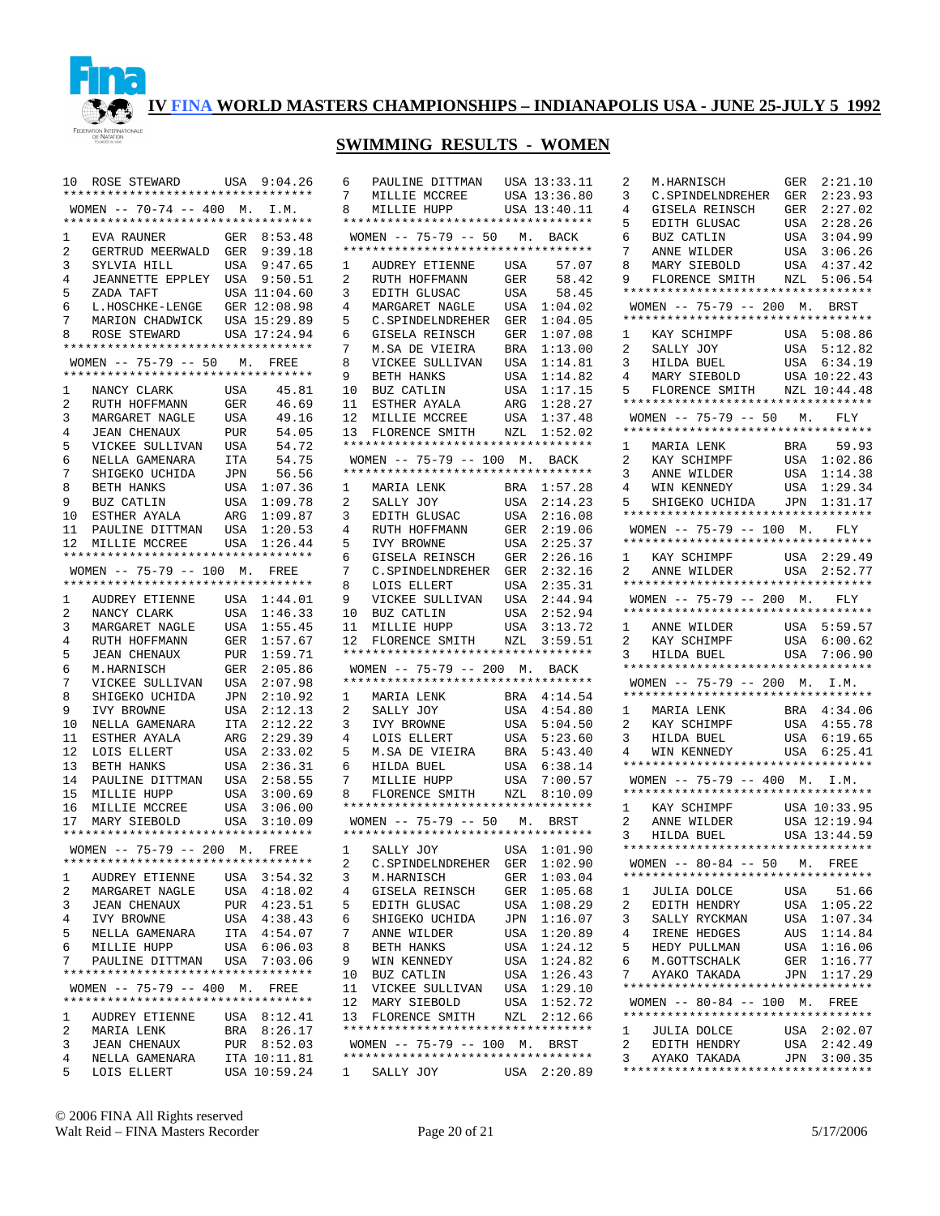

## **SWIMMING RESULTS - WOMEN**

|                | 10 ROSE STEWARD USA 9:04.26                                     |             |                            |
|----------------|-----------------------------------------------------------------|-------------|----------------------------|
|                | **********************************                              |             |                            |
|                | WOMEN -- 70-74 -- 400 M. I.M.                                   |             |                            |
|                | *********************************                               |             |                            |
| $\mathbf{1}$   | EVA RAUNER                                                      |             | GER 8:53.48                |
| $\overline{2}$ | GERTRUD MEERWALD GER 9:39.18                                    |             |                            |
| 3              | SYLVIA HILL                                                     | USA         | 9:47.65                    |
| $\overline{4}$ | JEANNETTE EPPLEY USA 9:50.51                                    |             |                            |
| 5              | ZADA TAFT                                                       |             | USA 11:04.60               |
| 6              | L.HOSCHKE-LENGE GER 12:08.98                                    |             |                            |
| 7              | MARION CHADWICK                                                 |             | USA 15:29.89               |
| 8              | ROSE STEWARD USA 17:24.94                                       |             |                            |
|                | **********************************                              |             |                            |
|                | WOMEN -- 75-79 -- 50 M. FREE                                    |             |                            |
|                | **********************************                              |             |                            |
| 1              | NANCY CLARK                                                     | USA         | 45.81                      |
| $\overline{a}$ | RUTH HOFFMANN                                                   | GER         | 46.69                      |
| 3              | MARGARET NAGLE                                                  | USA         | 49.16                      |
| $\overline{4}$ | <b>JEAN CHENAUX</b>                                             | PUR         | 54.05                      |
| 5              | VICKEE SULLIVAN USA                                             |             | 54.72                      |
| б              | NELLA GAMENARA                                                  | ITA         | 54.75                      |
| 7              | SHIGEKO UCHIDA                                                  |             | JPN 56.56                  |
| 8              | BETH HANKS                                                      |             | USA 1:07.36                |
| 9              | BUZ CATLIN                                                      | USA         | 1:09.78                    |
| 10             |                                                                 |             |                            |
|                | ESTHER AYALA ARG 1:09.87<br>PAULINE DITTMAN USA 1:20.53         |             |                            |
| 11             |                                                                 |             |                            |
| 12             | MILLIE MCCREE USA 1:26.44<br>********************************** |             |                            |
|                |                                                                 |             |                            |
|                | WOMEN -- 75-79 -- 100 M. FREE                                   |             |                            |
|                | **********************************                              |             |                            |
| 1              | AUDREY ETIENNE USA 1:44.01<br>NANCY CLARK USA 1:46.33           |             |                            |
| 2              | NANCY CLARK                                                     |             |                            |
| 3              | MARGARET NAGLE                                                  | USA<br>GER  | 1:55.45                    |
| 4              | RUTH HOFFMANN                                                   |             | 1:57.67                    |
| 5              | <b>JEAN CHENAUX</b>                                             |             | PUR 1:59.71<br>GER 2:05.86 |
| 6              | M.HARNISCH                                                      |             |                            |
| $7^{\circ}$    | VICKEE SULLIVAN USA<br>SHIGEKO UCHIDA JPN                       |             | 2:07.98                    |
| 8              |                                                                 |             | 2:10.92                    |
| 9              | IVY BROWNE                                                      | USA         | 2:12.13                    |
| 10             | NELLA GAMENARA                                                  | ITA         | 2:12.22                    |
| 11             | ESTHER AYALA                                                    | ${\tt ARG}$ | 2:29.39                    |
| 12             | LOIS ELLERT                                                     | USA         | 2:33.02                    |
| 13             | BETH HANKS                                                      |             | USA 2:36.31                |
| 14             | PAULINE DITTMAN                                                 | USA         | 2:58.55                    |
|                | 15 MILLIE HUPP                                                  | USA         | 3:00.69                    |
| 16             | MILLIE MCCREE                                                   | USA         | 3:06.00                    |
|                | 17 MARY SIEBOLD                                                 |             | USA 3:10.09                |
|                | **********************************                              |             |                            |
|                | WOMEN -- 75-79 -- 200 M. FREE                                   |             |                            |
|                | **********************************                              |             |                            |
| 1              | AUDREY ETIENNE                                                  | USA         | 3:54.32                    |
| 2              | MARGARET NAGLE                                                  | USA         | 4:18.02                    |
| 3              | <b>JEAN CHENAUX</b>                                             | PUR         | 4:23.51                    |
| 4              | IVY BROWNE                                                      | USA         | 4:38.43                    |
| 5              | NELLA GAMENARA                                                  | ITA         | 4:54.07                    |
| 6              | MILLIE HUPP                                                     | USA         | 6:06.03                    |
| 7              | PAULINE DITTMAN                                                 | USA         | 7:03.06                    |
|                | **********************************                              |             |                            |
|                | WOMEN $-- 75-79 -- 400$ M.                                      |             |                            |
|                | **********************************                              |             | FREE                       |
| 1              | AUDREY ETIENNE                                                  |             | USA 8:12.41                |
| 2              | MARIA LENK                                                      | BRA         | 8:26.17                    |
| 3              | <b>JEAN CHENAUX</b>                                             |             | PUR 8:52.03                |
| 4              | NELLA GAMENARA                                                  |             | ITA 10:11.81               |
| 5              | LOIS ELLERT                                                     |             | USA 10:59.24               |
|                |                                                                 |             |                            |

| 6<br>7<br>8  | PAULINE DITTMAN<br>MILLIE MCCREE<br>MILLIE HUPP<br>********************************** |            | USA 13:33.11<br>USA 13:36.80<br>USA 13:40.11 |
|--------------|---------------------------------------------------------------------------------------|------------|----------------------------------------------|
|              | WOMEN -- 75-79 -- 50 M. BACK                                                          |            |                                              |
|              | **********************************                                                    |            |                                              |
| 1<br>2       | AUDREY ETIENNE<br>RUTH HOFFMANN                                                       | USA<br>GER | 57.07<br>58.42                               |
| 3            | EDITH GLUSAC                                                                          | USA        | 58.45                                        |
| 4            | MARGARET NAGLE                                                                        | USA        | 1:04.02                                      |
| 5            | C.SPINDELNDREHER                                                                      | GER        | 1:04.05                                      |
| 6            | GISELA REINSCH                                                                        | GER        | 1:07.08                                      |
| 7            | M.SA DE VIEIRA                                                                        | BRA        | 1:13.00                                      |
| 8            | VICKEE SULLIVAN                                                                       | USA        | 1:14.81                                      |
| 9            | BETH HANKS                                                                            | USA        | 1:14.82                                      |
| 10           | BUZ CATLIN                                                                            | USA        | 1:17.15                                      |
| 11<br>12     | ESTHER AYALA<br>MILLIE MCCREE                                                         | ARG<br>USA | 1:28.27<br>1:37.48                           |
| 13           | FLORENCE SMITH                                                                        | NZL        | 1:52.02                                      |
|              | **********************************                                                    |            |                                              |
|              | WOMEN -- 75-79 -- 100 M.                                                              |            | BACK                                         |
|              | **********************************                                                    |            |                                              |
| $\mathbf{1}$ | MARIA LENK                                                                            | BRA        | 1:57.28                                      |
| 2            | SALLY JOY                                                                             | USA        | 2:14.23                                      |
| 3            | EDITH GLUSAC                                                                          | USA        | 2:16.08                                      |
| 4            | RUTH HOFFMANN                                                                         | GER        | 2:19.06                                      |
| 5<br>6       | IVY BROWNE<br>GISELA REINSCH                                                          | USA<br>GER | 2:25.37<br>2:26.16                           |
| 7            | C.SPINDELNDREHER                                                                      | GER        | 2:32.16                                      |
| 8            | LOIS ELLERT                                                                           | USA        | 2:35.31                                      |
| 9            | VICKEE SULLIVAN                                                                       | USA        | 2:44.94                                      |
| 10           |                                                                                       | USA        | 2:52.94                                      |
| 11           | NILLIE HUPP                                                                           | USA        | 3:13.72                                      |
| 12           | FLORENCE SMITH                                                                        | NZL        | 3:59.51                                      |
|              | **********************************                                                    |            |                                              |
|              | WOMEN -- 75-79 -- 200 M. BACK<br>**********************************                   |            |                                              |
| 1            |                                                                                       |            | 4:14.54                                      |
| 2            | MARIA LENK<br>SALLY JOY                                                               | BRA<br>USA | 4:54.80                                      |
| 3            | IVY BROWNE                                                                            | USA        | 5:04.50                                      |
| 4            | LOIS ELLERT                                                                           | USA        | 5:23.60                                      |
| 5            | M.SA DE VIEIRA                                                                        | BRA        | 5:43.40                                      |
| 6            | <b>HILDA BUEL</b>                                                                     | USA        | 6:38.14                                      |
| 7            | MILLIE HUPP                                                                           | USA        | 7:00.57                                      |
| 8            | FLORENCE SMITH                                                                        | NZL        | 8:10.09                                      |
|              | **********************************                                                    |            |                                              |
|              | $WOMEN$ -- 75-79 -- 50 M.<br>**********************************                       |            | BRST                                         |
| 1            | SALLY JOY                                                                             | USA        | 1:01.90                                      |
| 2            | C. SPINDELNDREHER                                                                     | GER        | 1:02.90                                      |
| 3            | M.HARNISCH                                                                            | GER        | 1:03.04                                      |
| 4            | GISELA REINSCH                                                                        | GER        | 1:05.68                                      |
| 5            | EDITH GLUSAC                                                                          | USA        | 1:08.29                                      |
| 6            | SHIGEKO UCHIDA                                                                        | JPN        | 1:16.07                                      |
| 7            | ANNE WILDER                                                                           | USA        | 1:20.89                                      |
| 8            | BETH HANKS                                                                            | USA        | 1:24.12                                      |
| 9            | WIN KENNEDY                                                                           | USA        | 1:24.82                                      |
| 10<br>11     | BUZ CATLIN<br>VICKEE SULLIVAN                                                         | USA<br>USA | 1:26.43<br>1:29.10                           |
| 12           | MARY SIEBOLD                                                                          | USA        | 1:52.72                                      |
| 13           | FLORENCE SMITH                                                                        |            | NZL 2:12.66                                  |
|              | *********************************                                                     |            |                                              |
|              | WOMEN -- 75-79 -- 100 M. BRST                                                         |            |                                              |
|              | *********************************                                                     |            |                                              |
| 1            | SALLY JOY                                                                             |            | USA 2:20.89                                  |

| 2                   | M.HARNISCH                                                                   | 2:21.10<br>GER                   |  |
|---------------------|------------------------------------------------------------------------------|----------------------------------|--|
| 3                   | C.SPINDELNDREHER                                                             | 2:23.93<br>GER                   |  |
| 4                   | GISELA REINSCH                                                               | GER<br>2:27.02                   |  |
| 5                   | EDITH GLUSAC<br>BUZ CATLIN                                                   | 2:28.26<br>USA                   |  |
| 6                   | BUZ CATLIN                                                                   | 3:04.99<br>USA                   |  |
| 7                   | ANNE WILDER                                                                  | 3:06.26<br>USA                   |  |
| 8<br>9              | MARY SIEBOLD<br>FLORENCE SMITH NZL                                           | 4:37.42<br>USA<br>5:06.54        |  |
|                     | **********************************                                           |                                  |  |
|                     | WOMEN -- 75-79 -- 200 M. BRST                                                |                                  |  |
|                     | **********************************                                           |                                  |  |
| $\mathbf{1}$        | KAY SCHIMPF                                                                  | USA 5:08.86                      |  |
| $\overline{2}$      | SALLY JOY                                                                    | 5:12.82<br>USA                   |  |
| 3<br>4              | HILDA BUEL<br>MARY SIEBOLD                                                   | 6:34.19<br>USA                   |  |
| 5                   | MARY SIEBOLD USA 10:22.43<br>FLORENCE SMITH NZL 10:44.48                     |                                  |  |
|                     | **********************************                                           |                                  |  |
|                     | WOMEN -- $75-79$ -- 50 M.                                                    | FLY                              |  |
|                     | **********************************                                           |                                  |  |
| $\mathbf{1}$        | MARIA LENK<br>KAY SCHIMPF                                                    | 59.93<br>BRA                     |  |
| 2                   |                                                                              | 1:02.86<br>USA<br>USA            |  |
| 3<br>4              | ANNE WILDER<br>WIN KENNEDY                                                   | 1:14.38<br>USA<br>1:29.34        |  |
| 5                   | SHIGEKO UCHIDA JPN                                                           | 1:31.17                          |  |
|                     | **********************************                                           |                                  |  |
|                     | $WOMEN$ -- 75-79 -- 100 M.                                                   | FLY                              |  |
|                     | *********************************                                            |                                  |  |
| 1                   | KAY SCHIMPF USA 2:29.49<br>ANNE WILDER USA 2:52.77                           |                                  |  |
| $\overline{2}$      | *********************************                                            |                                  |  |
|                     | WOMEN -- 75-79 -- 200 M. FLY                                                 |                                  |  |
|                     | *********************************                                            |                                  |  |
| $\mathbf{1}$        | ANNE WILDER USA 5:59.57<br>KAY SCHIMPF USA 6:00.62<br>HILDA BUEL USA 7:06.90 |                                  |  |
| $\overline{2}$      |                                                                              |                                  |  |
| 3                   | HILDA BUEL<br>**********************************                             | USA<br>7:06.90                   |  |
|                     | WOMEN -- 75-79 -- 200 M. I.M.                                                |                                  |  |
|                     | **********************************                                           |                                  |  |
| 1                   | MARIA LENK                                                                   | BRA 4:34.06                      |  |
| $\overline{2}$      | KAY SCHIMPF                                                                  | 4:55.78<br>USA                   |  |
| 3<br>4              | HILDA BUEL<br>WIN KENNEDY                                                    | 6:19.65<br>USA<br>USA 6:25.41    |  |
|                     | **********************************                                           |                                  |  |
|                     | WOMEN $-- 75-79 -- 400$ M.                                                   | I.M.                             |  |
|                     | **********************************                                           |                                  |  |
| $\mathbf{1}$        | KAY SCHIMPF                                                                  | USA 10:33.95                     |  |
| $\overline{2}$<br>3 | ANNE WILDER<br>ANNE WILDER<br>HILDA BUEL                                     | USA 12:19.94<br>USA 13:44.59     |  |
|                     | **********************************                                           |                                  |  |
|                     | WOMEN -- 80-84 -- 50 M. FREE                                                 |                                  |  |
|                     | **********************************                                           |                                  |  |
| 1                   | JULIA DOLCE                                                                  | 51.66<br>USA                     |  |
| $\overline{2}$      | EDITH HENDRY                                                                 | USA 1:05.22                      |  |
| 3                   | SALLY RYCKMAN                                                                | USA<br>1:07.34                   |  |
| 4<br>5              | IRENE HEDGES<br>HEDY PULLMAN                                                 | AUS<br>1:14.84<br>1:16.06<br>USA |  |
| 6                   | M.GOTTSCHALK                                                                 | 1:16.77<br>GER                   |  |
| 7                   | AYAKO TAKADA                                                                 | JPN 1:17.29                      |  |
|                     | **********************************                                           |                                  |  |
|                     | WOMEN $-- 80-84 -- 100$ M.                                                   | FREE                             |  |
|                     | *********************************                                            |                                  |  |
| $\mathbf{1}$        | JULIA DOLCE                                                                  | USA 2:02.07                      |  |
| 2<br>3              | EDITH HENDRY<br>AYAKO TAKADA                                                 | USA<br>2:42.49<br>JPN 3:00.35    |  |
|                     |                                                                              |                                  |  |
|                     |                                                                              |                                  |  |

© 2006 FINA All Rights reserved Walt Reid – FINA Masters Recorder Page 20 of 21 5/17/2006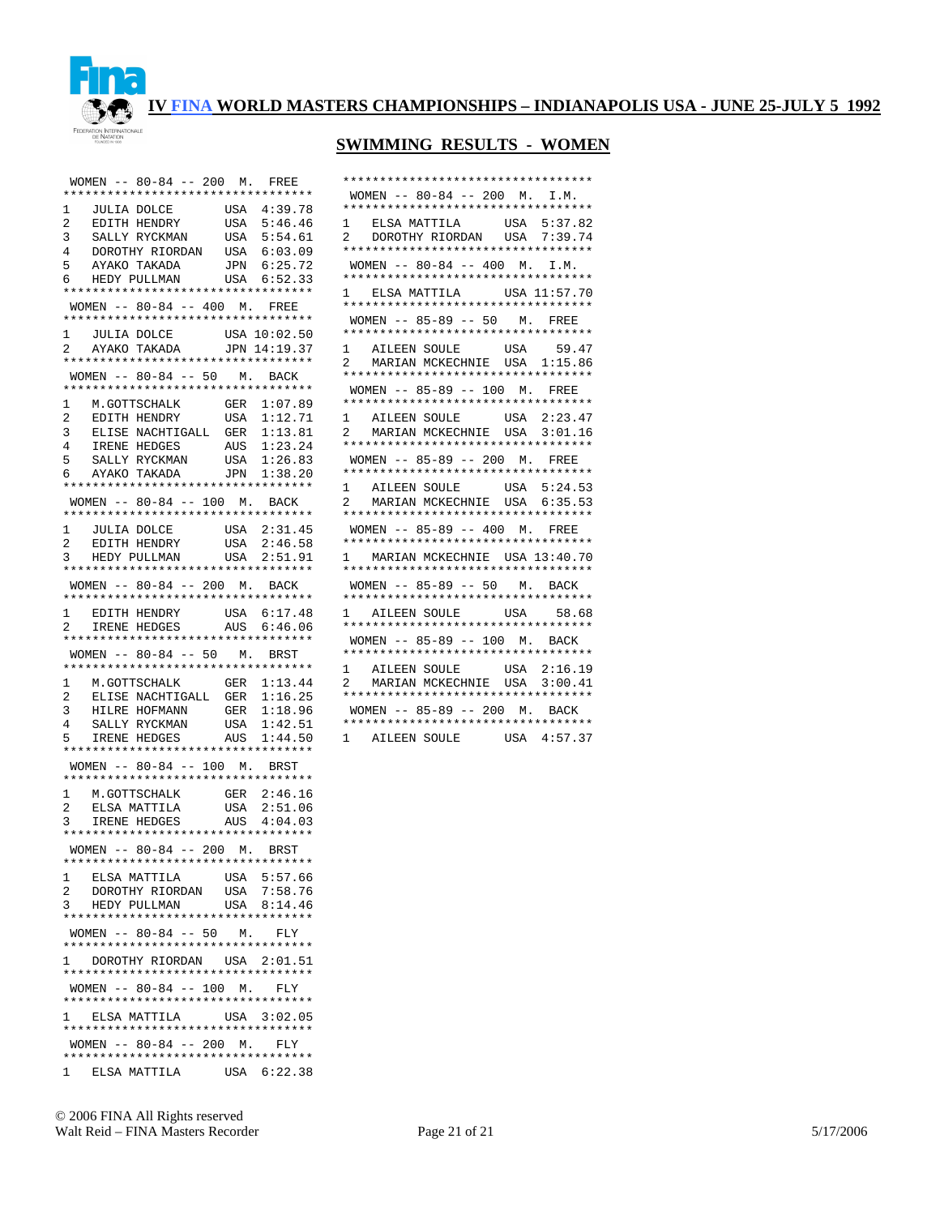

## **SWIMMING RESULTS - WOMEN**

\*\*\*\*\*\*\*\*\*\*\*\*\*\*\*\*\*\*\*\*\*\*\*\*\*\*\*\*\*\*\*\*\*\*

|                                                                                        | WOMEN -- 80-84 -- 200 M. FREE                                                      |
|----------------------------------------------------------------------------------------|------------------------------------------------------------------------------------|
| **********************************                                                     |                                                                                    |
| $\mathbf{1}$                                                                           |                                                                                    |
| 2                                                                                      |                                                                                    |
| 3                                                                                      |                                                                                    |
| $\overline{4}$                                                                         | DOROTHY RIORDAN USA 6:03.09                                                        |
| 5                                                                                      | AYAKO TAKADA JPN 6:25.72<br>HEDY PULLMAN USA 6:52.33                               |
| 6 —                                                                                    |                                                                                    |
| **********************************                                                     |                                                                                    |
| WOMEN -- 80-84 -- 400 M. FREE                                                          |                                                                                    |
| *********************************                                                      |                                                                                    |
|                                                                                        |                                                                                    |
| 1 JULIA DOLCE USA 10:02.50<br>2 AYAKO TAKADA JPN 14:19.37                              |                                                                                    |
| **********************************                                                     |                                                                                    |
| WOMEN $-- 80-84 -- 50$ M. BACK                                                         |                                                                                    |
| **********************************                                                     |                                                                                    |
| 1<br>M.GOTTSCHALK GER<br>EDITH HENDRY USA                                              | GER 1:07.89                                                                        |
| 2<br>EDITH HENDRY<br>ELISE NACHTIGALL GER<br>IRENE HEDGES AUS<br>CONTY DVCKMAN USA     | 1:12.71                                                                            |
| 3                                                                                      | 1:13.81                                                                            |
| $\overline{4}$                                                                         | 1:23.24                                                                            |
| 5                                                                                      | 1:26.83                                                                            |
| SALLY RYCKMAN USA<br>AYAKO TAKADA JPN<br>6 —                                           | 1:38.20                                                                            |
| **********************************                                                     |                                                                                    |
| WOMEN -- 80-84 -- 100 M. BACK                                                          |                                                                                    |
| **********************************                                                     |                                                                                    |
|                                                                                        |                                                                                    |
| 1 JULIA DOLCE USA 2:31.45<br>2 EDITH HENDRY USA 2:46.58<br>3 HEDY PULLMAN USA 2:51.91  |                                                                                    |
|                                                                                        |                                                                                    |
| **********************************                                                     |                                                                                    |
| WOMEN -- 80-84 -- 200 M. BACK                                                          |                                                                                    |
| *********************************                                                      |                                                                                    |
|                                                                                        |                                                                                    |
| 1 EDITH HENDRY USA 6:17.48<br>2 IRENE HEDGES AUS 6:46.06                               |                                                                                    |
|                                                                                        |                                                                                    |
|                                                                                        |                                                                                    |
|                                                                                        | **********************************                                                 |
| WOMEN -- 80-84 -- 50 M. BRST                                                           |                                                                                    |
| **********************************                                                     |                                                                                    |
| $\mathbf{1}$                                                                           | 1:13.44                                                                            |
| M.GOTTSCHALK GER<br>ELISE NACHTIGALL GER<br>$\overline{2}$                             | 1:16.25                                                                            |
| 3                                                                                      |                                                                                    |
| 4                                                                                      |                                                                                    |
| 5                                                                                      | HILRE HOFMANN GER 1:18.96<br>SALLY RYCKMAN USA 1:42.51<br>IRENE HEDGES AUS 1:44.50 |
| **********************************                                                     |                                                                                    |
| WOMEN -- 80-84 -- 100 M. BRST                                                          |                                                                                    |
| **********************************                                                     |                                                                                    |
| $\mathbf{1}$                                                                           |                                                                                    |
|                                                                                        |                                                                                    |
| 1 M.GOTTSCHALK GER 2:46.16<br>2 ELSA-MATTILA USA 2:51.06<br>3 IRENE-HEDGES AUS 4:04.03 |                                                                                    |
| **********************************                                                     |                                                                                    |
| WOMEN -- 80-84 -- 200 M. BRST                                                          |                                                                                    |
| *********************************                                                      |                                                                                    |
| 1<br>ELSA MATTILA                                                                      | USA 5:57.66                                                                        |
| $\overline{a}$<br>DOROTHY RIORDAN                                                      | USA<br>7:58.76                                                                     |
| 3<br>HEDY PULLMAN                                                                      | USA 8:14.46                                                                        |
| **********************************                                                     |                                                                                    |
| WOMEN $-- 80-84 -- 50$ M.                                                              | FLY                                                                                |
| **********************************                                                     |                                                                                    |
| 1 DOROTHY RIORDAN USA 2:01.51                                                          |                                                                                    |
| **********************************                                                     |                                                                                    |
| WOMEN $- - 80 - 84$ $- - 100$ M.                                                       | FLY                                                                                |
| *********************************                                                      |                                                                                    |
| 1 ELSA MATTILA USA 3:02.05                                                             |                                                                                    |
| **********************************                                                     |                                                                                    |
| WOMEN $--$ 80-84 $--$ 200 M.                                                           | FLY                                                                                |
| **********************************<br>1 ELSA MATTILA USA 6:22.38                       |                                                                                    |

| WOMEN -- 80-84 -- 200 M. I.M.<br>**********************************                                              |
|------------------------------------------------------------------------------------------------------------------|
| 1 ELSA MATTILA USA 5:37.82<br>2 DOROTHY RIORDAN USA 7:39.74<br>**********************************                |
| WOMEN -- 80-84 -- 400 M. I.M.<br>**********************************                                              |
| 1 ELSA MATTILA USA 11:57.70<br>**********************************                                                |
| WOMEN -- 85-89 -- 50 M. FREE<br>**********************************                                               |
| 1 AILEEN SOULE USA 59.47<br>MARIAN MCKECHNIE USA 1:15.86<br>$\overline{a}$<br>********************************** |
| WOMEN -- 85-89 -- 100 M. FREE<br>*********************************                                               |
| 1 AILEEN SOULE USA 2:23.47<br>2 MARIAN MCKECHNIE USA 3:01.16<br>**********************************               |
| WOMEN -- 85-89 -- 200 M. FREE<br>**********************************                                              |
| 1 AILEEN SOULE USA 5:24.53<br>2 MARIAN MCKECHNIE USA 6:35.53<br>**********************************               |
| WOMEN -- 85-89 -- 400 M. FREE<br>**********************************                                              |
| 1 MARIAN MCKECHNIE USA 13:40.70<br>**********************************                                            |
| WOMEN -- 85-89 -- 50 M. BACK<br>**********************************<br>1 AILEEN SOULE USA 58.68                   |
| **********************************<br>WOMEN -- 85-89 -- 100 M. BACK                                              |
| **********************************<br>1 AILEEN SOULE USA 2:16.19                                                 |
| 2 MARIAN MCKECHNIE USA 3:00.41<br>**********************************                                             |
| WOMEN -- 85-89 -- 200 M. BACK<br>*********************************                                               |
| 1 AILEEN SOULE USA 4:57.37                                                                                       |

© 2006 FINA All Rights reserved Walt Reid – FINA Masters Recorder Page 21 of 21 5/17/2006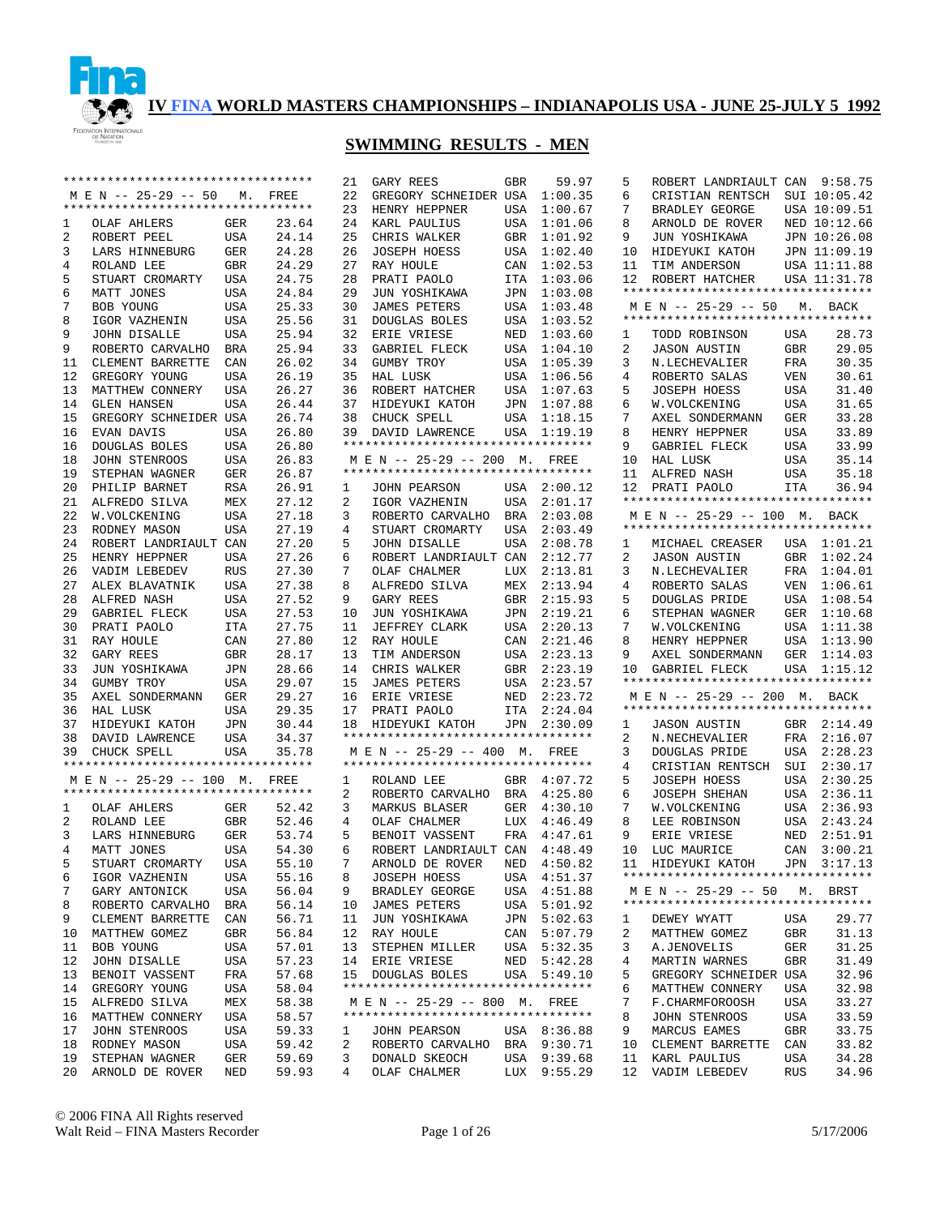

# **SWIMMING RESULTS - MEN**

|    | **********************************                          |            |       | 21 | GARY REES                                            | <b>GBR</b> | 59.97       |
|----|-------------------------------------------------------------|------------|-------|----|------------------------------------------------------|------------|-------------|
|    | M E N -- 25-29 -- 50                                        | М.         | FREE  | 22 | GREGORY SCHNEIDER USA                                |            | 1:00.35     |
|    | **********************************                          |            |       | 23 | HENRY HEPPNER                                        | USA        | 1:00.67     |
| 1  | OLAF AHLERS                                                 | GER        | 23.64 | 24 | KARL PAULIUS                                         | USA        | 1:01.06     |
| 2  | ROBERT PEEL                                                 | USA        | 24.14 | 25 | CHRIS WALKER                                         | GBR        | 1:01.92     |
| 3  | LARS HINNEBURG                                              | GER        | 24.28 | 26 | <b>JOSEPH HOESS</b>                                  | USA        | 1:02.40     |
| 4  | ROLAND LEE                                                  | GBR        | 24.29 | 27 | RAY HOULE                                            | CAN        | 1:02.53     |
| 5  | STUART CROMARTY                                             | USA        | 24.75 | 28 | PRATI PAOLO                                          | ITA        | 1:03.06     |
| 6  | MATT JONES                                                  | USA        | 24.84 | 29 | JUN YOSHIKAWA                                        | JPN        | 1:03.08     |
| 7  | BOB YOUNG                                                   | USA        | 25.33 | 30 | <b>JAMES PETERS</b>                                  | USA        | 1:03.48     |
| 8  | IGOR VAZHENIN                                               | USA        | 25.56 | 31 | DOUGLAS BOLES                                        | USA        | 1:03.52     |
| 9  | <b>JOHN DISALLE</b>                                         | USA        | 25.94 | 32 | ERIE VRIESE                                          | NED        | 1:03.60     |
| 9  | ROBERTO CARVALHO                                            | BRA        | 25.94 | 33 | GABRIEL FLECK                                        | USA        | 1:04.10     |
| 11 | CLEMENT BARRETTE                                            | CAN        | 26.02 | 34 | GUMBY TROY                                           | USA        | 1:05.39     |
| 12 | GREGORY YOUNG                                               | USA        | 26.19 | 35 | HAL LUSK                                             | USA        | 1:06.56     |
| 13 | MATTHEW CONNERY                                             | USA        | 26.27 | 36 | ROBERT HATCHER                                       | USA        | 1:07.63     |
| 14 | <b>GLEN HANSEN</b>                                          | USA        | 26.44 | 37 | HIDEYUKI KATOH                                       | JPN        | 1:07.88     |
| 15 | GREGORY SCHNEIDER USA                                       |            | 26.74 | 38 | CHUCK SPELL                                          | USA        | 1:18.15     |
| 16 | EVAN DAVIS                                                  | <b>USA</b> | 26.80 | 39 | DAVID LAWRENCE                                       | USA        | 1:19.19     |
| 16 | DOUGLAS BOLES                                               | USA        | 26.80 |    | **********************************                   |            |             |
| 18 | JOHN STENROOS                                               | <b>USA</b> | 26.83 |    | M E N -- 25-29 -- 200 M.                             |            | FREE        |
| 19 | STEPHAN WAGNER                                              | GER        | 26.87 |    | **********************************                   |            |             |
| 20 | PHILIP BARNET                                               | <b>RSA</b> | 26.91 | 1  | JOHN PEARSON                                         | USA        | 2:00.12     |
| 21 | ALFREDO SILVA                                               | MEX        | 27.12 | 2  | IGOR VAZHENIN                                        | USA        | 2:01.17     |
| 22 | W.VOLCKENING                                                | <b>USA</b> | 27.18 | 3  | ROBERTO CARVALHO                                     | BRA        | 2:03.08     |
| 23 | RODNEY MASON                                                | <b>USA</b> | 27.19 | 4  | STUART CROMARTY                                      | USA        | 2:03.49     |
| 24 | ROBERT LANDRIAULT CAN                                       |            | 27.20 | 5  |                                                      | USA        | 2:08.78     |
| 25 | HENRY HEPPNER                                               |            | 27.26 |    | JOHN DISALLE<br>ROBERT LANDRIAULT CAN                |            | 2:12.77     |
|    | VADIM LEBEDEV                                               | USA        |       | 6  |                                                      |            |             |
| 26 |                                                             | <b>RUS</b> | 27.30 | 7  | OLAF CHALMER                                         | LUX        | 2:13.81     |
| 27 | ALEX BLAVATNIK                                              | <b>USA</b> | 27.38 | 8  | ALFREDO SILVA                                        | MEX        | 2:13.94     |
| 28 | ALFRED NASH                                                 | USA        | 27.52 | 9  | GARY REES                                            | GBR        | 2:15.93     |
| 29 | GABRIEL FLECK                                               | USA        | 27.53 | 10 | JUN YOSHIKAWA                                        | JPN        | 2:19.21     |
| 30 | PRATI PAOLO                                                 | ITA        | 27.75 | 11 | JEFFREY CLARK                                        | USA        | 2:20.13     |
| 31 | RAY HOULE                                                   | CAN        | 27.80 | 12 | RAY HOULE                                            | CAN        | 2:21.46     |
| 32 | GARY REES                                                   | GBR        | 28.17 | 13 | TIM ANDERSON                                         | USA        | 2:23.13     |
| 33 | JUN YOSHIKAWA                                               | JPN        | 28.66 | 14 | CHRIS WALKER                                         | GBR        | 2:23.19     |
| 34 | GUMBY TROY                                                  | USA        | 29.07 | 15 | <b>JAMES PETERS</b>                                  | USA        | 2:23.57     |
| 35 | AXEL SONDERMANN                                             | GER        | 29.27 | 16 | ERIE VRIESE                                          | NED        | 2:23.72     |
| 36 | HAL LUSK                                                    | USA        | 29.35 | 17 | PRATI PAOLO                                          | ITA        | 2:24.04     |
| 37 | HIDEYUKI KATOH                                              | JPN        | 30.44 | 18 | HIDEYUKI KATOH<br>********************************** | JPN        | 2:30.09     |
| 38 | DAVID LAWRENCE                                              | USA        | 34.37 |    |                                                      |            |             |
| 39 | CHUCK SPELL                                                 | USA        | 35.78 |    | M E N -- 25-29 -- 400 M.                             |            | FREE        |
|    | **********************************                          |            |       |    | **********************************                   |            |             |
|    | M E N -- 25-29 -- 100<br>********************************** | М.         | FREE  | 1  | ROLAND LEE                                           | GBR        | 4:07.72     |
|    |                                                             |            |       | 2  | ROBERTO CARVALHO                                     | BRA        | 4:25.80     |
| 1  | OLAF AHLERS                                                 | GER        | 52.42 | 3  | MARKUS BLASER                                        | GER        | 4:30.10     |
| 2  | ROLAND LEE                                                  | GBR        | 52.46 | 4  | OLAF CHALMER                                         | LUX        | 4:46.49     |
| 3  | LARS HINNEBURG                                              | <b>GER</b> | 53.74 | 5  | BENOIT VASSENT                                       | FRA        | 4:47.61     |
| 4  | MATT JONES                                                  | USA        | 54.30 | 6  | ROBERT LANDRIAULT CAN                                |            | 4:48.49     |
| 5  | STUART CROMARTY                                             | USA        | 55.10 | 7  | ARNOLD DE ROVER                                      |            | NED 4:50.82 |
| 6  | IGOR VAZHENIN                                               | USA        | 55.16 | 8  | JOSEPH HOESS                                         | USA        | 4:51.37     |
| 7  | GARY ANTONICK                                               | USA        | 56.04 | 9  | BRADLEY GEORGE                                       | USA        | 4:51.88     |
| 8  | ROBERTO CARVALHO                                            | BRA        | 56.14 | 10 | JAMES PETERS                                         | USA        | 5:01.92     |
| 9  | CLEMENT BARRETTE                                            | CAN        | 56.71 | 11 | JUN YOSHIKAWA                                        | JPN        | 5:02.63     |
| 10 | MATTHEW GOMEZ                                               | GBR        | 56.84 | 12 | RAY HOULE                                            | CAN        | 5:07.79     |
| 11 | BOB YOUNG                                                   | USA        | 57.01 | 13 | STEPHEN MILLER                                       | USA        | 5:32.35     |
| 12 | JOHN DISALLE                                                | USA        | 57.23 | 14 | ERIE VRIESE                                          | NED        | 5:42.28     |
| 13 | BENOIT VASSENT                                              | FRA        | 57.68 | 15 | DOUGLAS BOLES                                        | USA        | 5:49.10     |
| 14 | GREGORY YOUNG                                               | USA        | 58.04 |    | **********************************                   |            |             |
| 15 | ALFREDO SILVA                                               | MEX        | 58.38 |    | M E N -- 25-29 -- 800 M.                             |            | FREE        |
| 16 | MATTHEW CONNERY                                             | USA        | 58.57 |    | **********************************                   |            |             |
| 17 | JOHN STENROOS                                               | USA        | 59.33 | 1  | <b>JOHN PEARSON</b>                                  | USA        | 8:36.88     |
| 18 | RODNEY MASON                                                | USA        | 59.42 | 2  | ROBERTO CARVALHO                                     | BRA        | 9:30.71     |
| 19 | STEPHAN WAGNER                                              | GER        | 59.69 | 3  | DONALD SKEOCH                                        | USA        | 9:39.68     |
| 20 | ARNOLD DE ROVER                                             | NED        | 59.93 | 4  | OLAF CHALMER                                         | LUX        | 9:55.29     |

| 5              | ROBERT LANDRIAULT CAN 9:58.75                              |                      |                |
|----------------|------------------------------------------------------------|----------------------|----------------|
| б.             | CRISTIAN RENTSCH SUI 10:05.42                              |                      |                |
| 7              | BRADLEY GEORGE                                             |                      | USA 10:09.51   |
| 8              |                                                            |                      |                |
| 9              | ARNOLD DE ROVER NED 10:12.66<br>JUN YOSHIKAWA JPN 10:26.08 |                      |                |
| 10             |                                                            |                      |                |
|                | HIDEYUKI KATOH JPN 11:09.19<br>TIM ANDERSON USA 11:11.88   |                      |                |
| 11             |                                                            |                      |                |
| 12             | ROBERT HATCHER USA 11:31.78                                |                      |                |
|                | **********************************                         |                      |                |
|                | M E N -- 25-29 -- 50 M. BACK                               |                      |                |
|                | **********************************                         |                      |                |
| 1              | TODD ROBINSON                                              | USA                  | 28.73          |
| 2              | JASON AUSTIN                                               | GBR                  | 29.05          |
| 3              | N.LECHEVALIER                                              | FRA                  | 30.35          |
| 4              | ROBERTO SALAS                                              | VEN                  | 30.61          |
| 5              | JOSEPH HOESS                                               | USA                  | 31.40          |
| б              | W.VOLCKENING                                               | USA                  | 31.65          |
| 7 <sup>1</sup> |                                                            |                      |                |
|                | AXEL SONDERMANN                                            | GER                  | 33.28          |
| 8              | HENRY HEPPNER                                              | USA                  | 33.89          |
| 9              | GABRIEL FLECK                                              | USA                  | 33.99          |
| 10             | HAL LUSK                                                   | USA                  | 35.14          |
| 11             | ALFRED NASH                                                | USA                  | 35.18          |
| 12             | PRATI PAOLO                                                | ITA                  | 36.94          |
|                | *********************************                          |                      |                |
|                | MEN -- 25-29 -- 100 M. BACK                                |                      |                |
|                | **********************************                         |                      |                |
| $\mathbf{1}$   | MICHAEL CREASER USA 1:01.21                                |                      |                |
| $\overline{a}$ | JASON AUSTIN                                               | $\operatorname{GBR}$ | 1:02.24        |
|                |                                                            |                      |                |
| 3              | N.LECHEVALIER                                              | FRA                  | 1:04.01        |
| 4              | ROBERTO SALAS                                              | VEN                  | 1:06.61        |
| 5              | DOUGLAS PRIDE                                              | USA                  | 1:08.54        |
| 6              | STEPHAN WAGNER                                             | GER                  | 1:10.68        |
| 7              | W.VOLCKENING                                               | USA                  | 1:11.38        |
|                |                                                            |                      |                |
| 8              |                                                            |                      | 1:13.90        |
| 9              | HENRY HEPPNER                                              | USA                  |                |
|                | AXEL SONDERMANN                                            | GER                  | 1:14.03        |
| 10             | GABRIEL FLECK                                              | USA                  | 1:15.12        |
|                | **********************************                         |                      |                |
|                | M E N -- 25-29 -- 200 M. BACK                              |                      |                |
|                | **********************************                         |                      |                |
| $\mathbf{1}$   | JASON AUSTIN                                               | GBR                  | 2:14.49        |
| $\overline{a}$ | N.NECHEVALIER                                              | FRA                  | 2:16.07        |
| 3              | DOUGLAS PRIDE                                              | USA                  | 2:28.23        |
| 4              | CRISTIAN RENTSCH                                           | SUI                  | 2:30.17        |
| 5              | JOSEPH HOESS                                               | USA                  | 2:30.25        |
| 6              |                                                            | USA                  | 2:36.11        |
| 7              | JOSEPH SHEHAN<br>W.VOLCKENING                              | USA                  | 2:36.93        |
|                |                                                            |                      |                |
| 8              | LEE ROBINSON                                               | USA                  | 2:43.24        |
| 9              | ERIE VRIESE                                                | NED                  | 2:51.91        |
| 10             | LUC MAURICE                                                | CAN                  | 3:00.21        |
| 11             | HIDEYUKI KATOH                                             | JPN                  | 3:17.13        |
|                | **********************************                         |                      |                |
|                | M E N -- 25-29 -- 50 M.                                    |                      | <b>BRST</b>    |
|                | **********************************                         |                      |                |
| 1              | DEWEY WYATT                                                | USA                  | 29.77          |
| 2              | MATTHEW GOMEZ                                              | GBR                  | 31.13          |
| 3              | A.JENOVELIS                                                | GER                  | 31.25          |
| 4              | MARTIN WARNES                                              | GBR                  | 31.49          |
| 5              |                                                            |                      |                |
|                | GREGORY SCHNEIDER USA                                      |                      | 32.96          |
| 6              | MATTHEW CONNERY                                            | USA                  | 32.98          |
| 7              | F. CHARMFOROOSH                                            | USA                  | 33.27          |
| 8              | <b>JOHN STENROOS</b>                                       | USA                  | 33.59          |
| 9              | MARCUS EAMES                                               | GBR                  | 33.75          |
| 10             | CLEMENT BARRETTE                                           | CAN                  | 33.82          |
| 11<br>12       | KARL PAULIUS<br>VADIM LEBEDEV                              | USA<br>RUS           | 34.28<br>34.96 |

© 2006 FINA All Rights reserved Walt Reid – FINA Masters Recorder Page 1 of 26 5/17/2006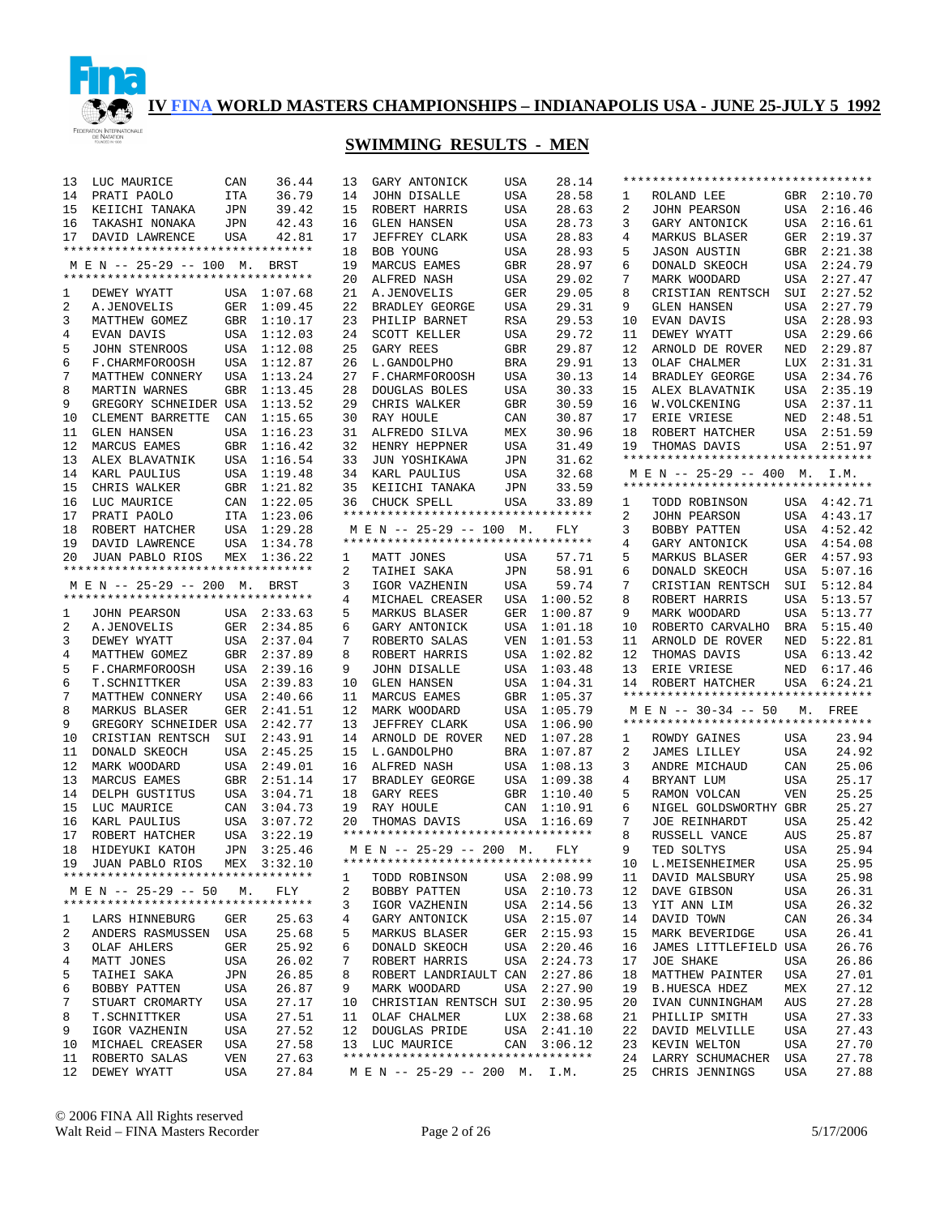

## **SWIMMING RESULTS - MEN**

| 13 | LUC MAURICE                                                   | CAN        | 36.44       | 13 | GARY ANTONICK                      | USA        | 28.14       |    | **********************************                                |            |             |
|----|---------------------------------------------------------------|------------|-------------|----|------------------------------------|------------|-------------|----|-------------------------------------------------------------------|------------|-------------|
| 14 | PRATI PAOLO                                                   | ITA        | 36.79       | 14 | <b>JOHN DISALLE</b>                | USA        | 28.58       | 1  | ROLAND LEE                                                        | GBR        | 2:10.70     |
| 15 | KEIICHI TANAKA                                                | JPN        | 39.42       | 15 | ROBERT HARRIS                      | USA        | 28.63       | 2  | <b>JOHN PEARSON</b>                                               | USA        | 2:16.46     |
| 16 | TAKASHI NONAKA                                                | JPN        | 42.43       | 16 | <b>GLEN HANSEN</b>                 | USA        | 28.73       | 3  | GARY ANTONICK                                                     | USA        | 2:16.61     |
| 17 | DAVID LAWRENCE                                                | <b>USA</b> | 42.81       | 17 | JEFFREY CLARK                      | USA        | 28.83       | 4  | MARKUS BLASER                                                     | GER        | 2:19.37     |
|    | *********************************                             |            |             | 18 | BOB YOUNG                          | USA        | 28.93       | 5  | <b>JASON AUSTIN</b>                                               | GBR        | 2:21.38     |
|    | M E N -- 25-29 -- 100 M.                                      |            | BRST        | 19 | MARCUS EAMES                       | <b>GBR</b> | 28.97       | 6  | DONALD SKEOCH                                                     | USA        | 2:24.79     |
|    | **********************************                            |            |             | 20 | ALFRED NASH                        | USA        | 29.02       | 7  | MARK WOODARD                                                      | USA        | 2:27.47     |
| ı  | DEWEY WYATT                                                   |            | USA 1:07.68 | 21 | A.JENOVELIS                        | GER        | 29.05       | 8  | CRISTIAN RENTSCH                                                  | SUI        | 2:27.52     |
| 2  | A.JENOVELIS                                                   | GER        | 1:09.45     | 22 | BRADLEY GEORGE                     | USA        | 29.31       | 9  | <b>GLEN HANSEN</b>                                                | USA        | 2:27.79     |
| 3  | MATTHEW GOMEZ                                                 | GBR        | 1:10.17     | 23 | PHILIP BARNET                      | <b>RSA</b> | 29.53       | 10 | EVAN DAVIS                                                        | USA        | 2:28.93     |
| 4  | EVAN DAVIS                                                    | USA        | 1:12.03     | 24 | <b>SCOTT KELLER</b>                | USA        | 29.72       | 11 | DEWEY WYATT                                                       | USA        | 2:29.66     |
| 5  | JOHN STENROOS                                                 | USA        | 1:12.08     | 25 | GARY REES                          | <b>GBR</b> | 29.87       | 12 | ARNOLD DE ROVER                                                   | NED        | 2:29.87     |
| 6  | F.CHARMFOROOSH                                                | <b>USA</b> | 1:12.87     | 26 | L.GANDOLPHO                        | <b>BRA</b> | 29.91       | 13 | OLAF CHALMER                                                      | LUX        | 2:31.31     |
| 7  | MATTHEW CONNERY                                               | <b>USA</b> | 1:13.24     | 27 | F. CHARMFOROOSH                    | USA        | 30.13       | 14 | BRADLEY GEORGE                                                    | USA        | 2:34.76     |
| 8  | MARTIN WARNES                                                 | <b>GBR</b> | 1:13.45     | 28 | DOUGLAS BOLES                      | USA        | 30.33       | 15 | ALEX BLAVATNIK                                                    | USA        | 2:35.19     |
| 9  | GREGORY SCHNEIDER USA                                         |            | 1:13.52     | 29 | CHRIS WALKER                       | <b>GBR</b> | 30.59       | 16 | W.VOLCKENING                                                      | USA        | 2:37.11     |
| 10 | CLEMENT BARRETTE                                              | CAN        | 1:15.65     | 30 | RAY HOULE                          | CAN        | 30.87       | 17 | ERIE VRIESE                                                       | NED        | 2:48.51     |
|    |                                                               |            |             |    |                                    |            |             |    |                                                                   |            | 2:51.59     |
| 11 | <b>GLEN HANSEN</b>                                            | <b>USA</b> | 1:16.23     | 31 | ALFREDO SILVA                      | MEX        | 30.96       | 18 | ROBERT HATCHER                                                    | USA        |             |
| 12 | MARCUS EAMES                                                  | GBR        | 1:16.42     | 32 | HENRY HEPPNER                      | USA        | 31.49       | 19 | THOMAS DAVIS<br>**********************************                |            | USA 2:51.97 |
| 13 | ALEX BLAVATNIK                                                | USA        | 1:16.54     | 33 | JUN YOSHIKAWA                      | JPN        | 31.62       |    |                                                                   |            |             |
| 14 | KARL PAULIUS                                                  | USA        | 1:19.48     | 34 | KARL PAULIUS                       | USA        | 32.68       |    | MEN -- 25-29 -- 400 M. I.M.<br>********************************** |            |             |
| 15 | CHRIS WALKER                                                  | GBR        | 1:21.82     | 35 | KEIICHI TANAKA                     | JPN        | 33.59       |    |                                                                   |            |             |
| 16 | LUC MAURICE                                                   | CAN        | 1:22.05     | 36 | CHUCK SPELL                        | USA        | 33.89       | 1  | TODD ROBINSON                                                     |            | USA 4:42.71 |
| 17 | PRATI PAOLO                                                   | ITA        | 1:23.06     |    | ********************************** |            |             | 2  | <b>JOHN PEARSON</b>                                               |            | USA 4:43.17 |
| 18 | ROBERT HATCHER                                                | USA        | 1:29.28     |    | M E N -- 25-29 -- 100 M.           |            | <b>FLY</b>  | 3  | BOBBY PATTEN                                                      | USA        | 4:52.42     |
| 19 | DAVID LAWRENCE                                                |            | USA 1:34.78 |    | ********************************** |            |             | 4  | GARY ANTONICK                                                     | USA        | 4:54.08     |
| 20 | <b>JUAN PABLO RIOS</b>                                        | MEX        | 1:36.22     | 1  | MATT JONES                         | USA        | 57.71       | 5  | MARKUS BLASER                                                     | GER        | 4:57.93     |
|    | **********************************                            |            |             | 2  | TAIHEI SAKA                        | JPN        | 58.91       | 6  | DONALD SKEOCH                                                     | USA        | 5:07.16     |
|    | M E N -- 25-29 -- 200 M.                                      |            | BRST        | 3  | IGOR VAZHENIN                      | USA        | 59.74       | 7  | CRISTIAN RENTSCH                                                  | SUI        | 5:12.84     |
|    | **********************************                            |            |             | 4  | MICHAEL CREASER                    | USA        | 1:00.52     | 8  | ROBERT HARRIS                                                     | USA        | 5:13.57     |
| 1  | JOHN PEARSON                                                  |            | USA 2:33.63 | 5  | <b>MARKUS BLASER</b>               | GER        | 1:00.87     | 9  | MARK WOODARD                                                      | USA        | 5:13.77     |
| 2  | A.JENOVELIS                                                   |            | GER 2:34.85 | 6  | GARY ANTONICK                      | USA        | 1:01.18     | 10 | ROBERTO CARVALHO                                                  | <b>BRA</b> | 5:15.40     |
| 3  | DEWEY WYATT                                                   |            | USA 2:37.04 | 7  | ROBERTO SALAS                      | VEN        | 1:01.53     | 11 | ARNOLD DE ROVER                                                   | NED        | 5:22.81     |
| 4  | MATTHEW GOMEZ                                                 |            | GBR 2:37.89 | 8  | ROBERT HARRIS                      | USA        | 1:02.82     | 12 | THOMAS DAVIS                                                      | USA        | 6:13.42     |
| 5  | F. CHARMFOROOSH                                               | USA        | 2:39.16     | 9  | <b>JOHN DISALLE</b>                | USA        | 1:03.48     | 13 | ERIE VRIESE                                                       | NED        | 6:17.46     |
| 6  | T.SCHNITTKER                                                  | USA        | 2:39.83     | 10 | <b>GLEN HANSEN</b>                 | USA        | 1:04.31     | 14 | ROBERT HATCHER                                                    |            | USA 6:24.21 |
| 7  | MATTHEW CONNERY                                               | USA        | 2:40.66     | 11 | MARCUS EAMES                       | <b>GBR</b> | 1:05.37     |    | **********************************                                |            |             |
| 8  | MARKUS BLASER                                                 | <b>GER</b> | 2:41.51     | 12 | MARK WOODARD                       | USA        | 1:05.79     |    | M E N -- 30-34 -- 50                                              |            | M. FREE     |
| 9  | GREGORY SCHNEIDER USA                                         |            | 2:42.77     | 13 | <b>JEFFREY CLARK</b>               | USA        | 1:06.90     |    | **********************************                                |            |             |
| 10 | CRISTIAN RENTSCH                                              | SUI        | 2:43.91     | 14 | ARNOLD DE ROVER                    | NED        | 1:07.28     | 1  | ROWDY GAINES                                                      | USA        | 23.94       |
| 11 | DONALD SKEOCH                                                 | USA        | 2:45.25     | 15 | L.GANDOLPHO                        | <b>BRA</b> | 1:07.87     | 2  | <b>JAMES LILLEY</b>                                               | <b>USA</b> | 24.92       |
| 12 | MARK WOODARD                                                  | USA        | 2:49.01     | 16 | ALFRED NASH                        | USA        | 1:08.13     | 3  | ANDRE MICHAUD                                                     | CAN        | 25.06       |
| 13 | MARCUS EAMES                                                  | GBR        | 2:51.14     | 17 | BRADLEY GEORGE                     | USA        | 1:09.38     | 4  | BRYANT LUM                                                        | <b>USA</b> | 25.17       |
| 14 | DELPH GUSTITUS                                                | <b>USA</b> | 3:04.71     | 18 | GARY REES                          | <b>GBR</b> | 1:10.40     | 5  | RAMON VOLCAN                                                      | <b>VEN</b> | 25.25       |
| 15 | LUC MAURICE                                                   | CAN        | 3:04.73     | 19 | RAY HOULE                          | CAN        | 1:10.91     | 6  | NIGEL GOLDSWORTHY GBR                                             |            | 25.27       |
| 16 | KARL PAULIUS                                                  | <b>USA</b> | 3:07.72     | 20 | THOMAS DAVIS                       | USA        | 1:16.69     | 7  | <b>JOE REINHARDT</b>                                              | <b>USA</b> | 25.42       |
| 17 | ROBERT HATCHER                                                | <b>USA</b> | 3:22.19     |    | ********************************** |            |             | 8  | RUSSELL VANCE                                                     | AUS        | 25.87       |
| 18 | HIDEYUKI KATOH                                                | <b>JPN</b> | 3:25.46     |    | M E N -- 25-29 -- 200 M.           |            | FLY         | 9  | TED SOLTYS                                                        | USA        | 25.94       |
|    |                                                               |            | MEX 3:32.10 |    | ********************************** |            |             |    |                                                                   |            | 25.95       |
| 19 | JUAN PABLO RIOS<br>**********************************         |            |             |    |                                    |            |             |    | 10 L.MEISENHEIMER                                                 | USA        |             |
|    |                                                               |            |             | 1  | TODD ROBINSON                      |            | USA 2:08.99 | 11 | DAVID MALSBURY                                                    | USA        | 25.98       |
|    | M E N -- 25-29 -- 50 M.<br>********************************** |            | FLY         | 2  | BOBBY PATTEN                       |            | USA 2:10.73 | 12 | DAVE GIBSON                                                       | USA        | 26.31       |
|    |                                                               |            |             | 3  | IGOR VAZHENIN                      |            | USA 2:14.56 | 13 | YIT ANN LIM                                                       | USA        | 26.32       |
| ı. | LARS HINNEBURG                                                | GER        | 25.63       | 4  | GARY ANTONICK                      |            | USA 2:15.07 | 14 | DAVID TOWN                                                        | CAN        | 26.34       |
| 2  | ANDERS RASMUSSEN USA                                          |            | 25.68       | 5  | MARKUS BLASER                      |            | GER 2:15.93 | 15 | MARK BEVERIDGE                                                    | USA        | 26.41       |
| 3  | OLAF AHLERS                                                   | GER        | 25.92       | 6  | DONALD SKEOCH                      | USA        | 2:20.46     | 16 | JAMES LITTLEFIELD USA                                             |            | 26.76       |
| 4  | MATT JONES                                                    | USA        | 26.02       | 7  | ROBERT HARRIS                      |            | USA 2:24.73 | 17 | JOE SHAKE                                                         | USA        | 26.86       |
| 5  | TAIHEI SAKA                                                   | JPN        | 26.85       | 8  | ROBERT LANDRIAULT CAN              |            | 2:27.86     | 18 | MATTHEW PAINTER                                                   | <b>USA</b> | 27.01       |
| 6  | BOBBY PATTEN                                                  | USA        | 26.87       | 9  | MARK WOODARD                       |            | USA 2:27.90 | 19 | <b>B.HUESCA HDEZ</b>                                              | MEX        | 27.12       |
| 7  | STUART CROMARTY                                               | USA        | 27.17       | 10 | CHRISTIAN RENTSCH SUI              |            | 2:30.95     | 20 | IVAN CUNNINGHAM                                                   | AUS        | 27.28       |
| 8  | T.SCHNITTKER                                                  | USA        | 27.51       |    | 11 OLAF CHALMER                    |            | LUX 2:38.68 | 21 | PHILLIP SMITH                                                     | USA        | 27.33       |
| 9  | IGOR VAZHENIN                                                 | USA        | 27.52       |    | 12 DOUGLAS PRIDE                   |            | USA 2:41.10 | 22 | DAVID MELVILLE                                                    | <b>USA</b> | 27.43       |
| 10 | MICHAEL CREASER                                               | USA        | 27.58       |    | 13 LUC MAURICE                     |            | CAN 3:06.12 | 23 | KEVIN WELTON                                                      | USA        | 27.70       |
| 11 | ROBERTO SALAS                                                 | VEN        | 27.63       |    | ********************************** |            |             | 24 | LARRY SCHUMACHER                                                  | USA        | 27.78       |
| 12 | DEWEY WYATT                                                   | USA        | 27.84       |    | M E N -- 25-29 -- 200 M. I.M.      |            |             | 25 | CHRIS JENNINGS                                                    | <b>USA</b> | 27.88       |

© 2006 FINA All Rights reserved Walt Reid – FINA Masters Recorder Page 2 of 26 5/17/2006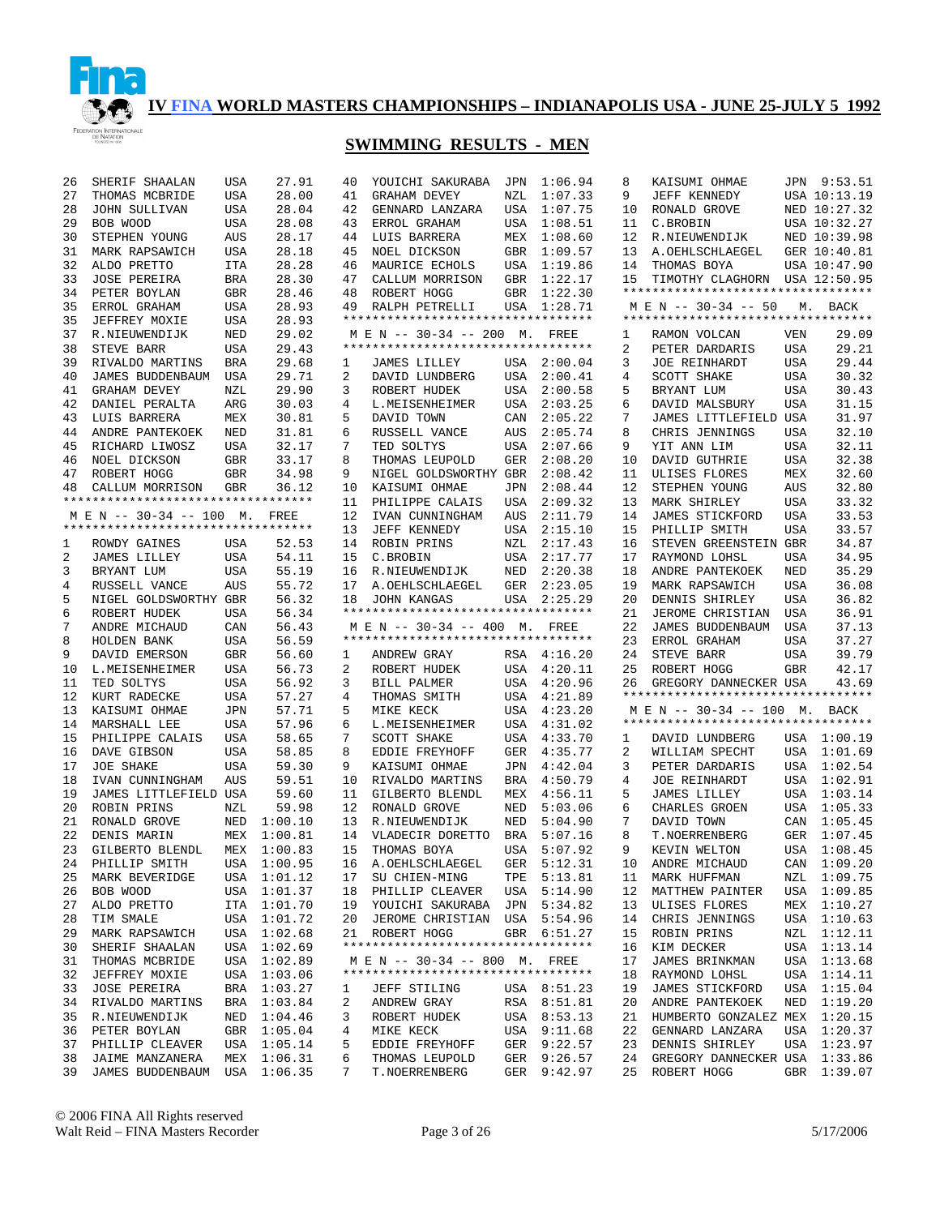

## **SWIMMING RESULTS - MEN**

| 26             | SHERIF SHAALAN                     | USA        | 27.91   | 40     | YOUICHI SAKURABA                   | <b>JPN</b> | 1:06.94 |
|----------------|------------------------------------|------------|---------|--------|------------------------------------|------------|---------|
| 27             | THOMAS MCBRIDE                     | USA        | 28.00   | 41     | GRAHAM DEVEY                       | NZL        | 1:07.33 |
| 28             | JOHN SULLIVAN                      | USA        | 28.04   | 42     | GENNARD LANZARA                    | USA        | 1:07.75 |
| 29             | BOB WOOD                           | USA        | 28.08   | 43     | ERROL GRAHAM                       | USA        | 1:08.51 |
| 30             | STEPHEN YOUNG                      | <b>AUS</b> | 28.17   | 44     | LUIS BARRERA                       | MEX        | 1:08.60 |
| 31             | MARK RAPSAWICH                     | USA        | 28.18   | 45     | NOEL DICKSON                       | GBR        | 1:09.57 |
| 32             | ALDO PRETTO                        | <b>ITA</b> | 28.28   | 46     | MAURICE ECHOLS                     | USA        | 1:19.86 |
| 33             | <b>JOSE PEREIRA</b>                | BRA        | 28.30   | 47     | CALLUM MORRISON                    | GBR        | 1:22.17 |
| 34             | PETER BOYLAN                       | GBR        | 28.46   | 48     | ROBERT HOGG                        | GBR        | 1:22.30 |
| 35             | ERROL GRAHAM                       | USA        | 28.93   | 49     | RALPH PETRELLI                     | USA        | 1:28.71 |
| 35             | JEFFREY MOXIE                      | USA        | 28.93   |        | ********************************** |            |         |
| 37             | R.NIEUWENDIJK                      | NED        | 29.02   |        | M E N -- 30-34 -- 200 M.           |            | FREE    |
| 38             | STEVE BARR                         | USA        | 29.43   |        | ********************************** |            |         |
| 39             | RIVALDO MARTINS                    | <b>BRA</b> | 29.68   | 1      | JAMES LILLEY                       | USA        | 2:00.04 |
| 40             | JAMES BUDDENBAUM                   | USA        | 29.71   | 2      | DAVID LUNDBERG                     | <b>USA</b> | 2:00.41 |
| 41             | <b>GRAHAM DEVEY</b>                | NZL        | 29.90   | 3      | ROBERT HUDEK                       | USA        | 2:00.58 |
| 42             | DANIEL PERALTA                     | ARG        | 30.03   | 4      | L.MEISENHEIMER                     | USA        | 2:03.25 |
| 43             | LUIS BARRERA                       | MEX        | 30.81   | 5      | DAVID TOWN                         | CAN        | 2:05.22 |
| 44             | ANDRE PANTEKOEK                    | NED        | 31.81   | 6      | RUSSELL VANCE                      | AUS        | 2:05.74 |
| 45             | RICHARD LIWOSZ                     | USA        | 32.17   | 7      | TED SOLTYS                         | USA        | 2:07.66 |
| 46             | NOEL DICKSON                       | <b>GBR</b> | 33.17   | 8      | THOMAS LEUPOLD                     | GER        | 2:08.20 |
| 47             | ROBERT HOGG                        | GBR        | 34.98   | 9      | NIGEL GOLDSWORTHY GBR              |            | 2:08.42 |
| 48             | CALLUM MORRISON                    | GBR        | 36.12   | 10     | KAISUMI OHMAE                      | JPN        | 2:08.44 |
|                | ********************************** |            |         | 11     | PHILIPPE CALAIS                    | USA        | 2:09.32 |
|                | M E N -- 30-34 -- 100 M.           |            | FREE    | 12     | IVAN CUNNINGHAM                    | AUS        | 2:11.79 |
|                | ********************************** |            |         | 13     | <b>JEFF KENNEDY</b>                | USA        | 2:15.10 |
| 1              | ROWDY GAINES                       | USA        | 52.53   | 14     | ROBIN PRINS                        | NZL        | 2:17.43 |
| 2              | <b>JAMES LILLEY</b>                | USA        | 54.11   | 15     | C.BROBIN                           | USA        | 2:17.77 |
| 3              | BRYANT LUM                         | USA        | 55.19   | 16     | R.NIEUWENDIJK                      | NED        | 2:20.38 |
| $\overline{4}$ | RUSSELL VANCE                      | AUS        | 55.72   | 17     | A.OEHLSCHLAEGEL                    | GER        | 2:23.05 |
| 5              | NIGEL GOLDSWORTHY GBR              |            | 56.32   | 18     | <b>JOHN KANGAS</b>                 | USA        | 2:25.29 |
| 6              | ROBERT HUDEK                       | USA        | 56.34   |        | ********************************** |            |         |
| 7              | ANDRE MICHAUD                      | CAN        | 56.43   |        | M E N -- 30-34 -- 400 M.           |            | FREE    |
| 8              | HOLDEN BANK                        | USA        | 56.59   |        | ********************************** |            |         |
| 9              | DAVID EMERSON                      | GBR        | 56.60   | 1      | ANDREW GRAY                        | RSA        | 4:16.20 |
| 10             | L.MEISENHEIMER                     | USA        | 56.73   | 2      | ROBERT HUDEK                       | USA        | 4:20.11 |
| 11             |                                    | USA        | 56.92   | 3      |                                    | USA        | 4:20.96 |
| 12             | TED SOLTYS                         | USA        | 57.27   | 4      | BILL PALMER                        | USA        | 4:21.89 |
|                | KURT RADECKE                       |            |         |        | THOMAS SMITH                       |            |         |
| 13             | KAISUMI OHMAE                      | JPN        | 57.71   | 5      | MIKE KECK                          | USA        | 4:23.20 |
| 14             | MARSHALL LEE                       | USA        | 57.96   | 6<br>7 | L.MEISENHEIMER                     | USA        | 4:31.02 |
| 15             | PHILIPPE CALAIS                    | USA        | 58.65   |        | SCOTT SHAKE                        | USA        | 4:33.70 |
| 16             | DAVE GIBSON                        | USA        | 58.85   | 8      | EDDIE FREYHOFF                     | GER        | 4:35.77 |
| 17             | <b>JOE SHAKE</b>                   | USA        | 59.30   | 9      | KAISUMI OHMAE                      | JPN        | 4:42.04 |
| 18             | IVAN CUNNINGHAM                    | AUS        | 59.51   | 10     | RIVALDO MARTINS                    | BRA        | 4:50.79 |
| 19             | JAMES LITTLEFIELD USA              |            | 59.60   | 11     | GILBERTO BLENDL                    | MEX        | 4:56.11 |
| 20             | ROBIN PRINS                        | NZL        | 59.98   | 12     | RONALD GROVE                       | NED        | 5:03.06 |
| 21             | RONALD GROVE                       | NED        | 1:00.10 | 13     | R.NIEUWENDIJK                      | NED        | 5:04.90 |
| 22             | DENIS MARIN                        | MEX        | 1:00.81 | 14     | VLADECIR DORETTO                   | BRA        | 5:07.16 |
| 23             | GILBERTO BLENDL                    | MEX        | 1:00.83 | 15     | THOMAS BOYA                        | USA        | 5:07.92 |
| 24             | PHILLIP SMITH                      | USA        | 1:00.95 |        | 16 A. OEHLSCHLAEGEL                | GER        | 5:12.31 |
| 25             | MARK BEVERIDGE                     | USA        | 1:01.12 | 17     | SU CHIEN-MING                      | TPE        | 5:13.81 |
| 26             | BOB WOOD                           | USA        | 1:01.37 | 18     | PHILLIP CLEAVER                    | USA        | 5:14.90 |
| 27             | ALDO PRETTO                        | ITA        | 1:01.70 | 19     | YOUICHI SAKURABA                   | JPN        | 5:34.82 |
| 28             | TIM SMALE                          | USA        | 1:01.72 | 20     | JEROME CHRISTIAN                   | USA        | 5:54.96 |
| 29             | MARK RAPSAWICH                     | USA        | 1:02.68 | 21     | ROBERT HOGG                        | GBR        | 6:51.27 |
| 30             | SHERIF SHAALAN                     | USA        | 1:02.69 |        | ********************************** |            |         |
| 31             | THOMAS MCBRIDE                     | USA        | 1:02.89 |        | M E N -- 30-34 -- 800 M.           |            | FREE    |
| 32             | JEFFREY MOXIE                      | USA        | 1:03.06 |        | ********************************** |            |         |
| 33             | JOSE PEREIRA                       | BRA        | 1:03.27 | ı      | <b>JEFF STILING</b>                | USA        | 8:51.23 |
| 34             | RIVALDO MARTINS                    | BRA        | 1:03.84 | 2      | ANDREW GRAY                        | RSA        | 8:51.81 |
| 35             | R.NIEUWENDIJK                      | NED        | 1:04.46 | 3      | ROBERT HUDEK                       | USA        | 8:53.13 |
| 36             | PETER BOYLAN                       | GBR        | 1:05.04 | 4      | MIKE KECK                          | USA        | 9:11.68 |
| 37             | PHILLIP CLEAVER                    | USA        | 1:05.14 | 5      | EDDIE FREYHOFF                     | GER        | 9:22.57 |
| 38             | JAIME MANZANERA                    | MEX        | 1:06.31 | 6      | THOMAS LEUPOLD                     | GER        | 9:26.57 |
| 39             | JAMES BUDDENBAUM                   | USA        | 1:06.35 | 7      | T.NOERRENBERG                      | GER        | 9:42.97 |

| 8            | KAISUMI OHMAE                      | JPN        | 9:53.51            |
|--------------|------------------------------------|------------|--------------------|
| 9            | JEFF KENNEDY                       |            | USA 10:13.19       |
|              |                                    |            |                    |
| 10           | RONALD GROVE                       |            | NED 10:27.32       |
| 11           | C.BROBIN                           |            | USA 10:32.27       |
| 12           | R.NIEUWENDIJK                      |            | NED 10:39.98       |
| 13           | A.OEHLSCHLAEGEL                    |            | GER 10:40.81       |
| 14           | THOMAS BOYA                        |            | USA 10:47.90       |
|              |                                    |            |                    |
| 15           | TIMOTHY CLAGHORN USA 12:50.95      |            |                    |
|              |                                    |            |                    |
|              | M E N -- 30-34 -- 50 M. BACK       |            |                    |
|              | ********************************** |            |                    |
|              |                                    |            |                    |
| 1            | RAMON VOLCAN                       | VEN        | 29.09              |
| 2            | PETER DARDARIS                     | USA        | 29.21              |
| 3            | JOE REINHARDT                      | USA        | 29.44              |
| 4            | SCOTT SHAKE                        | USA        | 30.32              |
| 5            | BRYANT LUM                         | USA        | 30.43              |
|              |                                    |            |                    |
| б            | DAVID MALSBURY                     | USA        | 31.15              |
| 7            | JAMES LITTLEFIELD USA              |            | 31.97              |
| 8            | CHRIS JENNINGS                     | USA        | 32.10              |
| 9            | YIT ANN LIM                        | USA        | 32.11              |
| 10           | DAVID GUTHRIE                      | USA        | 32.38              |
|              |                                    |            |                    |
| 11           | ULISES FLORES                      | MEX        | 32.60              |
| 12           | STEPHEN YOUNG                      | AUS        | 32.80              |
| 13           | MARK SHIRLEY                       | USA        | 33.32              |
| 14           | <b>JAMES STICKFORD</b>             | USA        | 33.53              |
| 15           | PHILLIP SMITH                      |            | 33.57              |
|              |                                    | USA        |                    |
| 16           | STEVEN GREENSTEIN GBR              |            | 34.87              |
| 17           | RAYMOND LOHSL                      | USA        | 34.95              |
| 18           | ANDRE PANTEKOEK                    | NED        | 35.29              |
| 19           | MARK RAPSAWICH                     | USA        | 36.08              |
| 20           | DENNIS SHIRLEY                     | USA        | 36.82              |
|              |                                    |            |                    |
| 21           | JEROME CHRISTIAN                   | USA        | 36.91              |
| 22           | JAMES BUDDENBAUM                   | USA        | 37.13              |
| 23           | ERROL GRAHAM                       | USA        | 37.27              |
| 24           | STEVE BARR                         | USA        | 39.79              |
| 25           | ROBERT HOGG                        | GBR        | 42.17              |
|              | 26 GREGORY DANNECKER USA           |            | 43.69              |
|              | ********************************** |            |                    |
|              |                                    |            |                    |
|              | M E N -- 30-34 -- 100 M. BACK      |            |                    |
|              | ********************************** |            |                    |
| $\mathbf{1}$ | DAVID LUNDBERG                     | USA        | 1:00.19            |
| 2            | WILLIAM SPECHT                     | USA        | 1:01.69            |
|              |                                    |            | 1:02.54            |
| 3            | PETER DARDARIS                     | USA        |                    |
| 4            | JOE REINHARDT                      | USA        | 1:02.91            |
| 5            | JAMES LILLEY                       | USA        | 1:03.14            |
| 6            | CHARLES GROEN                      | USA        | 1:05.33            |
| 7            | DAVID TOWN                         | CAN        | 1:05.45            |
| 8            | T.NOERRENBERG                      | GER        | 1:07.45            |
|              |                                    |            |                    |
| 9            | KEVIN WELTON                       | USA        | 1:08.45            |
| 10           | ANDRE MICHAUD                      | CAN        | 1:09.20            |
| 11           | MARK HUFFMAN                       | NZL        | 1:09.75            |
| 12           | <b>MATTHEW PAINTER</b>             | USA        | 1:09.85            |
| 13           |                                    |            |                    |
|              | ULISES FLORES                      | MEX        | 1:10.27            |
| 14           | CHRIS JENNINGS                     | USA        | 1:10.63            |
| 15           | ROBIN PRINS                        | NZL        | 1:12.11            |
| 16           | KIM DECKER                         | USA        | 1:13.14            |
| 17           | JAMES<br><b>BRINKMAN</b>           | USA        | 1:13.68            |
|              |                                    |            |                    |
|              |                                    |            |                    |
| 18           | RAYMOND LOHSL                      | USA        | 1:14.11            |
| 19           | JAMES<br>STICKFORD                 | USA        | 1:15.04            |
| 20           | ANDRE PANTEKOEK                    | NED        | 1:19.20            |
| 21           | HUMBERTO GONZALEZ                  | MEX        | 1:20.15            |
| 22           |                                    |            |                    |
|              | GENNARD LANZARA                    | USA        | 1:20.37            |
| 23           | DENNIS SHIRLEY                     | USA        | 1:23.97            |
| 24<br>25     | GREGORY DANNECKER<br>ROBERT HOGG   | USA<br>GBR | 1:33.86<br>1:39.07 |

© 2006 FINA All Rights reserved Walt Reid – FINA Masters Recorder Page 3 of 26 5/17/2006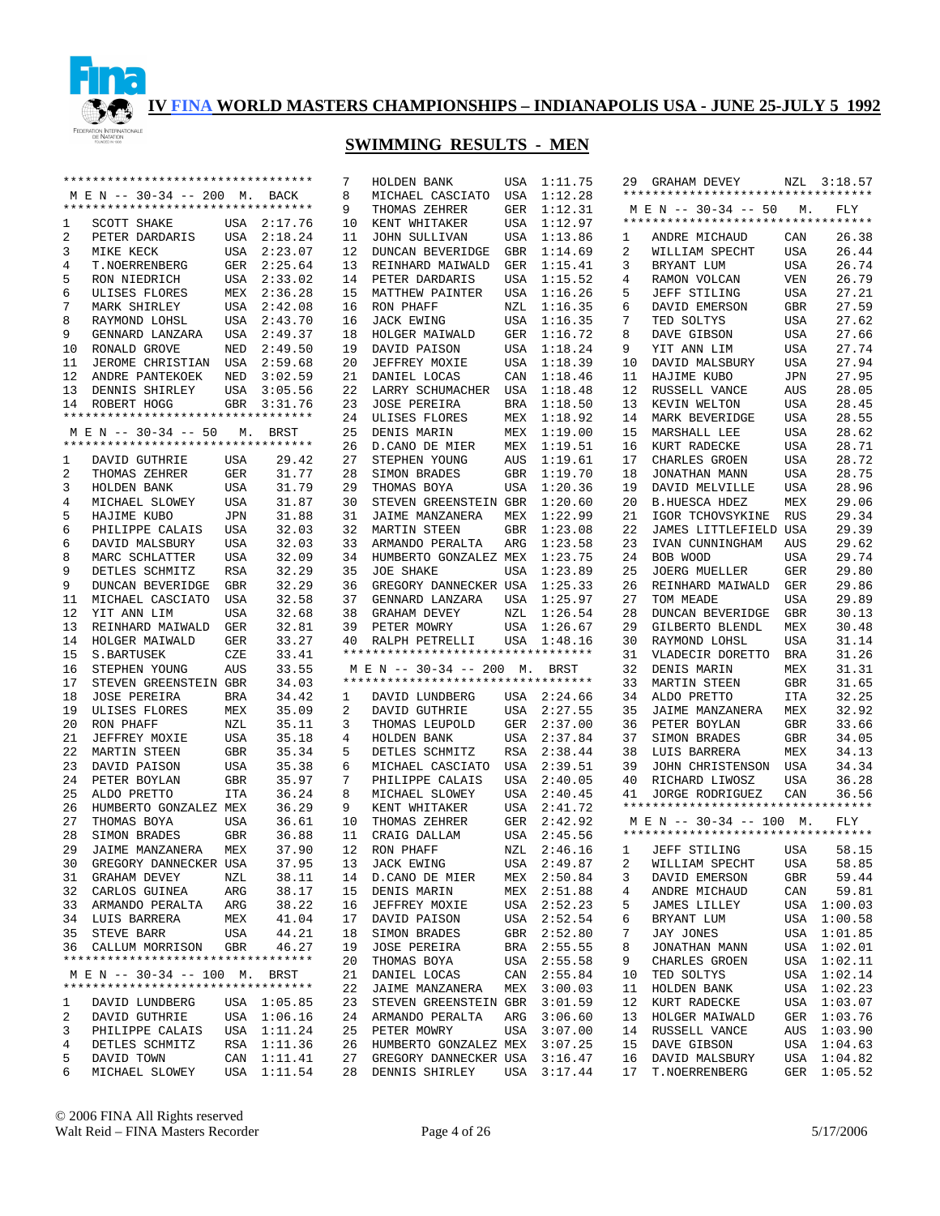

|    | *********************************            |             |             | 7  | HOLDEN BANK                        |     | USA 1:11.75 |    | 29 GRAHAM DEVEY                    |                | NZL 3:18.57 |
|----|----------------------------------------------|-------------|-------------|----|------------------------------------|-----|-------------|----|------------------------------------|----------------|-------------|
|    | M E N -- 30-34 -- 200 M. BACK                |             |             | 8  | MICHAEL CASCIATO                   | USA | 1:12.28     |    | ********************************** |                |             |
|    | **********************************           |             |             | 9  | THOMAS ZEHRER                      |     | GER 1:12.31 |    | M E N -- 30-34 -- 50               | M <sub>1</sub> | FLY         |
| 1  | SCOTT SHAKE                                  |             | USA 2:17.76 | 10 | KENT WHITAKER                      | USA | 1:12.97     |    | ********************************** |                |             |
| 2  | PETER DARDARIS                               |             | USA 2:18.24 | 11 | <b>JOHN SULLIVAN</b>               | USA | 1:13.86     | 1  | ANDRE MICHAUD                      | CAN            | 26.38       |
| 3  | MIKE KECK                                    |             | USA 2:23.07 | 12 | DUNCAN BEVERIDGE                   | GBR | 1:14.69     | 2  | WILLIAM SPECHT                     | USA            | 26.44       |
| 4  | T.NOERRENBERG                                |             | GER 2:25.64 | 13 | REINHARD MAIWALD                   | GER | 1:15.41     | 3  | BRYANT LUM                         | USA            | 26.74       |
| 5  | RON NIEDRICH                                 |             | USA 2:33.02 | 14 | PETER DARDARIS                     | USA | 1:15.52     | 4  | RAMON VOLCAN                       | <b>VEN</b>     | 26.79       |
|    |                                              |             |             |    |                                    |     |             |    |                                    |                |             |
| 6  | ULISES FLORES                                |             | MEX 2:36.28 | 15 | MATTHEW PAINTER                    | USA | 1:16.26     | 5  | JEFF STILING                       | USA            | 27.21       |
| 7  | MARK SHIRLEY                                 |             | USA 2:42.08 | 16 | RON PHAFF                          | NZL | 1:16.35     | 6  | DAVID EMERSON                      | <b>GBR</b>     | 27.59       |
| 8  | RAYMOND LOHSL                                |             | USA 2:43.70 | 16 | <b>JACK EWING</b>                  | USA | 1:16.35     | 7  | TED SOLTYS                         | USA            | 27.62       |
| 9  | GENNARD LANZARA                              |             | USA 2:49.37 | 18 | HOLGER MAIWALD                     | GER | 1:16.72     | 8  | DAVE GIBSON                        | USA            | 27.66       |
| 10 | RONALD GROVE                                 | NED         | 2:49.50     | 19 | DAVID PAISON                       | USA | 1:18.24     | 9  | YIT ANN LIM                        | USA            | 27.74       |
| 11 | JEROME CHRISTIAN USA 2:59.68                 |             |             | 20 | JEFFREY MOXIE                      | USA | 1:18.39     | 10 | DAVID MALSBURY                     | <b>USA</b>     | 27.94       |
| 12 | ANDRE PANTEKOEK                              | NED         | 3:02.59     | 21 | DANIEL LOCAS                       | CAN | 1:18.46     | 11 | HAJIME KUBO                        | JPN            | 27.95       |
| 13 | DENNIS SHIRLEY                               |             | USA 3:05.56 | 22 | LARRY SCHUMACHER                   | USA | 1:18.48     | 12 | RUSSELL VANCE                      | AUS            | 28.05       |
| 14 | ROBERT HOGG                                  | GBR         | 3:31.76     | 23 | <b>JOSE PEREIRA</b>                | BRA | 1:18.50     | 13 | KEVIN WELTON                       | <b>USA</b>     | 28.45       |
|    | **********************************           |             |             | 24 | ULISES FLORES                      | MEX | 1:18.92     | 14 | MARK BEVERIDGE                     | USA            | 28.55       |
|    | M E N -- 30-34 -- 50                         | $M_{\star}$ | BRST        | 25 | DENIS MARIN                        | MEX | 1:19.00     | 15 | MARSHALL LEE                       | USA            | 28.62       |
|    | **********************************           |             |             |    |                                    |     |             |    |                                    |                |             |
|    |                                              |             |             | 26 | D.CANO DE MIER                     | MEX | 1:19.51     | 16 | KURT RADECKE                       | USA            | 28.71       |
| 1  | DAVID GUTHRIE                                | USA         | 29.42       | 27 | STEPHEN YOUNG                      | AUS | 1:19.61     | 17 | CHARLES GROEN                      | USA            | 28.72       |
| 2  | THOMAS ZEHRER                                | GER         | 31.77       | 28 | SIMON BRADES                       | GBR | 1:19.70     | 18 | JONATHAN MANN                      | USA            | 28.75       |
| 3  | HOLDEN BANK                                  | USA         | 31.79       | 29 | THOMAS BOYA                        | USA | 1:20.36     | 19 | DAVID MELVILLE                     | USA            | 28.96       |
| 4  | MICHAEL SLOWEY                               | USA         | 31.87       | 30 | STEVEN GREENSTEIN GBR              |     | 1:20.60     | 20 | <b>B.HUESCA HDEZ</b>               | MEX            | 29.06       |
| 5  | HAJIME KUBO                                  | JPN         | 31.88       | 31 | JAIME MANZANERA                    | MEX | 1:22.99     | 21 | IGOR TCHOVSYKINE                   | RUS            | 29.34       |
| 6  | PHILIPPE CALAIS                              | USA         | 32.03       |    | 32 MARTIN STEEN                    | GBR | 1:23.08     | 22 | JAMES LITTLEFIELD USA              |                | 29.39       |
| 6  | DAVID MALSBURY                               | USA         | 32.03       | 33 | ARMANDO PERALTA                    | ARG | 1:23.58     | 23 | IVAN CUNNINGHAM                    | AUS            | 29.62       |
| 8  | MARC SCHLATTER                               | USA         | 32.09       | 34 | HUMBERTO GONZALEZ MEX              |     | 1:23.75     | 24 | BOB WOOD                           | <b>USA</b>     | 29.74       |
| 9  | DETLES SCHMITZ                               | <b>RSA</b>  | 32.29       | 35 | <b>JOE SHAKE</b>                   | USA | 1:23.89     | 25 | <b>JOERG MUELLER</b>               | <b>GER</b>     | 29.80       |
| 9  | DUNCAN BEVERIDGE                             | GBR         | 32.29       | 36 | GREGORY DANNECKER USA              |     | 1:25.33     | 26 | REINHARD MAIWALD                   |                | 29.86       |
|    |                                              |             |             |    |                                    |     |             |    |                                    | GER            |             |
| 11 | MICHAEL CASCIATO                             | USA         | 32.58       | 37 | GENNARD LANZARA                    | USA | 1:25.97     | 27 | TOM MEADE                          | <b>USA</b>     | 29.89       |
| 12 | YIT ANN LIM                                  | <b>USA</b>  | 32.68       | 38 | GRAHAM DEVEY                       | NZL | 1:26.54     | 28 | DUNCAN BEVERIDGE                   | <b>GBR</b>     | 30.13       |
| 13 | REINHARD MAIWALD                             | GER         | 32.81       | 39 | PETER MOWRY                        | USA | 1:26.67     | 29 | GILBERTO BLENDL                    | MEX            | 30.48       |
| 14 | HOLGER MAIWALD                               | GER         | 33.27       | 40 | RALPH PETRELLI                     |     | USA 1:48.16 | 30 | RAYMOND LOHSL                      | <b>USA</b>     | 31.14       |
| 15 | S.BARTUSEK                                   | CZE         | 33.41       |    | ********************************** |     |             | 31 | VLADECIR DORETTO                   | <b>BRA</b>     | 31.26       |
| 16 | STEPHEN YOUNG                                | AUS         | 33.55       |    | M E N -- 30-34 -- 200 M.           |     | BRST        | 32 | DENIS MARIN                        | MEX            | 31.31       |
| 17 | STEVEN GREENSTEIN GBR                        |             | 34.03       |    | ********************************** |     |             | 33 | MARTIN STEEN                       | <b>GBR</b>     | 31.65       |
| 18 | <b>JOSE PEREIRA</b>                          | BRA         | 34.42       | 1  | DAVID LUNDBERG                     |     | USA 2:24.66 | 34 | ALDO PRETTO                        | <b>ITA</b>     | 32.25       |
| 19 | ULISES FLORES                                | MEX         | 35.09       | 2  | DAVID GUTHRIE                      | USA | 2:27.55     | 35 | JAIME MANZANERA                    | MEX            | 32.92       |
| 20 | RON PHAFF                                    | NZL         | 35.11       | 3  | THOMAS LEUPOLD                     | GER | 2:37.00     | 36 | PETER BOYLAN                       | GBR            | 33.66       |
| 21 | JEFFREY MOXIE                                | USA         | 35.18       | 4  | HOLDEN BANK                        | USA | 2:37.84     | 37 | SIMON BRADES                       | GBR            | 34.05       |
| 22 | MARTIN STEEN                                 | GBR         | 35.34       | 5  |                                    |     | RSA 2:38.44 | 38 | LUIS BARRERA                       | MEX            | 34.13       |
|    |                                              |             |             |    | DETLES SCHMITZ                     |     |             |    |                                    |                |             |
| 23 | DAVID PAISON                                 | USA         | 35.38       | 6  | MICHAEL CASCIATO                   | USA | 2:39.51     | 39 | JOHN CHRISTENSON                   | USA            | 34.34       |
| 24 | PETER BOYLAN                                 | GBR         | 35.97       | 7  | PHILIPPE CALAIS                    | USA | 2:40.05     | 40 | RICHARD LIWOSZ                     | USA            | 36.28       |
| 25 | ALDO PRETTO                                  | ITA         | 36.24       | 8  | MICHAEL SLOWEY                     | USA | 2:40.45     | 41 | <b>JORGE RODRIGUEZ</b>             | CAN            | 36.56       |
| 26 | HUMBERTO GONZALEZ MEX                        |             | 36.29       | 9  | KENT WHITAKER                      |     | USA 2:41.72 |    | ********************************** |                |             |
| 27 | THOMAS BOYA                                  | USA         | 36.61       | 10 | THOMAS ZEHRER                      |     | GER 2:42.92 |    | M E N -- 30-34 -- 100 M.           |                | FLY         |
| 28 | SIMON BRADES                                 | GBR         | 36.88       |    | 11 CRAIG DALLAM                    |     | USA 2:45.56 |    | ********************************** |                |             |
| 29 | JAIME MANZANERA                              | MEX         | 37.90       |    | 12 RON PHAFF                       |     | NZL 2:46.16 | 1  | JEFF STILING                       | USA            | 58.15       |
|    | 30 GREGORY DANNECKER USA 37.95 13 JACK EWING |             |             |    |                                    |     | USA 2:49.87 |    | 2 WILLIAM SPECHT                   | <b>USA</b>     | 58.85       |
|    | 31 GRAHAM DEVEY                              | NZL         | 38.11       |    | 14 D.CANO DE MIER                  |     | MEX 2:50.84 | 3  | DAVID EMERSON                      | GBR            | 59.44       |
|    | 32 CARLOS GUINEA                             | ARG         | 38.17       |    | 15 DENIS MARIN                     |     | MEX 2:51.88 | 4  | ANDRE MICHAUD                      | CAN            | 59.81       |
|    | 33 ARMANDO PERALTA                           | ARG         | 38.22       |    | 16 JEFFREY MOXIE                   |     | USA 2:52.23 | 5  | JAMES LILLEY                       |                | USA 1:00.03 |
|    | 34 LUIS BARRERA                              |             |             |    |                                    |     |             |    |                                    |                |             |
|    |                                              | MEX         | 41.04       |    | 17 DAVID PAISON                    |     | USA 2:52.54 | 6  | BRYANT LUM                         |                | USA 1:00.58 |
|    | 35 STEVE BARR                                | USA         | 44.21       |    | 18 SIMON BRADES                    |     | GBR 2:52.80 | 7  | JAY JONES                          |                | USA 1:01.85 |
|    | 36 CALLUM MORRISON                           | GBR         | 46.27       |    | 19 JOSE PEREIRA                    |     | BRA 2:55.55 | 8  | JONATHAN MANN                      |                | USA 1:02.01 |
|    | **********************************           |             |             |    | 20 THOMAS BOYA                     |     | USA 2:55.58 | 9  | CHARLES GROEN                      |                | USA 1:02.11 |
|    | MEN -- 30-34 -- 100 M. BRST                  |             |             |    | 21 DANIEL LOCAS                    |     | CAN 2:55.84 | 10 | TED SOLTYS                         |                | USA 1:02.14 |
|    | **********************************           |             |             |    | 22 JAIME MANZANERA                 |     | MEX 3:00.03 | 11 | HOLDEN BANK                        |                | USA 1:02.23 |
| 1  | DAVID LUNDBERG                               |             | USA 1:05.85 |    | 23 STEVEN GREENSTEIN GBR 3:01.59   |     |             | 12 | KURT RADECKE                       |                | USA 1:03.07 |
| 2  | DAVID GUTHRIE                                |             | USA 1:06.16 |    | 24 ARMANDO PERALTA                 |     | ARG 3:06.60 | 13 | HOLGER MAIWALD                     |                | GER 1:03.76 |
| 3  | PHILIPPE CALAIS                              |             | USA 1:11.24 |    | 25 PETER MOWRY                     |     | USA 3:07.00 | 14 | RUSSELL VANCE                      |                | AUS 1:03.90 |
| 4  | DETLES SCHMITZ                               |             | RSA 1:11.36 |    | 26 HUMBERTO GONZALEZ MEX           |     | 3:07.25     | 15 | DAVE GIBSON                        |                | USA 1:04.63 |
| 5  | DAVID TOWN                                   |             | CAN 1:11.41 |    | 27 GREGORY DANNECKER USA 3:16.47   |     |             | 16 | DAVID MALSBURY                     |                | USA 1:04.82 |
| 6  | MICHAEL SLOWEY                               |             | USA 1:11.54 |    | 28 DENNIS SHIRLEY                  |     | USA 3:17.44 | 17 | T.NOERRENBERG                      |                | GER 1:05.52 |
|    |                                              |             |             |    |                                    |     |             |    |                                    |                |             |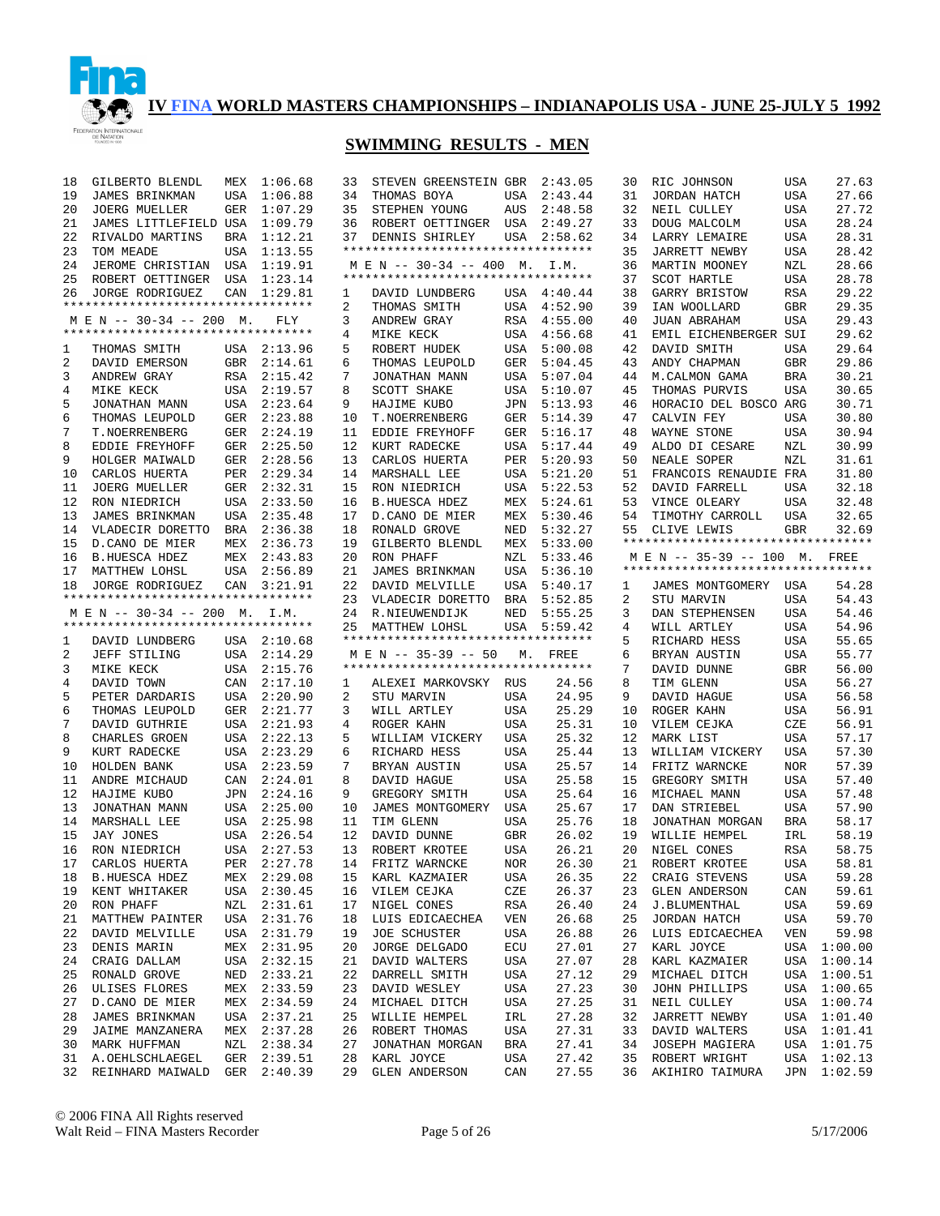

| 18       | GILBERTO BLENDL                                                |            | MEX 1:06.68                | 33             | STEVEN GREENSTEIN GBR 2:43.05      |            |                | 30       | RIC JOHNSON                        | USA        | 27.63                      |
|----------|----------------------------------------------------------------|------------|----------------------------|----------------|------------------------------------|------------|----------------|----------|------------------------------------|------------|----------------------------|
| 19       | JAMES BRINKMAN                                                 | USA        | 1:06.88                    | 34             | THOMAS BOYA                        | USA        | 2:43.44        | 31       | JORDAN HATCH                       | USA        | 27.66                      |
| 20       | <b>JOERG MUELLER</b>                                           | <b>GER</b> | 1:07.29                    | 35             | STEPHEN YOUNG                      | AUS        | 2:48.58        | 32       | NEIL CULLEY                        | USA        | 27.72                      |
| 21       | JAMES LITTLEFIELD USA                                          |            | 1:09.79                    | 36             | ROBERT OETTINGER USA               |            | 2:49.27        | 33       | DOUG MALCOLM                       | USA        | 28.24                      |
| 22       | RIVALDO MARTINS                                                |            | BRA 1:12.21                | 37             | DENNIS SHIRLEY                     | USA        | 2:58.62        | 34       | LARRY LEMAIRE                      | <b>USA</b> | 28.31                      |
| 23       | TOM MEADE                                                      |            | USA 1:13.55                |                | ********************************** |            |                | 35       | <b>JARRETT NEWBY</b>               | <b>USA</b> | 28.42                      |
| 24       | JEROME CHRISTIAN USA 1:19.91                                   |            |                            |                | M E N -- 30-34 -- 400 M.           |            | I.M.           | 36       | MARTIN MOONEY                      | NZL        | 28.66                      |
| 25       |                                                                |            | 1:23.14                    |                | ********************************** |            |                | 37       | <b>SCOT HARTLE</b>                 | <b>USA</b> | 28.78                      |
|          | ROBERT OETTINGER USA                                           |            |                            |                |                                    |            |                | 38       |                                    |            | 29.22                      |
| 26       | JORGE RODRIGUEZ<br>**********************************          | CAN        | 1:29.81                    | 1              | DAVID LUNDBERG                     |            | USA 4:40.44    |          | GARRY BRISTOW                      | RSA        |                            |
|          |                                                                |            |                            | $\overline{2}$ | THOMAS SMITH                       |            | USA 4:52.90    | 39       | IAN WOOLLARD                       | <b>GBR</b> | 29.35                      |
|          | M E N -- 30-34 -- 200 M.<br>********************************** |            | FLY                        | 3              | ANDREW GRAY                        | RSA        | 4:55.00        | 40       | JUAN ABRAHAM                       | <b>USA</b> | 29.43                      |
|          |                                                                |            |                            | 4              | MIKE KECK                          | USA        | 4:56.68        | 41       | EMIL EICHENBERGER SUI              |            | 29.62                      |
| 1        | THOMAS SMITH                                                   |            | USA 2:13.96                | 5              | ROBERT HUDEK                       | USA        | 5:00.08        | 42       | DAVID SMITH                        | USA        | 29.64                      |
| 2        | DAVID EMERSON                                                  |            | GBR 2:14.61                | 6              | THOMAS LEUPOLD                     | GER        | 5:04.45        | 43       | ANDY CHAPMAN                       | GBR        | 29.86                      |
| 3        | ANDREW GRAY                                                    |            | RSA 2:15.42                | 7              | JONATHAN MANN                      | USA        | 5:07.04        | 44       | M. CALMON GAMA                     | <b>BRA</b> | 30.21                      |
| 4        | MIKE KECK                                                      |            | USA 2:19.57                | 8              | <b>SCOTT SHAKE</b>                 | USA        | 5:10.07        | 45       | THOMAS PURVIS                      | USA        | 30.65                      |
| 5        | JONATHAN MANN                                                  |            | USA 2:23.64                | 9              | HAJIME KUBO                        | JPN        | 5:13.93        | 46       | HORACIO DEL BOSCO ARG              |            | 30.71                      |
| 6        | THOMAS LEUPOLD                                                 |            | GER 2:23.88                | 10             | T.NOERRENBERG                      | GER        | 5:14.39        | 47       | CALVIN FEY                         | <b>USA</b> | 30.80                      |
| 7        | T.NOERRENBERG                                                  |            | GER 2:24.19                | 11             | EDDIE FREYHOFF                     | GER        | 5:16.17        | 48       | WAYNE STONE                        | USA        | 30.94                      |
| 8        | EDDIE FREYHOFF                                                 |            | GER 2:25.50                | 12             | KURT RADECKE                       | USA        | 5:17.44        | 49       | ALDO DI CESARE                     | NZL        | 30.99                      |
| 9        | HOLGER MAIWALD                                                 |            | GER 2:28.56                | 13             | CARLOS HUERTA                      | PER        | 5:20.93        | 50       | NEALE SOPER                        | NZL        | 31.61                      |
| 10       | CARLOS HUERTA                                                  |            | PER 2:29.34                | 14             | MARSHALL LEE                       | USA        | 5:21.20        | 51       | FRANCOIS RENAUDIE FRA              |            | 31.80                      |
| 11       | <b>JOERG MUELLER</b>                                           |            | GER 2:32.31                | 15             | RON NIEDRICH                       | USA        | 5:22.53        | 52       | DAVID FARRELL                      | USA        | 32.18                      |
| 12       | RON NIEDRICH                                                   |            | USA 2:33.50                | 16             | <b>B.HUESCA HDEZ</b>               | MEX        | 5:24.61        | 53       | VINCE OLEARY                       | USA        | 32.48                      |
| 13       | JAMES BRINKMAN                                                 |            | USA 2:35.48                | 17             | D.CANO DE MIER                     | MEX        | 5:30.46        | 54       | TIMOTHY CARROLL                    | USA        | 32.65                      |
| 14       | VLADECIR DORETTO                                               |            | BRA 2:36.38                | 18             | RONALD GROVE                       | NED        | 5:32.27        | 55       | CLIVE LEWIS                        | <b>GBR</b> | 32.69                      |
| 15       | D.CANO DE MIER                                                 |            | MEX 2:36.73                | 19             | GILBERTO BLENDL                    | MEX        | 5:33.00        |          | ********************************** |            |                            |
| 16       | <b>B.HUESCA HDEZ</b>                                           |            | MEX 2:43.83                | 20             | RON PHAFF                          | NZL        | 5:33.46        |          | M E N -- 35-39 -- 100 M. FREE      |            |                            |
| 17       | MATTHEW LOHSL                                                  |            | USA 2:56.89                | 21             | JAMES BRINKMAN                     | USA        | 5:36.10        |          | ********************************** |            |                            |
| 18       | JORGE RODRIGUEZ                                                |            | CAN 3:21.91                | 22             | DAVID MELVILLE                     | USA        | 5:40.17        | 1        | JAMES MONTGOMERY USA               |            | 54.28                      |
|          | *********************************                              |            |                            | 23             | VLADECIR DORETTO                   | BRA        | 5:52.85        | 2        | STU MARVIN                         | USA        | 54.43                      |
|          | M E N -- 30-34 -- 200 M. I.M.                                  |            |                            |                | 24 R.NIEUWENDIJK                   | NED        | 5:55.25        | 3        | DAN STEPHENSEN                     | USA        | 54.46                      |
|          |                                                                |            |                            |                |                                    |            |                |          |                                    |            |                            |
|          | **********************************                             |            |                            |                | 25 MATTHEW LOHSL                   |            | USA 5:59.42    | 4        | WILL ARTLEY                        | USA        | 54.96                      |
| 1        | DAVID LUNDBERG                                                 |            | USA 2:10.68                |                | ********************************** |            |                | 5        | RICHARD HESS                       | USA        | 55.65                      |
| 2        | JEFF STILING                                                   |            | USA 2:14.29                |                | M E N -- 35-39 -- 50               |            | M. FREE        | 6        | BRYAN AUSTIN                       | USA        | 55.77                      |
| 3        | MIKE KECK                                                      |            | USA 2:15.76                |                | ********************************** |            |                | 7        | DAVID DUNNE                        | GBR        | 56.00                      |
| 4        | DAVID TOWN                                                     |            | CAN 2:17.10                | 1              | ALEXEI MARKOVSKY RUS               |            | 24.56          | 8        | TIM GLENN                          | USA        | 56.27                      |
| 5        |                                                                |            | USA 2:20.90                | 2              | STU MARVIN                         | USA        | 24.95          | 9        |                                    | USA        | 56.58                      |
| 6        | PETER DARDARIS                                                 |            |                            | 3              |                                    | USA        | 25.29          | 10       | DAVID HAGUE                        |            | 56.91                      |
| 7        | THOMAS LEUPOLD                                                 |            | GER 2:21.77                |                | WILL ARTLEY                        |            |                |          | ROGER KAHN                         | USA        |                            |
|          | DAVID GUTHRIE                                                  |            | USA 2:21.93                | 4              | ROGER KAHN                         | USA        | 25.31          | 10       | VILEM CEJKA                        | CZE        | 56.91                      |
| 8        | CHARLES GROEN                                                  |            | USA 2:22.13                | 5              | WILLIAM VICKERY                    | USA        | 25.32          | 12       | MARK LIST                          | USA        | 57.17                      |
| 9        | KURT RADECKE                                                   |            | USA 2:23.29                | 6              | RICHARD HESS                       | USA        | 25.44          | 13       | WILLIAM VICKERY                    | <b>USA</b> | 57.30                      |
| 10       | HOLDEN BANK                                                    |            | USA 2:23.59                | 7              | BRYAN AUSTIN                       | USA        | 25.57          | 14       | FRITZ WARNCKE                      | <b>NOR</b> | 57.39                      |
| 11       | ANDRE MICHAUD                                                  |            | CAN 2:24.01                | 8              | DAVID HAGUE                        | USA        | 25.58          | 15       | GREGORY SMITH                      | <b>USA</b> | 57.40                      |
| 12       | HAJIME KUBO                                                    |            | JPN 2:24.16                | 9              | GREGORY SMITH                      | USA        | 25.64          | 16       | MICHAEL MANN                       | <b>USA</b> | 57.48                      |
| 13       | JONATHAN MANN                                                  |            | USA 2:25.00                | 10             | JAMES MONTGOMERY USA               |            | 25.67          | 17       | DAN STRIEBEL                       | <b>USA</b> | 57.90                      |
| 14       | MARSHALL LEE                                                   |            | USA 2:25.98                | 11             | TIM GLENN                          | USA        | 25.76          | 18       | JONATHAN MORGAN                    | <b>BRA</b> | 58.17                      |
| 15       | JAY JONES                                                      |            | USA 2:26.54                | 12             | DAVID DUNNE                        | GBR        | 26.02          | 19       | WILLIE HEMPEL                      | IRL        | 58.19                      |
| 16       | RON NIEDRICH                                                   |            | USA 2:27.53                |                | 13 ROBERT KROTEE                   | USA        | 26.21          | 20       | NIGEL CONES                        | <b>RSA</b> | 58.75                      |
|          | 17 CARLOS HUERTA                                               |            | PER 2:27.78                |                | 14 FRITZ WARNCKE                   | NOR        | 26.30          |          | 21 ROBERT KROTEE                   | <b>USA</b> | 58.81                      |
| 18       | <b>B.HUESCA HDEZ</b>                                           |            | MEX 2:29.08                | 15             | KARL KAZMAIER                      | USA        | 26.35          | 22       | CRAIG STEVENS                      | USA        | 59.28                      |
| 19       | KENT WHITAKER                                                  |            | USA 2:30.45                | 16             | VILEM CEJKA                        | CZE        | 26.37          | 23       | <b>GLEN ANDERSON</b>               | CAN        | 59.61                      |
| 20       | RON PHAFF                                                      |            | NZL 2:31.61                | 17             | NIGEL CONES                        | RSA        | 26.40          | 24       | J.BLUMENTHAL                       | USA        | 59.69                      |
| 21       | MATTHEW PAINTER                                                |            | USA 2:31.76                | 18             | LUIS EDICAECHEA                    | VEN        | 26.68          | 25       | JORDAN HATCH                       | USA        | 59.70                      |
| 22       | DAVID MELVILLE                                                 |            | USA 2:31.79                | 19             | <b>JOE SCHUSTER</b>                | USA        | 26.88          | 26       | LUIS EDICAECHEA                    | VEN        | 59.98                      |
| 23       | DENIS MARIN                                                    |            | MEX 2:31.95                | 20             | JORGE DELGADO                      | ECU        | 27.01          | 27       | KARL JOYCE                         |            | USA 1:00.00                |
| 24       | CRAIG DALLAM                                                   |            | USA 2:32.15                | 21             | DAVID WALTERS                      | USA        | 27.07          | 28       | KARL KAZMAIER                      |            | USA 1:00.14                |
| 25       | RONALD GROVE                                                   | NED        | 2:33.21                    | 22             | DARRELL SMITH                      | USA        | 27.12          | 29       | MICHAEL DITCH                      |            | USA 1:00.51                |
| 26       | ULISES FLORES                                                  |            | MEX 2:33.59                | 23             | DAVID WESLEY                       | USA        | 27.23          | 30       | JOHN PHILLIPS                      |            | USA 1:00.65                |
| 27       | D.CANO DE MIER                                                 |            | MEX 2:34.59                | 24             | MICHAEL DITCH                      | USA        | 27.25          | 31       | NEIL CULLEY                        |            | USA 1:00.74                |
| 28       | JAMES BRINKMAN                                                 |            | USA 2:37.21                | 25             | WILLIE HEMPEL                      | IRL        | 27.28          | 32       | JARRETT NEWBY                      |            | USA 1:01.40                |
| 29       | JAIME MANZANERA                                                |            | MEX 2:37.28                | 26             | ROBERT THOMAS                      | USA        | 27.31          | 33       | DAVID WALTERS                      |            | USA 1:01.41                |
| 30       | MARK HUFFMAN                                                   |            | NZL 2:38.34                | 27             | JONATHAN MORGAN                    | BRA        | 27.41          | 34       | JOSEPH MAGIERA                     |            | USA 1:01.75                |
| 31<br>32 | A.OEHLSCHLAEGEL<br>REINHARD MAIWALD                            |            | GER 2:39.51<br>GER 2:40.39 | 28<br>29       | KARL JOYCE<br><b>GLEN ANDERSON</b> | USA<br>CAN | 27.42<br>27.55 | 35<br>36 | ROBERT WRIGHT<br>AKIHIRO TAIMURA   |            | USA 1:02.13<br>JPN 1:02.59 |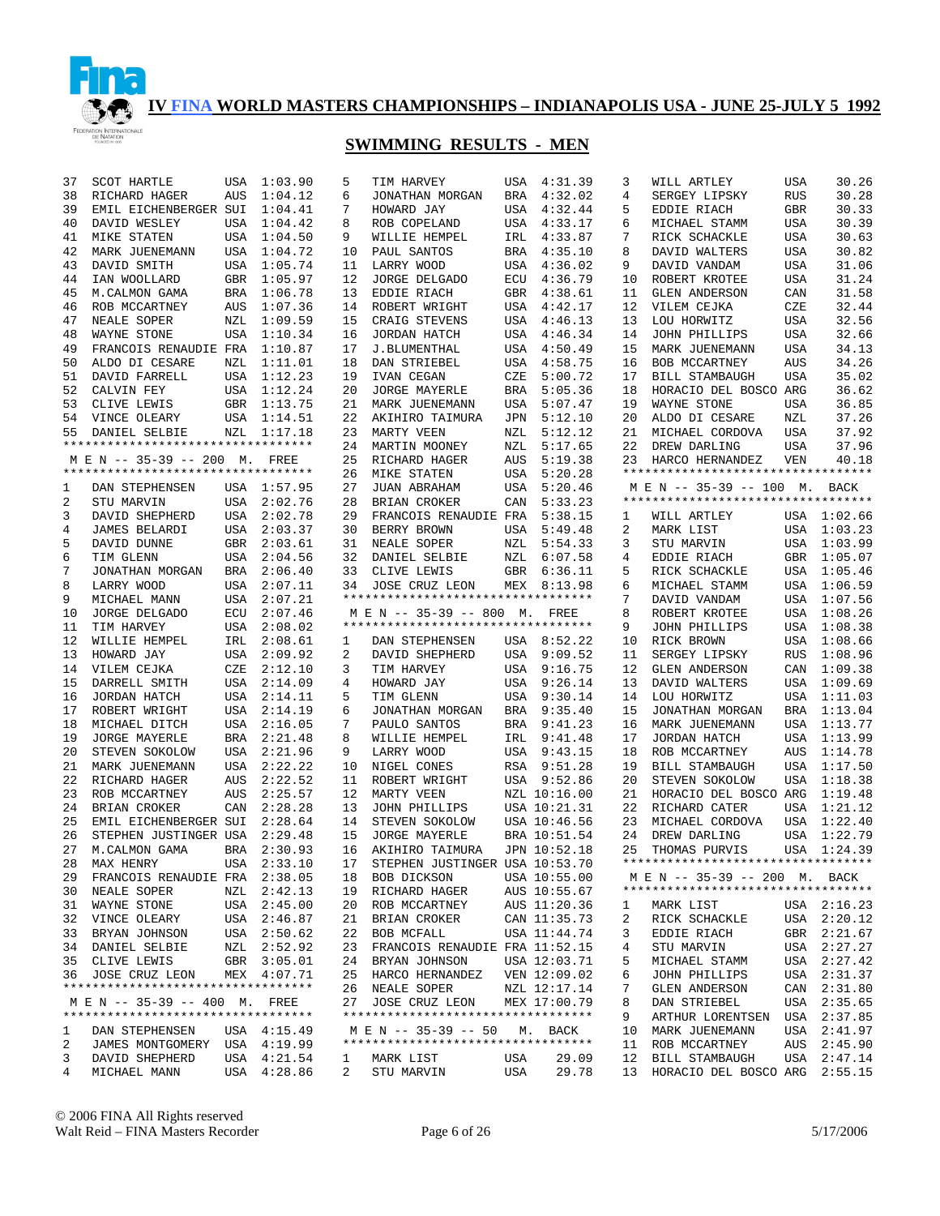

## **SWIMMING RESULTS - MEN**

| 37 | SCOT HARTLE                        | USA        | 1:03.90     | 5  | TIM HARVEY                         | USA        | 4:31.39      | 3  | WILL ARTLEY                        | USA        | 30.26       |
|----|------------------------------------|------------|-------------|----|------------------------------------|------------|--------------|----|------------------------------------|------------|-------------|
| 38 | RICHARD HAGER                      | AUS        | 1:04.12     | 6  | JONATHAN MORGAN                    | BRA        | 4:32.02      | 4  | SERGEY LIPSKY                      | <b>RUS</b> | 30.28       |
| 39 | EMIL EICHENBERGER SUI              |            | 1:04.41     | 7  | HOWARD JAY                         | USA        | 4:32.44      | 5  | EDDIE RIACH                        | <b>GBR</b> | 30.33       |
| 40 | DAVID WESLEY                       | <b>USA</b> | 1:04.42     | 8  | ROB COPELAND                       | USA        | 4:33.17      | 6  | MICHAEL STAMM                      | USA        | 30.39       |
|    |                                    |            |             |    |                                    |            |              |    |                                    |            |             |
| 41 | <b>MIKE STATEN</b>                 | <b>USA</b> | 1:04.50     | 9  | WILLIE HEMPEL                      | IRL        | 4:33.87      | 7  | RICK SCHACKLE                      | <b>USA</b> | 30.63       |
| 42 | MARK JUENEMANN                     | <b>USA</b> | 1:04.72     | 10 | PAUL SANTOS                        | <b>BRA</b> | 4:35.10      | 8  | DAVID WALTERS                      | <b>USA</b> | 30.82       |
| 43 | DAVID SMITH                        | <b>USA</b> | 1:05.74     | 11 | LARRY WOOD                         | USA        | 4:36.02      | 9  | DAVID VANDAM                       | <b>USA</b> | 31.06       |
| 44 | IAN WOOLLARD                       | GBR        | 1:05.97     | 12 | <b>JORGE DELGADO</b>               | ECU        | 4:36.79      | 10 | ROBERT KROTEE                      | <b>USA</b> | 31.24       |
| 45 | M. CALMON GAMA                     | <b>BRA</b> | 1:06.78     | 13 | EDDIE RIACH                        | <b>GBR</b> | 4:38.61      | 11 | <b>GLEN ANDERSON</b>               | CAN        | 31.58       |
| 46 | ROB MCCARTNEY                      | AUS        | 1:07.36     | 14 | ROBERT WRIGHT                      | USA        | 4:42.17      | 12 | VILEM CEJKA                        | CZE        | 32.44       |
| 47 | NEALE SOPER                        | NZL        | 1:09.59     | 15 | CRAIG STEVENS                      | USA        | 4:46.13      | 13 | LOU HORWITZ                        | <b>USA</b> | 32.56       |
| 48 | WAYNE STONE                        | <b>USA</b> | 1:10.34     | 16 | JORDAN HATCH                       | USA        | 4:46.34      | 14 | <b>JOHN PHILLIPS</b>               | <b>USA</b> | 32.66       |
| 49 | FRANCOIS RENAUDIE FRA              |            | 1:10.87     | 17 | J.BLUMENTHAL                       | USA        | 4:50.49      | 15 | MARK JUENEMANN                     | <b>USA</b> | 34.13       |
| 50 | ALDO DI CESARE                     | NZL        | 1:11.01     | 18 | DAN STRIEBEL                       | USA        | 4:58.75      | 16 | BOB MCCARTNEY                      | AUS        | 34.26       |
| 51 | DAVID FARRELL                      | USA        | 1:12.23     | 19 | IVAN CEGAN                         | CZE        | 5:00.72      | 17 | <b>BILL STAMBAUGH</b>              | <b>USA</b> | 35.02       |
| 52 | CALVIN FEY                         | USA        | 1:12.24     | 20 | <b>JORGE MAYERLE</b>               | BRA        | 5:05.36      | 18 | HORACIO DEL BOSCO ARG              |            | 36.62       |
| 53 | CLIVE LEWIS                        | GBR        | 1:13.75     | 21 | MARK JUENEMANN                     | USA        | 5:07.47      | 19 | WAYNE STONE                        | USA        | 36.85       |
| 54 | VINCE OLEARY                       | USA        | 1:14.51     | 22 | AKIHIRO TAIMURA                    | JPN        | 5:12.10      | 20 | ALDO DI CESARE                     | NZL        | 37.26       |
| 55 | DANIEL SELBIE                      | NZL        | 1:17.18     | 23 | MARTY VEEN                         | NZL        | 5:12.12      | 21 | MICHAEL CORDOVA                    | <b>USA</b> | 37.92       |
|    | ********************************** |            |             | 24 | MARTIN MOONEY                      | NZL        | 5:17.65      | 22 | DREW DARLING                       | USA        | 37.96       |
|    | M E N -- 35-39 -- 200 M.           |            | FREE        | 25 | RICHARD HAGER                      | AUS        | 5:19.38      | 23 | HARCO HERNANDEZ                    | VEN        | 40.18       |
|    | ********************************** |            |             | 26 | MIKE STATEN                        | USA        | 5:20.28      |    | ********************************** |            |             |
| 1  | DAN STEPHENSEN                     |            | USA 1:57.95 | 27 | JUAN ABRAHAM                       | USA        | 5:20.46      |    | M E N -- 35-39 -- 100 M. BACK      |            |             |
| 2  | STU MARVIN                         |            | USA 2:02.76 | 28 | BRIAN CROKER                       | CAN        | 5:33.23      |    | ********************************** |            |             |
| 3  | DAVID SHEPHERD                     |            | USA 2:02.78 | 29 | FRANCOIS RENAUDIE FRA              |            | 5:38.15      | 1  | WILL ARTLEY                        |            | USA 1:02.66 |
| 4  | JAMES BELARDI                      |            | USA 2:03.37 | 30 | BERRY BROWN                        | USA        | 5:49.48      | 2  | MARK LIST                          |            | USA 1:03.23 |
| 5  | DAVID DUNNE                        | GBR        | 2:03.61     | 31 | NEALE SOPER                        | NZL        | 5:54.33      | 3  | STU MARVIN                         | USA        | 1:03.99     |
| 6  | TIM GLENN                          | USA        | 2:04.56     | 32 | DANIEL SELBIE                      | NZL        | 6:07.58      | 4  | EDDIE RIACH                        | GBR        | 1:05.07     |
| 7  | JONATHAN MORGAN                    | BRA        | 2:06.40     | 33 | CLIVE LEWIS                        | GBR        | 6:36.11      | 5  | RICK SCHACKLE                      |            | USA 1:05.46 |
| 8  | LARRY WOOD                         | USA        | 2:07.11     | 34 | JOSE CRUZ LEON                     |            | MEX 8:13.98  | 6  | MICHAEL STAMM                      |            | USA 1:06.59 |
| 9  | MICHAEL MANN                       | USA        | 2:07.21     |    | *********************************  |            |              | 7  | DAVID VANDAM                       | USA        | 1:07.56     |
| 10 | <b>JORGE DELGADO</b>               | ECU        | 2:07.46     |    | M E N -- 35-39 -- 800 M.           |            | FREE         | 8  | ROBERT KROTEE                      | USA        | 1:08.26     |
| 11 | TIM HARVEY                         | USA        | 2:08.02     |    | ********************************** |            |              | 9  | <b>JOHN PHILLIPS</b>               | USA        | 1:08.38     |
| 12 | WILLIE HEMPEL                      | IRL        | 2:08.61     | 1  | DAN STEPHENSEN                     |            | USA 8:52.22  | 10 | RICK BROWN                         | USA        | 1:08.66     |
| 13 | HOWARD JAY                         | USA        | 2:09.92     | 2  | DAVID SHEPHERD                     | USA        | 9:09.52      | 11 | SERGEY LIPSKY                      | <b>RUS</b> | 1:08.96     |
| 14 | VILEM CEJKA                        | CZE        | 2:12.10     | 3  | TIM HARVEY                         | USA        | 9:16.75      | 12 | <b>GLEN ANDERSON</b>               | CAN        | 1:09.38     |
| 15 | DARRELL SMITH                      | USA        | 2:14.09     | 4  | HOWARD JAY                         | USA        | 9:26.14      | 13 | DAVID WALTERS                      | USA        | 1:09.69     |
| 16 | JORDAN HATCH                       | USA        | 2:14.11     | 5  | TIM GLENN                          | USA        | 9:30.14      | 14 | LOU HORWITZ                        | USA        | 1:11.03     |
| 17 | ROBERT WRIGHT                      | USA        | 2:14.19     | 6  | JONATHAN MORGAN                    | <b>BRA</b> | 9:35.40      | 15 | JONATHAN MORGAN                    | BRA        | 1:13.04     |
| 18 | MICHAEL DITCH                      | USA        | 2:16.05     | 7  | PAULO SANTOS                       | <b>BRA</b> | 9:41.23      | 16 | MARK JUENEMANN                     | USA        | 1:13.77     |
| 19 | <b>JORGE MAYERLE</b>               | BRA        | 2:21.48     | 8  | WILLIE HEMPEL                      | IRL        | 9:41.48      | 17 | <b>JORDAN HATCH</b>                | USA        | 1:13.99     |
| 20 | STEVEN SOKOLOW                     | USA        | 2:21.96     | 9  | LARRY WOOD                         | USA        | 9:43.15      | 18 | ROB MCCARTNEY                      | AUS        | 1:14.78     |
| 21 | MARK JUENEMANN                     | <b>USA</b> | 2:22.22     | 10 | NIGEL CONES                        | RSA        | 9:51.28      | 19 | BILL STAMBAUGH                     | USA        | 1:17.50     |
| 22 | RICHARD HAGER                      | AUS        | 2:22.52     | 11 | ROBERT WRIGHT                      | USA        | 9:52.86      | 20 | STEVEN SOKOLOW                     | <b>USA</b> | 1:18.38     |
| 23 | ROB MCCARTNEY                      | AUS        | 2:25.57     | 12 | MARTY VEEN                         |            | NZL 10:16.00 | 21 | HORACIO DEL BOSCO ARG              |            | 1:19.48     |
| 24 | BRIAN CROKER                       | CAN        | 2:28.28     | 13 | JOHN PHILLIPS                      |            | USA 10:21.31 | 22 | RICHARD CATER                      | USA        | 1:21.12     |
| 25 | EMIL EICHENBERGER SUI              |            | 2:28.64     | 14 | STEVEN SOKOLOW                     |            | USA 10:46.56 | 23 | MICHAEL CORDOVA                    | USA        | 1:22.40     |
| 26 | STEPHEN JUSTINGER USA              |            | 2:29.48     | 15 |                                    |            | BRA 10:51.54 | 24 | DREW DARLING                       | USA        | 1:22.79     |
| 27 |                                    | <b>BRA</b> | 2:30.93     | 16 | <b>JORGE MAYERLE</b>               |            | JPN 10:52.18 | 25 | THOMAS PURVIS                      |            | USA 1:24.39 |
| 28 | M.CALMON GAMA                      |            | USA 2:33.10 | 17 | AKIHIRO TAIMURA                    |            |              |    | ********************************** |            |             |
|    | MAX HENRY                          |            |             |    | STEPHEN JUSTINGER USA 10:53.70     |            |              |    | M E N -- 35-39 -- 200 M. BACK      |            |             |
| 29 | FRANCOIS RENAUDIE FRA 2:38.05      |            |             | 18 | BOB DICKSON                        |            | USA 10:55.00 |    | ********************************** |            |             |
| 30 | NEALE SOPER                        | NZL        | 2:42.13     | 19 | RICHARD HAGER                      |            | AUS 10:55.67 |    |                                    |            |             |
| 31 | WAYNE STONE                        |            | USA 2:45.00 | 20 | ROB MCCARTNEY                      |            | AUS 11:20.36 | ı  | MARK LIST                          |            | USA 2:16.23 |
| 32 | VINCE OLEARY                       |            | USA 2:46.87 | 21 | BRIAN CROKER                       |            | CAN 11:35.73 | 2  | RICK SCHACKLE                      |            | USA 2:20.12 |
| 33 | BRYAN JOHNSON                      |            | USA 2:50.62 | 22 | BOB MCFALL                         |            | USA 11:44.74 | 3  | EDDIE RIACH                        |            | GBR 2:21.67 |
| 34 | DANIEL SELBIE                      | NZL        | 2:52.92     | 23 | FRANCOIS RENAUDIE FRA 11:52.15     |            |              | 4  | STU MARVIN                         | USA        | 2:27.27     |
| 35 | CLIVE LEWIS                        |            | GBR 3:05.01 | 24 | BRYAN JOHNSON                      |            | USA 12:03.71 | 5  | MICHAEL STAMM                      | USA        | 2:27.42     |
| 36 | JOSE CRUZ LEON                     |            | MEX 4:07.71 | 25 | HARCO HERNANDEZ                    |            | VEN 12:09.02 | 6  | JOHN PHILLIPS                      | USA        | 2:31.37     |
|    | ********************************** |            |             | 26 | NEALE SOPER                        |            | NZL 12:17.14 | 7  | <b>GLEN ANDERSON</b>               | CAN        | 2:31.80     |
|    | M E N -- 35-39 -- 400 M. FREE      |            |             | 27 | JOSE CRUZ LEON                     |            | MEX 17:00.79 | 8  | DAN STRIEBEL                       | USA        | 2:35.65     |
|    | ********************************** |            |             |    | ********************************** |            |              | 9  | ARTHUR LORENTSEN                   |            | USA 2:37.85 |
| 1  | DAN STEPHENSEN                     |            | USA 4:15.49 |    | M E N -- 35-39 -- 50               |            | M. BACK      | 10 | MARK JUENEMANN                     | USA        | 2:41.97     |
| 2  | JAMES MONTGOMERY                   |            | USA 4:19.99 |    | ********************************** |            |              | 11 | ROB MCCARTNEY                      | AUS        | 2:45.90     |
| 3  | DAVID SHEPHERD                     |            | USA 4:21.54 | 1  | MARK LIST                          | USA        | 29.09        | 12 | <b>BILL STAMBAUGH</b>              | USA        | 2:47.14     |
| 4  | MICHAEL MANN                       |            | USA 4:28.86 | 2  | STU MARVIN                         | USA        | 29.78        | 13 | HORACIO DEL BOSCO ARG              |            | 2:55.15     |

© 2006 FINA All Rights reserved Walt Reid – FINA Masters Recorder Page 6 of 26 5/17/2006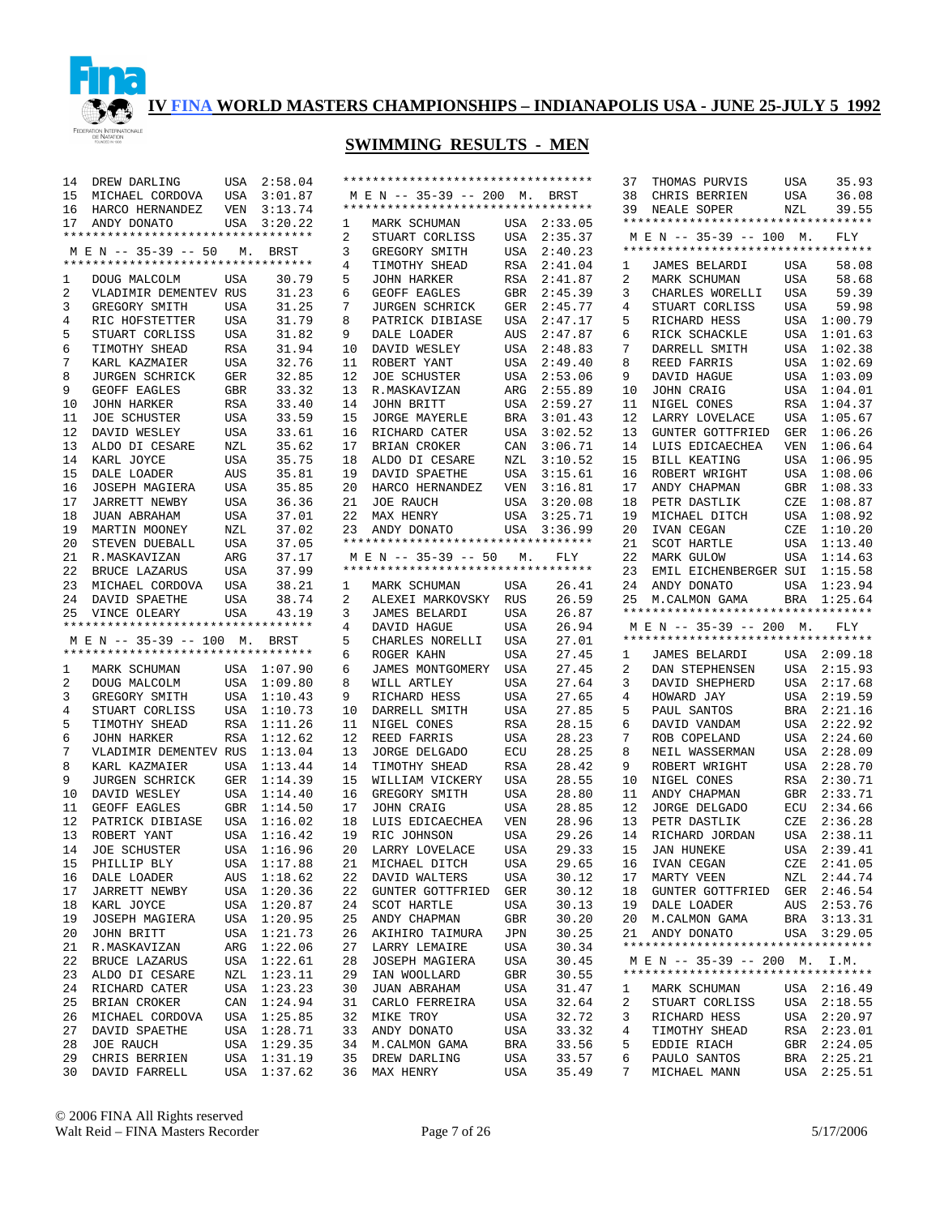

| 14 | DREW DARLING                       | USA        | 2:58.04     |                |                                    |            |             | 37 | THOMAS PURVIS                      | USA        | 35.93       |
|----|------------------------------------|------------|-------------|----------------|------------------------------------|------------|-------------|----|------------------------------------|------------|-------------|
| 15 | MICHAEL CORDOVA                    | USA        | 3:01.87     |                | M E N -- 35-39 -- 200 M.           |            | BRST        | 38 | CHRIS BERRIEN                      | USA        | 36.08       |
| 16 | HARCO HERNANDEZ                    | VEN        | 3:13.74     |                | ********************************** |            |             | 39 | NEALE SOPER                        | NZL        | 39.55       |
| 17 | ANDY DONATO                        | USA        | 3:20.22     | 1              | MARK SCHUMAN                       |            | USA 2:33.05 |    | ********************************** |            |             |
|    | ********************************** |            |             | $\overline{2}$ | STUART CORLISS                     | USA        | 2:35.37     |    | M E N -- 35-39 -- 100 M.           |            | FLY         |
|    | M E N -- 35-39 -- 50               | М.         | BRST        | 3              | GREGORY SMITH                      | USA        | 2:40.23     |    | ********************************** |            |             |
|    | ********************************** |            |             | 4              | TIMOTHY SHEAD                      | RSA        | 2:41.04     | 1  | JAMES BELARDI                      | <b>USA</b> | 58.08       |
| 1  | DOUG MALCOLM                       | USA        | 30.79       | 5              | <b>JOHN HARKER</b>                 | RSA        | 2:41.87     | 2  | MARK SCHUMAN                       | USA        | 58.68       |
| 2  | VLADIMIR DEMENTEV RUS              |            | 31.23       | 6              | GEOFF EAGLES                       | GBR        | 2:45.39     | 3  | CHARLES WORELLI                    | USA        | 59.39       |
| 3  | GREGORY SMITH                      | USA        | 31.25       | 7              | <b>JURGEN SCHRICK</b>              | GER        | 2:45.77     | 4  | STUART CORLISS                     | USA        | 59.98       |
|    |                                    | <b>USA</b> |             | 8              |                                    | USA        | 2:47.17     | 5  | RICHARD HESS                       |            | USA 1:00.79 |
| 4  | RIC HOFSTETTER                     |            | 31.79       |                | PATRICK DIBIASE                    |            |             |    |                                    |            |             |
| 5  | STUART CORLISS                     | <b>USA</b> | 31.82       | 9              | DALE LOADER                        | AUS        | 2:47.87     | 6  | RICK SCHACKLE                      |            | USA 1:01.63 |
| 6  | TIMOTHY SHEAD                      | <b>RSA</b> | 31.94       | 10             | DAVID WESLEY                       | USA        | 2:48.83     | 7  | DARRELL SMITH                      |            | USA 1:02.38 |
| 7  | KARL KAZMAIER                      | USA        | 32.76       | 11             | ROBERT YANT                        | USA        | 2:49.40     | 8  | REED FARRIS                        |            | USA 1:02.69 |
| 8  | <b>JURGEN SCHRICK</b>              | GER        | 32.85       | 12             | <b>JOE SCHUSTER</b>                | USA        | 2:53.06     | 9  | DAVID HAGUE                        |            | USA 1:03.09 |
| 9  | GEOFF EAGLES                       | GBR        | 33.32       | 13             | R.MASKAVIZAN                       | ARG        | 2:55.89     | 10 | JOHN CRAIG                         |            | USA 1:04.01 |
| 10 | JOHN HARKER                        | RSA        | 33.40       | 14             | JOHN BRITT                         | USA        | 2:59.27     | 11 | NIGEL CONES                        |            | RSA 1:04.37 |
| 11 | <b>JOE SCHUSTER</b>                | USA        | 33.59       | 15             | <b>JORGE MAYERLE</b>               | BRA        | 3:01.43     | 12 | LARRY LOVELACE                     |            | USA 1:05.67 |
| 12 | DAVID WESLEY                       | USA        | 33.61       | 16             | RICHARD CATER                      | USA        | 3:02.52     | 13 | <b>GUNTER GOTTFRIED</b>            | GER        | 1:06.26     |
| 13 | ALDO DI CESARE                     | NZL        | 35.62       | 17             | BRIAN CROKER                       | CAN        | 3:06.71     | 14 | LUIS EDICAECHEA                    | VEN        | 1:06.64     |
| 14 | KARL JOYCE                         | USA        | 35.75       | 18             | ALDO DI CESARE                     | NZL        | 3:10.52     | 15 | <b>BILL KEATING</b>                |            | USA 1:06.95 |
| 15 | DALE LOADER                        | AUS        | 35.81       | 19             | DAVID SPAETHE                      | USA        | 3:15.61     | 16 | ROBERT WRIGHT                      |            | USA 1:08.06 |
| 16 | JOSEPH MAGIERA                     | USA        | 35.85       | 20             | HARCO HERNANDEZ                    | VEN        | 3:16.81     | 17 | ANDY CHAPMAN                       | GBR        | 1:08.33     |
| 17 | <b>JARRETT NEWBY</b>               | USA        | 36.36       | 21             | <b>JOE RAUCH</b>                   | USA        | 3:20.08     | 18 | PETR DASTLIK                       | CZE        | 1:08.87     |
| 18 | JUAN ABRAHAM                       | USA        | 37.01       | 22             | MAX HENRY                          | USA        | 3:25.71     | 19 | MICHAEL DITCH                      |            | USA 1:08.92 |
| 19 | MARTIN MOONEY                      | NZL        | 37.02       | 23             | ANDY DONATO                        | USA        | 3:36.99     | 20 | IVAN CEGAN                         | CZE        | 1:10.20     |
| 20 | STEVEN DUEBALL                     | USA        | 37.05       |                | ********************************** |            |             | 21 | <b>SCOT HARTLE</b>                 |            | USA 1:13.40 |
| 21 | R.MASKAVIZAN                       | ARG        | 37.17       |                | M E N -- 35-39 -- 50               | М.         | FLY         | 22 | <b>MARK GULOW</b>                  | USA        | 1:14.63     |
| 22 | BRUCE LAZARUS                      | USA        | 37.99       |                | ********************************** |            |             | 23 | EMIL EICHENBERGER SUI              |            | 1:15.58     |
| 23 | MICHAEL CORDOVA                    | USA        | 38.21       | 1              | MARK SCHUMAN                       | USA        | 26.41       | 24 | ANDY DONATO                        | USA        | 1:23.94     |
| 24 | DAVID SPAETHE                      | USA        | 38.74       | 2              | ALEXEI MARKOVSKY RUS               |            | 26.59       | 25 | M. CALMON GAMA                     | BRA        | 1:25.64     |
|    |                                    |            |             |                |                                    |            |             |    |                                    |            |             |
|    |                                    |            |             |                |                                    |            |             |    |                                    |            |             |
| 25 | VINCE OLEARY                       | <b>USA</b> | 43.19       | 3              | <b>JAMES BELARDI</b>               | USA        | 26.87       |    | ********************************** |            |             |
|    | ********************************** |            |             | 4              | DAVID HAGUE                        | USA        | 26.94       |    | M E N -- 35-39 -- 200 M.           |            | FLY         |
|    | M E N -- 35-39 -- 100 M. BRST      |            |             | 5              | CHARLES NORELLI                    | USA        | 27.01       |    | ********************************** |            |             |
|    | ********************************** |            |             | 6              | ROGER KAHN                         | USA        | 27.45       | 1  | JAMES BELARDI                      |            | USA 2:09.18 |
| 1  | MARK SCHUMAN                       |            | USA 1:07.90 | 6              | JAMES MONTGOMERY                   | USA        | 27.45       | 2  | DAN STEPHENSEN                     | USA        | 2:15.93     |
| 2  | DOUG MALCOLM                       |            | USA 1:09.80 | 8              | WILL ARTLEY                        | USA        | 27.64       | 3  | DAVID SHEPHERD                     | USA        | 2:17.68     |
| 3  | GREGORY SMITH                      |            | USA 1:10.43 | 9              | RICHARD HESS                       | USA        | 27.65       | 4  | HOWARD JAY                         | USA        | 2:19.59     |
| 4  | STUART CORLISS                     |            | USA 1:10.73 | 10             | DARRELL SMITH                      | USA        | 27.85       | 5  | PAUL SANTOS                        | <b>BRA</b> | 2:21.16     |
| 5  | TIMOTHY SHEAD                      | RSA        | 1:11.26     | 11             | NIGEL CONES                        | RSA        | 28.15       | 6  | DAVID VANDAM                       | USA        | 2:22.92     |
| 6  | JOHN HARKER                        | RSA        | 1:12.62     | 12             | REED FARRIS                        | USA        | 28.23       | 7  | ROB COPELAND                       | USA        | 2:24.60     |
| 7  | VLADIMIR DEMENTEV RUS              |            | 1:13.04     | 13             | <b>JORGE DELGADO</b>               | ECU        | 28.25       | 8  | NEIL WASSERMAN                     | USA        | 2:28.09     |
| 8  | KARL KAZMAIER                      | USA        | 1:13.44     | 14             | TIMOTHY SHEAD                      | RSA        | 28.42       | 9  | ROBERT WRIGHT                      | USA        | 2:28.70     |
| 9  | JURGEN SCHRICK                     | GER        | 1:14.39     | 15             | WILLIAM VICKERY                    | USA        | 28.55       | 10 | NIGEL CONES                        | RSA        | 2:30.71     |
| 10 | DAVID WESLEY                       |            | USA 1:14.40 | 16             | GREGORY SMITH                      | USA        | 28.80       | 11 | ANDY CHAPMAN                       | GBR        | 2:33.71     |
| 11 | GEOFF EAGLES                       | GBR        | 1:14.50     | 17             | JOHN CRAIG                         | USA        | 28.85       | 12 | <b>JORGE DELGADO</b>               | ECU        | 2:34.66     |
| 12 | PATRICK DIBIASE                    | USA        | 1:16.02     | 18             | LUIS EDICAECHEA                    | VEN        | 28.96       | 13 | PETR DASTLIK                       | CZE        | 2:36.28     |
| 13 | ROBERT YANT                        | USA        | 1:16.42     | 19             | RIC JOHNSON                        | USA        | 29.26       | 14 | RICHARD JORDAN                     | USA        | 2:38.11     |
| 14 | <b>JOE SCHUSTER</b>                |            | USA 1:16.96 | 20             | LARRY LOVELACE                     | <b>USA</b> | 29.33       | 15 | <b>JAN HUNEKE</b>                  | USA        | 2:39.41     |
| 15 | PHILLIP BLY                        |            | USA 1:17.88 | 21             | MICHAEL DITCH                      | USA        | 29.65       |    | 16 IVAN CEGAN                      |            | CZE 2:41.05 |
|    | 16 DALE LOADER                     |            | AUS 1:18.62 |                | 22 DAVID WALTERS                   | USA        | 30.12       |    | 17 MARTY VEEN                      |            | NZL 2:44.74 |
| 17 | <b>JARRETT NEWBY</b>               |            | USA 1:20.36 | 22             | GUNTER GOTTFRIED                   | GER        | 30.12       | 18 | GUNTER GOTTFRIED GER 2:46.54       |            |             |
| 18 | KARL JOYCE                         |            | USA 1:20.87 | 24             | SCOT HARTLE                        | USA        | 30.13       | 19 | DALE LOADER                        |            | AUS 2:53.76 |
| 19 | JOSEPH MAGIERA                     |            | USA 1:20.95 | 25             | ANDY CHAPMAN                       | GBR        | 30.20       | 20 | M.CALMON GAMA                      |            | BRA 3:13.31 |
| 20 | JOHN BRITT                         |            | USA 1:21.73 | 26             | AKIHIRO TAIMURA                    | JPN        | 30.25       | 21 | ANDY DONATO                        |            | USA 3:29.05 |
| 21 | R.MASKAVIZAN                       |            | ARG 1:22.06 | 27             | LARRY LEMAIRE                      | USA        | 30.34       |    | ********************************** |            |             |
| 22 | BRUCE LAZARUS                      |            | USA 1:22.61 | 28             | JOSEPH MAGIERA                     | USA        | 30.45       |    | M E N -- 35-39 -- 200 M. I.M.      |            |             |
| 23 | ALDO DI CESARE                     |            | NZL 1:23.11 | 29             | IAN WOOLLARD                       | GBR        | 30.55       |    | ********************************** |            |             |
| 24 | RICHARD CATER                      |            | USA 1:23.23 | 30             | JUAN ABRAHAM                       | USA        | 31.47       | ı  | MARK SCHUMAN                       |            | USA 2:16.49 |
| 25 | BRIAN CROKER                       |            | CAN 1:24.94 | 31             | CARLO FERREIRA                     | USA        | 32.64       | 2  | STUART CORLISS                     |            | USA 2:18.55 |
| 26 | MICHAEL CORDOVA                    |            | USA 1:25.85 | 32             | MIKE TROY                          | USA        | 32.72       | 3  | RICHARD HESS                       |            | USA 2:20.97 |
| 27 | DAVID SPAETHE                      |            | USA 1:28.71 | 33             | ANDY DONATO                        | USA        | 33.32       | 4  | TIMOTHY SHEAD                      |            | RSA 2:23.01 |
| 28 | JOE RAUCH                          |            | USA 1:29.35 | 34             | M.CALMON GAMA                      | BRA        | 33.56       | 5  | EDDIE RIACH                        |            | GBR 2:24.05 |
| 29 | CHRIS BERRIEN                      |            | USA 1:31.19 | 35             | DREW DARLING                       | USA        | 33.57       | 6  | PAULO SANTOS                       |            | BRA 2:25.21 |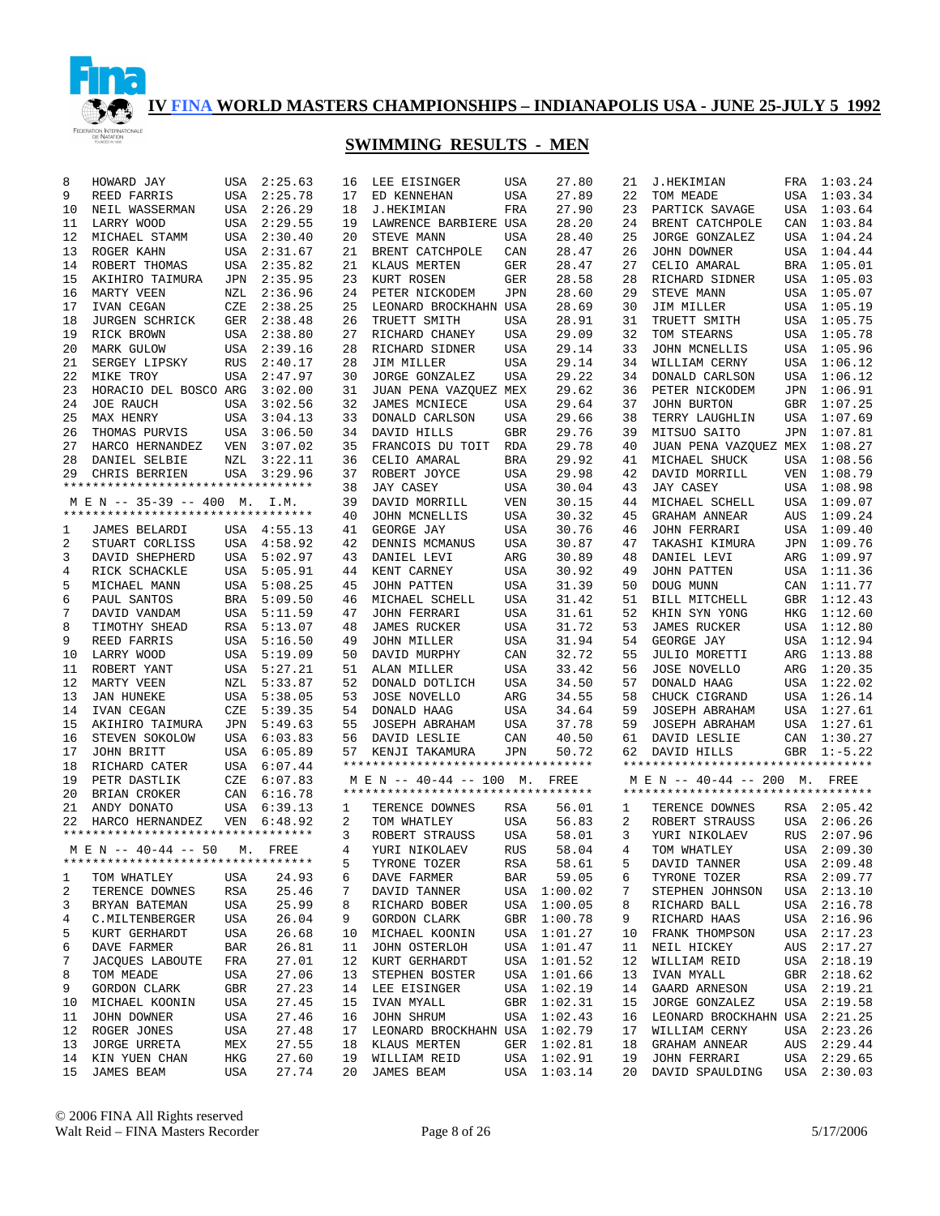

| 8  | HOWARD JAY                                            | USA        | 2:25.63     | 16 | LEE EISINGER                       | USA        | 27.80       | 21 | <b>J.HEKIMIAN</b>                  |            | FRA 1:03.24 |
|----|-------------------------------------------------------|------------|-------------|----|------------------------------------|------------|-------------|----|------------------------------------|------------|-------------|
| 9  | REED FARRIS                                           | USA        | 2:25.78     | 17 | ED KENNEHAN                        | USA        | 27.89       | 22 | TOM MEADE                          | USA        | 1:03.34     |
| 10 | NEIL WASSERMAN                                        | USA        | 2:26.29     | 18 | J.HEKIMIAN                         | FRA        | 27.90       | 23 | PARTICK SAVAGE                     | USA        | 1:03.64     |
|    |                                                       |            |             |    | LAWRENCE BARBIERE USA              |            |             |    |                                    |            |             |
| 11 | LARRY WOOD                                            | USA        | 2:29.55     | 19 |                                    |            | 28.20       | 24 | BRENT CATCHPOLE                    | CAN        | 1:03.84     |
| 12 | MICHAEL STAMM                                         | USA        | 2:30.40     | 20 | STEVE MANN                         | USA        | 28.40       | 25 | JORGE GONZALEZ                     |            | USA 1:04.24 |
| 13 | ROGER KAHN                                            | USA        | 2:31.67     | 21 | BRENT CATCHPOLE                    | CAN        | 28.47       | 26 | JOHN DOWNER                        |            | USA 1:04.44 |
| 14 | ROBERT THOMAS                                         | USA        | 2:35.82     | 21 | KLAUS MERTEN                       | GER        | 28.47       | 27 | CELIO AMARAL                       | BRA        | 1:05.01     |
| 15 | AKIHIRO TAIMURA                                       | JPN        | 2:35.95     | 23 | KURT ROSEN                         | GER        | 28.58       | 28 | RICHARD SIDNER                     |            | USA 1:05.03 |
| 16 | MARTY VEEN                                            | NZL        | 2:36.96     | 24 | PETER NICKODEM                     | JPN        | 28.60       | 29 | STEVE MANN                         | USA        | 1:05.07     |
| 17 | IVAN CEGAN                                            | CZE        | 2:38.25     | 25 | LEONARD BROCKHAHN USA              |            | 28.69       | 30 | JIM MILLER                         |            | USA 1:05.19 |
| 18 | <b>JURGEN SCHRICK</b>                                 | GER        | 2:38.48     | 26 | TRUETT SMITH                       | USA        | 28.91       | 31 | TRUETT SMITH                       | USA        | 1:05.75     |
| 19 | RICK BROWN                                            | USA        | 2:38.80     | 27 | RICHARD CHANEY                     | USA        | 29.09       | 32 | TOM STEARNS                        | USA        | 1:05.78     |
|    |                                                       |            |             |    |                                    |            |             |    |                                    |            |             |
| 20 | MARK GULOW                                            | USA        | 2:39.16     | 28 | RICHARD SIDNER                     | USA        | 29.14       | 33 | JOHN MCNELLIS                      | USA        | 1:05.96     |
| 21 | SERGEY LIPSKY                                         | RUS        | 2:40.17     | 28 | JIM MILLER                         | USA        | 29.14       | 34 | WILLIAM CERNY                      | USA        | 1:06.12     |
| 22 | MIKE TROY                                             | USA        | 2:47.97     | 30 | <b>JORGE GONZALEZ</b>              | USA        | 29.22       | 34 | DONALD CARLSON                     | USA        | 1:06.12     |
| 23 | HORACIO DEL BOSCO ARG                                 |            | 3:02.00     | 31 | JUAN PENA VAZQUEZ MEX              |            | 29.62       | 36 | PETER NICKODEM                     | JPN        | 1:06.91     |
| 24 | <b>JOE RAUCH</b>                                      | USA        | 3:02.56     | 32 | JAMES MCNIECE                      | USA        | 29.64       | 37 | JOHN BURTON                        | GBR        | 1:07.25     |
| 25 | MAX HENRY                                             | USA        | 3:04.13     | 33 | DONALD CARLSON                     | USA        | 29.66       | 38 | TERRY LAUGHLIN                     | USA        | 1:07.69     |
| 26 | THOMAS PURVIS                                         |            | USA 3:06.50 | 34 | DAVID HILLS                        | <b>GBR</b> | 29.76       | 39 | MITSUO SAITO                       | JPN        | 1:07.81     |
| 27 | HARCO HERNANDEZ                                       | VEN        | 3:07.02     | 35 | FRANCOIS DU TOIT                   | RDA        | 29.78       | 40 | JUAN PENA VAZQUEZ MEX              |            | 1:08.27     |
| 28 |                                                       | NZL        | 3:22.11     | 36 | CELIO AMARAL                       | BRA        | 29.92       | 41 |                                    |            | 1:08.56     |
|    | DANIEL SELBIE                                         |            |             |    |                                    |            |             |    | MICHAEL SHUCK                      | USA        |             |
| 29 | CHRIS BERRIEN                                         |            | USA 3:29.96 | 37 | ROBERT JOYCE                       | USA        | 29.98       | 42 | DAVID MORRILL                      | VEN        | 1:08.79     |
|    | **********************************                    |            |             | 38 | <b>JAY CASEY</b>                   | USA        | 30.04       | 43 | JAY CASEY                          | USA        | 1:08.98     |
|    | M E N -- 35-39 -- 400 M.                              |            | I.M.        | 39 | DAVID MORRILL                      | VEN        | 30.15       | 44 | MICHAEL SCHELL                     | USA        | 1:09.07     |
|    | **********************************                    |            |             | 40 | JOHN MCNELLIS                      | USA        | 30.32       | 45 | <b>GRAHAM ANNEAR</b>               | AUS        | 1:09.24     |
| 1  | JAMES BELARDI                                         |            | USA 4:55.13 | 41 | GEORGE JAY                         | USA        | 30.76       | 46 | <b>JOHN FERRARI</b>                | USA        | 1:09.40     |
| 2  | STUART CORLISS                                        |            | USA 4:58.92 | 42 | DENNIS MCMANUS                     | USA        | 30.87       | 47 | TAKASHI KIMURA                     | JPN        | 1:09.76     |
| 3  | DAVID SHEPHERD                                        |            | USA 5:02.97 | 43 | DANIEL LEVI                        | ARG        | 30.89       | 48 | DANIEL LEVI                        | ARG        | 1:09.97     |
| 4  | RICK SCHACKLE                                         |            | USA 5:05.91 | 44 | KENT CARNEY                        | USA        | 30.92       | 49 | <b>JOHN PATTEN</b>                 | USA        | 1:11.36     |
|    |                                                       |            |             | 45 |                                    |            | 31.39       | 50 |                                    |            | 1:11.77     |
| 5  | MICHAEL MANN                                          |            | USA 5:08.25 |    | <b>JOHN PATTEN</b>                 | USA        |             |    | DOUG MUNN                          | CAN        |             |
| 6  | PAUL SANTOS                                           | BRA        | 5:09.50     | 46 | MICHAEL SCHELL                     | USA        | 31.42       | 51 | BILL MITCHELL                      | <b>GBR</b> | 1:12.43     |
| 7  | DAVID VANDAM                                          |            | USA 5:11.59 | 47 | <b>JOHN FERRARI</b>                | USA        | 31.61       | 52 | KHIN SYN YONG                      | HKG        | 1:12.60     |
| 8  | TIMOTHY SHEAD                                         |            | RSA 5:13.07 | 48 | <b>JAMES RUCKER</b>                | USA        | 31.72       | 53 | <b>JAMES RUCKER</b>                | USA        | 1:12.80     |
| 9  | REED FARRIS                                           |            | USA 5:16.50 | 49 | JOHN MILLER                        | USA        | 31.94       | 54 | GEORGE JAY                         | USA        | 1:12.94     |
| 10 | LARRY WOOD                                            |            | USA 5:19.09 | 50 | DAVID MURPHY                       | CAN        | 32.72       | 55 | JULIO MORETTI                      | ARG        | 1:13.88     |
| 11 | ROBERT YANT                                           | USA        | 5:27.21     | 51 | ALAN MILLER                        | USA        | 33.42       | 56 | <b>JOSE NOVELLO</b>                | ARG        | 1:20.35     |
| 12 | MARTY VEEN                                            | NZL        | 5:33.87     | 52 | DONALD DOTLICH                     | USA        | 34.50       | 57 | DONALD HAAG                        | USA        | 1:22.02     |
| 13 | <b>JAN HUNEKE</b>                                     | USA        | 5:38.05     | 53 | <b>JOSE NOVELLO</b>                | ARG        | 34.55       | 58 | CHUCK CIGRAND                      | USA        | 1:26.14     |
|    |                                                       |            |             |    |                                    |            |             |    |                                    |            |             |
| 14 | IVAN CEGAN                                            | CZE        | 5:39.35     | 54 | DONALD HAAG                        | USA        | 34.64       | 59 | JOSEPH ABRAHAM                     | USA        | 1:27.61     |
| 15 | AKIHIRO TAIMURA                                       | JPN        | 5:49.63     | 55 | JOSEPH ABRAHAM                     | USA        | 37.78       | 59 | JOSEPH ABRAHAM                     | USA        | 1:27.61     |
| 16 | STEVEN SOKOLOW                                        |            | USA 6:03.83 | 56 | DAVID LESLIE                       | CAN        | 40.50       | 61 | DAVID LESLIE                       |            | CAN 1:30.27 |
| 17 | JOHN BRITT                                            |            | USA 6:05.89 | 57 | KENJI TAKAMURA                     | JPN        | 50.72       | 62 | DAVID HILLS                        | GBR        | $1:-5.22$   |
| 18 | RICHARD CATER                                         |            | USA 6:07.44 |    | ********************************** |            |             |    | ********************************** |            |             |
| 19 | PETR DASTLIK                                          | CZE        | 6:07.83     |    | $M \to N$ -- 40-44 -- 100 M.       |            | FREE        |    | M E N -- 40-44 -- 200 M. FREE      |            |             |
| 20 | BRIAN CROKER                                          | CAN        | 6:16.78     |    | ********************************** |            |             |    | ********************************** |            |             |
| 21 | ANDY DONATO                                           |            | USA 6:39.13 | 1  | TERENCE DOWNES                     | RSA        | 56.01       | 1  | TERENCE DOWNES                     |            | RSA 2:05.42 |
| 22 |                                                       | VEN        | 6:48.92     | 2  | TOM WHATLEY                        | USA        | 56.83       | 2  | ROBERT STRAUSS                     | USA        | 2:06.26     |
|    | HARCO HERNANDEZ<br>********************************** |            |             |    |                                    |            |             |    |                                    |            |             |
|    |                                                       |            |             | 3  | ROBERT STRAUSS                     | USA        | 58.01       | 3  | YURI NIKOLAEV                      | <b>RUS</b> | 2:07.96     |
|    | M E N -- 40-44 -- 50                                  |            | M. FREE     | 4  | YURI NIKOLAEV                      | <b>RUS</b> | 58.04       | 4  | TOM WHATLEY                        | USA        | 2:09.30     |
|    | **********************************                    |            |             | 5  | TYRONE TOZER                       | RSA        | 58.61       | 5  | DAVID TANNER                       |            | USA 2:09.48 |
| 1  | TOM WHATLEY                                           | USA        | 24.93       | 6  | DAVE FARMER                        | BAR        | 59.05       | 6  | TYRONE TOZER                       |            | RSA 2:09.77 |
| 2  | TERENCE DOWNES                                        | RSA        | 25.46       | 7  | DAVID TANNER                       | USA        | 1:00.02     | 7  | STEPHEN JOHNSON                    | USA        | 2:13.10     |
| 3  | BRYAN BATEMAN                                         | USA        | 25.99       | 8  | RICHARD BOBER                      | USA        | 1:00.05     | 8  | RICHARD BALL                       |            | USA 2:16.78 |
| 4  | C.MILTENBERGER                                        | USA        | 26.04       | 9  | GORDON CLARK                       | GBR        | 1:00.78     | 9  | RICHARD HAAS                       |            | USA 2:16.96 |
| 5  |                                                       | USA        | 26.68       | 10 | MICHAEL KOONIN                     |            | USA 1:01.27 | 10 |                                    |            | USA 2:17.23 |
|    | KURT GERHARDT                                         |            |             |    |                                    |            |             |    | FRANK THOMPSON                     |            |             |
| 6  | DAVE FARMER                                           | <b>BAR</b> | 26.81       | 11 | JOHN OSTERLOH                      | USA        | 1:01.47     | 11 | NEIL HICKEY                        | AUS        | 2:17.27     |
| 7  | <b>JACQUES LABOUTE</b>                                | FRA        | 27.01       | 12 | KURT GERHARDT                      |            | USA 1:01.52 | 12 | WILLIAM REID                       |            | USA 2:18.19 |
| 8  | TOM MEADE                                             | USA        | 27.06       | 13 | STEPHEN BOSTER                     |            | USA 1:01.66 | 13 | IVAN MYALL                         | GBR        | 2:18.62     |
| 9  | GORDON CLARK                                          | GBR        | 27.23       | 14 | LEE EISINGER                       |            | USA 1:02.19 | 14 | GAARD ARNESON                      |            | USA 2:19.21 |
| 10 | MICHAEL KOONIN                                        | USA        | 27.45       | 15 | IVAN MYALL                         | GBR        | 1:02.31     | 15 | JORGE GONZALEZ                     | USA        | 2:19.58     |
| 11 | JOHN DOWNER                                           | USA        | 27.46       | 16 | JOHN SHRUM                         |            | USA 1:02.43 | 16 | LEONARD BROCKHAHN USA              |            | 2:21.25     |
| 12 | ROGER JONES                                           | USA        | 27.48       | 17 | LEONARD BROCKHAHN USA              |            | 1:02.79     | 17 | WILLIAM CERNY                      | USA        | 2:23.26     |
| 13 | <b>JORGE URRETA</b>                                   | MEX        | 27.55       | 18 | KLAUS MERTEN                       | GER        | 1:02.81     | 18 | GRAHAM ANNEAR                      | AUS        | 2:29.44     |
|    |                                                       |            | 27.60       | 19 |                                    |            |             | 19 |                                    |            |             |
| 14 | KIN YUEN CHAN                                         | HKG        |             |    | WILLIAM REID                       | USA        | 1:02.91     |    | <b>JOHN FERRARI</b>                | USA        | 2:29.65     |
| 15 | JAMES BEAM                                            | USA        | 27.74       | 20 | JAMES BEAM                         |            | USA 1:03.14 | 20 | DAVID SPAULDING                    | USA        | 2:30.03     |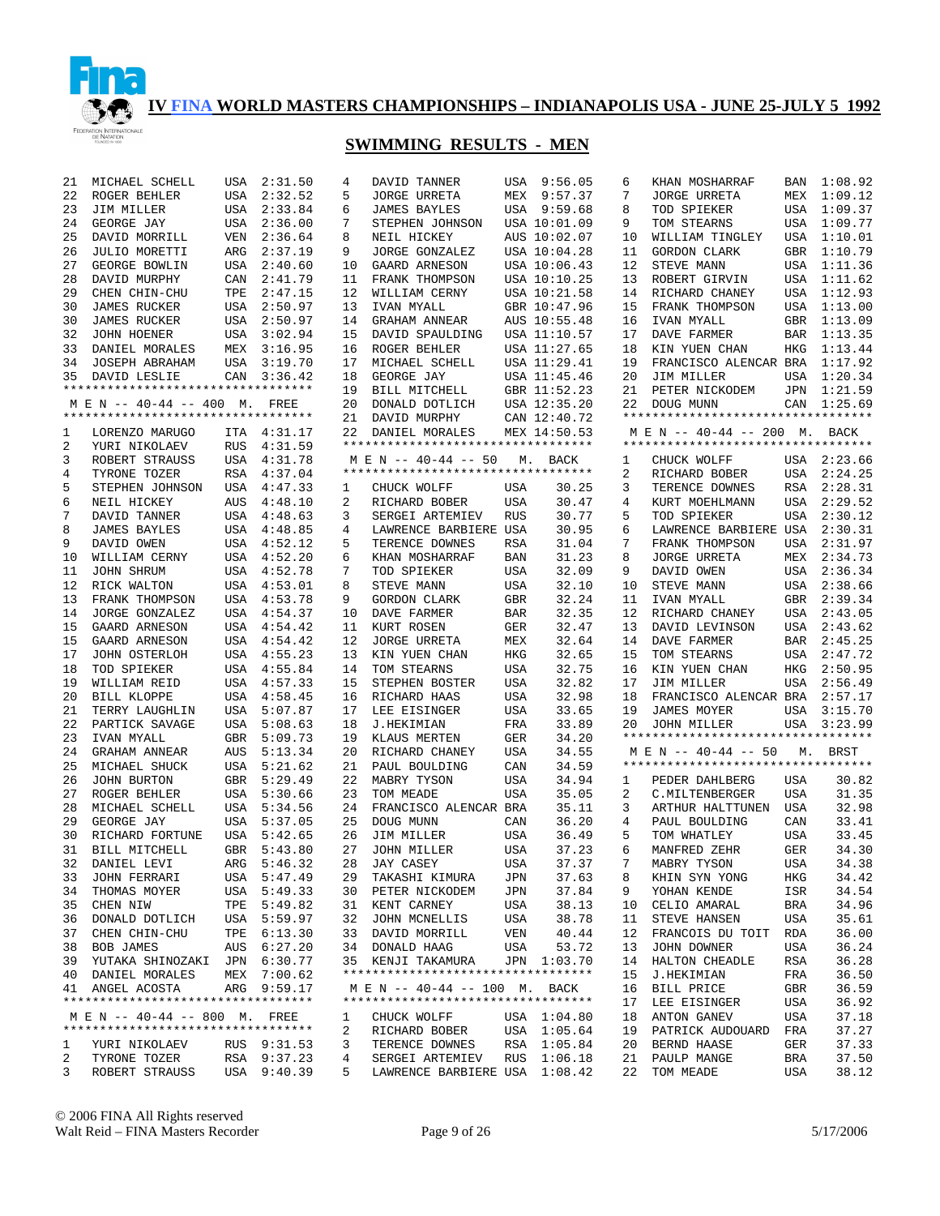

## **SWIMMING RESULTS - MEN**

| 21 | MICHAEL SCHELL                                        | USA        | 2:31.50     | 4  | DAVID TANNER                                                        |            | USA 9:56.05  | 6  | KHAN MOSHARRAF                                                 | BAN        | 1:08.92     |
|----|-------------------------------------------------------|------------|-------------|----|---------------------------------------------------------------------|------------|--------------|----|----------------------------------------------------------------|------------|-------------|
| 22 | ROGER BEHLER                                          | USA        | 2:32.52     | 5  | <b>JORGE URRETA</b>                                                 | MEX        | 9:57.37      | 7  | <b>JORGE URRETA</b>                                            | MEX        | 1:09.12     |
| 23 | JIM MILLER                                            | USA        | 2:33.84     | 6  | <b>JAMES BAYLES</b>                                                 |            | USA 9:59.68  | 8  | TOD SPIEKER                                                    | USA        | 1:09.37     |
| 24 | GEORGE JAY                                            | USA        | 2:36.00     | 7  | STEPHEN JOHNSON                                                     |            | USA 10:01.09 | 9  | TOM STEARNS                                                    | USA        | 1:09.77     |
| 25 | DAVID MORRILL                                         | <b>VEN</b> | 2:36.64     | 8  | NEIL HICKEY                                                         |            | AUS 10:02.07 | 10 | WILLIAM TINGLEY                                                | USA        | 1:10.01     |
| 26 | JULIO MORETTI                                         | ARG        | 2:37.19     | 9  | JORGE GONZALEZ                                                      |            | USA 10:04.28 | 11 | <b>GORDON CLARK</b>                                            | GBR        | 1:10.79     |
| 27 | GEORGE BOWLIN                                         | USA        | 2:40.60     | 10 | GAARD ARNESON                                                       |            | USA 10:06.43 | 12 | STEVE MANN                                                     | USA        | 1:11.36     |
| 28 | DAVID MURPHY                                          | CAN        | 2:41.79     | 11 | FRANK THOMPSON                                                      |            | USA 10:10.25 | 13 | ROBERT GIRVIN                                                  | USA        | 1:11.62     |
| 29 | CHEN CHIN-CHU                                         | TPE        | 2:47.15     | 12 | WILLIAM CERNY                                                       |            | USA 10:21.58 | 14 | RICHARD CHANEY                                                 | USA        | 1:12.93     |
| 30 | <b>JAMES RUCKER</b>                                   | USA        | 2:50.97     | 13 | IVAN MYALL                                                          |            | GBR 10:47.96 | 15 | FRANK THOMPSON                                                 | USA        | 1:13.00     |
| 30 | <b>JAMES RUCKER</b>                                   | USA        | 2:50.97     | 14 | GRAHAM ANNEAR                                                       |            | AUS 10:55.48 | 16 | IVAN MYALL                                                     | GBR        | 1:13.09     |
| 32 | <b>JOHN HOENER</b>                                    | USA        | 3:02.94     | 15 | DAVID SPAULDING                                                     |            | USA 11:10.57 | 17 | DAVE FARMER                                                    | BAR        | 1:13.35     |
| 33 | DANIEL MORALES                                        | MEX        | 3:16.95     | 16 | ROGER BEHLER                                                        |            | USA 11:27.65 | 18 | KIN YUEN CHAN                                                  | HKG        | 1:13.44     |
| 34 | JOSEPH ABRAHAM                                        | USA        | 3:19.70     | 17 | MICHAEL SCHELL                                                      |            | USA 11:29.41 | 19 | FRANCISCO ALENCAR BRA                                          |            | 1:17.92     |
| 35 | DAVID LESLIE                                          | CAN        | 3:36.42     | 18 | GEORGE JAY                                                          |            | USA 11:45.46 | 20 | JIM MILLER                                                     | USA        | 1:20.34     |
|    | **********************************                    |            |             | 19 | BILL MITCHELL                                                       |            | GBR 11:52.23 | 21 | PETER NICKODEM                                                 | JPN        | 1:21.59     |
|    | M E N -- 40-44 -- 400 M.                              |            | FREE        | 20 | DONALD DOTLICH                                                      |            | USA 12:35.20 | 22 | DOUG MUNN                                                      | CAN        | 1:25.69     |
|    | **********************************                    |            |             | 21 | DAVID MURPHY                                                        |            | CAN 12:40.72 |    | **********************************                             |            |             |
|    |                                                       |            |             |    |                                                                     |            |              |    |                                                                |            |             |
| 1  | LORENZO MARUGO                                        |            | ITA 4:31.17 | 22 | DANIEL MORALES<br>**********************************                |            | MEX 14:50.53 |    | M E N -- 40-44 -- 200 M.<br>********************************** |            | BACK        |
| 2  | YURI NIKOLAEV                                         | <b>RUS</b> | 4:31.59     |    |                                                                     |            |              |    |                                                                |            |             |
| 3  | ROBERT STRAUSS                                        | USA        | 4:31.78     |    | M E N -- 40-44 -- 50<br>*********************************           | М.         | BACK         | 1  | CHUCK WOLFF                                                    |            | USA 2:23.66 |
| 4  | TYRONE TOZER                                          | RSA        | 4:37.04     |    |                                                                     |            |              | 2  | RICHARD BOBER                                                  | USA        | 2:24.25     |
| 5  | STEPHEN JOHNSON                                       | USA        | 4:47.33     | 1  | CHUCK WOLFF                                                         | USA        | 30.25        | 3  | TERENCE DOWNES                                                 | <b>RSA</b> | 2:28.31     |
| 6  | NEIL HICKEY                                           | <b>AUS</b> | 4:48.10     | 2  | RICHARD BOBER                                                       | USA        | 30.47        | 4  | KURT MOEHLMANN                                                 | USA        | 2:29.52     |
| 7  | DAVID TANNER                                          | USA        | 4:48.63     | 3  | SERGEI ARTEMIEV                                                     | <b>RUS</b> | 30.77        | 5  | TOD SPIEKER                                                    | USA        | 2:30.12     |
| 8  | <b>JAMES BAYLES</b>                                   | USA        | 4:48.85     | 4  | LAWRENCE BARBIERE USA                                               |            | 30.95        | 6  | LAWRENCE BARBIERE USA                                          |            | 2:30.31     |
| 9  | DAVID OWEN                                            | USA        | 4:52.12     | 5  | TERENCE DOWNES                                                      | <b>RSA</b> | 31.04        | 7  | FRANK THOMPSON                                                 | USA        | 2:31.97     |
| 10 | WILLIAM CERNY                                         |            | USA 4:52.20 | 6  | KHAN MOSHARRAF                                                      | BAN        | 31.23        | 8  | <b>JORGE URRETA</b>                                            | MEX        | 2:34.73     |
| 11 | JOHN SHRUM                                            |            | USA 4:52.78 | 7  | TOD SPIEKER                                                         | USA        | 32.09        | 9  | DAVID OWEN                                                     | USA        | 2:36.34     |
| 12 | RICK WALTON                                           |            | USA 4:53.01 | 8  | STEVE MANN                                                          | USA        | 32.10        | 10 | STEVE MANN                                                     | USA        | 2:38.66     |
| 13 | FRANK THOMPSON                                        |            | USA 4:53.78 | 9  | GORDON CLARK                                                        | GBR        | 32.24        | 11 | IVAN MYALL                                                     | GBR        | 2:39.34     |
| 14 | <b>JORGE GONZALEZ</b>                                 |            | USA 4:54.37 | 10 | DAVE FARMER                                                         | <b>BAR</b> | 32.35        | 12 | RICHARD CHANEY                                                 | USA        | 2:43.05     |
| 15 | GAARD ARNESON                                         |            | USA 4:54.42 | 11 | KURT ROSEN                                                          | GER        | 32.47        | 13 | DAVID LEVINSON                                                 | USA        | 2:43.62     |
| 15 | GAARD ARNESON                                         |            | USA 4:54.42 | 12 | <b>JORGE URRETA</b>                                                 | MEX        | 32.64        | 14 | DAVE FARMER                                                    | BAR        | 2:45.25     |
| 17 | JOHN OSTERLOH                                         |            | USA 4:55.23 | 13 | KIN YUEN CHAN                                                       | HKG        | 32.65        | 15 | TOM STEARNS                                                    | USA        | 2:47.72     |
| 18 | TOD SPIEKER                                           |            | USA 4:55.84 | 14 | TOM STEARNS                                                         | USA        | 32.75        | 16 | KIN YUEN CHAN                                                  | HKG        | 2:50.95     |
| 19 | WILLIAM REID                                          |            | USA 4:57.33 | 15 | STEPHEN BOSTER                                                      | USA        | 32.82        | 17 | JIM MILLER                                                     | USA        | 2:56.49     |
| 20 | BILL KLOPPE                                           | USA        | 4:58.45     | 16 | RICHARD HAAS                                                        | USA        | 32.98        | 18 | FRANCISCO ALENCAR BRA                                          |            | 2:57.17     |
| 21 | TERRY LAUGHLIN                                        | USA        | 5:07.87     | 17 | LEE EISINGER                                                        | USA        | 33.65        | 19 | JAMES MOYER                                                    | USA        | 3:15.70     |
| 22 | PARTICK SAVAGE                                        |            | USA 5:08.63 | 18 | <b>J.HEKIMIAN</b>                                                   | FRA        | 33.89        | 20 | JOHN MILLER                                                    | USA        | 3:23.99     |
| 23 | IVAN MYALL                                            | GBR        | 5:09.73     | 19 | KLAUS MERTEN                                                        | GER        | 34.20        |    | **********************************                             |            |             |
| 24 | <b>GRAHAM ANNEAR</b>                                  | AUS        | 5:13.34     | 20 | RICHARD CHANEY                                                      | USA        | 34.55        |    | M E N -- 40-44 -- 50                                           |            | M. BRST     |
| 25 | MICHAEL SHUCK                                         | USA        | 5:21.62     | 21 | PAUL BOULDING                                                       | CAN        | 34.59        |    | *********************************                              |            |             |
| 26 | <b>JOHN BURTON</b>                                    |            | GBR 5:29.49 | 22 | MABRY TYSON                                                         | USA        | 34.94        | 1  | PEDER DAHLBERG                                                 | USA        | 30.82       |
| 27 | ROGER BEHLER                                          | USA        | 5:30.66     | 23 | TOM MEADE                                                           | USA        | 35.05        | 2  | C. MILTENBERGER                                                | <b>USA</b> | 31.35       |
| 28 | MICHAEL SCHELL                                        | USA        | 5:34.56     | 24 | FRANCISCO ALENCAR BRA                                               |            | 35.11        | 3  | ARTHUR HALTTUNEN                                               | USA        | 32.98       |
| 29 | GEORGE JAY                                            | USA        | 5:37.05     | 25 | DOUG MUNN                                                           | CAN        | 36.20        | 4  | PAUL BOULDING                                                  | CAN        | 33.41       |
| 30 | RICHARD FORTUNE                                       | USA        | 5:42.65     | 26 | JIM MILLER                                                          | USA        | 36.49        | 5  | TOM WHATLEY                                                    | <b>USA</b> | 33.45       |
| 31 | BILL MITCHELL                                         |            | GBR 5:43.80 | 27 | JOHN MILLER                                                         | USA        | 37.23        | 6  | MANFRED ZEHR                                                   | <b>GER</b> | 34.30       |
|    | 32 DANIEL LEVI                                        |            | ARG 5:46.32 |    | 28 JAY CASEY                                                        | USA        | 37.37        | 7  | MABRY TYSON                                                    | USA        | 34.38       |
| 33 | JOHN FERRARI                                          |            | USA 5:47.49 | 29 | TAKASHI KIMURA                                                      | JPN        | 37.63        | 8  | KHIN SYN YONG                                                  | HKG        | 34.42       |
| 34 | THOMAS MOYER                                          |            | USA 5:49.33 |    | 30 PETER NICKODEM                                                   | JPN        | 37.84        | 9  | YOHAN KENDE                                                    | ISR        | 34.54       |
|    |                                                       |            |             |    |                                                                     |            | 38.13        |    |                                                                |            |             |
| 35 | CHEN NIW                                              |            | TPE 5:49.82 |    | 31 KENT CARNEY                                                      | USA        |              | 10 | CELIO AMARAL                                                   | BRA        | 34.96       |
| 36 | DONALD DOTLICH                                        |            | USA 5:59.97 | 32 | JOHN MCNELLIS                                                       | USA        | 38.78        | 11 | STEVE HANSEN                                                   | USA        | 35.61       |
| 37 | CHEN CHIN-CHU                                         |            | TPE 6:13.30 | 33 | DAVID MORRILL                                                       | VEN        | 40.44        | 12 | FRANCOIS DU TOIT                                               | RDA        | 36.00       |
| 38 | BOB JAMES                                             |            | AUS 6:27.20 |    | 34 DONALD HAAG                                                      | USA        | 53.72        | 13 | JOHN DOWNER                                                    | USA        | 36.24       |
|    | 39 YUTAKA SHINOZAKI JPN 6:30.77                       |            |             |    | 35 KENJI TAKAMURA                                                   |            | JPN 1:03.70  | 14 | HALTON CHEADLE                                                 | RSA        | 36.28       |
|    | 40 DANIEL MORALES                                     |            | MEX 7:00.62 |    | **********************************                                  |            |              | 15 | J.HEKIMIAN                                                     | FRA        | 36.50       |
|    | 41 ANGEL ACOSTA<br>********************************** |            | ARG 9:59.17 |    | M E N -- 40-44 -- 100 M. BACK<br>********************************** |            |              | 16 | BILL PRICE                                                     | GBR        | 36.59       |
|    |                                                       |            |             |    |                                                                     |            |              | 17 | LEE EISINGER                                                   | USA        | 36.92       |
|    | M E N -- 40-44 -- 800 M. FREE                         |            |             | 1  | CHUCK WOLFF                                                         |            | USA 1:04.80  | 18 | ANTON GANEV                                                    | USA        | 37.18       |
|    | **********************************                    |            |             | 2  | RICHARD BOBER                                                       |            | USA 1:05.64  | 19 | PATRICK AUDOUARD                                               | FRA        | 37.27       |
| ı. | YURI NIKOLAEV                                         |            | RUS 9:31.53 | 3  | TERENCE DOWNES                                                      |            | RSA 1:05.84  | 20 | BERND HAASE                                                    | GER        | 37.33       |
| 2  | TYRONE TOZER                                          |            | RSA 9:37.23 | 4  | SERGEI ARTEMIEV                                                     | RUS        | 1:06.18      | 21 | PAULP MANGE                                                    | BRA        | 37.50       |
| 3  | ROBERT STRAUSS                                        |            | USA 9:40.39 | 5  | LAWRENCE BARBIERE USA 1:08.42                                       |            |              | 22 | TOM MEADE                                                      | USA        | 38.12       |

© 2006 FINA All Rights reserved Walt Reid – FINA Masters Recorder Page 9 of 26 5/17/2006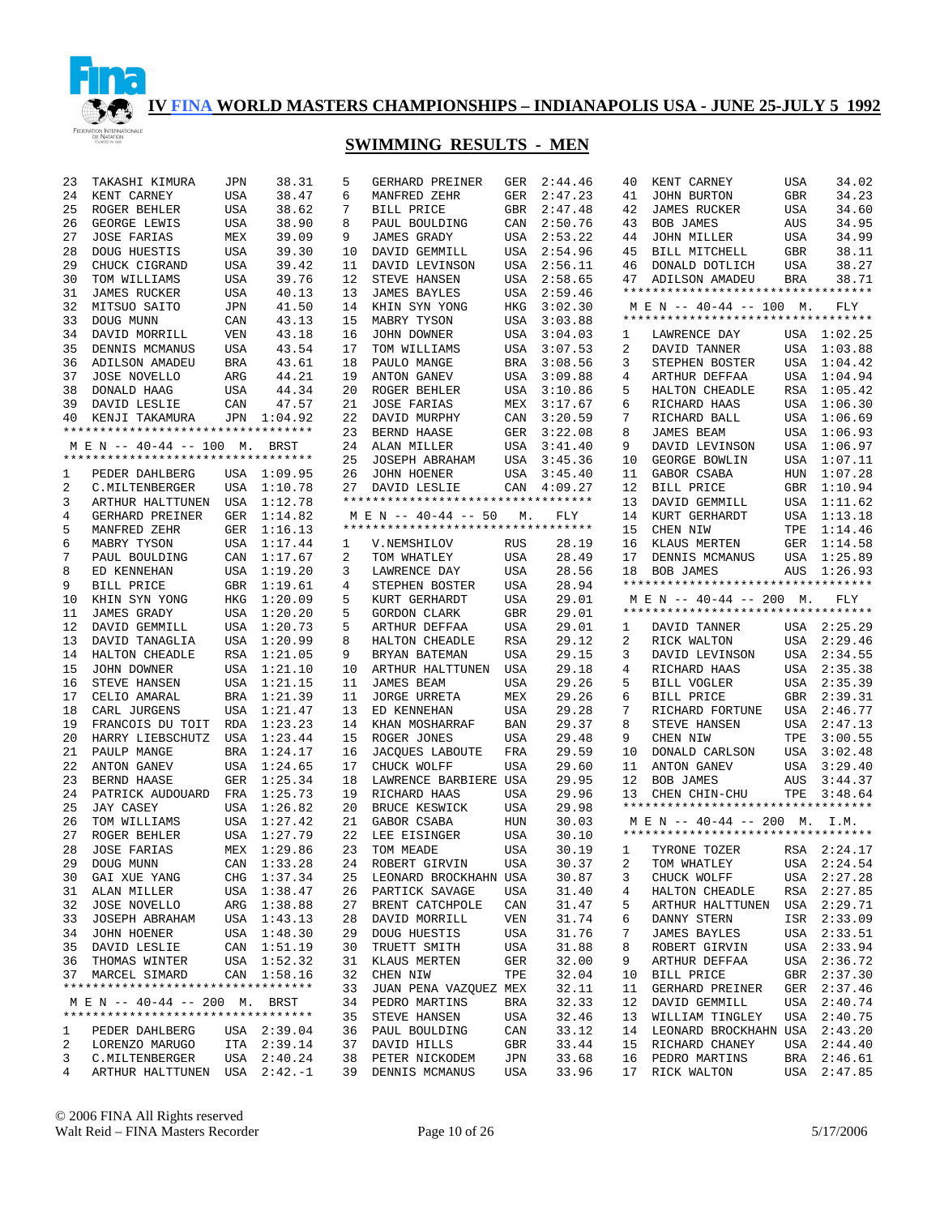

| 23 | TAKASHI KIMURA                        | JPN        | 38.31                  | 5      | GERHARD PREINER                    | GER | 2:44.46 | 40 | KENT CARNEY                                                    | USA        | 34.02       |
|----|---------------------------------------|------------|------------------------|--------|------------------------------------|-----|---------|----|----------------------------------------------------------------|------------|-------------|
| 24 | KENT CARNEY                           | <b>USA</b> | 38.47                  | 6      | MANFRED ZEHR                       | GER | 2:47.23 | 41 | JOHN BURTON                                                    | GBR        | 34.23       |
| 25 | ROGER BEHLER                          | USA        | 38.62                  | 7      | BILL PRICE                         | GBR | 2:47.48 | 42 | <b>JAMES RUCKER</b>                                            | <b>USA</b> | 34.60       |
| 26 | GEORGE LEWIS                          | USA        | 38.90                  | 8      | PAUL BOULDING                      | CAN | 2:50.76 | 43 | BOB JAMES                                                      | AUS        | 34.95       |
| 27 | <b>JOSE FARIAS</b>                    | MEX        | 39.09                  | 9      | <b>JAMES GRADY</b>                 | USA | 2:53.22 | 44 | JOHN MILLER                                                    | USA        | 34.99       |
| 28 | DOUG HUESTIS                          | USA        | 39.30                  | 10     | DAVID GEMMILL                      | USA | 2:54.96 | 45 | BILL MITCHELL                                                  | <b>GBR</b> | 38.11       |
| 29 | CHUCK CIGRAND                         | USA        | 39.42                  | 11     | DAVID LEVINSON                     | USA | 2:56.11 | 46 | DONALD DOTLICH                                                 | USA        | 38.27       |
| 30 | TOM WILLIAMS                          | USA        | 39.76                  | 12     | STEVE HANSEN                       | USA | 2:58.65 | 47 | ADILSON AMADEU                                                 | BRA        | 38.71       |
| 31 | <b>JAMES RUCKER</b>                   | USA        | 40.13                  | 13     | <b>JAMES BAYLES</b>                | USA | 2:59.46 |    | **********************************                             |            |             |
| 32 | MITSUO SAITO                          | JPN        | 41.50                  | 14     | KHIN SYN YONG                      | HKG | 3:02.30 |    | $M \to N$ -- 40-44 -- 100 M.                                   |            | FLY         |
| 33 | DOUG MUNN                             | CAN        | 43.13                  | 15     | MABRY TYSON                        | USA | 3:03.88 |    | **********************************                             |            |             |
| 34 | DAVID MORRILL                         | VEN        | 43.18                  | 16     | JOHN DOWNER                        | USA | 3:04.03 | 1  | LAWRENCE DAY                                                   |            | USA 1:02.25 |
| 35 | DENNIS MCMANUS                        | <b>USA</b> | 43.54                  | 17     | TOM WILLIAMS                       | USA | 3:07.53 | 2  | DAVID TANNER                                                   | USA        | 1:03.88     |
| 36 | ADILSON AMADEU                        | BRA        | 43.61                  | 18     | PAULO MANGE                        | BRA | 3:08.56 | 3  | STEPHEN BOSTER                                                 | USA        | 1:04.42     |
| 37 | JOSE NOVELLO                          | ARG        | 44.21                  | 19     | ANTON GANEV                        | USA | 3:09.88 | 4  | ARTHUR DEFFAA                                                  | USA        | 1:04.94     |
| 38 | DONALD HAAG                           | <b>USA</b> | 44.34                  | 20     | ROGER BEHLER                       | USA | 3:10.86 | 5  | HALTON CHEADLE                                                 | RSA        | 1:05.42     |
| 39 | DAVID LESLIE                          | CAN        | 47.57                  | 21     | <b>JOSE FARIAS</b>                 | MEX | 3:17.67 | 6  | RICHARD HAAS                                                   | USA        | 1:06.30     |
| 40 | KENJI TAKAMURA                        | JPN        | 1:04.92                | 22     | DAVID MURPHY                       | CAN | 3:20.59 | 7  | RICHARD BALL                                                   | USA        | 1:06.69     |
|    | **********************************    |            |                        | 23     | BERND HAASE                        | GER | 3:22.08 | 8  | <b>JAMES BEAM</b>                                              | USA        | 1:06.93     |
|    | M E N -- 40-44 -- 100 M.              |            | BRST                   | 24     | ALAN MILLER                        | USA | 3:41.40 | 9  | DAVID LEVINSON                                                 | USA        | 1:06.97     |
|    | **********************************    |            |                        | 25     | JOSEPH ABRAHAM                     | USA | 3:45.36 | 10 | GEORGE BOWLIN                                                  | USA        | 1:07.11     |
| 1  | PEDER DAHLBERG                        |            | USA 1:09.95            | 26     | <b>JOHN HOENER</b>                 | USA | 3:45.40 | 11 | GABOR CSABA                                                    | HUN        | 1:07.28     |
| 2  | C.MILTENBERGER                        | USA        | 1:10.78                | 27     | DAVID LESLIE                       | CAN | 4:09.27 | 12 | BILL PRICE                                                     | GBR        | 1:10.94     |
| 3  | ARTHUR HALTTUNEN                      | USA        | 1:12.78                |        | ********************************** |     |         | 13 | DAVID GEMMILL                                                  | USA        | 1:11.62     |
| 4  | GERHARD PREINER                       | GER        | 1:14.82                |        | M E N -- 40-44 -- 50               | М.  | FLY     | 14 | KURT GERHARDT                                                  | USA        | 1:13.18     |
| 5  |                                       | GER        | 1:16.13                |        | ********************************** |     |         | 15 | CHEN NIW                                                       | TPE        | 1:14.46     |
| 6  | MANFRED ZEHR<br>MABRY TYSON           |            |                        |        |                                    | RUS | 28.19   | 16 | KLAUS MERTEN                                                   | GER        | 1:14.58     |
| 7  | PAUL BOULDING                         | USA<br>CAN | 1:17.44<br>1:17.67     | 1<br>2 | V.NEMSHILOV                        | USA | 28.49   | 17 |                                                                |            | 1:25.89     |
| 8  | ED KENNEHAN                           |            | USA 1:19.20            | 3      | TOM WHATLEY<br>LAWRENCE DAY        | USA | 28.56   | 18 | DENNIS MCMANUS                                                 | USA<br>AUS | 1:26.93     |
|    |                                       |            |                        |        |                                    |     |         |    | BOB JAMES<br>**********************************                |            |             |
| 9  | BILL PRICE                            | GBR        | 1:19.61                | 4      | STEPHEN BOSTER<br>KURT GERHARDT    | USA | 28.94   |    |                                                                |            |             |
| 10 | KHIN SYN YONG                         | HKG        | 1:20.09<br>USA 1:20.20 | 5      |                                    | USA | 29.01   |    | M E N -- 40-44 -- 200 M.<br>********************************** |            | FLY         |
| 11 | <b>JAMES GRADY</b>                    |            |                        | 5      | GORDON CLARK                       | GBR | 29.01   |    |                                                                |            |             |
| 12 | DAVID GEMMILL                         |            | USA 1:20.73            | 5      | ARTHUR DEFFAA                      | USA | 29.01   | 1  | DAVID TANNER                                                   |            | USA 2:25.29 |
| 13 | DAVID TANAGLIA                        |            | USA 1:20.99            | 8      | HALTON CHEADLE                     | RSA | 29.12   | 2  | RICK WALTON                                                    |            | USA 2:29.46 |
| 14 | HALTON CHEADLE                        |            | RSA 1:21.05            | 9      | BRYAN BATEMAN                      | USA | 29.15   | 3  | DAVID LEVINSON                                                 | USA        | 2:34.55     |
| 15 | JOHN DOWNER                           | USA        | 1:21.10                | 10     | ARTHUR HALTTUNEN                   | USA | 29.18   | 4  | RICHARD HAAS                                                   | USA        | 2:35.38     |
| 16 | STEVE HANSEN                          | USA        | 1:21.15                | 11     | JAMES BEAM                         | USA | 29.26   | 5  | BILL VOGLER                                                    | USA        | 2:35.39     |
| 17 | CELIO AMARAL                          | <b>BRA</b> | 1:21.39                | 11     | <b>JORGE URRETA</b>                | MEX | 29.26   | 6  | BILL PRICE                                                     | GBR        | 2:39.31     |
| 18 | CARL JURGENS                          | <b>USA</b> | 1:21.47                | 13     | ED KENNEHAN                        | USA | 29.28   | 7  | RICHARD FORTUNE                                                | USA        | 2:46.77     |
| 19 | FRANCOIS DU TOIT                      | <b>RDA</b> | 1:23.23                | 14     | KHAN MOSHARRAF                     | BAN | 29.37   | 8  | STEVE HANSEN                                                   | USA        | 2:47.13     |
| 20 | HARRY LIEBSCHUTZ                      | <b>USA</b> | 1:23.44                | 15     | ROGER JONES                        | USA | 29.48   | 9  | CHEN NIW                                                       | TPE        | 3:00.55     |
| 21 | PAULP MANGE                           | <b>BRA</b> | 1:24.17                | 16     | JACQUES LABOUTE                    | FRA | 29.59   | 10 | DONALD CARLSON                                                 | USA        | 3:02.48     |
| 22 | <b>ANTON GANEV</b>                    | USA        | 1:24.65                | 17     | CHUCK WOLFF                        | USA | 29.60   | 11 | ANTON GANEV                                                    | USA        | 3:29.40     |
| 23 | BERND HAASE                           | GER        | 1:25.34                | 18     | LAWRENCE BARBIERE USA              |     | 29.95   | 12 | <b>BOB JAMES</b>                                               | AUS        | 3:44.37     |
| 24 | PATRICK AUDOUARD                      | FRA        | 1:25.73                | 19     | RICHARD HAAS                       | USA | 29.96   | 13 | CHEN CHIN-CHU                                                  | TPE        | 3:48.64     |
| 25 | <b>JAY CASEY</b>                      | USA        | 1:26.82                | 20     | BRUCE KESWICK                      | USA | 29.98   |    | **********************************                             |            |             |
| 26 | TOM WILLIAMS                          | USA        | 1:27.42                | 21     | GABOR CSABA                        | HUN | 30.03   |    | M E N -- 40-44 -- 200 M. I.M.                                  |            |             |
| 27 | ROGER BEHLER                          | USA        | 1:27.79                | 22     | LEE EISINGER                       | USA | 30.10   |    | **********************************                             |            |             |
| 28 | <b>JOSE FARIAS</b>                    |            | MEX 1:29.86            | 23     | TOM MEADE                          | USA | 30.19   | 1  | TYRONE TOZER                                                   |            | RSA 2:24.17 |
| 29 | $\operatorname{\text{\rm DOUG}}$ MUNN |            | CAN 1:33.28            |        | 24 ROBERT GIRVIN                   | USA | 30.37   | 2  | TOM WHATLEY                                                    |            | USA 2:24.54 |
| 30 | GAI XUE YANG                          |            | CHG 1:37.34            | 25     | LEONARD BROCKHAHN USA              |     | 30.87   | 3  | CHUCK WOLFF                                                    |            | USA 2:27.28 |
| 31 | ALAN MILLER                           |            | USA 1:38.47            | 26     | PARTICK SAVAGE                     | USA | 31.40   | 4  | HALTON CHEADLE                                                 |            | RSA 2:27.85 |
| 32 | <b>JOSE NOVELLO</b>                   |            | ARG 1:38.88            | 27     | BRENT CATCHPOLE                    | CAN | 31.47   | 5  | ARTHUR HALTTUNEN                                               |            | USA 2:29.71 |
| 33 | JOSEPH ABRAHAM                        |            | USA 1:43.13            | 28     | DAVID MORRILL                      | VEN | 31.74   | 6  | DANNY STERN                                                    |            | ISR 2:33.09 |
| 34 | JOHN HOENER                           |            | USA 1:48.30            | 29     | DOUG HUESTIS                       | USA | 31.76   | 7  | <b>JAMES BAYLES</b>                                            |            | USA 2:33.51 |
| 35 | DAVID LESLIE                          |            | CAN 1:51.19            | 30     | TRUETT SMITH                       | USA | 31.88   | 8  | ROBERT GIRVIN                                                  |            | USA 2:33.94 |
| 36 | THOMAS WINTER                         |            | USA 1:52.32            | 31     | KLAUS MERTEN                       | GER | 32.00   | 9  | ARTHUR DEFFAA                                                  |            | USA 2:36.72 |
| 37 | MARCEL SIMARD                         | CAN        | 1:58.16                | 32     | CHEN NIW                           | TPE | 32.04   | 10 | BILL PRICE                                                     | GBR        | 2:37.30     |
|    | **********************************    |            |                        | 33     | JUAN PENA VAZQUEZ MEX              |     | 32.11   | 11 | <b>GERHARD PREINER</b>                                         |            | GER 2:37.46 |
|    | M E N -- 40-44 -- 200 M. BRST         |            |                        | 34     | PEDRO MARTINS                      | BRA | 32.33   | 12 | DAVID GEMMILL                                                  |            | USA 2:40.74 |
|    | **********************************    |            |                        | 35     | STEVE HANSEN                       | USA | 32.46   | 13 | WILLIAM TINGLEY                                                | USA        | 2:40.75     |
|    |                                       |            |                        |        |                                    |     |         |    |                                                                |            |             |
| 1  | PEDER DAHLBERG                        |            | USA 2:39.04            | 36     | PAUL BOULDING                      | CAN | 33.12   | 14 | LEONARD BROCKHAHN USA                                          |            | 2:43.20     |
| 2  | LORENZO MARUGO                        |            | ITA 2:39.14            | 37     | DAVID HILLS                        | GBR | 33.44   | 15 | RICHARD CHANEY                                                 |            | USA 2:44.40 |
| 3  | C.MILTENBERGER                        | USA        | 2:40.24                | 38     | PETER NICKODEM                     | JPN | 33.68   | 16 | PEDRO MARTINS                                                  | BRA        | 2:46.61     |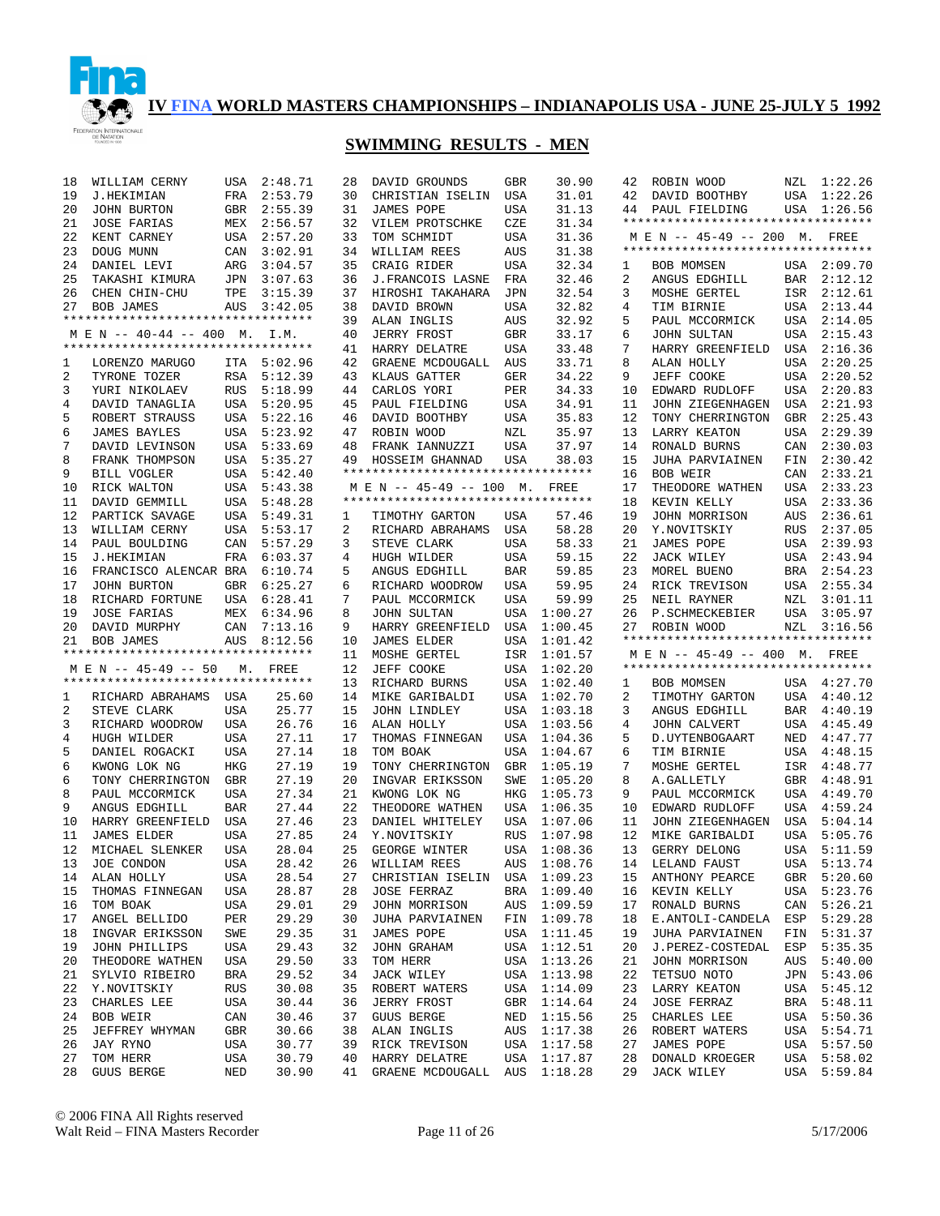

| 18 | WILLIAM CERNY                      | USA        | 2:48.71 | 28 | DAVID GROUNDS                      | GBR        | 30.90   |
|----|------------------------------------|------------|---------|----|------------------------------------|------------|---------|
| 19 | <b>J.HEKIMIAN</b>                  | FRA        | 2:53.79 | 30 | CHRISTIAN ISELIN                   | USA        | 31.01   |
| 20 | JOHN BURTON                        | GBR        | 2:55.39 | 31 | JAMES POPE                         | USA        | 31.13   |
|    |                                    |            |         |    |                                    |            |         |
| 21 | <b>JOSE FARIAS</b>                 | MEX        | 2:56.57 | 32 | VILEM PROTSCHKE                    | CZE        | 31.34   |
| 22 | KENT CARNEY                        | USA        | 2:57.20 | 33 | TOM SCHMIDT                        | USA        | 31.36   |
| 23 | DOUG MUNN                          | CAN        | 3:02.91 | 34 | WILLIAM REES                       | AUS        | 31.38   |
| 24 | DANIEL LEVI                        | ARG        | 3:04.57 | 35 | CRAIG RIDER                        | <b>USA</b> | 32.34   |
| 25 | TAKASHI KIMURA                     | JPN        | 3:07.63 | 36 | J.FRANCOIS LASNE                   | FRA        | 32.46   |
| 26 | CHEN CHIN-CHU                      | TPE        | 3:15.39 | 37 | HIROSHI TAKAHARA                   | JPN        | 32.54   |
| 27 |                                    |            |         | 38 |                                    |            | 32.82   |
|    | <b>BOB JAMES</b>                   | AUS        | 3:42.05 |    | DAVID BROWN                        | USA        |         |
|    | *********************************  |            |         | 39 | ALAN INGLIS                        | AUS        | 32.92   |
|    | M E N -- 40-44 -- 400 M.           |            | I.M.    | 40 | <b>JERRY FROST</b>                 | <b>GBR</b> | 33.17   |
|    | ********************************** |            |         | 41 | HARRY DELATRE                      | USA        | 33.48   |
| 1  | LORENZO MARUGO                     | ITA        | 5:02.96 | 42 | GRAENE MCDOUGALL                   | AUS        | 33.71   |
| 2  | TYRONE TOZER                       | RSA        | 5:12.39 | 43 | KLAUS GATTER                       | GER        | 34.22   |
| 3  |                                    | RUS        | 5:18.99 | 44 | CARLOS YORI                        | PER        | 34.33   |
|    | YURI NIKOLAEV                      |            |         |    |                                    |            |         |
| 4  | DAVID TANAGLIA                     | USA        | 5:20.95 | 45 | PAUL FIELDING                      | USA        | 34.91   |
| 5  | ROBERT STRAUSS                     | USA        | 5:22.16 | 46 | DAVID BOOTHBY                      | USA        | 35.83   |
| 6  | <b>JAMES BAYLES</b>                | USA        | 5:23.92 | 47 | ROBIN WOOD                         | NZL        | 35.97   |
| 7  | DAVID LEVINSON                     | USA        | 5:33.69 | 48 | FRANK IANNUZZI                     | USA        | 37.97   |
| 8  | FRANK THOMPSON                     | USA        | 5:35.27 | 49 | HOSSEIM GHANNAD                    | USA        | 38.03   |
| 9  | BILL VOGLER                        | USA        | 5:42.40 |    | ********************************** |            |         |
|    |                                    |            |         |    |                                    |            |         |
| 10 | RICK WALTON                        | USA        | 5:43.38 |    | M E N -- 45-49 -- 100              | М.         | FREE    |
| 11 | DAVID GEMMILL                      | USA        | 5:48.28 |    | *********************************  |            |         |
| 12 | PARTICK SAVAGE                     | USA        | 5:49.31 | 1  | TIMOTHY GARTON                     | USA        | 57.46   |
| 13 | WILLIAM CERNY                      | USA        | 5:53.17 | 2  | RICHARD ABRAHAMS                   | USA        | 58.28   |
| 14 | PAUL BOULDING                      | CAN        | 5:57.29 | 3  | STEVE CLARK                        | USA        | 58.33   |
| 15 | <b>J.HEKIMIAN</b>                  | FRA        | 6:03.37 | 4  | HUGH WILDER                        | USA        | 59.15   |
|    |                                    |            |         |    |                                    |            |         |
| 16 | FRANCISCO ALENCAR BRA              |            | 6:10.74 | 5  | ANGUS EDGHILL                      | BAR        | 59.85   |
| 17 | <b>JOHN BURTON</b>                 | GBR        | 6:25.27 | 6  | RICHARD WOODROW                    | USA        | 59.95   |
| 18 | RICHARD FORTUNE                    | USA        | 6:28.41 | 7  | PAUL MCCORMICK                     | USA        | 59.99   |
| 19 | <b>JOSE FARIAS</b>                 | MEX        | 6:34.96 | 8  | <b>JOHN SULTAN</b>                 | USA        | 1:00.27 |
| 20 | DAVID MURPHY                       | CAN        | 7:13.16 | 9  | HARRY GREENFIELD                   | USA        | 1:00.45 |
| 21 | <b>BOB JAMES</b>                   | AUS        | 8:12.56 | 10 | <b>JAMES ELDER</b>                 | USA        | 1:01.42 |
|    | *********************************  |            |         |    |                                    |            |         |
|    |                                    |            |         | 11 | MOSHE GERTEL                       | ISR        | 1:01.57 |
|    | M E N -- 45-49 -- 50               | М.         | FREE    | 12 | JEFF COOKE                         | USA        | 1:02.20 |
|    | ********************************** |            |         | 13 | RICHARD BURNS                      | USA        | 1:02.40 |
| 1  | RICHARD ABRAHAMS                   | USA        | 25.60   | 14 | MIKE GARIBALDI                     | USA        | 1:02.70 |
| 2  | STEVE CLARK                        | USA        | 25.77   | 15 | JOHN LINDLEY                       | USA        | 1:03.18 |
| 3  | RICHARD WOODROW                    | USA        | 26.76   | 16 | ALAN HOLLY                         | USA        | 1:03.56 |
| 4  | HUGH WILDER                        | USA        | 27.11   | 17 | THOMAS FINNEGAN                    | USA        | 1:04.36 |
|    |                                    |            |         |    |                                    |            |         |
| 5  | DANIEL ROGACKI                     | USA        | 27.14   | 18 | TOM BOAK                           | USA        | 1:04.67 |
| 6  | KWONG LOK NG                       | HKG        | 27.19   | 19 | TONY CHERRINGTON                   | GBR        | 1:05.19 |
| 6  | TONY CHERRINGTON                   | GBR        | 27.19   | 20 | INGVAR ERIKSSON                    | SWE        | 1:05.20 |
| 8  | PAUL MCCORMICK                     | USA        | 27.34   | 21 | KWONG LOK NG                       | HKG        | 1:05.73 |
| 9  | ANGUS EDGHILL                      | BAR        | 27.44   | 22 | THEODORE WATHEN                    | USA        | 1:06.35 |
| 10 | HARRY GREENFIELD                   | USA        | 27.46   | 23 | DANIEL WHITELEY                    | USA        | 1:07.06 |
|    |                                    |            |         |    |                                    |            |         |
| 11 | <b>JAMES ELDER</b>                 | USA        | 27.85   | 24 | Y.NOVITSKIY                        | RUS        | 1:07.98 |
| 12 | MICHAEL SLENKER                    | USA        | 28.04   | 25 | GEORGE WINTER                      | USA        | 1:08.36 |
| 13 | JOE CONDON                         | USA        | 28.42   | 26 | WILLIAM REES                       | AUS        | 1:08.76 |
| 14 | ALAN HOLLY                         | USA        | 28.54   | 27 | CHRISTIAN ISELIN                   | USA        | 1:09.23 |
| 15 | THOMAS FINNEGAN                    | USA        | 28.87   | 28 | <b>JOSE FERRAZ</b>                 | BRA        | 1:09.40 |
| 16 | TOM BOAK                           | USA        | 29.01   | 29 | JOHN MORRISON                      | AUS        | 1:09.59 |
|    |                                    |            |         |    |                                    |            |         |
| 17 |                                    |            |         |    |                                    |            |         |
| 18 | ANGEL BELLIDO                      | PER        | 29.29   | 30 | JUHA PARVIAINEN                    | FIN        | 1:09.78 |
|    | INGVAR ERIKSSON                    | SWE        | 29.35   | 31 | JAMES POPE                         | USA        | 1:11.45 |
| 19 | JOHN PHILLIPS                      | <b>USA</b> | 29.43   | 32 | JOHN GRAHAM                        | USA        | 1:12.51 |
| 20 | THEODORE WATHEN                    | USA        | 29.50   | 33 | TOM HERR                           | USA        |         |
|    |                                    |            |         |    |                                    |            | 1:13.26 |
| 21 | SYLVIO RIBEIRO                     | BRA        | 29.52   | 34 | JACK WILEY                         | USA        | 1:13.98 |
| 22 | Y.NOVITSKIY                        | RUS        | 30.08   | 35 | ROBERT WATERS                      | USA        | 1:14.09 |
| 23 | CHARLES LEE                        | USA        | 30.44   | 36 | JERRY FROST                        | GBR        | 1:14.64 |
| 24 | BOB WEIR                           | CAN        | 30.46   | 37 | <b>GUUS BERGE</b>                  | NED        | 1:15.56 |
| 25 | JEFFREY WHYMAN                     | GBR        | 30.66   | 38 | ALAN INGLIS                        | AUS        | 1:17.38 |
| 26 | JAY RYNO                           | USA        | 30.77   | 39 | RICK TREVISON                      | USA        | 1:17.58 |
| 27 | TOM HERR                           | USA        | 30.79   | 40 | HARRY DELATRE                      | USA        | 1:17.87 |
| 28 | GUUS BERGE                         | NED        | 30.90   | 41 | GRAENE MCDOUGALL                   | AUS        | 1:18.28 |

|              | 42 ROBIN WOOD                      |            | NZL 1:22.26 |
|--------------|------------------------------------|------------|-------------|
| 42           | DAVID BOOTHBY                      | USA        | 1:22.26     |
| 44           | PAUL FIELDING                      | USA        | 1:26.56     |
|              | ********************************** |            |             |
|              | M E N -- 45-49 -- 200 M. FREE      |            |             |
|              | ********************************** |            |             |
| 1            | BOB MOMSEN                         | USA        | 2:09.70     |
|              |                                    |            | 2:12.12     |
| 2            | ANGUS EDGHILL                      | BAR        |             |
| 3            | MOSHE GERTEL                       | ISR        | 2:12.61     |
| 4            | TIM BIRNIE                         | USA        | 2:13.44     |
| 5            | PAUL MCCORMICK                     | USA        | 2:14.05     |
| 6            | JOHN SULTAN                        | USA        | 2:15.43     |
| 7            | HARRY GREENFIELD                   | USA        | 2:16.36     |
| 8            | ALAN HOLLY                         | USA        | 2:20.25     |
| 9            | JEFF COOKE                         | USA        | 2:20.52     |
| 10           | EDWARD RUDLOFF                     | USA        | 2:20.83     |
| 11           | JOHN ZIEGENHAGEN                   | USA        | 2:21.93     |
| 12           | TONY CHERRINGTON                   | GBR        | 2:25.43     |
| 13           | LARRY KEATON                       | USA        | 2:29.39     |
| 14           | RONALD BURNS                       | CAN        | 2:30.03     |
| 15           | JUHA PARVIAINEN                    | FIN        | 2:30.42     |
| 16           | BOB WEIR                           | CAN        | 2:33.21     |
| 17           | THEODORE WATHEN                    | USA        | 2:33.23     |
| 18           | KEVIN KELLY                        | USA        | 2:33.36     |
| 19           | JOHN MORRISON                      | AUS        | 2:36.61     |
| 20           | Y.NOVITSKIY                        | RUS        | 2:37.05     |
| 21           | <b>JAMES POPE</b>                  | USA        | 2:39.93     |
| 22           | JACK WILEY                         | USA        | 2:43.94     |
| 23           | MOREL BUENO                        | BRA        | 2:54.23     |
| 24           | RICK TREVISON                      | USA        | 2:55.34     |
| 25           | NEIL RAYNER                        | NZL        | 3:01.11     |
| 26           | P.SCHMECKEBIER                     | USA        | 3:05.97     |
|              |                                    |            |             |
|              |                                    |            |             |
| 27           | ROBIN WOOD                         | NZL        | 3:16.56     |
|              | ********************************** |            |             |
|              | M E N -- 45-49 -- 400 M. FREE      |            |             |
|              | ********************************** |            |             |
| $\mathbf{1}$ | BOB MOMSEN                         | USA        | 4:27.70     |
| 2            | TIMOTHY GARTON                     | USA        | 4:40.12     |
| 3            | ANGUS EDGHILL                      | BAR        | 4:40.19     |
| 4            | JOHN CALVERT                       | USA        | 4:45.49     |
| 5            | D.UYTENBOGAART                     | NED        | 4:47.77     |
| 6            | TIM BIRNIE                         | USA        | 4:48.15     |
| 7            | MOSHE GERTEL                       | ISR        | 4:48.77     |
| 8            | A. GALLETLY                        | GBR        | 4:48.91     |
| 9            | PAUL MCCORMICK                     | USA        | 4:49.70     |
| 10           | EDWARD RUDLOFF                     | USA        | 4:59.24     |
| 11           | JOHN ZIEGENHAGEN                   | USA        | 5:04.14     |
| 12           | MIKE GARIBALDI                     | USA        | 5:05.76     |
| 13           | GERRY DELONG                       | <b>USA</b> | 5:11.59     |
| 14           | LELAND FAUST                       | USA        | 5:13.74     |
| 15           | ANTHONY PEARCE                     | GBR        | 5:20.60     |
| 16           | KEVIN KELLY                        | USA        | 5:23.76     |
| 17           | RONALD BURNS                       | CAN        | 5:26.21     |
| 18           | E. ANTOLI-CANDELA                  | ESP        | 5:29.28     |
| 19           | JUHA PARVIAINEN                    | FIN        | 5:31.37     |
| 20           | J.PEREZ-COSTEDAL                   | ESP        | 5:35.35     |
| 21           | JOHN MORRISON                      | AUS        | 5:40.00     |
| 22           | TETSUO NOTO                        | JPN        | 5:43.06     |
| 23           | LARRY KEATON                       | USA        | 5:45.12     |
| 24           | <b>JOSE FERRAZ</b>                 | BRA        | 5:48.11     |
| 25           | CHARLES LEE                        | USA        | 5:50.36     |
| 26           | ROBERT WATERS                      | USA        | 5:54.71     |
| 27           | JAMES POPE                         | USA        | 5:57.50     |
| 28           | DONALD KROEGER                     | USA        | 5:58.02     |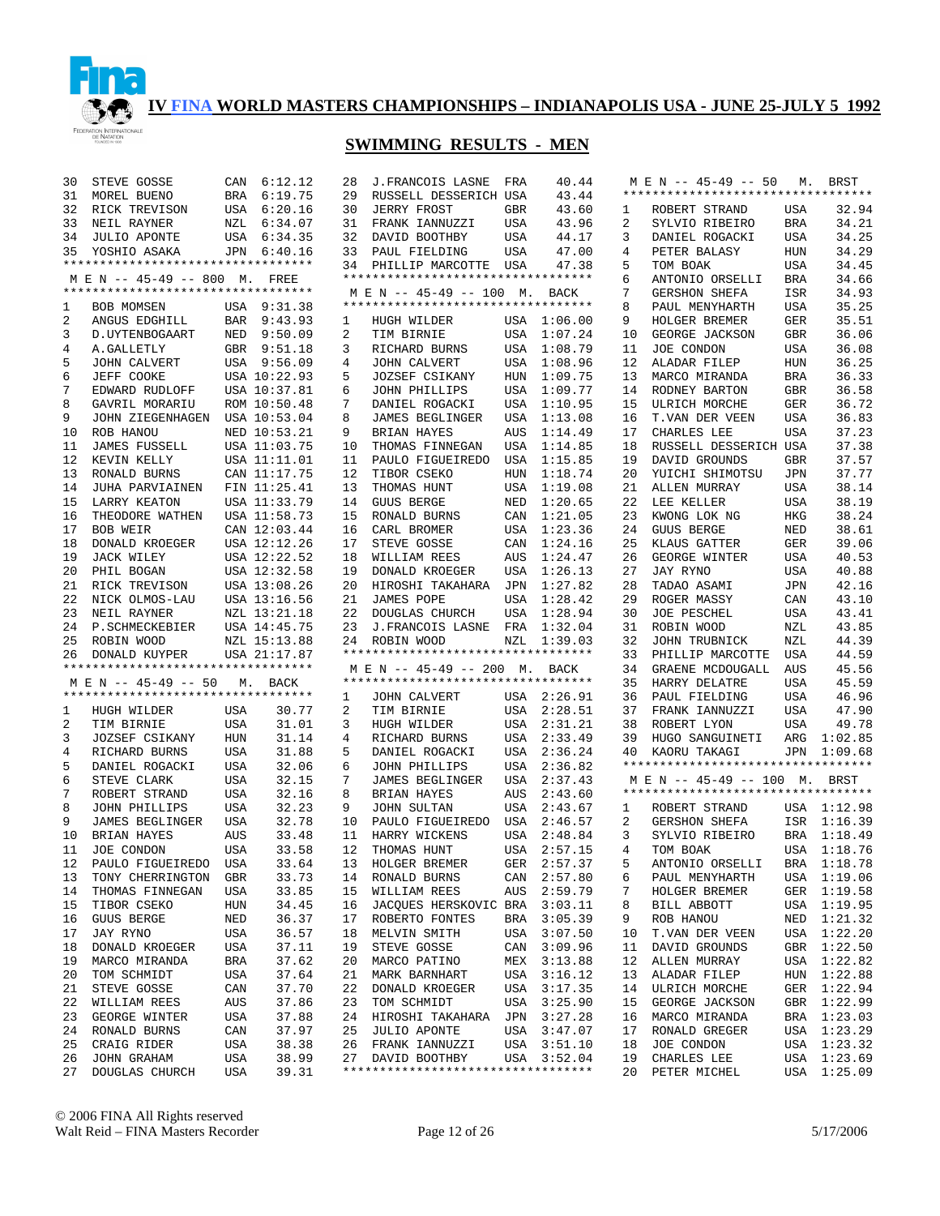

| **********************************<br>BRA 6:19.75<br>29<br>43.44<br>31<br>MOREL BUENO<br>RUSSELL DESSERICH USA<br>32<br>RICK TREVISON<br>USA 6:20.16<br>30<br><b>JERRY FROST</b><br><b>GBR</b><br>43.60<br>32.94<br>ROBERT STRAND<br>USA<br>1<br>34.21<br>33<br>NZL 6:34.07<br>FRANK IANNUZZI<br>USA<br>43.96<br>2<br><b>BRA</b><br>NEIL RAYNER<br>31<br>SYLVIO RIBEIRO<br>34.25<br>34<br><b>JULIO APONTE</b><br>USA 6:34.35<br>32<br>DAVID BOOTHBY<br>USA<br>44.17<br>USA<br>3<br>DANIEL ROGACKI<br>34.29<br>YOSHIO ASAKA<br>JPN 6:40.16<br>33<br>PAUL FIELDING<br>USA<br>47.00<br>PETER BALASY<br>HUN<br>35<br>4<br>**********************************<br>PHILLIP MARCOTTE USA<br>47.38<br>TOM BOAK<br><b>USA</b><br>34.45<br>34<br>5<br>**********************************<br>M E N -- 45-49 -- 800 M. FREE<br>ANTONIO ORSELLI<br><b>BRA</b><br>34.66<br>6<br>**********************************<br><b>GERSHON SHEFA</b><br>ISR<br>34.93<br>M E N -- 45-49 -- 100 M. BACK<br>7<br>**********************************<br>35.25<br>8<br><b>BOB MOMSEN</b><br>USA 9:31.38<br>PAUL MENYHARTH<br>USA<br>1<br>2<br>ANGUS EDGHILL<br>BAR 9:43.93<br><b>GER</b><br>35.51<br>HUGH WILDER<br>USA 1:06.00<br>9<br>HOLGER BREMER<br>1<br>3<br>NED<br>9:50.09<br>2<br>USA<br>1:07.24<br>GEORGE JACKSON<br>GBR<br>36.06<br>D. UYTENBOGAART<br>TIM BIRNIE<br>10<br>4<br>A. GALLETLY<br>GBR 9:51.18<br>3<br>USA<br>1:08.79<br>JOE CONDON<br><b>USA</b><br>36.08<br>RICHARD BURNS<br>11<br>5<br><b>JOHN CALVERT</b><br>USA 9:56.09<br>4<br>JOHN CALVERT<br>USA<br>1:08.96<br>12<br>ALADAR FILEP<br><b>HUN</b><br>36.25<br>JEFF COOKE<br>USA 10:22.93<br>5<br><b>JOZSEF CSIKANY</b><br>HUN<br>1:09.75<br>13<br>MARCO MIRANDA<br><b>BRA</b><br>36.33<br>6<br>7<br>EDWARD RUDLOFF<br>USA 10:37.81<br>JOHN PHILLIPS<br>USA<br>1:09.77<br>14<br>RODNEY BARTON<br><b>GBR</b><br>36.58<br>6<br>8<br>ROM 10:50.48<br>7<br>DANIEL ROGACKI<br>USA<br>1:10.95<br>15<br>ULRICH MORCHE<br><b>GER</b><br>36.72<br>GAVRIL MORARIU<br>9<br>JOHN ZIEGENHAGEN<br>USA 10:53.04<br>8<br>JAMES BEGLINGER<br>USA<br>1:13.08<br>T.VAN DER VEEN<br><b>USA</b><br>36.83<br>16<br>37.23<br>ROB HANOU<br>NED 10:53.21<br>9<br>BRIAN HAYES<br>AUS<br>1:14.49<br>17<br>CHARLES LEE<br><b>USA</b><br>10<br>37.38<br>11<br><b>JAMES FUSSELL</b><br>USA 11:03.75<br>10<br>THOMAS FINNEGAN<br>USA<br>1:14.85<br>18<br>RUSSELL DESSERICH USA<br>37.57<br>12<br>KEVIN KELLY<br>USA 11:11.01<br>11<br>PAULO FIGUEIREDO<br>USA<br>1:15.85<br>19<br>DAVID GROUNDS<br><b>GBR</b><br>37.77<br>13<br>RONALD BURNS<br>CAN 11:17.75<br>12<br>TIBOR CSEKO<br>1:18.74<br>20<br>YUICHI SHIMOTSU<br><b>JPN</b><br>HUN<br>38.14<br>14<br>FIN 11:25.41<br>13<br>THOMAS HUNT<br>1:19.08<br>21<br>ALLEN MURRAY<br><b>USA</b><br>JUHA PARVIAINEN<br>USA<br>38.19<br>15<br>USA 11:33.79<br>14<br><b>GUUS BERGE</b><br>NED<br>1:20.65<br>22<br>LEE KELLER<br><b>USA</b><br>LARRY KEATON<br>38.24<br>16<br>THEODORE WATHEN<br>USA 11:58.73<br>15<br>RONALD BURNS<br>1:21.05<br>23<br>KWONG LOK NG<br>HKG<br>CAN<br>38.61<br>BOB WEIR<br>CAN 12:03.44<br>16<br>CARL BROMER<br>1:23.36<br>24<br><b>GUUS BERGE</b><br>NED<br>17<br>USA<br>18<br>USA 12:12.26<br>STEVE GOSSE<br>1:24.16<br>25<br><b>GER</b><br>39.06<br>DONALD KROEGER<br>17<br>CAN<br>KLAUS GATTER<br>19<br>USA 12:22.52<br>1:24.47<br>26<br>GEORGE WINTER<br>USA<br>40.53<br>JACK WILEY<br>18<br>WILLIAM REES<br>AUS<br>20<br>PHIL BOGAN<br>19<br>27<br><b>JAY RYNO</b><br><b>USA</b><br>40.88<br>USA 12:32.58<br>DONALD KROEGER<br>USA<br>1:26.13<br>RICK TREVISON<br>USA 13:08.26<br>20<br>HIROSHI TAKAHARA<br>1:27.82<br>28<br>TADAO ASAMI<br>JPN<br>42.16<br>21<br>JPN<br>22<br>USA 13:16.56<br>21<br>JAMES POPE<br>USA<br>1:28.42<br>29<br>ROGER MASSY<br>CAN<br>43.10<br>NICK OLMOS-LAU<br>23<br>NZL 13:21.18<br>22<br>DOUGLAS CHURCH<br>USA<br>1:28.94<br>30<br>JOE PESCHEL<br>USA<br>43.41<br>NEIL RAYNER<br>24<br>P.SCHMECKEBIER<br>USA 14:45.75<br>23<br>J.FRANCOIS LASNE<br>FRA<br>1:32.04<br>ROBIN WOOD<br>NZL<br>43.85<br>31<br>44.39<br>25<br>ROBIN WOOD<br>NZL 15:13.88<br>32<br>NZL<br>24 ROBIN WOOD<br>NZL<br>1:39.03<br>JOHN TRUBNICK<br>*********************************<br>33<br>44.59<br>26<br>DONALD KUYPER<br>USA 21:17.87<br>PHILLIP MARCOTTE<br>USA<br>**********************************<br>M E N -- 45-49 -- 200 M. BACK<br>34<br>GRAENE MCDOUGALL<br>AUS<br>45.56<br>**********************************<br>M E N -- 45-49 -- 50<br>35<br>HARRY DELATRE<br><b>USA</b><br>45.59<br>M. BACK<br>**********************************<br>USA 2:26.91<br>36<br>PAUL FIELDING<br><b>USA</b><br>46.96<br><b>JOHN CALVERT</b><br>1<br>47.90<br>30.77<br>2<br>TIM BIRNIE<br>USA<br>2:28.51<br>37<br>FRANK IANNUZZI<br><b>USA</b><br>HUGH WILDER<br>USA<br>1<br>49.78<br>2<br>TIM BIRNIE<br>USA<br>31.01<br>3<br>USA<br>2:31.21<br>38<br>ROBERT LYON<br>USA<br>HUGH WILDER<br>3<br>JOZSEF CSIKANY<br><b>HUN</b><br>31.14<br>4<br>RICHARD BURNS<br>USA<br>2:33.49<br>39<br>HUGO SANGUINETI<br>ARG<br>1:02.85<br>31.88<br>2:36.24<br>4<br>RICHARD BURNS<br>USA<br>5<br>DANIEL ROGACKI<br>USA<br>JPN 1:09.68<br>40<br>KAORU TAKAGI<br>**********************************<br>32.06<br>2:36.82<br>5<br>DANIEL ROGACKI<br>USA<br>6<br>JOHN PHILLIPS<br>USA<br>32.15<br>6<br>STEVE CLARK<br>USA<br>7<br>JAMES BEGLINGER<br>USA<br>2:37.43<br>M E N -- 45-49 -- 100 M. BRST<br>**********************************<br>32.16<br>7<br>ROBERT STRAND<br>USA<br>8<br>BRIAN HAYES<br>AUS<br>2:43.60<br>32.23<br>8<br>JOHN PHILLIPS<br>USA<br>9<br><b>JOHN SULTAN</b><br>USA<br>2:43.67<br>ROBERT STRAND<br>USA 1:12.98<br>1<br>32.78<br>9<br>JAMES BEGLINGER<br>USA<br>10<br>USA<br>2:46.57<br>2<br>ISR 1:16.39<br>PAULO FIGUEIREDO<br>GERSHON SHEFA<br>AUS<br>33.48<br>11<br>BRA 1:18.49<br>10<br>BRIAN HAYES<br>HARRY WICKENS<br>USA<br>2:48.84<br>3<br>SYLVIO RIBEIRO<br>USA<br>33.58<br>12<br>THOMAS HUNT<br>USA 2:57.15<br>USA 1:18.76<br>11<br>JOE CONDON<br>4<br>TOM BOAK<br>12<br>PAULO FIGUEIREDO USA<br>33.64<br>13 HOLGER BREMER<br>GER 2:57.37<br>ANTONIO ORSELLI BRA 1:18.78<br>5<br>CAN 2:57.80<br>USA 1:19.06<br>TONY CHERRINGTON<br>GBR<br>33.73<br>RONALD BURNS<br>PAUL MENYHARTH<br>13<br>14<br>6<br>33.85<br>2:59.79<br>14<br>THOMAS FINNEGAN<br>USA<br>15<br>WILLIAM REES<br>AUS<br>7<br>HOLGER BREMER<br>GER 1:19.58<br>TIBOR CSEKO<br>34.45<br>JACOUES HERSKOVIC BRA<br>3:03.11<br>USA 1:19.95<br>15<br>HUN<br>16<br>8<br>BILL ABBOTT<br>GUUS BERGE<br>36.37<br>ROBERTO FONTES<br>3:05.39<br>ROB HANOU<br>NED 1:21.32<br>16<br>NED<br>17<br>BRA<br>9<br>JAY RYNO<br>36.57<br>USA<br>3:07.50<br>T.VAN DER VEEN<br>USA 1:22.20<br>17<br>USA<br>18<br>MELVIN SMITH<br>10<br>DONALD KROEGER<br>USA<br>37.11<br>19<br>STEVE GOSSE<br>3:09.96<br>DAVID GROUNDS<br>GBR 1:22.50<br>18<br>CAN<br>11<br>MARCO MIRANDA<br>BRA<br>37.62<br>MARCO PATINO<br>3:13.88<br>12<br>ALLEN MURRAY<br>USA 1:22.82<br>19<br>20<br>MEX<br>USA<br>37.64<br>3:16.12<br>13<br>ALADAR FILEP<br>HUN 1:22.88<br>20<br>TOM SCHMIDT<br>21<br>MARK BARNHART<br>USA<br>37.70<br>3:17.35<br>ULRICH MORCHE<br>GER 1:22.94<br>21<br>STEVE GOSSE<br>CAN<br>22<br>DONALD KROEGER<br>USA<br>14<br>37.86<br>3:25.90<br>GEORGE JACKSON<br>GBR 1:22.99<br>22<br>WILLIAM REES<br>AUS<br>23<br>TOM SCHMIDT<br>USA<br>15<br>GEORGE WINTER<br>USA<br>37.88<br>24<br>HIROSHI TAKAHARA<br>JPN<br>3:27.28<br>MARCO MIRANDA<br>BRA 1:23.03<br>23<br>16<br>RONALD BURNS<br>CAN<br>37.97<br>25<br><b>JULIO APONTE</b><br>USA<br>3:47.07<br>17<br>RONALD GREGER<br>USA 1:23.29<br>24<br>CRAIG RIDER<br>USA<br>38.38<br>USA 3:51.10<br>JOE CONDON<br>USA 1:23.32<br>25<br>26<br>FRANK IANNUZZI<br>18<br>JOHN GRAHAM<br>USA<br>38.99<br>USA<br>3:52.04<br>19<br>CHARLES LEE<br>USA 1:23.69<br>26<br>27<br>DAVID BOOTHBY<br>USA 1:25.09 | 30 | STEVE GOSSE    |     | CAN 6:12.12 | 28 | J. FRANCOIS LASNE | FRA | 40.44 |    | $M \to N$ -- 45-49 -- 50 | М. | <b>BRST</b> |
|-------------------------------------------------------------------------------------------------------------------------------------------------------------------------------------------------------------------------------------------------------------------------------------------------------------------------------------------------------------------------------------------------------------------------------------------------------------------------------------------------------------------------------------------------------------------------------------------------------------------------------------------------------------------------------------------------------------------------------------------------------------------------------------------------------------------------------------------------------------------------------------------------------------------------------------------------------------------------------------------------------------------------------------------------------------------------------------------------------------------------------------------------------------------------------------------------------------------------------------------------------------------------------------------------------------------------------------------------------------------------------------------------------------------------------------------------------------------------------------------------------------------------------------------------------------------------------------------------------------------------------------------------------------------------------------------------------------------------------------------------------------------------------------------------------------------------------------------------------------------------------------------------------------------------------------------------------------------------------------------------------------------------------------------------------------------------------------------------------------------------------------------------------------------------------------------------------------------------------------------------------------------------------------------------------------------------------------------------------------------------------------------------------------------------------------------------------------------------------------------------------------------------------------------------------------------------------------------------------------------------------------------------------------------------------------------------------------------------------------------------------------------------------------------------------------------------------------------------------------------------------------------------------------------------------------------------------------------------------------------------------------------------------------------------------------------------------------------------------------------------------------------------------------------------------------------------------------------------------------------------------------------------------------------------------------------------------------------------------------------------------------------------------------------------------------------------------------------------------------------------------------------------------------------------------------------------------------------------------------------------------------------------------------------------------------------------------------------------------------------------------------------------------------------------------------------------------------------------------------------------------------------------------------------------------------------------------------------------------------------------------------------------------------------------------------------------------------------------------------------------------------------------------------------------------------------------------------------------------------------------------------------------------------------------------------------------------------------------------------------------------------------------------------------------------------------------------------------------------------------------------------------------------------------------------------------------------------------------------------------------------------------------------------------------------------------------------------------------------------------------------------------------------------------------------------------------------------------------------------------------------------------------------------------------------------------------------------------------------------------------------------------------------------------------------------------------------------------------------------------------------------------------------------------------------------------------------------------------------------------------------------------------------------------------------------------------------------------------------------------------------------------------------------------------------------------------------------------------------------------------------------------------------------------------------------------------------------------------------------------------------------------------------------------------------------------------------------------------------------------------------------------------------------------------------------------------------------------------------------------------------------------------------------------------------------------------------------------------------------------------------------------------------------------------------------------------------------------------------------------------------------------------------------------------------------------------------------------------------------------------------------------------------------------------------------------------------------------------------------------------------------------------------------------------------------------------------------------------------------------------------------------------------------------------------------------------------------------------------------------------------------------------------------------------------------------------------------------------------------------------------------------------------------------------------------------------------------------------------------------------------------------------------------------------------------------------------------------------------------------------------------------------------------------------------------------------------------------------------------------------------------------------------------------------------------------------------------------------------------------------------------------------------------------------------------------------------------------------------------------------------------------------------------------------------------------------------------------------------------------------------------------------------------------------------------------------------------------------------------------------------------------------------------------------------------------------------------------------------------------------------------------------------------------------|----|----------------|-----|-------------|----|-------------------|-----|-------|----|--------------------------|----|-------------|
|                                                                                                                                                                                                                                                                                                                                                                                                                                                                                                                                                                                                                                                                                                                                                                                                                                                                                                                                                                                                                                                                                                                                                                                                                                                                                                                                                                                                                                                                                                                                                                                                                                                                                                                                                                                                                                                                                                                                                                                                                                                                                                                                                                                                                                                                                                                                                                                                                                                                                                                                                                                                                                                                                                                                                                                                                                                                                                                                                                                                                                                                                                                                                                                                                                                                                                                                                                                                                                                                                                                                                                                                                                                                                                                                                                                                                                                                                                                                                                                                                                                                                                                                                                                                                                                                                                                                                                                                                                                                                                                                                                                                                                                                                                                                                                                                                                                                                                                                                                                                                                                                                                                                                                                                                                                                                                                                                                                                                                                                                                                                                                                                                                                                                                                                                                                                                                                                                                                                                                                                                                                                                                                                                                                                                                                                                                                                                                                                                                                                                                                                                                                                                                                                                                                                                                                                                                                                                                                                                                                                                                                                                                                                                                                                                                                                                                                                                                                                                                                                                                                                                                                                                                                                                                                                                                                                 |    |                |     |             |    |                   |     |       |    |                          |    |             |
|                                                                                                                                                                                                                                                                                                                                                                                                                                                                                                                                                                                                                                                                                                                                                                                                                                                                                                                                                                                                                                                                                                                                                                                                                                                                                                                                                                                                                                                                                                                                                                                                                                                                                                                                                                                                                                                                                                                                                                                                                                                                                                                                                                                                                                                                                                                                                                                                                                                                                                                                                                                                                                                                                                                                                                                                                                                                                                                                                                                                                                                                                                                                                                                                                                                                                                                                                                                                                                                                                                                                                                                                                                                                                                                                                                                                                                                                                                                                                                                                                                                                                                                                                                                                                                                                                                                                                                                                                                                                                                                                                                                                                                                                                                                                                                                                                                                                                                                                                                                                                                                                                                                                                                                                                                                                                                                                                                                                                                                                                                                                                                                                                                                                                                                                                                                                                                                                                                                                                                                                                                                                                                                                                                                                                                                                                                                                                                                                                                                                                                                                                                                                                                                                                                                                                                                                                                                                                                                                                                                                                                                                                                                                                                                                                                                                                                                                                                                                                                                                                                                                                                                                                                                                                                                                                                                                 |    |                |     |             |    |                   |     |       |    |                          |    |             |
|                                                                                                                                                                                                                                                                                                                                                                                                                                                                                                                                                                                                                                                                                                                                                                                                                                                                                                                                                                                                                                                                                                                                                                                                                                                                                                                                                                                                                                                                                                                                                                                                                                                                                                                                                                                                                                                                                                                                                                                                                                                                                                                                                                                                                                                                                                                                                                                                                                                                                                                                                                                                                                                                                                                                                                                                                                                                                                                                                                                                                                                                                                                                                                                                                                                                                                                                                                                                                                                                                                                                                                                                                                                                                                                                                                                                                                                                                                                                                                                                                                                                                                                                                                                                                                                                                                                                                                                                                                                                                                                                                                                                                                                                                                                                                                                                                                                                                                                                                                                                                                                                                                                                                                                                                                                                                                                                                                                                                                                                                                                                                                                                                                                                                                                                                                                                                                                                                                                                                                                                                                                                                                                                                                                                                                                                                                                                                                                                                                                                                                                                                                                                                                                                                                                                                                                                                                                                                                                                                                                                                                                                                                                                                                                                                                                                                                                                                                                                                                                                                                                                                                                                                                                                                                                                                                                                 |    |                |     |             |    |                   |     |       |    |                          |    |             |
|                                                                                                                                                                                                                                                                                                                                                                                                                                                                                                                                                                                                                                                                                                                                                                                                                                                                                                                                                                                                                                                                                                                                                                                                                                                                                                                                                                                                                                                                                                                                                                                                                                                                                                                                                                                                                                                                                                                                                                                                                                                                                                                                                                                                                                                                                                                                                                                                                                                                                                                                                                                                                                                                                                                                                                                                                                                                                                                                                                                                                                                                                                                                                                                                                                                                                                                                                                                                                                                                                                                                                                                                                                                                                                                                                                                                                                                                                                                                                                                                                                                                                                                                                                                                                                                                                                                                                                                                                                                                                                                                                                                                                                                                                                                                                                                                                                                                                                                                                                                                                                                                                                                                                                                                                                                                                                                                                                                                                                                                                                                                                                                                                                                                                                                                                                                                                                                                                                                                                                                                                                                                                                                                                                                                                                                                                                                                                                                                                                                                                                                                                                                                                                                                                                                                                                                                                                                                                                                                                                                                                                                                                                                                                                                                                                                                                                                                                                                                                                                                                                                                                                                                                                                                                                                                                                                                 |    |                |     |             |    |                   |     |       |    |                          |    |             |
|                                                                                                                                                                                                                                                                                                                                                                                                                                                                                                                                                                                                                                                                                                                                                                                                                                                                                                                                                                                                                                                                                                                                                                                                                                                                                                                                                                                                                                                                                                                                                                                                                                                                                                                                                                                                                                                                                                                                                                                                                                                                                                                                                                                                                                                                                                                                                                                                                                                                                                                                                                                                                                                                                                                                                                                                                                                                                                                                                                                                                                                                                                                                                                                                                                                                                                                                                                                                                                                                                                                                                                                                                                                                                                                                                                                                                                                                                                                                                                                                                                                                                                                                                                                                                                                                                                                                                                                                                                                                                                                                                                                                                                                                                                                                                                                                                                                                                                                                                                                                                                                                                                                                                                                                                                                                                                                                                                                                                                                                                                                                                                                                                                                                                                                                                                                                                                                                                                                                                                                                                                                                                                                                                                                                                                                                                                                                                                                                                                                                                                                                                                                                                                                                                                                                                                                                                                                                                                                                                                                                                                                                                                                                                                                                                                                                                                                                                                                                                                                                                                                                                                                                                                                                                                                                                                                                 |    |                |     |             |    |                   |     |       |    |                          |    |             |
|                                                                                                                                                                                                                                                                                                                                                                                                                                                                                                                                                                                                                                                                                                                                                                                                                                                                                                                                                                                                                                                                                                                                                                                                                                                                                                                                                                                                                                                                                                                                                                                                                                                                                                                                                                                                                                                                                                                                                                                                                                                                                                                                                                                                                                                                                                                                                                                                                                                                                                                                                                                                                                                                                                                                                                                                                                                                                                                                                                                                                                                                                                                                                                                                                                                                                                                                                                                                                                                                                                                                                                                                                                                                                                                                                                                                                                                                                                                                                                                                                                                                                                                                                                                                                                                                                                                                                                                                                                                                                                                                                                                                                                                                                                                                                                                                                                                                                                                                                                                                                                                                                                                                                                                                                                                                                                                                                                                                                                                                                                                                                                                                                                                                                                                                                                                                                                                                                                                                                                                                                                                                                                                                                                                                                                                                                                                                                                                                                                                                                                                                                                                                                                                                                                                                                                                                                                                                                                                                                                                                                                                                                                                                                                                                                                                                                                                                                                                                                                                                                                                                                                                                                                                                                                                                                                                                 |    |                |     |             |    |                   |     |       |    |                          |    |             |
|                                                                                                                                                                                                                                                                                                                                                                                                                                                                                                                                                                                                                                                                                                                                                                                                                                                                                                                                                                                                                                                                                                                                                                                                                                                                                                                                                                                                                                                                                                                                                                                                                                                                                                                                                                                                                                                                                                                                                                                                                                                                                                                                                                                                                                                                                                                                                                                                                                                                                                                                                                                                                                                                                                                                                                                                                                                                                                                                                                                                                                                                                                                                                                                                                                                                                                                                                                                                                                                                                                                                                                                                                                                                                                                                                                                                                                                                                                                                                                                                                                                                                                                                                                                                                                                                                                                                                                                                                                                                                                                                                                                                                                                                                                                                                                                                                                                                                                                                                                                                                                                                                                                                                                                                                                                                                                                                                                                                                                                                                                                                                                                                                                                                                                                                                                                                                                                                                                                                                                                                                                                                                                                                                                                                                                                                                                                                                                                                                                                                                                                                                                                                                                                                                                                                                                                                                                                                                                                                                                                                                                                                                                                                                                                                                                                                                                                                                                                                                                                                                                                                                                                                                                                                                                                                                                                                 |    |                |     |             |    |                   |     |       |    |                          |    |             |
|                                                                                                                                                                                                                                                                                                                                                                                                                                                                                                                                                                                                                                                                                                                                                                                                                                                                                                                                                                                                                                                                                                                                                                                                                                                                                                                                                                                                                                                                                                                                                                                                                                                                                                                                                                                                                                                                                                                                                                                                                                                                                                                                                                                                                                                                                                                                                                                                                                                                                                                                                                                                                                                                                                                                                                                                                                                                                                                                                                                                                                                                                                                                                                                                                                                                                                                                                                                                                                                                                                                                                                                                                                                                                                                                                                                                                                                                                                                                                                                                                                                                                                                                                                                                                                                                                                                                                                                                                                                                                                                                                                                                                                                                                                                                                                                                                                                                                                                                                                                                                                                                                                                                                                                                                                                                                                                                                                                                                                                                                                                                                                                                                                                                                                                                                                                                                                                                                                                                                                                                                                                                                                                                                                                                                                                                                                                                                                                                                                                                                                                                                                                                                                                                                                                                                                                                                                                                                                                                                                                                                                                                                                                                                                                                                                                                                                                                                                                                                                                                                                                                                                                                                                                                                                                                                                                                 |    |                |     |             |    |                   |     |       |    |                          |    |             |
|                                                                                                                                                                                                                                                                                                                                                                                                                                                                                                                                                                                                                                                                                                                                                                                                                                                                                                                                                                                                                                                                                                                                                                                                                                                                                                                                                                                                                                                                                                                                                                                                                                                                                                                                                                                                                                                                                                                                                                                                                                                                                                                                                                                                                                                                                                                                                                                                                                                                                                                                                                                                                                                                                                                                                                                                                                                                                                                                                                                                                                                                                                                                                                                                                                                                                                                                                                                                                                                                                                                                                                                                                                                                                                                                                                                                                                                                                                                                                                                                                                                                                                                                                                                                                                                                                                                                                                                                                                                                                                                                                                                                                                                                                                                                                                                                                                                                                                                                                                                                                                                                                                                                                                                                                                                                                                                                                                                                                                                                                                                                                                                                                                                                                                                                                                                                                                                                                                                                                                                                                                                                                                                                                                                                                                                                                                                                                                                                                                                                                                                                                                                                                                                                                                                                                                                                                                                                                                                                                                                                                                                                                                                                                                                                                                                                                                                                                                                                                                                                                                                                                                                                                                                                                                                                                                                                 |    |                |     |             |    |                   |     |       |    |                          |    |             |
|                                                                                                                                                                                                                                                                                                                                                                                                                                                                                                                                                                                                                                                                                                                                                                                                                                                                                                                                                                                                                                                                                                                                                                                                                                                                                                                                                                                                                                                                                                                                                                                                                                                                                                                                                                                                                                                                                                                                                                                                                                                                                                                                                                                                                                                                                                                                                                                                                                                                                                                                                                                                                                                                                                                                                                                                                                                                                                                                                                                                                                                                                                                                                                                                                                                                                                                                                                                                                                                                                                                                                                                                                                                                                                                                                                                                                                                                                                                                                                                                                                                                                                                                                                                                                                                                                                                                                                                                                                                                                                                                                                                                                                                                                                                                                                                                                                                                                                                                                                                                                                                                                                                                                                                                                                                                                                                                                                                                                                                                                                                                                                                                                                                                                                                                                                                                                                                                                                                                                                                                                                                                                                                                                                                                                                                                                                                                                                                                                                                                                                                                                                                                                                                                                                                                                                                                                                                                                                                                                                                                                                                                                                                                                                                                                                                                                                                                                                                                                                                                                                                                                                                                                                                                                                                                                                                                 |    |                |     |             |    |                   |     |       |    |                          |    |             |
|                                                                                                                                                                                                                                                                                                                                                                                                                                                                                                                                                                                                                                                                                                                                                                                                                                                                                                                                                                                                                                                                                                                                                                                                                                                                                                                                                                                                                                                                                                                                                                                                                                                                                                                                                                                                                                                                                                                                                                                                                                                                                                                                                                                                                                                                                                                                                                                                                                                                                                                                                                                                                                                                                                                                                                                                                                                                                                                                                                                                                                                                                                                                                                                                                                                                                                                                                                                                                                                                                                                                                                                                                                                                                                                                                                                                                                                                                                                                                                                                                                                                                                                                                                                                                                                                                                                                                                                                                                                                                                                                                                                                                                                                                                                                                                                                                                                                                                                                                                                                                                                                                                                                                                                                                                                                                                                                                                                                                                                                                                                                                                                                                                                                                                                                                                                                                                                                                                                                                                                                                                                                                                                                                                                                                                                                                                                                                                                                                                                                                                                                                                                                                                                                                                                                                                                                                                                                                                                                                                                                                                                                                                                                                                                                                                                                                                                                                                                                                                                                                                                                                                                                                                                                                                                                                                                                 |    |                |     |             |    |                   |     |       |    |                          |    |             |
|                                                                                                                                                                                                                                                                                                                                                                                                                                                                                                                                                                                                                                                                                                                                                                                                                                                                                                                                                                                                                                                                                                                                                                                                                                                                                                                                                                                                                                                                                                                                                                                                                                                                                                                                                                                                                                                                                                                                                                                                                                                                                                                                                                                                                                                                                                                                                                                                                                                                                                                                                                                                                                                                                                                                                                                                                                                                                                                                                                                                                                                                                                                                                                                                                                                                                                                                                                                                                                                                                                                                                                                                                                                                                                                                                                                                                                                                                                                                                                                                                                                                                                                                                                                                                                                                                                                                                                                                                                                                                                                                                                                                                                                                                                                                                                                                                                                                                                                                                                                                                                                                                                                                                                                                                                                                                                                                                                                                                                                                                                                                                                                                                                                                                                                                                                                                                                                                                                                                                                                                                                                                                                                                                                                                                                                                                                                                                                                                                                                                                                                                                                                                                                                                                                                                                                                                                                                                                                                                                                                                                                                                                                                                                                                                                                                                                                                                                                                                                                                                                                                                                                                                                                                                                                                                                                                                 |    |                |     |             |    |                   |     |       |    |                          |    |             |
|                                                                                                                                                                                                                                                                                                                                                                                                                                                                                                                                                                                                                                                                                                                                                                                                                                                                                                                                                                                                                                                                                                                                                                                                                                                                                                                                                                                                                                                                                                                                                                                                                                                                                                                                                                                                                                                                                                                                                                                                                                                                                                                                                                                                                                                                                                                                                                                                                                                                                                                                                                                                                                                                                                                                                                                                                                                                                                                                                                                                                                                                                                                                                                                                                                                                                                                                                                                                                                                                                                                                                                                                                                                                                                                                                                                                                                                                                                                                                                                                                                                                                                                                                                                                                                                                                                                                                                                                                                                                                                                                                                                                                                                                                                                                                                                                                                                                                                                                                                                                                                                                                                                                                                                                                                                                                                                                                                                                                                                                                                                                                                                                                                                                                                                                                                                                                                                                                                                                                                                                                                                                                                                                                                                                                                                                                                                                                                                                                                                                                                                                                                                                                                                                                                                                                                                                                                                                                                                                                                                                                                                                                                                                                                                                                                                                                                                                                                                                                                                                                                                                                                                                                                                                                                                                                                                                 |    |                |     |             |    |                   |     |       |    |                          |    |             |
|                                                                                                                                                                                                                                                                                                                                                                                                                                                                                                                                                                                                                                                                                                                                                                                                                                                                                                                                                                                                                                                                                                                                                                                                                                                                                                                                                                                                                                                                                                                                                                                                                                                                                                                                                                                                                                                                                                                                                                                                                                                                                                                                                                                                                                                                                                                                                                                                                                                                                                                                                                                                                                                                                                                                                                                                                                                                                                                                                                                                                                                                                                                                                                                                                                                                                                                                                                                                                                                                                                                                                                                                                                                                                                                                                                                                                                                                                                                                                                                                                                                                                                                                                                                                                                                                                                                                                                                                                                                                                                                                                                                                                                                                                                                                                                                                                                                                                                                                                                                                                                                                                                                                                                                                                                                                                                                                                                                                                                                                                                                                                                                                                                                                                                                                                                                                                                                                                                                                                                                                                                                                                                                                                                                                                                                                                                                                                                                                                                                                                                                                                                                                                                                                                                                                                                                                                                                                                                                                                                                                                                                                                                                                                                                                                                                                                                                                                                                                                                                                                                                                                                                                                                                                                                                                                                                                 |    |                |     |             |    |                   |     |       |    |                          |    |             |
|                                                                                                                                                                                                                                                                                                                                                                                                                                                                                                                                                                                                                                                                                                                                                                                                                                                                                                                                                                                                                                                                                                                                                                                                                                                                                                                                                                                                                                                                                                                                                                                                                                                                                                                                                                                                                                                                                                                                                                                                                                                                                                                                                                                                                                                                                                                                                                                                                                                                                                                                                                                                                                                                                                                                                                                                                                                                                                                                                                                                                                                                                                                                                                                                                                                                                                                                                                                                                                                                                                                                                                                                                                                                                                                                                                                                                                                                                                                                                                                                                                                                                                                                                                                                                                                                                                                                                                                                                                                                                                                                                                                                                                                                                                                                                                                                                                                                                                                                                                                                                                                                                                                                                                                                                                                                                                                                                                                                                                                                                                                                                                                                                                                                                                                                                                                                                                                                                                                                                                                                                                                                                                                                                                                                                                                                                                                                                                                                                                                                                                                                                                                                                                                                                                                                                                                                                                                                                                                                                                                                                                                                                                                                                                                                                                                                                                                                                                                                                                                                                                                                                                                                                                                                                                                                                                                                 |    |                |     |             |    |                   |     |       |    |                          |    |             |
|                                                                                                                                                                                                                                                                                                                                                                                                                                                                                                                                                                                                                                                                                                                                                                                                                                                                                                                                                                                                                                                                                                                                                                                                                                                                                                                                                                                                                                                                                                                                                                                                                                                                                                                                                                                                                                                                                                                                                                                                                                                                                                                                                                                                                                                                                                                                                                                                                                                                                                                                                                                                                                                                                                                                                                                                                                                                                                                                                                                                                                                                                                                                                                                                                                                                                                                                                                                                                                                                                                                                                                                                                                                                                                                                                                                                                                                                                                                                                                                                                                                                                                                                                                                                                                                                                                                                                                                                                                                                                                                                                                                                                                                                                                                                                                                                                                                                                                                                                                                                                                                                                                                                                                                                                                                                                                                                                                                                                                                                                                                                                                                                                                                                                                                                                                                                                                                                                                                                                                                                                                                                                                                                                                                                                                                                                                                                                                                                                                                                                                                                                                                                                                                                                                                                                                                                                                                                                                                                                                                                                                                                                                                                                                                                                                                                                                                                                                                                                                                                                                                                                                                                                                                                                                                                                                                                 |    |                |     |             |    |                   |     |       |    |                          |    |             |
|                                                                                                                                                                                                                                                                                                                                                                                                                                                                                                                                                                                                                                                                                                                                                                                                                                                                                                                                                                                                                                                                                                                                                                                                                                                                                                                                                                                                                                                                                                                                                                                                                                                                                                                                                                                                                                                                                                                                                                                                                                                                                                                                                                                                                                                                                                                                                                                                                                                                                                                                                                                                                                                                                                                                                                                                                                                                                                                                                                                                                                                                                                                                                                                                                                                                                                                                                                                                                                                                                                                                                                                                                                                                                                                                                                                                                                                                                                                                                                                                                                                                                                                                                                                                                                                                                                                                                                                                                                                                                                                                                                                                                                                                                                                                                                                                                                                                                                                                                                                                                                                                                                                                                                                                                                                                                                                                                                                                                                                                                                                                                                                                                                                                                                                                                                                                                                                                                                                                                                                                                                                                                                                                                                                                                                                                                                                                                                                                                                                                                                                                                                                                                                                                                                                                                                                                                                                                                                                                                                                                                                                                                                                                                                                                                                                                                                                                                                                                                                                                                                                                                                                                                                                                                                                                                                                                 |    |                |     |             |    |                   |     |       |    |                          |    |             |
|                                                                                                                                                                                                                                                                                                                                                                                                                                                                                                                                                                                                                                                                                                                                                                                                                                                                                                                                                                                                                                                                                                                                                                                                                                                                                                                                                                                                                                                                                                                                                                                                                                                                                                                                                                                                                                                                                                                                                                                                                                                                                                                                                                                                                                                                                                                                                                                                                                                                                                                                                                                                                                                                                                                                                                                                                                                                                                                                                                                                                                                                                                                                                                                                                                                                                                                                                                                                                                                                                                                                                                                                                                                                                                                                                                                                                                                                                                                                                                                                                                                                                                                                                                                                                                                                                                                                                                                                                                                                                                                                                                                                                                                                                                                                                                                                                                                                                                                                                                                                                                                                                                                                                                                                                                                                                                                                                                                                                                                                                                                                                                                                                                                                                                                                                                                                                                                                                                                                                                                                                                                                                                                                                                                                                                                                                                                                                                                                                                                                                                                                                                                                                                                                                                                                                                                                                                                                                                                                                                                                                                                                                                                                                                                                                                                                                                                                                                                                                                                                                                                                                                                                                                                                                                                                                                                                 |    |                |     |             |    |                   |     |       |    |                          |    |             |
|                                                                                                                                                                                                                                                                                                                                                                                                                                                                                                                                                                                                                                                                                                                                                                                                                                                                                                                                                                                                                                                                                                                                                                                                                                                                                                                                                                                                                                                                                                                                                                                                                                                                                                                                                                                                                                                                                                                                                                                                                                                                                                                                                                                                                                                                                                                                                                                                                                                                                                                                                                                                                                                                                                                                                                                                                                                                                                                                                                                                                                                                                                                                                                                                                                                                                                                                                                                                                                                                                                                                                                                                                                                                                                                                                                                                                                                                                                                                                                                                                                                                                                                                                                                                                                                                                                                                                                                                                                                                                                                                                                                                                                                                                                                                                                                                                                                                                                                                                                                                                                                                                                                                                                                                                                                                                                                                                                                                                                                                                                                                                                                                                                                                                                                                                                                                                                                                                                                                                                                                                                                                                                                                                                                                                                                                                                                                                                                                                                                                                                                                                                                                                                                                                                                                                                                                                                                                                                                                                                                                                                                                                                                                                                                                                                                                                                                                                                                                                                                                                                                                                                                                                                                                                                                                                                                                 |    |                |     |             |    |                   |     |       |    |                          |    |             |
|                                                                                                                                                                                                                                                                                                                                                                                                                                                                                                                                                                                                                                                                                                                                                                                                                                                                                                                                                                                                                                                                                                                                                                                                                                                                                                                                                                                                                                                                                                                                                                                                                                                                                                                                                                                                                                                                                                                                                                                                                                                                                                                                                                                                                                                                                                                                                                                                                                                                                                                                                                                                                                                                                                                                                                                                                                                                                                                                                                                                                                                                                                                                                                                                                                                                                                                                                                                                                                                                                                                                                                                                                                                                                                                                                                                                                                                                                                                                                                                                                                                                                                                                                                                                                                                                                                                                                                                                                                                                                                                                                                                                                                                                                                                                                                                                                                                                                                                                                                                                                                                                                                                                                                                                                                                                                                                                                                                                                                                                                                                                                                                                                                                                                                                                                                                                                                                                                                                                                                                                                                                                                                                                                                                                                                                                                                                                                                                                                                                                                                                                                                                                                                                                                                                                                                                                                                                                                                                                                                                                                                                                                                                                                                                                                                                                                                                                                                                                                                                                                                                                                                                                                                                                                                                                                                                                 |    |                |     |             |    |                   |     |       |    |                          |    |             |
|                                                                                                                                                                                                                                                                                                                                                                                                                                                                                                                                                                                                                                                                                                                                                                                                                                                                                                                                                                                                                                                                                                                                                                                                                                                                                                                                                                                                                                                                                                                                                                                                                                                                                                                                                                                                                                                                                                                                                                                                                                                                                                                                                                                                                                                                                                                                                                                                                                                                                                                                                                                                                                                                                                                                                                                                                                                                                                                                                                                                                                                                                                                                                                                                                                                                                                                                                                                                                                                                                                                                                                                                                                                                                                                                                                                                                                                                                                                                                                                                                                                                                                                                                                                                                                                                                                                                                                                                                                                                                                                                                                                                                                                                                                                                                                                                                                                                                                                                                                                                                                                                                                                                                                                                                                                                                                                                                                                                                                                                                                                                                                                                                                                                                                                                                                                                                                                                                                                                                                                                                                                                                                                                                                                                                                                                                                                                                                                                                                                                                                                                                                                                                                                                                                                                                                                                                                                                                                                                                                                                                                                                                                                                                                                                                                                                                                                                                                                                                                                                                                                                                                                                                                                                                                                                                                                                 |    |                |     |             |    |                   |     |       |    |                          |    |             |
|                                                                                                                                                                                                                                                                                                                                                                                                                                                                                                                                                                                                                                                                                                                                                                                                                                                                                                                                                                                                                                                                                                                                                                                                                                                                                                                                                                                                                                                                                                                                                                                                                                                                                                                                                                                                                                                                                                                                                                                                                                                                                                                                                                                                                                                                                                                                                                                                                                                                                                                                                                                                                                                                                                                                                                                                                                                                                                                                                                                                                                                                                                                                                                                                                                                                                                                                                                                                                                                                                                                                                                                                                                                                                                                                                                                                                                                                                                                                                                                                                                                                                                                                                                                                                                                                                                                                                                                                                                                                                                                                                                                                                                                                                                                                                                                                                                                                                                                                                                                                                                                                                                                                                                                                                                                                                                                                                                                                                                                                                                                                                                                                                                                                                                                                                                                                                                                                                                                                                                                                                                                                                                                                                                                                                                                                                                                                                                                                                                                                                                                                                                                                                                                                                                                                                                                                                                                                                                                                                                                                                                                                                                                                                                                                                                                                                                                                                                                                                                                                                                                                                                                                                                                                                                                                                                                                 |    |                |     |             |    |                   |     |       |    |                          |    |             |
|                                                                                                                                                                                                                                                                                                                                                                                                                                                                                                                                                                                                                                                                                                                                                                                                                                                                                                                                                                                                                                                                                                                                                                                                                                                                                                                                                                                                                                                                                                                                                                                                                                                                                                                                                                                                                                                                                                                                                                                                                                                                                                                                                                                                                                                                                                                                                                                                                                                                                                                                                                                                                                                                                                                                                                                                                                                                                                                                                                                                                                                                                                                                                                                                                                                                                                                                                                                                                                                                                                                                                                                                                                                                                                                                                                                                                                                                                                                                                                                                                                                                                                                                                                                                                                                                                                                                                                                                                                                                                                                                                                                                                                                                                                                                                                                                                                                                                                                                                                                                                                                                                                                                                                                                                                                                                                                                                                                                                                                                                                                                                                                                                                                                                                                                                                                                                                                                                                                                                                                                                                                                                                                                                                                                                                                                                                                                                                                                                                                                                                                                                                                                                                                                                                                                                                                                                                                                                                                                                                                                                                                                                                                                                                                                                                                                                                                                                                                                                                                                                                                                                                                                                                                                                                                                                                                                 |    |                |     |             |    |                   |     |       |    |                          |    |             |
|                                                                                                                                                                                                                                                                                                                                                                                                                                                                                                                                                                                                                                                                                                                                                                                                                                                                                                                                                                                                                                                                                                                                                                                                                                                                                                                                                                                                                                                                                                                                                                                                                                                                                                                                                                                                                                                                                                                                                                                                                                                                                                                                                                                                                                                                                                                                                                                                                                                                                                                                                                                                                                                                                                                                                                                                                                                                                                                                                                                                                                                                                                                                                                                                                                                                                                                                                                                                                                                                                                                                                                                                                                                                                                                                                                                                                                                                                                                                                                                                                                                                                                                                                                                                                                                                                                                                                                                                                                                                                                                                                                                                                                                                                                                                                                                                                                                                                                                                                                                                                                                                                                                                                                                                                                                                                                                                                                                                                                                                                                                                                                                                                                                                                                                                                                                                                                                                                                                                                                                                                                                                                                                                                                                                                                                                                                                                                                                                                                                                                                                                                                                                                                                                                                                                                                                                                                                                                                                                                                                                                                                                                                                                                                                                                                                                                                                                                                                                                                                                                                                                                                                                                                                                                                                                                                                                 |    |                |     |             |    |                   |     |       |    |                          |    |             |
|                                                                                                                                                                                                                                                                                                                                                                                                                                                                                                                                                                                                                                                                                                                                                                                                                                                                                                                                                                                                                                                                                                                                                                                                                                                                                                                                                                                                                                                                                                                                                                                                                                                                                                                                                                                                                                                                                                                                                                                                                                                                                                                                                                                                                                                                                                                                                                                                                                                                                                                                                                                                                                                                                                                                                                                                                                                                                                                                                                                                                                                                                                                                                                                                                                                                                                                                                                                                                                                                                                                                                                                                                                                                                                                                                                                                                                                                                                                                                                                                                                                                                                                                                                                                                                                                                                                                                                                                                                                                                                                                                                                                                                                                                                                                                                                                                                                                                                                                                                                                                                                                                                                                                                                                                                                                                                                                                                                                                                                                                                                                                                                                                                                                                                                                                                                                                                                                                                                                                                                                                                                                                                                                                                                                                                                                                                                                                                                                                                                                                                                                                                                                                                                                                                                                                                                                                                                                                                                                                                                                                                                                                                                                                                                                                                                                                                                                                                                                                                                                                                                                                                                                                                                                                                                                                                                                 |    |                |     |             |    |                   |     |       |    |                          |    |             |
|                                                                                                                                                                                                                                                                                                                                                                                                                                                                                                                                                                                                                                                                                                                                                                                                                                                                                                                                                                                                                                                                                                                                                                                                                                                                                                                                                                                                                                                                                                                                                                                                                                                                                                                                                                                                                                                                                                                                                                                                                                                                                                                                                                                                                                                                                                                                                                                                                                                                                                                                                                                                                                                                                                                                                                                                                                                                                                                                                                                                                                                                                                                                                                                                                                                                                                                                                                                                                                                                                                                                                                                                                                                                                                                                                                                                                                                                                                                                                                                                                                                                                                                                                                                                                                                                                                                                                                                                                                                                                                                                                                                                                                                                                                                                                                                                                                                                                                                                                                                                                                                                                                                                                                                                                                                                                                                                                                                                                                                                                                                                                                                                                                                                                                                                                                                                                                                                                                                                                                                                                                                                                                                                                                                                                                                                                                                                                                                                                                                                                                                                                                                                                                                                                                                                                                                                                                                                                                                                                                                                                                                                                                                                                                                                                                                                                                                                                                                                                                                                                                                                                                                                                                                                                                                                                                                                 |    |                |     |             |    |                   |     |       |    |                          |    |             |
|                                                                                                                                                                                                                                                                                                                                                                                                                                                                                                                                                                                                                                                                                                                                                                                                                                                                                                                                                                                                                                                                                                                                                                                                                                                                                                                                                                                                                                                                                                                                                                                                                                                                                                                                                                                                                                                                                                                                                                                                                                                                                                                                                                                                                                                                                                                                                                                                                                                                                                                                                                                                                                                                                                                                                                                                                                                                                                                                                                                                                                                                                                                                                                                                                                                                                                                                                                                                                                                                                                                                                                                                                                                                                                                                                                                                                                                                                                                                                                                                                                                                                                                                                                                                                                                                                                                                                                                                                                                                                                                                                                                                                                                                                                                                                                                                                                                                                                                                                                                                                                                                                                                                                                                                                                                                                                                                                                                                                                                                                                                                                                                                                                                                                                                                                                                                                                                                                                                                                                                                                                                                                                                                                                                                                                                                                                                                                                                                                                                                                                                                                                                                                                                                                                                                                                                                                                                                                                                                                                                                                                                                                                                                                                                                                                                                                                                                                                                                                                                                                                                                                                                                                                                                                                                                                                                                 |    |                |     |             |    |                   |     |       |    |                          |    |             |
|                                                                                                                                                                                                                                                                                                                                                                                                                                                                                                                                                                                                                                                                                                                                                                                                                                                                                                                                                                                                                                                                                                                                                                                                                                                                                                                                                                                                                                                                                                                                                                                                                                                                                                                                                                                                                                                                                                                                                                                                                                                                                                                                                                                                                                                                                                                                                                                                                                                                                                                                                                                                                                                                                                                                                                                                                                                                                                                                                                                                                                                                                                                                                                                                                                                                                                                                                                                                                                                                                                                                                                                                                                                                                                                                                                                                                                                                                                                                                                                                                                                                                                                                                                                                                                                                                                                                                                                                                                                                                                                                                                                                                                                                                                                                                                                                                                                                                                                                                                                                                                                                                                                                                                                                                                                                                                                                                                                                                                                                                                                                                                                                                                                                                                                                                                                                                                                                                                                                                                                                                                                                                                                                                                                                                                                                                                                                                                                                                                                                                                                                                                                                                                                                                                                                                                                                                                                                                                                                                                                                                                                                                                                                                                                                                                                                                                                                                                                                                                                                                                                                                                                                                                                                                                                                                                                                 |    |                |     |             |    |                   |     |       |    |                          |    |             |
|                                                                                                                                                                                                                                                                                                                                                                                                                                                                                                                                                                                                                                                                                                                                                                                                                                                                                                                                                                                                                                                                                                                                                                                                                                                                                                                                                                                                                                                                                                                                                                                                                                                                                                                                                                                                                                                                                                                                                                                                                                                                                                                                                                                                                                                                                                                                                                                                                                                                                                                                                                                                                                                                                                                                                                                                                                                                                                                                                                                                                                                                                                                                                                                                                                                                                                                                                                                                                                                                                                                                                                                                                                                                                                                                                                                                                                                                                                                                                                                                                                                                                                                                                                                                                                                                                                                                                                                                                                                                                                                                                                                                                                                                                                                                                                                                                                                                                                                                                                                                                                                                                                                                                                                                                                                                                                                                                                                                                                                                                                                                                                                                                                                                                                                                                                                                                                                                                                                                                                                                                                                                                                                                                                                                                                                                                                                                                                                                                                                                                                                                                                                                                                                                                                                                                                                                                                                                                                                                                                                                                                                                                                                                                                                                                                                                                                                                                                                                                                                                                                                                                                                                                                                                                                                                                                                                 |    |                |     |             |    |                   |     |       |    |                          |    |             |
|                                                                                                                                                                                                                                                                                                                                                                                                                                                                                                                                                                                                                                                                                                                                                                                                                                                                                                                                                                                                                                                                                                                                                                                                                                                                                                                                                                                                                                                                                                                                                                                                                                                                                                                                                                                                                                                                                                                                                                                                                                                                                                                                                                                                                                                                                                                                                                                                                                                                                                                                                                                                                                                                                                                                                                                                                                                                                                                                                                                                                                                                                                                                                                                                                                                                                                                                                                                                                                                                                                                                                                                                                                                                                                                                                                                                                                                                                                                                                                                                                                                                                                                                                                                                                                                                                                                                                                                                                                                                                                                                                                                                                                                                                                                                                                                                                                                                                                                                                                                                                                                                                                                                                                                                                                                                                                                                                                                                                                                                                                                                                                                                                                                                                                                                                                                                                                                                                                                                                                                                                                                                                                                                                                                                                                                                                                                                                                                                                                                                                                                                                                                                                                                                                                                                                                                                                                                                                                                                                                                                                                                                                                                                                                                                                                                                                                                                                                                                                                                                                                                                                                                                                                                                                                                                                                                                 |    |                |     |             |    |                   |     |       |    |                          |    |             |
|                                                                                                                                                                                                                                                                                                                                                                                                                                                                                                                                                                                                                                                                                                                                                                                                                                                                                                                                                                                                                                                                                                                                                                                                                                                                                                                                                                                                                                                                                                                                                                                                                                                                                                                                                                                                                                                                                                                                                                                                                                                                                                                                                                                                                                                                                                                                                                                                                                                                                                                                                                                                                                                                                                                                                                                                                                                                                                                                                                                                                                                                                                                                                                                                                                                                                                                                                                                                                                                                                                                                                                                                                                                                                                                                                                                                                                                                                                                                                                                                                                                                                                                                                                                                                                                                                                                                                                                                                                                                                                                                                                                                                                                                                                                                                                                                                                                                                                                                                                                                                                                                                                                                                                                                                                                                                                                                                                                                                                                                                                                                                                                                                                                                                                                                                                                                                                                                                                                                                                                                                                                                                                                                                                                                                                                                                                                                                                                                                                                                                                                                                                                                                                                                                                                                                                                                                                                                                                                                                                                                                                                                                                                                                                                                                                                                                                                                                                                                                                                                                                                                                                                                                                                                                                                                                                                                 |    |                |     |             |    |                   |     |       |    |                          |    |             |
|                                                                                                                                                                                                                                                                                                                                                                                                                                                                                                                                                                                                                                                                                                                                                                                                                                                                                                                                                                                                                                                                                                                                                                                                                                                                                                                                                                                                                                                                                                                                                                                                                                                                                                                                                                                                                                                                                                                                                                                                                                                                                                                                                                                                                                                                                                                                                                                                                                                                                                                                                                                                                                                                                                                                                                                                                                                                                                                                                                                                                                                                                                                                                                                                                                                                                                                                                                                                                                                                                                                                                                                                                                                                                                                                                                                                                                                                                                                                                                                                                                                                                                                                                                                                                                                                                                                                                                                                                                                                                                                                                                                                                                                                                                                                                                                                                                                                                                                                                                                                                                                                                                                                                                                                                                                                                                                                                                                                                                                                                                                                                                                                                                                                                                                                                                                                                                                                                                                                                                                                                                                                                                                                                                                                                                                                                                                                                                                                                                                                                                                                                                                                                                                                                                                                                                                                                                                                                                                                                                                                                                                                                                                                                                                                                                                                                                                                                                                                                                                                                                                                                                                                                                                                                                                                                                                                 |    |                |     |             |    |                   |     |       |    |                          |    |             |
|                                                                                                                                                                                                                                                                                                                                                                                                                                                                                                                                                                                                                                                                                                                                                                                                                                                                                                                                                                                                                                                                                                                                                                                                                                                                                                                                                                                                                                                                                                                                                                                                                                                                                                                                                                                                                                                                                                                                                                                                                                                                                                                                                                                                                                                                                                                                                                                                                                                                                                                                                                                                                                                                                                                                                                                                                                                                                                                                                                                                                                                                                                                                                                                                                                                                                                                                                                                                                                                                                                                                                                                                                                                                                                                                                                                                                                                                                                                                                                                                                                                                                                                                                                                                                                                                                                                                                                                                                                                                                                                                                                                                                                                                                                                                                                                                                                                                                                                                                                                                                                                                                                                                                                                                                                                                                                                                                                                                                                                                                                                                                                                                                                                                                                                                                                                                                                                                                                                                                                                                                                                                                                                                                                                                                                                                                                                                                                                                                                                                                                                                                                                                                                                                                                                                                                                                                                                                                                                                                                                                                                                                                                                                                                                                                                                                                                                                                                                                                                                                                                                                                                                                                                                                                                                                                                                                 |    |                |     |             |    |                   |     |       |    |                          |    |             |
|                                                                                                                                                                                                                                                                                                                                                                                                                                                                                                                                                                                                                                                                                                                                                                                                                                                                                                                                                                                                                                                                                                                                                                                                                                                                                                                                                                                                                                                                                                                                                                                                                                                                                                                                                                                                                                                                                                                                                                                                                                                                                                                                                                                                                                                                                                                                                                                                                                                                                                                                                                                                                                                                                                                                                                                                                                                                                                                                                                                                                                                                                                                                                                                                                                                                                                                                                                                                                                                                                                                                                                                                                                                                                                                                                                                                                                                                                                                                                                                                                                                                                                                                                                                                                                                                                                                                                                                                                                                                                                                                                                                                                                                                                                                                                                                                                                                                                                                                                                                                                                                                                                                                                                                                                                                                                                                                                                                                                                                                                                                                                                                                                                                                                                                                                                                                                                                                                                                                                                                                                                                                                                                                                                                                                                                                                                                                                                                                                                                                                                                                                                                                                                                                                                                                                                                                                                                                                                                                                                                                                                                                                                                                                                                                                                                                                                                                                                                                                                                                                                                                                                                                                                                                                                                                                                                                 |    |                |     |             |    |                   |     |       |    |                          |    |             |
|                                                                                                                                                                                                                                                                                                                                                                                                                                                                                                                                                                                                                                                                                                                                                                                                                                                                                                                                                                                                                                                                                                                                                                                                                                                                                                                                                                                                                                                                                                                                                                                                                                                                                                                                                                                                                                                                                                                                                                                                                                                                                                                                                                                                                                                                                                                                                                                                                                                                                                                                                                                                                                                                                                                                                                                                                                                                                                                                                                                                                                                                                                                                                                                                                                                                                                                                                                                                                                                                                                                                                                                                                                                                                                                                                                                                                                                                                                                                                                                                                                                                                                                                                                                                                                                                                                                                                                                                                                                                                                                                                                                                                                                                                                                                                                                                                                                                                                                                                                                                                                                                                                                                                                                                                                                                                                                                                                                                                                                                                                                                                                                                                                                                                                                                                                                                                                                                                                                                                                                                                                                                                                                                                                                                                                                                                                                                                                                                                                                                                                                                                                                                                                                                                                                                                                                                                                                                                                                                                                                                                                                                                                                                                                                                                                                                                                                                                                                                                                                                                                                                                                                                                                                                                                                                                                                                 |    |                |     |             |    |                   |     |       |    |                          |    |             |
|                                                                                                                                                                                                                                                                                                                                                                                                                                                                                                                                                                                                                                                                                                                                                                                                                                                                                                                                                                                                                                                                                                                                                                                                                                                                                                                                                                                                                                                                                                                                                                                                                                                                                                                                                                                                                                                                                                                                                                                                                                                                                                                                                                                                                                                                                                                                                                                                                                                                                                                                                                                                                                                                                                                                                                                                                                                                                                                                                                                                                                                                                                                                                                                                                                                                                                                                                                                                                                                                                                                                                                                                                                                                                                                                                                                                                                                                                                                                                                                                                                                                                                                                                                                                                                                                                                                                                                                                                                                                                                                                                                                                                                                                                                                                                                                                                                                                                                                                                                                                                                                                                                                                                                                                                                                                                                                                                                                                                                                                                                                                                                                                                                                                                                                                                                                                                                                                                                                                                                                                                                                                                                                                                                                                                                                                                                                                                                                                                                                                                                                                                                                                                                                                                                                                                                                                                                                                                                                                                                                                                                                                                                                                                                                                                                                                                                                                                                                                                                                                                                                                                                                                                                                                                                                                                                                                 |    |                |     |             |    |                   |     |       |    |                          |    |             |
|                                                                                                                                                                                                                                                                                                                                                                                                                                                                                                                                                                                                                                                                                                                                                                                                                                                                                                                                                                                                                                                                                                                                                                                                                                                                                                                                                                                                                                                                                                                                                                                                                                                                                                                                                                                                                                                                                                                                                                                                                                                                                                                                                                                                                                                                                                                                                                                                                                                                                                                                                                                                                                                                                                                                                                                                                                                                                                                                                                                                                                                                                                                                                                                                                                                                                                                                                                                                                                                                                                                                                                                                                                                                                                                                                                                                                                                                                                                                                                                                                                                                                                                                                                                                                                                                                                                                                                                                                                                                                                                                                                                                                                                                                                                                                                                                                                                                                                                                                                                                                                                                                                                                                                                                                                                                                                                                                                                                                                                                                                                                                                                                                                                                                                                                                                                                                                                                                                                                                                                                                                                                                                                                                                                                                                                                                                                                                                                                                                                                                                                                                                                                                                                                                                                                                                                                                                                                                                                                                                                                                                                                                                                                                                                                                                                                                                                                                                                                                                                                                                                                                                                                                                                                                                                                                                                                 |    |                |     |             |    |                   |     |       |    |                          |    |             |
|                                                                                                                                                                                                                                                                                                                                                                                                                                                                                                                                                                                                                                                                                                                                                                                                                                                                                                                                                                                                                                                                                                                                                                                                                                                                                                                                                                                                                                                                                                                                                                                                                                                                                                                                                                                                                                                                                                                                                                                                                                                                                                                                                                                                                                                                                                                                                                                                                                                                                                                                                                                                                                                                                                                                                                                                                                                                                                                                                                                                                                                                                                                                                                                                                                                                                                                                                                                                                                                                                                                                                                                                                                                                                                                                                                                                                                                                                                                                                                                                                                                                                                                                                                                                                                                                                                                                                                                                                                                                                                                                                                                                                                                                                                                                                                                                                                                                                                                                                                                                                                                                                                                                                                                                                                                                                                                                                                                                                                                                                                                                                                                                                                                                                                                                                                                                                                                                                                                                                                                                                                                                                                                                                                                                                                                                                                                                                                                                                                                                                                                                                                                                                                                                                                                                                                                                                                                                                                                                                                                                                                                                                                                                                                                                                                                                                                                                                                                                                                                                                                                                                                                                                                                                                                                                                                                                 |    |                |     |             |    |                   |     |       |    |                          |    |             |
|                                                                                                                                                                                                                                                                                                                                                                                                                                                                                                                                                                                                                                                                                                                                                                                                                                                                                                                                                                                                                                                                                                                                                                                                                                                                                                                                                                                                                                                                                                                                                                                                                                                                                                                                                                                                                                                                                                                                                                                                                                                                                                                                                                                                                                                                                                                                                                                                                                                                                                                                                                                                                                                                                                                                                                                                                                                                                                                                                                                                                                                                                                                                                                                                                                                                                                                                                                                                                                                                                                                                                                                                                                                                                                                                                                                                                                                                                                                                                                                                                                                                                                                                                                                                                                                                                                                                                                                                                                                                                                                                                                                                                                                                                                                                                                                                                                                                                                                                                                                                                                                                                                                                                                                                                                                                                                                                                                                                                                                                                                                                                                                                                                                                                                                                                                                                                                                                                                                                                                                                                                                                                                                                                                                                                                                                                                                                                                                                                                                                                                                                                                                                                                                                                                                                                                                                                                                                                                                                                                                                                                                                                                                                                                                                                                                                                                                                                                                                                                                                                                                                                                                                                                                                                                                                                                                                 |    |                |     |             |    |                   |     |       |    |                          |    |             |
|                                                                                                                                                                                                                                                                                                                                                                                                                                                                                                                                                                                                                                                                                                                                                                                                                                                                                                                                                                                                                                                                                                                                                                                                                                                                                                                                                                                                                                                                                                                                                                                                                                                                                                                                                                                                                                                                                                                                                                                                                                                                                                                                                                                                                                                                                                                                                                                                                                                                                                                                                                                                                                                                                                                                                                                                                                                                                                                                                                                                                                                                                                                                                                                                                                                                                                                                                                                                                                                                                                                                                                                                                                                                                                                                                                                                                                                                                                                                                                                                                                                                                                                                                                                                                                                                                                                                                                                                                                                                                                                                                                                                                                                                                                                                                                                                                                                                                                                                                                                                                                                                                                                                                                                                                                                                                                                                                                                                                                                                                                                                                                                                                                                                                                                                                                                                                                                                                                                                                                                                                                                                                                                                                                                                                                                                                                                                                                                                                                                                                                                                                                                                                                                                                                                                                                                                                                                                                                                                                                                                                                                                                                                                                                                                                                                                                                                                                                                                                                                                                                                                                                                                                                                                                                                                                                                                 |    |                |     |             |    |                   |     |       |    |                          |    |             |
|                                                                                                                                                                                                                                                                                                                                                                                                                                                                                                                                                                                                                                                                                                                                                                                                                                                                                                                                                                                                                                                                                                                                                                                                                                                                                                                                                                                                                                                                                                                                                                                                                                                                                                                                                                                                                                                                                                                                                                                                                                                                                                                                                                                                                                                                                                                                                                                                                                                                                                                                                                                                                                                                                                                                                                                                                                                                                                                                                                                                                                                                                                                                                                                                                                                                                                                                                                                                                                                                                                                                                                                                                                                                                                                                                                                                                                                                                                                                                                                                                                                                                                                                                                                                                                                                                                                                                                                                                                                                                                                                                                                                                                                                                                                                                                                                                                                                                                                                                                                                                                                                                                                                                                                                                                                                                                                                                                                                                                                                                                                                                                                                                                                                                                                                                                                                                                                                                                                                                                                                                                                                                                                                                                                                                                                                                                                                                                                                                                                                                                                                                                                                                                                                                                                                                                                                                                                                                                                                                                                                                                                                                                                                                                                                                                                                                                                                                                                                                                                                                                                                                                                                                                                                                                                                                                                                 |    |                |     |             |    |                   |     |       |    |                          |    |             |
|                                                                                                                                                                                                                                                                                                                                                                                                                                                                                                                                                                                                                                                                                                                                                                                                                                                                                                                                                                                                                                                                                                                                                                                                                                                                                                                                                                                                                                                                                                                                                                                                                                                                                                                                                                                                                                                                                                                                                                                                                                                                                                                                                                                                                                                                                                                                                                                                                                                                                                                                                                                                                                                                                                                                                                                                                                                                                                                                                                                                                                                                                                                                                                                                                                                                                                                                                                                                                                                                                                                                                                                                                                                                                                                                                                                                                                                                                                                                                                                                                                                                                                                                                                                                                                                                                                                                                                                                                                                                                                                                                                                                                                                                                                                                                                                                                                                                                                                                                                                                                                                                                                                                                                                                                                                                                                                                                                                                                                                                                                                                                                                                                                                                                                                                                                                                                                                                                                                                                                                                                                                                                                                                                                                                                                                                                                                                                                                                                                                                                                                                                                                                                                                                                                                                                                                                                                                                                                                                                                                                                                                                                                                                                                                                                                                                                                                                                                                                                                                                                                                                                                                                                                                                                                                                                                                                 |    |                |     |             |    |                   |     |       |    |                          |    |             |
|                                                                                                                                                                                                                                                                                                                                                                                                                                                                                                                                                                                                                                                                                                                                                                                                                                                                                                                                                                                                                                                                                                                                                                                                                                                                                                                                                                                                                                                                                                                                                                                                                                                                                                                                                                                                                                                                                                                                                                                                                                                                                                                                                                                                                                                                                                                                                                                                                                                                                                                                                                                                                                                                                                                                                                                                                                                                                                                                                                                                                                                                                                                                                                                                                                                                                                                                                                                                                                                                                                                                                                                                                                                                                                                                                                                                                                                                                                                                                                                                                                                                                                                                                                                                                                                                                                                                                                                                                                                                                                                                                                                                                                                                                                                                                                                                                                                                                                                                                                                                                                                                                                                                                                                                                                                                                                                                                                                                                                                                                                                                                                                                                                                                                                                                                                                                                                                                                                                                                                                                                                                                                                                                                                                                                                                                                                                                                                                                                                                                                                                                                                                                                                                                                                                                                                                                                                                                                                                                                                                                                                                                                                                                                                                                                                                                                                                                                                                                                                                                                                                                                                                                                                                                                                                                                                                                 |    |                |     |             |    |                   |     |       |    |                          |    |             |
|                                                                                                                                                                                                                                                                                                                                                                                                                                                                                                                                                                                                                                                                                                                                                                                                                                                                                                                                                                                                                                                                                                                                                                                                                                                                                                                                                                                                                                                                                                                                                                                                                                                                                                                                                                                                                                                                                                                                                                                                                                                                                                                                                                                                                                                                                                                                                                                                                                                                                                                                                                                                                                                                                                                                                                                                                                                                                                                                                                                                                                                                                                                                                                                                                                                                                                                                                                                                                                                                                                                                                                                                                                                                                                                                                                                                                                                                                                                                                                                                                                                                                                                                                                                                                                                                                                                                                                                                                                                                                                                                                                                                                                                                                                                                                                                                                                                                                                                                                                                                                                                                                                                                                                                                                                                                                                                                                                                                                                                                                                                                                                                                                                                                                                                                                                                                                                                                                                                                                                                                                                                                                                                                                                                                                                                                                                                                                                                                                                                                                                                                                                                                                                                                                                                                                                                                                                                                                                                                                                                                                                                                                                                                                                                                                                                                                                                                                                                                                                                                                                                                                                                                                                                                                                                                                                                                 |    |                |     |             |    |                   |     |       |    |                          |    |             |
|                                                                                                                                                                                                                                                                                                                                                                                                                                                                                                                                                                                                                                                                                                                                                                                                                                                                                                                                                                                                                                                                                                                                                                                                                                                                                                                                                                                                                                                                                                                                                                                                                                                                                                                                                                                                                                                                                                                                                                                                                                                                                                                                                                                                                                                                                                                                                                                                                                                                                                                                                                                                                                                                                                                                                                                                                                                                                                                                                                                                                                                                                                                                                                                                                                                                                                                                                                                                                                                                                                                                                                                                                                                                                                                                                                                                                                                                                                                                                                                                                                                                                                                                                                                                                                                                                                                                                                                                                                                                                                                                                                                                                                                                                                                                                                                                                                                                                                                                                                                                                                                                                                                                                                                                                                                                                                                                                                                                                                                                                                                                                                                                                                                                                                                                                                                                                                                                                                                                                                                                                                                                                                                                                                                                                                                                                                                                                                                                                                                                                                                                                                                                                                                                                                                                                                                                                                                                                                                                                                                                                                                                                                                                                                                                                                                                                                                                                                                                                                                                                                                                                                                                                                                                                                                                                                                                 |    |                |     |             |    |                   |     |       |    |                          |    |             |
|                                                                                                                                                                                                                                                                                                                                                                                                                                                                                                                                                                                                                                                                                                                                                                                                                                                                                                                                                                                                                                                                                                                                                                                                                                                                                                                                                                                                                                                                                                                                                                                                                                                                                                                                                                                                                                                                                                                                                                                                                                                                                                                                                                                                                                                                                                                                                                                                                                                                                                                                                                                                                                                                                                                                                                                                                                                                                                                                                                                                                                                                                                                                                                                                                                                                                                                                                                                                                                                                                                                                                                                                                                                                                                                                                                                                                                                                                                                                                                                                                                                                                                                                                                                                                                                                                                                                                                                                                                                                                                                                                                                                                                                                                                                                                                                                                                                                                                                                                                                                                                                                                                                                                                                                                                                                                                                                                                                                                                                                                                                                                                                                                                                                                                                                                                                                                                                                                                                                                                                                                                                                                                                                                                                                                                                                                                                                                                                                                                                                                                                                                                                                                                                                                                                                                                                                                                                                                                                                                                                                                                                                                                                                                                                                                                                                                                                                                                                                                                                                                                                                                                                                                                                                                                                                                                                                 |    |                |     |             |    |                   |     |       |    |                          |    |             |
|                                                                                                                                                                                                                                                                                                                                                                                                                                                                                                                                                                                                                                                                                                                                                                                                                                                                                                                                                                                                                                                                                                                                                                                                                                                                                                                                                                                                                                                                                                                                                                                                                                                                                                                                                                                                                                                                                                                                                                                                                                                                                                                                                                                                                                                                                                                                                                                                                                                                                                                                                                                                                                                                                                                                                                                                                                                                                                                                                                                                                                                                                                                                                                                                                                                                                                                                                                                                                                                                                                                                                                                                                                                                                                                                                                                                                                                                                                                                                                                                                                                                                                                                                                                                                                                                                                                                                                                                                                                                                                                                                                                                                                                                                                                                                                                                                                                                                                                                                                                                                                                                                                                                                                                                                                                                                                                                                                                                                                                                                                                                                                                                                                                                                                                                                                                                                                                                                                                                                                                                                                                                                                                                                                                                                                                                                                                                                                                                                                                                                                                                                                                                                                                                                                                                                                                                                                                                                                                                                                                                                                                                                                                                                                                                                                                                                                                                                                                                                                                                                                                                                                                                                                                                                                                                                                                                 |    |                |     |             |    |                   |     |       |    |                          |    |             |
|                                                                                                                                                                                                                                                                                                                                                                                                                                                                                                                                                                                                                                                                                                                                                                                                                                                                                                                                                                                                                                                                                                                                                                                                                                                                                                                                                                                                                                                                                                                                                                                                                                                                                                                                                                                                                                                                                                                                                                                                                                                                                                                                                                                                                                                                                                                                                                                                                                                                                                                                                                                                                                                                                                                                                                                                                                                                                                                                                                                                                                                                                                                                                                                                                                                                                                                                                                                                                                                                                                                                                                                                                                                                                                                                                                                                                                                                                                                                                                                                                                                                                                                                                                                                                                                                                                                                                                                                                                                                                                                                                                                                                                                                                                                                                                                                                                                                                                                                                                                                                                                                                                                                                                                                                                                                                                                                                                                                                                                                                                                                                                                                                                                                                                                                                                                                                                                                                                                                                                                                                                                                                                                                                                                                                                                                                                                                                                                                                                                                                                                                                                                                                                                                                                                                                                                                                                                                                                                                                                                                                                                                                                                                                                                                                                                                                                                                                                                                                                                                                                                                                                                                                                                                                                                                                                                                 |    |                |     |             |    |                   |     |       |    |                          |    |             |
|                                                                                                                                                                                                                                                                                                                                                                                                                                                                                                                                                                                                                                                                                                                                                                                                                                                                                                                                                                                                                                                                                                                                                                                                                                                                                                                                                                                                                                                                                                                                                                                                                                                                                                                                                                                                                                                                                                                                                                                                                                                                                                                                                                                                                                                                                                                                                                                                                                                                                                                                                                                                                                                                                                                                                                                                                                                                                                                                                                                                                                                                                                                                                                                                                                                                                                                                                                                                                                                                                                                                                                                                                                                                                                                                                                                                                                                                                                                                                                                                                                                                                                                                                                                                                                                                                                                                                                                                                                                                                                                                                                                                                                                                                                                                                                                                                                                                                                                                                                                                                                                                                                                                                                                                                                                                                                                                                                                                                                                                                                                                                                                                                                                                                                                                                                                                                                                                                                                                                                                                                                                                                                                                                                                                                                                                                                                                                                                                                                                                                                                                                                                                                                                                                                                                                                                                                                                                                                                                                                                                                                                                                                                                                                                                                                                                                                                                                                                                                                                                                                                                                                                                                                                                                                                                                                                                 |    |                |     |             |    |                   |     |       |    |                          |    |             |
|                                                                                                                                                                                                                                                                                                                                                                                                                                                                                                                                                                                                                                                                                                                                                                                                                                                                                                                                                                                                                                                                                                                                                                                                                                                                                                                                                                                                                                                                                                                                                                                                                                                                                                                                                                                                                                                                                                                                                                                                                                                                                                                                                                                                                                                                                                                                                                                                                                                                                                                                                                                                                                                                                                                                                                                                                                                                                                                                                                                                                                                                                                                                                                                                                                                                                                                                                                                                                                                                                                                                                                                                                                                                                                                                                                                                                                                                                                                                                                                                                                                                                                                                                                                                                                                                                                                                                                                                                                                                                                                                                                                                                                                                                                                                                                                                                                                                                                                                                                                                                                                                                                                                                                                                                                                                                                                                                                                                                                                                                                                                                                                                                                                                                                                                                                                                                                                                                                                                                                                                                                                                                                                                                                                                                                                                                                                                                                                                                                                                                                                                                                                                                                                                                                                                                                                                                                                                                                                                                                                                                                                                                                                                                                                                                                                                                                                                                                                                                                                                                                                                                                                                                                                                                                                                                                                                 |    |                |     |             |    |                   |     |       |    |                          |    |             |
|                                                                                                                                                                                                                                                                                                                                                                                                                                                                                                                                                                                                                                                                                                                                                                                                                                                                                                                                                                                                                                                                                                                                                                                                                                                                                                                                                                                                                                                                                                                                                                                                                                                                                                                                                                                                                                                                                                                                                                                                                                                                                                                                                                                                                                                                                                                                                                                                                                                                                                                                                                                                                                                                                                                                                                                                                                                                                                                                                                                                                                                                                                                                                                                                                                                                                                                                                                                                                                                                                                                                                                                                                                                                                                                                                                                                                                                                                                                                                                                                                                                                                                                                                                                                                                                                                                                                                                                                                                                                                                                                                                                                                                                                                                                                                                                                                                                                                                                                                                                                                                                                                                                                                                                                                                                                                                                                                                                                                                                                                                                                                                                                                                                                                                                                                                                                                                                                                                                                                                                                                                                                                                                                                                                                                                                                                                                                                                                                                                                                                                                                                                                                                                                                                                                                                                                                                                                                                                                                                                                                                                                                                                                                                                                                                                                                                                                                                                                                                                                                                                                                                                                                                                                                                                                                                                                                 |    |                |     |             |    |                   |     |       |    |                          |    |             |
|                                                                                                                                                                                                                                                                                                                                                                                                                                                                                                                                                                                                                                                                                                                                                                                                                                                                                                                                                                                                                                                                                                                                                                                                                                                                                                                                                                                                                                                                                                                                                                                                                                                                                                                                                                                                                                                                                                                                                                                                                                                                                                                                                                                                                                                                                                                                                                                                                                                                                                                                                                                                                                                                                                                                                                                                                                                                                                                                                                                                                                                                                                                                                                                                                                                                                                                                                                                                                                                                                                                                                                                                                                                                                                                                                                                                                                                                                                                                                                                                                                                                                                                                                                                                                                                                                                                                                                                                                                                                                                                                                                                                                                                                                                                                                                                                                                                                                                                                                                                                                                                                                                                                                                                                                                                                                                                                                                                                                                                                                                                                                                                                                                                                                                                                                                                                                                                                                                                                                                                                                                                                                                                                                                                                                                                                                                                                                                                                                                                                                                                                                                                                                                                                                                                                                                                                                                                                                                                                                                                                                                                                                                                                                                                                                                                                                                                                                                                                                                                                                                                                                                                                                                                                                                                                                                                                 |    |                |     |             |    |                   |     |       |    |                          |    |             |
|                                                                                                                                                                                                                                                                                                                                                                                                                                                                                                                                                                                                                                                                                                                                                                                                                                                                                                                                                                                                                                                                                                                                                                                                                                                                                                                                                                                                                                                                                                                                                                                                                                                                                                                                                                                                                                                                                                                                                                                                                                                                                                                                                                                                                                                                                                                                                                                                                                                                                                                                                                                                                                                                                                                                                                                                                                                                                                                                                                                                                                                                                                                                                                                                                                                                                                                                                                                                                                                                                                                                                                                                                                                                                                                                                                                                                                                                                                                                                                                                                                                                                                                                                                                                                                                                                                                                                                                                                                                                                                                                                                                                                                                                                                                                                                                                                                                                                                                                                                                                                                                                                                                                                                                                                                                                                                                                                                                                                                                                                                                                                                                                                                                                                                                                                                                                                                                                                                                                                                                                                                                                                                                                                                                                                                                                                                                                                                                                                                                                                                                                                                                                                                                                                                                                                                                                                                                                                                                                                                                                                                                                                                                                                                                                                                                                                                                                                                                                                                                                                                                                                                                                                                                                                                                                                                                                 |    |                |     |             |    |                   |     |       |    |                          |    |             |
|                                                                                                                                                                                                                                                                                                                                                                                                                                                                                                                                                                                                                                                                                                                                                                                                                                                                                                                                                                                                                                                                                                                                                                                                                                                                                                                                                                                                                                                                                                                                                                                                                                                                                                                                                                                                                                                                                                                                                                                                                                                                                                                                                                                                                                                                                                                                                                                                                                                                                                                                                                                                                                                                                                                                                                                                                                                                                                                                                                                                                                                                                                                                                                                                                                                                                                                                                                                                                                                                                                                                                                                                                                                                                                                                                                                                                                                                                                                                                                                                                                                                                                                                                                                                                                                                                                                                                                                                                                                                                                                                                                                                                                                                                                                                                                                                                                                                                                                                                                                                                                                                                                                                                                                                                                                                                                                                                                                                                                                                                                                                                                                                                                                                                                                                                                                                                                                                                                                                                                                                                                                                                                                                                                                                                                                                                                                                                                                                                                                                                                                                                                                                                                                                                                                                                                                                                                                                                                                                                                                                                                                                                                                                                                                                                                                                                                                                                                                                                                                                                                                                                                                                                                                                                                                                                                                                 |    |                |     |             |    |                   |     |       |    |                          |    |             |
|                                                                                                                                                                                                                                                                                                                                                                                                                                                                                                                                                                                                                                                                                                                                                                                                                                                                                                                                                                                                                                                                                                                                                                                                                                                                                                                                                                                                                                                                                                                                                                                                                                                                                                                                                                                                                                                                                                                                                                                                                                                                                                                                                                                                                                                                                                                                                                                                                                                                                                                                                                                                                                                                                                                                                                                                                                                                                                                                                                                                                                                                                                                                                                                                                                                                                                                                                                                                                                                                                                                                                                                                                                                                                                                                                                                                                                                                                                                                                                                                                                                                                                                                                                                                                                                                                                                                                                                                                                                                                                                                                                                                                                                                                                                                                                                                                                                                                                                                                                                                                                                                                                                                                                                                                                                                                                                                                                                                                                                                                                                                                                                                                                                                                                                                                                                                                                                                                                                                                                                                                                                                                                                                                                                                                                                                                                                                                                                                                                                                                                                                                                                                                                                                                                                                                                                                                                                                                                                                                                                                                                                                                                                                                                                                                                                                                                                                                                                                                                                                                                                                                                                                                                                                                                                                                                                                 |    |                |     |             |    |                   |     |       |    |                          |    |             |
|                                                                                                                                                                                                                                                                                                                                                                                                                                                                                                                                                                                                                                                                                                                                                                                                                                                                                                                                                                                                                                                                                                                                                                                                                                                                                                                                                                                                                                                                                                                                                                                                                                                                                                                                                                                                                                                                                                                                                                                                                                                                                                                                                                                                                                                                                                                                                                                                                                                                                                                                                                                                                                                                                                                                                                                                                                                                                                                                                                                                                                                                                                                                                                                                                                                                                                                                                                                                                                                                                                                                                                                                                                                                                                                                                                                                                                                                                                                                                                                                                                                                                                                                                                                                                                                                                                                                                                                                                                                                                                                                                                                                                                                                                                                                                                                                                                                                                                                                                                                                                                                                                                                                                                                                                                                                                                                                                                                                                                                                                                                                                                                                                                                                                                                                                                                                                                                                                                                                                                                                                                                                                                                                                                                                                                                                                                                                                                                                                                                                                                                                                                                                                                                                                                                                                                                                                                                                                                                                                                                                                                                                                                                                                                                                                                                                                                                                                                                                                                                                                                                                                                                                                                                                                                                                                                                                 |    |                |     |             |    |                   |     |       |    |                          |    |             |
|                                                                                                                                                                                                                                                                                                                                                                                                                                                                                                                                                                                                                                                                                                                                                                                                                                                                                                                                                                                                                                                                                                                                                                                                                                                                                                                                                                                                                                                                                                                                                                                                                                                                                                                                                                                                                                                                                                                                                                                                                                                                                                                                                                                                                                                                                                                                                                                                                                                                                                                                                                                                                                                                                                                                                                                                                                                                                                                                                                                                                                                                                                                                                                                                                                                                                                                                                                                                                                                                                                                                                                                                                                                                                                                                                                                                                                                                                                                                                                                                                                                                                                                                                                                                                                                                                                                                                                                                                                                                                                                                                                                                                                                                                                                                                                                                                                                                                                                                                                                                                                                                                                                                                                                                                                                                                                                                                                                                                                                                                                                                                                                                                                                                                                                                                                                                                                                                                                                                                                                                                                                                                                                                                                                                                                                                                                                                                                                                                                                                                                                                                                                                                                                                                                                                                                                                                                                                                                                                                                                                                                                                                                                                                                                                                                                                                                                                                                                                                                                                                                                                                                                                                                                                                                                                                                                                 |    |                |     |             |    |                   |     |       |    |                          |    |             |
|                                                                                                                                                                                                                                                                                                                                                                                                                                                                                                                                                                                                                                                                                                                                                                                                                                                                                                                                                                                                                                                                                                                                                                                                                                                                                                                                                                                                                                                                                                                                                                                                                                                                                                                                                                                                                                                                                                                                                                                                                                                                                                                                                                                                                                                                                                                                                                                                                                                                                                                                                                                                                                                                                                                                                                                                                                                                                                                                                                                                                                                                                                                                                                                                                                                                                                                                                                                                                                                                                                                                                                                                                                                                                                                                                                                                                                                                                                                                                                                                                                                                                                                                                                                                                                                                                                                                                                                                                                                                                                                                                                                                                                                                                                                                                                                                                                                                                                                                                                                                                                                                                                                                                                                                                                                                                                                                                                                                                                                                                                                                                                                                                                                                                                                                                                                                                                                                                                                                                                                                                                                                                                                                                                                                                                                                                                                                                                                                                                                                                                                                                                                                                                                                                                                                                                                                                                                                                                                                                                                                                                                                                                                                                                                                                                                                                                                                                                                                                                                                                                                                                                                                                                                                                                                                                                                                 |    |                |     |             |    |                   |     |       |    |                          |    |             |
|                                                                                                                                                                                                                                                                                                                                                                                                                                                                                                                                                                                                                                                                                                                                                                                                                                                                                                                                                                                                                                                                                                                                                                                                                                                                                                                                                                                                                                                                                                                                                                                                                                                                                                                                                                                                                                                                                                                                                                                                                                                                                                                                                                                                                                                                                                                                                                                                                                                                                                                                                                                                                                                                                                                                                                                                                                                                                                                                                                                                                                                                                                                                                                                                                                                                                                                                                                                                                                                                                                                                                                                                                                                                                                                                                                                                                                                                                                                                                                                                                                                                                                                                                                                                                                                                                                                                                                                                                                                                                                                                                                                                                                                                                                                                                                                                                                                                                                                                                                                                                                                                                                                                                                                                                                                                                                                                                                                                                                                                                                                                                                                                                                                                                                                                                                                                                                                                                                                                                                                                                                                                                                                                                                                                                                                                                                                                                                                                                                                                                                                                                                                                                                                                                                                                                                                                                                                                                                                                                                                                                                                                                                                                                                                                                                                                                                                                                                                                                                                                                                                                                                                                                                                                                                                                                                                                 |    |                |     |             |    |                   |     |       |    |                          |    |             |
|                                                                                                                                                                                                                                                                                                                                                                                                                                                                                                                                                                                                                                                                                                                                                                                                                                                                                                                                                                                                                                                                                                                                                                                                                                                                                                                                                                                                                                                                                                                                                                                                                                                                                                                                                                                                                                                                                                                                                                                                                                                                                                                                                                                                                                                                                                                                                                                                                                                                                                                                                                                                                                                                                                                                                                                                                                                                                                                                                                                                                                                                                                                                                                                                                                                                                                                                                                                                                                                                                                                                                                                                                                                                                                                                                                                                                                                                                                                                                                                                                                                                                                                                                                                                                                                                                                                                                                                                                                                                                                                                                                                                                                                                                                                                                                                                                                                                                                                                                                                                                                                                                                                                                                                                                                                                                                                                                                                                                                                                                                                                                                                                                                                                                                                                                                                                                                                                                                                                                                                                                                                                                                                                                                                                                                                                                                                                                                                                                                                                                                                                                                                                                                                                                                                                                                                                                                                                                                                                                                                                                                                                                                                                                                                                                                                                                                                                                                                                                                                                                                                                                                                                                                                                                                                                                                                                 |    |                |     |             |    |                   |     |       |    |                          |    |             |
|                                                                                                                                                                                                                                                                                                                                                                                                                                                                                                                                                                                                                                                                                                                                                                                                                                                                                                                                                                                                                                                                                                                                                                                                                                                                                                                                                                                                                                                                                                                                                                                                                                                                                                                                                                                                                                                                                                                                                                                                                                                                                                                                                                                                                                                                                                                                                                                                                                                                                                                                                                                                                                                                                                                                                                                                                                                                                                                                                                                                                                                                                                                                                                                                                                                                                                                                                                                                                                                                                                                                                                                                                                                                                                                                                                                                                                                                                                                                                                                                                                                                                                                                                                                                                                                                                                                                                                                                                                                                                                                                                                                                                                                                                                                                                                                                                                                                                                                                                                                                                                                                                                                                                                                                                                                                                                                                                                                                                                                                                                                                                                                                                                                                                                                                                                                                                                                                                                                                                                                                                                                                                                                                                                                                                                                                                                                                                                                                                                                                                                                                                                                                                                                                                                                                                                                                                                                                                                                                                                                                                                                                                                                                                                                                                                                                                                                                                                                                                                                                                                                                                                                                                                                                                                                                                                                                 |    |                |     |             |    |                   |     |       |    |                          |    |             |
|                                                                                                                                                                                                                                                                                                                                                                                                                                                                                                                                                                                                                                                                                                                                                                                                                                                                                                                                                                                                                                                                                                                                                                                                                                                                                                                                                                                                                                                                                                                                                                                                                                                                                                                                                                                                                                                                                                                                                                                                                                                                                                                                                                                                                                                                                                                                                                                                                                                                                                                                                                                                                                                                                                                                                                                                                                                                                                                                                                                                                                                                                                                                                                                                                                                                                                                                                                                                                                                                                                                                                                                                                                                                                                                                                                                                                                                                                                                                                                                                                                                                                                                                                                                                                                                                                                                                                                                                                                                                                                                                                                                                                                                                                                                                                                                                                                                                                                                                                                                                                                                                                                                                                                                                                                                                                                                                                                                                                                                                                                                                                                                                                                                                                                                                                                                                                                                                                                                                                                                                                                                                                                                                                                                                                                                                                                                                                                                                                                                                                                                                                                                                                                                                                                                                                                                                                                                                                                                                                                                                                                                                                                                                                                                                                                                                                                                                                                                                                                                                                                                                                                                                                                                                                                                                                                                                 | 27 | DOUGLAS CHURCH | USA | 39.31       |    |                   |     |       | 20 | PETER MICHEL             |    |             |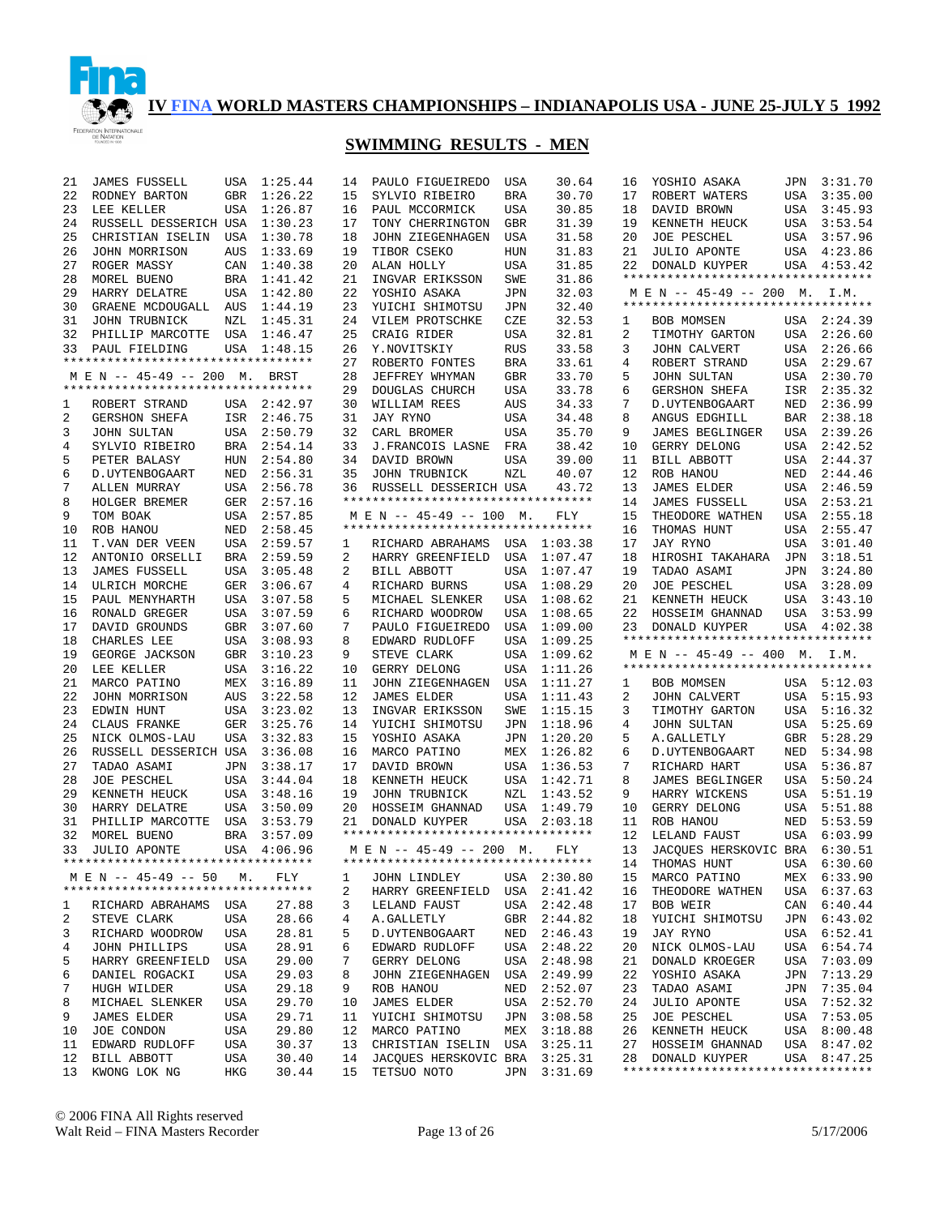

| 21 | <b>JAMES FUSSELL</b>               | USA        | 1:25.44     | 14 | PAULO FIGUEIREDO                                               | USA        | 30.64       | 16 | YOSHIO ASAKA                                                        | JPN | 3:31.70                    |
|----|------------------------------------|------------|-------------|----|----------------------------------------------------------------|------------|-------------|----|---------------------------------------------------------------------|-----|----------------------------|
| 22 | RODNEY BARTON                      | <b>GBR</b> | 1:26.22     | 15 | SYLVIO RIBEIRO                                                 | <b>BRA</b> | 30.70       | 17 | ROBERT WATERS                                                       | USA | 3:35.00                    |
| 23 | LEE KELLER                         | <b>USA</b> | 1:26.87     | 16 | PAUL MCCORMICK                                                 | USA        | 30.85       | 18 | DAVID BROWN                                                         | USA | 3:45.93                    |
| 24 | RUSSELL DESSERICH USA              |            | 1:30.23     | 17 | TONY CHERRINGTON                                               | GBR        | 31.39       | 19 | KENNETH HEUCK                                                       | USA | 3:53.54                    |
| 25 | CHRISTIAN ISELIN                   | USA        | 1:30.78     | 18 | JOHN ZIEGENHAGEN                                               | USA        | 31.58       | 20 | JOE PESCHEL                                                         | USA | 3:57.96                    |
| 26 | JOHN MORRISON                      | AUS        | 1:33.69     | 19 | TIBOR CSEKO                                                    | HUN        | 31.83       | 21 | <b>JULIO APONTE</b>                                                 | USA | 4:23.86                    |
| 27 | ROGER MASSY                        | CAN        | 1:40.38     | 20 | ALAN HOLLY                                                     | USA        | 31.85       | 22 | DONALD KUYPER                                                       | USA | 4:53.42                    |
| 28 | MOREL BUENO                        | <b>BRA</b> | 1:41.42     | 21 | INGVAR ERIKSSON                                                | SWE        | 31.86       |    | **********************************                                  |     |                            |
| 29 | HARRY DELATRE                      | USA        | 1:42.80     | 22 | YOSHIO ASAKA                                                   |            | 32.03       |    |                                                                     |     |                            |
|    |                                    |            |             |    |                                                                | JPN        |             |    | M E N -- 45-49 -- 200 M. I.M.<br>********************************** |     |                            |
| 30 | GRAENE MCDOUGALL                   | AUS        | 1:44.19     | 23 | YUICHI SHIMOTSU                                                | JPN        | 32.40       |    |                                                                     |     |                            |
| 31 | JOHN TRUBNICK                      | NZL        | 1:45.31     | 24 | VILEM PROTSCHKE                                                | CZE        | 32.53       | 1  | BOB MOMSEN                                                          |     | USA 2:24.39                |
| 32 | PHILLIP MARCOTTE USA               |            | 1:46.47     | 25 | CRAIG RIDER                                                    | USA        | 32.81       | 2  | TIMOTHY GARTON                                                      |     | USA 2:26.60                |
| 33 | PAUL FIELDING                      | <b>USA</b> | 1:48.15     | 26 | Y. NOVITSKIY                                                   | <b>RUS</b> | 33.58       | 3  | <b>JOHN CALVERT</b>                                                 | USA | 2:26.66                    |
|    | *********************************  |            |             | 27 | ROBERTO FONTES                                                 | <b>BRA</b> | 33.61       | 4  | ROBERT STRAND                                                       | USA | 2:29.67                    |
|    | M E N -- 45-49 -- 200 M.           |            | BRST        | 28 | JEFFREY WHYMAN                                                 | <b>GBR</b> | 33.70       | 5  | JOHN SULTAN                                                         | USA | 2:30.70                    |
|    | ********************************** |            |             | 29 | DOUGLAS CHURCH                                                 | USA        | 33.78       | 6  | <b>GERSHON SHEFA</b>                                                | ISR | 2:35.32                    |
| 1  | ROBERT STRAND                      |            | USA 2:42.97 | 30 | WILLIAM REES                                                   | AUS        | 34.33       | 7  | D. UYTENBOGAART                                                     | NED | 2:36.99                    |
| 2  | GERSHON SHEFA                      |            | ISR 2:46.75 | 31 | JAY RYNO                                                       | USA        | 34.48       | 8  | ANGUS EDGHILL                                                       | BAR | 2:38.18                    |
| 3  | <b>JOHN SULTAN</b>                 |            | USA 2:50.79 | 32 | CARL BROMER                                                    | USA        | 35.70       | 9  | JAMES BEGLINGER                                                     | USA | 2:39.26                    |
| 4  | SYLVIO RIBEIRO                     |            | BRA 2:54.14 | 33 | J.FRANCOIS LASNE                                               | FRA        | 38.42       | 10 | GERRY DELONG                                                        | USA | 2:42.52                    |
| 5  | PETER BALASY                       | HUN        | 2:54.80     | 34 | DAVID BROWN                                                    | USA        | 39.00       | 11 | BILL ABBOTT                                                         | USA | 2:44.37                    |
| 6  | D. UYTENBOGAART                    | NED        | 2:56.31     | 35 | JOHN TRUBNICK                                                  | NZL        | 40.07       | 12 | ROB HANOU                                                           | NED | 2:44.46                    |
| 7  | ALLEN MURRAY                       |            | USA 2:56.78 | 36 | RUSSELL DESSERICH USA                                          |            | 43.72       | 13 | <b>JAMES ELDER</b>                                                  | USA | 2:46.59                    |
|    |                                    |            |             |    | *********************************                              |            |             |    |                                                                     |     |                            |
| 8  | HOLGER BREMER                      | GER        | 2:57.16     |    |                                                                |            |             | 14 | <b>JAMES FUSSELL</b>                                                | USA | 2:53.21                    |
| 9  | TOM BOAK                           | USA        | 2:57.85     |    | M E N -- 45-49 -- 100 M.<br>********************************** |            | FLY         | 15 | THEODORE WATHEN                                                     | USA | 2:55.18                    |
| 10 | ROB HANOU                          | NED        | 2:58.45     |    |                                                                |            |             | 16 | THOMAS HUNT                                                         | USA | 2:55.47                    |
| 11 | T.VAN DER VEEN                     | USA        | 2:59.57     | 1  | RICHARD ABRAHAMS                                               | USA        | 1:03.38     | 17 | JAY RYNO                                                            | USA | 3:01.40                    |
| 12 | ANTONIO ORSELLI                    | BRA        | 2:59.59     | 2  | HARRY GREENFIELD                                               | USA        | 1:07.47     | 18 | HIROSHI TAKAHARA                                                    | JPN | 3:18.51                    |
| 13 | <b>JAMES FUSSELL</b>               | USA        | 3:05.48     | 2  | BILL ABBOTT                                                    | USA        | 1:07.47     | 19 | TADAO ASAMI                                                         | JPN | 3:24.80                    |
| 14 | ULRICH MORCHE                      | GER        | 3:06.67     | 4  | RICHARD BURNS                                                  | USA        | 1:08.29     | 20 | JOE PESCHEL                                                         | USA | 3:28.09                    |
| 15 | PAUL MENYHARTH                     | USA        | 3:07.58     | 5  | MICHAEL SLENKER                                                | USA        | 1:08.62     | 21 | KENNETH HEUCK                                                       | USA | 3:43.10                    |
| 16 | RONALD GREGER                      | USA        | 3:07.59     | 6  | RICHARD WOODROW                                                | USA        | 1:08.65     | 22 | HOSSEIM GHANNAD                                                     | USA | 3:53.99                    |
|    |                                    |            |             |    |                                                                |            |             |    |                                                                     |     |                            |
| 17 | DAVID GROUNDS                      | GBR        | 3:07.60     | 7  | PAULO FIGUEIREDO                                               | USA        | 1:09.00     | 23 | DONALD KUYPER                                                       |     | USA 4:02.38                |
| 18 | CHARLES LEE                        | USA        | 3:08.93     | 8  | EDWARD RUDLOFF                                                 | USA        | 1:09.25     |    | **********************************                                  |     |                            |
|    |                                    |            |             |    |                                                                |            |             |    |                                                                     |     |                            |
| 19 | GEORGE JACKSON                     | GBR        | 3:10.23     | 9  | STEVE CLARK                                                    | USA        | 1:09.62     |    | M E N -- 45-49 -- 400 M. I.M.<br>********************************** |     |                            |
| 20 | LEE KELLER                         | <b>USA</b> | 3:16.22     | 10 | GERRY DELONG                                                   | USA        | 1:11.26     |    |                                                                     |     |                            |
| 21 | MARCO PATINO                       | MEX        | 3:16.89     | 11 | JOHN ZIEGENHAGEN                                               | USA        | 1:11.27     | 1  | BOB MOMSEN                                                          |     | USA 5:12.03                |
| 22 | JOHN MORRISON                      | AUS        | 3:22.58     | 12 | <b>JAMES ELDER</b>                                             | USA        | 1:11.43     | 2  | <b>JOHN CALVERT</b>                                                 | USA | 5:15.93                    |
| 23 | EDWIN HUNT                         | USA        | 3:23.02     | 13 | INGVAR ERIKSSON                                                | SWE        | 1:15.15     | 3  | TIMOTHY GARTON                                                      | USA | 5:16.32                    |
| 24 | CLAUS FRANKE                       | GER        | 3:25.76     | 14 | YUICHI SHIMOTSU                                                | JPN        | 1:18.96     | 4  | <b>JOHN SULTAN</b>                                                  | USA | 5:25.69                    |
| 25 | NICK OLMOS-LAU                     | <b>USA</b> | 3:32.83     | 15 | YOSHIO ASAKA                                                   | JPN        | 1:20.20     | 5  | A. GALLETLY                                                         | GBR | 5:28.29                    |
| 26 | RUSSELL DESSERICH USA              |            | 3:36.08     | 16 | MARCO PATINO                                                   | MEX        | 1:26.82     | 6  | D. UYTENBOGAART                                                     | NED | 5:34.98                    |
| 27 | TADAO ASAMI                        | <b>JPN</b> | 3:38.17     | 17 | DAVID BROWN                                                    | USA        | 1:36.53     | 7  | RICHARD HART                                                        | USA | 5:36.87                    |
| 28 | <b>JOE PESCHEL</b>                 | USA        | 3:44.04     | 18 | KENNETH HEUCK                                                  | USA        | 1:42.71     | 8  | JAMES BEGLINGER                                                     | USA | 5:50.24                    |
| 29 | KENNETH HEUCK                      | USA        | 3:48.16     | 19 | JOHN TRUBNICK                                                  | NZL        | 1:43.52     | 9  | HARRY WICKENS                                                       | USA | 5:51.19                    |
| 30 | HARRY DELATRE                      | USA        | 3:50.09     | 20 | HOSSEIM GHANNAD                                                | USA        | 1:49.79     | 10 | GERRY DELONG                                                        | USA | 5:51.88                    |
| 31 | PHILLIP MARCOTTE                   | USA        | 3:53.79     | 21 | DONALD KUYPER                                                  | USA        | 2:03.18     | 11 | ROB HANOU                                                           | NED | 5:53.59                    |
| 32 | MOREL BUENO                        | BRA        | 3:57.09     |    | **********************************                             |            |             | 12 | LELAND FAUST                                                        | USA | 6:03.99                    |
| 33 | JULIO APONTE                       |            | USA 4:06.96 |    | M E N -- 45-49 -- 200 M.                                       |            | FLY         | 13 | JACQUES HERSKOVIC BRA                                               |     | 6:30.51                    |
|    | ********************************** |            |             |    | **********************************                             |            |             |    |                                                                     |     |                            |
|    | M E N -- 45-49 -- 50               | М.         | FLY         | 1  |                                                                |            |             | 15 | 14 THOMAS HUNT<br>MARCO PATINO                                      |     | USA 6:30.60<br>MEX 6:33.90 |
|    | ********************************** |            |             |    | JOHN LINDLEY                                                   |            | USA 2:30.80 |    |                                                                     |     |                            |
|    |                                    |            |             | 2  | HARRY GREENFIELD                                               | USA        | 2:41.42     | 16 | THEODORE WATHEN                                                     |     | USA 6:37.63                |
| ı. | RICHARD ABRAHAMS USA               |            | 27.88       | 3  | LELAND FAUST                                                   |            | USA 2:42.48 | 17 | BOB WEIR                                                            |     | CAN 6:40.44                |
| 2  | STEVE CLARK                        | USA        | 28.66       | 4  | A.GALLETLY                                                     | GBR        | 2:44.82     | 18 | YUICHI SHIMOTSU                                                     |     | JPN 6:43.02                |
| 3  | RICHARD WOODROW                    | USA        | 28.81       | 5  | D. UYTENBOGAART                                                | NED        | 2:46.43     | 19 | JAY RYNO                                                            |     | USA 6:52.41                |
| 4  | JOHN PHILLIPS                      | USA        | 28.91       | 6  | EDWARD RUDLOFF                                                 | USA        | 2:48.22     | 20 | NICK OLMOS-LAU                                                      |     | USA 6:54.74                |
| 5  | HARRY GREENFIELD                   | USA        | 29.00       | 7  | GERRY DELONG                                                   | USA        | 2:48.98     | 21 | DONALD KROEGER                                                      |     | USA 7:03.09                |
| 6  | DANIEL ROGACKI                     | USA        | 29.03       | 8  | JOHN ZIEGENHAGEN                                               | USA        | 2:49.99     | 22 | YOSHIO ASAKA                                                        |     | JPN 7:13.29                |
| 7  | HUGH WILDER                        | USA        | 29.18       | 9  | ROB HANOU                                                      | NED        | 2:52.07     | 23 | TADAO ASAMI                                                         |     | JPN 7:35.04                |
| 8  | MICHAEL SLENKER                    | USA        | 29.70       | 10 | JAMES ELDER                                                    | USA        | 2:52.70     | 24 | JULIO APONTE                                                        | USA | 7:52.32                    |
| 9  | JAMES ELDER                        | USA        | 29.71       | 11 | YUICHI SHIMOTSU                                                | JPN        | 3:08.58     | 25 | JOE PESCHEL                                                         |     | USA 7:53.05                |
| 10 | JOE CONDON                         | USA        | 29.80       | 12 | MARCO PATINO                                                   | MEX        | 3:18.88     | 26 | KENNETH HEUCK                                                       |     | USA 8:00.48                |
| 11 | EDWARD RUDLOFF                     | USA        | 30.37       | 13 | CHRISTIAN ISELIN                                               | USA        | 3:25.11     | 27 | HOSSEIM GHANNAD                                                     |     | USA 8:47.02                |
| 12 | <b>BILL ABBOTT</b>                 | USA        | 30.40       | 14 | JACQUES HERSKOVIC BRA                                          |            | 3:25.31     | 28 | DONALD KUYPER                                                       |     | USA 8:47.25                |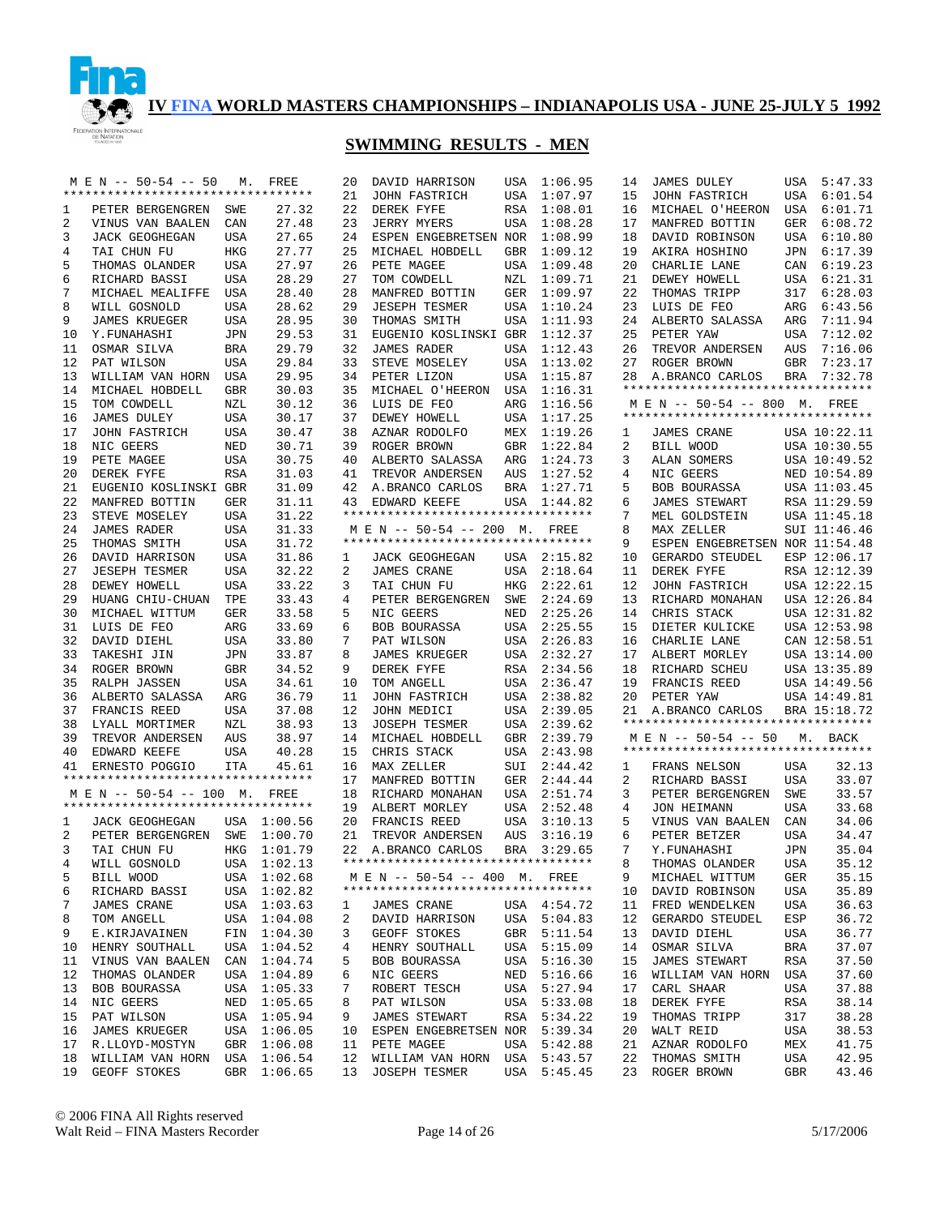

|            | M E N -- 50-54 -- 50               | М.         | FREE        | 20 | DAVID HARRISON                                     | USA        | 1:06.95     | 14 | <b>JAMES DULEY</b>                 |            | USA 5:47.33  |
|------------|------------------------------------|------------|-------------|----|----------------------------------------------------|------------|-------------|----|------------------------------------|------------|--------------|
|            | ********************************** |            |             | 21 | <b>JOHN FASTRICH</b>                               | USA        | 1:07.97     | 15 | <b>JOHN FASTRICH</b>               | USA        | 6:01.54      |
| 1          | PETER BERGENGREN SWE               |            | 27.32       | 22 | DEREK FYFE                                         | RSA        | 1:08.01     | 16 | MICHAEL O'HEERON                   | USA        | 6:01.71      |
| 2          | VINUS VAN BAALEN                   | CAN        | 27.48       | 23 | <b>JERRY MYERS</b>                                 | USA        | 1:08.28     | 17 | MANFRED BOTTIN                     | GER        | 6:08.72      |
| 3          | <b>JACK GEOGHEGAN</b>              | USA        | 27.65       | 24 | ESPEN ENGEBRETSEN NOR                              |            | 1:08.99     | 18 | DAVID ROBINSON                     |            | USA 6:10.80  |
| 4          | TAI CHUN FU                        | HKG        | 27.77       | 25 | MICHAEL HOBDELL                                    | GBR        | 1:09.12     | 19 | AKIRA HOSHINO                      | JPN        | 6:17.39      |
| 5          | THOMAS OLANDER                     | <b>USA</b> | 27.97       | 26 | PETE MAGEE                                         | USA        | 1:09.48     | 20 | CHARLIE LANE                       |            | CAN 6:19.23  |
| 6          | RICHARD BASSI                      | USA        | 28.29       | 27 | TOM COWDELL                                        | NZL        | 1:09.71     | 21 | DEWEY HOWELL                       |            | USA 6:21.31  |
| 7          | MICHAEL MEALIFFE                   | USA        | 28.40       | 28 | MANFRED BOTTIN                                     | GER        | 1:09.97     | 22 | THOMAS TRIPP                       | 317        | 6:28.03      |
| 8          | WILL GOSNOLD                       | USA        | 28.62       | 29 | <b>JESEPH TESMER</b>                               | USA        | 1:10.24     | 23 | LUIS DE FEO                        | ARG        | 6:43.56      |
| 9          | <b>JAMES KRUEGER</b>               | USA        | 28.95       | 30 | THOMAS SMITH                                       | USA        | 1:11.93     | 24 | ALBERTO SALASSA                    | ARG        | 7:11.94      |
| 10         | Y.FUNAHASHI                        |            | 29.53       | 31 | EUGENIO KOSLINSKI GBR                              |            | 1:12.37     | 25 | PETER YAW                          |            | 7:12.02      |
|            |                                    | JPN        |             |    |                                                    |            |             |    |                                    | USA        |              |
| 11         | OSMAR SILVA                        | <b>BRA</b> | 29.79       | 32 | <b>JAMES RADER</b>                                 | USA        | 1:12.43     | 26 | TREVOR ANDERSEN                    | AUS        | 7:16.06      |
| 12         | PAT WILSON                         | USA        | 29.84       | 33 | STEVE MOSELEY                                      | USA        | 1:13.02     | 27 | ROGER BROWN                        | GBR        | 7:23.17      |
| 13         | WILLIAM VAN HORN                   | USA        | 29.95       | 34 | PETER LIZON                                        | USA        | 1:15.87     | 28 | A.BRANCO CARLOS                    | <b>BRA</b> | 7:32.78      |
| 14         | MICHAEL HOBDELL                    | GBR        | 30.03       | 35 | MICHAEL O'HEERON                                   | USA        | 1:16.31     |    | ********************************** |            |              |
| 15         | TOM COWDELL                        | NZL        | 30.12       | 36 | LUIS DE FEO                                        | ARG        | 1:16.56     |    | M E N -- 50-54 -- 800 M. FREE      |            |              |
| 16         | JAMES DULEY                        | <b>USA</b> | 30.17       | 37 | DEWEY HOWELL                                       | USA        | 1:17.25     |    | ********************************** |            |              |
| 17         | JOHN FASTRICH                      | <b>USA</b> | 30.47       | 38 | AZNAR RODOLFO                                      | MEX        | 1:19.26     | 1  | JAMES CRANE                        |            | USA 10:22.11 |
| 18         | NIC GEERS                          | NED        | 30.71       | 39 | ROGER BROWN                                        | GBR        | 1:22.84     | 2  | BILL WOOD                          |            | USA 10:30.55 |
| 19         | PETE MAGEE                         | USA        | 30.75       | 40 | ALBERTO SALASSA                                    | ARG        | 1:24.73     | 3  | ALAN SOMERS                        |            | USA 10:49.52 |
| 20         | DEREK FYFE                         | <b>RSA</b> | 31.03       | 41 | TREVOR ANDERSEN                                    | AUS        | 1:27.52     | 4  | NIC GEERS                          |            | NED 10:54.89 |
| 21         | EUGENIO KOSLINSKI GBR              |            | 31.09       | 42 | A.BRANCO CARLOS                                    | BRA        | 1:27.71     | 5  | BOB BOURASSA                       |            | USA 11:03.45 |
| 22         | MANFRED BOTTIN                     | GER        | 31.11       | 43 |                                                    |            | USA 1:44.82 | 6  |                                    |            | RSA 11:29.59 |
|            |                                    |            |             |    | EDWARD KEEFE<br>********************************** |            |             | 7  | <b>JAMES STEWART</b>               |            |              |
| 23         | STEVE MOSELEY                      | USA        | 31.22       |    |                                                    |            |             |    | MEL GOLDSTEIN                      |            | USA 11:45.18 |
| 24         | <b>JAMES RADER</b>                 | USA        | 31.33       |    | M E N -- 50-54 -- 200 M. FREE                      |            |             | 8  | MAX ZELLER                         |            | SUI 11:46.46 |
| 25         | THOMAS SMITH                       | USA        | 31.72       |    | **********************************                 |            |             | 9  | ESPEN ENGEBRETSEN NOR 11:54.48     |            |              |
| 26         | DAVID HARRISON                     | USA        | 31.86       | 1  | <b>JACK GEOGHEGAN</b>                              |            | USA 2:15.82 | 10 | GERARDO STEUDEL                    |            | ESP 12:06.17 |
| 27         | <b>JESEPH TESMER</b>               | USA        | 32.22       | 2  | JAMES CRANE                                        | USA        | 2:18.64     | 11 | DEREK FYFE                         |            | RSA 12:12.39 |
| 28         | DEWEY HOWELL                       | <b>USA</b> | 33.22       | 3  | TAI CHUN FU                                        | HKG        | 2:22.61     | 12 | JOHN FASTRICH                      |            | USA 12:22.15 |
| 29         | HUANG CHIU-CHUAN                   | TPE        | 33.43       | 4  | PETER BERGENGREN                                   | SWE        | 2:24.69     | 13 | RICHARD MONAHAN                    |            | USA 12:26.84 |
| 30         | MICHAEL WITTUM                     | GER        | 33.58       | 5  | NIC GEERS                                          | NED        | 2:25.26     | 14 | CHRIS STACK                        |            | USA 12:31.82 |
| 31         | LUIS DE FEO                        | ARG        | 33.69       | 6  | BOB BOURASSA                                       | USA        | 2:25.55     | 15 | DIETER KULICKE                     |            | USA 12:53.98 |
| 32         | DAVID DIEHL                        | USA        | 33.80       | 7  | PAT WILSON                                         | USA        | 2:26.83     | 16 | CHARLIE LANE                       |            | CAN 12:58.51 |
| 33         | TAKESHI JIN                        | JPN        | 33.87       | 8  | <b>JAMES KRUEGER</b>                               | USA        | 2:32.27     | 17 | ALBERT MORLEY                      |            | USA 13:14.00 |
| 34         | ROGER BROWN                        | GBR        | 34.52       | 9  | DEREK FYFE                                         | RSA        | 2:34.56     | 18 | RICHARD SCHEU                      |            | USA 13:35.89 |
|            |                                    |            |             | 10 |                                                    |            |             |    |                                    |            |              |
| 35         | RALPH JASSEN                       | <b>USA</b> | 34.61       |    | TOM ANGELL                                         | USA        | 2:36.47     | 19 | FRANCIS REED                       |            | USA 14:49.56 |
| 36         | ALBERTO SALASSA                    | ARG        | 36.79       | 11 | <b>JOHN FASTRICH</b>                               | USA        | 2:38.82     | 20 | PETER YAW                          |            | USA 14:49.81 |
| 37         | FRANCIS REED                       | <b>USA</b> | 37.08       | 12 | JOHN MEDICI                                        | USA        | 2:39.05     | 21 | A.BRANCO CARLOS                    |            | BRA 15:18.72 |
| 38         | LYALL MORTIMER                     | NZL        | 38.93       | 13 | <b>JOSEPH TESMER</b>                               | USA        | 2:39.62     |    | ********************************** |            |              |
| 39         | TREVOR ANDERSEN                    | AUS        | 38.97       | 14 | MICHAEL HOBDELL                                    | <b>GBR</b> | 2:39.79     |    | M E N -- 50-54 -- 50               |            | M. BACK      |
| 40         | EDWARD KEEFE                       | <b>USA</b> | 40.28       | 15 | CHRIS STACK                                        | USA        | 2:43.98     |    | ********************************** |            |              |
| 41         | ERNESTO POGGIO                     | ITA        | 45.61       | 16 | MAX ZELLER                                         | SUI        | 2:44.42     | 1  | FRANS NELSON                       | USA        | 32.13        |
|            | ********************************** |            |             | 17 | MANFRED BOTTIN                                     | GER        | 2:44.44     | 2  | RICHARD BASSI                      | USA        | 33.07        |
|            | M E N -- 50-54 -- 100 M.           |            | FREE        | 18 | RICHARD MONAHAN                                    | USA        | 2:51.74     | 3  | PETER BERGENGREN                   | SWE        | 33.57        |
|            | ********************************** |            |             | 19 | ALBERT MORLEY                                      | USA        | 2:52.48     | 4  | <b>JON HEIMANN</b>                 | <b>USA</b> | 33.68        |
| 1          | JACK GEOGHEGAN                     |            | USA 1:00.56 | 20 | FRANCIS REED                                       | USA        | 3:10.13     | 5  | VINUS VAN BAALEN                   | CAN        | 34.06        |
| 2          | PETER BERGENGREN                   | SWE        | 1:00.70     | 21 | TREVOR ANDERSEN                                    | AUS        | 3:16.19     | 6  | PETER BETZER                       | <b>USA</b> | 34.47        |
| 3          | TAI CHUN FU                        | HKG        | 1:01.79     |    | 22 A.BRANCO CARLOS                                 |            | BRA 3:29.65 | 7  | Y.FUNAHASHI                        | JPN        | 35.04        |
| $4\degree$ | WILL GOSNOLD USA 1:02.13           |            |             |    | **********************************                 |            |             | 8  | THOMAS OLANDER USA                 |            | 35.12        |
|            |                                    |            |             |    | M E N -- 50-54 -- 400 M. FREE                      |            |             |    |                                    |            |              |
| 5          | BILL WOOD                          |            | USA 1:02.68 |    | **********************************                 |            |             | 9  | MICHAEL WITTUM                     | GER        | 35.15        |
| 6          | RICHARD BASSI                      |            | USA 1:02.82 |    |                                                    |            |             | 10 | DAVID ROBINSON                     | USA        | 35.89        |
| 7          | JAMES CRANE                        |            | USA 1:03.63 | 1  | JAMES CRANE                                        |            | USA 4:54.72 | 11 | FRED WENDELKEN                     | USA        | 36.63        |
| 8          | TOM ANGELL                         |            | USA 1:04.08 | 2  | DAVID HARRISON                                     |            | USA 5:04.83 | 12 | GERARDO STEUDEL                    | ESP        | 36.72        |
| 9          | E.KIRJAVAINEN                      |            | FIN 1:04.30 | 3  | GEOFF STOKES                                       |            | GBR 5:11.54 | 13 | DAVID DIEHL                        | USA        | 36.77        |
| 10         | HENRY SOUTHALL                     |            | USA 1:04.52 | 4  | HENRY SOUTHALL                                     |            | USA 5:15.09 | 14 | OSMAR SILVA                        | BRA        | 37.07        |
| 11         | VINUS VAN BAALEN                   |            | CAN 1:04.74 | 5  | BOB BOURASSA                                       |            | USA 5:16.30 | 15 | JAMES STEWART                      | RSA        | 37.50        |
| 12         | THOMAS OLANDER                     |            | USA 1:04.89 | 6  | NIC GEERS                                          |            | NED 5:16.66 | 16 | WILLIAM VAN HORN                   | USA        | 37.60        |
| 13         | BOB BOURASSA                       |            | USA 1:05.33 | 7  | ROBERT TESCH                                       | USA        | 5:27.94     | 17 | CARL SHAAR                         | USA        | 37.88        |
| 14         | NIC GEERS                          |            | NED 1:05.65 | 8  | PAT WILSON                                         |            | USA 5:33.08 | 18 | DEREK FYFE                         | RSA        | 38.14        |
| 15         | PAT WILSON                         |            | USA 1:05.94 | 9  | JAMES STEWART                                      | RSA        | 5:34.22     | 19 | THOMAS TRIPP                       | 317        | 38.28        |
| 16         | JAMES KRUEGER                      |            | USA 1:06.05 | 10 | ESPEN ENGEBRETSEN NOR                              |            | 5:39.34     | 20 | WALT REID                          | USA        | 38.53        |
| 17         |                                    |            | GBR 1:06.08 | 11 | PETE MAGEE                                         | USA        | 5:42.88     | 21 | AZNAR RODOLFO                      | MEX        | 41.75        |
|            | R.LLOYD-MOSTYN                     |            | USA 1:06.54 |    |                                                    |            |             |    |                                    |            |              |
| 18         | WILLIAM VAN HORN                   |            |             | 12 | WILLIAM VAN HORN USA 5:43.57                       |            |             | 22 | THOMAS SMITH                       | USA        | 42.95        |
| 19         | GEOFF STOKES                       |            | GBR 1:06.65 | 13 | <b>JOSEPH TESMER</b>                               |            | USA 5:45.45 | 23 | ROGER BROWN                        | GBR        | 43.46        |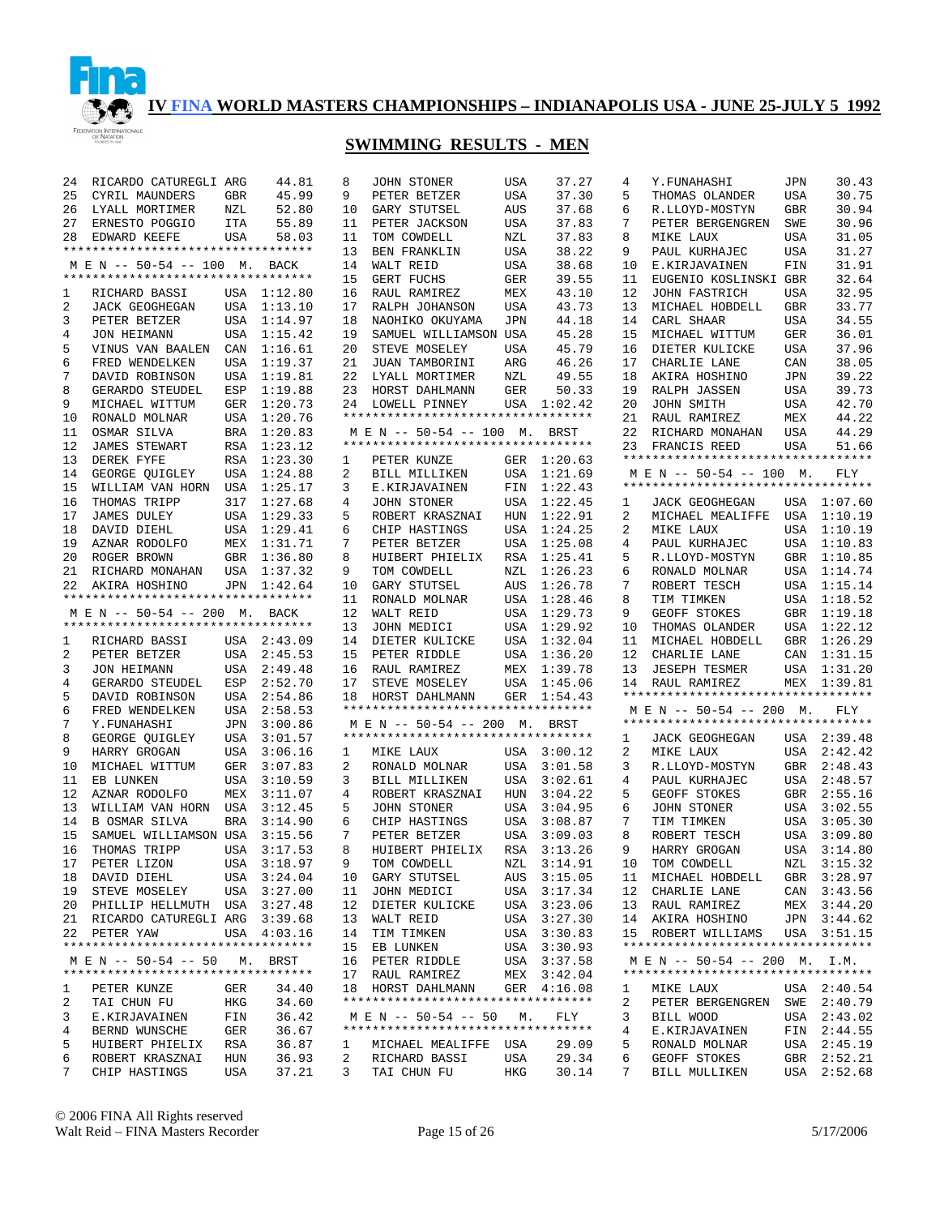

# **SWIMMING RESULTS - MEN**

| 24     | RICARDO CATUREGLI ARG                                              |            | 44.81          | 8      | JOHN STONER                                          | <b>USA</b>        | 37.27          | 4      | Y.FUNAHASHI                                                         | JPN        | 30.43                  |
|--------|--------------------------------------------------------------------|------------|----------------|--------|------------------------------------------------------|-------------------|----------------|--------|---------------------------------------------------------------------|------------|------------------------|
| 25     | CYRIL MAUNDERS                                                     | GBR        | 45.99          | 9      | PETER BETZER                                         | USA               | 37.30          | 5      | THOMAS OLANDER                                                      | USA        | 30.75                  |
| 26     | LYALL MORTIMER                                                     | NZL        | 52.80          | 10     | GARY STUTSEL                                         | AUS               | 37.68          | 6      | R.LLOYD-MOSTYN                                                      | GBR        | 30.94                  |
| 27     | ERNESTO POGGIO                                                     | ITA        | 55.89          | 11     | PETER JACKSON                                        | USA               | 37.83          | 7      | PETER BERGENGREN                                                    | SWE        | 30.96                  |
| 28     | EDWARD KEEFE                                                       | <b>USA</b> | 58.03          | 11     | TOM COWDELL                                          | NZL               | 37.83          | 8      | MIKE LAUX                                                           | <b>USA</b> | 31.05                  |
|        | *********************************                                  |            |                | 13     | BEN FRANKLIN                                         | USA               | 38.22          | 9      | PAUL KURHAJEC                                                       | <b>USA</b> | 31.27                  |
|        | M E N -- 50-54 -- 100 M.                                           |            | BACK           | 14     | WALT REID                                            | USA               | 38.68          | 10     | E.KIRJAVAINEN                                                       | FIN        | 31.91                  |
|        | **********************************                                 |            |                | 15     | GERT FUCHS                                           | <b>GER</b>        | 39.55          | 11     | EUGENIO KOSLINSKI GBR                                               |            | 32.64                  |
| 1      | RICHARD BASSI                                                      |            | USA 1:12.80    | 16     | RAUL RAMIREZ                                         | MEX               | 43.10          | 12     | <b>JOHN FASTRICH</b>                                                | USA        | 32.95                  |
| 2      |                                                                    |            | USA 1:13.10    | 17     | RALPH JOHANSON                                       | <b>USA</b>        | 43.73          | 13     | MICHAEL HOBDELL                                                     | <b>GBR</b> | 33.77                  |
|        | <b>JACK GEOGHEGAN</b>                                              |            |                |        |                                                      |                   |                |        |                                                                     |            |                        |
| 3      | PETER BETZER                                                       |            | USA 1:14.97    | 18     | NAOHIKO OKUYAMA                                      | <b>JPN</b>        | 44.18          | 14     | CARL SHAAR                                                          | <b>USA</b> | 34.55                  |
| 4      | <b>JON HEIMANN</b>                                                 | USA        | 1:15.42        | 19     | SAMUEL WILLIAMSON USA                                |                   | 45.28          | 15     | MICHAEL WITTUM                                                      | <b>GER</b> | 36.01                  |
| 5      | VINUS VAN BAALEN                                                   |            | CAN 1:16.61    | 20     | STEVE MOSELEY                                        | <b>USA</b>        | 45.79          | 16     | DIETER KULICKE                                                      | <b>USA</b> | 37.96                  |
| 6      | FRED WENDELKEN                                                     | USA        | 1:19.37        | 21     | JUAN TAMBORINI                                       | ARG               | 46.26          | 17     | CHARLIE LANE                                                        | CAN        | 38.05                  |
| 7      | DAVID ROBINSON                                                     | USA        | 1:19.81        | 22     | LYALL MORTIMER                                       | NZL               | 49.55          | 18     | AKIRA HOSHINO                                                       | JPN        | 39.22                  |
| 8      | GERARDO STEUDEL                                                    | ESP        | 1:19.88        | 23     | HORST DAHLMANN                                       | <b>GER</b>        | 50.33          | 19     | RALPH JASSEN                                                        | USA        | 39.73                  |
| 9      | MICHAEL WITTUM                                                     |            | GER 1:20.73    | 24     | LOWELL PINNEY                                        |                   | USA 1:02.42    | 20     | JOHN SMITH                                                          | USA        | 42.70                  |
| 10     | RONALD MOLNAR                                                      | USA        | 1:20.76        |        | *********************************                    |                   |                | 21     | RAUL RAMIREZ                                                        | MEX        | 44.22                  |
| 11     | OSMAR SILVA                                                        |            | BRA 1:20.83    |        | M E N -- 50-54 -- 100 M. BRST                        |                   |                | 22     | RICHARD MONAHAN                                                     | USA        | 44.29                  |
| 12     | <b>JAMES STEWART</b>                                               | RSA        | 1:23.12        |        | **********************************                   |                   |                | 23     | FRANCIS REED                                                        | <b>USA</b> | 51.66                  |
| 13     | DEREK FYFE                                                         | RSA        | 1:23.30        | 1      | PETER KUNZE                                          |                   | GER 1:20.63    |        | **********************************                                  |            |                        |
| 14     | GEORGE OUIGLEY                                                     | USA        | 1:24.88        | 2      | BILL MILLIKEN                                        |                   | USA 1:21.69    |        | M E N -- 50-54 -- 100 M.                                            |            | FLY                    |
| 15     | WILLIAM VAN HORN                                                   | USA        | 1:25.17        | 3      | E.KIRJAVAINEN                                        |                   | FIN 1:22.43    |        | **********************************                                  |            |                        |
| 16     | THOMAS TRIPP                                                       |            | 317 1:27.68    | 4      | <b>JOHN STONER</b>                                   |                   | USA 1:22.45    |        | <b>JACK GEOGHEGAN</b>                                               |            | USA 1:07.60            |
|        |                                                                    |            |                |        |                                                      |                   |                | 1      |                                                                     |            |                        |
| 17     | <b>JAMES DULEY</b>                                                 |            | USA 1:29.33    | 5      | ROBERT KRASZNAI                                      | HUN               | 1:22.91        | 2      | MICHAEL MEALIFFE USA 1:10.19                                        |            |                        |
| 18     | DAVID DIEHL                                                        |            | USA 1:29.41    | 6      | CHIP HASTINGS                                        | USA               | 1:24.25        | 2      | MIKE LAUX                                                           | USA        | 1:10.19                |
| 19     | AZNAR RODOLFO                                                      |            | MEX 1:31.71    | 7      | PETER BETZER                                         | USA               | 1:25.08        | 4      | PAUL KURHAJEC                                                       | USA        | 1:10.83                |
| 20     | ROGER BROWN                                                        |            | GBR 1:36.80    | 8      | HUIBERT PHIELIX                                      | RSA               | 1:25.41        | 5      | R.LLOYD-MOSTYN                                                      | GBR        | 1:10.85                |
| 21     | RICHARD MONAHAN                                                    | USA        | 1:37.32        | 9      | TOM COWDELL                                          | NZL               | 1:26.23        | 6      | RONALD MOLNAR                                                       | USA        | 1:14.74                |
| 22     | AKIRA HOSHINO                                                      |            | JPN 1:42.64    | 10     | GARY STUTSEL                                         | AUS               | 1:26.78        | 7      | ROBERT TESCH                                                        | USA        | 1:15.14                |
|        | **********************************                                 |            |                | 11     | RONALD MOLNAR                                        |                   | USA 1:28.46    | 8      | TIM TIMKEN                                                          | USA        | 1:18.52                |
|        | M E N -- 50-54 -- 200 M.                                           |            | BACK           | 12     | WALT REID                                            |                   | USA 1:29.73    | 9      | <b>GEOFF STOKES</b>                                                 | GBR        | 1:19.18                |
|        | **********************************                                 |            |                | 13     | JOHN MEDICI                                          | USA               |                |        | THOMAS OLANDER                                                      |            | 1:22.12                |
|        |                                                                    |            |                |        |                                                      |                   | 1:29.92        | 10     |                                                                     | USA        |                        |
| 1      | RICHARD BASSI                                                      |            | USA 2:43.09    | 14     | DIETER KULICKE                                       |                   | USA 1:32.04    | 11     | MICHAEL HOBDELL                                                     | GBR        | 1:26.29                |
| 2      | PETER BETZER                                                       | USA        | 2:45.53        | 15     | PETER RIDDLE                                         |                   | USA 1:36.20    | 12     | CHARLIE LANE                                                        | CAN        | 1:31.15                |
|        |                                                                    |            |                |        |                                                      |                   |                |        |                                                                     |            |                        |
| 3      | <b>JON HEIMANN</b>                                                 |            | USA 2:49.48    | 16     | RAUL RAMIREZ                                         |                   | MEX 1:39.78    | 13     | <b>JESEPH TESMER</b>                                                | USA        | 1:31.20                |
| 4      | GERARDO STEUDEL                                                    | ESP        | 2:52.70        | 17     | STEVE MOSELEY                                        | USA               | 1:45.06        | 14     | RAUL RAMIREZ<br>*********************************                   | MEX        | 1:39.81                |
| 5      | DAVID ROBINSON                                                     |            | USA 2:54.86    | 18     | HORST DAHLMANN<br>********************************** |                   | GER 1:54.43    |        |                                                                     |            |                        |
| 6      | FRED WENDELKEN                                                     | USA        | 2:58.53        |        |                                                      |                   |                |        | M E N -- 50-54 -- 200 M.<br>**********************************      |            | FLY                    |
| 7      | Y.FUNAHASHI                                                        |            | JPN 3:00.86    |        | M E N -- 50-54 -- 200 M.                             |                   | BRST           |        |                                                                     |            |                        |
| 8      | GEORGE QUIGLEY                                                     | USA        | 3:01.57        |        | **********************************                   |                   |                | 1      | <b>JACK GEOGHEGAN</b>                                               |            | USA 2:39.48            |
| 9      | HARRY GROGAN                                                       | USA        | 3:06.16        | 1      | MIKE LAUX                                            |                   | USA 3:00.12    | 2      | MIKE LAUX                                                           |            | USA 2:42.42            |
| 10     | MICHAEL WITTUM                                                     | GER        | 3:07.83        | 2      | RONALD MOLNAR                                        | USA               | 3:01.58        | 3      | R.LLOYD-MOSTYN                                                      | GBR        | 2:48.43                |
| 11     | EB LUNKEN                                                          | USA        | 3:10.59        | 3      | BILL MILLIKEN                                        | USA               | 3:02.61        | 4      | PAUL KURHAJEC                                                       | USA        | 2:48.57                |
| 12     | AZNAR RODOLFO                                                      | MEX        | 3:11.07        | 4      | ROBERT KRASZNAI                                      | HUN               | 3:04.22        | 5      | GEOFF STOKES                                                        | GBR        | 2:55.16                |
| 13     | WILLIAM VAN HORN                                                   | USA        | 3:12.45        | 5      | JOHN STONER                                          | USA               | 3:04.95        | 6      | <b>JOHN STONER</b>                                                  | USA        | 3:02.55                |
| 14     | <b>B OSMAR SILVA</b>                                               | <b>BRA</b> | 3:14.90        | 6      | CHIP HASTINGS                                        | USA               | 3:08.87        | 7      | TIM TIMKEN                                                          | USA        | 3:05.30                |
| 15     | SAMUEL WILLIAMSON USA                                              |            | 3:15.56        | 7      | PETER BETZER                                         | USA               | 3:09.03        | 8      | ROBERT TESCH                                                        | USA        | 3:09.80                |
| 16     | THOMAS TRIPP                                                       | USA        | 3:17.53        | 8      | HUIBERT PHIELIX                                      |                   | RSA 3:13.26    | 9      | HARRY GROGAN                                                        | USA        | 3:14.80                |
|        | 17 PETER LIZON                                                     |            | USA 3:18.97    | 9      | TOM COWDELL                                          |                   | NZL 3:14.91    | 10     | TOM COWDELL                                                         |            | NZL 3:15.32            |
| 18     | DAVID DIEHL                                                        |            | USA 3:24.04    | 10     | GARY STUTSEL                                         |                   | AUS 3:15.05    |        | 11 MICHAEL HOBDELL                                                  |            | GBR 3:28.97            |
|        | 19 STEVE MOSELEY                                                   |            | USA 3:27.00    | 11     | JOHN MEDICI                                          |                   | USA 3:17.34    |        | 12 CHARLIE LANE                                                     |            | CAN 3:43.56            |
|        |                                                                    |            |                | 12     | DIETER KULICKE                                       |                   | USA 3:23.06    |        | 13 RAUL RAMIREZ                                                     |            | MEX 3:44.20            |
|        | 20 PHILLIP HELLMUTH USA 3:27.48                                    |            |                | 13     |                                                      |                   |                |        |                                                                     |            |                        |
|        | 21 RICARDO CATUREGLI ARG 3:39.68                                   |            |                |        | WALT REID                                            |                   | USA 3:27.30    |        | 14 AKIRA HOSHINO                                                    |            | JPN 3:44.62            |
|        | 22 PETER YAW<br>**********************************                 |            | USA 4:03.16    | 14     | TIM TIMKEN                                           |                   | USA 3:30.83    |        | 15 ROBERT WILLIAMS<br>**********************************            |            | USA 3:51.15            |
|        |                                                                    |            |                | 15     | EB LUNKEN                                            |                   | USA 3:30.93    |        |                                                                     |            |                        |
|        | M E N -- 50-54 -- 50 M. BRST<br>********************************** |            |                | 16     | PETER RIDDLE                                         |                   | USA 3:37.58    |        | M E N -- 50-54 -- 200 M. I.M.<br>********************************** |            |                        |
|        |                                                                    |            |                | 17     | RAUL RAMIREZ                                         |                   | MEX 3:42.04    |        |                                                                     |            |                        |
| ı      | PETER KUNZE                                                        | GER        | 34.40          |        | 18 HORST DAHLMANN                                    |                   | GER 4:16.08    | ı.     | MIKE LAUX                                                           |            | USA 2:40.54            |
| 2      | TAI CHUN FU                                                        | HKG        | 34.60          |        | **********************************                   |                   |                | 2      | PETER BERGENGREN SWE 2:40.79                                        |            |                        |
| 3      | E.KIRJAVAINEN                                                      | FIN        | 36.42          |        | M E N -- 50-54 -- 50 M.                              |                   | FLY            | 3      | BILL WOOD                                                           |            | USA 2:43.02            |
| 4      | BERND WUNSCHE                                                      | GER        | 36.67          |        | **********************************                   |                   |                | 4      | E.KIRJAVAINEN                                                       |            | FIN 2:44.55            |
| 5      | HUIBERT PHIELIX                                                    | RSA        | 36.87          | ı.     | MICHAEL MEALIFFE USA                                 |                   | 29.09          | 5      | RONALD MOLNAR                                                       |            | USA 2:45.19            |
| 6<br>7 | ROBERT KRASZNAI<br>CHIP HASTINGS                                   | HUN<br>USA | 36.93<br>37.21 | 2<br>3 | RICHARD BASSI<br>TAI CHUN FU                         | USA<br><b>HKG</b> | 29.34<br>30.14 | 6<br>7 | GEOFF STOKES<br>BILL MULLIKEN                                       | USA        | GBR 2:52.21<br>2:52.68 |

© 2006 FINA All Rights reserved Walt Reid – FINA Masters Recorder Page 15 of 26 5/17/2006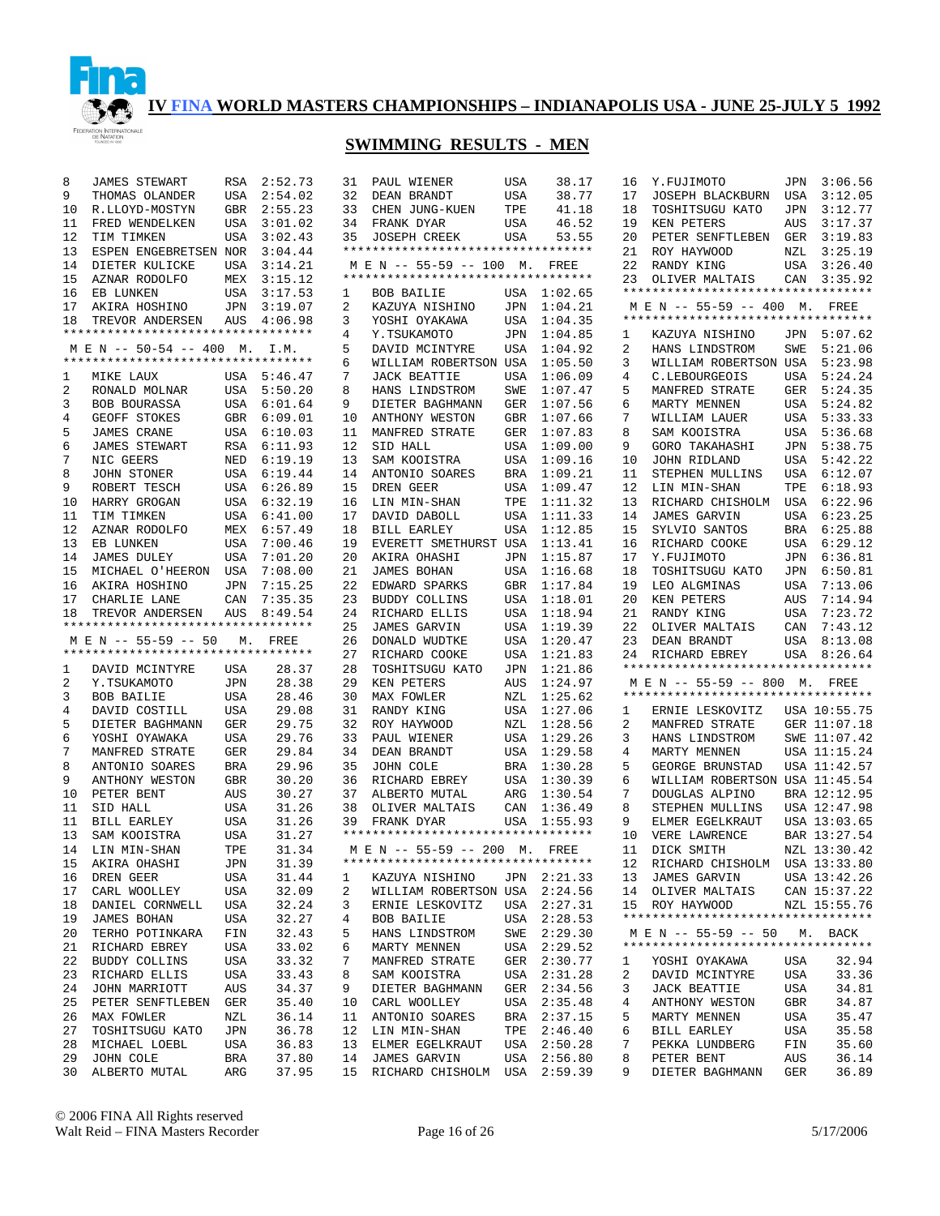

# **SWIMMING RESULTS - MEN**

| 8  | <b>JAMES STEWART</b>                                  | RSA        | 2:52.73     | 31 | PAUL WIENER                                                         | <b>USA</b> | 38.17       | 16 | Y.FUJIMOTO                         | JPN        | 3:06.56      |
|----|-------------------------------------------------------|------------|-------------|----|---------------------------------------------------------------------|------------|-------------|----|------------------------------------|------------|--------------|
| 9  | THOMAS OLANDER                                        | USA        | 2:54.02     | 32 | DEAN BRANDT                                                         | <b>USA</b> | 38.77       | 17 | <b>JOSEPH BLACKBURN</b>            | USA        | 3:12.05      |
| 10 | R.LLOYD-MOSTYN                                        | GBR        | 2:55.23     | 33 | CHEN JUNG-KUEN                                                      | TPE        | 41.18       | 18 | TOSHITSUGU KATO                    | JPN        | 3:12.77      |
| 11 | FRED WENDELKEN                                        | USA        | 3:01.02     | 34 | FRANK DYAR                                                          | <b>USA</b> | 46.52       | 19 | KEN PETERS                         | AUS        | 3:17.37      |
| 12 | TIM TIMKEN                                            | USA        | 3:02.43     | 35 | <b>JOSEPH CREEK</b>                                                 | <b>USA</b> | 53.55       | 20 | PETER SENFTLEBEN                   | <b>GER</b> | 3:19.83      |
| 13 | ESPEN ENGEBRETSEN NOR                                 |            | 3:04.44     |    | **********************************                                  |            |             | 21 | ROY HAYWOOD                        | NZL        | 3:25.19      |
| 14 | DIETER KULICKE                                        | USA        | 3:14.21     |    | M E N -- 55-59 -- 100 M.                                            |            | FREE        | 22 | RANDY KING                         | USA        | 3:26.40      |
| 15 | AZNAR RODOLFO                                         | MEX        | 3:15.12     |    | **********************************                                  |            |             | 23 | OLIVER MALTAIS                     | CAN        | 3:35.92      |
| 16 | EB LUNKEN                                             | USA        | 3:17.53     | 1  | <b>BOB BAILIE</b>                                                   |            | USA 1:02.65 |    | ********************************** |            |              |
| 17 | AKIRA HOSHINO                                         | JPN        | 3:19.07     | 2  | KAZUYA NISHINO                                                      | JPN        | 1:04.21     |    | M E N -- 55-59 -- 400 M.           |            | FREE         |
|    |                                                       |            |             |    |                                                                     |            |             |    | ********************************** |            |              |
| 18 | TREVOR ANDERSEN<br>********************************** | <b>AUS</b> | 4:06.98     | 3  | YOSHI OYAKAWA                                                       | USA        | 1:04.35     |    |                                    |            |              |
|    |                                                       |            |             | 4  | Y.TSUKAMOTO                                                         | JPN        | 1:04.85     | 1  | KAZUYA NISHINO                     | JPN        | 5:07.62      |
|    | M E N -- 50-54 -- 400 M. I.M.                         |            |             | 5  | DAVID MCINTYRE                                                      | USA        | 1:04.92     | 2  | HANS LINDSTROM                     | SWE        | 5:21.06      |
|    | **********************************                    |            |             | 6  | WILLIAM ROBERTSON USA                                               |            | 1:05.50     | 3  | WILLIAM ROBERTSON USA              |            | 5:23.98      |
| 1  | MIKE LAUX                                             |            | USA 5:46.47 | 7  | <b>JACK BEATTIE</b>                                                 | USA        | 1:06.09     | 4  | C.LEBOURGEOIS                      | USA        | 5:24.24      |
| 2  | RONALD MOLNAR                                         |            | USA 5:50.20 | 8  | HANS LINDSTROM                                                      | SWE        | 1:07.47     | 5  | MANFRED STRATE                     | <b>GER</b> | 5:24.35      |
| 3  | BOB BOURASSA                                          | USA        | 6:01.64     | 9  | DIETER BAGHMANN                                                     | GER        | 1:07.56     | 6  | MARTY MENNEN                       | USA        | 5:24.82      |
| 4  | GEOFF STOKES                                          | GBR        | 6:09.01     | 10 | ANTHONY WESTON                                                      | GBR        | 1:07.66     | 7  | WILLIAM LAUER                      | USA        | 5:33.33      |
| 5  | <b>JAMES CRANE</b>                                    | USA        | 6:10.03     | 11 | MANFRED STRATE                                                      | GER        | 1:07.83     | 8  | SAM KOOISTRA                       | USA        | 5:36.68      |
| 6  | <b>JAMES STEWART</b>                                  | RSA        | 6:11.93     | 12 | SID HALL                                                            | USA        | 1:09.00     | 9  | GORO TAKAHASHI                     | JPN        | 5:38.75      |
| 7  | NIC GEERS                                             | NED        | 6:19.19     | 13 | SAM KOOISTRA                                                        | USA        | 1:09.16     | 10 | JOHN RIDLAND                       | USA        | 5:42.22      |
| 8  | JOHN STONER                                           | USA        | 6:19.44     | 14 | ANTONIO SOARES                                                      | <b>BRA</b> | 1:09.21     | 11 | STEPHEN MULLINS                    | USA        | 6:12.07      |
| 9  | ROBERT TESCH                                          | USA        | 6:26.89     | 15 | DREN GEER                                                           | USA        | 1:09.47     | 12 | LIN MIN-SHAN                       | TPE        | 6:18.93      |
| 10 | HARRY GROGAN                                          | USA        | 6:32.19     | 16 | LIN MIN-SHAN                                                        | TPE        | 1:11.32     | 13 | RICHARD CHISHOLM                   | USA        | 6:22.96      |
| 11 | TIM TIMKEN                                            | USA        | 6:41.00     | 17 | DAVID DABOLL                                                        | USA        | 1:11.33     | 14 | <b>JAMES GARVIN</b>                | USA        | 6:23.25      |
| 12 | AZNAR RODOLFO                                         | MEX        | 6:57.49     | 18 | BILL EARLEY                                                         | <b>USA</b> | 1:12.85     | 15 | SYLVIO SANTOS                      | BRA        | 6:25.88      |
| 13 | EB LUNKEN                                             | USA        | 7:00.46     | 19 | EVERETT SMETHURST USA                                               |            | 1:13.41     | 16 | RICHARD COOKE                      | USA        | 6:29.12      |
| 14 | <b>JAMES DULEY</b>                                    | <b>USA</b> | 7:01.20     | 20 | AKIRA OHASHI                                                        | JPN        | 1:15.87     | 17 | Y.FUJIMOTO                         | JPN        | 6:36.81      |
| 15 | MICHAEL O'HEERON                                      |            |             |    |                                                                     |            |             | 18 |                                    |            |              |
|    |                                                       | USA        | 7:08.00     | 21 | <b>JAMES BOHAN</b>                                                  | USA        | 1:16.68     |    | TOSHITSUGU KATO                    | JPN        | 6:50.81      |
| 16 | AKIRA HOSHINO                                         | <b>JPN</b> | 7:15.25     | 22 | EDWARD SPARKS                                                       | <b>GBR</b> | 1:17.84     | 19 | LEO ALGMINAS                       | USA        | 7:13.06      |
| 17 | CHARLIE LANE                                          | CAN        | 7:35.35     | 23 | <b>BUDDY COLLINS</b>                                                | USA        | 1:18.01     | 20 | KEN PETERS                         | AUS        | 7:14.94      |
| 18 | TREVOR ANDERSEN                                       | AUS        | 8:49.54     | 24 | RICHARD ELLIS                                                       | USA        | 1:18.94     | 21 | RANDY KING                         | USA        | 7:23.72      |
|    | **********************************                    |            |             | 25 | <b>JAMES GARVIN</b>                                                 | USA        | 1:19.39     | 22 | OLIVER MALTAIS                     | CAN        | 7:43.12      |
|    |                                                       |            |             |    |                                                                     |            |             |    |                                    |            |              |
|    | M E N -- 55-59 -- 50                                  | М.         | FREE        | 26 | DONALD WUDTKE                                                       | USA        | 1:20.47     | 23 | DEAN BRANDT                        | USA        | 8:13.08      |
|    | **********************************                    |            |             | 27 | RICHARD COOKE                                                       | USA        | 1:21.83     | 24 | RICHARD EBREY                      | USA        | 8:26.64      |
| 1  | DAVID MCINTYRE                                        | USA        | 28.37       | 28 | TOSHITSUGU KATO                                                     | JPN        | 1:21.86     |    | ********************************** |            |              |
| 2  | Y.TSUKAMOTO                                           | JPN        | 28.38       | 29 | KEN PETERS                                                          | AUS        | 1:24.97     |    | M E N -- 55-59 -- 800 M. FREE      |            |              |
| 3  | BOB BAILIE                                            | USA        | 28.46       | 30 | MAX FOWLER                                                          | NZL        | 1:25.62     |    | ********************************** |            |              |
| 4  | DAVID COSTILL                                         | USA        | 29.08       | 31 | RANDY KING                                                          | USA        | 1:27.06     | 1  | ERNIE LESKOVITZ                    |            | USA 10:55.75 |
| 5  | DIETER BAGHMANN                                       | GER        | 29.75       | 32 | ROY HAYWOOD                                                         | NZL        | 1:28.56     | 2  | MANFRED STRATE                     |            | GER 11:07.18 |
| 6  | YOSHI OYAWAKA                                         | USA        | 29.76       | 33 | PAUL WIENER                                                         | USA        | 1:29.26     | 3  | HANS LINDSTROM                     |            | SWE 11:07.42 |
| 7  | MANFRED STRATE                                        | GER        | 29.84       | 34 | DEAN BRANDT                                                         | USA        | 1:29.58     | 4  | MARTY MENNEN                       |            | USA 11:15.24 |
| 8  | ANTONIO SOARES                                        | BRA        | 29.96       | 35 | JOHN COLE                                                           | BRA        | 1:30.28     | 5  | GEORGE BRUNSTAD                    |            | USA 11:42.57 |
| 9  | ANTHONY WESTON                                        | GBR        | 30.20       | 36 | RICHARD EBREY                                                       | USA        | 1:30.39     | 6  | WILLIAM ROBERTSON USA 11:45.54     |            |              |
| 10 | PETER BENT                                            | AUS        | 30.27       | 37 | ALBERTO MUTAL                                                       | ARG        | 1:30.54     | 7  | DOUGLAS ALPINO                     |            | BRA 12:12.95 |
| 11 | SID HALL                                              |            |             | 38 |                                                                     |            |             | 8  | STEPHEN MULLINS                    |            | USA 12:47.98 |
|    |                                                       | USA        | 31.26       |    | OLIVER MALTAIS                                                      | CAN        | 1:36.49     |    |                                    |            |              |
| 11 | <b>BILL EARLEY</b>                                    | USA        | 31.26       | 39 | FRANK DYAR<br>**********************************                    | USA        | 1:55.93     | 9  | ELMER EGELKRAUT                    |            | USA 13:03.65 |
| 13 | SAM KOOISTRA                                          | USA        | 31.27       |    |                                                                     |            |             | 10 | VERE LAWRENCE                      |            | BAR 13:27.54 |
| 14 | LIN MIN-SHAN                                          | TPE        | 31.34       |    | M E N -- 55-59 -- 200 M. FREE<br>********************************** |            |             | 11 | DICK SMITH                         |            | NZL 13:30.42 |
| 15 | AKIRA OHASHI                                          | JPN        | 31.39       |    |                                                                     |            |             |    | 12 RICHARD CHISHOLM USA 13:33.80   |            |              |
| 16 | DREN GEER                                             | USA        | 31.44       | 1  | KAZUYA NISHINO                                                      |            | JPN 2:21.33 |    | 13 JAMES GARVIN                    |            | USA 13:42.26 |
| 17 | CARL WOOLLEY                                          | USA        | 32.09       | 2  | WILLIAM ROBERTSON USA 2:24.56                                       |            |             |    | 14 OLIVER MALTAIS                  |            | CAN 15:37.22 |
| 18 | DANIEL CORNWELL                                       | USA        | 32.24       | 3  | ERNIE LESKOVITZ                                                     |            | USA 2:27.31 |    | 15 ROY HAYWOOD                     |            | NZL 15:55.76 |
| 19 | JAMES BOHAN                                           | USA        | 32.27       | 4  | BOB BAILIE                                                          |            | USA 2:28.53 |    | ********************************** |            |              |
| 20 | TERHO POTINKARA                                       | FIN        | 32.43       | 5  | HANS LINDSTROM                                                      | SWE        | 2:29.30     |    | M E N -- 55-59 -- 50               |            | M. BACK      |
| 21 | RICHARD EBREY                                         | USA        | 33.02       | 6  | MARTY MENNEN                                                        |            | USA 2:29.52 |    | ********************************** |            |              |
| 22 | BUDDY COLLINS                                         | USA        | 33.32       | 7  | MANFRED STRATE                                                      |            | GER 2:30.77 | 1  | YOSHI OYAKAWA                      | USA        | 32.94        |
| 23 | RICHARD ELLIS                                         | USA        | 33.43       | 8  | SAM KOOISTRA                                                        |            | USA 2:31.28 | 2  | DAVID MCINTYRE                     | USA        | 33.36        |
| 24 | JOHN MARRIOTT                                         | AUS        | 34.37       | 9  | DIETER BAGHMANN                                                     |            | GER 2:34.56 | 3  | <b>JACK BEATTIE</b>                | USA        | 34.81        |
| 25 | PETER SENFTLEBEN                                      | GER        | 35.40       | 10 | CARL WOOLLEY                                                        |            | USA 2:35.48 | 4  | ANTHONY WESTON                     | GBR        | 34.87        |
| 26 | MAX FOWLER                                            | NZL        | 36.14       | 11 | ANTONIO SOARES                                                      |            | BRA 2:37.15 | 5  | MARTY MENNEN                       | USA        | 35.47        |
| 27 | TOSHITSUGU KATO                                       | JPN        | 36.78       | 12 | LIN MIN-SHAN                                                        | TPE        | 2:46.40     | 6  | BILL EARLEY                        | USA        | 35.58        |
| 28 | MICHAEL LOEBL                                         | USA        | 36.83       | 13 | ELMER EGELKRAUT                                                     |            | USA 2:50.28 | 7  | PEKKA LUNDBERG                     | FIN        | 35.60        |
| 29 | JOHN COLE                                             | BRA        | 37.80       | 14 | <b>JAMES GARVIN</b>                                                 | USA        | 2:56.80     | 8  | PETER BENT                         | AUS        | 36.14        |

© 2006 FINA All Rights reserved Walt Reid – FINA Masters Recorder Page 16 of 26 5/17/2006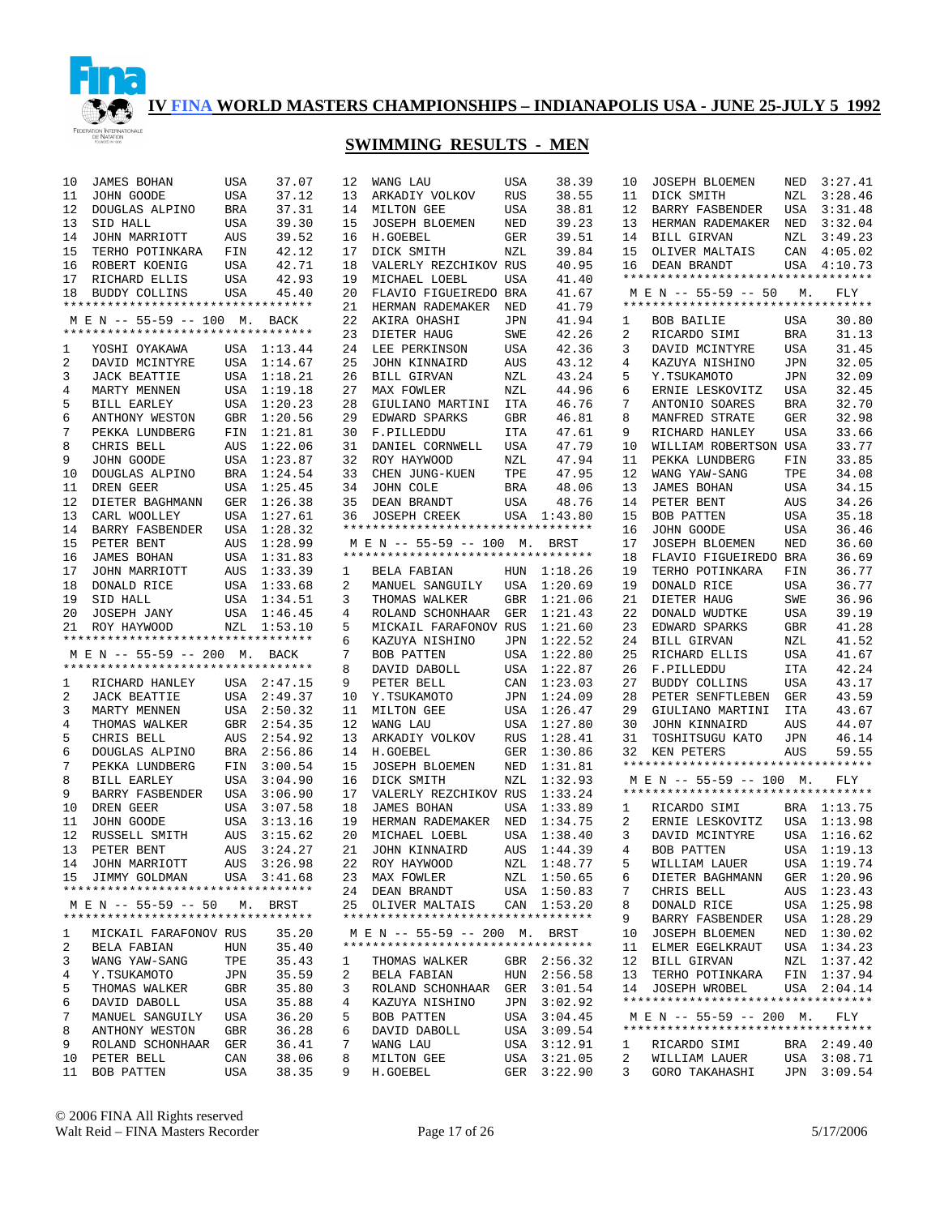

## **SWIMMING RESULTS - MEN**

| 10 | JAMES BOHAN                                                         | USA        | 37.07       | 12     | WANG LAU                           | USA        | 38.39       | 10             | JOSEPH BLOEMEN                                              | NED        | 3:27.41     |
|----|---------------------------------------------------------------------|------------|-------------|--------|------------------------------------|------------|-------------|----------------|-------------------------------------------------------------|------------|-------------|
| 11 | JOHN GOODE                                                          | USA        | 37.12       | 13     | ARKADIY VOLKOV                     | <b>RUS</b> | 38.55       | 11             | DICK SMITH                                                  | NZL        | 3:28.46     |
| 12 | DOUGLAS ALPINO                                                      | BRA        | 37.31       | 14     | MILTON GEE                         | USA        | 38.81       | 12             | BARRY FASBENDER                                             | USA        | 3:31.48     |
| 13 | SID HALL                                                            | USA        | 39.30       | 15     | <b>JOSEPH BLOEMEN</b>              | NED        | 39.23       | 13             | HERMAN RADEMAKER                                            | NED        | 3:32.04     |
| 14 | JOHN MARRIOTT                                                       | AUS        | 39.52       | 16     | H.GOEBEL                           | GER        | 39.51       | 14             | <b>BILL GIRVAN</b>                                          | NZL        | 3:49.23     |
| 15 | TERHO POTINKARA                                                     | FIN        | 42.12       | 17     | DICK SMITH                         | NZL        | 39.84       | 15             | OLIVER MALTAIS                                              | CAN        | 4:05.02     |
| 16 | ROBERT KOENIG                                                       | USA        | 42.71       | 18     | VALERLY REZCHIKOV RUS              |            | 40.95       | 16             | DEAN BRANDT                                                 | USA        | 4:10.73     |
| 17 | RICHARD ELLIS                                                       | USA        | 42.93       | 19     | MICHAEL LOEBL                      | USA        | 41.40       |                | **********************************                          |            |             |
| 18 | BUDDY COLLINS                                                       | USA        | 45.40       | 20     | FLAVIO FIGUEIREDO BRA              |            | 41.67       |                | M E N -- 55-59 -- 50                                        | М.         | FLY         |
|    | *********************************                                   |            |             | 21     | HERMAN RADEMAKER                   | NED        | 41.79       |                | **********************************                          |            |             |
|    | M E N -- 55-59 -- 100 M.                                            |            | BACK        | 22     | AKIRA OHASHI                       | JPN        | 41.94       | 1              | BOB BAILIE                                                  | USA        | 30.80       |
|    | **********************************                                  |            |             | 23     | DIETER HAUG                        | SWE        | 42.26       | 2              | RICARDO SIMI                                                | <b>BRA</b> | 31.13       |
| 1  | YOSHI OYAKAWA                                                       |            | USA 1:13.44 | 24     | LEE PERKINSON                      | USA        | 42.36       | 3              | DAVID MCINTYRE                                              | USA        | 31.45       |
| 2  | DAVID MCINTYRE                                                      |            | USA 1:14.67 | 25     | <b>JOHN KINNAIRD</b>               | <b>AUS</b> | 43.12       | 4              | KAZUYA NISHINO                                              | <b>JPN</b> | 32.05       |
| 3  | <b>JACK BEATTIE</b>                                                 |            | USA 1:18.21 | 26     | BILL GIRVAN                        | NZL        | 43.24       | 5              | Y.TSUKAMOTO                                                 | <b>JPN</b> | 32.09       |
| 4  | MARTY MENNEN                                                        |            | USA 1:19.18 | 27     | MAX FOWLER                         | NZL        | 44.96       | 6              | ERNIE LESKOVITZ                                             | <b>USA</b> | 32.45       |
| 5  | BILL EARLEY                                                         | USA        | 1:20.23     | 28     | GIULIANO MARTINI                   | ITA        | 46.76       | 7              | ANTONIO SOARES                                              | <b>BRA</b> | 32.70       |
| 6  | ANTHONY WESTON                                                      | GBR        | 1:20.56     | 29     | EDWARD SPARKS                      | <b>GBR</b> | 46.81       | 8              | MANFRED STRATE                                              | <b>GER</b> | 32.98       |
| 7  | PEKKA LUNDBERG                                                      | FIN        | 1:21.81     | 30     | F.PILLEDDU                         | ITA        | 47.61       | 9              | RICHARD HANLEY                                              | USA        | 33.66       |
| 8  | CHRIS BELL                                                          | AUS        | 1:22.06     | 31     | DANIEL CORNWELL                    | USA        | 47.79       | 10             | WILLIAM ROBERTSON USA                                       |            | 33.77       |
| 9  | JOHN GOODE                                                          |            | USA 1:23.87 | 32     | ROY HAYWOOD                        | NZL        | 47.94       | 11             | PEKKA LUNDBERG                                              | FIN        | 33.85       |
| 10 | DOUGLAS ALPINO                                                      | BRA        | 1:24.54     | 33     | CHEN JUNG-KUEN                     | TPE        | 47.95       | 12             | WANG YAW-SANG                                               | TPE        | 34.08       |
| 11 | DREN GEER                                                           |            | USA 1:25.45 | 34     | JOHN COLE                          | BRA        | 48.06       | 13             | <b>JAMES BOHAN</b>                                          | USA        | 34.15       |
| 12 | DIETER BAGHMANN                                                     | GER        | 1:26.38     | 35     | DEAN BRANDT                        | USA        | 48.76       | 14             | PETER BENT                                                  | AUS        | 34.26       |
| 13 | CARL WOOLLEY                                                        |            | USA 1:27.61 | 36     | <b>JOSEPH CREEK</b>                |            | USA 1:43.80 | 15             | BOB PATTEN                                                  | USA        | 35.18       |
| 14 | BARRY FASBENDER                                                     |            | USA 1:28.32 |        | ********************************** |            |             | 16             | JOHN GOODE                                                  | <b>USA</b> | 36.46       |
| 15 | PETER BENT                                                          | AUS        | 1:28.99     |        | M E N -- 55-59 -- 100 M. BRST      |            |             | 17             | <b>JOSEPH BLOEMEN</b>                                       | <b>NED</b> | 36.60       |
| 16 |                                                                     |            | USA 1:31.83 |        | ********************************** |            |             | 18             |                                                             |            | 36.69       |
| 17 | JAMES BOHAN<br>JOHN MARRIOTT                                        | AUS        | 1:33.39     | 1      | BELA FABIAN                        |            | HUN 1:18.26 | 19             | FLAVIO FIGUEIREDO BRA<br>TERHO POTINKARA                    | FIN        | 36.77       |
| 18 |                                                                     |            | USA 1:33.68 | 2      |                                    |            | USA 1:20.69 | 19             | DONALD RICE                                                 | <b>USA</b> | 36.77       |
|    | DONALD RICE                                                         |            |             |        | MANUEL SANGUILY                    |            |             |                |                                                             |            | 36.96       |
| 19 | SID HALL                                                            |            | USA 1:34.51 | 3<br>4 | THOMAS WALKER                      | GBR        | 1:21.06     | 21             | DIETER HAUG                                                 | SWE        | 39.19       |
| 20 | JOSEPH JANY                                                         |            | USA 1:46.45 |        | ROLAND SCHONHAAR                   | GER        | 1:21.43     | 22             | DONALD WUDTKE                                               | USA        |             |
|    | 21 ROY HAYWOOD<br>**********************************                |            | NZL 1:53.10 | 5      | MICKAIL FARAFONOV RUS              |            | 1:21.60     | 23<br>24       | EDWARD SPARKS                                               | <b>GBR</b> | 41.28       |
|    |                                                                     |            |             | 6      | KAZUYA NISHINO                     | JPN        | 1:22.52     |                | BILL GIRVAN                                                 | NZL        | 41.52       |
|    | M E N -- 55-59 -- 200 M. BACK<br>********************************** |            |             | 7      | BOB PATTEN                         | USA        | 1:22.80     | 25             | RICHARD ELLIS                                               | USA        | 41.67       |
|    |                                                                     |            |             | 8      | DAVID DABOLL                       | USA        | 1:22.87     | 26             | F.PILLEDDU                                                  | <b>ITA</b> | 42.24       |
| 1  | RICHARD HANLEY                                                      |            | USA 2:47.15 | 9      | PETER BELL                         | CAN        | 1:23.03     | 27             | BUDDY COLLINS                                               | <b>USA</b> | 43.17       |
| 2  | <b>JACK BEATTIE</b>                                                 |            | USA 2:49.37 | 10     | Y.TSUKAMOTO                        | JPN        | 1:24.09     | 28             | PETER SENFTLEBEN                                            | GER        | 43.59       |
| 3  | MARTY MENNEN                                                        |            | USA 2:50.32 | 11     | MILTON GEE                         | USA        | 1:26.47     | 29             | GIULIANO MARTINI                                            | <b>ITA</b> | 43.67       |
| 4  | THOMAS WALKER                                                       |            | GBR 2:54.35 | 12     | WANG LAU                           | USA        | 1:27.80     | 30             | JOHN KINNAIRD                                               | AUS        | 44.07       |
| 5  | CHRIS BELL                                                          | AUS        | 2:54.92     | 13     | ARKADIY VOLKOV                     | <b>RUS</b> | 1:28.41     | 31             | TOSHITSUGU KATO                                             | <b>JPN</b> | 46.14       |
| 6  | DOUGLAS ALPINO                                                      | BRA        | 2:56.86     | 14     | H.GOEBEL                           | GER        | 1:30.86     | 32             | KEN PETERS<br>**********************************            | AUS        | 59.55       |
| 7  | PEKKA LUNDBERG                                                      | FIN        | 3:00.54     | 15     | <b>JOSEPH BLOEMEN</b>              | NED        | 1:31.81     |                |                                                             |            |             |
| 8  | <b>BILL EARLEY</b>                                                  | USA        | 3:04.90     | 16     | DICK SMITH                         | NZL        | 1:32.93     |                | M E N -- 55-59 -- 100<br>********************************** | м.         | FLY         |
| 9  | BARRY FASBENDER                                                     | USA        | 3:06.90     | 17     | VALERLY REZCHIKOV RUS              |            | 1:33.24     |                |                                                             |            |             |
| 10 | DREN GEER                                                           | USA        | 3:07.58     | 18     | <b>JAMES BOHAN</b>                 | USA        | 1:33.89     | 1              | RICARDO SIMI                                                |            | BRA 1:13.75 |
| 11 | JOHN GOODE                                                          | USA        | 3:13.16     | 19     | HERMAN RADEMAKER                   | NED        | 1:34.75     | 2              | ERNIE LESKOVITZ                                             |            | USA 1:13.98 |
| 12 | RUSSELL SMITH                                                       | AUS        | 3:15.62     | 20     | MICHAEL LOEBL                      | USA        | 1:38.40     | 3              | DAVID MCINTYRE                                              |            | USA 1:16.62 |
| 13 | PETER BENT                                                          | AUS        | 3:24.27     | 21     | JOHN KINNAIRD                      | AUS        | 1:44.39     | 4              | BOB PATTEN                                                  |            | USA 1:19.13 |
|    | 14 JOHN MARRIOTT                                                    |            | AUS 3:26.98 |        | 22 ROY HAYWOOD                     |            | NZL 1:48.77 | 5 <sub>1</sub> | WILLIAM LAUER                                               |            | USA 1:19.74 |
|    | 15 JIMMY GOLDMAN                                                    |            | USA 3:41.68 |        | 23 MAX FOWLER                      |            | NZL 1:50.65 | 6              | DIETER BAGHMANN                                             |            | GER 1:20.96 |
|    | **********************************                                  |            |             |        | 24 DEAN BRANDT                     |            | USA 1:50.83 | 7              | CHRIS BELL                                                  |            | AUS 1:23.43 |
|    | M E N -- 55-59 -- 50 M. BRST                                        |            |             |        | 25 OLIVER MALTAIS                  |            | CAN 1:53.20 | 8              | DONALD RICE                                                 |            | USA 1:25.98 |
|    | **********************************                                  |            |             |        | ********************************** |            |             | 9              | <b>BARRY FASBENDER</b>                                      |            | USA 1:28.29 |
| ı  | MICKAIL FARAFONOV RUS                                               |            | 35.20       |        | M E N -- 55-59 -- 200 M. BRST      |            |             | 10             | JOSEPH BLOEMEN                                              |            | NED 1:30.02 |
| 2  | BELA FABIAN                                                         | HUN        | 35.40       |        | ********************************** |            |             | 11             | ELMER EGELKRAUT                                             |            | USA 1:34.23 |
| 3  | WANG YAW-SANG                                                       | TPE        | 35.43       | 1      | THOMAS WALKER                      |            | GBR 2:56.32 | 12             | BILL GIRVAN                                                 |            | NZL 1:37.42 |
| 4  | Y.TSUKAMOTO                                                         | JPN        | 35.59       | 2      | BELA FABIAN                        |            | HUN 2:56.58 | 13             | TERHO POTINKARA                                             |            | FIN 1:37.94 |
| 5  | THOMAS WALKER                                                       | GBR        | 35.80       | 3      | ROLAND SCHONHAAR                   | GER        | 3:01.54     |                | 14 JOSEPH WROBEL                                            |            | USA 2:04.14 |
| 6  | DAVID DABOLL                                                        | USA        | 35.88       | 4      | KAZUYA NISHINO                     | JPN        | 3:02.92     |                | **********************************                          |            |             |
| 7  | MANUEL SANGUILY                                                     | USA        | 36.20       | 5      | BOB PATTEN                         | USA        | 3:04.45     |                | M E N -- 55-59 -- 200 M.                                    |            | FLY         |
| 8  | ANTHONY WESTON                                                      | <b>GBR</b> | 36.28       | 6      | DAVID DABOLL                       | USA        | 3:09.54     |                | **********************************                          |            |             |
| 9  | ROLAND SCHONHAAR                                                    | GER        | 36.41       | 7      | WANG LAU                           | USA        | 3:12.91     | ı              | RICARDO SIMI                                                |            | BRA 2:49.40 |
| 10 | PETER BELL                                                          | CAN        | 38.06       | 8      | MILTON GEE                         | USA        | 3:21.05     | 2              | WILLIAM LAUER                                               |            | USA 3:08.71 |
| 11 | BOB PATTEN                                                          | USA        | 38.35       | 9      | H.GOEBEL                           | GER        | 3:22.90     | 3              | GORO TAKAHASHI                                              | JPN        | 3:09.54     |

© 2006 FINA All Rights reserved Walt Reid – FINA Masters Recorder Page 17 of 26 5/17/2006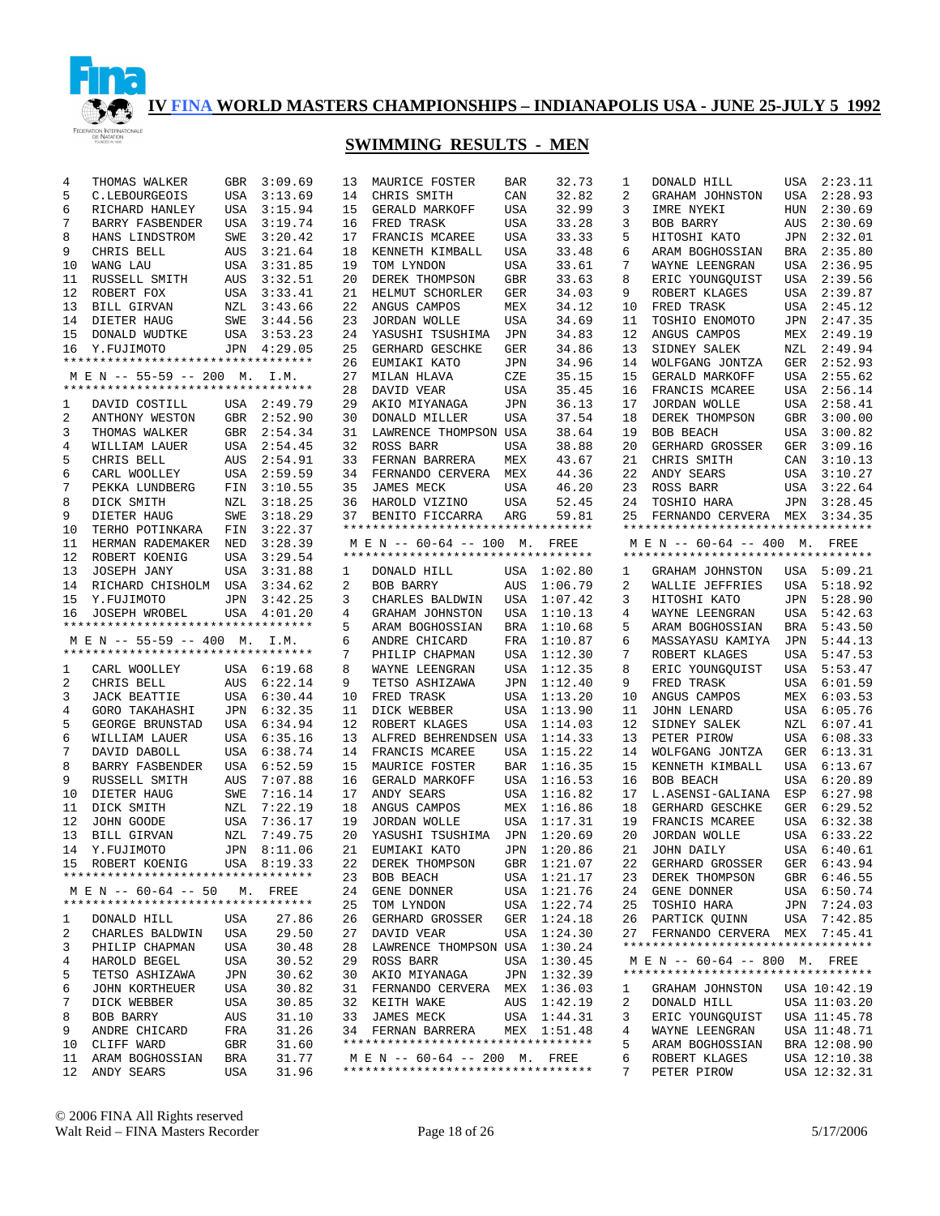

## **SWIMMING RESULTS - MEN**

| 4                    | THOMAS WALKER                                                 | GBR        | 3:09.69                               | 13             |
|----------------------|---------------------------------------------------------------|------------|---------------------------------------|----------------|
| 5                    | C.LEBOURGEOIS                                                 | USA        | 3:13.69                               | 14             |
| 6                    | RICHARD HANLEY                                                | USA        | 3:15.94                               | 15             |
| $7^{\circ}$          | BARRY FASBENDER USA                                           |            | 3:19.74                               | 16             |
| 8                    | HANS LINDSTROM                                                | SWE        | 3:20.42                               | 17             |
| 9                    | CHRIS BELL                                                    | AUS        | 3:21.64                               | 18             |
| 10                   | WANG LAU                                                      | USA        | 3:31.85                               | 19             |
| 11                   | RUSSELL SMITH                                                 | <b>AUS</b> | 3:32.51                               | 20             |
| 12                   | ROBERT FOX                                                    | USA        | 3:33.41                               | 21             |
|                      | 13 BILL GIRVAN                                                | NZL        | 3:43.66                               | 22             |
|                      | 14 DIETER HAUG<br>15 DONALD WUDTKE                            | SWE        | 3:44.56<br>USA 3:53.23                | 23<br>24       |
|                      | 16 Y.FUJIMOTO                                                 |            | JPN 4:29.05                           | 25             |
|                      | *********************************                             |            |                                       | 26             |
|                      | M E N -- 55-59 -- 200 M. I.M.                                 |            |                                       | 27             |
|                      | *********************************                             |            |                                       | 28             |
|                      | 1 DAVID COSTILL USA 2:49.79                                   |            |                                       | 29             |
| $\mathbf{2}$         | ANTHONY WESTON                                                |            | GBR 2:52.90                           | 30             |
| 3                    | THOMAS WALKER                                                 |            |                                       | 31             |
| 4                    | WILLIAM LAUER                                                 |            | GBR 2:54.34<br>USA 2:54.45            | 32             |
| 5                    | CHRIS BELL                                                    |            |                                       | 33             |
| 6                    | CARL WOOLLEY                                                  |            | AUS 2:54.91<br>USA 2:59.59            | 34             |
| 7                    | PEKKA LUNDBERG                                                | FIN<br>NZL | 3:10.55                               | 35             |
| 8                    | DICK SMITH                                                    |            | 3:18.25                               | 36             |
| 9                    | DIETER HAUG                                                   | SWE        | 3:18.29                               | 37             |
| 10 <sup>°</sup>      | TERHO POTINKARA FIN                                           |            | 3:22.37                               | $***$          |
|                      | 11 HERMAN KALLER<br>12 ROBERT KOENIG<br>HERMAN RADEMAKER NED  |            | 3:28.39                               | M              |
|                      |                                                               | USA        | 3:29.54                               | $***$          |
|                      | 13 JOSEPH JANY USA 3:31.88<br>14 RICHARD CHISHOLM USA 3:34.62 |            | 3:31.88                               | $\mathbf{1}$   |
|                      |                                                               |            |                                       | $\overline{a}$ |
| 15                   | Y.FUJIMOTO                                                    |            | 3:42.25<br>JPN 3:42.25<br>USA 4:01.20 | 3              |
| 16                   | JOSEPH WROBEL                                                 |            |                                       | 4              |
|                      |                                                               |            |                                       |                |
|                      | *********************************                             |            |                                       | 5              |
|                      | M E N -- 55-59 -- 400 M. I.M.                                 |            |                                       | 6              |
|                      | *********************************                             |            |                                       | 7              |
|                      | 1 CARL WOOLLEY USA 6:19.68                                    |            |                                       | 8              |
| $\overline{a}$       |                                                               |            | AUS 6:22.14                           | 9              |
| 3<br>$\overline{4}$  | GORO TAKAHASHI                                                | USA        | 6:30.44                               | 10<br>11       |
| 5                    | THE BELL JACK BEATTIE<br>GEORGE BRUNSTAD                      | USA        | JPN 6:32.35<br>6:34.94                | 12             |
| 6                    |                                                               |            |                                       | 13             |
| 7                    | WILLIAM LAUER<br>DAVID DABOLL                                 | USA        | USA 6:35.16<br>6:38.74                | 14             |
| 8                    | BARRY FASBENDER USA 6:52.59                                   |            |                                       | 15             |
| 9                    | RUSSELL SMITH                                                 | AUS        | 7:07.88                               | 16             |
| 10                   | DIETER HAUG                                                   | SWE        | 7:16.14                               | 17             |
| 11                   | DICK SMITH                                                    | NZL        | 7:22.19                               | 18             |
| 12                   | JOHN GOODE                                                    |            | USA 7:36.17                           | 19             |
| 13                   | BILL GIRVAN                                                   |            | NZL 7:49.75                           | 20             |
| 14                   | Y.FUJIMOTO                                                    | JPN        | 8:11.06                               | 21             |
| 15                   | ROBERT KOENIG                                                 |            | USA 8:19.33                           | 22             |
|                      | *********************************                             |            |                                       | 23             |
|                      | M E N -- 60-64 -- 50 M. FREE                                  |            |                                       | 24             |
|                      | *********************************                             |            |                                       | 25             |
| 1                    | DONALD HILL                                                   | USA        | 27.86                                 | 26             |
| $\overline{a}$       | CHARLES BALDWIN USA                                           |            | 29.50                                 | 27             |
| 3                    | PHILIP CHAPMAN                                                | USA        | 30.48                                 | 28             |
| $\overline{4}$       | HAROLD BEGEL                                                  | USA        | 30.52                                 | 29             |
| 5                    | TETSO ASHIZAWA                                                | JPN        | 30.62                                 | 30             |
| $6\overline{6}$<br>7 | JOHN KORTHEUER                                                | USA        | 30.82                                 | 31             |
|                      | DICK WEBBER<br>BOB BARRY                                      | USA        | 30.85<br>31.10                        | 32<br>33       |
| 8<br>9               | ANDRE CHICARD                                                 | AUS<br>FRA | 31.26                                 | 34             |
| 10                   | CLIFF WARD                                                    | GBR        | 31.60                                 | $***$          |
| 11                   | ARAM BOGHOSSIAN                                               | BRA        | 31.77                                 | М              |

| 13 | MAURICE FOSTER                     | BAR         | 32.73       |
|----|------------------------------------|-------------|-------------|
| 14 | CHRIS SMITH                        | CAN         | 32.82       |
| 15 | GERALD MARKOFF                     | USA         | 32.99       |
| 16 | FRED TRASK                         | USA         | 33.28       |
| 17 | FRANCIS MCAREE                     | USA         | 33.33       |
| 18 | KENNETH KIMBALL                    | USA         | 33.48       |
| 19 | TOM LYNDON                         | USA         | 33.61       |
|    |                                    |             |             |
| 20 | DEREK THOMPSON                     | GBR         | 33.63       |
| 21 | HELMUT SCHORLER                    | GER         | 34.03       |
| 22 | ANGUS CAMPOS                       | MEX         | 34.12       |
| 23 | JORDAN WOLLE                       | USA         | 34.69       |
| 24 | YASUSHI TSUSHIMA                   | JPN         | 34.83       |
| 25 | GERHARD GESCHKE                    | GER         | 34.86       |
| 26 | EUMIAKI KATO                       | JPN         | 34.96       |
| 27 | MILAN HLAVA                        | CZE         | 35.15       |
| 28 | DAVID VEAR                         | USA         | 35.45       |
| 29 | AKIO MIYANAGA                      | JPN         | 36.13       |
| 30 | DONALD MILLER                      | USA         | 37.54       |
| 31 | LAWRENCE THOMPSON                  | USA         | 38.64       |
| 32 | ROSS BARR                          | USA         | 38.88       |
| 33 | FERNAN BARRERA                     | MEX         | 43.67       |
| 34 | FERNANDO CERVERA                   | MEX         | 44.36       |
| 35 | JAMES MECK                         | USA         | 46.20       |
| 36 | HAROLD VIZINO                      | USA         | 52.45       |
| 37 | BENITO FICCARRA                    | ARG         | 59.81       |
|    | ********************************** |             |             |
|    | M E N -- 60-64 -- 100 M.           |             | FREE        |
|    | ********************************** |             |             |
| 1  | DONALD HILL                        | USA         | 1:02.80     |
| 2  | BOB BARRY                          | AUS         | 1:06.79     |
| 3  | CHARLES BALDWIN                    | USA         | 1:07.42     |
| 4  | GRAHAM JOHNSTON                    | USA         | 1:10.13     |
| 5  | ARAM BOGHOSSIAN                    | BRA         | 1:10.68     |
| 6  | ANDRE CHICARD                      | FRA         | 1:10.87     |
| 7  | PHILIP CHAPMAN                     | USA         | 1:12.30     |
| 8  | WAYNE LEENGRAN                     | USA         | 1:12.35     |
| 9  | TETSO ASHIZAWA                     | JPN         | 1:12.40     |
| 10 | FRED TRASK                         | USA         | 1:13.20     |
| 11 | DICK WEBBER                        | USA         | 1:13.90     |
| 12 | ROBERT KLAGES                      | USA         | 1:14.03     |
| 13 | ALFRED BEHRENDSEN USA              |             | 1:14.33     |
| 14 | FRANCIS MCAREE                     | USA         | 1:15.22     |
| 15 | MAURICE FOSTER                     | BAR         | 1:16.35     |
| 16 | GERALD MARKOFF                     |             | 1:16.53     |
| 17 |                                    | USA         | 1:16.82     |
|    | ANDY SEARS                         | USA         | 1:16.86     |
| 18 | ANGUS CAMPOS                       | MEX         |             |
| 19 | JORDAN WOLLE                       | USA         | 1:17.31     |
| 20 | YASUSHI TSUSHIMA                   | JPN         | 1:20.69     |
| 21 | EUMIAKI KATO                       | JPN         | 1:20.86     |
| 22 | DEREK THOMPSON                     | GBR         | 1:21.07     |
| 23 | BOB BEACH                          | USA         | 1:21.17     |
| 24 | GENE DONNER                        | USA         | 1:21.76     |
| 25 | TOM LYNDON                         | USA         | 1:22.74     |
| 26 | GERHARD GROSSER                    | GER         | 1:24.18     |
| 27 | DAVID VEAR                         | USA         | 1:24.30     |
| 28 | LAWRENCE THOMPSON USA              |             | 1:30.24     |
| 29 | ROSS BARR                          | USA         | 1:30.45     |
| 30 | AKIO MIYANAGA                      | JPN         | 1:32.39     |
| 31 | FERNANDO CERVERA                   | ${\tt MEX}$ | 1:36.03     |
| 32 | KEITH WAKE                         | AUS         | 1:42.19     |
| 33 | JAMES MECK                         | USA         | 1:44.31     |
| 34 | FERNAN BARRERA                     |             | MEX 1:51.48 |
|    | ********************************** |             |             |
|    | M E N -- 60-64 -- 200 M. FREE      |             |             |
|    | ********************************** |             |             |
|    |                                    |             |             |

| 1              | DONALD HILL                                                    | USA | 2:23.11                      |
|----------------|----------------------------------------------------------------|-----|------------------------------|
| 2              | GRAHAM JOHNSTON                                                | USA | 2:28.93                      |
| 3              | IMRE NYEKI                                                     | HUN | 2:30.69                      |
| 3              | BOB BARRY                                                      | AUS | 2:30.69                      |
| 5              | HITOSHI KATO                                                   | JPN | 2:32.01                      |
| 6              | ARAM BOGHOSSIAN                                                | BRA | 2:35.80                      |
| 7              |                                                                |     | 2:36.95                      |
|                | WAYNE LEENGRAN                                                 | USA |                              |
| 8              | ERIC YOUNGQUIST                                                | USA | 2:39.56                      |
| 9              | ROBERT KLAGES                                                  | USA | 2:39.87                      |
| 10             | FRED TRASK                                                     | USA | 2:45.12                      |
| 11             | TOSHIO ENOMOTO                                                 | JPN | 2:47.35                      |
| 12             | ANGUS CAMPOS                                                   | MEX | 2:49.19                      |
| 13             | SIDNEY SALEK                                                   | NZL | 2:49.94                      |
| 14             | WOLFGANG JONTZA                                                | GER | 2:52.93                      |
| 15             | GERALD MARKOFF                                                 | USA | 2:55.62                      |
| 16             | FRANCIS MCAREE                                                 | USA | 2:56.14                      |
| 17             | JORDAN WOLLE                                                   | USA | 2:58.41                      |
| 18             | DEREK THOMPSON                                                 | GBR | 3:00.00                      |
| 19             | BOB BEACH                                                      | USA | 3:00.82                      |
| 20             | GERHARD GROSSER                                                | GER | 3:09.16                      |
| 21             | CHRIS SMITH                                                    | CAN | 3:10.13                      |
| 22             | ANDY SEARS                                                     | USA | 3:10.27                      |
| 23             | ROSS BARR                                                      | USA | 3:22.64                      |
| 24             |                                                                |     | 3:28.45                      |
|                | TOSHIO HARA                                                    | JPN |                              |
| 25             | FERNANDO CERVERA<br>**********************************         | MEX | 3:34.35                      |
|                |                                                                |     |                              |
|                | M E N -- 60-64 -- 400 M.<br>********************************** |     | FREE                         |
|                |                                                                |     |                              |
| 1              | GRAHAM JOHNSTON                                                | USA | 5:09.21                      |
| 2              | WALLIE JEFFRIES                                                | USA | 5:18.92                      |
| 3              | HITOSHI KATO                                                   | JPN | 5:28.90                      |
| 4              | WAYNE LEENGRAN                                                 | USA | 5:42.63                      |
| 5              | ARAM BOGHOSSIAN                                                | BRA | 5:43.50                      |
| 6              | MASSAYASU KAMIYA                                               | JPN | 5:44.13                      |
| 7              | ROBERT KLAGES                                                  | USA | 5:47.53                      |
| 8              | ERIC YOUNGQUIST                                                | USA | 5:53.47                      |
| 9              | FRED TRASK                                                     | USA | 6:01.59                      |
| 10             | ANGUS CAMPOS                                                   | MEX | 6:03.53                      |
| 11             | JOHN LENARD                                                    | USA | 6:05.76                      |
| 12             | SIDNEY SALEK                                                   | NZL | 6:07.41                      |
| 13             | PETER PIROW                                                    | USA | 6:08.33                      |
| 14             | WOLFGANG JONTZA                                                | GER | 6:13.31                      |
| 15             | KENNETH KIMBALL                                                | USA | 6:13.67                      |
| 16             | BOB BEACH                                                      | USA | 6:20.89                      |
| 17             | L.ASENSI-GALIANA                                               | ESP | 6:27.98                      |
| 18             |                                                                |     |                              |
| 19             |                                                                |     |                              |
|                | GERHARD GESCHKE                                                | GER | 6:29.52                      |
|                | FRANCIS MCAREE                                                 | USA | 6:32.38                      |
| 20             | JORDAN WOLLE                                                   | USA | 6:33.22                      |
| 21             | JOHN DAILY                                                     | USA | 6:40.61                      |
| 22             | GERHARD GROSSER                                                | GER | 6:43.94                      |
|                | 23 DEREK THOMPSON                                              |     | GBR 6:46.55                  |
| 24             | GENE DONNER                                                    | USA | 6:50.74                      |
| 25             | TOSHIO HARA                                                    |     | JPN 7:24.03                  |
| 26             | PARTICK OUINN                                                  | USA | 7:42.85                      |
|                | 27 FERNANDO CERVERA MEX 7:45.41                                |     |                              |
|                | **********************************                             |     |                              |
|                | MEN -- 60-64 -- 800 M. FREE                                    |     |                              |
|                | **********************************                             |     |                              |
| $\mathbf 1$    | GRAHAM JOHNSTON USA 10:42.19                                   |     |                              |
| $\overline{a}$ | DONALD HILL                                                    |     | USA 11:03.20                 |
| 3              | ERIC YOUNGQUIST                                                |     | USA 11:45.78                 |
| 4              | WAYNE LEENGRAN                                                 |     | USA 11:48.71                 |
| 5              | ARAM BOGHOSSIAN                                                |     | BRA 12:08.90                 |
| 6<br>7         | ROBERT KLAGES                                                  |     | USA 12:10.38<br>USA 12:32.31 |

© 2006 FINA All Rights reserved Walt Reid – FINA Masters Recorder Page 18 of 26 5/17/2006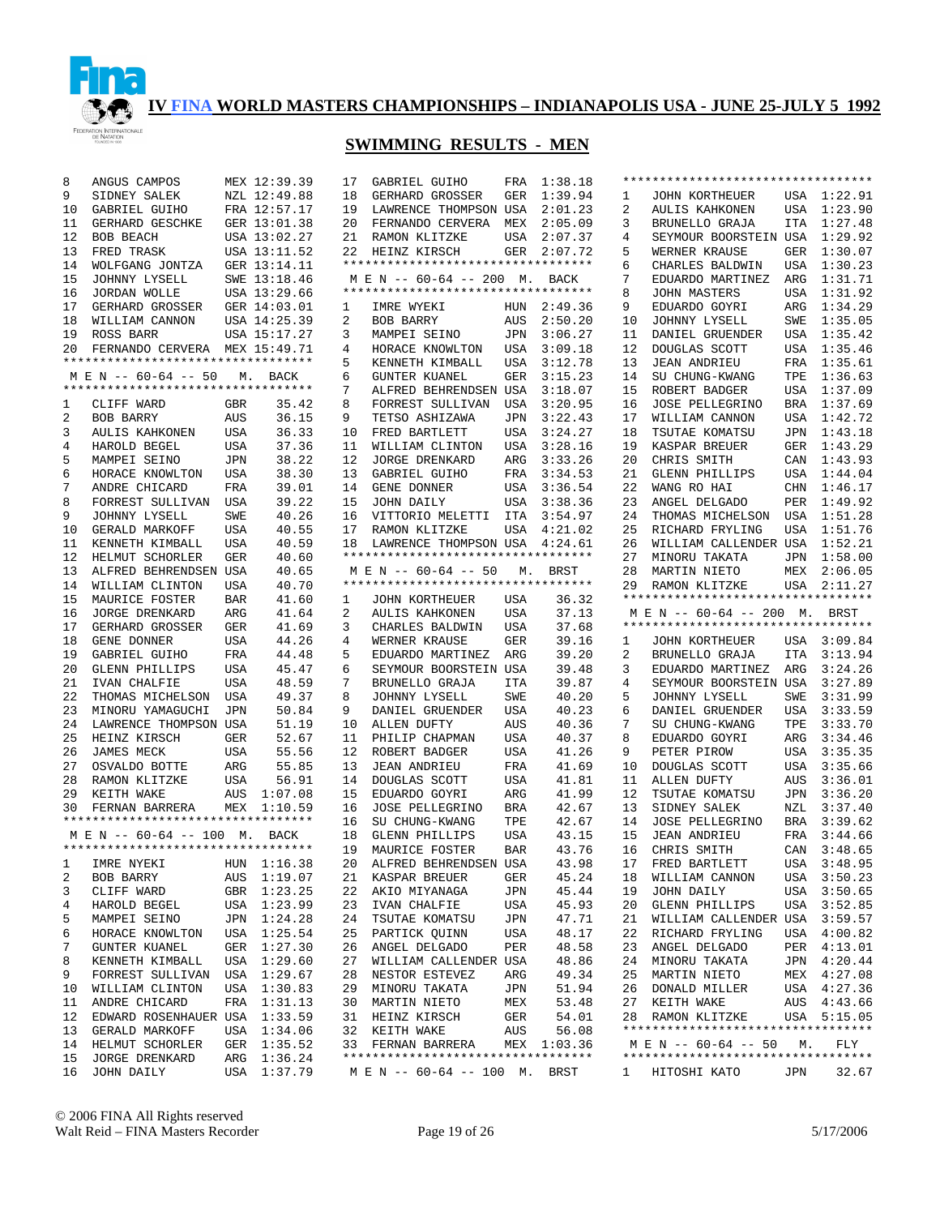

| 8        | ANGUS CAMPOS                       |            | MEX 12:39.39               | 17 | GABRIEL GUIHO                                          |            | FRA 1:38.18 |              | **********************************                         |            |              |
|----------|------------------------------------|------------|----------------------------|----|--------------------------------------------------------|------------|-------------|--------------|------------------------------------------------------------|------------|--------------|
| 9        | SIDNEY SALEK                       |            | NZL 12:49.88               | 18 | GERHARD GROSSER                                        | GER        | 1:39.94     | 1            | JOHN KORTHEUER                                             |            | USA 1:22.91  |
| 10       | GABRIEL GUIHO                      |            | FRA 12:57.17               | 19 | LAWRENCE THOMPSON USA                                  |            | 2:01.23     | 2            | AULIS KAHKONEN                                             |            | USA 1:23.90  |
| 11       | GERHARD GESCHKE                    |            | GER 13:01.38               | 20 | FERNANDO CERVERA MEX                                   |            | 2:05.09     | 3            | BRUNELLO GRAJA                                             |            | ITA 1:27.48  |
| 12       | BOB BEACH                          |            | USA 13:02.27               | 21 | RAMON KLITZKE                                          |            | USA 2:07.37 | 4            | SEYMOUR BOORSTEIN USA 1:29.92                              |            |              |
| 13       | FRED TRASK                         |            | USA 13:11.52               | 22 | HEINZ KIRSCH                                           | GER        | 2:07.72     | 5            | WERNER KRAUSE                                              | GER        | 1:30.07      |
| 14       | WOLFGANG JONTZA                    |            | GER 13:14.11               |    | **********************************                     |            |             | 6            | CHARLES BALDWIN                                            |            | USA 1:30.23  |
| 15       | JOHNNY LYSELL                      |            | SWE 13:18.46               |    | M E N -- 60-64 -- 200 M. BACK                          |            |             | 7            | EDUARDO MARTINEZ                                           | ARG        | 1:31.71      |
| 16       | JORDAN WOLLE                       |            | USA 13:29.66               |    | **********************************                     |            |             | 8            | <b>JOHN MASTERS</b>                                        |            | USA 1:31.92  |
| 17       | GERHARD GROSSER                    |            | GER 14:03.01               | 1  | IMRE WYEKI                                             | HUN        | 2:49.36     | 9            | EDUARDO GOYRI                                              | ARG        | 1:34.29      |
| 18       | WILLIAM CANNON                     |            | USA 14:25.39               | 2  | BOB BARRY                                              | AUS        | 2:50.20     | 10           | JOHNNY LYSELL                                              | SWE        | 1:35.05      |
| 19       | ROSS BARR                          |            | USA 15:17.27               | 3  | MAMPEI SEINO                                           | JPN        | 3:06.27     | 11           | DANIEL GRUENDER                                            |            | USA 1:35.42  |
| 20       | FERNANDO CERVERA MEX 15:49.71      |            |                            | 4  | HORACE KNOWLTON                                        | USA        | 3:09.18     | 12           | DOUGLAS SCOTT                                              |            | USA 1:35.46  |
|          | ********************************** |            |                            | 5  | KENNETH KIMBALL                                        | USA        | 3:12.78     | 13           | JEAN ANDRIEU                                               |            | FRA 1:35.61  |
|          | M E N -- 60-64 -- 50               |            | M. BACK                    | 6  | <b>GUNTER KUANEL</b>                                   | GER        | 3:15.23     | 14           | SU CHUNG-KWANG                                             |            | TPE 1:36.63  |
|          | ********************************** |            |                            | 7  | ALFRED BEHRENDSEN USA                                  |            | 3:18.07     | 15           | ROBERT BADGER                                              |            | USA 1:37.09  |
| 1        | CLIFF WARD                         | GBR        | 35.42                      | 8  | FORREST SULLIVAN                                       | USA        | 3:20.95     | 16           | <b>JOSE PELLEGRINO</b>                                     |            | BRA 1:37.69  |
| 2        | BOB BARRY                          | AUS        | 36.15                      | 9  | TETSO ASHIZAWA                                         | JPN        | 3:22.43     | 17           | WILLIAM CANNON                                             |            | USA 1:42.72  |
|          |                                    |            |                            |    |                                                        |            |             |              |                                                            |            |              |
| 3        | AULIS KAHKONEN                     | USA        | 36.33                      | 10 | FRED BARTLETT                                          | USA        | 3:24.27     | 18           | TSUTAE KOMATSU                                             |            | JPN 1:43.18  |
| 4        | HAROLD BEGEL                       | USA        | 37.36                      | 11 | WILLIAM CLINTON                                        | USA        | 3:28.16     | 19           | KASPAR BREUER                                              |            | GER 1:43.29  |
| 5        | MAMPEI SEINO                       | JPN        | 38.22                      | 12 | JORGE DRENKARD                                         | ARG        | 3:33.26     | 20           | CHRIS SMITH                                                |            | CAN 1:43.93  |
| 6        | HORACE KNOWLTON                    | <b>USA</b> | 38.30                      | 13 | GABRIEL GUIHO                                          | FRA        | 3:34.53     | 21           | GLENN PHILLIPS                                             | USA        | 1:44.04      |
| 7        | ANDRE CHICARD                      | FRA        | 39.01                      | 14 | GENE DONNER                                            | USA        | 3:36.54     | 22           | WANG RO HAI                                                |            | CHN 1:46.17  |
| 8        | FORREST SULLIVAN                   | USA        | 39.22                      | 15 | JOHN DAILY                                             | USA        | 3:38.36     | 23           | ANGEL DELGADO                                              | PER        | 1:49.92      |
| 9        | JOHNNY LYSELL                      | SWE        | 40.26                      | 16 | VITTORIO MELETTI ITA                                   |            | 3:54.97     | 24           | THOMAS MICHELSON                                           |            | USA 1:51.28  |
| 10       | GERALD MARKOFF                     | <b>USA</b> | 40.55                      | 17 | RAMON KLITZKE                                          | USA        | 4:21.02     | 25           | RICHARD FRYLING                                            | USA        | 1:51.76      |
| 11       | KENNETH KIMBALL                    | <b>USA</b> | 40.59                      | 18 | LAWRENCE THOMPSON USA 4:24.61                          |            |             | 26           | WILLIAM CALLENDER USA                                      |            | 1:52.21      |
| 12       | HELMUT SCHORLER                    | GER        | 40.60                      |    | **********************************                     |            |             | 27           | MINORU TAKATA                                              | JPN        | 1:58.00      |
| 13       | ALFRED BEHRENDSEN USA              |            | 40.65                      |    | M E N -- 60-64 -- 50 M.                                |            | BRST        | 28           | MARTIN NIETO                                               | MEX        | 2:06.05      |
| 14       | WILLIAM CLINTON                    | USA        | 40.70                      |    | *********************************                      |            |             | 29           | RAMON KLITZKE                                              | USA        | 2:11.27      |
| 15       | MAURICE FOSTER                     | BAR        | 41.60                      | 1  | JOHN KORTHEUER                                         | USA        | 36.32       |              | **********************************                         |            |              |
|          |                                    |            |                            |    |                                                        |            |             |              |                                                            |            |              |
| 16       | JORGE DRENKARD                     | ARG        | 41.64                      | 2  | AULIS KAHKONEN                                         | USA        | 37.13       |              | M E N -- 60-64 -- 200 M. BRST                              |            |              |
| 17       |                                    | GER        | 41.69                      | 3  |                                                        | USA        | 37.68       |              | **********************************                         |            |              |
| 18       | GERHARD GROSSER<br>GENE DONNER     | USA        | 44.26                      | 4  | CHARLES BALDWIN<br>WERNER KRAUSE                       | GER        | 39.16       | 1            | JOHN KORTHEUER                                             |            | USA 3:09.84  |
| 19       |                                    | FRA        | 44.48                      | 5  | EDUARDO MARTINEZ                                       | ARG        | 39.20       | 2            |                                                            | ITA        | 3:13.94      |
|          | GABRIEL GUIHO                      |            |                            |    |                                                        |            |             |              | BRUNELLO GRAJA                                             |            |              |
| 20       | GLENN PHILLIPS                     | USA        | 45.47                      | 6  | SEYMOUR BOORSTEIN USA                                  |            | 39.48       | 3            | EDUARDO MARTINEZ                                           | ARG        | 3:24.26      |
| 21       | IVAN CHALFIE                       | <b>USA</b> | 48.59                      | 7  | BRUNELLO GRAJA                                         | ITA        | 39.87       | 4            | SEYMOUR BOORSTEIN USA                                      |            | 3:27.89      |
| 22       | THOMAS MICHELSON                   | USA        | 49.37                      | 8  | JOHNNY LYSELL                                          | SWE        | 40.20       | 5            | JOHNNY LYSELL                                              | SWE        | 3:31.99      |
| 23       | MINORU YAMAGUCHI                   | JPN        | 50.84                      | 9  | DANIEL GRUENDER                                        | USA        | 40.23       | 6            | DANIEL GRUENDER                                            | USA        | 3:33.59      |
| 24       | LAWRENCE THOMPSON USA              |            | 51.19                      | 10 | ALLEN DUFTY                                            | AUS        | 40.36       | 7            | SU CHUNG-KWANG                                             | TPE        | 3:33.70      |
| 25       | HEINZ KIRSCH                       | GER        | 52.67                      | 11 | PHILIP CHAPMAN                                         | USA        | 40.37       | 8            | EDUARDO GOYRI                                              | ARG        | 3:34.46      |
| 26       | JAMES MECK                         | <b>USA</b> | 55.56                      | 12 | ROBERT BADGER                                          | USA        | 41.26       | 9            | PETER PIROW                                                | USA        | 3:35.35      |
| 27       | OSVALDO BOTTE                      | ARG        | 55.85                      | 13 | <b>JEAN ANDRIEU</b>                                    | FRA        | 41.69       | 10           | DOUGLAS SCOTT                                              | USA        | 3:35.66      |
| 28       | RAMON KLITZKE                      | USA        | 56.91                      | 14 | DOUGLAS SCOTT                                          | USA        | 41.81       | 11           | ALLEN DUFTY                                                | AUS        | 3:36.01      |
| 29       | KEITH WAKE                         | AUS        | 1:07.08                    | 15 | EDUARDO GOYRI                                          | ARG        | 41.99       | 12           | TSUTAE KOMATSU                                             | JPN        | 3:36.20      |
| 30       | FERNAN BARRERA                     |            | MEX 1:10.59                | 16 | JOSE PELLEGRINO                                        | <b>BRA</b> | 42.67       | 13           | SIDNEY SALEK                                               | NZL        | 3:37.40      |
|          | ********************************** |            |                            | 16 | SU CHUNG-KWANG                                         | TPE        | 42.67       | 14           | <b>JOSE PELLEGRINO</b>                                     | <b>BRA</b> | 3:39.62      |
|          | M E N -- 60-64 -- 100 M. BACK      |            |                            | 18 | <b>GLENN PHILLIPS</b>                                  | USA        | 43.15       | 15           | <b>JEAN ANDRIEU</b>                                        | FRA        | 3:44.66      |
|          | ********************************** |            |                            | 19 | MAURICE FOSTER                                         | <b>BAR</b> | 43.76       | 16           | CHRIS SMITH                                                | CAN        | 3:48.65      |
|          | 1 IMRE NYEKI HUN 1:16.38           |            |                            | 20 | ALFRED BEHRENDSEN USA                                  |            | 43.98       |              | 17 FRED BARTLETT                                           |            | USA 3:48.95  |
| 2        | BOB BARRY                          |            | AUS 1:19.07                |    | 21 KASPAR BREUER                                       | GER        | 45.24       | 18           | WILLIAM CANNON                                             |            | USA 3:50.23  |
| 3        | CLIFF WARD                         |            | GBR 1:23.25                | 22 | AKIO MIYANAGA                                          | JPN        | 45.44       | 19           | JOHN DAILY                                                 |            | USA 3:50.65  |
| 4        | HAROLD BEGEL                       |            | USA 1:23.99                | 23 | IVAN CHALFIE                                           | USA        | 45.93       | 20           | GLENN PHILLIPS                                             |            | USA 3:52.85  |
| 5        | MAMPEI SEINO                       |            | JPN 1:24.28                |    | TSUTAE KOMATSU<br>24                                   | JPN        | 47.71       | 21           | WILLIAM CALLENDER USA 3:59.57                              |            |              |
| 6        | HORACE KNOWLTON                    |            | USA 1:25.54                | 25 | PARTICK QUINN                                          | USA        | 48.17       | 22           | RICHARD FRYLING                                            |            | USA 4:00.82  |
| 7        | <b>GUNTER KUANEL</b>               |            | GER 1:27.30                |    | 26 ANGEL DELGADO                                       | PER        | 48.58       | 23           | ANGEL DELGADO                                              |            | PER 4:13.01  |
| 8        | KENNETH KIMBALL                    |            | USA 1:29.60                | 27 | WILLIAM CALLENDER USA                                  |            | 48.86       | 24           | MINORU TAKATA                                              |            | JPN 4:20.44  |
| 9        | FORREST SULLIVAN                   |            | USA 1:29.67                |    | 28<br>NESTOR ESTEVEZ                                   | ARG        | 49.34       | 25           | MARTIN NIETO                                               |            | MEX 4:27.08  |
| 10       | WILLIAM CLINTON                    |            | USA 1:30.83                |    | 29<br>MINORU TAKATA                                    | JPN        | 51.94       | 26           | DONALD MILLER                                              |            | USA 4:27.36  |
| 11       |                                    |            |                            |    | 30 MARTIN NIETO                                        | MEX        |             | 27           |                                                            |            | AUS  4:43.66 |
|          | ANDRE CHICARD                      |            | FRA 1:31.13                |    |                                                        |            | 53.48       |              | KEITH WAKE                                                 |            |              |
| 12       | EDWARD ROSENHAUER USA 1:33.59      |            |                            |    | 31 HEINZ KIRSCH                                        | GER        | 54.01       | 28           | RAMON KLITZKE<br>**********************************        |            | USA 5:15.05  |
| 13       | GERALD MARKOFF                     |            | USA 1:34.06                |    | 32 KEITH WAKE                                          | AUS        | 56.08       |              |                                                            |            |              |
| 14       | HELMUT SCHORLER                    |            | GER 1:35.52                |    | 33 FERNAN BARRERA<br>********************************* |            | MEX 1:03.36 |              | M E N -- 60-64 -- 50<br>********************************** | М.         | FLY          |
| 15<br>16 | JORGE DRENKARD<br>JOHN DAILY       |            | ARG 1:36.24<br>USA 1:37.79 |    | M E N -- 60-64 -- 100 M. BRST                          |            |             | $\mathbf{1}$ | HITOSHI KATO                                               | JPN        | 32.67        |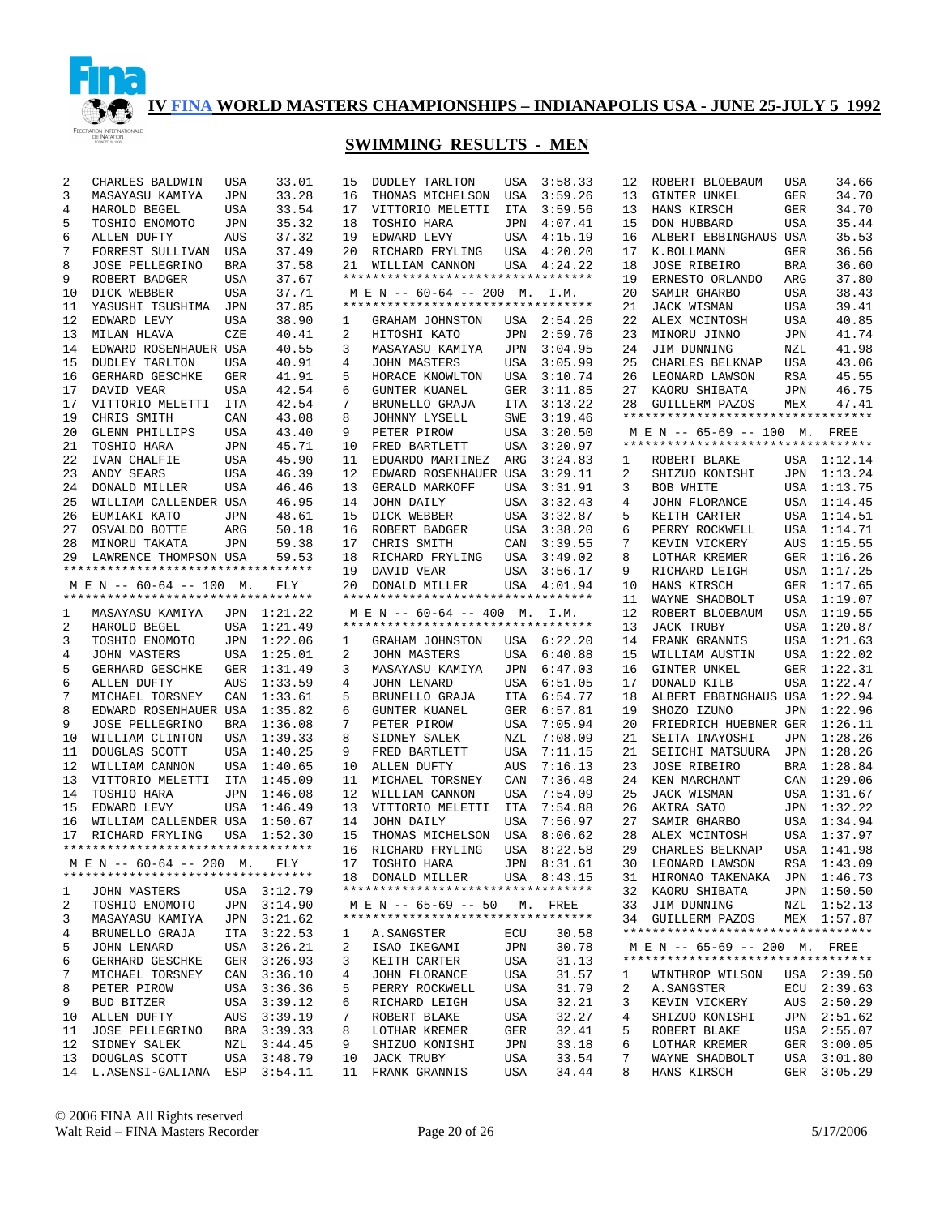

| 2  | CHARLES BALDWIN                    | <b>USA</b> | 33.01       | 15 | <b>DUDLEY TARLTON</b>              | USA        | 3:58.33     | 12 | ROBERT BLOEBAUM                    | USA        | 34.66       |
|----|------------------------------------|------------|-------------|----|------------------------------------|------------|-------------|----|------------------------------------|------------|-------------|
| 3  | MASAYASU KAMIYA                    | <b>JPN</b> | 33.28       | 16 | THOMAS MICHELSON                   | USA        | 3:59.26     | 13 | GINTER UNKEL                       | GER        | 34.70       |
| 4  | HAROLD BEGEL                       | <b>USA</b> | 33.54       | 17 | VITTORIO MELETTI                   | <b>ITA</b> | 3:59.56     | 13 | HANS KIRSCH                        | <b>GER</b> | 34.70       |
| 5  | TOSHIO ENOMOTO                     | <b>JPN</b> | 35.32       | 18 | TOSHIO HARA                        | JPN        | 4:07.41     | 15 | DON HUBBARD                        | <b>USA</b> | 35.44       |
|    |                                    |            |             |    |                                    |            |             |    |                                    |            |             |
| 6  | ALLEN DUFTY                        | AUS        | 37.32       | 19 | EDWARD LEVY                        | USA        | 4:15.19     | 16 | ALBERT EBBINGHAUS USA              |            | 35.53       |
| 7  | FORREST SULLIVAN                   | USA        | 37.49       | 20 | RICHARD FRYLING                    | USA        | 4:20.20     | 17 | K.BOLLMANN                         | GER        | 36.56       |
| 8  | <b>JOSE PELLEGRINO</b>             | BRA        | 37.58       | 21 | WILLIAM CANNON                     | USA        | 4:24.22     | 18 | <b>JOSE RIBEIRO</b>                | <b>BRA</b> | 36.60       |
| 9  | ROBERT BADGER                      | USA        | 37.67       |    | ********************************** |            |             | 19 | ERNESTO ORLANDO                    | ARG        | 37.80       |
| 10 | DICK WEBBER                        | USA        | 37.71       |    | M E N -- 60-64 -- 200 M. I.M.      |            |             | 20 | SAMIR GHARBO                       | <b>USA</b> | 38.43       |
| 11 | YASUSHI TSUSHIMA                   | JPN        | 37.85       |    | *********************************  |            |             | 21 | JACK WISMAN                        | <b>USA</b> | 39.41       |
| 12 | EDWARD LEVY                        | USA        | 38.90       | 1  | GRAHAM JOHNSTON                    | USA        | 2:54.26     | 22 | ALEX MCINTOSH                      | USA        | 40.85       |
| 13 | MILAN HLAVA                        | CZE        | 40.41       | 2  | HITOSHI KATO                       | JPN        | 2:59.76     | 23 | MINORU JINNO                       | JPN        | 41.74       |
| 14 | EDWARD ROSENHAUER USA              |            | 40.55       | 3  | MASAYASU KAMIYA                    | JPN        | 3:04.95     | 24 | JIM DUNNING                        | NZL        | 41.98       |
| 15 |                                    |            |             | 4  |                                    |            |             | 25 |                                    |            | 43.06       |
|    | <b>DUDLEY TARLTON</b>              | <b>USA</b> | 40.91       |    | <b>JOHN MASTERS</b>                | USA        | 3:05.99     |    | CHARLES BELKNAP                    | USA        |             |
| 16 | GERHARD GESCHKE                    | GER        | 41.91       | 5  | HORACE KNOWLTON                    | USA        | 3:10.74     | 26 | LEONARD LAWSON                     | RSA        | 45.55       |
| 17 | DAVID VEAR                         | <b>USA</b> | 42.54       | 6  | <b>GUNTER KUANEL</b>               | GER        | 3:11.85     | 27 | KAORU SHIBATA                      | JPN        | 46.75       |
| 17 | VITTORIO MELETTI                   | ITA        | 42.54       | 7  | BRUNELLO GRAJA                     | ITA        | 3:13.22     | 28 | <b>GUILLERM PAZOS</b>              | MEX        | 47.41       |
| 19 | CHRIS SMITH                        | CAN        | 43.08       | 8  | JOHNNY LYSELL                      | SWE        | 3:19.46     |    | ********************************** |            |             |
| 20 | GLENN PHILLIPS                     | <b>USA</b> | 43.40       | 9  | PETER PIROW                        | USA        | 3:20.50     |    | M E N -- 65-69 -- 100 M. FREE      |            |             |
| 21 | TOSHIO HARA                        | <b>JPN</b> | 45.71       | 10 | FRED BARTLETT                      | USA        | 3:20.97     |    | ********************************** |            |             |
| 22 | IVAN CHALFIE                       | <b>USA</b> | 45.90       | 11 | EDUARDO MARTINEZ                   | ARG        | 3:24.83     | 1  | ROBERT BLAKE                       |            | USA 1:12.14 |
| 23 | ANDY SEARS                         | <b>USA</b> | 46.39       | 12 | EDWARD ROSENHAUER USA              |            | 3:29.11     | 2  | SHIZUO KONISHI                     |            | JPN 1:13.24 |
|    | DONALD MILLER                      |            |             |    |                                    |            |             |    |                                    |            |             |
| 24 |                                    | <b>USA</b> | 46.46       | 13 | GERALD MARKOFF                     | USA        | 3:31.91     | 3  | BOB WHITE                          |            | USA 1:13.75 |
| 25 | WILLIAM CALLENDER USA              |            | 46.95       | 14 | JOHN DAILY                         | USA        | 3:32.43     | 4  | <b>JOHN FLORANCE</b>               |            | USA 1:14.45 |
| 26 | EUMIAKI KATO                       | <b>JPN</b> | 48.61       | 15 | DICK WEBBER                        | USA        | 3:32.87     | 5  | KEITH CARTER                       |            | USA 1:14.51 |
| 27 | OSVALDO BOTTE                      | ARG        | 50.18       | 16 | ROBERT BADGER                      | USA        | 3:38.20     | 6  | PERRY ROCKWELL                     |            | USA 1:14.71 |
| 28 | MINORU TAKATA                      | JPN        | 59.38       | 17 | CHRIS SMITH                        | CAN        | 3:39.55     | 7  | KEVIN VICKERY                      | AUS        | 1:15.55     |
| 29 | LAWRENCE THOMPSON USA              |            | 59.53       | 18 | RICHARD FRYLING                    | USA        | 3:49.02     | 8  | LOTHAR KREMER                      |            | GER 1:16.26 |
|    | ********************************** |            |             | 19 | DAVID VEAR                         | USA        | 3:56.17     | 9  | RICHARD LEIGH                      |            | USA 1:17.25 |
|    | M E N -- 60-64 -- 100 M.           |            | FLY         | 20 | DONALD MILLER                      |            | USA 4:01.94 | 10 | HANS KIRSCH                        |            | GER 1:17.65 |
|    | ********************************** |            |             |    | *********************************  |            |             | 11 | WAYNE SHADBOLT                     | USA        | 1:19.07     |
|    |                                    |            |             |    |                                    |            |             |    |                                    |            |             |
| 1  | MASAYASU KAMIYA                    |            | JPN 1:21.22 |    | M E N -- 60-64 -- 400 M.           |            | I.M.        | 12 | ROBERT BLOEBAUM                    |            | USA 1:19.55 |
| 2  | HAROLD BEGEL                       |            | USA 1:21.49 |    | ********************************** |            |             | 13 | <b>JACK TRUBY</b>                  | USA        | 1:20.87     |
| 3  | TOSHIO ENOMOTO                     | JPN        | 1:22.06     | 1  | GRAHAM JOHNSTON                    |            | USA 6:22.20 | 14 | FRANK GRANNIS                      |            | USA 1:21.63 |
| 4  | JOHN MASTERS                       |            | USA 1:25.01 | 2  | JOHN MASTERS                       | USA        | 6:40.88     | 15 | WILLIAM AUSTIN                     |            | USA 1:22.02 |
| 5  | GERHARD GESCHKE                    | GER        | 1:31.49     | 3  | MASAYASU KAMIYA                    | JPN        | 6:47.03     | 16 | GINTER UNKEL                       |            | GER 1:22.31 |
| 6  | ALLEN DUFTY                        | AUS        | 1:33.59     | 4  | <b>JOHN LENARD</b>                 | USA        | 6:51.05     | 17 | DONALD KILB                        |            | USA 1:22.47 |
| 7  | MICHAEL TORSNEY                    | CAN        | 1:33.61     | 5  | BRUNELLO GRAJA                     | ITA        | 6:54.77     | 18 | ALBERT EBBINGHAUS USA 1:22.94      |            |             |
| 8  | EDWARD ROSENHAUER USA              |            | 1:35.82     | 6  | GUNTER KUANEL                      | GER        | 6:57.81     | 19 | SHOZO IZUNO                        | JPN        | 1:22.96     |
|    |                                    |            |             |    |                                    |            |             |    |                                    |            |             |
| 9  | <b>JOSE PELLEGRINO</b>             | BRA        | 1:36.08     | 7  | PETER PIROW                        | USA        | 7:05.94     | 20 | FRIEDRICH HUEBNER GER              |            | 1:26.11     |
| 10 | WILLIAM CLINTON                    | USA        | 1:39.33     | 8  | SIDNEY SALEK                       | NZL        | 7:08.09     | 21 | SEITA INAYOSHI                     | JPN        | 1:28.26     |
| 11 | DOUGLAS SCOTT                      | <b>USA</b> | 1:40.25     | 9  | FRED BARTLETT                      | USA        | 7:11.15     | 21 | SEIICHI MATSUURA                   | JPN        | 1:28.26     |
| 12 | WILLIAM CANNON                     | <b>USA</b> | 1:40.65     | 10 | ALLEN DUFTY                        | AUS        | 7:16.13     | 23 | <b>JOSE RIBEIRO</b>                | BRA        | 1:28.84     |
| 13 | VITTORIO MELETTI                   | ITA        | 1:45.09     | 11 | MICHAEL TORSNEY                    | CAN        | 7:36.48     | 24 | KEN MARCHANT                       | CAN        | 1:29.06     |
| 14 | TOSHIO HARA                        | <b>JPN</b> | 1:46.08     | 12 | WILLIAM CANNON                     | USA        | 7:54.09     | 25 | JACK WISMAN                        |            | USA 1:31.67 |
| 15 | EDWARD LEVY                        | <b>USA</b> | 1:46.49     | 13 | VITTORIO MELETTI                   | ITA        | 7:54.88     | 26 | AKIRA SATO                         |            | JPN 1:32.22 |
| 16 | WILLIAM CALLENDER USA              |            | 1:50.67     | 14 | JOHN DAILY                         | USA        | 7:56.97     | 27 | SAMIR GHARBO                       | USA        | 1:34.94     |
|    | RICHARD FRYLING                    |            |             | 15 |                                    |            |             | 28 |                                    |            | 1:37.97     |
| 17 | ********************************** | USA        | 1:52.30     |    | THOMAS MICHELSON                   | USA        | 8:06.62     |    | ALEX MCINTOSH                      | USA        |             |
|    |                                    |            |             | 16 | RICHARD FRYLING                    |            | USA 8:22.58 | 29 | CHARLES BELKNAP                    |            | USA 1:41.98 |
|    | MEN -- 60-64 -- 200 M. FLY         |            |             |    | 17 TOSHIO HARA                     |            | JPN 8:31.61 |    | 30 LEONARD LAWSON                  |            | RSA 1:43.09 |
|    | ********************************** |            |             |    | 18 DONALD MILLER                   |            | USA 8:43.15 |    | 31 HIRONAO TAKENAKA JPN 1:46.73    |            |             |
| 1  | JOHN MASTERS                       |            | USA 3:12.79 |    | ********************************** |            |             | 32 | KAORU SHIBATA                      |            | JPN 1:50.50 |
| 2  | TOSHIO ENOMOTO                     |            | JPN 3:14.90 |    | M E N -- 65-69 -- 50 M. FREE       |            |             | 33 | JIM DUNNING                        |            | NZL 1:52.13 |
| 3  | MASAYASU KAMIYA                    |            | JPN 3:21.62 |    | *********************************  |            |             | 34 | GUILLERM PAZOS                     |            | MEX 1:57.87 |
| 4  | BRUNELLO GRAJA                     |            | ITA 3:22.53 | 1  | A.SANGSTER                         | ECU        | 30.58       |    | ********************************** |            |             |
|    |                                    |            |             |    | ISAO IKEGAMI                       |            | 30.78       |    | M E N -- 65-69 -- 200 M. FREE      |            |             |
| 5  | JOHN LENARD                        |            | USA 3:26.21 | 2  |                                    | JPN        |             |    | ********************************** |            |             |
| 6  | GERHARD GESCHKE                    |            | GER 3:26.93 | 3  | KEITH CARTER                       | USA        | 31.13       |    |                                    |            |             |
| 7  | MICHAEL TORSNEY                    |            | CAN 3:36.10 | 4  | JOHN FLORANCE                      | USA        | 31.57       | ı  | WINTHROP WILSON                    |            | USA 2:39.50 |
| 8  | PETER PIROW                        |            | USA 3:36.36 | 5  | PERRY ROCKWELL                     | USA        | 31.79       | 2  | A. SANGSTER                        |            | ECU 2:39.63 |
| 9  | BUD BITZER                         |            | USA 3:39.12 | 6  | RICHARD LEIGH                      | USA        | 32.21       | 3  | KEVIN VICKERY                      |            | AUS 2:50.29 |
| 10 | ALLEN DUFTY                        | AUS        | 3:39.19     | 7  | ROBERT BLAKE                       | USA        | 32.27       | 4  | SHIZUO KONISHI                     |            | JPN 2:51.62 |
| 11 | JOSE PELLEGRINO                    |            | BRA 3:39.33 | 8  | LOTHAR KREMER                      | GER        | 32.41       | 5  | ROBERT BLAKE                       |            | USA 2:55.07 |
| 12 | SIDNEY SALEK                       |            | NZL 3:44.45 | 9  | SHIZUO KONISHI                     | JPN        | 33.18       | 6  | LOTHAR KREMER                      |            | GER 3:00.05 |
| 13 | DOUGLAS SCOTT                      |            | USA 3:48.79 | 10 | <b>JACK TRUBY</b>                  | USA        | 33.54       | 7  | WAYNE SHADBOLT                     |            | USA 3:01.80 |
|    |                                    |            |             |    |                                    |            |             |    |                                    |            |             |
|    | 14 L.ASENSI-GALIANA ESP 3:54.11    |            |             | 11 | FRANK GRANNIS                      | USA        | 34.44       | 8  | HANS KIRSCH                        |            | GER 3:05.29 |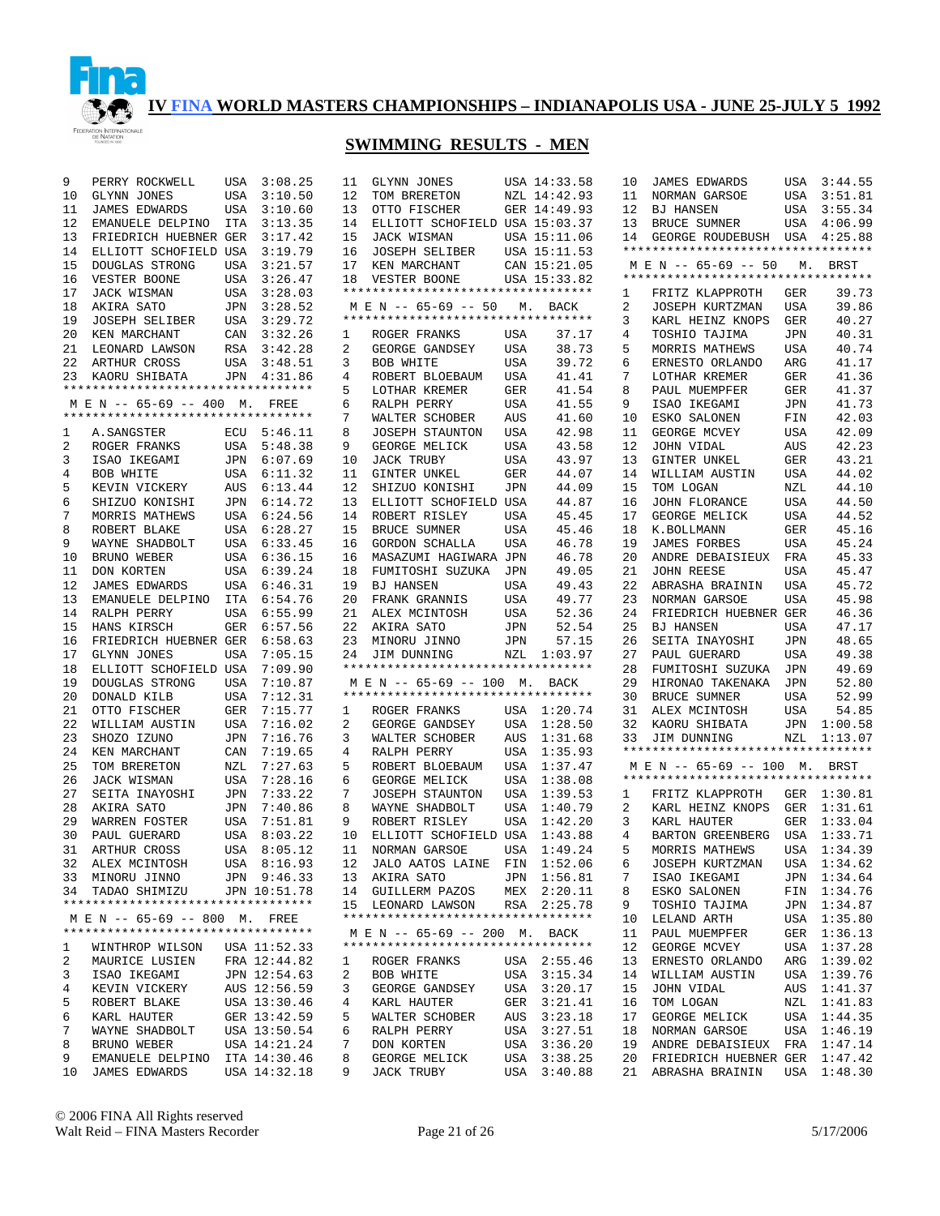

# **SWIMMING RESULTS - MEN**

| 9  | PERRY ROCKWELL                     | USA        | 3:08.25      | 11 | GLYNN JONES                                                |            | USA 14:33.58 | 10 | <b>JAMES EDWARDS</b>                              | USA        | 3:44.55     |
|----|------------------------------------|------------|--------------|----|------------------------------------------------------------|------------|--------------|----|---------------------------------------------------|------------|-------------|
| 10 | <b>GLYNN JONES</b>                 | USA        | 3:10.50      | 12 | TOM BRERETON                                               |            | NZL 14:42.93 | 11 | NORMAN GARSOE                                     | USA        | 3:51.81     |
| 11 | <b>JAMES EDWARDS</b>               | USA        | 3:10.60      | 13 | OTTO FISCHER                                               |            | GER 14:49.93 | 12 | <b>BJ HANSEN</b>                                  | USA        | 3:55.34     |
| 12 | EMANUELE DELPINO                   | ITA        | 3:13.35      | 14 | ELLIOTT SCHOFIELD USA 15:03.37                             |            |              | 13 | <b>BRUCE SUMNER</b>                               | USA        | 4:06.99     |
| 13 | FRIEDRICH HUEBNER GER              |            | 3:17.42      | 15 | JACK WISMAN                                                |            | USA 15:11.06 | 14 | GEORGE ROUDEBUSH                                  | USA        | 4:25.88     |
| 14 | ELLIOTT SCHOFIELD USA              |            | 3:19.79      | 16 | <b>JOSEPH SELIBER</b>                                      |            | USA 15:11.53 |    | **********************************                |            |             |
| 15 | DOUGLAS STRONG                     | USA        | 3:21.57      | 17 | KEN MARCHANT                                               |            | CAN 15:21.05 |    | M E N -- 65-69 -- 50                              | М.         | BRST        |
| 16 | VESTER BOONE                       | <b>USA</b> | 3:26.47      | 18 | VESTER BOONE                                               |            | USA 15:33.82 |    | **********************************                |            |             |
| 17 |                                    |            |              |    | *********************************                          |            |              |    |                                                   |            |             |
|    | JACK WISMAN                        | USA        | 3:28.03      |    |                                                            |            |              | 1  | FRITZ KLAPPROTH                                   | GER        | 39.73       |
| 18 | AKIRA SATO                         | JPN        | 3:28.52      |    | M E N -- 65-69 -- 50<br>********************************** | М.         | BACK         | 2  | JOSEPH KURTZMAN                                   | <b>USA</b> | 39.86       |
| 19 | <b>JOSEPH SELIBER</b>              | USA        | 3:29.72      |    |                                                            |            |              | 3  | KARL HEINZ KNOPS                                  | <b>GER</b> | 40.27       |
| 20 | KEN MARCHANT                       | CAN        | 3:32.26      | 1  | ROGER FRANKS                                               | USA        | 37.17        | 4  | TOSHIO TAJIMA                                     | <b>JPN</b> | 40.31       |
| 21 | LEONARD LAWSON                     | RSA        | 3:42.28      | 2  | GEORGE GANDSEY                                             | USA        | 38.73        | 5  | MORRIS MATHEWS                                    | <b>USA</b> | 40.74       |
| 22 | <b>ARTHUR CROSS</b>                | USA        | 3:48.51      | 3  | BOB WHITE                                                  | <b>USA</b> | 39.72        | 6  | ERNESTO ORLANDO                                   | ARG        | 41.17       |
| 23 | KAORU SHIBATA                      | JPN        | 4:31.86      | 4  | ROBERT BLOEBAUM                                            | <b>USA</b> | 41.41        | 7  | LOTHAR KREMER                                     | GER        | 41.36       |
|    | ********************************** |            |              | 5  | LOTHAR KREMER                                              | GER        | 41.54        | 8  | PAUL MUEMPFER                                     | GER        | 41.37       |
|    | MEN -- 65-69 -- 400 M.             |            | FREE         | 6  | RALPH PERRY                                                | USA        | 41.55        | 9  | ISAO IKEGAMI                                      | JPN        | 41.73       |
|    | ********************************** |            |              | 7  | WALTER SCHOBER                                             | AUS        | 41.60        | 10 | ESKO SALONEN                                      | FIN        | 42.03       |
| 1  | A.SANGSTER                         | ECU        | 5:46.11      | 8  | <b>JOSEPH STAUNTON</b>                                     | USA        | 42.98        | 11 | GEORGE MCVEY                                      | USA        | 42.09       |
| 2  | ROGER FRANKS                       | USA        | 5:48.38      | 9  | GEORGE MELICK                                              | USA        | 43.58        | 12 | JOHN VIDAL                                        | AUS        | 42.23       |
| 3  | ISAO IKEGAMI                       | JPN        | 6:07.69      | 10 | <b>JACK TRUBY</b>                                          | USA        | 43.97        | 13 | <b>GINTER UNKEL</b>                               | GER        | 43.21       |
| 4  | <b>BOB WHITE</b>                   | USA        | 6:11.32      | 11 | GINTER UNKEL                                               | <b>GER</b> | 44.07        | 14 | WILLIAM AUSTIN                                    | USA        | 44.02       |
| 5  | KEVIN VICKERY                      | AUS        | 6:13.44      | 12 | SHIZUO KONISHI                                             | JPN        | 44.09        | 15 | TOM LOGAN                                         | NZL        | 44.10       |
|    |                                    |            |              |    |                                                            |            |              |    |                                                   |            |             |
| 6  | SHIZUO KONISHI                     | JPN        | 6:14.72      | 13 | ELLIOTT SCHOFIELD USA                                      |            | 44.87        | 16 | <b>JOHN FLORANCE</b>                              | <b>USA</b> | 44.50       |
| 7  | MORRIS MATHEWS                     | USA        | 6:24.56      | 14 | ROBERT RISLEY                                              | USA        | 45.45        | 17 | GEORGE MELICK                                     | USA        | 44.52       |
| 8  | ROBERT BLAKE                       | USA        | 6:28.27      | 15 | BRUCE SUMNER                                               | USA        | 45.46        | 18 | K.BOLLMANN                                        | <b>GER</b> | 45.16       |
| 9  | WAYNE SHADBOLT                     | USA        | 6:33.45      | 16 | GORDON SCHALLA                                             | USA        | 46.78        | 19 | <b>JAMES FORBES</b>                               | USA        | 45.24       |
| 10 | BRUNO WEBER                        | USA        | 6:36.15      | 16 | MASAZUMI HAGIWARA JPN                                      |            | 46.78        | 20 | ANDRE DEBAISIEUX                                  | FRA        | 45.33       |
| 11 | DON KORTEN                         | USA        | 6:39.24      | 18 | FUMITOSHI SUZUKA                                           | JPN        | 49.05        | 21 | <b>JOHN REESE</b>                                 | USA        | 45.47       |
| 12 | <b>JAMES EDWARDS</b>               | USA        | 6:46.31      | 19 | <b>BJ HANSEN</b>                                           | <b>USA</b> | 49.43        | 22 | ABRASHA BRAININ                                   | <b>USA</b> | 45.72       |
| 13 | EMANUELE DELPINO                   | ITA        | 6:54.76      | 20 | FRANK GRANNIS                                              | USA        | 49.77        | 23 | NORMAN GARSOE                                     | <b>USA</b> | 45.98       |
| 14 | RALPH PERRY                        | USA        | 6:55.99      | 21 | ALEX MCINTOSH                                              | USA        | 52.36        | 24 | FRIEDRICH HUEBNER GER                             |            | 46.36       |
| 15 | HANS KIRSCH                        | <b>GER</b> | 6:57.56      | 22 | AKIRA SATO                                                 | JPN        | 52.54        | 25 | <b>BJ HANSEN</b>                                  | USA        | 47.17       |
| 16 | FRIEDRICH HUEBNER GER              |            | 6:58.63      | 23 | MINORU JINNO                                               | JPN        | 57.15        | 26 | SEITA INAYOSHI                                    | <b>JPN</b> | 48.65       |
| 17 | <b>GLYNN JONES</b>                 | <b>USA</b> | 7:05.15      | 24 | JIM DUNNING                                                | NZL        | 1:03.97      | 27 | PAUL GUERARD                                      | <b>USA</b> | 49.38       |
| 18 | ELLIOTT SCHOFIELD USA              |            | 7:09.90      |    | **********************************                         |            |              | 28 | FUMITOSHI SUZUKA                                  | JPN        | 49.69       |
| 19 | DOUGLAS STRONG                     | USA        | 7:10.87      |    | M E N -- 65-69 -- 100 M.                                   |            | BACK         | 29 | HIRONAO TAKENAKA                                  | JPN        | 52.80       |
| 20 | DONALD KILB                        | USA        | 7:12.31      |    | **********************************                         |            |              | 30 | BRUCE SUMNER                                      | <b>USA</b> | 52.99       |
| 21 | OTTO FISCHER                       | GER        | 7:15.77      | 1  | ROGER FRANKS                                               | USA        | 1:20.74      | 31 | ALEX MCINTOSH                                     | <b>USA</b> | 54.85       |
| 22 | WILLIAM AUSTIN                     | USA        | 7:16.02      | 2  | GEORGE GANDSEY                                             | USA        | 1:28.50      | 32 |                                                   | JPN        | 1:00.58     |
| 23 | SHOZO IZUNO                        | <b>JPN</b> | 7:16.76      | 3  |                                                            | AUS        | 1:31.68      | 33 | KAORU SHIBATA                                     | NZL        | 1:13.07     |
|    |                                    |            |              |    | WALTER SCHOBER                                             |            |              |    | JIM DUNNING<br>********************************** |            |             |
| 24 | KEN MARCHANT                       | CAN        | 7:19.65      | 4  | RALPH PERRY                                                | USA        | 1:35.93      |    |                                                   |            |             |
| 25 | TOM BRERETON                       | NZL        | 7:27.63      | 5  | ROBERT BLOEBAUM                                            | USA        | 1:37.47      |    | M E N -- 65-69 -- 100 M. BRST                     |            |             |
| 26 | JACK WISMAN                        | USA        | 7:28.16      | 6  | GEORGE MELICK                                              | USA        | 1:38.08      |    | **********************************                |            |             |
| 27 | SEITA INAYOSHI                     | JPN        | 7:33.22      | 7  | <b>JOSEPH STAUNTON</b>                                     | USA        | 1:39.53      | 1  | FRITZ KLAPPROTH                                   | GER        | 1:30.81     |
| 28 | AKIRA SATO                         | JPN        | 7:40.86      | 8  | WAYNE SHADBOLT                                             | USA        | 1:40.79      | 2  | KARL HEINZ KNOPS                                  | GER        | 1:31.61     |
| 29 | WARREN FOSTER                      | USA        | 7:51.81      | 9  | ROBERT RISLEY                                              | <b>USA</b> | 1:42.20      | 3  | KARL HAUTER                                       | GER        | 1:33.04     |
| 30 | PAUL GUERARD                       | <b>USA</b> | 8:03.22      | 10 | ELLIOTT SCHOFIELD USA                                      |            | 1:43.88      | 4  | BARTON GREENBERG                                  | USA        | 1:33.71     |
| 31 | ARTHUR CROSS                       | <b>USA</b> | 8:05.12      | 11 | NORMAN GARSOE                                              | USA        | 1:49.24      | 5  | MORRIS MATHEWS                                    | USA        | 1:34.39     |
|    | 32 ALEX MCINTOSH                   |            | USA 8:16.93  |    | 12 JALO AATOS LAINE FIN 1:52.06                            |            |              | 6  | JOSEPH KURTZMAN                                   |            | USA 1:34.62 |
|    | 33 MINORU JINNO                    |            | JPN 9:46.33  |    | 13 AKIRA SATO                                              |            | JPN 1:56.81  | 7  | ISAO IKEGAMI                                      |            | JPN 1:34.64 |
|    | 34 TADAO SHIMIZU                   |            | JPN 10:51.78 |    | 14 GUILLERM PAZOS                                          |            | MEX 2:20.11  | 8  | ESKO SALONEN                                      |            | FIN 1:34.76 |
|    | ********************************** |            |              |    | 15 LEONARD LAWSON                                          |            | RSA 2:25.78  | 9  | TOSHIO TAJIMA                                     |            | JPN 1:34.87 |
|    | M E N -- 65-69 -- 800 M. FREE      |            |              |    | **********************************                         |            |              | 10 | LELAND ARTH                                       |            | USA 1:35.80 |
|    | ********************************** |            |              |    | M E N -- 65-69 -- 200 M. BACK                              |            |              | 11 | PAUL MUEMPFER                                     |            | GER 1:36.13 |
| ı  | WINTHROP WILSON                    |            | USA 11:52.33 |    | **********************************                         |            |              | 12 | GEORGE MCVEY                                      |            | USA 1:37.28 |
| 2  | MAURICE LUSIEN                     |            | FRA 12:44.82 |    | ROGER FRANKS                                               |            | USA 2:55.46  | 13 |                                                   |            | ARG 1:39.02 |
|    |                                    |            | JPN 12:54.63 | 1  |                                                            |            |              |    | ERNESTO ORLANDO                                   |            | USA 1:39.76 |
| 3  | ISAO IKEGAMI                       |            |              | 2  | BOB WHITE                                                  |            | USA 3:15.34  | 14 | WILLIAM AUSTIN                                    |            |             |
| 4  | KEVIN VICKERY                      |            | AUS 12:56.59 | 3  | GEORGE GANDSEY                                             |            | USA 3:20.17  | 15 | JOHN VIDAL                                        |            | AUS 1:41.37 |
| 5  | ROBERT BLAKE                       |            | USA 13:30.46 | 4  | KARL HAUTER                                                | GER        | 3:21.41      | 16 | TOM LOGAN                                         |            | NZL 1:41.83 |
| 6  | KARL HAUTER                        |            | GER 13:42.59 | 5  | WALTER SCHOBER                                             | AUS        | 3:23.18      | 17 | GEORGE MELICK                                     |            | USA 1:44.35 |
| 7  | WAYNE SHADBOLT                     |            | USA 13:50.54 | 6  | RALPH PERRY                                                | USA        | 3:27.51      | 18 | NORMAN GARSOE                                     |            | USA 1:46.19 |
| 8  | BRUNO WEBER                        |            | USA 14:21.24 | 7  | DON KORTEN                                                 | USA        | 3:36.20      | 19 | ANDRE DEBAISIEUX                                  |            | FRA 1:47.14 |
| 9  | EMANUELE DELPINO                   |            | ITA 14:30.46 | 8  | GEORGE MELICK                                              | USA        | 3:38.25      | 20 | FRIEDRICH HUEBNER GER                             |            | 1:47.42     |
| 10 | <b>JAMES EDWARDS</b>               |            | USA 14:32.18 | 9  | JACK TRUBY                                                 |            | USA 3:40.88  | 21 | ABRASHA BRAININ                                   | USA        | 1:48.30     |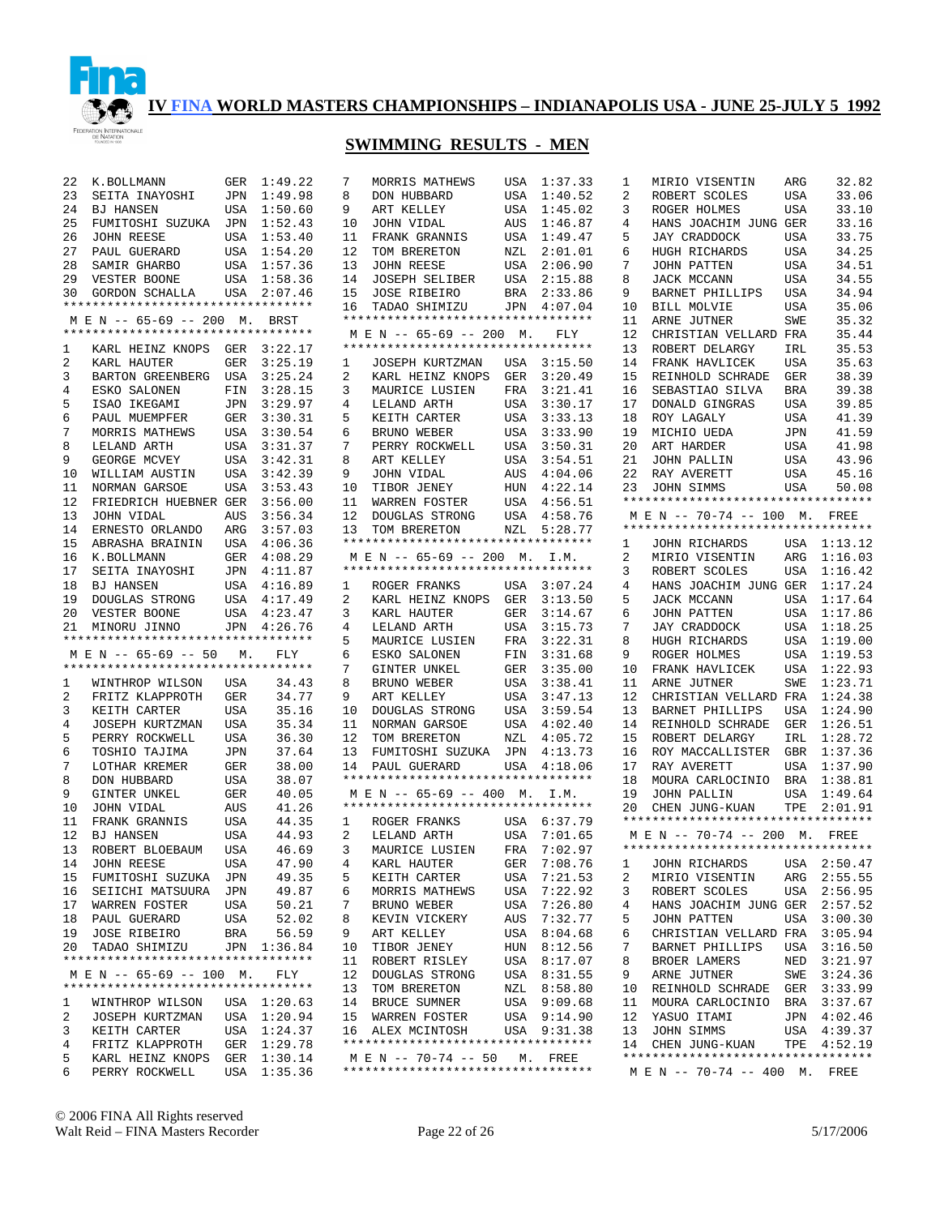

## **SWIMMING RESULTS - MEN**

| 22              | K.BOLLMANN                                                 | GER                | 1:49.22                    |
|-----------------|------------------------------------------------------------|--------------------|----------------------------|
| 23              | SEITA INAYOSHI                                             | JPN                | 1:49.98                    |
| 24              | BJ HANSEN                                                  | USA                | 1:50.60                    |
|                 | 25 FUMITOSHI SUZUKA JPN 1:52.43                            |                    |                            |
|                 |                                                            |                    |                            |
|                 | 26 JOHN REESE<br>27 PAUL GUERARD                           |                    | USA 1:53.40<br>USA 1:54.20 |
|                 |                                                            |                    |                            |
| 28              | SAMIR GHARBO                                               |                    | USA 1:57.36<br>USA 1:58.36 |
| 29              | VESTER BOONE                                               |                    |                            |
|                 | 30 GORDON SCHALLA                                          | USA                | 2:07.46                    |
|                 | **********************************                         |                    |                            |
|                 | M E N -- 65-69 -- 200 M. BRST                              |                    |                            |
|                 | **********************************                         |                    |                            |
| $\mathbf{1}$    | KARL HEINZ KNOPS GER 3:22.17                               |                    |                            |
| $\overline{2}$  | KARL HAUTER                                                | GER                | 3:25.19                    |
| 3               |                                                            |                    | 3:25.24                    |
| $\overline{4}$  | BARTON GREENBERG USA<br>ESKO SALONEN FIN                   |                    | 3:28.15                    |
| 5               | ISAO IKEGAMI                                               |                    |                            |
| б.              | PAUL MUEMPFER                                              |                    | JPN 3:29.97<br>GER 3:30.31 |
| 7               | MORRIS MATHEWS                                             |                    | USA 3:30.54                |
| 8               | LELAND ARTH                                                | USA                | 3:31.37                    |
| 9               | GEORGE MCVEY                                               | USA                | 3:42.31                    |
| 10 <sup>°</sup> | WILLIAM AUSTIN                                             | USA                | 3:42.39                    |
|                 |                                                            | USA                | 3:53.43                    |
|                 | 11 NORMAN GARSOE                                           |                    |                            |
| 12              | FRIEDRICH HUEBNER GER                                      |                    | 3:56.00                    |
| 13              | JOHN VIDAL                                                 | $\mathop{\rm AUS}$ | 3:56.34                    |
| 14              | ERNESTO ORLANDO                                            | ARG                | 3:57.03                    |
|                 | 15 ABRASHA BRAININ USA 4:06.36                             |                    |                            |
| 16              | K.BOLLMANN                                                 | GER                | 4:08.29                    |
|                 | 17 SEITA INAYOSHI<br>18 BJ HANSEN                          |                    | JPN 4:11.87                |
|                 |                                                            | USA                | 4:16.89                    |
|                 | 19 DOUGLAS STRONG                                          |                    | USA 4:17.49                |
| 20              | VESTER BOONE                                               | USA                | 4:23.47                    |
|                 |                                                            |                    |                            |
|                 |                                                            |                    | JPN 4:26.76                |
|                 | 21 MINORU JINNO<br>**********************************      |                    |                            |
|                 | MEN -- 65-69 -- 50 M. FLY                                  |                    |                            |
|                 | **********************************                         |                    |                            |
|                 |                                                            |                    |                            |
| 1               | WINTHROP WILSON USA                                        |                    | 34.43                      |
| $\overline{2}$  | FRITZ KLAPPROTH                                            | GER                | 34.77                      |
| 3               | KEITH CARTER                                               | USA                | 35.16                      |
| 4               | JOSEPH KURTZMAN                                            | USA                | 35.34                      |
| 5               | PERRY ROCKWELL                                             | USA                | 36.30                      |
| 6               | TOSHIO TAJIMA                                              | JPN                | 37.64                      |
| 7               |                                                            | GER                | 38.00                      |
| 8               | DON HIPPET<br>DON HUBBARD                                  | USA                | 38.07                      |
| 9               | GINTER UNKEL                                               | GER                | 40.05                      |
| 10              | JOHN VIDAL                                                 | AUS                | 41.26                      |
| 11              | FRANK GRANNIS                                              | USA                | 44.35                      |
| 12              | BJ HANSEN                                                  | USA                | 44.93                      |
| 13              | ROBERT BLOEBAUM                                            | USA                | 46.69                      |
| 14              | JOHN REESE                                                 | USA                | 47.90                      |
|                 | 15 FUMITOSHI SUZUKA JPN                                    |                    | 49.35                      |
| 16              | SEIICHI MATSUURA                                           | JPN                | 49.87                      |
| 17 <sub>2</sub> |                                                            | USA                | 50.21                      |
| 18              | WARREN FOSTER<br>PAUL GUERARD                              | USA                | 52.02                      |
| 19              |                                                            | BRA                | 56.59                      |
| 20              | JOSE RIBEIRO<br>TADAO SHIMIZU                              |                    | JPN 1:36.84                |
|                 | **********************************                         |                    |                            |
|                 | M E N -- 65-69 -- 100 M.                                   |                    | FLY                        |
|                 | **********************************                         |                    |                            |
| 1               | WINTHROP WILSON                                            |                    | USA 1:20.63                |
| 2               | JOSEPH KURTZMAN                                            |                    |                            |
| 3               |                                                            |                    | $USA = 1:20.94$            |
| 4               |                                                            |                    |                            |
|                 | KEITH CARTER USA 1:24.37<br>FRITZ KLAPPROTH GER 1:29.78    |                    |                            |
| 5<br>б          | KARL HEINZ KNOPS GER 1:30.14<br>PERRY ROCKWELL USA 1:35.36 |                    |                            |

| 7                   | MORRIS MATHEWS                                                      | USA                        | 1:37.33            |
|---------------------|---------------------------------------------------------------------|----------------------------|--------------------|
| 8                   | DON HUBBARD                                                         | USA                        | 1:40.52            |
| 9                   | ART KELLEY                                                          | USA                        | 1:45.02            |
| 10                  | JOHN VIDAL                                                          | AUS                        | 1:46.87            |
| 11                  | FRANK GRANNIS                                                       | USA                        | 1:49.47            |
| 12                  | TOM BRERETON                                                        | $V$ $\cup$ $\cdot$ $\cdot$ | 2:01.01            |
| 13                  | JOHN REESE                                                          | USA                        | 2:06.90            |
| 14                  | <b>JOSEPH SELIBER</b>                                               | USA                        | 2:15.88            |
| 15                  | JOSE RIBEIRO                                                        | BRA                        | 2:33.86            |
| 16                  | TADAO SHIMIZU JPN 4:07.04                                           |                            |                    |
|                     | **********************************                                  |                            |                    |
|                     | MEN -- 65-69 -- 200 M. FLY                                          |                            |                    |
|                     | *********************************                                   |                            |                    |
|                     | 1 JOSEPH KURTZMAN USA 3:15.50                                       |                            |                    |
| $\overline{2}$      | UUSEFII AUALI-<br>KARL HEINZ KNOPS GER                              |                            | 3:20.49            |
| 3                   | MAURICE LUSIEN                                                      | FRA                        | 3:21.41            |
| $\overline{4}$<br>5 | LELAND ARTH                                                         | .<br>USA                   | 3:30.17            |
| б.                  | KEITH CARTER<br>BRUNO WEBER                                         | USA                        | 3:33.13<br>3:33.90 |
| 7                   | BRUNO WEBER<br>PERRY ROCKWELL                                       | USA<br>USA                 | 3:50.31            |
| 8                   | ART KELLEY                                                          |                            | 3:54.51            |
| 9                   | JOHN VIDAL                                                          | USA<br>AUS                 | 4:04.06            |
| 10                  |                                                                     | HUN                        | 4:22.14            |
| 11                  | TIBOR JENEY<br>WARREN FOSTER                                        | USA                        | 4:56.51            |
| 12                  |                                                                     |                            | 4:58.76            |
| 13                  | DOUGLAS STRONG USA<br>TOM BRERETON NZL                              |                            | 5:28.77            |
|                     | *********************************                                   |                            |                    |
|                     | M E N -- 65-69 -- 200 M. I.M.                                       |                            |                    |
|                     | **********************************                                  |                            |                    |
|                     | 1 ROGER FRANKS                                                      |                            | USA 3:07.24        |
| $^{2}$              | KARL HEINZ KNOPS                                                    | ${\tt GER}$                | 3:13.50            |
| 3                   |                                                                     | GER                        | 3:14.67            |
| 4                   | KARL HAUTER<br>LELAND ARTH                                          | USA                        | 3:15.73            |
| 5                   | MAURICE LUSIEN                                                      | FRA                        | 3:22.31            |
| б.                  | ESKO SALONEN                                                        | ${\tt FIN}$                | 3:31.68            |
| 7                   | GINTER UNKEL                                                        | GER                        | 3:35.00            |
| 8                   | BRUNO WEBER                                                         | USA                        | 3:38.41            |
| 9                   | ART KELLEY                                                          | USA                        | 3:47.13            |
| 10                  | DOUGLAS STRONG                                                      | USA                        | 3:59.54            |
| 11                  | NORMAN GARSOE                                                       | USA                        | 4:02.40            |
|                     | 12 TOM BRERETON                                                     | ${\tt NZL}$                | 4:05.72            |
| 13                  | FUMITOSHI SUZUKA                                                    | JPN                        | 4:13.73            |
| 14                  | PAUL GUERARD                                                        |                            | USA 4:18.06        |
|                     | **********************************                                  |                            |                    |
|                     | M E N -- 65-69 -- 400 M. I.M.<br>********************************** |                            |                    |
|                     |                                                                     |                            |                    |
|                     | 1 ROGER FRANKS USA 6:37.79<br>2 LELAND ARTH USA 7:01.65             |                            | 7:01.65            |
| 3                   | MAURICE LUSIEN                                                      |                            | FRA 7:02.97        |
| 4                   | KARL HAUTER                                                         | GER                        | 7:08.76            |
| 5                   | KEITH CARTER                                                        | USA                        | 7:21.53            |
| б.                  | MORRIS MATHEWS                                                      | USA                        | 7:22.92            |
| 7                   | BRUNO WEBER                                                         | USA                        | 7:26.80            |
| 8                   | KEVIN VICKERY                                                       | AUS                        | 7:32.77            |
| 9                   | ART KELLEY                                                          | USA                        | 8:04.68            |
| 10                  | TIBOR JENEY                                                         | HUN                        | 8:12.56            |
| 11                  | ROBERT RISLEY                                                       | USA                        | 8:17.07            |
| 12                  | DOUGLAS STRONG                                                      | USA                        | 8:31.55            |
| 13                  | TOM BRERETON                                                        | NZL                        | 8:58.80            |
| 14                  | BRUCE SUMNER                                                        | USA                        | 9:09.68            |
| 15                  | WARREN FOSTER                                                       | USA                        | 9:14.90            |
| 16                  | ALEX MCINTOSH                                                       |                            | USA 9:31.38        |
|                     | **********************************                                  |                            |                    |
|                     | M E N -- 70-74 -- 50 M. FREE                                        |                            |                    |
|                     | **********************************                                  |                            |                    |
|                     |                                                                     |                            |                    |

| 1              | MIRIO VISENTIN                    | ARG         | 32.82   |
|----------------|-----------------------------------|-------------|---------|
| 2              | ROBERT SCOLES                     | USA         | 33.06   |
| 3              | ROGER HOLMES                      | USA         | 33.10   |
| 4              | HANS JOACHIM JUNG GER             |             | 33.16   |
| 5              | <b>JAY CRADDOCK</b>               |             | 33.75   |
|                |                                   | USA         |         |
| 6              | HUGH RICHARDS                     | USA         | 34.25   |
| 7              | JOHN PATTEN                       | USA         | 34.51   |
| 8              | JACK MCCANN                       | USA         | 34.55   |
| 9              | BARNET PHILLIPS                   | USA         | 34.94   |
| 10             | BILL MOLVIE                       | USA         | 35.06   |
| 11             | ARNE JUTNER                       | SWE         | 35.32   |
| 12             | CHRISTIAN VELLARD FRA             |             | 35.44   |
|                |                                   |             |         |
| 13             | ROBERT DELARGY                    | IRL         | 35.53   |
| 14             | FRANK HAVLICEK                    | USA         | 35.63   |
| 15             | REINHOLD SCHRADE                  | GER         | 38.39   |
| 16             | SEBASTIAO SILVA                   | BRA         | 39.38   |
| 17             | DONALD GINGRAS                    | USA         | 39.85   |
| 18             | ROY LAGALY                        | USA         | 41.39   |
| 19             | MICHIO UEDA                       | JPN         | 41.59   |
| 20             | ART HARDER                        |             | 41.98   |
|                |                                   | USA         |         |
| 21             | JOHN PALLIN                       | USA         | 43.96   |
| 22             | RAY AVERETT                       | USA         | 45.16   |
| 23             | JOHN SIMMS                        | USA         | 50.08   |
|                | ********************************* |             |         |
|                | M E N -- 70-74 -- 100 M. FREE     |             |         |
|                | ********************************* |             |         |
| 1              | JOHN RICHARDS USA                 |             | 1:13.12 |
| $\overline{a}$ | MIRIO VISENTIN                    | ${\tt ARG}$ | 1:16.03 |
| 3              | ROBERT SCOLES                     | USA         | 1:16.42 |
| 4              | HANS JOACHIM JUNG GER             |             | 1:17.24 |
|                |                                   |             |         |
| 5              | JACK MCCANN                       | USA         | 1:17.64 |
| 6              | JOHN PATTEN                       | USA         | 1:17.86 |
| 7              | JAY CRADDOCK                      | USA         | 1:18.25 |
| 8              | HUGH RICHARDS                     | USA         | 1:19.00 |
| 9              | ROGER HOLMES                      | USA         | 1:19.53 |
| 10             | FRANK HAVLICEK                    | USA         | 1:22.93 |
| 11             | ARNE JUTNER                       | SWE         | 1:23.71 |
| 12             | CHRISTIAN VELLARD FRA             |             | 1:24.38 |
| 13             | BARNET PHILLIPS                   | USA         | 1:24.90 |
| 14             | REINHOLD SCHRADE                  | GER         | 1:26.51 |
| 15             | ROBERT DELARGY                    | IRL         | 1:28.72 |
| 16             | ROY MACCALLISTER                  |             | 1:37.36 |
|                |                                   | GBR         |         |
| 17             | RAY AVERETT                       | USA         | 1:37.90 |
| 18             | MOURA CARLOCINIO                  | BRA         | 1:38.81 |
| 19             | JOHN PALLIN                       | USA         | 1:49.64 |
| 20             | CHEN JUNG-KUAN                    | TPE         | 2:01.91 |
|                | ********************************* |             |         |
|                | M E N -- 70-74 -- 200 M.          |             | FREE    |
|                | ********************************* |             |         |
|                | 1 JOHN RICHARDS USA 2:50.47       |             |         |
| 2              | MIRIO VISENTIN                    | ARG         | 2:55.55 |
| 3              | ROBERT SCOLES                     | USA         | 2:56.95 |
| 4              | HANS JOACHIM JUNG GER             |             | 2:57.52 |
| 5              | <b>JOHN PATTEN</b>                | USA         | 3:00.30 |
| б              | CHRISTIAN VELLARD FRA             |             | 3:05.94 |
|                |                                   |             |         |
| 7              | BARNET PHILLIPS                   | USA         | 3:16.50 |
| 8              | BROER LAMERS                      | NED         | 3:21.97 |
| 9              |                                   |             |         |
|                | ARNE JUTNER                       | SWE         | 3:24.36 |
| 10             | REINHOLD SCHRADE                  | GER         | 3:33.99 |
| 11             | MOURA CARLOCINIO                  | BRA         | 3:37.67 |
| 12             | YASUO ITAMI                       | JPN         | 4:02.46 |
| 13             | JOHN SIMMS                        | USA         | 4:39.37 |
| 14             | CHEN JUNG-KUAN                    | TPE         | 4:52.19 |
|                |                                   |             |         |

© 2006 FINA All Rights reserved Walt Reid – FINA Masters Recorder Page 22 of 26 5/17/2006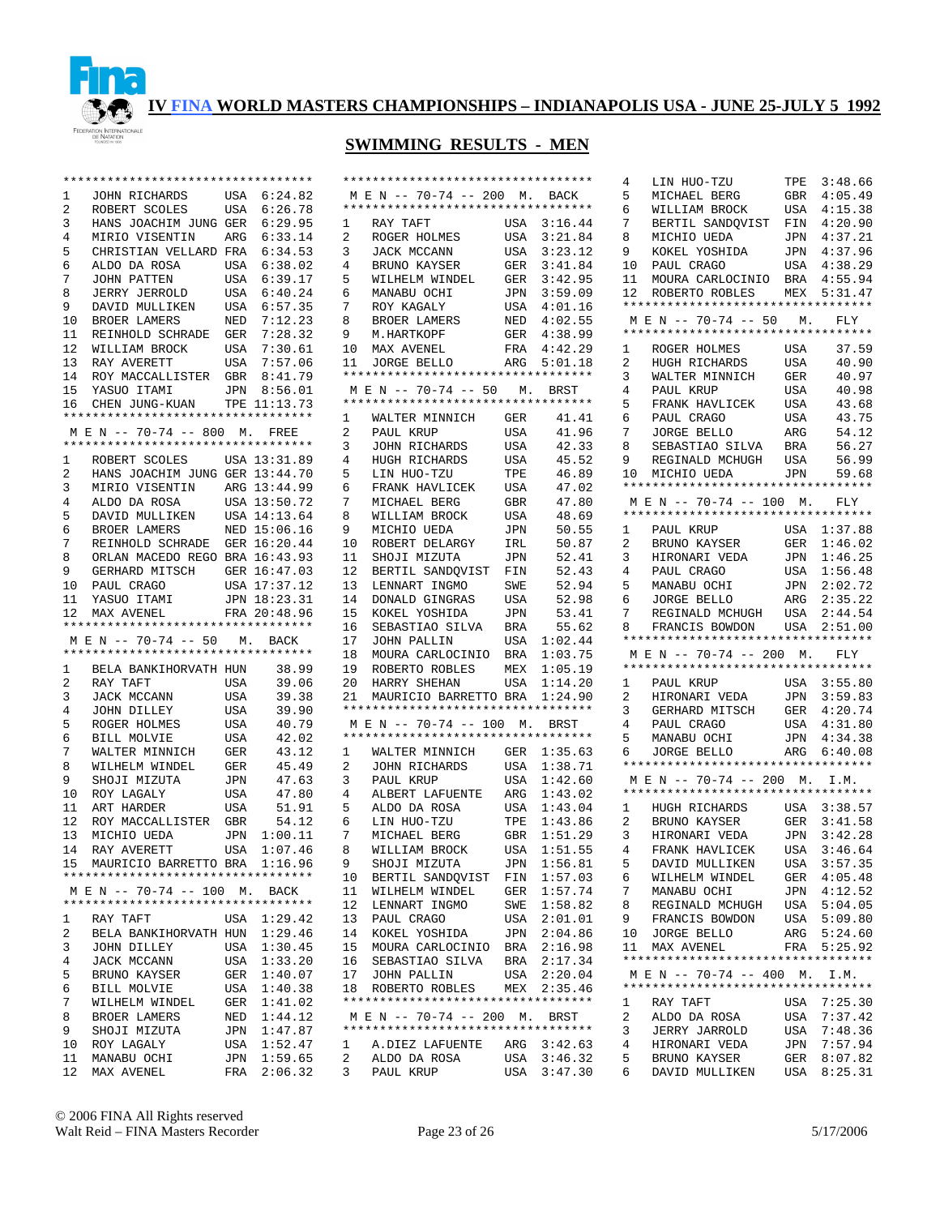

|              | *********************************  |     |              |                        | **********               |
|--------------|------------------------------------|-----|--------------|------------------------|--------------------------|
| $\mathbf{1}$ | JOHN RICHARDS                      |     | USA 6:24.82  |                        | M E N --                 |
| 2            | ROBERT SCOLES                      | USA | 6:26.78      |                        | **********               |
| 3            | HANS JOACHIM JUNG GER 6:29.95      |     |              | 1                      | RAY TA                   |
| 4            | MIRIO VISENTIN                     |     | ARG 6:33.14  | $\overline{a}$         | ROGER                    |
| 5            | CHRISTIAN VELLARD FRA 6:34.53      |     |              | 3                      | JACK M                   |
| 6            | ALDO DA ROSA                       | USA | 6:38.02      | 4                      | BRUNO                    |
| 7            | JOHN PATTEN                        |     | USA 6:39.17  | 5                      | WILHEL                   |
| 8            | JERRY JERROLD                      | USA | 6:40.24      | 6                      | MANABU                   |
| 9            | DAVID MULLIKEN                     |     | USA 6:57.35  | 7                      | ROY KA                   |
| 10           | BROER LAMERS                       | NED | 7:12.23      | 8                      | BROER                    |
| 11           | REINHOLD SCHRADE                   |     | GER 7:28.32  | 9                      | M.HART                   |
| 12           | WILLIAM BROCK                      | USA | 7:30.61      | 10                     | MAX AV                   |
| 13           | RAY AVERETT                        |     | USA 7:57.06  | 11                     | JORGE                    |
| 14           | ROY MACCALLISTER                   | GBR | 8:41.79      |                        | $************$           |
| 15           | YASUO ITAMI                        |     | JPN 8:56.01  |                        | $M E N --$               |
|              | 16 CHEN JUNG-KUAN                  |     | TPE 11:13.73 |                        | **********               |
|              | ********************************** |     |              | $1 \quad \blacksquare$ | WALTER                   |
|              | M E N -- 70-74 -- 800              | М.  | FREE         | $\overline{a}$         | PAUL K                   |
|              | ********************************** |     |              | $\mathbf{3}$           | JOHN R                   |
| $\mathbf{1}$ | ROBERT SCOLES                      |     | USA 13:31.89 | 4                      | HUGH R                   |
| 2            | HANS JOACHIM JUNG GER 13:44.70     |     |              | 5                      | LIN HU                   |
| 3            | MIRIO VISENTIN                     |     | ARG 13:44.99 | 6                      | FRANK                    |
| 4            | ALDO DA ROSA                       |     | USA 13:50.72 | 7 <sup>7</sup>         | MICHAE                   |
| 5            | DAVID MULLIKEN                     |     | USA 14:13.64 | 8                      | WILLIA                   |
| 6            | BROER LAMERS                       |     | NED 15:06.16 | 9                      | MICHIO                   |
| 7            | REINHOLD SCHRADE GER 16:20.44      |     |              | 10                     | <b>ROBERT</b>            |
| 8            | ORLAN MACEDO REGO BRA 16:43.93     |     |              | 11                     | SHOJI                    |
| 9            | GERHARD MITSCH                     |     | GER 16:47.03 | 12                     | <b>BERTIL</b>            |
| 10           | PAUL CRAGO                         |     | USA 17:37.12 | 13                     | LENNAR                   |
| 11           | YASUO ITAMI                        |     | JPN 18:23.31 | 14                     | <b>DONALD</b>            |
| 12           | MAX AVENEL                         |     | FRA 20:48.96 | 15                     | KOKEL                    |
|              | ********************************** |     |              | 16                     | SEBAST                   |
|              | M E N -- 70-74 -- 50 M. BACK       |     |              | 17                     | JOHN P                   |
|              | ********************************** |     |              | 18                     | MOURA                    |
| $\mathbf{1}$ | BELA BANKIHORVATH HUN              |     | 38.99        | 19                     | ROBERT                   |
| 2            | RAY TAFT                           | USA | 39.06        | 20                     | HARRY                    |
| 3            | JACK MCCANN                        | USA | 39.38        | 21                     | MAURIC                   |
| 4            | JOHN DILLEY                        | USA | 39.90        |                        | **********               |
| 5            | ROGER HOLMES                       | USA | 40.79        |                        | $M E N --$               |
| 6            | BILL MOLVIE                        | USA | 42.02        |                        | **********               |
| 7            | WALTER MINNICH                     | GER | 43.12        | 1                      | WALTER                   |
| 8            | WILHELM WINDEL                     | GER | 45.49        | $\overline{a}$         | JOHN R                   |
| 9            | SHOJI MIZUTA                       | JPN | 47.63        | $\mathbf{3}$           | PAUL K                   |
| 10           | ROY LAGALY                         | USA | 47.80        | 4                      | ALBERT                   |
| 11           | ART HARDER                         | USA | 51.91        | 5                      | ALDO D                   |
| 12           | ROY MACCALLISTER                   | GBR | 54.12        | $6\overline{6}$        | LIN HU                   |
| 13           | MICHIO UEDA                        | JPN | 1:00.11      | 7                      | MICHAE                   |
| 14           | RAY AVERETT                        | USA | 1:07.46      | 8                      | WILLIA                   |
|              | 15 MAURICIO BARRETTO BRA 1:16.96   |     |              | 9                      | SHOJI                    |
|              | ********************************** |     |              | 10                     | <b>BERTIL</b>            |
|              | M E N -- 70-74 -- 100 M. BACK      |     |              | 11                     | WILHEL                   |
|              | ********************************** |     |              | 12                     | LENNAR                   |
| 1            | RAY TAFT                           |     | USA 1:29.42  | 13                     | PAUL C                   |
| $\mathbf{2}$ | BELA BANKIHORVATH HUN 1:29.46      |     |              | 14                     | KOKEL                    |
| 3            | JOHN DILLEY                        | USA | 1:30.45      | 15                     | MOURA                    |
| 4            | JACK MCCANN                        |     | USA 1:33.20  | 16                     | SEBAST                   |
| 5            | BRUNO KAYSER                       | GER | 1:40.07      | 17                     | JOHN P                   |
| 6            | BILL MOLVIE                        |     | USA 1:40.38  | 18                     | ROBERT                   |
| 7            | WILHELM WINDEL                     | GER | 1:41.02      |                        | **********               |
| 8            | BROER LAMERS                       |     | NED 1:44.12  |                        | $M E N --$<br>********** |
| 9            | SHOJI MIZUTA                       | JPN | 1:47.87      |                        |                          |
| 10           | ROY LAGALY                         |     | USA 1:52.47  | $\mathbf{1}$           | A.DIEZ                   |
| 11           | MANABU OCHI                        | JPN | 1:59.65      | $\mathbf{2}$           | ALDO D                   |
| 12           | MAX AVENEL                         |     | FRA 2:06.32  | $3^{\circ}$            | PAUL K                   |

|                | **********************************                                  |            |                    |
|----------------|---------------------------------------------------------------------|------------|--------------------|
|                | MEN -- 70-74 -- 200 M. BACK<br>**********************************   |            |                    |
| 1              | RAY TAFT                                                            | USA        | 3:16.44            |
| $\overline{2}$ | ROGER HOLMES                                                        | USA        | 3:21.84            |
| 3              | JACK MCCANN                                                         | USA        | 3:23.12            |
| 4              | BRUNO KAYSER                                                        | GER        | 3:41.84            |
| 5              | WILHELM WINDEL                                                      | GER        | 3:42.95            |
| 6              | MANABU OCHI                                                         | JPN        | 3:59.09            |
| 7              | ROY KAGALY                                                          | USA        | 4:01.16            |
| 8              | BROER LAMERS                                                        | NED        | 4:02.55            |
| 9              | M.HARTKOPF                                                          | GER        | 4:38.99            |
| 10             | MAX AVENEL                                                          | FRA        | 4:42.29            |
| 11             | JORGE BELLO<br>**********************************                   | ARG        | 5:01.18            |
|                | M E N -- 70-74 -- 50 M.                                             |            | BRST               |
|                | **********************************                                  |            |                    |
| 1              | WALTER MINNICH                                                      | GER        | 41.41              |
| 2              | PAUL KRUP                                                           | USA        | 41.96              |
| 3              | JOHN RICHARDS                                                       | USA        | 42.33              |
| 4              | HUGH RICHARDS                                                       | USA        | 45.52              |
| 5              | LIN HUO-TZU                                                         | TPE        | 46.89              |
| 6              | FRANK HAVLICEK                                                      | USA        | 47.02              |
| 7              | MICHAEL BERG                                                        | GBR        | 47.80              |
| 8              | WILLIAM BROCK                                                       | USA        | 48.69              |
| 9              | MICHIO UEDA                                                         | JPN        | 50.55              |
| 10             | ROBERT DELARGY                                                      | IRL        | 50.87              |
| 11             | SHOJI MIZUTA                                                        | JPN        | 52.41              |
| 12<br>13       | BERTIL SANDQVIST                                                    | FIN        | 52.43              |
| 14             | LENNART INGMO<br>DONALD GINGRAS                                     | SWE<br>USA | 52.94<br>52.98     |
| 15             | KOKEL YOSHIDA                                                       | JPN        | 53.41              |
| 16             | SEBASTIAO SILVA                                                     | BRA        | 55.62              |
| 17             | JOHN PALLIN                                                         | USA        | 1:02.44            |
| 18             | MOURA CARLOCINIO                                                    | BRA        | 1:03.75            |
| 19             | ROBERTO ROBLES                                                      | MEX        | 1:05.19            |
| $20\,$         | HARRY SHEHAN                                                        | USA        | 1:14.20            |
| 21             | MAURICIO BARRETTO BRA                                               |            | 1:24.90            |
|                | **********************************                                  |            |                    |
|                | MEN -- 70-74 -- 100 M. BRST<br>**********************************   |            |                    |
| $\mathbf 1$    | WALTER MINNICH                                                      | GER        | 1:35.63            |
| 2              | JOHN RICHARDS                                                       | USA        | 1:38.71            |
| 3              | PAUL KRUP                                                           | USA        | 1:42.60            |
| 4              | ALBERT LAFUENTE                                                     | ARG        | 1:43.02            |
| 5              | ALDO DA ROSA                                                        | USA        | 1:43.04            |
| 6              | LIN HUO-TZU                                                         | TPE        | 1:43.86            |
| 7              | MICHAEL BERG                                                        | GBR        | 1:51.29            |
| 8              | WILLIAM BROCK                                                       | USA        | 1:51.55            |
| 9              | SHOJI MIZUTA<br>BERTIL SANDQVIST                                    | JPN        | 1:56.81            |
| 10<br>11       | WILHELM WINDEL                                                      | FIN<br>GER | 1:57.03<br>1:57.74 |
| 12             | LENNART INGMO                                                       | SWE        | 1:58.82            |
| 13             | PAUL CRAGO                                                          | USA        | 2:01.01            |
| 14             | KOKEL YOSHIDA                                                       | JPN        | 2:04.86            |
| 15             | MOURA CARLOCINIO                                                    | BRA        | 2:16.98            |
| 16             | SEBASTIAO SILVA                                                     | BRA        | 2:17.34            |
| 17             | JOHN PALLIN                                                         | USA        | 2:20.04            |
| 18             | ROBERTO ROBLES                                                      | MEX        | 2:35.46            |
|                | **********************************                                  |            |                    |
|                | M E N -- 70-74 -- 200 M. BRST<br>********************************** |            |                    |
| $\mathbf 1$    | A.DIEZ LAFUENTE                                                     |            | ARG 3:42.63        |
| 2              | ALDO DA ROSA                                                        | USA        | 3:46.32            |
| 3              | PAUL KRUP                                                           | USA        | 3:47.30            |
|                |                                                                     |            |                    |

| 4              |                                    |            |                    |
|----------------|------------------------------------|------------|--------------------|
|                | LIN HUO-TZU                        | TPE        | 3:48.66            |
|                |                                    |            |                    |
| 5              | MICHAEL BERG                       | GBR        | 4:05.49            |
| б              | WILLIAM BROCK                      | USA        | 4:15.38            |
| 7              | BERTIL SANDQVIST                   |            | 4:20.90            |
|                |                                    | FIN        |                    |
| 8              | MICHIO UEDA                        | JPN        | 4:37.21            |
| 9              | KOKEL YOSHIDA                      | JPN        | 4:37.96            |
|                |                                    |            |                    |
| 10             | PAUL CRAGO                         | USA        | 4:38.29            |
| 11             | MOURA CARLOCINIO                   | BRA        | 4:55.94            |
|                |                                    |            |                    |
| 12             | ROBERTO ROBLES                     | MEX        | 5:31.47            |
|                | ********************************** |            |                    |
|                | MEN -- 70-74 -- 50 M. FLY          |            |                    |
|                |                                    |            |                    |
|                | ********************************** |            |                    |
| 1              | ROGER HOLMES                       | USA        | 37.59              |
|                |                                    |            |                    |
| $\overline{2}$ | HUGH RICHARDS                      | USA        | 40.90              |
| 3              | WALTER MINNICH                     | GER        | 40.97              |
|                |                                    |            |                    |
| 4              | PAUL KRUP                          | USA        | 40.98              |
| 5              | FRANK HAVLICEK                     | USA        | 43.68              |
|                |                                    |            |                    |
| 6              | PAUL CRAGO                         | USA        | 43.75              |
| 7              | JORGE BELLO                        | ARG        | 54.12              |
| 8              |                                    |            |                    |
|                | SEBASTIAO SILVA                    | BRA        | 56.27              |
| 9              | REGINALD MCHUGH                    | USA        | 56.99              |
| 10             | MICHIO UEDA                        | JPN        | 59.68              |
|                |                                    |            |                    |
|                | ********************************** |            |                    |
|                | M E N -- 70-74 -- 100 M.           |            | FLY                |
|                | ********************************** |            |                    |
|                |                                    |            |                    |
| $\mathbf{1}$   | PAUL KRUP                          | USA        | 1:37.88            |
| 2              | BRUNO KAYSER                       | GER        | 1:46.02            |
|                |                                    |            |                    |
| 3              | HIRONARI VEDA                      | JPN        | 1:46.25            |
| 4              | PAUL CRAGO                         | USA        | 1:56.48            |
|                |                                    |            |                    |
| 5              | MANABU OCHI                        | JPN        | 2:02.72            |
| 6              | JORGE BELLO                        | ARG        | 2:35.22            |
| 7              |                                    |            | 2:44.54            |
|                | REGINALD MCHUGH                    | USA        |                    |
| 8              | FRANCIS BOWDON                     |            | USA 2:51.00        |
|                | ********************************** |            |                    |
|                |                                    |            |                    |
|                |                                    |            |                    |
|                | M E N -- 70-74 -- 200 M.           |            | FLY                |
|                | ********************************** |            |                    |
|                |                                    |            |                    |
| 1              | PAUL KRUP                          | USA        | 3:55.80            |
| 2              | HIRONARI VEDA                      | JPN        | 3:59.83            |
| 3              |                                    | GER        | 4:20.74            |
|                | GERHARD MITSCH                     |            |                    |
| 4              | PAUL CRAGO                         | USA        | 4:31.80            |
| 5              | MANABU OCHI                        | JPN        | 4:34.38            |
|                |                                    |            |                    |
| 6              | JORGE BELLO                        | ARG        | 6:40.08            |
|                | ********************************** |            |                    |
|                | MEN -- 70-74 -- 200 M. I.M.        |            |                    |
|                | ********************************** |            |                    |
|                |                                    |            |                    |
| 1              | HUGH RICHARDS                      | USA        | 3:38.57            |
| $\overline{2}$ | BRUNO KAYSER                       | GER        | 3:41.58            |
|                |                                    |            |                    |
| 3              | HIRONARI VEDA                      | JPN        | 3:42.28            |
| 4              | FRANK HAVLICEK                     | USA        | 3:46.64            |
|                |                                    |            |                    |
| 5              | DAVID MULLIKEN                     | USA        | 3:57.35            |
| 6              | WILHELM WINDEL                     | GER        | 4:05.48            |
| 7              | MANABU OCHI                        |            | 4:12.52            |
|                |                                    | JPN        |                    |
| 8              | REGINALD MCHUGH                    | USA        | 5:04.05            |
| 9              | FRANCIS BOWDON                     | USA        | 5:09.80            |
|                |                                    |            |                    |
| 10             | <b>JORGE BELLO</b>                 | ARG        | 5:24.60            |
| 11             | MAX AVENEL                         | FRA        | 5:25.92            |
|                | ********************************** |            |                    |
|                |                                    |            |                    |
|                | M E N -- 70-74 -- 400 M. I.M.      |            |                    |
|                | *********************************  |            |                    |
| 1              | RAY TAFT                           | USA        | 7:25.30            |
|                |                                    |            |                    |
| 2              | ALDO DA ROSA                       | USA        | 7:37.42            |
| 3              | JERRY JARROLD                      | USA        | 7:48.36            |
| 4              | HIRONARI VEDA                      |            |                    |
|                |                                    | JPN        | 7:57.94            |
| 5<br>6         | BRUNO KAYSER<br>DAVID MULLIKEN     | GER<br>USA | 8:07.82<br>8:25.31 |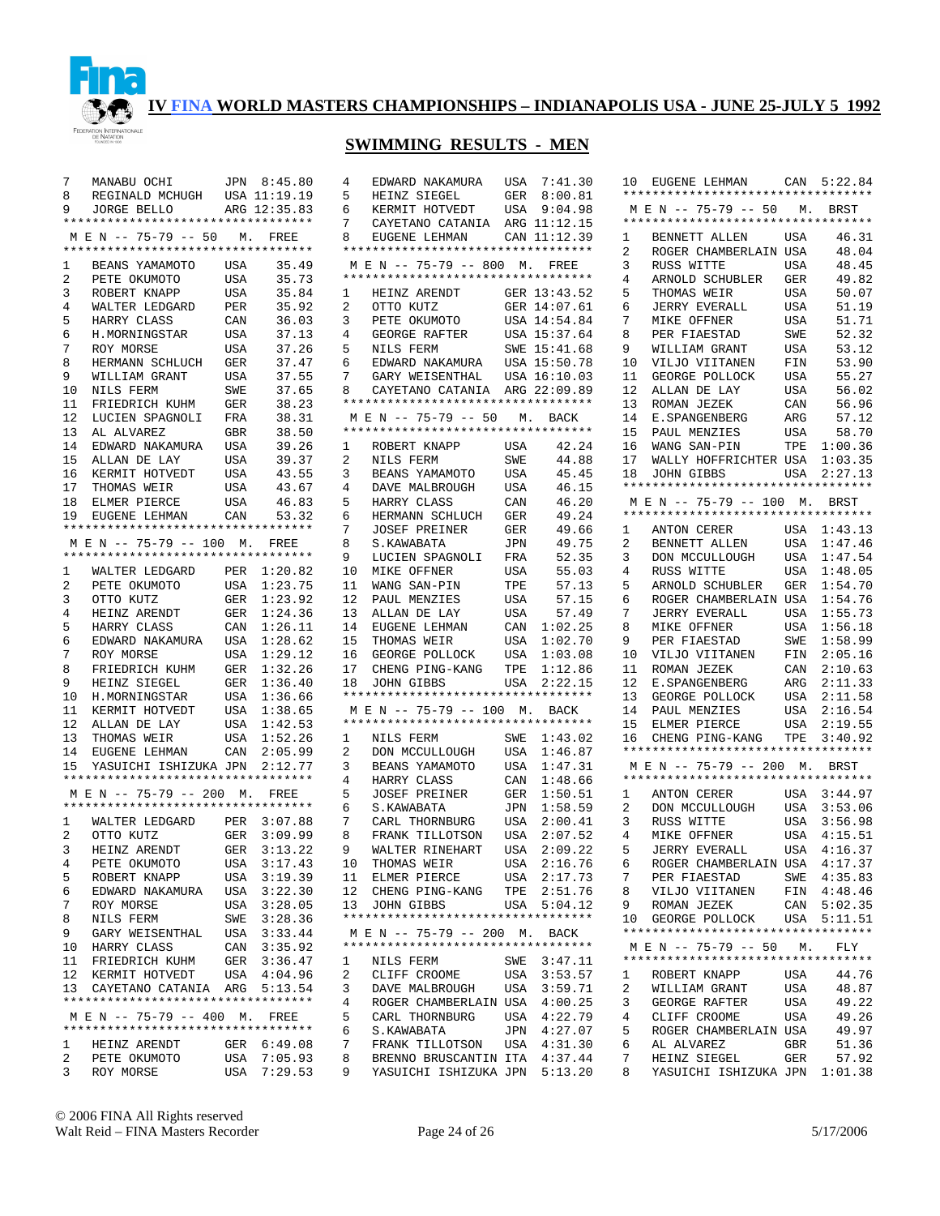

## **SWIMMING RESULTS - MEN**

| 7               | MANABU OCHI                        |                | JPN 8:45.80  | $\overline{4}$ |
|-----------------|------------------------------------|----------------|--------------|----------------|
| 8               | REGINALD MCHUGH USA 11:19.19       |                |              | 5              |
|                 |                                    |                |              |                |
| 9               | JORGE BELLO                        |                | ARG 12:35.83 | 6              |
|                 | ********************************** |                |              | 7              |
|                 | M E N -- 75-79 -- 50 M. FREE       |                |              | 8              |
|                 | ********************************** |                |              | $\star$        |
| 1               | BEANS YAMAMOTO                     | USA            | 35.49        |                |
| 2               | PETE OKUMOTO                       | USA            | 35.73        | $\star$        |
|                 |                                    |                |              |                |
| 3               | ROBERT KNAPP                       | USA            | 35.84        | 1              |
| 4               | WALTER LEDGARD                     | PER            | 35.92        | 2              |
| 5               | HARRY CLASS                        | CAN            | 36.03        | 3              |
| б               | H.MORNINGSTAR                      | USA            | 37.13        | $\overline{4}$ |
| 7               | ROY MORSE                          | USA            | 37.26        | 5              |
|                 | HERMANN SCHLUCH                    |                |              | 6              |
| 8               |                                    | GER            | 37.47        |                |
| 9               | WILLIAM GRANT                      | USA            | 37.55        | 7              |
| 10              | NILS FERM                          | SWE            | 37.65        | 8              |
| 11              | FRIEDRICH KUHM                     | GER            | 38.23        | $\star$        |
| 12              | LUCIEN SPAGNOLI                    | FRA            | 38.31        |                |
| 13              | AL ALVAREZ                         | GBR            | 38.50        | $\star$        |
|                 |                                    |                |              |                |
|                 | 14 EDWARD NAKAMURA                 | USA            | 39.26        | 1              |
| 15              | ALLAN DE LAY                       | USA            | 39.37        | 2              |
| 16              | KERMIT HOTVEDT                     | USA            | 43.55        | 3              |
| 17 <sub>2</sub> | THOMAS WEIR                        | USA            | 43.67        | $\overline{4}$ |
| 18              | ELMER PIERCE                       | USA            | 46.83        | 5              |
|                 | 19 EUGENE LEHMAN                   |                |              |                |
|                 |                                    | CAN            | 53.32        | 6              |
|                 | ********************************** |                |              | 7              |
|                 | M E N -- 75-79 -- 100 M. FREE      |                |              | 8              |
|                 | ********************************** |                |              | 9              |
| $\mathbf{1}$    | WALTER LEDGARD PER $1:20.82$       |                |              | 1              |
| $\overline{a}$  | PETE OKUMOTO                       | USA            | 1:23.75      | 1              |
|                 |                                    |                |              |                |
| 3               | OTTO KUTZ                          | ${\tt GER}$    | 1:23.92      | 1              |
| 4               | HEINZ ARENDT                       | GER            | 1:24.36      | 1              |
| 5               | HARRY CLASS                        | $\mathtt{CAN}$ | 1:26.11      | 1              |
| б.              | EDWARD NAKAMURA                    | USA            | 1:28.62      | 1              |
| 7               | ROY MORSE                          | USA            | 1:29.12      | $1\,$          |
|                 |                                    |                |              |                |
| 8               | FRIEDRICH KUHM                     | GER            | 1:32.26      | 1              |
| 9               | HEINZ SIEGEL                       | ${\tt GER}$    | 1:36.40      | $\mathbf 1$    |
| 10              | H.MORNINGSTAR                      | USA            | 1:36.66      | $\star$        |
| 11              | KERMIT HOTVEDT                     | USA            | 1:38.65      |                |
| 12              | ALLAN DE LAY                       | USA            | 1:42.53      | $\star$        |
|                 | 13 THOMAS WEIR                     | USA            | 1:52.26      | 1              |
|                 |                                    |                |              |                |
| 14              | EUGENE LEHMAN                      | CAN            | 2:05.99      | 2              |
| 15              | YASUICHI ISHIZUKA JPN 2:12.77      |                |              | 3              |
|                 | ********************************** |                |              | $\overline{4}$ |
|                 | M E N -- 75-79 -- 200 M. FREE      |                |              | 5              |
|                 | ********************************** |                |              | 6              |
|                 |                                    |                |              | 7              |
| $1 \quad$       | WALTER LEDGARD PER                 |                | 3:07.88      |                |
| $\overline{a}$  | OTTO KUTZ                          | GER            | 3:09.99      | 8              |
| 3               | HEINZ ARENDT                       | GER            | 3:13.22      | 9              |
| $\overline{4}$  | PETE OKUMOTO                       | USA            | 3:17.43      | $1\,$          |
| 5               | ROBERT KNAPP                       |                | USA 3:19.39  | 1              |
|                 |                                    |                |              |                |
| 6               | EDWARD NAKAMURA                    | USA            | 3:22.30      | 1              |
| 7               | ROY MORSE                          |                | USA 3:28.05  | 1              |
| 8               | NILS FERM                          | SWE            | 3:28.36      | $^\star$       |
| 9               | GARY WEISENTHAL USA 3:33.44        |                |              |                |
| 10              | HARRY CLASS                        | CAN            | 3:35.92      | $\ast$         |
| 11              | FRIEDRICH KUHM                     |                | GER 3:36.47  |                |
|                 |                                    |                |              | 1              |
| 12              | KERMIT HOTVEDT                     | USA            | 4:04.96      | 2              |
|                 | 13 CAYETANO CATANIA ARG 5:13.54    |                |              | 3              |
|                 | ********************************** |                |              | $\overline{4}$ |
|                 | M E N -- 75-79 -- 400 M. FREE      |                |              | 5              |
|                 | *********************************  |                |              | 6              |
|                 |                                    |                |              |                |
| $\mathbf{1}$    | HEINZ ARENDT                       |                | GER 6:49.08  | 7              |
| $\overline{a}$  | PETE OKUMOTO                       | USA            | 7:05.93      | 8              |
| 3               | ROY MORSE                          |                | USA 7:29.53  | 9              |

| 4<br>5<br>б.<br>7<br>8<br>1<br>2<br>3 | EDWARD NAKAMURA<br>HEINZ SIEGEL<br>KERMIT HOTVEDT<br>CAYETANO CATANIA<br>EUGENE LEHMAN<br>**********************************<br>M E N -- 75-79 -- 800 M.<br>**********************************<br>HEINZ ARENDT<br>OTTO KUTZ<br>PETE OKUMOTO | USA<br>GER<br>USA<br>ARG<br>GER<br>GER | 7:41.30<br>8:00.81<br>9:04.98<br>11:12.15<br>CAN 11:12.39<br>FREE<br>13:43.52<br>14:07.61<br>USA 14:54.84 |
|---------------------------------------|---------------------------------------------------------------------------------------------------------------------------------------------------------------------------------------------------------------------------------------------|----------------------------------------|-----------------------------------------------------------------------------------------------------------|
| 4                                     | GEORGE RAFTER                                                                                                                                                                                                                               | USA                                    | 15:37.64                                                                                                  |
| 5                                     | NILS FERM                                                                                                                                                                                                                                   |                                        | SWE 15:41.68                                                                                              |
| 6                                     | EDWARD NAKAMURA                                                                                                                                                                                                                             |                                        | USA 15:50.78                                                                                              |
| 7                                     | GARY WEISENTHAL                                                                                                                                                                                                                             |                                        | USA 16:10.03                                                                                              |
| 8                                     | CAYETANO CATANIA<br>**********************************                                                                                                                                                                                      |                                        | ARG 22:09.89                                                                                              |
|                                       | M E N -- 75-79 -- 50 M. BACK                                                                                                                                                                                                                |                                        |                                                                                                           |
|                                       | **********************************                                                                                                                                                                                                          |                                        |                                                                                                           |
| $\mathbf{1}$                          | ROBERT KNAPP                                                                                                                                                                                                                                | USA                                    | 42.24                                                                                                     |
| 2                                     | NILS FERM                                                                                                                                                                                                                                   | SWE                                    | 44.88                                                                                                     |
| 3                                     | BEANS YAMAMOTO                                                                                                                                                                                                                              | USA                                    | 45.45                                                                                                     |
| 4                                     | DAVE MALBROUGH                                                                                                                                                                                                                              | USA                                    | 46.15                                                                                                     |
| 5                                     | HARRY CLASS                                                                                                                                                                                                                                 | CAN                                    | 46.20                                                                                                     |
| 6                                     | HERMANN SCHLUCH                                                                                                                                                                                                                             | GER                                    | 49.24                                                                                                     |
| 7                                     | <b>JOSEF PREINER</b>                                                                                                                                                                                                                        | GER                                    | 49.66                                                                                                     |
| 8                                     | S.KAWABATA                                                                                                                                                                                                                                  | JPN                                    | 49.75                                                                                                     |
| 9                                     | LUCIEN SPAGNOLI                                                                                                                                                                                                                             | FRA                                    | 52.35                                                                                                     |
| 10                                    | MIKE OFFNER                                                                                                                                                                                                                                 | USA                                    | 55.03                                                                                                     |
| 11                                    | WANG SAN-PIN                                                                                                                                                                                                                                | TPE                                    | 57.13                                                                                                     |
| 12                                    | PAUL MENZIES                                                                                                                                                                                                                                | USA                                    | 57.15                                                                                                     |
| 13                                    | ALLAN DE LAY                                                                                                                                                                                                                                | USA                                    | 57.49                                                                                                     |
| 14                                    | EUGENE LEHMAN                                                                                                                                                                                                                               | CAN                                    | 1:02.25                                                                                                   |
| 15                                    | THOMAS WEIR                                                                                                                                                                                                                                 | USA                                    | 1:02.70                                                                                                   |
| 16                                    | GEORGE POLLOCK                                                                                                                                                                                                                              | USA                                    | 1:03.08                                                                                                   |
| 17                                    | CHENG PING-KANG                                                                                                                                                                                                                             | TPE                                    | 1:12.86                                                                                                   |
| 18                                    | JOHN GIBBS<br>**********************************                                                                                                                                                                                            | USA                                    | 2:22.15                                                                                                   |
|                                       | MEN -- 75-79 -- 100 M.                                                                                                                                                                                                                      |                                        | <b>BACK</b>                                                                                               |
|                                       | **********************************                                                                                                                                                                                                          |                                        |                                                                                                           |
| $\mathbf{1}$                          | NILS FERM                                                                                                                                                                                                                                   | SWE                                    | 1:43.02                                                                                                   |
| $\overline{a}$                        | DON MCCULLOUGH                                                                                                                                                                                                                              | USA                                    | 1:46.87                                                                                                   |
| 3                                     | BEANS YAMAMOTO                                                                                                                                                                                                                              | USA                                    | 1:47.31                                                                                                   |
| 4                                     | HARRY CLASS                                                                                                                                                                                                                                 | CAN                                    | 1:48.66                                                                                                   |
| 5                                     | JOSEF PREINER                                                                                                                                                                                                                               | GER                                    | 1:50.51                                                                                                   |
| 6                                     | S.KAWABATA                                                                                                                                                                                                                                  | JPN                                    | 1:58.59                                                                                                   |
| 7                                     | CARL THORNBURG                                                                                                                                                                                                                              | USA                                    | 2:00.41                                                                                                   |
| 8                                     | FRANK TILLOTSON                                                                                                                                                                                                                             | USA                                    | 2:07.52                                                                                                   |
| 9                                     | WALTER RINEHART                                                                                                                                                                                                                             | USA                                    | 2:09.22                                                                                                   |
| 10                                    | THOMAS WEIR                                                                                                                                                                                                                                 | USA                                    | 2:16.76                                                                                                   |
| 11<br>12                              | ELMER PIERCE                                                                                                                                                                                                                                | USA<br>TPE                             | 2:17.73<br>2:51.76                                                                                        |
| 13                                    | CHENG PING-KANG<br>JOHN GIBBS                                                                                                                                                                                                               | USA                                    | 5:04.12                                                                                                   |
|                                       | **********************************                                                                                                                                                                                                          |                                        |                                                                                                           |
|                                       | M E N -- 75-79 -- 200 M. BACK                                                                                                                                                                                                               |                                        |                                                                                                           |
|                                       | *********************************                                                                                                                                                                                                           |                                        |                                                                                                           |
| 1                                     | NILS FERM                                                                                                                                                                                                                                   |                                        | SWE 3:47.11                                                                                               |
| $\overline{2}$                        | CLIFF CROOME                                                                                                                                                                                                                                | USA                                    | 3:53.57                                                                                                   |
| 3                                     | DAVE MALBROUGH                                                                                                                                                                                                                              | USA                                    | 3:59.71                                                                                                   |
| 4                                     | ROGER CHAMBERLAIN USA                                                                                                                                                                                                                       |                                        | 4:00.25                                                                                                   |
| 5                                     | CARL THORNBURG                                                                                                                                                                                                                              | USA                                    | 4:22.79                                                                                                   |
| 6                                     | S. KAWABATA                                                                                                                                                                                                                                 | JPN                                    | 4:27.07                                                                                                   |
| 7                                     | FRANK TILLOTSON                                                                                                                                                                                                                             | USA                                    | 4:31.30                                                                                                   |
| 8<br>9                                | BRENNO BRUSCANTIN ITA 4:37.44                                                                                                                                                                                                               |                                        |                                                                                                           |
|                                       | YASUICHI ISHIZUKA JPN                                                                                                                                                                                                                       |                                        | 5:13.20                                                                                                   |

|                | 10 EUGENE LEHMAN CAN 5:22.84<br>********************************** |            |                            |
|----------------|--------------------------------------------------------------------|------------|----------------------------|
|                | M E N -- 75-79 -- 50 M. BRST                                       |            |                            |
|                | *********************************                                  |            |                            |
| $\mathbf{1}$   | BENNETT ALLEN                                                      |            | USA 46.31                  |
| $\overline{2}$ | ROGER CHAMBERLAIN USA                                              |            | 48.04                      |
| 3              | RUSS WITTE                                                         | USA        | 48.45                      |
| 4              | ARNOLD SCHUBLER                                                    | GER        | 49.82                      |
| 5              | THOMAS WEIR                                                        | USA        | 50.07                      |
| б.             | <b>JERRY EVERALL</b>                                               | USA        | 51.19                      |
| 7              | MIKE OFFNER<br>PER FIAESTAD                                        | USA        | 51.71                      |
| 8<br>9         |                                                                    | SWE        | 52.32<br>53.12             |
| 10             | WILLIAM GRANT<br>VILJO VIITANEN                                    | USA<br>FIN | 53.90                      |
| 11             | GEORGE POLLOCK                                                     | USA        | 55.27                      |
| 12             | ALLAN DE LAY                                                       | USA        | 56.02                      |
| 13             | ROMAN JEZEK                                                        | CAN        | 56.96                      |
| 14             | E.SPANGENBERG                                                      | ARG        | 57.12                      |
|                |                                                                    | USA        | 58.70                      |
|                | 15 PAUL MENZIES<br>16 WANG SAN-PIN                                 |            | TPE 1:00.36                |
| 17             | WALLY HOFFRICHTER USA                                              |            | 1:03.35                    |
| 18             | JOHN GIBBS                                                         |            | USA 2:27.13                |
|                | *********************************                                  |            |                            |
|                | M E N -- 75-79 -- 100 M. BRST                                      |            |                            |
|                | **********************************                                 |            |                            |
| 1              | ANTON CERER USA 1:43.13<br>RENNETT ALLEN USA 1:47 46               |            |                            |
| $\overline{2}$ | BENNETT ALLEN                                                      | USA        | 1:47.46                    |
| 3              | DON MCCULLOUGH                                                     | USA        | 1:47.54                    |
| $\overline{4}$ | RUSS WITTE                                                         | USA        | 1:48.05                    |
| 5              | ARNOLD SCHUBLER GER                                                |            | 1:54.70                    |
| б              | ROGER CHAMBERLAIN USA                                              |            | 1:54.76                    |
| 7              | JERRY EVERALL                                                      | USA        | 1:55.73                    |
| 8<br>9         | MIKE OFFNER<br>PER FIAESTAD                                        | USA<br>SWE | 1:56.18<br>1:58.99         |
| 10             | VILJO VIITANEN                                                     | FIN        | 2:05.16                    |
| 11             | ROMAN JEZEK                                                        |            | CAN 2:10.63                |
| 12             | E.SPANGENBERG                                                      | ARG        | 2:11.33                    |
| 13             | GEORGE POLLOCK                                                     | USA        | 2:11.58                    |
| 14             |                                                                    | USA        | 2:16.54                    |
| 15             | PAUL MENZIES<br>ELMER PIERCE                                       | USA        | 2:19.55                    |
| 16             | CHENG PING-KANG TPE                                                |            | 3:40.92                    |
|                | *********************************                                  |            |                            |
|                | M E N -- 75-79 -- 200 M. BRST                                      |            |                            |
|                | *********************************                                  |            |                            |
| $\mathbf{1}$   | ANTON CERER                                                        |            | USA 3:44.97                |
| 2              | DON MCCULLOUGH                                                     | USA        | 3:53.06                    |
| 3              |                                                                    |            | USA 3:56.98<br>USA 4:15.51 |
| $\overline{4}$ | RUSS WITTE<br>MIKE OFFNER                                          |            |                            |
| 5              | <b>JERRY EVERALL</b>                                               |            | USA 4:16.37                |
| 6              | ROGER CHAMBERLAIN USA 4:17.37                                      |            |                            |
| 7              | PER FIAESTAD                                                       |            | SWE 4:35.83<br>FIN 4:48.46 |
| 8              | VILJO VIITANEN                                                     |            |                            |
| 9              | ROMAN JEZEK CAN 5:02.35<br>GEORGE POLLOCK USA 5:11.51              |            |                            |
| 10             | *********************************                                  |            |                            |
|                |                                                                    |            |                            |
|                | MEN -- 75-79 -- 50 M. FLY<br>*********************************     |            |                            |
| 1              |                                                                    |            | 44.76                      |
| $\overline{a}$ | ROBERT KNAPP<br>WILLIAM GRANT                                      | USA<br>USA | 48.87                      |
| 3              | GEORGE RAFTER                                                      | USA        | 49.22                      |
| 4              | CLIFF CROOME                                                       | USA        | 49.26                      |
| 5              | ROGER CHAMBERLAIN USA                                              |            | 49.97                      |
| 6              | AL ALVAREZ                                                         | GBR        | 51.36                      |
| 7              | HEINZ SIEGEL                                                       | GER        | 57.92                      |
| 8              | YASUICHI ISHIZUKA JPN 1:01.38                                      |            |                            |

© 2006 FINA All Rights reserved Walt Reid – FINA Masters Recorder Page 24 of 26 5/17/2006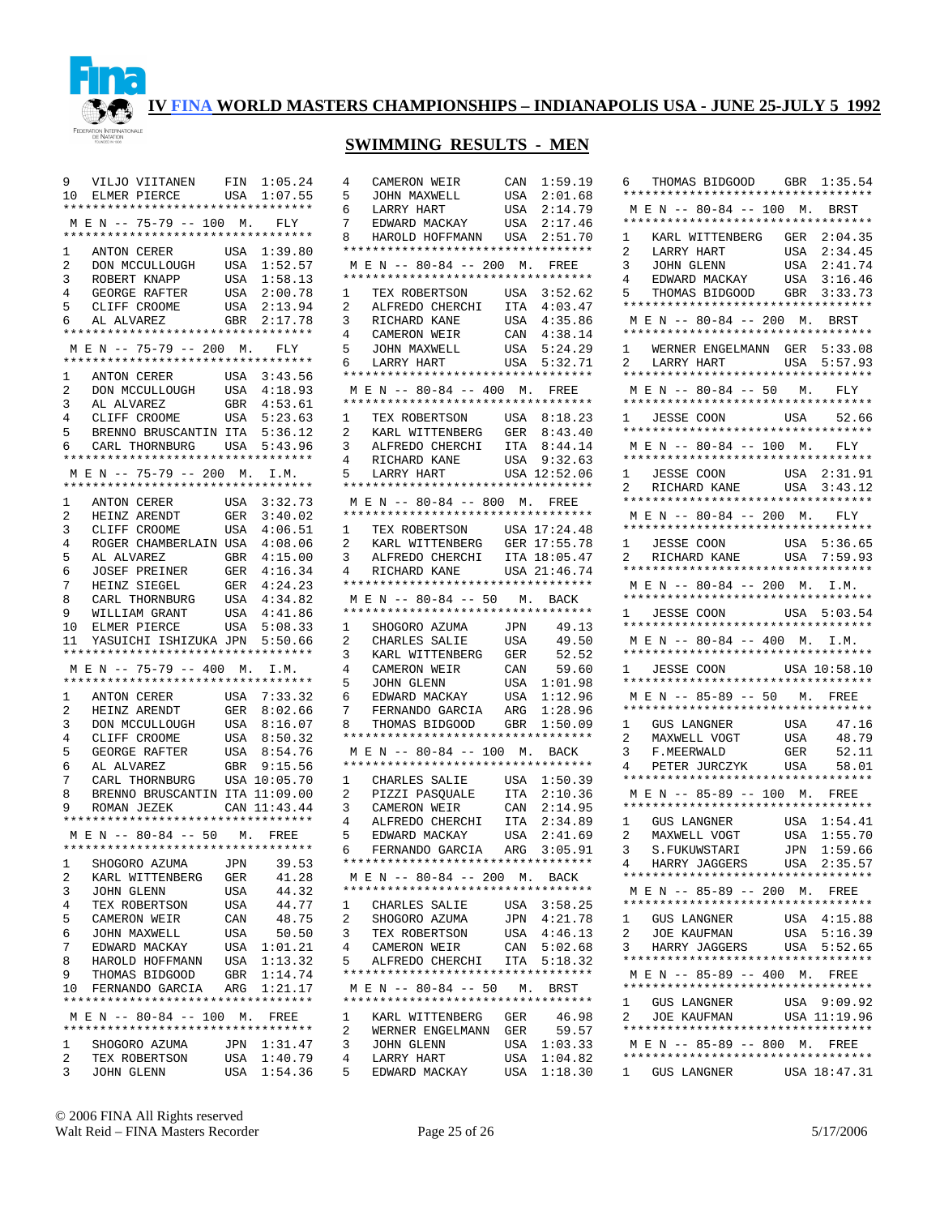

## **SWIMMING RESULTS - MEN**

| 9                   |                                                                                                                                                                                              |     |                            |
|---------------------|----------------------------------------------------------------------------------------------------------------------------------------------------------------------------------------------|-----|----------------------------|
| 10                  | VILJO VIITANEN FIN 1:05.24<br>ELMER PIERCE USA 1:07.55                                                                                                                                       |     |                            |
|                     | **********************************                                                                                                                                                           |     |                            |
|                     | MEN -- 75-79 -- 100 M. FLY                                                                                                                                                                   |     |                            |
|                     | **********************************                                                                                                                                                           |     |                            |
| 1                   | ANTON CERER                                                                                                                                                                                  |     |                            |
|                     | ANTON CERER USA 1:39.80<br>DON MCCULLOUGH USA 1:52.57<br>ROBERT KNAPP USA 1:58.13                                                                                                            |     |                            |
| $\overline{2}$      |                                                                                                                                                                                              |     |                            |
| 3                   | ROBERT KNAPP                                                                                                                                                                                 |     |                            |
| $\overline{4}$      |                                                                                                                                                                                              |     | USA 2:00.78<br>USA 2:13.94 |
| 5                   |                                                                                                                                                                                              |     |                            |
| 6                   | $\begin{tabular}{llllll} \texttt{GEORGE RAFFER} & \texttt{USA} & 2:00.78 \\ \texttt{CLIFF CROOME} & \texttt{USA} & 2:13.94 \\ \texttt{AL ALVAREZ} & \texttt{GBR} & 2:17.78 \\ \end{tabular}$ |     |                            |
|                     | **********************************                                                                                                                                                           |     |                            |
|                     | M E N -- 75-79 -- 200 M. FLY                                                                                                                                                                 |     |                            |
|                     | **********************************                                                                                                                                                           |     |                            |
| $\mathbf{1}$        | ANTON CERER USA 3:43.56<br>DON MCCULLOUGH USA 4:18.93                                                                                                                                        |     |                            |
| $\overline{a}$      |                                                                                                                                                                                              |     |                            |
| $\overline{3}$      |                                                                                                                                                                                              |     | GBR 4:53.61                |
| $\overline{4}$      | AL ALVAREZ<br>CLIFF CROOME                                                                                                                                                                   | USA | 5:23.63                    |
| 5                   |                                                                                                                                                                                              |     |                            |
|                     | BRENNO BRUSCANTIN ITA 5:36.12                                                                                                                                                                |     |                            |
| 6                   | CARL THORNBURG USA 5:43.96<br>*********************************                                                                                                                              |     |                            |
|                     |                                                                                                                                                                                              |     |                            |
|                     | M E N -- 75-79 -- 200 M. I.M.                                                                                                                                                                |     |                            |
|                     | **********************************                                                                                                                                                           |     |                            |
| 1                   | ANTON CERER USA $3:32.73$<br>HEINZ ARENDT GER $3:40.02$<br>CULTER CROOME USA $4:06.51$                                                                                                       |     |                            |
| $\overline{a}$      |                                                                                                                                                                                              |     |                            |
| 3                   | CLIFF CROOME                                                                                                                                                                                 | USA | 4:06.51                    |
| $\overline{4}$      | ROGER CHAMBERLAIN USA                                                                                                                                                                        |     | 4:08.06                    |
| 5                   |                                                                                                                                                                                              |     |                            |
| б.                  | AL ALVAREZ GBR 4:15.00<br>JOSEF PREINER GER 4:16.34<br>HEINZ SIEGEL GER 4:24.23                                                                                                              |     |                            |
| 7                   |                                                                                                                                                                                              |     |                            |
| 8                   | CARL THORNBURG USA 4:34.82                                                                                                                                                                   |     |                            |
| 9                   |                                                                                                                                                                                              | USA | 4:41.86                    |
|                     | WILLIAM GRANT<br>ELMER PIERCE                                                                                                                                                                |     |                            |
| 10                  |                                                                                                                                                                                              |     | USA 5:08.33                |
| 11                  | YASUICHI ISHIZUKA JPN 5:50.66                                                                                                                                                                |     |                            |
|                     | **********************************                                                                                                                                                           |     |                            |
|                     | M E N -- 75-79 -- 400 M. I.M.                                                                                                                                                                |     |                            |
|                     | **********************************                                                                                                                                                           |     |                            |
| $\mathbf{1}$        | ANTON CERER                                                                                                                                                                                  |     | USA 7:33.32                |
| 2                   | HEINZ ARENDT                                                                                                                                                                                 |     | GER 8:02.66                |
| 3                   | DON MCCULLOUGH                                                                                                                                                                               | USA | 8:16.07                    |
| $\overline{4}$      | CLIFF CROOME                                                                                                                                                                                 |     | USA 8:50.32                |
| 5                   |                                                                                                                                                                                              | USA | 8:54.76                    |
| б.                  | GEORGE RAFTER<br>AL ALVAREZ                                                                                                                                                                  |     | GBR 9:15.56                |
| 7                   | CARL THORNBURG USA 10:05.70                                                                                                                                                                  |     |                            |
| 8                   | BRENNO BRUSCANTIN ITA 11:09.00                                                                                                                                                               |     |                            |
| 9                   | ROMAN JEZEK CAN 11:43.44                                                                                                                                                                     |     |                            |
|                     | **********************************                                                                                                                                                           |     |                            |
|                     | M E N -- 80-84 -- 50 M. FREE                                                                                                                                                                 |     |                            |
|                     | *********************************                                                                                                                                                            |     |                            |
|                     |                                                                                                                                                                                              |     |                            |
| 1                   | SHOGORO AZUMA                                                                                                                                                                                | JPN | 39.53                      |
| 2                   | KARL WITTENBERG                                                                                                                                                                              | GER | 41.28                      |
| 3                   | JOHN GLENN                                                                                                                                                                                   | USA | 44.32                      |
| 4                   | TEX ROBERTSON                                                                                                                                                                                | USA | 44.77                      |
| 5                   | CAMERON WEIR                                                                                                                                                                                 | CAN | 48.75                      |
| 6                   | JOHN MAXWELL                                                                                                                                                                                 | USA | 50.50                      |
| 7                   | EDWARD MACKAY                                                                                                                                                                                |     |                            |
| 8                   | HAROLD HOFFMANN                                                                                                                                                                              |     | USA 1:01.21<br>USA 1:13.32 |
| 9                   | THOMAS BIDGOOD                                                                                                                                                                               |     | 1:14.74                    |
| 10                  | FERNANDO GARCIA                                                                                                                                                                              |     | GBR 1:14.74<br>ARG 1:21.17 |
|                     | **********************************                                                                                                                                                           |     |                            |
|                     | MEN -- 80-84 -- 100 M. FREE                                                                                                                                                                  |     |                            |
|                     | *********************************                                                                                                                                                            |     |                            |
| $\mathbf{1}$        | SHOGORO AZUMA                                                                                                                                                                                |     | JPN 1:31.47                |
|                     |                                                                                                                                                                                              |     |                            |
|                     |                                                                                                                                                                                              |     |                            |
| $\overline{2}$<br>3 | TEX ROBERTSON<br>JOHN GLENN                                                                                                                                                                  |     | USA 1:40.79<br>USA 1:54.36 |

| 5              | CAMERON WEIR                                                                                                                                       | CAN 1:59.19        |         |
|----------------|----------------------------------------------------------------------------------------------------------------------------------------------------|--------------------|---------|
|                | JOHN MAXWELL                                                                                                                                       | USA                | 2:01.68 |
| 6              | LARRY HART                                                                                                                                         | USA                | 2:14.79 |
| 7              | EDWARD MACKAY                                                                                                                                      | USA 2:17.46        |         |
| 8              | HAROLD HOFFMANN USA 2:51.70                                                                                                                        |                    |         |
|                | **********************************                                                                                                                 |                    |         |
|                | MEN -- 80-84 -- 200 M. FREE                                                                                                                        |                    |         |
|                | **********************************                                                                                                                 |                    |         |
| $\mathbf{1}$   | TEX ROBERTSON USA 3:52.62                                                                                                                          |                    |         |
| $\overline{a}$ | ALFREDO CHERCHI ITA 4:03.47                                                                                                                        |                    |         |
| 3              | RICHARD KANE<br>CAMERON WEIR                                                                                                                       | USA                | 4:35.86 |
| $\overline{4}$ |                                                                                                                                                    | CAN 4:38.14        |         |
| 5              | JOHN MAXWELL USA 5:24.29<br>LARRY HART USA 5:32.71                                                                                                 |                    |         |
| 6 —            |                                                                                                                                                    |                    |         |
|                | **********************************                                                                                                                 |                    |         |
|                | MEN -- 80-84 -- 400 M. FREE                                                                                                                        |                    |         |
|                | *********************************                                                                                                                  |                    |         |
|                | 1 TEX ROBERTSON USA 8:18.23                                                                                                                        |                    |         |
| 2              | KARL WITTENBERG                                                                                                                                    | GER                | 8:43.40 |
| 3              | ALFREDO CHERCHI                                                                                                                                    | ITA 8:44.14        |         |
| 4              | RICHARD KANE USA 9:32.63<br>LARRY HART USA 12:52.06                                                                                                |                    |         |
| 5              |                                                                                                                                                    |                    |         |
|                | *********************************                                                                                                                  |                    |         |
|                | M E N -- 80-84 -- 800 M. FREE                                                                                                                      |                    |         |
|                | *********************************                                                                                                                  |                    |         |
|                | 1 TEX ROBERTSON USA 17:24.48                                                                                                                       |                    |         |
| $\mathbf{2}$   | $\begin{tabular}{lllll} \bf KARL & \tt WITTENBERG & \tt GER & \tt 17:55.78 \\ \bf ALFREDO & \tt CHERCHI & \tt ITA & \tt 18:05.47 \\ \end{tabular}$ |                    |         |
| 3              |                                                                                                                                                    |                    |         |
| $\overline{4}$ | RICHARD KANE USA 21:46.74                                                                                                                          |                    |         |
|                | **********************************                                                                                                                 |                    |         |
|                | MEN -- 80-84 -- 50 M. BACK<br>**********************************                                                                                   |                    |         |
| 1              |                                                                                                                                                    |                    |         |
| $\overline{2}$ | SHOGORO AZUMA JPN 49.13<br>CHARLES SALIE USA 49.50                                                                                                 | USA                |         |
|                |                                                                                                                                                    |                    |         |
|                |                                                                                                                                                    |                    |         |
| 3              |                                                                                                                                                    |                    | 52.52   |
| 4              |                                                                                                                                                    |                    | 59.60   |
| 5              | KARL WITTENBERG GER<br>CAMERON WEIR CAN<br>JOHN GLENN USA                                                                                          | USA 1:01.98        |         |
| 6              | EDWARD MACKAY                                                                                                                                      | USA                | 1:12.96 |
| 7              |                                                                                                                                                    |                    | 1:28.96 |
| 8              | FERNANDO GARCIA ARG<br>THOMAS BIDGOOD GBR<br>**********************************                                                                    |                    | 1:50.09 |
|                | MEN -- 80-84 -- 100 M. BACK                                                                                                                        |                    |         |
|                | **********************************                                                                                                                 |                    |         |
| 1              | CHARLES SALIE USA 1:50.39                                                                                                                          |                    |         |
| $\overline{a}$ |                                                                                                                                                    |                    |         |
| 3              |                                                                                                                                                    |                    |         |
| $\overline{4}$ | PIZZI PASQUALE ITA 2:10.36<br>CAMERON WEIR CAN 2:14.95<br>ALFREDO CHERCHI ITA 2:34.89                                                              |                    |         |
| 5              | EDWARD MACKAY                                                                                                                                      | USA                | 2:41.69 |
|                | 6 FERNANDO GARCIA ARG 3:05.91                                                                                                                      |                    |         |
|                | **********************************                                                                                                                 |                    |         |
|                | M E N -- 80-84 -- 200 M. BACK                                                                                                                      |                    |         |
|                | **********************************                                                                                                                 |                    |         |
| $\mathbf{1}$   | CHARLES SALIE                                                                                                                                      | USA 3:58.25        |         |
| 2              | SHOGORO AZUMA                                                                                                                                      | JPN                | 4:21.78 |
| 3              | TEX ROBERTSON                                                                                                                                      | USA                | 4:46.13 |
| 4              | CAMERON WEIR                                                                                                                                       | CAN                | 5:02.68 |
| 5              | ALFREDO CHERCHI                                                                                                                                    | ITA 5:18.32        |         |
|                | **********************************                                                                                                                 |                    |         |
|                | M E N -- 80-84 -- 50 M. BRST<br>**********************************                                                                                 |                    |         |
| 1              | KARL WITTENBERG GER                                                                                                                                |                    | 46.98   |
| 2              | WERNER ENGELMANN                                                                                                                                   | GER                | 59.57   |
| 3              | JOHN GLENN                                                                                                                                         | USA 1:03.33        |         |
| 4              | LARRY HART                                                                                                                                         | USA<br>USA 1:18.30 | 1:04.82 |

| 6 THOMAS BIDGOOD GBR 1:35.54                                                |
|-----------------------------------------------------------------------------|
| **********************************                                          |
| MEN -- 80-84 -- 100 M. BRST<br>**********************************           |
| KARL WITTENBERG GER 2:04.35<br>1                                            |
| 2<br>2:34.45<br>LARRY HART<br>JOHN GLENN<br>USA                             |
| 3<br>2:41.74<br>USA                                                         |
| EDWARD MACKAY<br>4<br>USA<br>3:16.46<br>THOMAS BIDGOOD GBR                  |
| 5<br>3:33.73<br>**********************************                          |
| M E N -- 80-84 -- 200 M. BRST                                               |
| **********************************                                          |
| 1<br>WERNER ENGELMANN GER 5:33.08                                           |
| LARRY HART<br>2<br>USA 5:57.93<br>**********************************        |
| MEN -- 80-84 -- 50 M. FLY                                                   |
|                                                                             |
| 1 JESSE COON USA 52.66<br>**********************************                |
| $M E N$ -- 80-84 -- 100 M. FLY                                              |
| **********************************                                          |
| $\mathbf{1}$<br>JESSE COON<br>USA 2:31.91                                   |
| RICHARD KANE<br>USA<br>2<br>3:43.12<br>**********************************   |
|                                                                             |
| M E N -- 80-84 -- 200 M.<br>FLY<br>**********************************       |
| 1 JESSE COON<br>USA 5:36.65                                                 |
| 2 RICHARD KANE USA 7:59.93                                                  |
|                                                                             |
| M E N -- 80-84 -- 200 M. I.M.<br>**********************************         |
| 1 JESSE COON USA 5:03.54                                                    |
|                                                                             |
| M E N -- 80-84 -- 400 M. I.M.                                               |
| **********************************                                          |
| 1 JESSE COON USA 10:58.10<br>**********************************             |
| M E N -- 85-89 -- 50 M. FREE                                                |
| **********************************                                          |
| 47.16<br>1<br>GUS LANGNER<br>USA<br>MAXWELL VOGT<br>F.MEERWALD<br>PETERWALD |
| $\overline{2}$<br>48.79<br>USA                                              |
| 52.11<br>3<br>F.MEERWALD<br>GER<br>4<br>PETER JURCZYK<br>58.01<br>USA       |
| **********************************                                          |
| M E N -- 85-89 -- 100 M. FREE                                               |
| **********************************                                          |
| 1:54.41<br>USA<br>1<br>GUS LANGNER                                          |
| MAXWELL VOGT<br>1:55.70<br>2<br>USA<br>3<br>JPN                             |
| 1:59.66<br>S.FUKUWSTARI<br>HARRY JAGGERS<br>USA 2:35.57<br>$4\overline{ }$  |
|                                                                             |
| M E N -- 85-89 -- 200 M.<br>FREE                                            |
| **********************************                                          |
| <b>GUS LANGNER</b><br>1<br>USA 4:15.88                                      |
| 2<br>USA<br>JOE KAUFMAN<br>5:16.39<br>USA 5:52.65                           |
| HARRY JAGGERS<br>3<br>**********************************                    |
| M E N -- 85-89 -- 400 M. FREE                                               |
| **********************************                                          |
| USA 9:09.92<br>$\mathbf{1}$<br>GUS LANGNER                                  |
| $\overline{a}$<br>USA 11:19.96<br>JOE KAUFMAN                               |
| M E N -- 85-89 -- 800 M. FREE                                               |
|                                                                             |
| USA 18:47.31<br>1 GUS LANGNER                                               |

© 2006 FINA All Rights reserved Walt Reid – FINA Masters Recorder Page 25 of 26 5/17/2006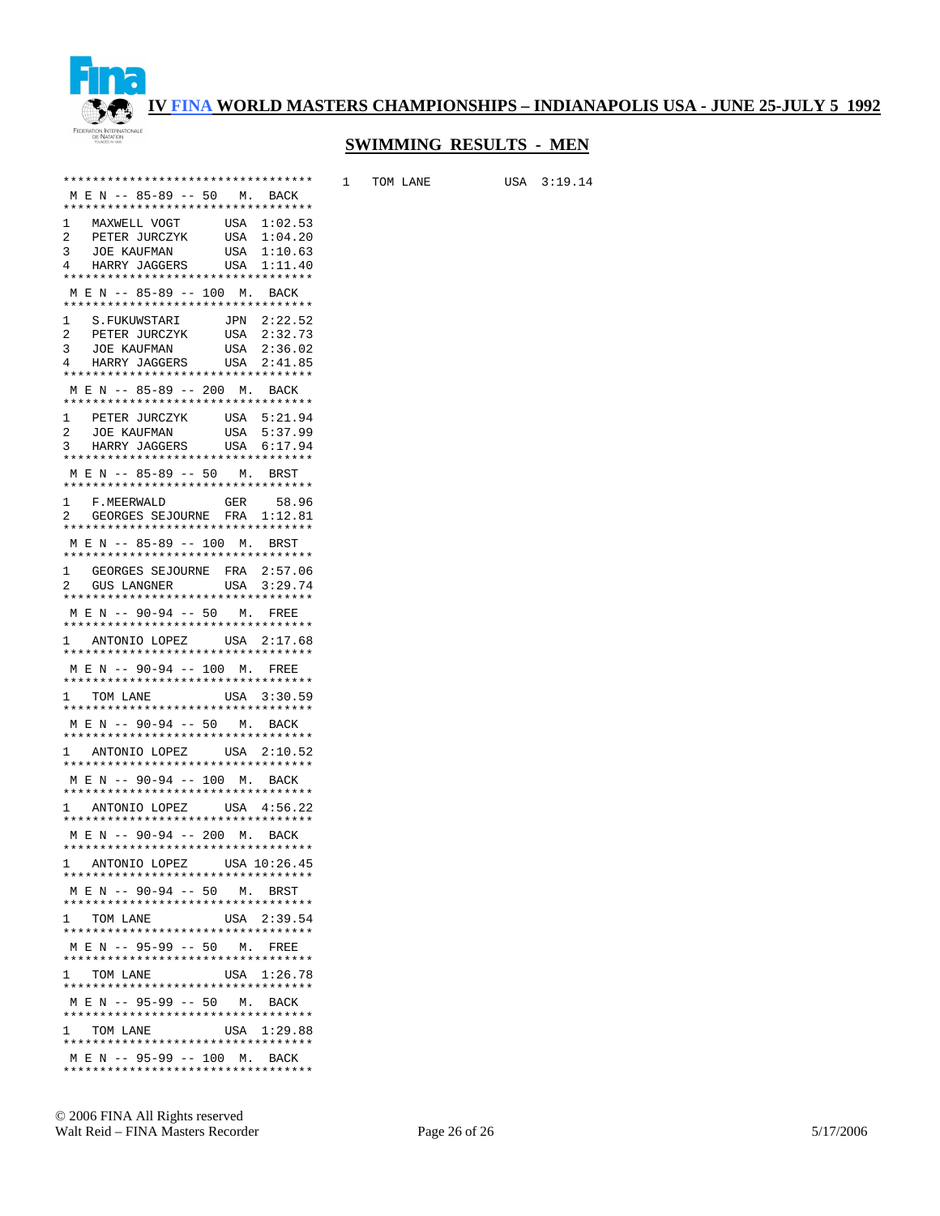

## **SWIMMING RESULTS - MEN**

1 TOM LANE USA 3:19.14

| **********************************                                                |
|-----------------------------------------------------------------------------------|
| M E N -- 85-89 -- 50 M. BACK                                                      |
| **********************************<br>MAXWELL VOGT<br>USA 1:02.53<br>$\mathbf{1}$ |
| $\mathbf{2}$                                                                      |
| USA 1:04.20<br>USA 1:10.63<br>PETER JURCZYK<br>JOE KAUFMAN<br>3                   |
| HARRY JAGGERS USA 1:11.40<br>4                                                    |
| **********************************                                                |
| M E N -- 85-89 -- 100 M. BACK<br>**********************************               |
| 1<br>JPN 2:22.52<br>S.FUKUWSTARI                                                  |
| PETER JURCZYK USA 2:32.73<br>$\overline{a}$                                       |
| <b>JOE KAUFMAN</b><br>USA 2:36.02<br>3                                            |
| HARRY JAGGERS USA 2:41.85<br>$4\degree$<br>**********************************     |
| M E N -- 85-89 -- 200 M. BACK                                                     |
| **********************************                                                |
| PETER JURCZYK USA 5:21.94<br>1                                                    |
| USA 5:37.99<br>JOE KAUFMAN<br>2<br>HARRY JAGGERS USA 5:57.59                      |
| 3<br>**********************************                                           |
| MEN -- 85-89 -- 50 M. BRST                                                        |
| **********************************                                                |
| 58.96<br>1<br>GER<br>F.MEERWALD                                                   |
| GEORGES SEJOURNE FRA 1:12.81<br>2<br>**********************************           |
| M E N -- 85-89 -- 100 M. BRST                                                     |
| **********************************                                                |
| GEORGES SEJOURNE FRA 2:57.06<br>GUS LANGNER USA 3:29.74<br>1                      |
| $\mathbf{2}$                                                                      |
| **********************************<br>M E N -- 90-94 -- 50 M. FREE                |
| **********************************                                                |
| 1 ANTONIO LOPEZ USA 2:17.68                                                       |
| **********************************                                                |
| M E N -- 90-94 -- 100 M. FREE<br>**********************************               |
| USA 3:30.59<br>1 TOM LANE                                                         |
| **********************************                                                |
| M E N -- 90-94 -- 50 M. BACK<br>**********************************                |
| 1 ANTONIO LOPEZ USA 2:10.52                                                       |
| **********************************                                                |
| M E N -- 90-94 -- 100 M. BACK                                                     |
| **********************************                                                |
| 1 ANTONIO LOPEZ USA 4:56.22<br>**********************************                 |
| M E N -- 90-94 -- 200 M. BACK                                                     |
| **********************************                                                |
| 1 ANTONIO LOPEZ USA 10:26.45                                                      |
| **********************************<br>M E N -- 90-94 -- 50 M. BRST                |
| **********************************                                                |
| USA 2:39.54<br>1 TOM LANE                                                         |
| **********************************                                                |
| M E N -- 95-99 -- 50 M. FREE<br>**********************************                |
| USA 1:26.78<br>1 TOM LANE                                                         |
| **********************************                                                |
| M E N -- 95-99 -- 50 M. BACK                                                      |
| **********************************                                                |
| 1 TOM LANE<br>USA 1:29.88<br>**********************************                   |
| M E N -- 95-99 -- 100 M. BACK                                                     |
| **********************************                                                |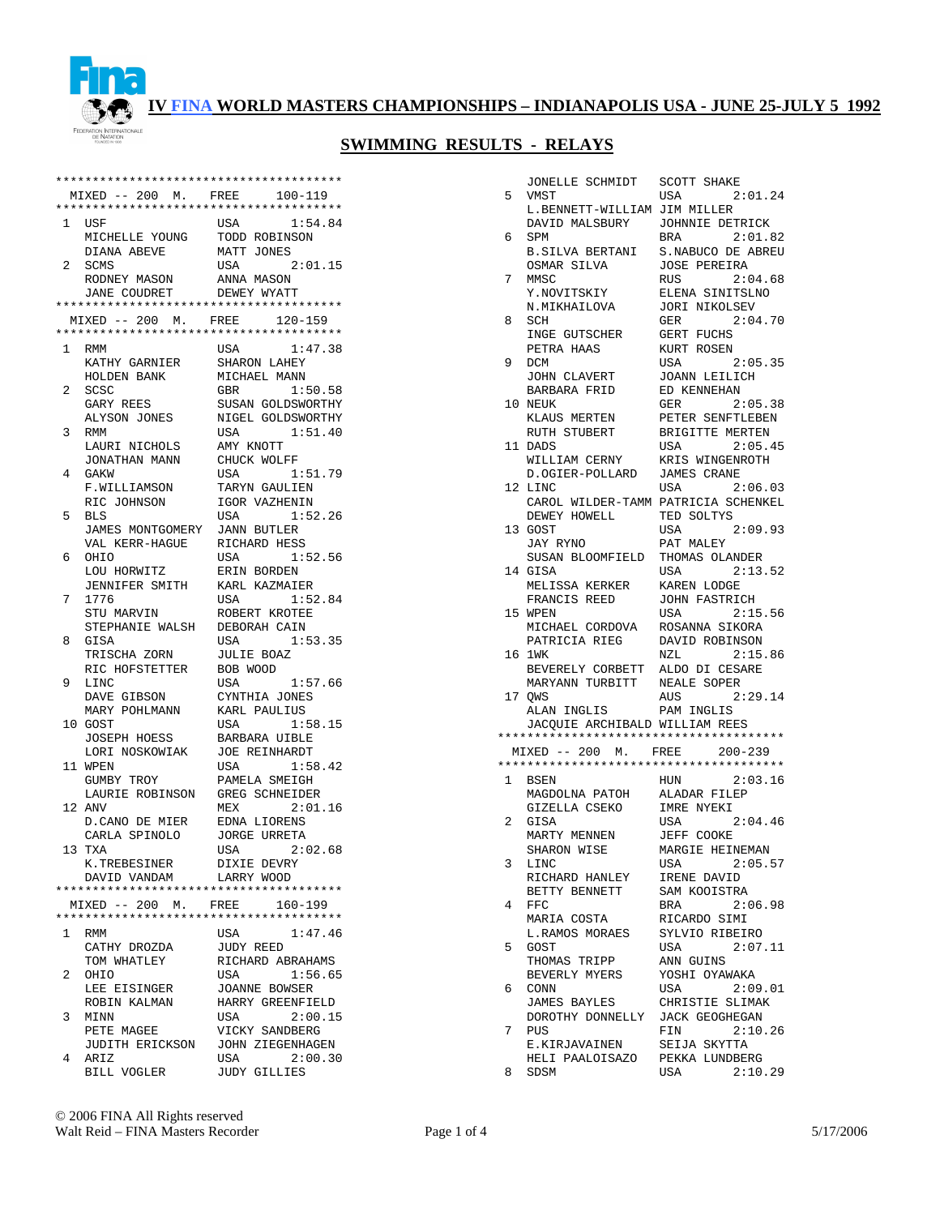

|              | **************************************                                 |                                      |
|--------------|------------------------------------------------------------------------|--------------------------------------|
|              | MIXED -- 200 M. FREE                                                   | 100-119                              |
|              | **************************************                                 |                                      |
| 1            | USF                                                                    | USA<br>1:54.84                       |
|              | MICHELLE YOUNG                                                         | TODD ROBINSON                        |
|              | DIANA ABEVE                                                            | MATT JONES                           |
| 2            | SCMS                                                                   | USA<br>2:01.15                       |
|              | RODNEY MASON<br>JANE COUDRET DEWEY WYATT                               | ANNA MASON                           |
|              | **************************************                                 |                                      |
|              | MIXED -- 200 M. FREE                                                   | 120-159                              |
|              | **************************************                                 |                                      |
| $\mathbf{1}$ | <b>RMM</b>                                                             | 1:47.38<br>USA                       |
|              | KETHY GARNIER<br>KATHY GARNIER                                         | SHARON LAHEY                         |
|              | HOLDEN BANK                                                            | MICHAEL MANN                         |
| 2            | SCSC                                                                   | 1:50.58<br>GBR                       |
|              | GARY REES                                                              | SUSAN GOLDSWORTHY                    |
|              | ALYSON JONES                                                           | NIGEL GOLDSWORTHY                    |
| 3            | RMM                                                                    | USA<br>1:51.40                       |
|              | LAURI NICHOLS                                                          | AMY KNOTT                            |
|              | JONATHAN MANN                                                          | CHUCK WOLFF                          |
| 4            | GAKW                                                                   | 1:51.79<br>USA                       |
|              | F.WILLIAMSON                                                           | TARYN GAULIEN                        |
|              | RIC JOHNSON                                                            | IGOR VAZHENIN                        |
| 5            | <b>BLS</b>                                                             | 1:52.26<br>USA                       |
|              | JAMES MONTGOMERY JANN BUTLER                                           |                                      |
|              | VAL KERR-HAGUE                                                         | RICHARD HESS                         |
| 6            | OHIO                                                                   | USA<br>1:52.56                       |
|              | LOU HORWITZ                                                            | ERIN BORDEN                          |
|              | JENNIFER SMITH                                                         | KARL KAZMAIER                        |
| 7            | 1776                                                                   | 1:52.84<br>USA                       |
|              | STU MARVIN                                                             | ROBERT KROTEE                        |
| 8            | STEPHANIE WALSH<br>GISA                                                | DEBORAH CAIN<br>1:53.35<br>USA       |
|              | TRISCHA ZORN                                                           | <b>JULIE BOAZ</b>                    |
|              | RIC HOFSTETTER                                                         | BOB WOOD                             |
| 9            | LINC                                                                   | 1:57.66<br>USA                       |
|              | DAVE GIBSON                                                            | CYNTHIA JONES                        |
|              | MARY POHLMANN                                                          | KARL PAULIUS                         |
| 10           | GOST                                                                   | 1:58.15<br>USA                       |
|              | JOSEPH HOESS                                                           | BARBARA UIBLE                        |
|              | LORI NOSKOWIAK                                                         | <b>JOE REINHARDT</b>                 |
|              | 11 WPEN                                                                | 1:58.42<br>USA                       |
|              | GUMBY TROY                                                             | PAMELA SMEIGH                        |
|              | LAURIE ROBINSON                                                        | GREG SCHNEIDER                       |
|              | 12 ANV                                                                 | 2:01.16<br>MEX                       |
|              | D.CANO DE MIER                                                         | EDNA LIORENS                         |
|              | CARLA SPINOLO                                                          | <b>JORGE URRETA</b>                  |
|              | 13 TXA                                                                 | USA<br>2:02.68                       |
|              | K.TREBESINER                                                           | DIXIE DEVRY                          |
|              | DAVID VANDAM                                                           | LARRY WOOD                           |
|              |                                                                        |                                      |
|              | MIXED -- 200 M. FREE 160-199<br>************************************** |                                      |
|              |                                                                        | 1:47.46                              |
| 1            | RMM                                                                    | USA                                  |
|              | CATHY DROZDA<br>TOM WHATLEY                                            | <b>JUDY REED</b><br>RICHARD ABRAHAMS |
| 2            | OHIO                                                                   | USA<br>1:56.65                       |
|              | LEE EISINGER                                                           | JOANNE BOWSER                        |
|              | ROBIN KALMAN                                                           | HARRY GREENFIELD                     |
| 3            | MINN                                                                   | USA<br>2:00.15                       |
|              | PETE MAGEE                                                             | VICKY SANDBERG                       |
|              | JUDITH ERICKSON                                                        | JOHN ZIEGENHAGEN                     |
| 4            | ARIZ                                                                   | USA<br>2:00.30                       |
|              | BILL VOGLER                                                            | <b>JUDY GILLIES</b>                  |

| 5            |                                        |                                     |
|--------------|----------------------------------------|-------------------------------------|
|              | JONELLE SCHMIDT                        | <b>SCOTT SHAKE</b>                  |
|              | VMST                                   | USA<br>2:01.24                      |
|              | L.BENNETT-WILLIAM JIM MILLER           |                                     |
|              | DAVID MALSBURY                         | JOHNNIE DETRICK                     |
| 6            | SPM                                    | 2:01.82<br><b>BRA</b>               |
|              |                                        |                                     |
|              | B.SILVA BERTANI                        | S.NABUCO DE ABREU                   |
|              | OSMAR SILVA                            | <b>JOSE PEREIRA</b>                 |
| 7            | MMSC                                   | 2:04.68<br>RUS                      |
|              | Y.NOVITSKIY                            | ELENA SINITSLNO                     |
|              | N.MIKHAILOVA                           | <b>JORI NIKOLSEV</b>                |
| 8            | SCH                                    | 2:04.70<br>GER                      |
|              |                                        | GERT FUCHS                          |
|              | INGE GUTSCHER                          |                                     |
|              | PETRA HAAS                             | KURT ROSEN                          |
| 9            | DCM                                    | USA<br>2:05.35                      |
|              | JOHN CLAVERT                           | JOANN LEILICH                       |
|              | BARBARA FRID                           | ED KENNEHAN                         |
|              | 10 NEUK                                | GER<br>2:05.38                      |
|              |                                        |                                     |
|              | KLAUS MERTEN                           | PETER SENFTLEBEN                    |
|              | RUTH STUBERT                           | BRIGITTE MERTEN                     |
|              | 11 DADS                                | 2:05.45<br>USA                      |
|              | WILLIAM CERNY                          | KRIS WINGENROTH                     |
|              | D.OGIER-POLLARD                        | JAMES CRANE                         |
| 12.          | LINC                                   | USA<br>2:06.03                      |
|              |                                        | CAROL WILDER-TAMM PATRICIA SCHENKEL |
|              |                                        |                                     |
|              | DEWEY HOWELL                           | TED SOLTYS                          |
| 13           | GOST                                   | USA<br>2:09.93                      |
|              | JAY RYNO                               | PAT MALEY                           |
|              | SUSAN BLOOMFIELD                       | THOMAS OLANDER                      |
|              | 14 GISA                                | USA<br>2:13.52                      |
|              | MELISSA KERKER                         | KAREN LODGE                         |
|              | FRANCIS REED                           | <b>JOHN FASTRICH</b>                |
|              | 15 WPEN                                | 2:15.56                             |
|              |                                        | USA                                 |
|              | MICHAEL CORDOVA                        | ROSANNA SIKORA                      |
|              | PATRICIA RIEG                          | DAVID ROBINSON                      |
| 16           | 1WK                                    | NZL<br>2:15.86                      |
|              | BEVERELY CORBETT ALDO DI CESARE        |                                     |
|              | MARYANN TURBITT                        | NEALE SOPER                         |
|              | 17 QWS                                 | 2:29.14<br>AUS                      |
|              | ALAN INGLIS                            | PAM INGLIS                          |
|              |                                        |                                     |
|              |                                        |                                     |
|              |                                        | JACQUIE ARCHIBALD WILLIAM REES      |
|              |                                        |                                     |
|              | $MIXED$ -- 200 M. FREE                 | $200 - 239$                         |
|              | ************************************** |                                     |
| $\mathbf{1}$ | <b>BSEN</b>                            | 2:03.16<br>HUN                      |
|              | MAGDOLNA PATOH                         | ALADAR FILEP                        |
|              |                                        |                                     |
|              | GIZELLA CSEKO                          | IMRE NYEKI                          |
| 2            | GISA                                   | USA<br>2:04.46                      |
|              | MARTY MENNEN                           | JEFF COOKE                          |
|              | SHARON WISE                            | MARGIE HEINEMAN                     |
| 3            | LINC                                   | 2:05.57<br>USA                      |
|              | RICHARD HANLEY                         | IRENE DAVID                         |
|              |                                        |                                     |
|              | BETTY BENNETT                          | SAM KOOISTRA                        |
| 4            | $_{\rm FFC}$                           | 2:06.98<br>BRA                      |
|              | MARIA COSTA                            | RICARDO SIMI                        |
|              | L.RAMOS MORAES                         | SYLVIO RIBEIRO                      |
| 5            | GOST                                   | <b>USA</b><br>2:07.11               |
|              | THOMAS TRIPP                           | ANN GUINS                           |
|              | BEVERLY MYERS                          | YOSHI OYAWAKA                       |
| 6            |                                        | 2:09.01                             |
|              | CONN                                   | USA                                 |
|              | <b>JAMES BAYLES</b>                    | CHRISTIE<br>SLIMAK                  |
|              | DOROTHY DONNELLY                       | <b>JACK GEOGHEGAN</b>               |
| 7            | PUS                                    | FIN<br>2:10.26                      |
|              | E.KIRJAVAINEN                          | SEIJA SKYTTA                        |
|              | HELI PAALOISAZO                        | PEKKA LUNDBERG                      |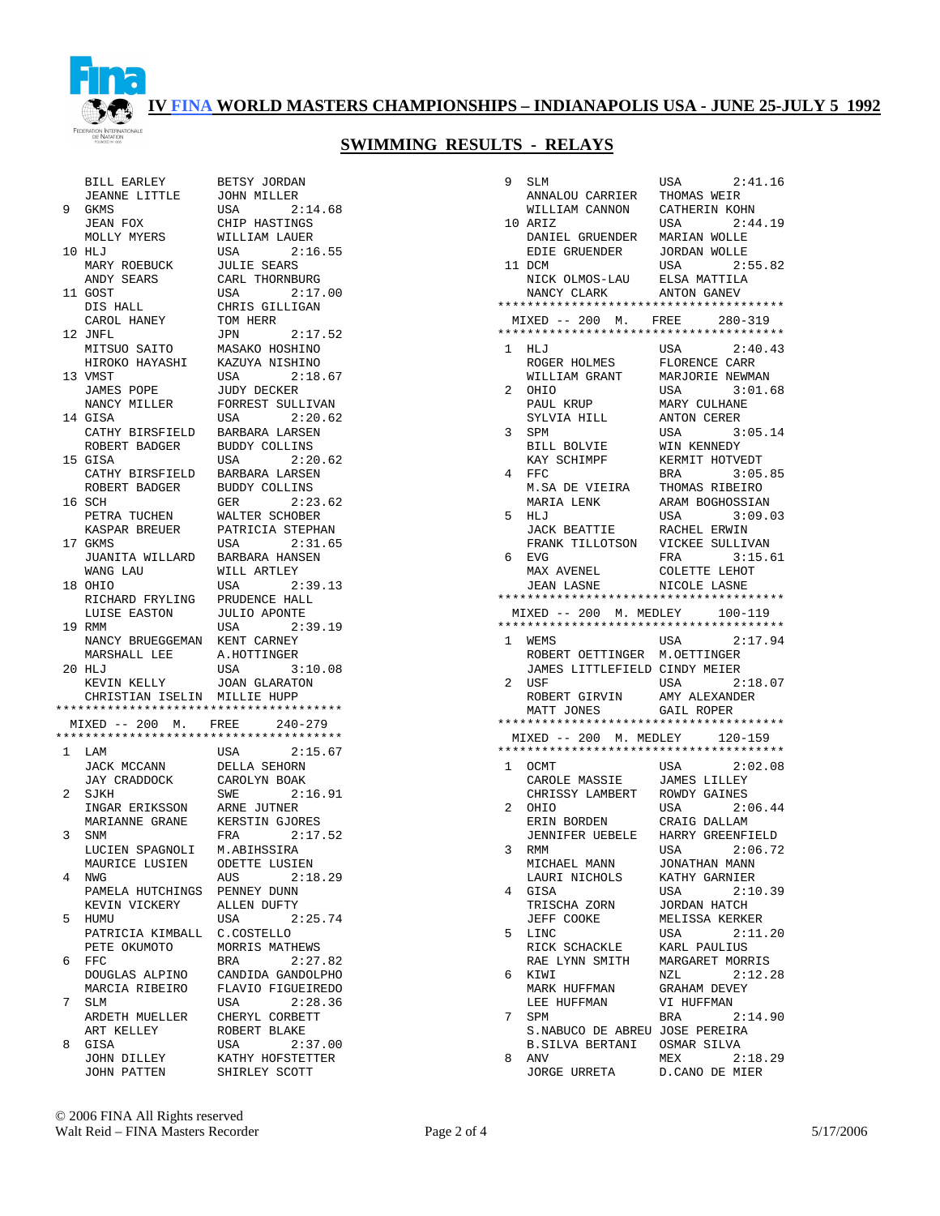

|              | BILL EARLEY                            | BETSY JORDAN                      |
|--------------|----------------------------------------|-----------------------------------|
|              | JEANNE LITTLE                          | JOHN MILLER                       |
| 9            | <b>GKMS</b>                            | USA<br>2:14.68                    |
|              | JEAN FOX                               | CHIP HASTINGS                     |
|              | MOLLY MYERS                            | WILLIAM LAUER                     |
|              | 10 HLJ                                 | 2:16.55<br>USA                    |
|              | MARY ROEBUCK                           | <b>JULIE SEARS</b>                |
|              | ANDY SEARS                             | CARL THORNBURG                    |
|              | 11 GOST                                | 2:17.00<br>USA                    |
|              |                                        |                                   |
|              | DIS HALL                               | CHRIS GILLIGAN                    |
|              | CAROL HANEY                            | TOM HERR                          |
|              | 12 JNFL                                | 2:17.52<br>JPN                    |
|              | MITSUO SAITO                           | MASAKO HOSHINO                    |
|              | HIROKO HAYASHI                         | KAZUYA NISHINO                    |
| 13           | VMST                                   | 2:18.67<br>USA                    |
|              | JAMES POPE                             | JUDY DECKER                       |
|              | NANCY MILLER                           | FORREST SULLIVAN                  |
| 14           | GISA                                   | USA<br>2:20.62                    |
|              |                                        |                                   |
|              | CATHY BIRSFIELD                        | BARBARA LARSEN                    |
|              | ROBERT BADGER                          | <b>BUDDY COLLINS</b>              |
| 15           | GISA                                   | 2:20.62<br>USA                    |
|              | CATHY BIRSFIELD                        | BARBARA LARSEN                    |
|              | ROBERT BADGER                          | <b>BUDDY COLLINS</b>              |
| 16           | SCH                                    | 2:23.62<br>GER                    |
|              | PETRA TUCHEN                           | WALTER SCHOBER                    |
|              |                                        | PATRICIA STEPHAN                  |
|              | KASPAR BREUER                          |                                   |
|              | 17 GKMS                                | 2:31.65<br>USA                    |
|              | JUANITA WILLARD                        | BARBARA HANSEN                    |
|              | WANG LAU                               | WILL ARTLEY                       |
| 18           | OHIO                                   | 2:39.13<br>USA                    |
|              | RICHARD FRYLING                        | PRUDENCE HALL                     |
|              | LUISE EASTON                           | <b>JULIO APONTE</b>               |
| 19           | RMM                                    | 2:39.19<br>USA                    |
|              |                                        |                                   |
|              |                                        |                                   |
|              | NANCY BRUEGGEMAN                       | KENT CARNEY                       |
|              | MARSHALL LEE                           | A.HOTTINGER                       |
|              | 20 HLJ                                 | USA<br>3:10.08                    |
|              | KEVIN KELLY                            | <b>JOAN GLARATON</b>              |
|              | CHRISTIAN ISELIN MILLIE HUPP           |                                   |
|              | ************************************** |                                   |
|              | MIXED -- 200 M. FREE 240-279           |                                   |
|              |                                        |                                   |
| $\mathbf{1}$ |                                        |                                   |
|              | LAM                                    | USA<br>2:15.67                    |
|              | JACK MCCANN                            | DELLA SEHORN                      |
|              | JAY CRADDOCK                           | CAROLYN BOAK                      |
| 2            | SJKH                                   | SWE<br>2:16.91                    |
|              | INGAR ERIKSSON                         | ARNE JUTNER                       |
|              | MARIANNE GRANE                         | KERSTIN GJORES                    |
| 3            | SNM                                    | 2:17.52<br>FRA                    |
|              | LUCIEN SPAGNOLI                        | M.ABIHSSIRA                       |
|              |                                        |                                   |
|              | MAURICE LUSIEN                         | ODETTE LUSIEN                     |
| 4            | NWG                                    | AUS<br>2:18.29                    |
|              | PAMELA HUTCHINGS                       | PENNEY DUNN                       |
|              | KEVIN VICKERY                          | ALLEN DUFTY                       |
| 5            | HUMU                                   | USA<br>2:25.74                    |
|              | PATRICIA KIMBALL                       | C.COSTELLO                        |
|              | PETE OKUMOTO                           | MORRIS MATHEWS                    |
| 6            | $_{\rm FFC}$                           | BRA<br>2:27.82                    |
|              | DOUGLAS ALPINO                         | CANDIDA GANDOLPHO                 |
|              | MARCIA RIBEIRO                         |                                   |
|              |                                        | FLAVIO FIGUEIREDO                 |
| 7            | SLM                                    | 2:28.36<br><b>USA</b>             |
|              | ARDETH MUELLER                         | CHERYL CORBETT                    |
|              | ART KELLEY                             | ROBERT BLAKE                      |
| 8            | GISA                                   | USA<br>2:37.00                    |
|              | JOHN DILLEY<br>JOHN PATTEN             | KATHY HOFSTETTER<br>SHIRLEY SCOTT |

| 2:14.68<br>USA                      |
|-------------------------------------|
| CHIP HASTINGS                       |
| WILLIAM LAUER                       |
| <b>USA</b><br>2:16.55               |
| <b>JULIE SEARS</b>                  |
| CARL THORNBURG                      |
| 2:17.00<br>USA                      |
| CHRIS GILLIGAN                      |
| TOM HERR                            |
| 2:17.52<br>JPN                      |
| MASAKO HOSHINO                      |
| KAZUYA NISHINO                      |
| 2:18.67<br>USA                      |
| <b>JUDY DECKER</b>                  |
| FORREST SULLIVAN                    |
| 2:20.62<br>USA                      |
| BARBARA LARSEN                      |
| BUDDY COLLINS                       |
| 2:20.62<br>USA                      |
| BARBARA LARSEN                      |
| BUDDY COLLINS                       |
| 2:23.62<br><b>GER</b>               |
| WALTER SCHOBER                      |
| PATRICIA STEPHAN                    |
| 2:31.65<br>USA                      |
| BARBARA HANSEN                      |
| WILL ARTLEY                         |
| 2:39.13<br>USA                      |
| PRUDENCE HALL                       |
| JULIO APONTE                        |
| 2:39.19<br>USA                      |
| KENT CARNEY                         |
| A.HOTTINGER                         |
| 3:10.08<br>USA                      |
| <b>JOAN GLARATON</b>                |
| MILLIE HUPP                         |
| * * * * * * * * * * * * * * * * * * |
| FREE 240-279                        |
| * * * * * * * * * * * * * * * * * * |
| 2:15.67<br>USA                      |
| DELLA SEHORN                        |
| CAROLYN BOAK                        |
| 2:16.91<br>SWE                      |
| ARNE JUTNER                         |
| KERSTIN GJORES                      |
| 2:17.52<br>FRA                      |
| M.ABIHSSIRA                         |
| ODETTE LUSIEN                       |
| 2:18.29<br>AUS<br>PENNEY DUNN       |
|                                     |
| ALLEN DUFTY                         |
| USA<br>2:25.74                      |
| C.COSTELLO                          |
| MORRIS MATHEWS                      |
| 2:27.82<br><b>BRA</b>               |
| CANDIDA GANDOLPHO                   |
| FLAVIO FIGUEIREDO                   |
| 2:28.36<br>USA<br>CHERYL CORBETT    |
|                                     |
| ROBERT BLAKE                        |
| 2:37.00<br>USA<br>KATHY HOFSTETTER  |
|                                     |

| 9  | SLM                                    | USA<br>2:41.16                   |
|----|----------------------------------------|----------------------------------|
|    | ANNALOU CARRIER                        | THOMAS WEIR                      |
| 10 | WILLIAM CANNON                         | CATHERIN KOHN<br>2:44.19         |
|    | ARIZ<br>DANIEL GRUENDER                | USA<br>MARIAN WOLLE              |
|    | EDIE GRUENDER                          | <b>JORDAN WOLLE</b>              |
|    | 11 DCM                                 | 2:55.82<br>USA                   |
|    | NICK OLMOS-LAU                         | ELSA MATTILA                     |
|    | NANCY CLARK                            | ANTON GANEV                      |
|    | ************************************** |                                  |
|    | MIXED -- 200 M. FREE                   | $280 - 319$                      |
|    | ************************************** |                                  |
| 1  | HLJ                                    | USA<br>2:40.43                   |
|    | ROGER HOLMES                           | FLORENCE CARR                    |
|    | WILLIAM GRANT                          | MARJORIE NEWMAN                  |
| 2  | OHIO                                   | 3:01.68<br>USA                   |
|    | PAUL KRUP                              | MARY CULHANE                     |
|    | SYLVIA HILL                            | ANTON CERER                      |
| 3  | SPM<br>BILL BOLVIE                     | USA<br>3:05.14                   |
|    | KAY SCHIMPF                            | WIN KENNEDY<br>KERMIT HOTVEDT    |
| 4  | FFC.                                   | 3:05.85<br>BRA                   |
|    | M.SA DE VIEIRA                         | THOMAS RIBEIRO                   |
|    | MARIA LENK                             | ARAM BOGHOSSIAN                  |
| 5  | HLJ                                    | USA<br>3:09.03                   |
|    | <b>JACK BEATTIE</b>                    | RACHEL ERWIN                     |
|    | FRANK TILLOTSON                        | VICKEE SULLIVAN                  |
| 6  | <b>EVG</b>                             | 3:15.61<br>FRA                   |
|    | MAX AVENEL                             | COLETTE LEHOT                    |
|    | <b>JEAN LASNE</b>                      | NICOLE LASNE                     |
|    |                                        |                                  |
|    | MIXED -- 200 M. MEDLEY                 | 100-119                          |
|    |                                        |                                  |
|    |                                        |                                  |
| 1  | WEMS                                   | USA<br>2:17.94                   |
|    | ROBERT OETTINGER                       | M.OETTINGER                      |
|    | JAMES LITTLEFIELD CINDY MEIER          |                                  |
| 2  | USF                                    | USA<br>2:18.07                   |
|    | ROBERT GIRVIN                          | AMY ALEXANDER                    |
|    | MATT JONES                             | GAIL ROPER                       |
|    | MIXED -- 200 M. MEDLEY                 | 120-159                          |
|    |                                        |                                  |
| 1  | OCMT                                   | USA<br>2:02.08                   |
|    | CAROLE MASSIE                          | <b>JAMES LILLEY</b>              |
|    | CHRISSY LAMBERT                        | ROWDY GAINES                     |
| 2  | OHIO                                   | 2:06.44<br>USA                   |
|    | ERIN BORDEN                            | CRAIG DALLAM                     |
|    | JENNIFER UEBELE                        | HARRY GREENFIELD                 |
| 3  | <b>RMM</b>                             | USA<br>2:06.72                   |
|    | MICHAEL MANN                           | JONATHAN MANN                    |
|    | LAURI NICHOLS                          | KATHY GARNIER                    |
| 4  | GISA                                   | USA<br>2:10.39                   |
|    | TRISCHA ZORN                           | JORDAN HATCH                     |
| 5  | JEFF COOKE<br>LINC                     | MELISSA KERKER<br>2:11.20<br>USA |
|    | RICK SCHACKLE                          | KARL PAULIUS                     |
|    | RAE LYNN SMITH                         | MARGARET MORRIS                  |
| 6  | KIWI                                   | 2:12.28<br>NZL                   |
|    | MARK HUFFMAN                           | <b>GRAHAM DEVEY</b>              |
|    | LEE HUFFMAN                            | VI HUFFMAN                       |
| 7  | SPM                                    | <b>BRA</b><br>2:14.90            |
|    | S.NABUCO DE ABREU JOSE PEREIRA         |                                  |
|    | B.SILVA BERTANI                        | OSMAR SILVA                      |
| 8  | ANV<br>JORGE URRETA D.CANO DE MIER     | MEX<br>2:18.29                   |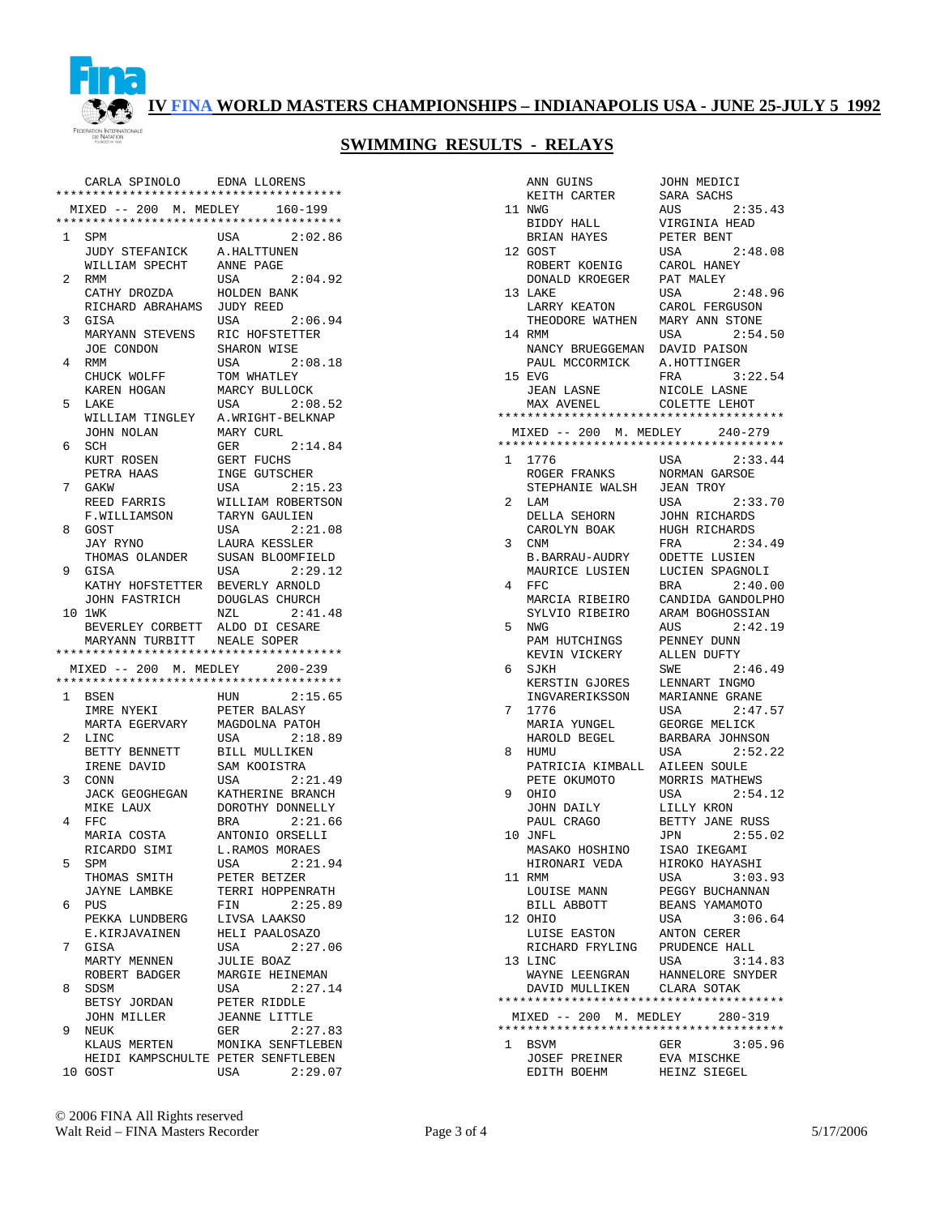

|   | CARLA SPINOLO                          | EDNA LLORENS         |
|---|----------------------------------------|----------------------|
|   | ************************************** |                      |
|   | MIXED -- 200 M. MEDLEY                 | $160 - 199$          |
|   | ************************************** |                      |
| 1 | SPM                                    | USA<br>2:02.86       |
|   | JUDY STEFANICK                         | A.HALTTUNEN          |
|   | WILLIAM SPECHT                         | ANNE PAGE            |
|   |                                        |                      |
| 2 | RMM                                    | 2:04.92<br>USA       |
|   | CATHY DROZDA                           | HOLDEN BANK          |
|   | RICHARD ABRAHAMS                       | JUDY REED            |
| 3 | GISA                                   | 2:06.94<br>USA       |
|   | MARYANN STEVENS                        | RIC HOFSTETTER       |
|   | JOE CONDON                             | SHARON WISE          |
| 4 | RMM                                    | 2:08.18<br>USA       |
|   |                                        |                      |
|   | CHUCK WOLFF                            | TOM WHATLEY          |
|   | KAREN HOGAN                            | MARCY BULLOCK        |
| 5 | LAKE                                   | 2:08.52<br>USA       |
|   | WILLIAM TINGLEY                        | A. WRIGHT-BELKNAP    |
|   | JOHN NOLAN                             | MARY CURL            |
| 6 | SCH                                    | 2:14.84<br>GER       |
|   | KURT ROSEN                             | GERT FUCHS           |
|   | PETRA HAAS                             | INGE GUTSCHER        |
|   | GAKW                                   |                      |
| 7 |                                        | USA<br>2:15.23       |
|   | REED FARRIS                            | WILLIAM ROBERTSON    |
|   | F.WILLIAMSON                           | TARYN GAULIEN        |
| 8 | GOST                                   | 2:21.08<br>USA       |
|   | JAY RYNO                               | LAURA KESSLER        |
|   | THOMAS OLANDER                         | SUSAN BLOOMFIELD     |
| 9 | GISA                                   | 2:29.12<br>USA       |
|   | KATHY HOFSTETTER                       | BEVERLY ARNOLD       |
|   | JOHN FASTRICH                          | DOUGLAS CHURCH       |
|   | 10 1WK                                 | 2:41.48<br>NZL       |
|   |                                        |                      |
|   |                                        |                      |
|   | BEVERLEY CORBETT                       | ALDO DI CESARE       |
|   | MARYANN TURBITT NEALE SOPER            |                      |
|   | ************************************** |                      |
|   | MIXED -- 200 M. MEDLEY 200-239         |                      |
|   | ************************************** |                      |
| 1 | BSEN                                   | 2:15.65<br>HUN       |
|   | IMRE NYEKI                             | PETER BALASY         |
|   | MARTA EGERVARY                         | MAGDOLNA PATOH       |
| 2 |                                        |                      |
|   | LINC                                   | 2:18.89<br>USA       |
|   | BETTY BENNETT                          | BILL MULLIKEN        |
|   | IRENE DAVID                            | SAM KOOISTRA         |
| 3 | CONN                                   | 2:21.49<br>USA       |
|   | JACK GEOGHEGAN                         | KATHERINE BRANCH     |
|   | MIKE LAUX                              | DOROTHY DONNELLY     |
| 4 | $_{\rm FFC}$                           | 2:21.66<br>BRA       |
|   | MARIA COSTA                            | ANTONIO ORSELLI      |
|   | RICARDO SIMI                           | L.RAMOS MORAES       |
|   |                                        |                      |
| 5 | SPM                                    | 2:21.94<br>USA       |
|   | THOMAS SMITH                           | PETER BETZER         |
|   | <b>JAYNE LAMBKE</b>                    | TERRI HOPPENRATH     |
| 6 | PUS                                    | 2:25.89<br>FIN       |
|   | PEKKA LUNDBERG                         | LIVSA LAAKSO         |
|   | E.KIRJAVAINEN                          | HELI PAALOSAZO       |
| 7 | GISA                                   | USA<br>2:27.06       |
|   | MARTY MENNEN                           | <b>JULIE BOAZ</b>    |
|   |                                        | MARGIE HEINEMAN      |
|   | ROBERT BADGER                          |                      |
| 8 | SDSM                                   | 2:27.14<br>USA       |
|   | BETSY JORDAN                           | PETER RIDDLE         |
|   | JOHN MILLER                            | <b>JEANNE LITTLE</b> |
| 9 | NEUK                                   | GER<br>2:27.83       |
|   | KLAUS MERTEN                           | MONIKA SENFTLEBEN    |
|   | HEIDI KAMPSCHULTE PETER SENFTLEBEN     |                      |

|              | ANN GUINS                              | JOHN MEDICI                            |
|--------------|----------------------------------------|----------------------------------------|
|              | KEITH CARTER                           | SARA SACHS                             |
|              | 11 NWG                                 | 2:35.43<br>AUS                         |
|              | BIDDY HALL                             | VIRGINIA HEAD                          |
|              | BRIAN HAYES                            | PETER BENT                             |
|              | 12 GOST                                | USA<br>2:48.08                         |
|              | ROBERT KOENIG                          | CAROL HANEY                            |
|              | DONALD KROEGER                         | PAT MALEY                              |
| 13           | LAKE                                   | USA<br>2:48.96                         |
|              | LARRY KEATON                           | CAROL FERGUSON                         |
|              | THEODORE WATHEN                        | MARY ANN STONE                         |
| 14           | RMM                                    | USA<br>2:54.50                         |
|              | NANCY BRUEGGEMAN                       | DAVID PAISON                           |
|              | PAUL MCCORMICK                         | A.HOTTINGER                            |
| 15           | <b>EVG</b>                             | 3:22.54<br>FRA                         |
|              | JEAN LASNE                             | NICOLE LASNE                           |
|              | MAX AVENEL                             | COLETTE LEHOT                          |
|              | MIXED -- 200 M. MEDLEY                 | $240 - 279$                            |
|              | ************************************** |                                        |
| 1            | 1776                                   | USA<br>2:33.44                         |
|              | ROGER FRANKS                           | NORMAN GARSOE                          |
|              | STEPHANIE WALSH                        | <b>JEAN TROY</b>                       |
| 2            | LAM                                    | USA<br>2:33.70                         |
|              | DELLA SEHORN                           | JOHN RICHARDS                          |
|              | CAROLYN BOAK                           | HUGH RICHARDS                          |
| 3            | CNM                                    | 2:34.49<br>FRA                         |
|              | B.BARRAU-AUDRY                         | ODETTE LUSIEN                          |
|              | MAURICE LUSIEN                         | LUCIEN SPAGNOLI                        |
| 4            | FFC                                    | BRA<br>2:40.00                         |
|              | MARCIA RIBEIRO                         | CANDIDA GANDOLPHO                      |
|              | SYLVIO RIBEIRO                         | ARAM BOGHOSSIAN                        |
| 5            | NWG                                    | AUS<br>2:42.19                         |
|              | PAM HUTCHINGS                          | PENNEY DUNN                            |
|              | KEVIN VICKERY                          | ALLEN DUFTY                            |
| 6            | SJKH                                   | SWE<br>2:46.49                         |
|              | KERSTIN GJORES                         | LENNART INGMO                          |
|              |                                        | MARIANNE GRANE                         |
|              | INGVARERIKSSON                         |                                        |
| 7            | 1776                                   | 2:47.57<br>USA                         |
|              | MARIA YUNGEL                           | GEORGE MELICK                          |
|              | HAROLD BEGEL                           | BARBARA JOHNSON                        |
| 8            | HUMU                                   | 2:52.22<br>USA                         |
|              | PATRICIA KIMBALL                       | AILEEN SOULE                           |
|              | PETE OKUMOTO                           | MORRIS MATHEWS                         |
| 9            | OHIO                                   | 2:54.12<br>USA                         |
|              | JOHN DAILY                             | LILLY KRON                             |
|              | PAUL CRAGO                             | BETTY JANE RUSS                        |
|              | 10 JNFL                                | 2:55.02<br>JPN                         |
|              | MASAKO HOSHINO                         | ISAO IKEGAMI                           |
|              | HIRONARI VEDA<br>11 RMM                | HIROKO HAYASHI                         |
|              |                                        | 3:03.93<br>USA                         |
|              | LOUISE MANN<br>BILL ABBOTT             | PEGGY BUCHANNAN<br>BEANS YAMAMOTO      |
|              | 12 OHIO                                | 3:06.64<br>USA                         |
|              | LUISE EASTON                           | ANTON CERER                            |
|              | RICHARD FRYLING                        | PRUDENCE HALL                          |
|              | 13 LINC                                | 3:14.83<br>USA                         |
|              | WAYNE LEENGRAN                         | HANNELORE SNYDER                       |
|              | DAVID MULLIKEN CLARA SOTAK             |                                        |
|              |                                        | ************************************** |
|              | MIXED -- 200 M. MEDLEY 280-319         |                                        |
|              |                                        | ************************************** |
| $\mathbf{1}$ | <b>BSVM</b>                            | GER<br>3:05.96                         |
|              | JOSEF PREINER<br>EDITH BOEHM           | EVA MISCHKE<br>HEINZ SIEGEL            |